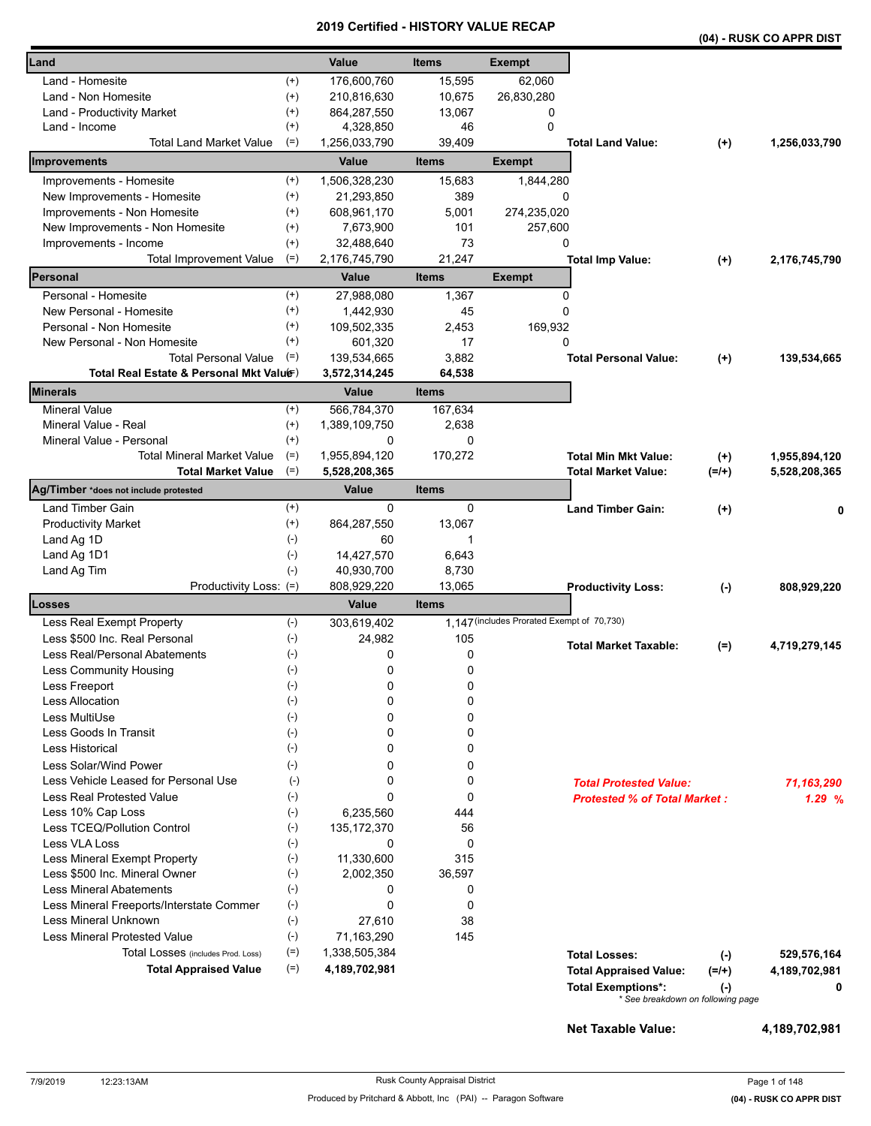|                                          |          |               |              |                                            |                                     |          | (04) - RUSK CO APPR DIST |
|------------------------------------------|----------|---------------|--------------|--------------------------------------------|-------------------------------------|----------|--------------------------|
| Land                                     |          | Value         | <b>Items</b> | <b>Exempt</b>                              |                                     |          |                          |
| Land - Homesite                          | $^{(+)}$ | 176,600,760   | 15,595       | 62,060                                     |                                     |          |                          |
| Land - Non Homesite                      | $^{(+)}$ | 210,816,630   | 10,675       | 26,830,280                                 |                                     |          |                          |
| Land - Productivity Market               | $^{(+)}$ | 864,287,550   | 13,067       | 0                                          |                                     |          |                          |
| Land - Income                            | $^{(+)}$ | 4,328,850     | 46           | 0                                          |                                     |          |                          |
| <b>Total Land Market Value</b>           | $(=)$    | 1,256,033,790 | 39,409       |                                            | <b>Total Land Value:</b>            | $^{(+)}$ | 1,256,033,790            |
| Improvements                             |          | Value         | <b>Items</b> | <b>Exempt</b>                              |                                     |          |                          |
| Improvements - Homesite                  | $^{(+)}$ | 1,506,328,230 | 15,683       | 1,844,280                                  |                                     |          |                          |
| New Improvements - Homesite              | $^{(+)}$ | 21,293,850    | 389          | 0                                          |                                     |          |                          |
| Improvements - Non Homesite              | $^{(+)}$ | 608,961,170   | 5,001        | 274,235,020                                |                                     |          |                          |
| New Improvements - Non Homesite          | $^{(+)}$ | 7,673,900     | 101          | 257,600                                    |                                     |          |                          |
| Improvements - Income                    | $^{(+)}$ | 32,488,640    | 73           | 0                                          |                                     |          |                          |
| <b>Total Improvement Value</b>           | $(=)$    | 2,176,745,790 | 21,247       |                                            | <b>Total Imp Value:</b>             | $(+)$    | 2,176,745,790            |
| Personal                                 |          | Value         | <b>Items</b> | <b>Exempt</b>                              |                                     |          |                          |
| Personal - Homesite                      | $^{(+)}$ | 27,988,080    | 1,367        | 0                                          |                                     |          |                          |
| New Personal - Homesite                  | $^{(+)}$ | 1,442,930     | 45           | 0                                          |                                     |          |                          |
| Personal - Non Homesite                  | $^{(+)}$ | 109,502,335   | 2,453        | 169,932                                    |                                     |          |                          |
| New Personal - Non Homesite              | $^{(+)}$ | 601,320       | 17           | 0                                          |                                     |          |                          |
| <b>Total Personal Value</b>              | $(=)$    | 139,534,665   | 3,882        |                                            | <b>Total Personal Value:</b>        | $(+)$    | 139,534,665              |
| Total Real Estate & Personal Mkt Valuer) |          | 3,572,314,245 | 64,538       |                                            |                                     |          |                          |
| Minerals                                 |          | Value         | <b>Items</b> |                                            |                                     |          |                          |
| <b>Mineral Value</b>                     | $^{(+)}$ | 566,784,370   | 167,634      |                                            |                                     |          |                          |
| Mineral Value - Real                     | $^{(+)}$ | 1,389,109,750 | 2,638        |                                            |                                     |          |                          |
| Mineral Value - Personal                 | $^{(+)}$ | 0             | 0            |                                            |                                     |          |                          |
| <b>Total Mineral Market Value</b>        | $(=)$    | 1,955,894,120 | 170,272      |                                            | <b>Total Min Mkt Value:</b>         | $(+)$    | 1,955,894,120            |
| <b>Total Market Value</b>                | $(=)$    | 5,528,208,365 |              |                                            | <b>Total Market Value:</b>          | $(=/+)$  | 5,528,208,365            |
| Ag/Timber *does not include protested    |          | Value         | <b>Items</b> |                                            |                                     |          |                          |
| Land Timber Gain                         | $^{(+)}$ | 0             | 0            |                                            | <b>Land Timber Gain:</b>            | $(+)$    |                          |
| <b>Productivity Market</b>               | $^{(+)}$ | 864,287,550   | 13,067       |                                            |                                     |          |                          |
| Land Ag 1D                               | $(-)$    | 60            | 1            |                                            |                                     |          |                          |
| Land Ag 1D1                              | $(-)$    | 14,427,570    | 6,643        |                                            |                                     |          |                          |
| Land Ag Tim                              | $(-)$    | 40,930,700    | 8,730        |                                            |                                     |          |                          |
| Productivity Loss: (=)                   |          | 808,929,220   | 13,065       |                                            | <b>Productivity Loss:</b>           | $(-)$    | 808,929,220              |
| Losses                                   |          | Value         | <b>Items</b> |                                            |                                     |          |                          |
| Less Real Exempt Property                | $(-)$    | 303,619,402   |              | 1,147 (includes Prorated Exempt of 70,730) |                                     |          |                          |
| Less \$500 Inc. Real Personal            | $(-)$    | 24,982        | 105          |                                            | <b>Total Market Taxable:</b>        | $(=)$    | 4,719,279,145            |
| Less Real/Personal Abatements            | $(-)$    | 0             | 0            |                                            |                                     |          |                          |
| Less Community Housing                   | $(-)$    | 0             | 0            |                                            |                                     |          |                          |
| Less Freeport                            | $(-)$    | 0             | 0            |                                            |                                     |          |                          |
| <b>Less Allocation</b>                   | $(-)$    | 0             | 0            |                                            |                                     |          |                          |
| Less MultiUse                            | $(-)$    | 0             | 0            |                                            |                                     |          |                          |
| Less Goods In Transit                    | $(-)$    | 0             | 0            |                                            |                                     |          |                          |
| Less Historical                          | $(-)$    | 0             | 0            |                                            |                                     |          |                          |
| Less Solar/Wind Power                    | $(-)$    | 0             | 0            |                                            |                                     |          |                          |
| Less Vehicle Leased for Personal Use     | $(-)$    | 0             | 0            |                                            | <b>Total Protested Value:</b>       |          | 71,163,290               |
| <b>Less Real Protested Value</b>         | $(-)$    | 0             | 0            |                                            | <b>Protested % of Total Market:</b> |          | 1.29%                    |
| Less 10% Cap Loss                        | $(-)$    | 6,235,560     | 444          |                                            |                                     |          |                          |
| Less TCEQ/Pollution Control              | $(-)$    | 135, 172, 370 | 56           |                                            |                                     |          |                          |
| Less VLA Loss                            | $(-)$    | 0             | 0            |                                            |                                     |          |                          |
| Less Mineral Exempt Property             | $(-)$    | 11,330,600    | 315          |                                            |                                     |          |                          |
| Less \$500 Inc. Mineral Owner            | $(-)$    | 2,002,350     | 36,597       |                                            |                                     |          |                          |
| <b>Less Mineral Abatements</b>           | $(-)$    | 0             | 0            |                                            |                                     |          |                          |
| Less Mineral Freeports/Interstate Commer | $(-)$    | 0             | 0            |                                            |                                     |          |                          |
| Less Mineral Unknown                     | $(-)$    | 27,610        | 38           |                                            |                                     |          |                          |
| <b>Less Mineral Protested Value</b>      | $(-)$    | 71,163,290    | 145          |                                            |                                     |          |                          |
| Total Losses (includes Prod. Loss)       | $(=)$    | 1,338,505,384 |              |                                            | <b>Total Losses:</b>                | $(-)$    | 529,576,164              |
| <b>Total Appraised Value</b>             | $(=)$    | 4,189,702,981 |              |                                            | <b>Total Appraised Value:</b>       | $(=/+)$  | 4,189,702,981            |
|                                          |          |               |              |                                            | <b>Total Exemptions*:</b>           | $(-)$    | 0                        |
|                                          |          |               |              |                                            | * See breakdown on following page   |          |                          |

**Net Taxable Value: 4,189,702,981**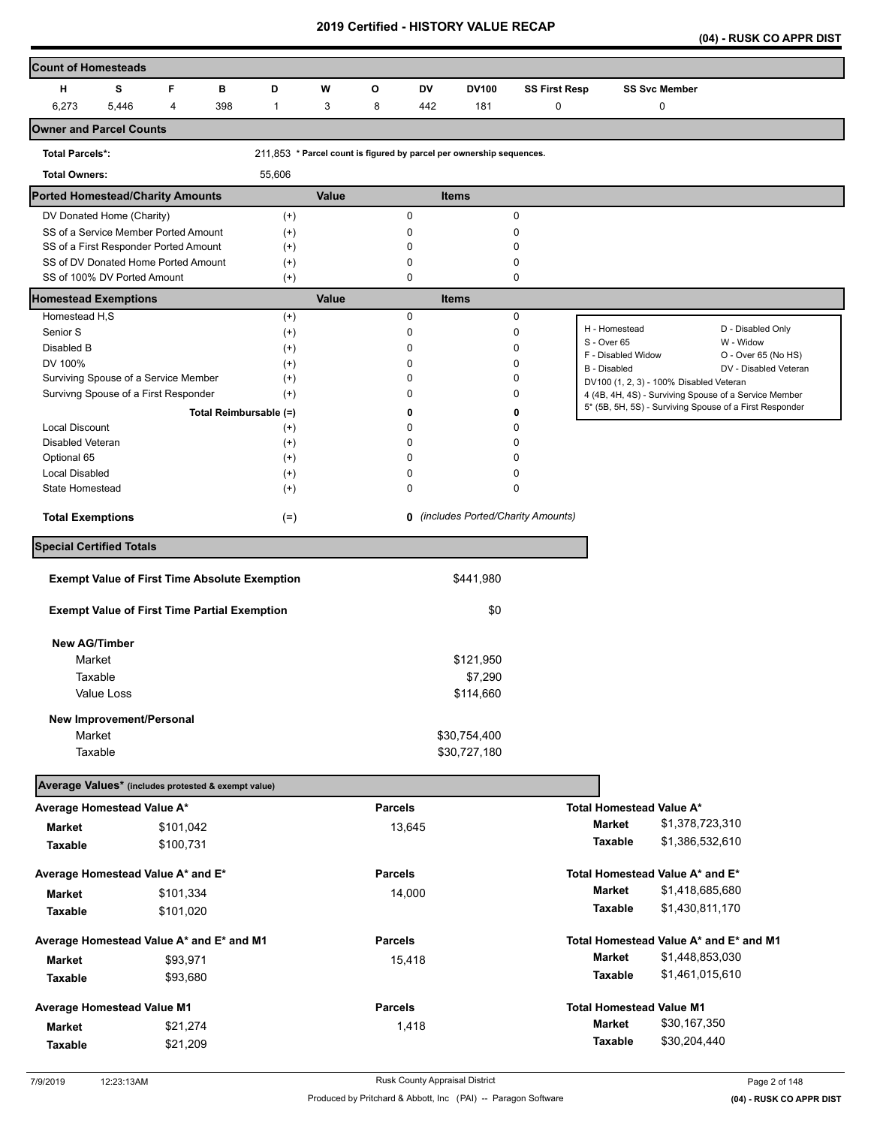**(04) - RUSK CO APPR DIST** 

| <b>Count of Homesteads</b>                                         |            |   |           |                                                      |                      |       |                |        |                                                                      |                                            |                                         |                      |                                                                                                                  |
|--------------------------------------------------------------------|------------|---|-----------|------------------------------------------------------|----------------------|-------|----------------|--------|----------------------------------------------------------------------|--------------------------------------------|-----------------------------------------|----------------------|------------------------------------------------------------------------------------------------------------------|
| н                                                                  | s          | F |           | в<br>D                                               |                      | W     | O              | DV     | <b>DV100</b>                                                         | <b>SS First Resp</b>                       |                                         | <b>SS Svc Member</b> |                                                                                                                  |
| 6,273                                                              | 5,446      | 4 |           | 398                                                  | $\mathbf{1}$         | 3     | 8              | 442    | 181                                                                  | $\pmb{0}$                                  |                                         | 0                    |                                                                                                                  |
| <b>Owner and Parcel Counts</b>                                     |            |   |           |                                                      |                      |       |                |        |                                                                      |                                            |                                         |                      |                                                                                                                  |
| <b>Total Parcels*:</b>                                             |            |   |           |                                                      |                      |       |                |        | 211,853 * Parcel count is figured by parcel per ownership sequences. |                                            |                                         |                      |                                                                                                                  |
| <b>Total Owners:</b>                                               |            |   |           | 55,606                                               |                      |       |                |        |                                                                      |                                            |                                         |                      |                                                                                                                  |
| <b>Ported Homestead/Charity Amounts</b>                            |            |   |           |                                                      |                      | Value |                |        | <b>Items</b>                                                         |                                            |                                         |                      |                                                                                                                  |
| DV Donated Home (Charity)                                          |            |   |           |                                                      | $(+)$                |       |                | 0      |                                                                      | 0                                          |                                         |                      |                                                                                                                  |
| SS of a Service Member Ported Amount                               |            |   |           |                                                      | $(+)$                |       |                | 0      |                                                                      | 0                                          |                                         |                      |                                                                                                                  |
| SS of a First Responder Ported Amount                              |            |   |           |                                                      | $^{(+)}$             |       |                | 0      |                                                                      | 0                                          |                                         |                      |                                                                                                                  |
| SS of DV Donated Home Ported Amount<br>SS of 100% DV Ported Amount |            |   |           |                                                      | $^{(+)}$<br>$(+)$    |       |                | 0<br>0 |                                                                      | 0<br>0                                     |                                         |                      |                                                                                                                  |
| <b>Homestead Exemptions</b>                                        |            |   |           |                                                      |                      | Value |                |        | <b>Items</b>                                                         |                                            |                                         |                      |                                                                                                                  |
| Homestead H,S                                                      |            |   |           |                                                      | $^{(+)}$             |       |                | 0      |                                                                      | $\pmb{0}$                                  |                                         |                      |                                                                                                                  |
| Senior S                                                           |            |   |           |                                                      | $^{(+)}$             |       |                | 0      |                                                                      | 0                                          | H - Homestead<br>S - Over 65            |                      | D - Disabled Only<br>W - Widow                                                                                   |
| Disabled B                                                         |            |   |           |                                                      | $^{(+)}$             |       |                | 0      |                                                                      | 0                                          | F - Disabled Widow                      |                      | O - Over 65 (No HS)                                                                                              |
| DV 100%                                                            |            |   |           |                                                      | $^{(+)}$             |       |                | 0      |                                                                      | 0                                          | B - Disabled                            |                      | DV - Disabled Veteran                                                                                            |
| Surviving Spouse of a Service Member                               |            |   |           |                                                      | $^{(+)}$             |       |                | 0      |                                                                      | 0                                          | DV100 (1, 2, 3) - 100% Disabled Veteran |                      |                                                                                                                  |
| Survivng Spouse of a First Responder                               |            |   |           |                                                      | $^{(+)}$             |       |                | 0      |                                                                      | 0                                          |                                         |                      | 4 (4B, 4H, 4S) - Surviving Spouse of a Service Member<br>5* (5B, 5H, 5S) - Surviving Spouse of a First Responder |
|                                                                    |            |   |           | Total Reimbursable (=)                               |                      |       |                | 0      |                                                                      | 0                                          |                                         |                      |                                                                                                                  |
| Local Discount                                                     |            |   |           |                                                      | $^{(+)}$             |       |                | 0<br>0 |                                                                      | 0<br>0                                     |                                         |                      |                                                                                                                  |
| Disabled Veteran<br>Optional 65                                    |            |   |           |                                                      | $^{(+)}$<br>$^{(+)}$ |       |                | 0      |                                                                      | 0                                          |                                         |                      |                                                                                                                  |
| Local Disabled                                                     |            |   |           |                                                      | $^{(+)}$             |       |                | 0      |                                                                      | 0                                          |                                         |                      |                                                                                                                  |
| <b>State Homestead</b>                                             |            |   |           |                                                      | $^{(+)}$             |       |                | 0      |                                                                      | 0                                          |                                         |                      |                                                                                                                  |
| <b>Total Exemptions</b>                                            |            |   |           |                                                      | $(=)$                |       |                |        |                                                                      | <b>0</b> (includes Ported/Charity Amounts) |                                         |                      |                                                                                                                  |
| <b>Special Certified Totals</b>                                    |            |   |           |                                                      |                      |       |                |        |                                                                      |                                            |                                         |                      |                                                                                                                  |
|                                                                    |            |   |           | <b>Exempt Value of First Time Absolute Exemption</b> |                      |       |                |        | \$441,980                                                            |                                            |                                         |                      |                                                                                                                  |
|                                                                    |            |   |           |                                                      |                      |       |                |        |                                                                      |                                            |                                         |                      |                                                                                                                  |
|                                                                    |            |   |           | <b>Exempt Value of First Time Partial Exemption</b>  |                      |       |                |        | \$0                                                                  |                                            |                                         |                      |                                                                                                                  |
| <b>New AG/Timber</b>                                               |            |   |           |                                                      |                      |       |                |        |                                                                      |                                            |                                         |                      |                                                                                                                  |
| Market                                                             |            |   |           |                                                      |                      |       |                |        | \$121,950                                                            |                                            |                                         |                      |                                                                                                                  |
| Taxable                                                            |            |   |           |                                                      |                      |       |                |        | \$7,290                                                              |                                            |                                         |                      |                                                                                                                  |
|                                                                    | Value Loss |   |           |                                                      |                      |       |                |        | \$114,660                                                            |                                            |                                         |                      |                                                                                                                  |
| New Improvement/Personal                                           |            |   |           |                                                      |                      |       |                |        |                                                                      |                                            |                                         |                      |                                                                                                                  |
| Market                                                             |            |   |           |                                                      |                      |       |                |        | \$30,754,400                                                         |                                            |                                         |                      |                                                                                                                  |
| Taxable                                                            |            |   |           |                                                      |                      |       |                |        | \$30,727,180                                                         |                                            |                                         |                      |                                                                                                                  |
| Average Values* (includes protested & exempt value)                |            |   |           |                                                      |                      |       |                |        |                                                                      |                                            |                                         |                      |                                                                                                                  |
| Average Homestead Value A*                                         |            |   |           |                                                      |                      |       | <b>Parcels</b> |        |                                                                      |                                            | Total Homestead Value A*                |                      |                                                                                                                  |
| <b>Market</b>                                                      |            |   | \$101,042 |                                                      |                      |       |                | 13,645 |                                                                      |                                            | <b>Market</b>                           | \$1,378,723,310      |                                                                                                                  |
| <b>Taxable</b>                                                     |            |   | \$100,731 |                                                      |                      |       |                |        |                                                                      |                                            | <b>Taxable</b>                          | \$1,386,532,610      |                                                                                                                  |
| Average Homestead Value A* and E*                                  |            |   |           |                                                      |                      |       | <b>Parcels</b> |        |                                                                      |                                            | Total Homestead Value A* and E*         |                      |                                                                                                                  |
|                                                                    |            |   |           |                                                      |                      |       |                |        |                                                                      |                                            | Market                                  | \$1,418,685,680      |                                                                                                                  |
| <b>Market</b>                                                      |            |   | \$101,334 |                                                      |                      |       |                | 14,000 |                                                                      |                                            | Taxable                                 | \$1,430,811,170      |                                                                                                                  |
| Taxable                                                            |            |   | \$101,020 |                                                      |                      |       |                |        |                                                                      |                                            |                                         |                      |                                                                                                                  |
| Average Homestead Value A* and E* and M1                           |            |   |           |                                                      |                      |       | <b>Parcels</b> |        |                                                                      |                                            |                                         |                      | Total Homestead Value A* and E* and M1                                                                           |
| <b>Market</b>                                                      |            |   | \$93,971  |                                                      |                      |       |                | 15,418 |                                                                      |                                            | Market                                  | \$1,448,853,030      |                                                                                                                  |
| Taxable                                                            |            |   | \$93,680  |                                                      |                      |       |                |        |                                                                      |                                            | Taxable                                 | \$1,461,015,610      |                                                                                                                  |
| <b>Average Homestead Value M1</b>                                  |            |   |           |                                                      |                      |       | <b>Parcels</b> |        |                                                                      |                                            | <b>Total Homestead Value M1</b>         |                      |                                                                                                                  |
| <b>Market</b>                                                      |            |   | \$21,274  |                                                      |                      |       |                | 1,418  |                                                                      |                                            | <b>Market</b>                           | \$30,167,350         |                                                                                                                  |
| <b>Taxable</b>                                                     |            |   | \$21,209  |                                                      |                      |       |                |        |                                                                      |                                            | Taxable                                 | \$30,204,440         |                                                                                                                  |
|                                                                    |            |   |           |                                                      |                      |       |                |        |                                                                      |                                            |                                         |                      |                                                                                                                  |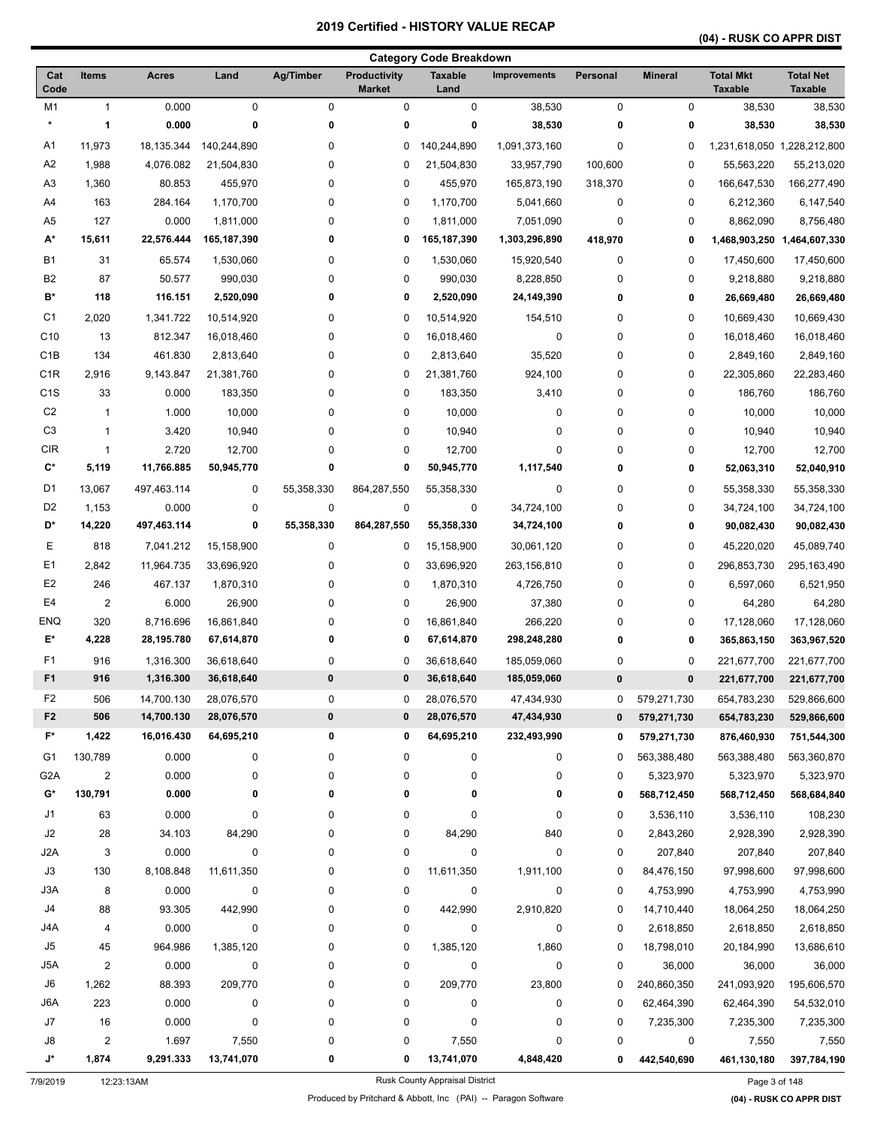# **(04) - RUSK CO APPR DIST**

|                  |                         |              |             |            |                                      | <b>Category Code Breakdown</b> |                     |          |                |                                    |                                    |
|------------------|-------------------------|--------------|-------------|------------|--------------------------------------|--------------------------------|---------------------|----------|----------------|------------------------------------|------------------------------------|
| Cat<br>Code      | <b>Items</b>            | <b>Acres</b> | Land        | Ag/Timber  | <b>Productivity</b><br><b>Market</b> | <b>Taxable</b><br>Land         | <b>Improvements</b> | Personal | <b>Mineral</b> | <b>Total Mkt</b><br><b>Taxable</b> | <b>Total Net</b><br><b>Taxable</b> |
| M <sub>1</sub>   | 1                       | 0.000        | 0           | 0          | 0                                    | $\pmb{0}$                      | 38,530              | 0        | 0              | 38,530                             | 38,530                             |
| $\star$          | 1                       | 0.000        | 0           | 0          | 0                                    | 0                              | 38,530              | 0        | 0              | 38,530                             | 38,530                             |
| A1               | 11,973                  | 18,135.344   | 140,244,890 | 0          | 0                                    | 140,244,890                    | 1,091,373,160       | 0        | 0              | 1,231,618,050 1,228,212,800        |                                    |
| A2               | 1,988                   | 4,076.082    | 21,504,830  | 0          | 0                                    | 21,504,830                     | 33,957,790          | 100,600  | 0              | 55,563,220                         | 55,213,020                         |
| A <sub>3</sub>   | 1,360                   | 80.853       | 455,970     | 0          | 0                                    | 455,970                        | 165,873,190         | 318,370  | 0              | 166,647,530                        | 166,277,490                        |
| A4               | 163                     | 284.164      | 1,170,700   | 0          | 0                                    | 1,170,700                      | 5,041,660           | 0        | 0              | 6,212,360                          | 6,147,540                          |
| A <sub>5</sub>   | 127                     | 0.000        | 1,811,000   | 0          | 0                                    | 1,811,000                      | 7,051,090           | 0        | 0              | 8,862,090                          | 8,756,480                          |
| A*               | 15,611                  | 22,576.444   | 165,187,390 | 0          | 0                                    | 165,187,390                    | 1,303,296,890       | 418,970  | 0              |                                    | 1,468,903,250 1,464,607,330        |
| <b>B1</b>        | 31                      | 65.574       | 1,530,060   | 0          | 0                                    | 1,530,060                      | 15,920,540          | 0        | 0              | 17,450,600                         | 17,450,600                         |
| B <sub>2</sub>   | 87                      | 50.577       | 990,030     | 0          | 0                                    | 990,030                        | 8,228,850           | 0        | 0              | 9,218,880                          | 9,218,880                          |
| B*               | 118                     | 116.151      | 2,520,090   | 0          | 0                                    | 2,520,090                      | 24,149,390          | 0        | 0              | 26,669,480                         | 26,669,480                         |
| C <sub>1</sub>   | 2,020                   | 1,341.722    | 10,514,920  | 0          | 0                                    | 10,514,920                     | 154,510             | 0        | 0              | 10,669,430                         | 10,669,430                         |
| C <sub>10</sub>  | 13                      | 812.347      | 16,018,460  | 0          | 0                                    | 16,018,460                     | 0                   | 0        | 0              | 16,018,460                         | 16,018,460                         |
| C <sub>1</sub> B | 134                     | 461.830      | 2,813,640   | 0          | 0                                    | 2,813,640                      | 35,520              | 0        | 0              | 2,849,160                          | 2,849,160                          |
| C <sub>1R</sub>  | 2,916                   | 9,143.847    | 21,381,760  | 0          | 0                                    | 21,381,760                     | 924,100             | 0        | 0              | 22,305,860                         | 22,283,460                         |
| C <sub>1</sub> S | 33                      | 0.000        | 183,350     | 0          | 0                                    | 183,350                        | 3,410               | 0        | 0              | 186,760                            | 186,760                            |
| C <sub>2</sub>   | $\mathbf{1}$            | 1.000        | 10,000      | 0          | 0                                    | 10,000                         | 0                   | 0        | 0              | 10,000                             | 10,000                             |
| C <sub>3</sub>   | $\mathbf{1}$            | 3.420        | 10,940      | 0          | 0                                    | 10,940                         | 0                   | 0        | 0              | 10,940                             | 10,940                             |
| <b>CIR</b>       | 1                       | 2.720        | 12,700      | 0          | 0                                    | 12,700                         | 0                   | 0        | 0              | 12,700                             | 12,700                             |
| C*               | 5,119                   | 11,766.885   | 50,945,770  | 0          | 0                                    | 50,945,770                     | 1,117,540           | 0        | 0              | 52,063,310                         | 52,040,910                         |
| D <sub>1</sub>   | 13,067                  | 497,463.114  | 0           | 55,358,330 | 864,287,550                          | 55,358,330                     | 0                   | 0        | 0              | 55,358,330                         | 55,358,330                         |
| D <sub>2</sub>   | 1,153                   | 0.000        | 0           | 0          | 0                                    | 0                              | 34,724,100          | 0        | 0              | 34,724,100                         | 34,724,100                         |
| D*               | 14,220                  | 497,463.114  | 0           | 55,358,330 | 864,287,550                          | 55,358,330                     | 34,724,100          | 0        | 0              | 90,082,430                         | 90,082,430                         |
|                  |                         |              |             |            |                                      |                                |                     |          |                |                                    |                                    |
| Е                | 818                     | 7,041.212    | 15,158,900  | 0          | 0                                    | 15,158,900                     | 30,061,120          | 0        | 0              | 45,220,020                         | 45,089,740                         |
| E <sub>1</sub>   | 2,842                   | 11,964.735   | 33,696,920  | 0          | 0                                    | 33,696,920                     | 263,156,810         | 0        | 0              | 296,853,730                        | 295, 163, 490                      |
| E <sub>2</sub>   | 246                     | 467.137      | 1,870,310   | 0          | 0                                    | 1,870,310                      | 4,726,750           | 0        | 0              | 6,597,060                          | 6,521,950                          |
| E <sub>4</sub>   | $\overline{\mathbf{c}}$ | 6.000        | 26,900      | 0          | 0                                    | 26,900                         | 37,380              | 0        | 0              | 64,280                             | 64,280                             |
| <b>ENQ</b>       | 320                     | 8,716.696    | 16,861,840  | 0          | 0                                    | 16,861,840                     | 266,220             | 0        | 0              | 17,128,060                         | 17,128,060                         |
| E*               | 4,228                   | 28,195.780   | 67,614,870  | 0          | 0                                    | 67,614,870                     | 298,248,280         | 0        | 0              | 365,863,150                        | 363,967,520                        |
| F1               | 916                     | 1,316.300    | 36,618,640  | 0          | 0                                    | 36,618,640                     | 185,059,060         | 0        | 0              | 221,677,700                        | 221,677,700                        |
| F <sub>1</sub>   | 916                     | 1,316.300    | 36,618,640  | 0          | $\bf{0}$                             | 36,618,640                     | 185,059,060         | 0        | 0              | 221,677,700                        | 221,677,700                        |
| F2               | 506                     | 14,700.130   | 28,076,570  | 0          | 0                                    | 28,076,570                     | 47,434,930          | 0        | 579,271,730    | 654,783,230                        | 529,866,600                        |
| F <sub>2</sub>   | 506                     | 14,700.130   | 28,076,570  | $\pmb{0}$  | 0                                    | 28,076,570                     | 47,434,930          | 0        | 579,271,730    | 654,783,230                        | 529,866,600                        |
| F*               | 1,422                   | 16,016.430   | 64,695,210  | 0          | 0                                    | 64,695,210                     | 232,493,990         | 0        | 579,271,730    | 876,460,930                        | 751,544,300                        |
| G1               | 130,789                 | 0.000        | 0           | 0          | 0                                    | 0                              | 0                   | 0        | 563,388,480    | 563,388,480                        | 563,360,870                        |
| G <sub>2</sub> A | 2                       | 0.000        | 0           | 0          | 0                                    | 0                              | 0                   | 0        | 5,323,970      | 5,323,970                          | 5,323,970                          |
| G*               | 130,791                 | 0.000        | 0           | 0          | 0                                    | 0                              | 0                   | 0        | 568,712,450    | 568,712,450                        | 568,684,840                        |
| J1               | 63                      | 0.000        | 0           | 0          | 0                                    | 0                              | 0                   | 0        | 3,536,110      | 3,536,110                          | 108,230                            |
| J2               | 28                      | 34.103       | 84,290      | 0          | 0                                    | 84,290                         | 840                 | 0        | 2,843,260      | 2,928,390                          | 2,928,390                          |
| J <sub>2</sub> A | 3                       | 0.000        | $\pmb{0}$   | 0          | 0                                    | $\pmb{0}$                      | 0                   | 0        | 207,840        | 207,840                            | 207,840                            |
| J3               | 130                     | 8,108.848    | 11,611,350  | 0          | 0                                    | 11,611,350                     | 1,911,100           | 0        | 84,476,150     | 97,998,600                         | 97,998,600                         |
| J3A              | 8                       | 0.000        | 0           | 0          | 0                                    | 0                              | 0                   | 0        | 4,753,990      | 4,753,990                          | 4,753,990                          |
| J4               | 88                      | 93.305       | 442,990     | 0          | 0                                    | 442,990                        | 2,910,820           | 0        | 14,710,440     | 18,064,250                         | 18,064,250                         |
| J4A              | 4                       | 0.000        | 0           | 0          | 0                                    | 0                              | 0                   | 0        | 2,618,850      | 2,618,850                          | 2,618,850                          |
| J5               | 45                      | 964.986      | 1,385,120   | 0          | 0                                    | 1,385,120                      | 1,860               | 0        | 18,798,010     | 20,184,990                         | 13,686,610                         |
| J5A              | 2                       | 0.000        | 0           | 0          | 0                                    | 0                              | $\pmb{0}$           | 0        | 36,000         | 36,000                             | 36,000                             |
| J6               | 1,262                   | 88.393       | 209,770     | 0          | 0                                    | 209,770                        | 23,800              | 0        | 240,860,350    | 241,093,920                        | 195,606,570                        |
| J6A              | 223                     | 0.000        | 0           | 0          | 0                                    | 0                              | 0                   | 0        | 62,464,390     | 62,464,390                         | 54,532,010                         |
| J7               | 16                      | 0.000        | 0           | 0          | 0                                    | 0                              | 0                   | 0        | 7,235,300      | 7,235,300                          | 7,235,300                          |
| J8               | $\overline{\mathbf{c}}$ | 1.697        | 7,550       | 0          | 0                                    | 7,550                          | 0                   | 0        | 0              | 7,550                              | 7,550                              |
| J*               | 1,874                   | 9,291.333    | 13,741,070  | 0          | 0                                    | 13,741,070                     | 4,848,420           | 0        | 442,540,690    | 461,130,180                        | 397,784,190                        |

Produced by Pritchard & Abbott, Inc (PAI) -- Paragon Software **(04) - RUSK CO APPR DIST**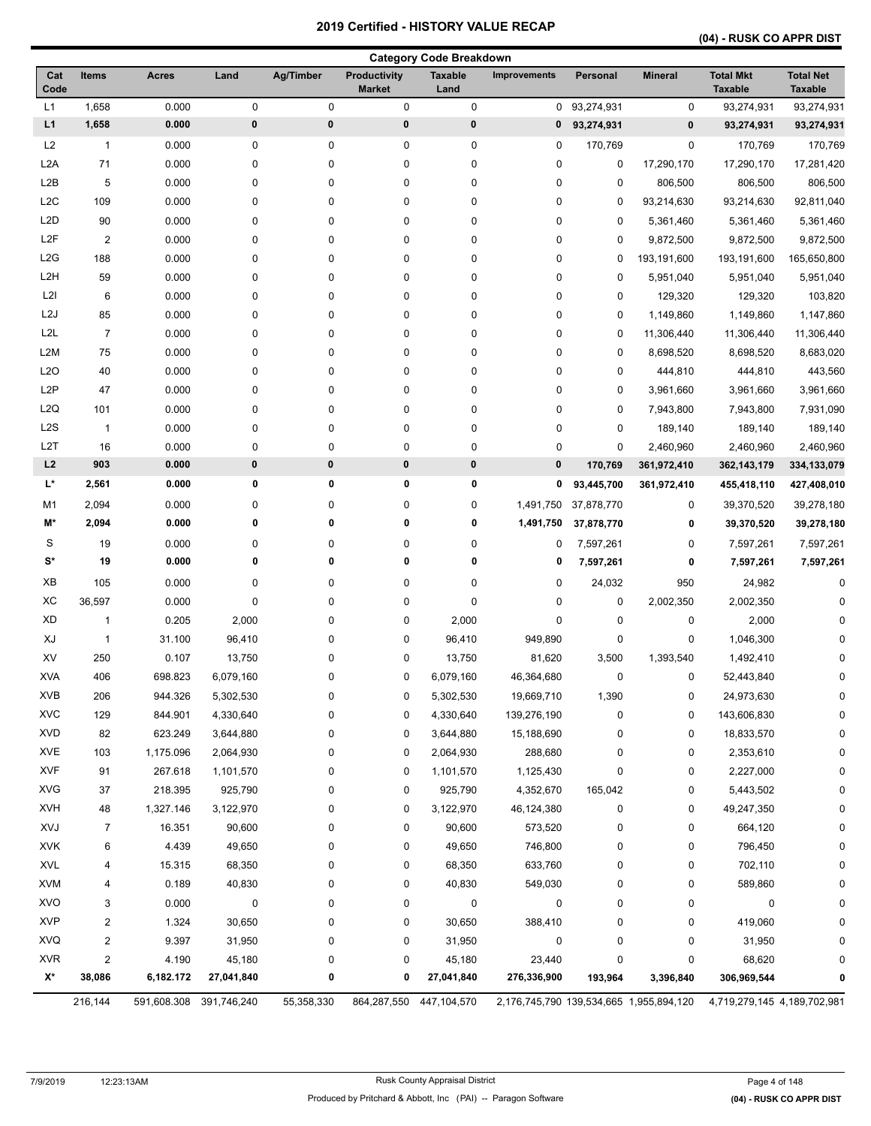### **(04) - RUSK CO APPR DIST**

|                  |                |              |                         |             |                                      | <b>Category Code Breakdown</b> |                     |             |                                         |                                    |                                    |
|------------------|----------------|--------------|-------------------------|-------------|--------------------------------------|--------------------------------|---------------------|-------------|-----------------------------------------|------------------------------------|------------------------------------|
| Cat<br>Code      | <b>Items</b>   | <b>Acres</b> | Land                    | Ag/Timber   | <b>Productivity</b><br><b>Market</b> | <b>Taxable</b><br>Land         | <b>Improvements</b> | Personal    | <b>Mineral</b>                          | <b>Total Mkt</b><br><b>Taxable</b> | <b>Total Net</b><br><b>Taxable</b> |
| L1               | 1,658          | 0.000        | 0                       | $\pmb{0}$   | $\pmb{0}$                            | $\pmb{0}$                      | 0                   | 93,274,931  | 0                                       | 93,274,931                         | 93,274,931                         |
| L1               | 1,658          | 0.000        | $\pmb{0}$               | $\bf{0}$    | $\pmb{0}$                            | 0                              | 0                   | 93,274,931  | 0                                       | 93,274,931                         | 93,274,931                         |
| L2               | $\mathbf{1}$   | 0.000        | 0                       | 0           | 0                                    | 0                              | 0                   | 170,769     | 0                                       | 170,769                            | 170,769                            |
| L <sub>2</sub> A | 71             | 0.000        | 0                       | 0           | 0                                    | $\pmb{0}$                      | 0                   | 0           | 17,290,170                              | 17,290,170                         | 17,281,420                         |
| L <sub>2</sub> B | 5              | 0.000        | 0                       | 0           | 0                                    | $\pmb{0}$                      | 0                   | 0           | 806,500                                 | 806,500                            | 806,500                            |
| L <sub>2</sub> C | 109            | 0.000        | 0                       | 0           | 0                                    | $\pmb{0}$                      | 0                   | $\mathbf 0$ | 93,214,630                              | 93,214,630                         | 92,811,040                         |
| L <sub>2</sub> D | 90             | 0.000        | 0                       | 0           | 0                                    | 0                              | 0                   | 0           | 5,361,460                               | 5,361,460                          | 5,361,460                          |
| L <sub>2</sub> F | $\overline{2}$ | 0.000        | 0                       | 0           | 0                                    | 0                              | 0                   | 0           | 9,872,500                               | 9,872,500                          | 9,872,500                          |
| L2G              | 188            | 0.000        | 0                       | 0           | 0                                    | 0                              | 0                   | 0           | 193,191,600                             | 193,191,600                        | 165,650,800                        |
| L <sub>2</sub> H | 59             | 0.000        | 0                       | 0           | 0                                    | 0                              | 0                   | 0           | 5,951,040                               | 5,951,040                          | 5,951,040                          |
| L2I              | 6              | 0.000        | 0                       | 0           | 0                                    | $\pmb{0}$                      | 0                   | 0           | 129,320                                 | 129,320                            | 103,820                            |
| L <sub>2</sub> J | 85             | 0.000        | 0                       | 0           | 0                                    | $\pmb{0}$                      | 0                   | 0           | 1,149,860                               | 1,149,860                          | 1,147,860                          |
| L <sub>2</sub> L | $\overline{7}$ | 0.000        | 0                       | 0           | 0                                    | 0                              | 0                   | 0           | 11,306,440                              | 11,306,440                         | 11,306,440                         |
| L2M              | 75             | 0.000        | 0                       | 0           | 0                                    | 0                              | 0                   | 0           | 8,698,520                               | 8,698,520                          | 8,683,020                          |
| L <sub>20</sub>  | 40             | 0.000        | 0                       | 0           | 0                                    | 0                              | 0                   | 0           | 444,810                                 | 444,810                            | 443,560                            |
| L <sub>2</sub> P | 47             | 0.000        | 0                       | 0           | 0                                    | 0                              | 0                   | $\mathbf 0$ | 3,961,660                               | 3,961,660                          | 3,961,660                          |
| L <sub>2</sub> Q | 101            | 0.000        | 0                       | 0           | 0                                    | $\pmb{0}$                      | 0                   | $\mathbf 0$ | 7,943,800                               | 7,943,800                          | 7,931,090                          |
| L <sub>2</sub> S | $\mathbf{1}$   | 0.000        | 0                       | 0           | 0                                    | $\pmb{0}$                      | 0                   | 0           | 189,140                                 | 189,140                            | 189,140                            |
| L <sub>2</sub> T | 16             | 0.000        | 0                       | $\pmb{0}$   | 0                                    | $\pmb{0}$                      | 0                   | 0           | 2,460,960                               | 2,460,960                          | 2,460,960                          |
| L2               | 903            | 0.000        | $\pmb{0}$               | $\pmb{0}$   | $\pmb{0}$                            | $\pmb{0}$                      | $\pmb{0}$           | 170,769     | 361,972,410                             | 362, 143, 179                      | 334,133,079                        |
| L*               | 2,561          | 0.000        | 0                       | 0           | 0                                    | 0                              | 0                   | 93,445,700  | 361,972,410                             | 455,418,110                        | 427,408,010                        |
| M <sub>1</sub>   | 2,094          | 0.000        | 0                       | 0           | 0                                    | $\pmb{0}$                      | 1,491,750           | 37,878,770  | 0                                       | 39,370,520                         | 39,278,180                         |
| M*               | 2,094          | 0.000        | 0                       | $\mathbf 0$ | 0                                    | 0                              | 1,491,750           | 37,878,770  | 0                                       | 39,370,520                         | 39,278,180                         |
| S                | 19             | 0.000        | 0                       | 0           | 0                                    | 0                              | 0                   | 7,597,261   | 0                                       | 7,597,261                          | 7,597,261                          |
| $\mathbf{S}^*$   | 19             | 0.000        | 0                       | $\mathbf 0$ | 0                                    | 0                              | 0                   | 7,597,261   | 0                                       | 7,597,261                          | 7,597,261                          |
| XB               | 105            | 0.000        | 0                       | 0           | 0                                    | 0                              | 0                   | 24,032      | 950                                     | 24,982                             | $\mathbf 0$                        |
| XC               | 36,597         | 0.000        | 0                       | 0           | 0                                    | $\pmb{0}$                      | 0                   | 0           | 2,002,350                               | 2,002,350                          | U                                  |
| <b>XD</b>        | $\mathbf{1}$   | 0.205        | 2,000                   | 0           | 0                                    | 2,000                          | 0                   | 0           | 0                                       | 2,000                              |                                    |
| XJ               | $\mathbf{1}$   | 31.100       | 96,410                  | 0           | 0                                    | 96,410                         | 949,890             | 0           | 0                                       | 1,046,300                          |                                    |
| XV               | 250            | 0.107        | 13,750                  | 0           | 0                                    | 13,750                         | 81,620              | 3,500       | 1,393,540                               | 1,492,410                          |                                    |
| <b>XVA</b>       | 406            | 698.823      | 6,079,160               | 0           | 0                                    | 6,079,160                      | 46,364,680          | 0           | 0                                       | 52,443,840                         | 0                                  |
| XVB              | 206            | 944.326      | 5,302,530               | 0           | 0                                    | 5,302,530                      | 19,669,710          | 1,390       | 0                                       | 24,973,630                         | O                                  |
| <b>XVC</b>       | 129            | 844.901      | 4,330,640               | 0           | 0                                    | 4,330,640                      | 139,276,190         | 0           | 0                                       | 143,606,830                        | 0                                  |
| <b>XVD</b>       | 82             | 623.249      | 3,644,880               | 0           | 0                                    | 3,644,880                      | 15,188,690          | 0           | 0                                       | 18,833,570                         |                                    |
| <b>XVE</b>       | 103            | 1,175.096    | 2,064,930               | 0           | 0                                    | 2,064,930                      | 288,680             | 0           | 0                                       | 2,353,610                          |                                    |
| <b>XVF</b>       | 91             | 267.618      | 1,101,570               | 0           | 0                                    | 1,101,570                      | 1,125,430           | 0           | 0                                       | 2,227,000                          |                                    |
| <b>XVG</b>       | 37             | 218.395      | 925,790                 | 0           | 0                                    | 925,790                        | 4,352,670           | 165,042     | 0                                       | 5,443,502                          |                                    |
| <b>XVH</b>       | 48             | 1,327.146    | 3,122,970               | 0           | 0                                    | 3,122,970                      | 46,124,380          | 0           | 0                                       | 49,247,350                         |                                    |
| XVJ              | $\overline{7}$ | 16.351       | 90,600                  | 0           | 0                                    | 90,600                         | 573,520             | 0           | 0                                       | 664,120                            |                                    |
| <b>XVK</b>       | 6              | 4.439        | 49,650                  | 0           | 0                                    | 49,650                         | 746,800             | 0           | 0                                       | 796,450                            |                                    |
| <b>XVL</b>       | 4              | 15.315       | 68,350                  | 0           | 0                                    | 68,350                         | 633,760             | 0           | 0                                       | 702,110                            | ŋ                                  |
| <b>XVM</b>       | 4              | 0.189        | 40,830                  | 0           | 0                                    | 40,830                         | 549,030             | 0           | 0                                       | 589,860                            |                                    |
| <b>XVO</b>       | 3              | 0.000        | 0                       | 0           | 0                                    | 0                              | 0                   | 0           | 0                                       | 0                                  |                                    |
| <b>XVP</b>       | 2              | 1.324        | 30,650                  | 0           | 0                                    | 30,650                         | 388,410             | 0           | 0                                       | 419,060                            |                                    |
| XVQ              | 2              | 9.397        | 31,950                  | 0           | 0                                    | 31,950                         | 0                   | 0           | 0                                       | 31,950                             |                                    |
| <b>XVR</b>       | $\overline{2}$ | 4.190        | 45,180                  | 0           | 0                                    | 45,180                         | 23,440              | 0           | 0                                       | 68,620                             |                                    |
| X*               | 38,086         | 6,182.172    | 27,041,840              | 0           | 0                                    | 27,041,840                     | 276,336,900         | 193,964     | 3,396,840                               | 306,969,544                        |                                    |
|                  | 216,144        |              | 591,608.308 391,746,240 | 55,358,330  |                                      | 864,287,550 447,104,570        |                     |             | 2,176,745,790 139,534,665 1,955,894,120 | 4,719,279,145 4,189,702,981        |                                    |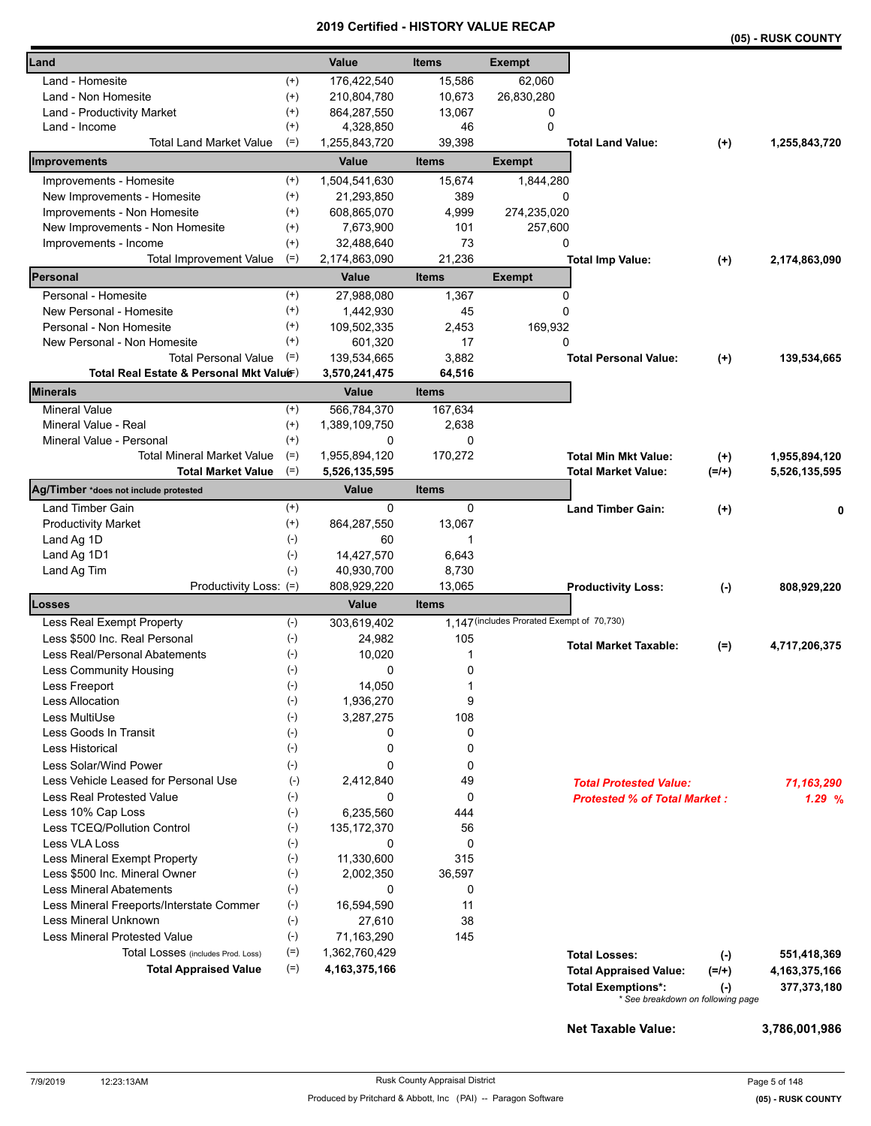|                                          |           |                      |                        |                                            |                                     |           | (05) - RUSK COUNTY |
|------------------------------------------|-----------|----------------------|------------------------|--------------------------------------------|-------------------------------------|-----------|--------------------|
| Land                                     |           | Value                | <b>Items</b>           | <b>Exempt</b>                              |                                     |           |                    |
| Land - Homesite                          | $^{(+)}$  | 176,422,540          | 15,586                 | 62,060                                     |                                     |           |                    |
| Land - Non Homesite                      | $^{(+)}$  | 210,804,780          | 10,673                 | 26,830,280                                 |                                     |           |                    |
| Land - Productivity Market               | $^{(+)}$  | 864,287,550          | 13,067                 | 0                                          |                                     |           |                    |
| Land - Income                            | $^{(+)}$  | 4,328,850            | 46                     | $\mathbf 0$                                |                                     |           |                    |
| <b>Total Land Market Value</b>           | $(=)$     | 1,255,843,720        | 39,398                 |                                            | <b>Total Land Value:</b>            | $(+)$     | 1,255,843,720      |
| <b>Improvements</b>                      |           | Value                | <b>Items</b>           | <b>Exempt</b>                              |                                     |           |                    |
| Improvements - Homesite                  | $^{(+)}$  | 1,504,541,630        | 15,674                 | 1,844,280                                  |                                     |           |                    |
| New Improvements - Homesite              | $^{(+)}$  | 21,293,850           | 389                    | 0                                          |                                     |           |                    |
| Improvements - Non Homesite              | $^{(+)}$  | 608,865,070          | 4,999                  | 274,235,020                                |                                     |           |                    |
| New Improvements - Non Homesite          | $^{(+)}$  | 7,673,900            | 101                    | 257,600                                    |                                     |           |                    |
| Improvements - Income                    | $^{(+)}$  | 32,488,640           | 73                     | 0                                          |                                     |           |                    |
| Total Improvement Value                  | $(=)$     | 2,174,863,090        | 21,236                 |                                            | <b>Total Imp Value:</b>             | $^{(+)}$  | 2,174,863,090      |
| Personal                                 |           | Value                | <b>Items</b>           | <b>Exempt</b>                              |                                     |           |                    |
| Personal - Homesite                      | $^{(+)}$  | 27,988,080           | 1,367                  | 0                                          |                                     |           |                    |
| New Personal - Homesite                  | $^{(+)}$  | 1,442,930            | 45                     | 0                                          |                                     |           |                    |
| Personal - Non Homesite                  | $^{(+)}$  | 109,502,335          | 2,453                  | 169,932                                    |                                     |           |                    |
| New Personal - Non Homesite              | $^{(+)}$  | 601,320              | 17                     | $\Omega$                                   |                                     |           |                    |
| <b>Total Personal Value</b>              | $(=)$     | 139,534,665          | 3,882                  |                                            | <b>Total Personal Value:</b>        | $^{(+)}$  | 139,534,665        |
| Total Real Estate & Personal Mkt Valuer) |           | 3,570,241,475        | 64,516                 |                                            |                                     |           |                    |
| <b>Minerals</b>                          |           | Value                | <b>Items</b>           |                                            |                                     |           |                    |
| <b>Mineral Value</b>                     | $^{(+)}$  | 566,784,370          | 167,634                |                                            |                                     |           |                    |
| Mineral Value - Real                     | $^{(+)}$  | 1,389,109,750        | 2,638                  |                                            |                                     |           |                    |
| Mineral Value - Personal                 | $(+)$     | 0                    | $\Omega$               |                                            |                                     |           |                    |
| <b>Total Mineral Market Value</b>        | $(=)$     | 1,955,894,120        | 170,272                |                                            | <b>Total Min Mkt Value:</b>         | $(+)$     | 1,955,894,120      |
| <b>Total Market Value</b>                | $(=)$     | 5,526,135,595        |                        |                                            | <b>Total Market Value:</b>          | $(=/+)$   | 5,526,135,595      |
| Ag/Timber *does not include protested    |           | Value                | <b>Items</b>           |                                            |                                     |           |                    |
| Land Timber Gain                         | $^{(+)}$  | 0                    | 0                      |                                            | <b>Land Timber Gain:</b>            | $^{(+)}$  | 0                  |
| <b>Productivity Market</b>               | $^{(+)}$  | 864,287,550          | 13,067                 |                                            |                                     |           |                    |
| Land Ag 1D                               | $(-)$     | 60                   | 1                      |                                            |                                     |           |                    |
| Land Ag 1D1                              | $(-)$     | 14,427,570           | 6,643                  |                                            |                                     |           |                    |
| Land Ag Tim                              | $(-)$     | 40,930,700           | 8,730                  |                                            |                                     |           |                    |
| Productivity Loss: (=)<br>Losses         |           | 808,929,220<br>Value | 13,065<br><b>Items</b> |                                            | <b>Productivity Loss:</b>           | $(\cdot)$ | 808,929,220        |
| Less Real Exempt Property                | $(-)$     | 303,619,402          |                        | 1,147 (includes Prorated Exempt of 70,730) |                                     |           |                    |
| Less \$500 Inc. Real Personal            | $(-)$     | 24,982               | 105                    |                                            |                                     |           |                    |
| Less Real/Personal Abatements            | $(-)$     | 10,020               | 1                      |                                            | <b>Total Market Taxable:</b>        | $(=)$     | 4,717,206,375      |
| Less Community Housing                   | $(-)$     |                      | 0                      |                                            |                                     |           |                    |
| Less Freeport                            | $(\cdot)$ | U<br>14,050          | 1                      |                                            |                                     |           |                    |
| <b>Less Allocation</b>                   | $(-)$     | 1,936,270            | 9                      |                                            |                                     |           |                    |
| Less MultiUse                            | $(-)$     | 3,287,275            | 108                    |                                            |                                     |           |                    |
| Less Goods In Transit                    | $(\cdot)$ | 0                    | 0                      |                                            |                                     |           |                    |
| <b>Less Historical</b>                   | $(-)$     | 0                    | 0                      |                                            |                                     |           |                    |
| Less Solar/Wind Power                    | $(-)$     | 0                    | 0                      |                                            |                                     |           |                    |
| Less Vehicle Leased for Personal Use     | $(-)$     | 2,412,840            | 49                     |                                            | <b>Total Protested Value:</b>       |           | 71,163,290         |
| Less Real Protested Value                | $(-)$     | 0                    | 0                      |                                            | <b>Protested % of Total Market:</b> |           | 1.29%              |
| Less 10% Cap Loss                        | $(-)$     | 6,235,560            | 444                    |                                            |                                     |           |                    |
| Less TCEQ/Pollution Control              | $(-)$     | 135, 172, 370        | 56                     |                                            |                                     |           |                    |
| Less VLA Loss                            | $(-)$     | 0                    | 0                      |                                            |                                     |           |                    |
| Less Mineral Exempt Property             | $(-)$     | 11,330,600           | 315                    |                                            |                                     |           |                    |
| Less \$500 Inc. Mineral Owner            | $(-)$     | 2,002,350            | 36,597                 |                                            |                                     |           |                    |
| <b>Less Mineral Abatements</b>           | $(-)$     | 0                    | 0                      |                                            |                                     |           |                    |
| Less Mineral Freeports/Interstate Commer | $(-)$     | 16,594,590           | 11                     |                                            |                                     |           |                    |
| Less Mineral Unknown                     | $(-)$     | 27,610               | 38                     |                                            |                                     |           |                    |
| <b>Less Mineral Protested Value</b>      | $(-)$     | 71,163,290           | 145                    |                                            |                                     |           |                    |
| Total Losses (includes Prod. Loss)       | $(=)$     | 1,362,760,429        |                        |                                            | <b>Total Losses:</b>                | $(-)$     | 551,418,369        |
| <b>Total Appraised Value</b>             | $(=)$     | 4, 163, 375, 166     |                        |                                            | <b>Total Appraised Value:</b>       | $(=/+)$   | 4, 163, 375, 166   |
|                                          |           |                      |                        |                                            | <b>Total Exemptions*:</b>           | $(\cdot)$ | 377,373,180        |
|                                          |           |                      |                        |                                            | * See breakdown on following page   |           |                    |
|                                          |           |                      |                        |                                            |                                     |           |                    |
|                                          |           |                      |                        |                                            | <b>Net Taxable Value:</b>           |           | 3,786,001,986      |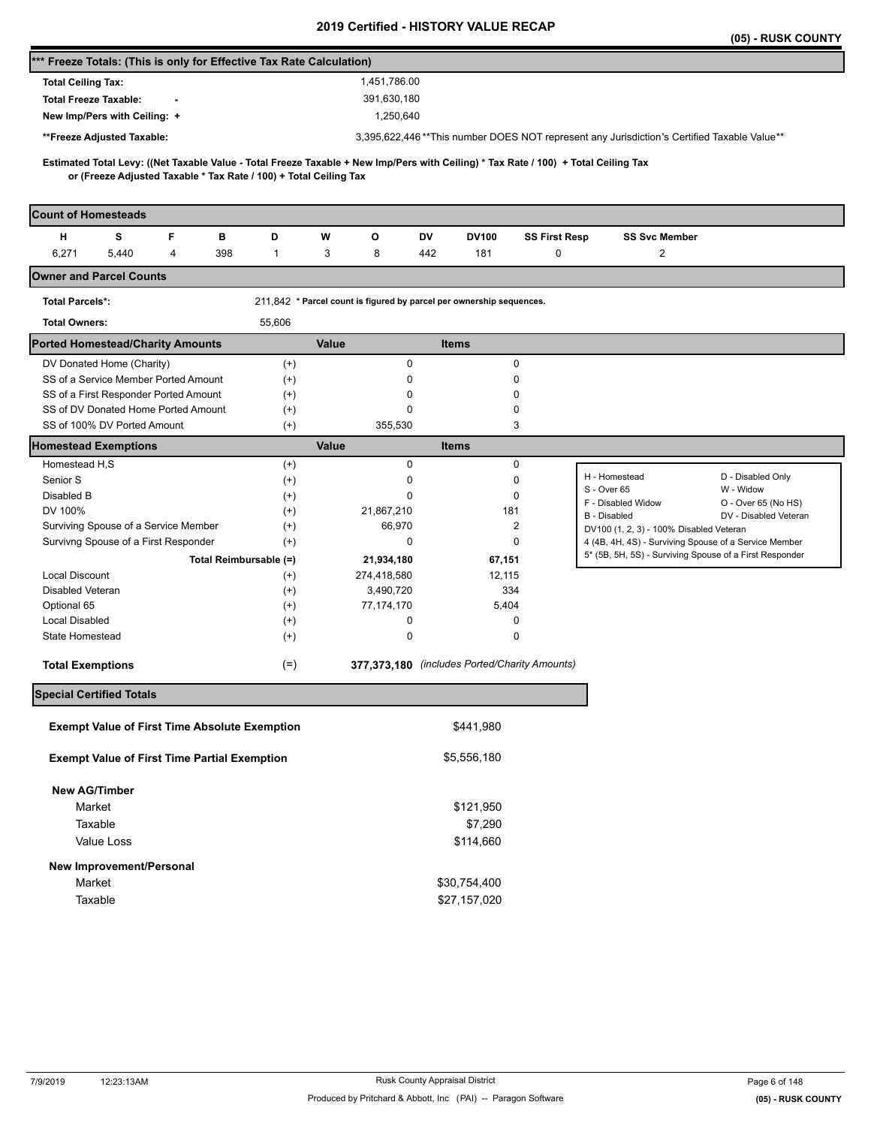|                                                                                                                                                                                                          |              |                                                                      |                                               |                      | (05) - RUSK COUNTY                                                                               |
|----------------------------------------------------------------------------------------------------------------------------------------------------------------------------------------------------------|--------------|----------------------------------------------------------------------|-----------------------------------------------|----------------------|--------------------------------------------------------------------------------------------------|
| *** Freeze Totals: (This is only for Effective Tax Rate Calculation)                                                                                                                                     |              |                                                                      |                                               |                      |                                                                                                  |
| <b>Total Ceiling Tax:</b>                                                                                                                                                                                |              | 1,451,786.00                                                         |                                               |                      |                                                                                                  |
| <b>Total Freeze Taxable:</b>                                                                                                                                                                             |              | 391,630,180                                                          |                                               |                      |                                                                                                  |
| New Imp/Pers with Ceiling: +                                                                                                                                                                             |              | 1,250,640                                                            |                                               |                      |                                                                                                  |
| **Freeze Adjusted Taxable:                                                                                                                                                                               |              |                                                                      |                                               |                      | 3,395,622,446**This number DOES NOT represent any Jurisdiction's Certified Taxable Value**       |
|                                                                                                                                                                                                          |              |                                                                      |                                               |                      |                                                                                                  |
| Estimated Total Levy: ((Net Taxable Value - Total Freeze Taxable + New Imp/Pers with Ceiling) * Tax Rate / 100) + Total Ceiling Tax<br>or (Freeze Adjusted Taxable * Tax Rate / 100) + Total Ceiling Tax |              |                                                                      |                                               |                      |                                                                                                  |
|                                                                                                                                                                                                          |              |                                                                      |                                               |                      |                                                                                                  |
| <b>Count of Homesteads</b>                                                                                                                                                                               |              |                                                                      |                                               |                      |                                                                                                  |
| s<br>F<br>н<br>в                                                                                                                                                                                         | D            | W<br>o                                                               | DV<br><b>DV100</b>                            | <b>SS First Resp</b> | <b>SS Svc Member</b>                                                                             |
| 6,271<br>398<br>5,440<br>4                                                                                                                                                                               | $\mathbf{1}$ | 3<br>8                                                               | 442<br>181                                    | 0                    | $\overline{c}$                                                                                   |
| <b>Owner and Parcel Counts</b>                                                                                                                                                                           |              |                                                                      |                                               |                      |                                                                                                  |
| <b>Total Parcels*:</b>                                                                                                                                                                                   |              | 211,842 * Parcel count is figured by parcel per ownership sequences. |                                               |                      |                                                                                                  |
| <b>Total Owners:</b>                                                                                                                                                                                     | 55,606       |                                                                      |                                               |                      |                                                                                                  |
| <b>Ported Homestead/Charity Amounts</b>                                                                                                                                                                  |              | Value                                                                | <b>Items</b>                                  |                      |                                                                                                  |
| DV Donated Home (Charity)                                                                                                                                                                                | $^{(+)}$     | $\pmb{0}$                                                            | 0                                             |                      |                                                                                                  |
| SS of a Service Member Ported Amount                                                                                                                                                                     | $^{(+)}$     | 0                                                                    | 0                                             |                      |                                                                                                  |
| SS of a First Responder Ported Amount                                                                                                                                                                    | $^{(+)}$     | 0                                                                    | 0                                             |                      |                                                                                                  |
| SS of DV Donated Home Ported Amount                                                                                                                                                                      | $^{(+)}$     | 0                                                                    | 0                                             |                      |                                                                                                  |
| SS of 100% DV Ported Amount                                                                                                                                                                              | $^{(+)}$     | 355,530                                                              | 3                                             |                      |                                                                                                  |
| <b>Homestead Exemptions</b><br>Homestead H,S                                                                                                                                                             | $^{(+)}$     | Value<br>0                                                           | <b>Items</b><br>0                             |                      |                                                                                                  |
| Senior S                                                                                                                                                                                                 | $^{(+)}$     | 0                                                                    | 0                                             |                      | H - Homestead<br>D - Disabled Only                                                               |
| Disabled B                                                                                                                                                                                               | $^{(+)}$     | $\mathbf 0$                                                          | 0                                             |                      | S - Over 65<br>W - Widow                                                                         |
| DV 100%                                                                                                                                                                                                  | $^{(+)}$     | 21,867,210                                                           | 181                                           |                      | F - Disabled Widow<br>O - Over 65 (No HS)                                                        |
| Surviving Spouse of a Service Member                                                                                                                                                                     | $^{(+)}$     | 66,970                                                               | $\overline{2}$                                |                      | <b>B</b> - Disabled<br>DV - Disabled Veteran                                                     |
| Survivng Spouse of a First Responder                                                                                                                                                                     | $^{(+)}$     | 0                                                                    | 0                                             |                      | DV100 (1, 2, 3) - 100% Disabled Veteran<br>4 (4B, 4H, 4S) - Surviving Spouse of a Service Member |
| Total Reimbursable (=)                                                                                                                                                                                   |              | 21,934,180                                                           | 67,151                                        |                      | 5* (5B, 5H, 5S) - Surviving Spouse of a First Responder                                          |
| Local Discount                                                                                                                                                                                           | $^{(+)}$     | 274,418,580                                                          | 12,115                                        |                      |                                                                                                  |
| Disabled Veteran                                                                                                                                                                                         | $^{(+)}$     | 3,490,720                                                            | 334                                           |                      |                                                                                                  |
| Optional 65                                                                                                                                                                                              | $^{(+)}$     | 77, 174, 170                                                         | 5,404                                         |                      |                                                                                                  |
| <b>Local Disabled</b>                                                                                                                                                                                    | $^{(+)}$     | 0                                                                    | 0                                             |                      |                                                                                                  |
| <b>State Homestead</b>                                                                                                                                                                                   | $^{(+)}$     | $\pmb{0}$                                                            | 0                                             |                      |                                                                                                  |
| <b>Total Exemptions</b>                                                                                                                                                                                  | $(=)$        |                                                                      | 377,373,180 (includes Ported/Charity Amounts) |                      |                                                                                                  |
| <b>Special Certified Totals</b>                                                                                                                                                                          |              |                                                                      |                                               |                      |                                                                                                  |
|                                                                                                                                                                                                          |              |                                                                      |                                               |                      |                                                                                                  |
| <b>Exempt Value of First Time Absolute Exemption</b>                                                                                                                                                     |              |                                                                      | \$441,980                                     |                      |                                                                                                  |
| <b>Exempt Value of First Time Partial Exemption</b>                                                                                                                                                      |              |                                                                      | \$5,556,180                                   |                      |                                                                                                  |
| <b>New AG/Timber</b>                                                                                                                                                                                     |              |                                                                      |                                               |                      |                                                                                                  |
| Market                                                                                                                                                                                                   |              |                                                                      | \$121,950                                     |                      |                                                                                                  |
| Taxable                                                                                                                                                                                                  |              |                                                                      | \$7,290                                       |                      |                                                                                                  |
| Value Loss                                                                                                                                                                                               |              |                                                                      | \$114,660                                     |                      |                                                                                                  |
| New Improvement/Personal                                                                                                                                                                                 |              |                                                                      |                                               |                      |                                                                                                  |
| Market                                                                                                                                                                                                   |              |                                                                      | \$30,754,400                                  |                      |                                                                                                  |
| Taxable                                                                                                                                                                                                  |              |                                                                      | \$27,157,020                                  |                      |                                                                                                  |
|                                                                                                                                                                                                          |              |                                                                      |                                               |                      |                                                                                                  |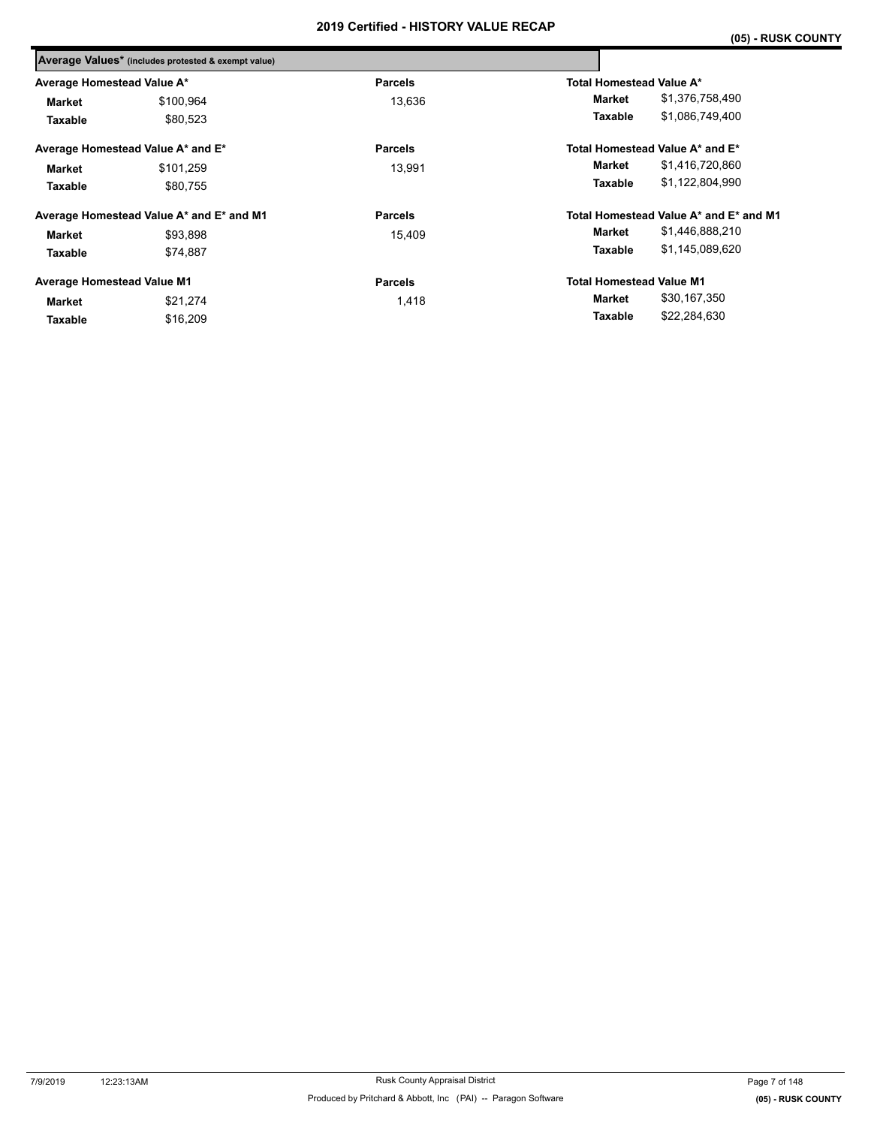|           | <b>Parcels</b>                                                                                                                                                                                          | Total Homestead Value A*        |                                        |
|-----------|---------------------------------------------------------------------------------------------------------------------------------------------------------------------------------------------------------|---------------------------------|----------------------------------------|
| \$100,964 | 13,636                                                                                                                                                                                                  | Market                          | \$1,376,758,490                        |
| \$80.523  |                                                                                                                                                                                                         | Taxable                         | \$1,086,749,400                        |
|           | <b>Parcels</b>                                                                                                                                                                                          |                                 | Total Homestead Value A* and E*        |
| \$101.259 | 13,991                                                                                                                                                                                                  | <b>Market</b>                   | \$1,416,720,860                        |
| \$80.755  |                                                                                                                                                                                                         | Taxable                         | \$1,122,804,990                        |
|           | <b>Parcels</b>                                                                                                                                                                                          |                                 | Total Homestead Value A* and E* and M1 |
| \$93,898  | 15,409                                                                                                                                                                                                  | Market                          | \$1,446,888,210                        |
| \$74.887  |                                                                                                                                                                                                         | Taxable                         | \$1,145,089,620                        |
|           | <b>Parcels</b>                                                                                                                                                                                          | <b>Total Homestead Value M1</b> |                                        |
| \$21,274  | 1,418                                                                                                                                                                                                   | Market                          | \$30,167,350                           |
| \$16,209  |                                                                                                                                                                                                         | Taxable                         | \$22,284,630                           |
|           | Average Values* (includes protested & exempt value)<br>Average Homestead Value A*<br>Average Homestead Value A* and E*<br>Average Homestead Value A* and E* and M1<br><b>Average Homestead Value M1</b> |                                 |                                        |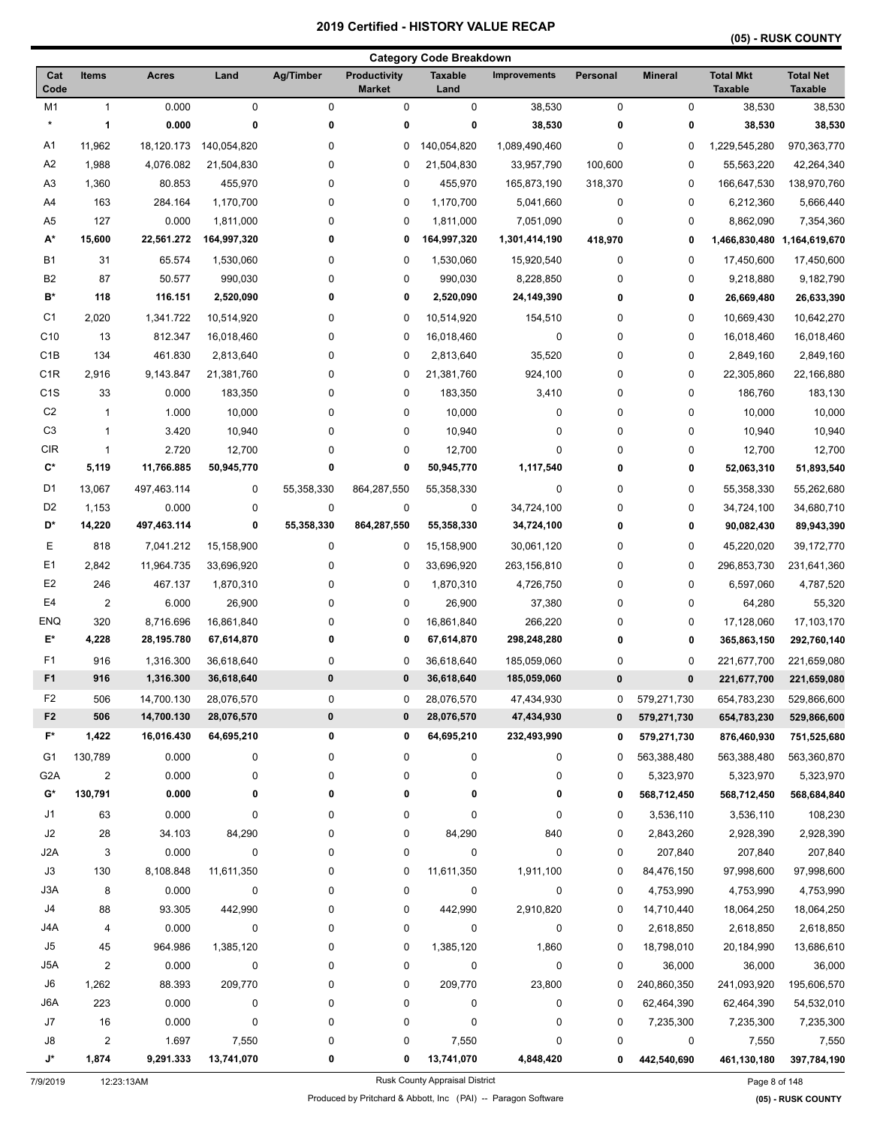|                  |                |                          |                          |                |                                      | <b>Category Code Breakdown</b> |                            |               |                            |                                    |                                    |
|------------------|----------------|--------------------------|--------------------------|----------------|--------------------------------------|--------------------------------|----------------------------|---------------|----------------------------|------------------------------------|------------------------------------|
| Cat<br>Code      | <b>Items</b>   | <b>Acres</b>             | Land                     | Ag/Timber      | <b>Productivity</b><br><b>Market</b> | <b>Taxable</b><br>Land         | Improvements               | Personal      | <b>Mineral</b>             | <b>Total Mkt</b><br><b>Taxable</b> | <b>Total Net</b><br><b>Taxable</b> |
| M1               | 1              | 0.000                    | $\mathbf 0$              | 0              | $\pmb{0}$                            | 0                              | 38,530                     | 0             | 0                          | 38,530                             | 38,530                             |
| $\star$          | 1              | 0.000                    | 0                        | 0              | 0                                    | 0                              | 38,530                     | 0             | 0                          | 38,530                             | 38,530                             |
| A1               | 11,962         | 18,120.173               | 140,054,820              | 0              | 0                                    | 140,054,820                    | 1,089,490,460              | 0             | 0                          | 1,229,545,280                      | 970,363,770                        |
| A <sub>2</sub>   | 1,988          | 4,076.082                | 21,504,830               | 0              | 0                                    | 21,504,830                     | 33,957,790                 | 100,600       | 0                          | 55,563,220                         | 42,264,340                         |
| A <sub>3</sub>   | 1,360          | 80.853                   | 455,970                  | 0              | 0                                    | 455,970                        | 165,873,190                | 318,370       | 0                          | 166,647,530                        | 138,970,760                        |
| A4               | 163            | 284.164                  | 1,170,700                | 0              | 0                                    | 1,170,700                      | 5,041,660                  | 0             | 0                          | 6,212,360                          | 5,666,440                          |
| A <sub>5</sub>   | 127            | 0.000                    | 1,811,000                | 0              | 0                                    | 1,811,000                      | 7,051,090                  | 0             | 0                          | 8,862,090                          | 7,354,360                          |
| A*               | 15,600         | 22,561.272               | 164,997,320              | 0              | 0                                    | 164,997,320                    | 1,301,414,190              | 418,970       | 0                          |                                    | 1,466,830,480 1,164,619,670        |
| <b>B1</b>        | 31             | 65.574                   | 1,530,060                | 0              | 0                                    | 1,530,060                      | 15,920,540                 | 0             | 0                          | 17,450,600                         | 17,450,600                         |
| B <sub>2</sub>   | 87             | 50.577                   | 990,030                  | 0              | 0                                    | 990,030                        | 8,228,850                  | 0             | 0                          | 9,218,880                          | 9,182,790                          |
| B*               | 118            | 116.151                  | 2,520,090                | 0              | 0                                    | 2,520,090                      | 24,149,390                 | 0             | 0                          | 26,669,480                         | 26,633,390                         |
| C <sub>1</sub>   | 2,020          | 1,341.722                | 10,514,920               | 0              | 0                                    | 10,514,920                     | 154,510                    | 0             | 0                          | 10,669,430                         | 10,642,270                         |
| C <sub>10</sub>  | 13             | 812.347                  | 16,018,460               | 0              | 0                                    | 16,018,460                     | 0                          | 0             | 0                          | 16,018,460                         | 16,018,460                         |
| C <sub>1</sub> B | 134            | 461.830                  | 2,813,640                | 0              | 0                                    | 2,813,640                      | 35,520                     | 0             | 0                          | 2,849,160                          | 2,849,160                          |
| C <sub>1</sub> R | 2,916          | 9,143.847                | 21,381,760               | 0              | 0                                    | 21,381,760                     | 924,100                    | 0             | 0                          | 22,305,860                         | 22,166,880                         |
| C <sub>1</sub> S | 33             | 0.000                    | 183,350                  | 0              | 0                                    | 183,350                        | 3,410                      | 0             | 0                          | 186,760                            | 183,130                            |
| C <sub>2</sub>   | $\mathbf{1}$   | 1.000                    | 10,000                   | 0              | 0                                    | 10,000                         | 0                          | 0             | 0                          | 10,000                             | 10,000                             |
| C <sub>3</sub>   | $\mathbf{1}$   | 3.420                    | 10,940                   | 0              | 0                                    | 10,940                         | 0                          | 0             | 0                          | 10,940                             | 10,940                             |
| <b>CIR</b>       | $\mathbf{1}$   | 2.720                    | 12,700                   | 0              | 0                                    | 12,700                         | 0                          | 0             | 0                          | 12,700                             | 12,700                             |
| C*               | 5,119          | 11,766.885               | 50,945,770               | 0              | 0                                    | 50,945,770                     | 1,117,540                  | 0             | 0                          | 52,063,310                         | 51,893,540                         |
| D <sub>1</sub>   | 13,067         | 497,463.114              | $\mathbf 0$              | 55,358,330     | 864,287,550                          | 55,358,330                     | 0                          | 0             | 0                          | 55,358,330                         | 55,262,680                         |
| D <sub>2</sub>   | 1,153          | 0.000                    | 0                        | 0              | 0                                    | 0                              | 34,724,100                 | 0             | 0                          | 34,724,100                         | 34,680,710                         |
| D*               | 14,220         | 497,463.114              | 0                        | 55,358,330     | 864,287,550                          | 55,358,330                     | 34,724,100                 | 0             | 0                          | 90,082,430                         | 89,943,390                         |
| Е                | 818            | 7,041.212                | 15,158,900               | 0              | 0                                    | 15,158,900                     | 30,061,120                 | 0             | 0                          | 45,220,020                         | 39,172,770                         |
| E <sub>1</sub>   | 2,842          | 11,964.735               | 33,696,920               | 0              | 0                                    | 33,696,920                     | 263,156,810                | 0             | 0                          | 296,853,730                        | 231,641,360                        |
| E <sub>2</sub>   | 246            | 467.137                  | 1,870,310                | 0              | 0                                    | 1,870,310                      | 4,726,750                  | 0             | 0                          | 6,597,060                          | 4,787,520                          |
| E <sub>4</sub>   | $\overline{2}$ | 6.000                    | 26,900                   | 0              | 0                                    | 26,900                         | 37,380                     | 0             | 0                          | 64,280                             | 55,320                             |
| <b>ENQ</b>       | 320            | 8,716.696                | 16,861,840               | 0              | 0                                    | 16,861,840                     | 266,220                    | 0             | 0                          | 17,128,060                         | 17,103,170                         |
| E*               | 4,228          | 28,195.780               | 67,614,870               | 0              | 0                                    | 67,614,870                     | 298,248,280                | 0             | 0                          | 365,863,150                        | 292,760,140                        |
| F <sub>1</sub>   | 916            |                          | 36,618,640               | 0              | 0                                    | 36,618,640                     |                            | 0             | 0                          |                                    | 221,659,080                        |
| F <sub>1</sub>   | 916            | 1,316.300<br>1,316.300   | 36,618,640               | $\bf{0}$       | 0                                    | 36,618,640                     | 185,059,060<br>185,059,060 | 0             | 0                          | 221,677,700<br>221,677,700         | 221,659,080                        |
| F <sub>2</sub>   |                |                          |                          |                |                                      |                                |                            |               |                            |                                    | 529,866,600                        |
| F <sub>2</sub>   | 506<br>506     | 14,700.130<br>14,700.130 | 28,076,570<br>28,076,570 | 0<br>$\pmb{0}$ | 0<br>0                               | 28,076,570<br>28,076,570       | 47,434,930<br>47,434,930   | 0<br>$\bf{0}$ | 579,271,730<br>579,271,730 | 654,783,230<br>654,783,230         | 529,866,600                        |
| F*               | 1,422          | 16,016.430               | 64,695,210               | 0              | 0                                    | 64,695,210                     | 232,493,990                |               |                            |                                    |                                    |
|                  |                |                          |                          |                |                                      |                                |                            | 0             | 579,271,730                | 876,460,930                        | 751,525,680                        |
| G1               | 130,789        | 0.000                    | 0                        | 0              | $\pmb{0}$                            | 0                              | 0                          | 0             | 563,388,480                | 563,388,480                        | 563,360,870                        |
| G <sub>2</sub> A | $\overline{2}$ | 0.000                    | 0                        | 0              | $\pmb{0}$                            | 0                              | 0                          | 0             | 5,323,970                  | 5,323,970                          | 5,323,970                          |
| G*               | 130,791        | 0.000                    | 0                        | 0              | 0                                    | 0                              | 0                          | 0             | 568,712,450                | 568,712,450                        | 568,684,840                        |
| J1               | 63             | 0.000                    | 0                        | 0              | 0                                    | 0                              | 0                          | 0             | 3,536,110                  | 3,536,110                          | 108,230                            |
| J2               | 28             | 34.103                   | 84,290                   | 0              | 0                                    | 84,290                         | 840                        | 0             | 2,843,260                  | 2,928,390                          | 2,928,390                          |
| J2A              | 3              | 0.000                    | 0                        | 0              | $\pmb{0}$                            | 0                              | 0                          | 0             | 207,840                    | 207,840                            | 207,840                            |
| J3               | 130            | 8,108.848                | 11,611,350               | 0              | 0                                    | 11,611,350                     | 1,911,100                  | 0             | 84,476,150                 | 97,998,600                         | 97,998,600                         |
| J3A              | 8              | 0.000                    | $\boldsymbol{0}$         | 0              | 0                                    | $\mathbf 0$                    | 0                          | 0             | 4,753,990                  | 4,753,990                          | 4,753,990                          |
| J4               | 88             | 93.305                   | 442,990                  | 0              | 0                                    | 442,990                        | 2,910,820                  | 0             | 14,710,440                 | 18,064,250                         | 18,064,250                         |
| J4A              | 4              | 0.000                    | 0                        | 0              | 0                                    | 0                              | 0                          | 0             | 2,618,850                  | 2,618,850                          | 2,618,850                          |
| J5               | 45             | 964.986                  | 1,385,120                | 0              | 0                                    | 1,385,120                      | 1,860                      | 0             | 18,798,010                 | 20,184,990                         | 13,686,610                         |
| J5A              | $\overline{2}$ | 0.000                    | $\boldsymbol{0}$         | 0              | $\pmb{0}$                            | $\boldsymbol{0}$               | $\pmb{0}$                  | 0             | 36,000                     | 36,000                             | 36,000                             |
| J6               | 1,262          | 88.393                   | 209,770                  | 0              | 0                                    | 209,770                        | 23,800                     | 0             | 240,860,350                | 241,093,920                        | 195,606,570                        |
| J6A              | 223            | 0.000                    | $\mathbf 0$              | 0              | 0                                    | 0                              | 0                          | 0             | 62,464,390                 | 62,464,390                         | 54,532,010                         |
| J7               | 16             | 0.000                    | 0                        | 0              | 0                                    | 0                              | 0                          | 0             | 7,235,300                  | 7,235,300                          | 7,235,300                          |
| J8               | $\overline{2}$ | 1.697                    | 7,550                    | 0              | 0                                    | 7,550                          | 0                          | 0             | 0                          | 7,550                              | 7,550                              |
| J*               | 1,874          | 9,291.333                | 13,741,070               | 0              | 0                                    | 13,741,070                     | 4,848,420                  | 0             | 442,540,690                | 461,130,180                        | 397,784,190                        |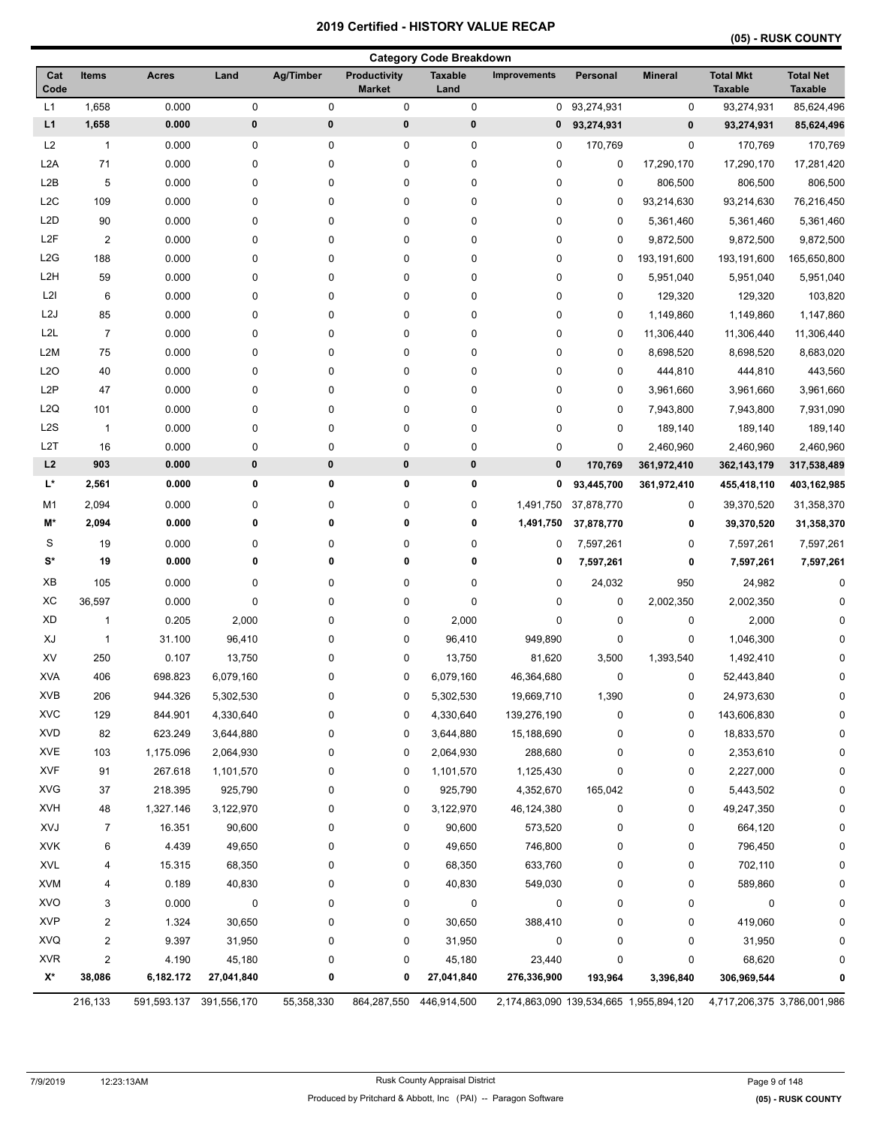|  |  |  | (05) - RUSK COUNTY |  |
|--|--|--|--------------------|--|
|  |  |  |                    |  |

|                    |                |             |             |            |                                      | <b>Category Code Breakdown</b> |                     |              |                                         |                                    |                                    |
|--------------------|----------------|-------------|-------------|------------|--------------------------------------|--------------------------------|---------------------|--------------|-----------------------------------------|------------------------------------|------------------------------------|
| Cat<br>Code        | <b>Items</b>   | Acres       | Land        | Ag/Timber  | <b>Productivity</b><br><b>Market</b> | <b>Taxable</b><br>Land         | <b>Improvements</b> | Personal     | <b>Mineral</b>                          | <b>Total Mkt</b><br><b>Taxable</b> | <b>Total Net</b><br><b>Taxable</b> |
| L1                 | 1,658          | 0.000       | 0           | 0          | 0                                    | 0                              |                     | 0 93,274,931 | 0                                       | 93,274,931                         | 85,624,496                         |
| L1                 | 1,658          | 0.000       | $\pmb{0}$   | $\pmb{0}$  | $\pmb{0}$                            | $\pmb{0}$                      | 0                   | 93,274,931   | $\pmb{0}$                               | 93,274,931                         | 85,624,496                         |
| L2                 | 1              | 0.000       | 0           | 0          | 0                                    | 0                              | 0                   | 170,769      | 0                                       | 170,769                            | 170,769                            |
| L2A                | 71             | 0.000       | 0           | 0          | 0                                    | 0                              | 0                   | 0            | 17,290,170                              | 17,290,170                         | 17,281,420                         |
| L2B                | 5              | 0.000       | 0           | 0          | 0                                    | 0                              | 0                   | 0            | 806,500                                 | 806,500                            | 806,500                            |
| L <sub>2</sub> C   | 109            | 0.000       | 0           | 0          | 0                                    | 0                              | 0                   | 0            | 93,214,630                              | 93,214,630                         | 76,216,450                         |
| L <sub>2</sub> D   | 90             | 0.000       | 0           | 0          | 0                                    | 0                              | 0                   | 0            | 5,361,460                               | 5,361,460                          | 5,361,460                          |
| L <sub>2F</sub>    | 2              | 0.000       | 0           | 0          | 0                                    | 0                              | 0                   | 0            | 9,872,500                               | 9,872,500                          | 9,872,500                          |
| L2G                | 188            | 0.000       | 0           | 0          | 0                                    | 0                              | 0                   | 0            | 193,191,600                             | 193,191,600                        | 165,650,800                        |
| L <sub>2</sub> H   | 59             | 0.000       | 0           | 0          | 0                                    | 0                              | 0                   | 0            | 5,951,040                               | 5,951,040                          | 5,951,040                          |
| L2I                | 6              | 0.000       | 0           | 0          | 0                                    | 0                              | 0                   | 0            | 129,320                                 | 129,320                            | 103,820                            |
| L <sub>2</sub> J   | 85             | 0.000       | 0           | 0          | 0                                    | $\pmb{0}$                      | 0                   | 0            | 1,149,860                               | 1,149,860                          | 1,147,860                          |
| L <sub>2</sub> L   | $\overline{7}$ | 0.000       | 0           | 0          | 0                                    | 0                              | 0                   | 0            | 11,306,440                              | 11,306,440                         | 11,306,440                         |
| L <sub>2</sub> M   | 75             | 0.000       | 0           | 0          | 0                                    | 0                              | 0                   | 0            | 8,698,520                               | 8,698,520                          | 8,683,020                          |
| L <sub>20</sub>    | 40             | 0.000       | 0           | 0          | 0                                    | 0                              | 0                   | 0            | 444,810                                 | 444,810                            | 443,560                            |
| L <sub>2</sub> P   | 47             | 0.000       | 0           | 0          | 0                                    | 0                              | 0                   | 0            | 3,961,660                               | 3,961,660                          | 3,961,660                          |
| L <sub>2</sub> Q   | 101            | 0.000       | 0           | 0          | 0                                    | $\pmb{0}$                      | 0                   | 0            | 7,943,800                               | 7,943,800                          | 7,931,090                          |
| L <sub>2</sub> S   | $\overline{1}$ | 0.000       | 0           | 0          | 0                                    | $\pmb{0}$                      | 0                   | 0            | 189,140                                 | 189,140                            | 189,140                            |
| L <sub>2</sub> T   | 16             | 0.000       | 0           | $\pmb{0}$  | 0                                    | $\mathbf 0$                    | 0                   | 0            | 2,460,960                               | 2,460,960                          | 2,460,960                          |
| L2                 | 903            | 0.000       | $\pmb{0}$   | $\pmb{0}$  | $\pmb{0}$                            | $\pmb{0}$                      | 0                   | 170,769      | 361,972,410                             | 362, 143, 179                      | 317,538,489                        |
| $\mathsf{L}^\star$ | 2,561          | 0.000       | 0           | 0          | 0                                    | 0                              | 0                   | 93,445,700   | 361,972,410                             | 455,418,110                        | 403,162,985                        |
| M <sub>1</sub>     | 2,094          | 0.000       | 0           | 0          | 0                                    | $\pmb{0}$                      | 1,491,750           | 37,878,770   | 0                                       | 39,370,520                         | 31,358,370                         |
| M*                 | 2,094          | 0.000       | 0           | 0          | 0                                    | 0                              | 1,491,750           | 37,878,770   | 0                                       | 39,370,520                         | 31,358,370                         |
| S                  | 19             | 0.000       | 0           | 0          | 0                                    | 0                              | 0                   | 7,597,261    | 0                                       | 7,597,261                          | 7,597,261                          |
| S*                 | 19             | 0.000       | 0           | 0          | 0                                    | 0                              | 0                   | 7,597,261    | 0                                       | 7,597,261                          | 7,597,261                          |
| XB                 | 105            | 0.000       | 0           | 0          | 0                                    | 0                              | 0                   | 24,032       | 950                                     | 24,982                             | $\mathbf 0$                        |
| XC                 | 36,597         | 0.000       | 0           | 0          | 0                                    | $\pmb{0}$                      | 0                   | 0            | 2,002,350                               | 2,002,350                          | U                                  |
| <b>XD</b>          | 1              | 0.205       | 2,000       | 0          | 0                                    | 2,000                          | 0                   | 0            | 0                                       | 2,000                              |                                    |
| XJ                 | 1              | 31.100      | 96,410      | 0          | 0                                    | 96,410                         | 949,890             | 0            | 0                                       | 1,046,300                          |                                    |
| XV                 | 250            | 0.107       | 13,750      | 0          | 0                                    | 13,750                         | 81,620              | 3,500        | 1,393,540                               | 1,492,410                          |                                    |
| <b>XVA</b>         | 406            | 698.823     | 6,079,160   | 0          | 0                                    | 6,079,160                      | 46,364,680          | 0            | 0                                       | 52,443,840                         | 0                                  |
| XVB                | 206            | 944.326     | 5,302,530   | 0          | 0                                    | 5,302,530                      | 19,669,710          | 1,390        | 0                                       | 24,973,630                         | O                                  |
| <b>XVC</b>         | 129            | 844.901     | 4,330,640   | 0          | 0                                    | 4,330,640                      | 139,276,190         | 0            | 0                                       | 143,606,830                        | 0                                  |
| <b>XVD</b>         | 82             | 623.249     | 3,644,880   | 0          | 0                                    | 3,644,880                      | 15,188,690          | 0            | 0                                       | 18,833,570                         |                                    |
| <b>XVE</b>         | 103            | 1,175.096   | 2,064,930   | 0          | 0                                    | 2,064,930                      | 288,680             | 0            | 0                                       | 2,353,610                          |                                    |
| <b>XVF</b>         | 91             | 267.618     | 1,101,570   | 0          | 0                                    | 1,101,570                      | 1,125,430           | 0            | 0                                       | 2,227,000                          |                                    |
| <b>XVG</b>         | 37             | 218.395     | 925,790     | 0          | 0                                    | 925,790                        | 4,352,670           | 165,042      | 0                                       | 5,443,502                          |                                    |
| <b>XVH</b>         | 48             | 1,327.146   | 3,122,970   | 0          | 0                                    | 3,122,970                      | 46,124,380          | 0            | 0                                       | 49,247,350                         |                                    |
| XVJ                | 7              | 16.351      | 90,600      | 0          | 0                                    | 90,600                         | 573,520             | 0            | 0                                       | 664,120                            |                                    |
| <b>XVK</b>         | 6              | 4.439       | 49,650      | 0          | 0                                    | 49,650                         | 746,800             | 0            | 0                                       | 796,450                            |                                    |
| <b>XVL</b>         | 4              | 15.315      | 68,350      | 0          | 0                                    | 68,350                         | 633,760             | 0            | 0                                       | 702,110                            | ŋ                                  |
| <b>XVM</b>         | 4              | 0.189       | 40,830      | 0          | 0                                    | 40,830                         | 549,030             | 0            | 0                                       | 589,860                            |                                    |
| <b>XVO</b>         | 3              | 0.000       | 0           | 0          | 0                                    | 0                              | 0                   | 0            | 0                                       | 0                                  | 0                                  |
| <b>XVP</b>         | 2              | 1.324       | 30,650      | 0          | 0                                    | 30,650                         | 388,410             | 0            | 0                                       | 419,060                            |                                    |
| XVQ                | $\overline{c}$ | 9.397       | 31,950      | 0          | 0                                    | 31,950                         | 0                   | 0            | 0                                       | 31,950                             |                                    |
| <b>XVR</b>         | $\overline{c}$ | 4.190       | 45,180      | 0          | 0                                    | 45,180                         | 23,440              | 0            | 0                                       | 68,620                             |                                    |
| X*                 | 38,086         | 6,182.172   | 27,041,840  | 0          | 0                                    | 27,041,840                     | 276,336,900         | 193,964      | 3,396,840                               | 306,969,544                        |                                    |
|                    | 216,133        | 591,593.137 | 391,556,170 | 55,358,330 | 864,287,550                          | 446,914,500                    |                     |              | 2,174,863,090 139,534,665 1,955,894,120 | 4,717,206,375 3,786,001,986        |                                    |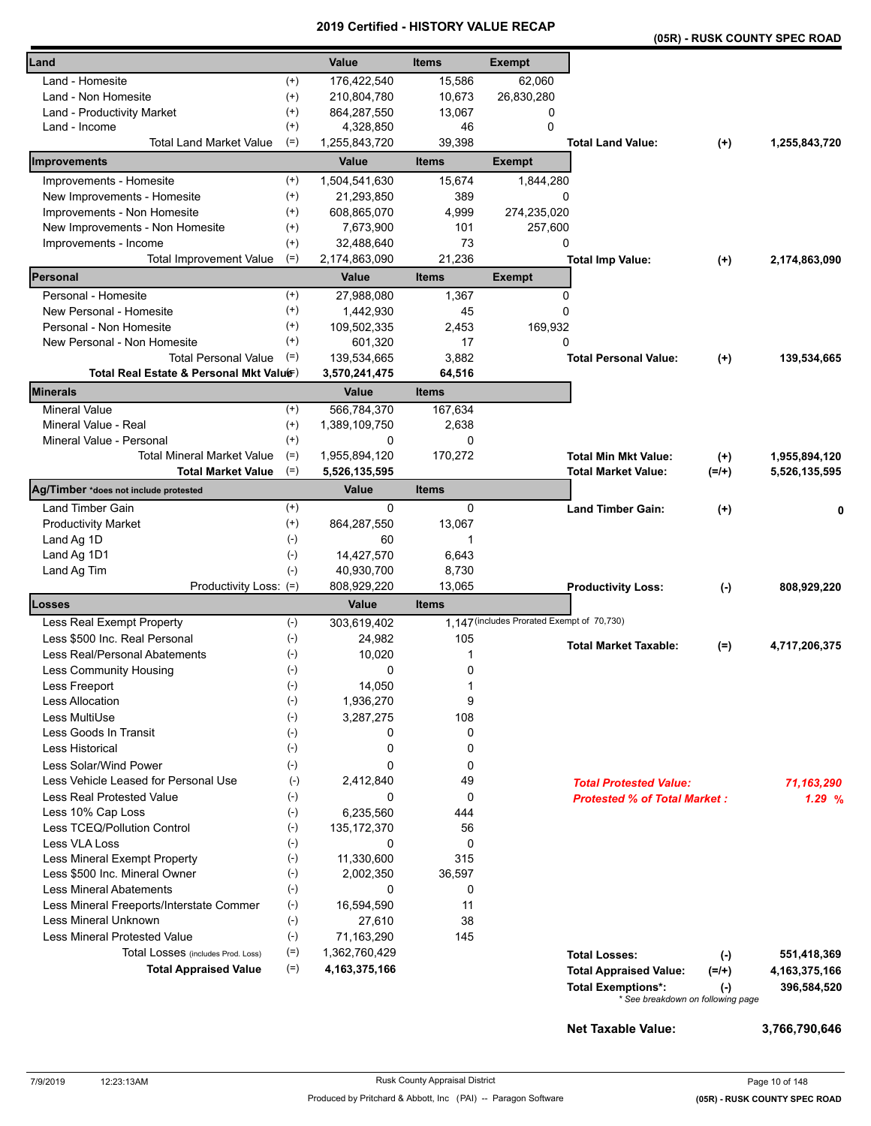|                                                             |                      |                    |                  |                                            |                                     |                     | (05R) - RUSK COUNTY SPEC ROAD  |
|-------------------------------------------------------------|----------------------|--------------------|------------------|--------------------------------------------|-------------------------------------|---------------------|--------------------------------|
| Land                                                        |                      | Value              | <b>Items</b>     | <b>Exempt</b>                              |                                     |                     |                                |
| Land - Homesite                                             | $^{(+)}$             | 176,422,540        | 15,586           | 62,060                                     |                                     |                     |                                |
| Land - Non Homesite                                         | $^{(+)}$             | 210,804,780        | 10,673           | 26,830,280                                 |                                     |                     |                                |
| Land - Productivity Market                                  | $^{(+)}$             | 864,287,550        | 13,067           | 0                                          |                                     |                     |                                |
| Land - Income                                               | $^{(+)}$             | 4,328,850          | 46               | $\mathbf 0$                                |                                     |                     |                                |
| <b>Total Land Market Value</b>                              | $(=)$                | 1,255,843,720      | 39,398           |                                            | <b>Total Land Value:</b>            | $^{(+)}$            | 1,255,843,720                  |
| <b>Improvements</b>                                         |                      | Value              | <b>Items</b>     | <b>Exempt</b>                              |                                     |                     |                                |
| Improvements - Homesite                                     | $^{(+)}$             | 1,504,541,630      | 15,674           | 1,844,280                                  |                                     |                     |                                |
| New Improvements - Homesite                                 | $^{(+)}$             | 21,293,850         | 389              | 0                                          |                                     |                     |                                |
| Improvements - Non Homesite                                 | $^{(+)}$             | 608,865,070        | 4,999            | 274,235,020                                |                                     |                     |                                |
| New Improvements - Non Homesite                             | $^{(+)}$             | 7,673,900          | 101              | 257,600                                    |                                     |                     |                                |
| Improvements - Income                                       | $^{(+)}$             | 32,488,640         | 73               | 0                                          |                                     |                     |                                |
| <b>Total Improvement Value</b>                              | $(=)$                | 2,174,863,090      | 21,236           |                                            | <b>Total Imp Value:</b>             | $^{(+)}$            | 2,174,863,090                  |
| Personal                                                    |                      | Value              | <b>Items</b>     | <b>Exempt</b>                              |                                     |                     |                                |
| Personal - Homesite                                         | $^{(+)}$             | 27,988,080         | 1,367            | 0                                          |                                     |                     |                                |
| New Personal - Homesite                                     | $^{(+)}$             | 1,442,930          | 45               | 0                                          |                                     |                     |                                |
| Personal - Non Homesite                                     | $^{(+)}$             | 109,502,335        | 2,453            | 169,932                                    |                                     |                     |                                |
| New Personal - Non Homesite                                 | $^{(+)}$             | 601,320            | 17               | 0                                          |                                     |                     |                                |
| <b>Total Personal Value</b>                                 | $(=)$                | 139,534,665        | 3,882            |                                            | <b>Total Personal Value:</b>        | $(+)$               | 139,534,665                    |
| Total Real Estate & Personal Mkt Valuer)<br><b>Minerals</b> |                      | 3,570,241,475      | 64,516           |                                            |                                     |                     |                                |
| <b>Mineral Value</b>                                        |                      | Value              | <b>Items</b>     |                                            |                                     |                     |                                |
| Mineral Value - Real                                        | $^{(+)}$<br>$^{(+)}$ | 566,784,370        | 167,634<br>2,638 |                                            |                                     |                     |                                |
| Mineral Value - Personal                                    | $^{(+)}$             | 1,389,109,750<br>0 | 0                |                                            |                                     |                     |                                |
| <b>Total Mineral Market Value</b>                           | $(=)$                | 1,955,894,120      | 170,272          |                                            | <b>Total Min Mkt Value:</b>         |                     |                                |
| <b>Total Market Value</b>                                   | $(=)$                | 5,526,135,595      |                  |                                            | <b>Total Market Value:</b>          | $^{(+)}$<br>$(=/+)$ | 1,955,894,120<br>5,526,135,595 |
| Ag/Timber *does not include protested                       |                      | <b>Value</b>       | <b>Items</b>     |                                            |                                     |                     |                                |
| <b>Land Timber Gain</b>                                     | $^{(+)}$             | 0                  | 0                |                                            | <b>Land Timber Gain:</b>            | $(+)$               |                                |
| <b>Productivity Market</b>                                  | $^{(+)}$             | 864,287,550        | 13,067           |                                            |                                     |                     |                                |
| Land Ag 1D                                                  | $(-)$                | 60                 | 1                |                                            |                                     |                     |                                |
| Land Ag 1D1                                                 | $(\cdot)$            | 14,427,570         | 6,643            |                                            |                                     |                     |                                |
| Land Ag Tim                                                 | $(-)$                | 40,930,700         | 8,730            |                                            |                                     |                     |                                |
| Productivity Loss: (=)                                      |                      | 808,929,220        | 13,065           |                                            | <b>Productivity Loss:</b>           | $(\cdot)$           | 808,929,220                    |
| Losses                                                      |                      | Value              | <b>Items</b>     |                                            |                                     |                     |                                |
| Less Real Exempt Property                                   | $(-)$                | 303,619,402        |                  | 1,147 (includes Prorated Exempt of 70,730) |                                     |                     |                                |
| Less \$500 Inc. Real Personal                               | $(-)$                | 24,982             | 105              |                                            |                                     |                     |                                |
| Less Real/Personal Abatements                               | $(-)$                | 10,020             | 1                |                                            | <b>Total Market Taxable:</b>        | (=)                 | 4,717,206,375                  |
| <b>Less Community Housing</b>                               | $(\text{-})$         | 0                  | 0                |                                            |                                     |                     |                                |
| Less Freeport                                               | $(\text{-})$         | 14,050             | 1                |                                            |                                     |                     |                                |
| <b>Less Allocation</b>                                      | $(-)$                | 1,936,270          | 9                |                                            |                                     |                     |                                |
| Less MultiUse                                               | $(\cdot)$            | 3,287,275          | 108              |                                            |                                     |                     |                                |
| Less Goods In Transit                                       | $(-)$                | 0                  | 0                |                                            |                                     |                     |                                |
| Less Historical                                             | $(-)$                | 0                  | 0                |                                            |                                     |                     |                                |
| Less Solar/Wind Power                                       | $(-)$                | 0                  | 0                |                                            |                                     |                     |                                |
| Less Vehicle Leased for Personal Use                        | $(-)$                | 2,412,840          | 49               |                                            | <b>Total Protested Value:</b>       |                     | 71.163.290                     |
| <b>Less Real Protested Value</b>                            | $(-)$                | 0                  | 0                |                                            | <b>Protested % of Total Market:</b> |                     | 1.29%                          |
| Less 10% Cap Loss                                           | $(-)$                | 6,235,560          | 444              |                                            |                                     |                     |                                |
| Less TCEQ/Pollution Control                                 | $(\cdot)$            | 135, 172, 370      | 56               |                                            |                                     |                     |                                |
| Less VLA Loss                                               | $(-)$                | 0                  | 0                |                                            |                                     |                     |                                |
| Less Mineral Exempt Property                                | $(-)$                | 11,330,600         | 315              |                                            |                                     |                     |                                |
| Less \$500 Inc. Mineral Owner                               | $(\text{-})$         | 2,002,350          | 36,597           |                                            |                                     |                     |                                |
| <b>Less Mineral Abatements</b>                              | $(-)$                | 0                  | 0                |                                            |                                     |                     |                                |
| Less Mineral Freeports/Interstate Commer                    | $(-)$                | 16,594,590         | 11               |                                            |                                     |                     |                                |
| Less Mineral Unknown                                        | $(\text{-})$         | 27,610             | 38               |                                            |                                     |                     |                                |
| <b>Less Mineral Protested Value</b>                         | $(-)$                | 71,163,290         | 145              |                                            |                                     |                     |                                |
| Total Losses (includes Prod. Loss)                          | $(=)$                | 1,362,760,429      |                  |                                            | <b>Total Losses:</b>                | $(-)$               | 551,418,369                    |
| <b>Total Appraised Value</b>                                | $(=)$                | 4, 163, 375, 166   |                  |                                            | <b>Total Appraised Value:</b>       | $(=/+)$             | 4, 163, 375, 166               |
|                                                             |                      |                    |                  |                                            | <b>Total Exemptions*:</b>           | $(-)$               | 396,584,520                    |
|                                                             |                      |                    |                  |                                            | * See breakdown on following page   |                     |                                |

**Net Taxable Value: 3,766,790,646**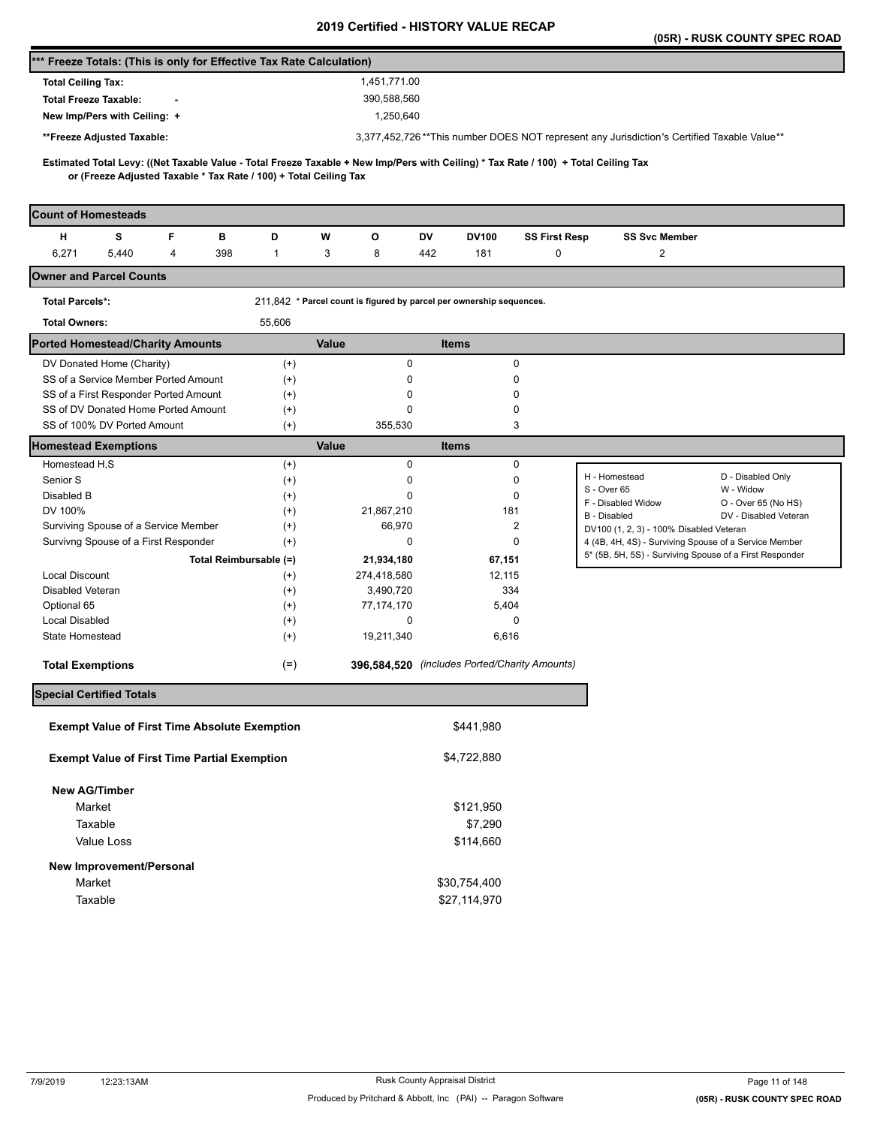|                                                                                                                                                                                                          |                      |                                                                      |                                               |                      | (05R) - RUSK COUNTY SPEC ROAD                                                                                    |                       |
|----------------------------------------------------------------------------------------------------------------------------------------------------------------------------------------------------------|----------------------|----------------------------------------------------------------------|-----------------------------------------------|----------------------|------------------------------------------------------------------------------------------------------------------|-----------------------|
| *** Freeze Totals: (This is only for Effective Tax Rate Calculation)                                                                                                                                     |                      |                                                                      |                                               |                      |                                                                                                                  |                       |
| <b>Total Ceiling Tax:</b>                                                                                                                                                                                |                      | 1,451,771.00                                                         |                                               |                      |                                                                                                                  |                       |
| <b>Total Freeze Taxable:</b>                                                                                                                                                                             |                      | 390,588,560                                                          |                                               |                      |                                                                                                                  |                       |
| New Imp/Pers with Ceiling: +                                                                                                                                                                             |                      | 1,250,640                                                            |                                               |                      |                                                                                                                  |                       |
| **Freeze Adjusted Taxable:                                                                                                                                                                               |                      |                                                                      |                                               |                      | 3,377,452,726**This number DOES NOT represent any Jurisdiction's Certified Taxable Value**                       |                       |
|                                                                                                                                                                                                          |                      |                                                                      |                                               |                      |                                                                                                                  |                       |
| Estimated Total Levy: ((Net Taxable Value - Total Freeze Taxable + New Imp/Pers with Ceiling) * Tax Rate / 100) + Total Ceiling Tax<br>or (Freeze Adjusted Taxable * Tax Rate / 100) + Total Ceiling Tax |                      |                                                                      |                                               |                      |                                                                                                                  |                       |
|                                                                                                                                                                                                          |                      |                                                                      |                                               |                      |                                                                                                                  |                       |
| <b>Count of Homesteads</b>                                                                                                                                                                               |                      |                                                                      |                                               |                      |                                                                                                                  |                       |
| s<br>F<br>в<br>н                                                                                                                                                                                         | D                    | W<br>o                                                               | DV<br><b>DV100</b>                            | <b>SS First Resp</b> | <b>SS Svc Member</b>                                                                                             |                       |
| 6,271<br>$\overline{4}$<br>5,440<br>398                                                                                                                                                                  | $\mathbf{1}$         | 3<br>8                                                               | 442<br>181                                    | 0                    | 2                                                                                                                |                       |
| <b>Owner and Parcel Counts</b>                                                                                                                                                                           |                      |                                                                      |                                               |                      |                                                                                                                  |                       |
| <b>Total Parcels*:</b>                                                                                                                                                                                   |                      | 211,842 * Parcel count is figured by parcel per ownership sequences. |                                               |                      |                                                                                                                  |                       |
| <b>Total Owners:</b>                                                                                                                                                                                     | 55,606               |                                                                      |                                               |                      |                                                                                                                  |                       |
| <b>Ported Homestead/Charity Amounts</b>                                                                                                                                                                  |                      | Value                                                                | <b>Items</b>                                  |                      |                                                                                                                  |                       |
| DV Donated Home (Charity)                                                                                                                                                                                | $^{(+)}$             | $\pmb{0}$                                                            | 0                                             |                      |                                                                                                                  |                       |
| SS of a Service Member Ported Amount                                                                                                                                                                     | $^{(+)}$             | 0                                                                    | 0                                             |                      |                                                                                                                  |                       |
| SS of a First Responder Ported Amount                                                                                                                                                                    | $^{(+)}$             | 0                                                                    | 0                                             |                      |                                                                                                                  |                       |
| SS of DV Donated Home Ported Amount                                                                                                                                                                      | $^{(+)}$             | 0                                                                    | 0                                             |                      |                                                                                                                  |                       |
| SS of 100% DV Ported Amount                                                                                                                                                                              | $^{(+)}$             | 355,530                                                              | 3                                             |                      |                                                                                                                  |                       |
| <b>Homestead Exemptions</b>                                                                                                                                                                              |                      | Value                                                                | <b>Items</b>                                  |                      |                                                                                                                  |                       |
| Homestead H,S                                                                                                                                                                                            | $^{(+)}$             | 0                                                                    | 0                                             |                      | D - Disabled Only<br>H - Homestead                                                                               |                       |
| Senior S                                                                                                                                                                                                 | $^{(+)}$             | 0                                                                    | 0                                             |                      | S - Over 65<br>W - Widow                                                                                         |                       |
| Disabled B                                                                                                                                                                                               | $^{(+)}$             | 0                                                                    | 0                                             |                      | F - Disabled Widow                                                                                               | O - Over 65 (No HS)   |
| DV 100%                                                                                                                                                                                                  | $^{(+)}$             | 21,867,210                                                           | 181<br>$\overline{2}$                         |                      | B - Disabled                                                                                                     | DV - Disabled Veteran |
| Surviving Spouse of a Service Member<br>Survivng Spouse of a First Responder                                                                                                                             | $^{(+)}$<br>$^{(+)}$ | 66,970<br>0                                                          | 0                                             |                      | DV100 (1, 2, 3) - 100% Disabled Veteran                                                                          |                       |
| Total Reimbursable (=)                                                                                                                                                                                   |                      |                                                                      |                                               |                      | 4 (4B, 4H, 4S) - Surviving Spouse of a Service Member<br>5* (5B, 5H, 5S) - Surviving Spouse of a First Responder |                       |
| <b>Local Discount</b>                                                                                                                                                                                    | $^{(+)}$             | 21,934,180<br>274,418,580                                            | 67,151<br>12,115                              |                      |                                                                                                                  |                       |
| Disabled Veteran                                                                                                                                                                                         | $^{(+)}$             | 3,490,720                                                            | 334                                           |                      |                                                                                                                  |                       |
| Optional 65                                                                                                                                                                                              | $^{(+)}$             | 77,174,170                                                           | 5,404                                         |                      |                                                                                                                  |                       |
| <b>Local Disabled</b>                                                                                                                                                                                    | $^{(+)}$             | 0                                                                    | 0                                             |                      |                                                                                                                  |                       |
| State Homestead                                                                                                                                                                                          | $^{(+)}$             | 19,211,340                                                           | 6,616                                         |                      |                                                                                                                  |                       |
| <b>Total Exemptions</b>                                                                                                                                                                                  | $(=)$                |                                                                      | 396,584,520 (includes Ported/Charity Amounts) |                      |                                                                                                                  |                       |
| <b>Special Certified Totals</b>                                                                                                                                                                          |                      |                                                                      |                                               |                      |                                                                                                                  |                       |
|                                                                                                                                                                                                          |                      |                                                                      |                                               |                      |                                                                                                                  |                       |
| <b>Exempt Value of First Time Absolute Exemption</b>                                                                                                                                                     |                      |                                                                      | \$441,980                                     |                      |                                                                                                                  |                       |
| <b>Exempt Value of First Time Partial Exemption</b>                                                                                                                                                      |                      |                                                                      | \$4,722,880                                   |                      |                                                                                                                  |                       |
| <b>New AG/Timber</b>                                                                                                                                                                                     |                      |                                                                      |                                               |                      |                                                                                                                  |                       |
| Market                                                                                                                                                                                                   |                      |                                                                      | \$121,950                                     |                      |                                                                                                                  |                       |
| Taxable                                                                                                                                                                                                  |                      |                                                                      | \$7,290                                       |                      |                                                                                                                  |                       |
| Value Loss                                                                                                                                                                                               |                      |                                                                      | \$114,660                                     |                      |                                                                                                                  |                       |
|                                                                                                                                                                                                          |                      |                                                                      |                                               |                      |                                                                                                                  |                       |
| New Improvement/Personal                                                                                                                                                                                 |                      |                                                                      |                                               |                      |                                                                                                                  |                       |
| Market                                                                                                                                                                                                   |                      |                                                                      | \$30,754,400                                  |                      |                                                                                                                  |                       |
| Taxable                                                                                                                                                                                                  |                      |                                                                      | \$27,114,970                                  |                      |                                                                                                                  |                       |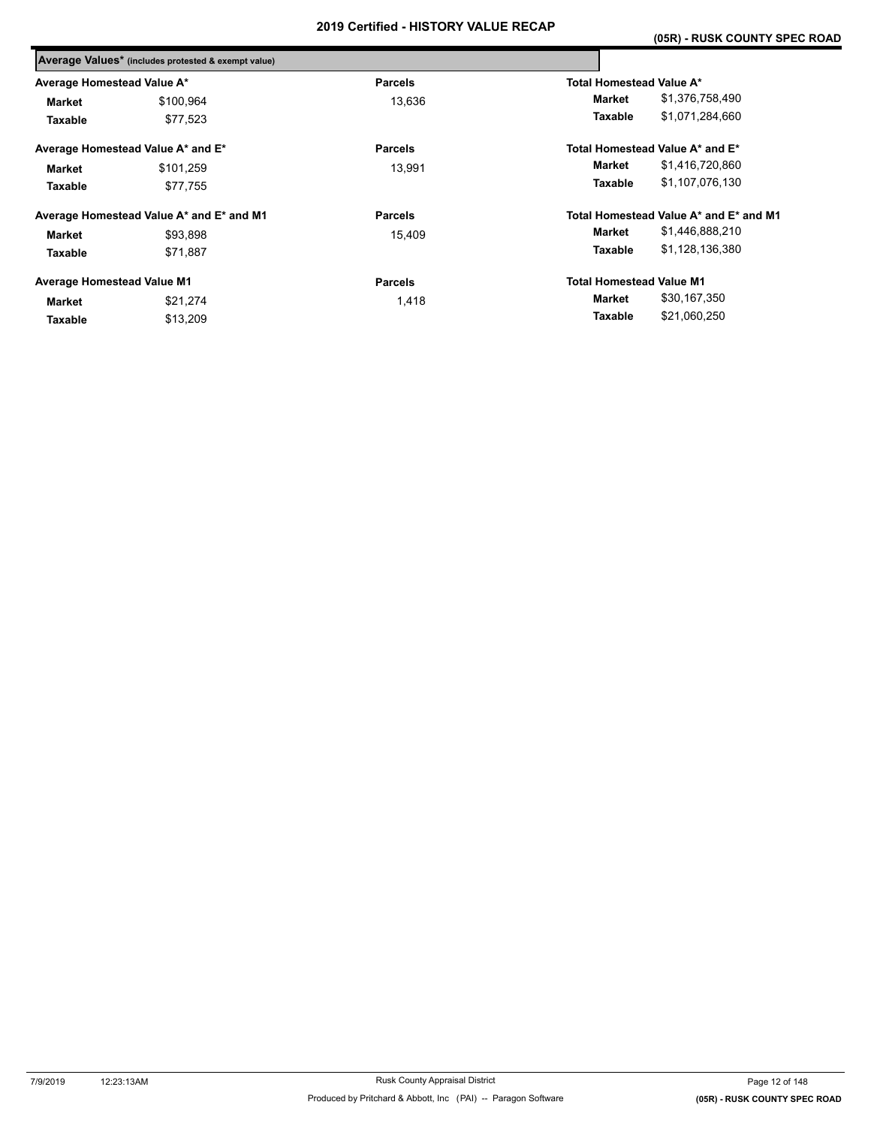|                                   | Average Values* (includes protested & exempt value) |                |                                 |                                        |
|-----------------------------------|-----------------------------------------------------|----------------|---------------------------------|----------------------------------------|
| Average Homestead Value A*        |                                                     | <b>Parcels</b> | <b>Total Homestead Value A*</b> |                                        |
| Market                            | \$100,964                                           | 13.636         | Market                          | \$1,376,758,490                        |
| Taxable                           | \$77,523                                            |                | Taxable                         | \$1,071,284,660                        |
|                                   | Average Homestead Value A* and E*                   | <b>Parcels</b> |                                 | Total Homestead Value A* and E*        |
| <b>Market</b>                     | \$101,259                                           | 13.991         | Market                          | \$1,416,720,860                        |
| Taxable                           | \$77,755                                            |                | Taxable                         | \$1,107,076,130                        |
|                                   | Average Homestead Value A* and E* and M1            | <b>Parcels</b> |                                 | Total Homestead Value A* and E* and M1 |
| <b>Market</b>                     | \$93,898                                            | 15,409         | Market                          | \$1,446,888,210                        |
| Taxable                           | \$71,887                                            |                | Taxable                         | \$1,128,136,380                        |
| <b>Average Homestead Value M1</b> |                                                     | <b>Parcels</b> | <b>Total Homestead Value M1</b> |                                        |
| <b>Market</b>                     | \$21,274                                            | 1,418          | Market                          | \$30,167,350                           |
| Taxable                           | \$13,209                                            |                | Taxable                         | \$21,060,250                           |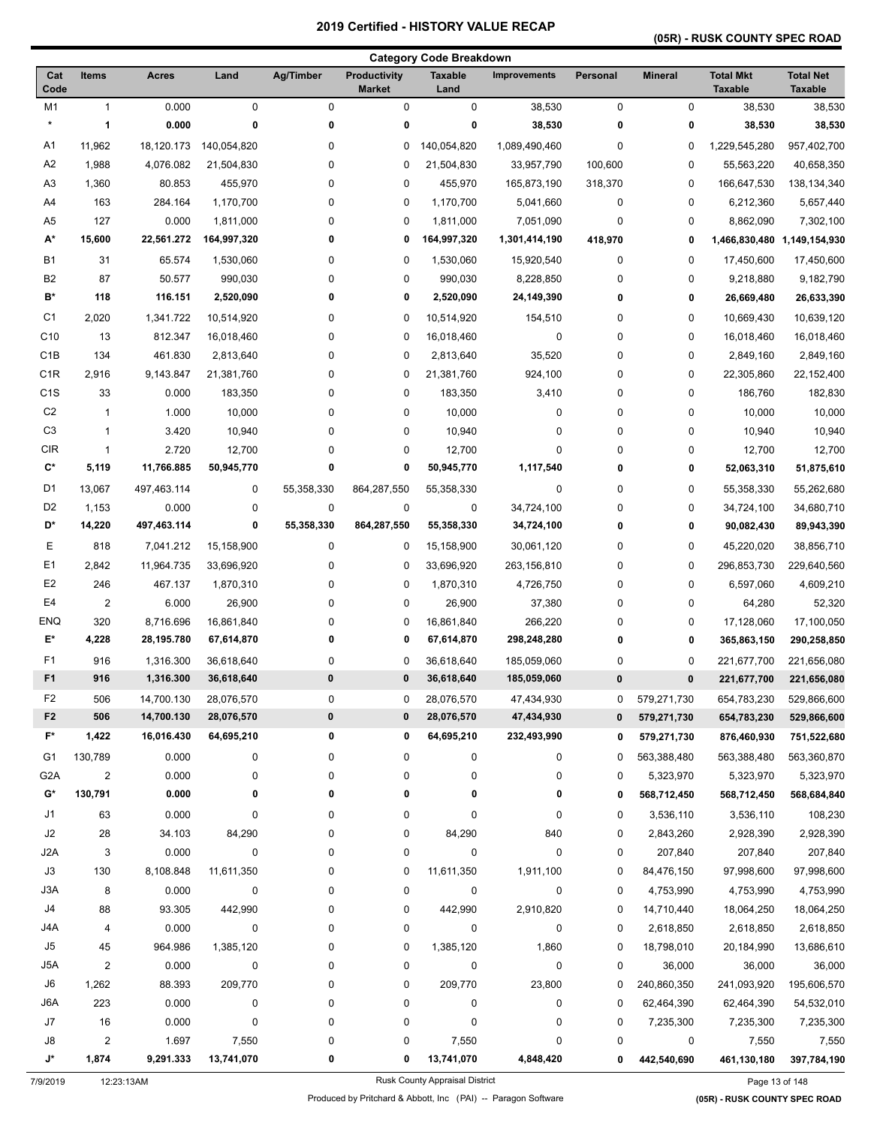# **(05R) - RUSK COUNTY SPEC ROAD**

|                      |                         |                          |                          |            |                                      | <b>Category Code Breakdown</b> |                            |               |                |                                    |                                    |
|----------------------|-------------------------|--------------------------|--------------------------|------------|--------------------------------------|--------------------------------|----------------------------|---------------|----------------|------------------------------------|------------------------------------|
| Cat<br>Code          | <b>Items</b>            | <b>Acres</b>             | Land                     | Ag/Timber  | <b>Productivity</b><br><b>Market</b> | <b>Taxable</b><br>Land         | <b>Improvements</b>        | Personal      | <b>Mineral</b> | <b>Total Mkt</b><br><b>Taxable</b> | <b>Total Net</b><br><b>Taxable</b> |
| M <sub>1</sub>       | $\mathbf{1}$            | 0.000                    | $\mathbf 0$              | 0          | $\pmb{0}$                            | 0                              | 38,530                     | $\mathbf 0$   | 0              | 38,530                             | 38,530                             |
| $\star$              | 1                       | 0.000                    | 0                        | 0          | 0                                    | 0                              | 38,530                     | 0             | 0              | 38,530                             | 38,530                             |
| A1                   | 11,962                  | 18,120.173               | 140,054,820              | 0          | 0                                    | 140,054,820                    | 1,089,490,460              | 0             | 0              | 1,229,545,280                      | 957,402,700                        |
| A2                   | 1,988                   | 4,076.082                | 21,504,830               | 0          | 0                                    | 21,504,830                     | 33,957,790                 | 100,600       | 0              | 55,563,220                         | 40,658,350                         |
| A <sub>3</sub>       | 1,360                   | 80.853                   | 455,970                  | 0          | 0                                    | 455,970                        | 165,873,190                | 318,370       | 0              | 166,647,530                        | 138, 134, 340                      |
| A4                   | 163                     | 284.164                  | 1,170,700                | 0          | 0                                    | 1,170,700                      | 5,041,660                  | 0             | 0              | 6,212,360                          | 5,657,440                          |
| A <sub>5</sub>       | 127                     | 0.000                    | 1,811,000                | 0          | 0                                    | 1,811,000                      | 7,051,090                  | 0             | 0              | 8,862,090                          | 7,302,100                          |
| A*                   | 15,600                  | 22,561.272               | 164,997,320              | 0          | 0                                    | 164,997,320                    | 1,301,414,190              | 418,970       | 0              | 1,466,830,480                      | 1,149,154,930                      |
| <b>B1</b>            | 31                      | 65.574                   | 1,530,060                | 0          | 0                                    | 1,530,060                      | 15,920,540                 | 0             | 0              | 17,450,600                         | 17,450,600                         |
| B <sub>2</sub>       | 87                      | 50.577                   | 990,030                  | 0          | 0                                    | 990,030                        | 8,228,850                  | 0             | 0              | 9,218,880                          | 9,182,790                          |
| B*                   | 118                     | 116.151                  | 2,520,090                | 0          | 0                                    | 2,520,090                      | 24,149,390                 | 0             | 0              | 26,669,480                         | 26,633,390                         |
| C <sub>1</sub>       | 2,020                   | 1,341.722                | 10,514,920               | 0          | 0                                    | 10,514,920                     | 154,510                    | 0             | 0              | 10,669,430                         | 10,639,120                         |
| C <sub>10</sub>      | 13                      | 812.347                  | 16,018,460               | 0          | 0                                    | 16,018,460                     | $\pmb{0}$                  | 0             | 0              | 16,018,460                         | 16,018,460                         |
| C <sub>1</sub> B     | 134                     | 461.830                  | 2,813,640                | 0          | 0                                    | 2,813,640                      | 35,520                     | 0             | 0              | 2,849,160                          | 2,849,160                          |
| C <sub>1</sub> R     | 2,916                   | 9,143.847                | 21,381,760               | 0          | 0                                    | 21,381,760                     | 924,100                    | 0             | 0              | 22,305,860                         | 22,152,400                         |
| C <sub>1</sub> S     | 33                      | 0.000                    | 183,350                  | 0          | $\pmb{0}$                            | 183,350                        | 3,410                      | 0             | 0              | 186.760                            | 182,830                            |
| C <sub>2</sub>       | $\mathbf{1}$            | 1.000                    | 10,000                   | 0          | 0                                    | 10,000                         | 0                          | 0             | 0              | 10,000                             | 10,000                             |
| C <sub>3</sub>       | $\mathbf{1}$            | 3.420                    | 10,940                   | 0          | 0                                    | 10,940                         | 0                          | 0             | 0              | 10,940                             | 10,940                             |
| CIR                  | 1                       | 2.720                    | 12,700                   | 0          | 0                                    | 12,700                         | 0                          | 0             | 0              | 12,700                             | 12,700                             |
| C*                   | 5,119                   | 11,766.885               | 50,945,770               | 0          | 0                                    | 50,945,770                     | 1,117,540                  | 0             | 0              | 52,063,310                         | 51,875,610                         |
| D <sub>1</sub>       | 13,067                  | 497,463.114              | 0                        | 55,358,330 | 864,287,550                          | 55,358,330                     | 0                          | 0             | 0              | 55,358,330                         | 55,262,680                         |
| D <sub>2</sub>       | 1,153                   | 0.000                    | 0                        | 0          | $\pmb{0}$                            | 0                              | 34,724,100                 | 0             | 0              | 34,724,100                         | 34,680,710                         |
| D*                   | 14,220                  | 497,463.114              | 0                        | 55,358,330 | 864,287,550                          | 55,358,330                     | 34,724,100                 | 0             | 0              | 90,082,430                         | 89,943,390                         |
| Е                    | 818                     | 7,041.212                | 15,158,900               | 0          | 0                                    | 15,158,900                     | 30,061,120                 | 0             | 0              | 45,220,020                         | 38,856,710                         |
| E <sub>1</sub>       | 2,842                   | 11,964.735               | 33,696,920               | 0          | 0                                    | 33,696,920                     | 263,156,810                | 0             | 0              | 296,853,730                        | 229,640,560                        |
| E <sub>2</sub>       | 246                     | 467.137                  | 1,870,310                | 0          | 0                                    | 1,870,310                      | 4,726,750                  | 0             | 0              | 6,597,060                          | 4,609,210                          |
| E <sub>4</sub>       | $\boldsymbol{2}$        | 6.000                    | 26,900                   | 0          | 0                                    | 26,900                         | 37,380                     | 0             | 0              | 64,280                             | 52,320                             |
| <b>ENQ</b>           | 320                     | 8,716.696                | 16,861,840               | 0          | 0                                    | 16,861,840                     | 266,220                    | 0             | 0              | 17,128,060                         | 17,100,050                         |
| E*                   | 4,228                   | 28,195.780               | 67,614,870               | 0          | 0                                    | 67,614,870                     | 298,248,280                | 0             | 0              | 365,863,150                        | 290,258,850                        |
| F1                   |                         |                          |                          |            |                                      |                                |                            |               |                |                                    |                                    |
| F <sub>1</sub>       | 916<br>916              | 1,316.300<br>1,316.300   | 36,618,640<br>36,618,640 | 0<br>0     | 0<br>0                               | 36,618,640<br>36,618,640       | 185,059,060<br>185,059,060 | 0<br>$\bf{0}$ | 0<br>0         | 221,677,700<br>221,677,700         | 221,656,080                        |
|                      |                         |                          |                          |            |                                      |                                |                            |               |                |                                    | 221,656,080                        |
| F2<br>F <sub>2</sub> | 506<br>506              | 14,700.130<br>14,700.130 | 28,076,570               | 0<br>0     | 0<br>0                               | 28,076,570<br>28,076,570       | 47,434,930<br>47,434,930   | 0             | 579,271,730    | 654,783,230                        | 529,866,600                        |
| F*                   | 1,422                   | 16,016.430               | 28,076,570               | 0          |                                      |                                |                            | $\bf{0}$      | 579,271,730    | 654,783,230                        | 529,866,600                        |
|                      |                         |                          | 64,695,210               |            | 0                                    | 64,695,210                     | 232,493,990                | 0             | 579,271,730    | 876,460,930                        | 751,522,680                        |
| G1                   | 130,789                 | 0.000                    | 0                        | 0          | $\pmb{0}$                            | 0                              | 0                          | 0             | 563,388,480    | 563,388,480                        | 563,360,870                        |
| G <sub>2</sub> A     | $\overline{c}$          | 0.000                    | 0                        | 0          | $\pmb{0}$                            | 0                              | 0                          | 0             | 5,323,970      | 5,323,970                          | 5,323,970                          |
| G*                   | 130,791                 | 0.000                    | 0                        | 0          | 0                                    | 0                              | 0                          | 0             | 568,712,450    | 568,712,450                        | 568,684,840                        |
| J1                   | 63                      | 0.000                    | 0                        | 0          | 0                                    | 0                              | 0                          | 0             | 3,536,110      | 3,536,110                          | 108,230                            |
| J2                   | 28                      | 34.103                   | 84,290                   | 0          | 0                                    | 84,290                         | 840                        | 0             | 2,843,260      | 2,928,390                          | 2,928,390                          |
| J2A                  | 3                       | 0.000                    | $\pmb{0}$                | 0          | $\pmb{0}$                            | 0                              | 0                          | 0             | 207,840        | 207,840                            | 207,840                            |
| J3                   | 130                     | 8,108.848                | 11,611,350               | 0          | 0                                    | 11,611,350                     | 1,911,100                  | 0             | 84,476,150     | 97,998,600                         | 97,998,600                         |
| J3A                  | 8                       | 0.000                    | 0                        | 0          | 0                                    | 0                              | 0                          | 0             | 4,753,990      | 4,753,990                          | 4,753,990                          |
| J4                   | 88                      | 93.305                   | 442,990                  | 0          | 0                                    | 442,990                        | 2,910,820                  | 0             | 14,710,440     | 18,064,250                         | 18,064,250                         |
| J4A                  | 4                       | 0.000                    | 0                        | 0          | 0                                    | 0                              | 0                          | 0             | 2,618,850      | 2,618,850                          | 2,618,850                          |
| J5                   | 45                      | 964.986                  | 1,385,120                | 0          | 0                                    | 1,385,120                      | 1,860                      | 0             | 18,798,010     | 20,184,990                         | 13,686,610                         |
| J5A                  | $\overline{\mathbf{c}}$ | 0.000                    | 0                        | 0          | $\pmb{0}$                            | 0                              | $\pmb{0}$                  | 0             | 36,000         | 36,000                             | 36,000                             |
| J6                   | 1,262                   | 88.393                   | 209,770                  | 0          | 0                                    | 209,770                        | 23,800                     | 0             | 240,860,350    | 241,093,920                        | 195,606,570                        |
| J6A                  | 223                     | 0.000                    | 0                        | 0          | 0                                    | 0                              | 0                          | 0             | 62,464,390     | 62,464,390                         | 54,532,010                         |
| J7                   | 16                      | 0.000                    | 0                        | 0          | 0                                    | 0                              | 0                          | 0             | 7,235,300      | 7,235,300                          | 7,235,300                          |
| J8                   | $\overline{\mathbf{c}}$ | 1.697                    | 7,550                    | 0          | 0                                    | 7,550                          | 0                          | 0             | 0              | 7,550                              | 7,550                              |
| J*                   | 1,874                   | 9,291.333                | 13,741,070               | 0          | 0                                    | 13,741,070                     | 4,848,420                  | 0             | 442,540,690    | 461,130,180                        | 397,784,190                        |

7/9/2019 12:23:13AM Rusk County Appraisal District Page 13 of 148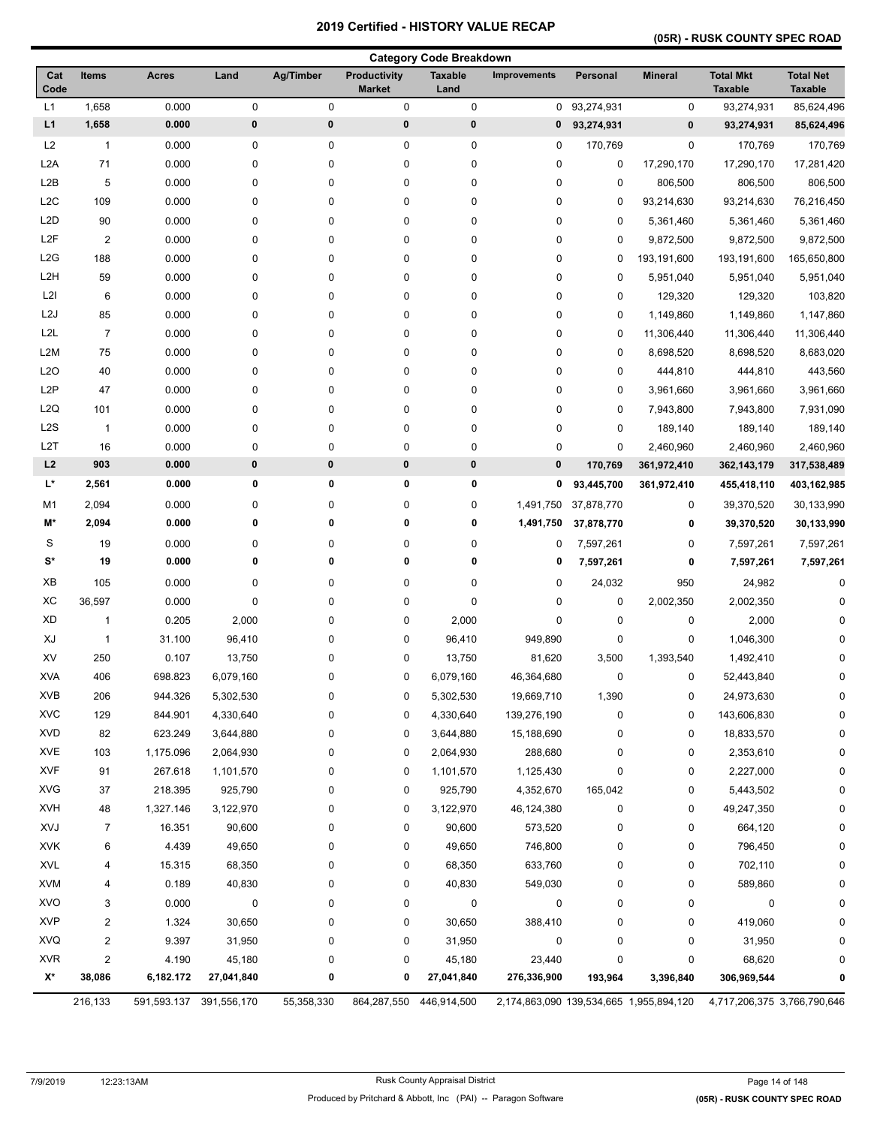# **(05R) - RUSK COUNTY SPEC ROAD**

|                  |                         |                         |            |             |                                      | <b>Category Code Breakdown</b> |                                         |              |                |                                    |                                    |
|------------------|-------------------------|-------------------------|------------|-------------|--------------------------------------|--------------------------------|-----------------------------------------|--------------|----------------|------------------------------------|------------------------------------|
| Cat<br>Code      | <b>Items</b>            | <b>Acres</b>            | Land       | Ag/Timber   | <b>Productivity</b><br><b>Market</b> | <b>Taxable</b><br>Land         | <b>Improvements</b>                     | Personal     | <b>Mineral</b> | <b>Total Mkt</b><br><b>Taxable</b> | <b>Total Net</b><br><b>Taxable</b> |
| L1               | 1,658                   | 0.000                   | $\pmb{0}$  | 0           | 0                                    | 0                              |                                         | 0 93,274,931 | 0              | 93,274,931                         | 85,624,496                         |
| L1               | 1,658                   | 0.000                   | $\pmb{0}$  | $\bf{0}$    | 0                                    | 0                              | 0                                       | 93,274,931   | $\pmb{0}$      | 93,274,931                         | 85,624,496                         |
| L2               | $\mathbf{1}$            | 0.000                   | 0          | 0           | 0                                    | 0                              | 0                                       | 170,769      | 0              | 170,769                            | 170,769                            |
| L <sub>2</sub> A | 71                      | 0.000                   | 0          | $\pmb{0}$   | 0                                    | 0                              | 0                                       | 0            | 17,290,170     | 17,290,170                         | 17,281,420                         |
| L <sub>2</sub> B | 5                       | 0.000                   | 0          | 0           | 0                                    | 0                              | 0                                       | 0            | 806,500        | 806,500                            | 806,500                            |
| L <sub>2</sub> C | 109                     | 0.000                   | 0          | $\pmb{0}$   | 0                                    | 0                              | 0                                       | $\mathbf 0$  | 93,214,630     | 93,214,630                         | 76,216,450                         |
| L <sub>2</sub> D | 90                      | 0.000                   | 0          | 0           | 0                                    | 0                              | 0                                       | 0            | 5,361,460      | 5,361,460                          | 5,361,460                          |
| L <sub>2</sub> F | $\overline{2}$          | 0.000                   | 0          | 0           | 0                                    | 0                              | 0                                       | 0            | 9,872,500      | 9,872,500                          | 9,872,500                          |
| L2G              | 188                     | 0.000                   | 0          | 0           | 0                                    | 0                              | 0                                       | 0            | 193,191,600    | 193,191,600                        | 165,650,800                        |
| L <sub>2</sub> H | 59                      | 0.000                   | 0          | 0           | 0                                    | 0                              | 0                                       | 0            | 5,951,040      | 5,951,040                          | 5,951,040                          |
| L2I              | 6                       | 0.000                   | 0          | $\pmb{0}$   | 0                                    | 0                              | 0                                       | 0            | 129,320        | 129,320                            | 103,820                            |
| L <sub>2</sub> J | 85                      | 0.000                   | $\pmb{0}$  | $\pmb{0}$   | 0                                    | 0                              | 0                                       | 0            | 1,149,860      | 1,149,860                          | 1,147,860                          |
| L2L              | $\overline{7}$          | 0.000                   | 0          | $\pmb{0}$   | 0                                    | 0                              | 0                                       | $\mathbf 0$  | 11,306,440     | 11,306,440                         | 11,306,440                         |
| L2M              | 75                      | 0.000                   | 0          | 0           | 0                                    | 0                              | 0                                       | 0            | 8,698,520      | 8,698,520                          | 8,683,020                          |
| L2O              | 40                      | 0.000                   | 0          | 0           | 0                                    | 0                              | 0                                       | 0            | 444,810        | 444,810                            | 443,560                            |
| L <sub>2</sub> P | 47                      | 0.000                   | 0          | 0           | 0                                    | 0                              | 0                                       | 0            | 3,961,660      | 3,961,660                          | 3,961,660                          |
| L <sub>2</sub> Q | 101                     | 0.000                   | 0          | $\pmb{0}$   | 0                                    | 0                              | 0                                       | 0            | 7,943,800      | 7,943,800                          | 7,931,090                          |
| L <sub>2</sub> S | $\overline{1}$          | 0.000                   | 0          | $\pmb{0}$   | 0                                    | 0                              | 0                                       | 0            | 189,140        | 189,140                            | 189,140                            |
| L <sub>2</sub> T | 16                      | 0.000                   | 0          | $\mathbf 0$ | 0                                    | 0                              | 0                                       | $\pmb{0}$    | 2,460,960      | 2,460,960                          | 2,460,960                          |
| L2               | 903                     | 0.000                   | $\pmb{0}$  | $\pmb{0}$   | 0                                    | $\pmb{0}$                      | 0                                       | 170,769      | 361,972,410    | 362, 143, 179                      | 317,538,489                        |
| L*               | 2,561                   | 0.000                   | 0          | 0           | 0                                    | 0                              | 0                                       | 93,445,700   | 361,972,410    | 455,418,110                        | 403,162,985                        |
| M1               | 2,094                   | 0.000                   | 0          | $\pmb{0}$   | 0                                    | 0                              | 1,491,750                               | 37,878,770   | 0              | 39,370,520                         | 30,133,990                         |
| M*               | 2,094                   | 0.000                   | 0          | $\mathbf 0$ | 0                                    | 0                              | 1,491,750                               | 37,878,770   | 0              | 39,370,520                         | 30,133,990                         |
| S                | 19                      | 0.000                   | 0          | 0           | 0                                    | 0                              | 0                                       | 7,597,261    | 0              | 7,597,261                          | 7,597,261                          |
| s*               | 19                      | 0.000                   | 0          | $\mathbf 0$ | 0                                    | 0                              | 0                                       | 7,597,261    | 0              | 7,597,261                          | 7,597,261                          |
| XB               | 105                     | 0.000                   | 0          | 0           | 0                                    | 0                              | 0                                       | 24,032       | 950            | 24,982                             | 0                                  |
| XC               | 36,597                  | 0.000                   | 0          | 0           | 0                                    | 0                              | 0                                       | 0            | 2,002,350      | 2,002,350                          | 0                                  |
| <b>XD</b>        | $\mathbf{1}$            | 0.205                   | 2,000      | 0           | 0                                    | 2,000                          | 0                                       | 0            | 0              | 2,000                              | O                                  |
| XJ               | $\mathbf{1}$            | 31.100                  | 96,410     | 0           | 0                                    | 96,410                         | 949,890                                 | 0            | 0              | 1,046,300                          | O                                  |
| XV               | 250                     | 0.107                   | 13,750     | 0           | 0                                    | 13,750                         | 81,620                                  | 3,500        | 1,393,540      | 1,492,410                          | $\Omega$                           |
| <b>XVA</b>       | 406                     | 698.823                 | 6,079,160  | 0           | 0                                    | 6,079,160                      | 46,364,680                              | 0            | 0              | 52,443,840                         | 0                                  |
| XVB              | 206                     | 944.326                 | 5,302,530  | 0           | 0                                    | 5,302,530                      | 19,669,710                              | 1,390        | 0              | 24,973,630                         | 0                                  |
| <b>XVC</b>       | 129                     | 844.901                 | 4,330,640  | 0           | 0                                    | 4,330,640                      | 139,276,190                             | 0            | 0              | 143,606,830                        | 0                                  |
| <b>XVD</b>       | 82                      | 623.249                 | 3,644,880  | 0           | 0                                    | 3,644,880                      | 15,188,690                              | 0            | 0              | 18,833,570                         | 0                                  |
| <b>XVE</b>       | 103                     | 1,175.096               | 2,064,930  | 0           | 0                                    | 2,064,930                      | 288,680                                 | 0            | 0              | 2,353,610                          | 0                                  |
| <b>XVF</b>       | 91                      | 267.618                 | 1,101,570  | 0           | 0                                    | 1,101,570                      | 1,125,430                               | 0            | 0              | 2,227,000                          | 0                                  |
| <b>XVG</b>       | 37                      | 218.395                 | 925,790    | 0           | 0                                    | 925,790                        | 4,352,670                               | 165,042      | 0              | 5,443,502                          | 0                                  |
| <b>XVH</b>       | 48                      | 1,327.146               | 3,122,970  | 0           | 0                                    | 3,122,970                      | 46,124,380                              | 0            | 0              | 49,247,350                         | 0                                  |
| XVJ              | $\overline{7}$          | 16.351                  | 90,600     | 0           | 0                                    | 90,600                         | 573,520                                 | 0            | 0              | 664,120                            | 0                                  |
| <b>XVK</b>       | 6                       | 4.439                   | 49,650     | 0           | 0                                    | 49,650                         | 746,800                                 | 0            | 0              | 796,450                            | 0                                  |
| <b>XVL</b>       | 4                       | 15.315                  | 68,350     | 0           | 0                                    | 68,350                         | 633,760                                 | 0            | 0              | 702,110                            | 0                                  |
| <b>XVM</b>       | 4                       | 0.189                   | 40,830     | 0           | 0                                    | 40,830                         | 549,030                                 | 0            | 0              | 589,860                            | 0                                  |
| <b>XVO</b>       | 3                       | 0.000                   | 0          | 0           | 0                                    | 0                              | 0                                       | 0            | 0              | 0                                  | 0                                  |
| <b>XVP</b>       | $\overline{\mathbf{c}}$ | 1.324                   | 30,650     | 0           | 0                                    | 30,650                         | 388,410                                 | 0            | 0              | 419,060                            | 0                                  |
| XVQ              | $\overline{\mathbf{c}}$ | 9.397                   | 31,950     | 0           | 0                                    | 31,950                         | 0                                       | 0            | 0              | 31,950                             | 0                                  |
| <b>XVR</b>       | $\overline{2}$          | 4.190                   | 45,180     | 0           | 0                                    | 45,180                         | 23,440                                  | 0            | 0              | 68,620                             | 0                                  |
| X*               | 38,086                  | 6,182.172               | 27,041,840 | 0           | 0                                    | 27,041,840                     | 276,336,900                             | 193,964      | 3,396,840      | 306,969,544                        | 0                                  |
|                  | 216,133                 | 591,593.137 391,556,170 |            | 55,358,330  | 864,287,550                          | 446,914,500                    | 2,174,863,090 139,534,665 1,955,894,120 |              |                | 4,717,206,375 3,766,790,646        |                                    |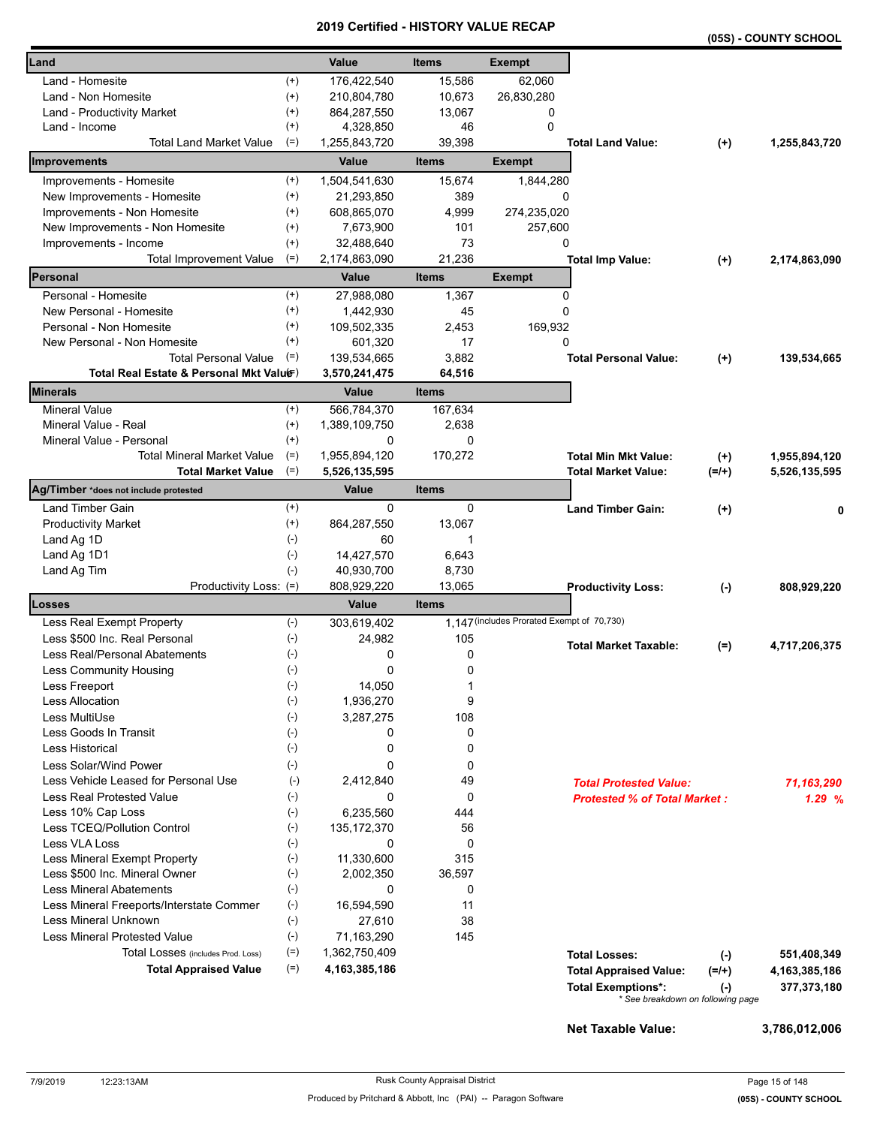|                                          |              |                  |              |                                            |                                                                |           | (05S) - COUNTY SCHOOL |
|------------------------------------------|--------------|------------------|--------------|--------------------------------------------|----------------------------------------------------------------|-----------|-----------------------|
| Land                                     |              | Value            | <b>Items</b> | <b>Exempt</b>                              |                                                                |           |                       |
| Land - Homesite                          | $^{(+)}$     | 176,422,540      | 15,586       | 62,060                                     |                                                                |           |                       |
| Land - Non Homesite                      | $^{(+)}$     | 210,804,780      | 10,673       | 26,830,280                                 |                                                                |           |                       |
| Land - Productivity Market               | $^{(+)}$     | 864,287,550      | 13,067       | 0                                          |                                                                |           |                       |
| Land - Income                            | $^{(+)}$     | 4,328,850        | 46           | 0                                          |                                                                |           |                       |
| <b>Total Land Market Value</b>           | $(=)$        | 1,255,843,720    | 39,398       |                                            | <b>Total Land Value:</b>                                       | $^{(+)}$  | 1,255,843,720         |
| Improvements                             |              | Value            | <b>Items</b> | <b>Exempt</b>                              |                                                                |           |                       |
| Improvements - Homesite                  | $^{(+)}$     | 1,504,541,630    | 15,674       | 1,844,280                                  |                                                                |           |                       |
| New Improvements - Homesite              | $^{(+)}$     | 21,293,850       | 389          | 0                                          |                                                                |           |                       |
| Improvements - Non Homesite              | $^{(+)}$     | 608,865,070      | 4,999        | 274,235,020                                |                                                                |           |                       |
| New Improvements - Non Homesite          | $^{(+)}$     | 7,673,900        | 101          | 257,600                                    |                                                                |           |                       |
| Improvements - Income                    | $^{(+)}$     | 32,488,640       | 73           | 0                                          |                                                                |           |                       |
| <b>Total Improvement Value</b>           | $(=)$        | 2,174,863,090    | 21,236       |                                            | <b>Total Imp Value:</b>                                        | $(+)$     | 2,174,863,090         |
| Personal                                 |              | Value            | <b>Items</b> | <b>Exempt</b>                              |                                                                |           |                       |
| Personal - Homesite                      | $^{(+)}$     | 27,988,080       | 1,367        | 0                                          |                                                                |           |                       |
| New Personal - Homesite                  | $^{(+)}$     | 1,442,930        | 45           | 0                                          |                                                                |           |                       |
| Personal - Non Homesite                  | $^{(+)}$     | 109,502,335      | 2,453        | 169,932                                    |                                                                |           |                       |
| New Personal - Non Homesite              | $^{(+)}$     | 601,320          | 17           | 0                                          |                                                                |           |                       |
| <b>Total Personal Value</b>              | $(=)$        | 139,534,665      | 3,882        |                                            | <b>Total Personal Value:</b>                                   | $(+)$     | 139,534,665           |
| Total Real Estate & Personal Mkt Valuer) |              | 3,570,241,475    | 64,516       |                                            |                                                                |           |                       |
| Minerals                                 |              | Value            | <b>Items</b> |                                            |                                                                |           |                       |
| <b>Mineral Value</b>                     | $^{(+)}$     | 566,784,370      | 167,634      |                                            |                                                                |           |                       |
| Mineral Value - Real                     | $^{(+)}$     | 1,389,109,750    | 2,638        |                                            |                                                                |           |                       |
| Mineral Value - Personal                 | $^{(+)}$     | 0                | 0            |                                            |                                                                |           |                       |
| <b>Total Mineral Market Value</b>        | $(=)$        | 1,955,894,120    | 170,272      |                                            | <b>Total Min Mkt Value:</b>                                    | $(+)$     | 1,955,894,120         |
| <b>Total Market Value</b>                | $(=)$        | 5,526,135,595    |              |                                            | <b>Total Market Value:</b>                                     | $(=/+)$   | 5,526,135,595         |
| Ag/Timber *does not include protested    |              | Value            | <b>Items</b> |                                            |                                                                |           |                       |
| <b>Land Timber Gain</b>                  | $^{(+)}$     | 0                | 0            |                                            | <b>Land Timber Gain:</b>                                       | $(+)$     |                       |
| <b>Productivity Market</b>               | $^{(+)}$     | 864,287,550      | 13,067       |                                            |                                                                |           |                       |
| Land Ag 1D                               | $(-)$        | 60               | 1            |                                            |                                                                |           |                       |
| Land Ag 1D1                              | $(-)$        | 14,427,570       | 6,643        |                                            |                                                                |           |                       |
| Land Ag Tim                              | $(-)$        | 40,930,700       | 8,730        |                                            |                                                                |           |                       |
| Productivity Loss: (=)                   |              | 808,929,220      | 13,065       |                                            | <b>Productivity Loss:</b>                                      | $(\cdot)$ | 808,929,220           |
| Losses                                   |              | Value            | <b>Items</b> |                                            |                                                                |           |                       |
| Less Real Exempt Property                | $(-)$        | 303,619,402      |              | 1,147 (includes Prorated Exempt of 70,730) |                                                                |           |                       |
| Less \$500 Inc. Real Personal            | $(-)$        | 24,982           | 105          |                                            | <b>Total Market Taxable:</b>                                   | $(=)$     | 4,717,206,375         |
| Less Real/Personal Abatements            | $(-)$        | 0                | 0            |                                            |                                                                |           |                       |
| Less Community Housing                   | $(\hbox{-})$ | 0                | 0            |                                            |                                                                |           |                       |
| Less Freeport                            | $(-)$        | 14,050           | 1            |                                            |                                                                |           |                       |
| <b>Less Allocation</b>                   | $(-)$        | 1,936,270        | 9            |                                            |                                                                |           |                       |
| Less MultiUse                            | $(-)$        | 3,287,275        | 108          |                                            |                                                                |           |                       |
| Less Goods In Transit                    | $(-)$        | 0                | 0            |                                            |                                                                |           |                       |
| Less Historical                          | $(-)$        | 0                | 0            |                                            |                                                                |           |                       |
| Less Solar/Wind Power                    | $(-)$        | 0                | 0            |                                            |                                                                |           |                       |
| Less Vehicle Leased for Personal Use     | $(-)$        | 2,412,840        | 49           |                                            | <b>Total Protested Value:</b>                                  |           | 71,163,290            |
| <b>Less Real Protested Value</b>         | $(-)$        | 0                | 0            |                                            | <b>Protested % of Total Market:</b>                            |           | 1.29%                 |
| Less 10% Cap Loss                        | $(-)$        | 6,235,560        | 444          |                                            |                                                                |           |                       |
| Less TCEQ/Pollution Control              | $(-)$        | 135, 172, 370    | 56           |                                            |                                                                |           |                       |
| Less VLA Loss                            | $(-)$        | 0                | 0            |                                            |                                                                |           |                       |
| Less Mineral Exempt Property             | $(-)$        | 11,330,600       | 315          |                                            |                                                                |           |                       |
| Less \$500 Inc. Mineral Owner            | $(-)$        | 2,002,350        | 36,597       |                                            |                                                                |           |                       |
| <b>Less Mineral Abatements</b>           | $(-)$        | 0                | 0            |                                            |                                                                |           |                       |
| Less Mineral Freeports/Interstate Commer | $(-)$        | 16,594,590       | 11           |                                            |                                                                |           |                       |
| Less Mineral Unknown                     | $(-)$        | 27,610           | 38           |                                            |                                                                |           |                       |
| <b>Less Mineral Protested Value</b>      | $(-)$        | 71,163,290       | 145          |                                            |                                                                |           |                       |
| Total Losses (includes Prod. Loss)       | $(=)$        | 1,362,750,409    |              |                                            | <b>Total Losses:</b>                                           | $(-)$     | 551,408,349           |
| <b>Total Appraised Value</b>             | $(=)$        | 4, 163, 385, 186 |              |                                            | <b>Total Appraised Value:</b>                                  | $(=/+)$   | 4, 163, 385, 186      |
|                                          |              |                  |              |                                            | <b>Total Exemptions*:</b><br>* See breakdown on following page | $(-)$     | 377,373,180           |
|                                          |              |                  |              |                                            |                                                                |           |                       |

**Net Taxable Value: 3,786,012,006**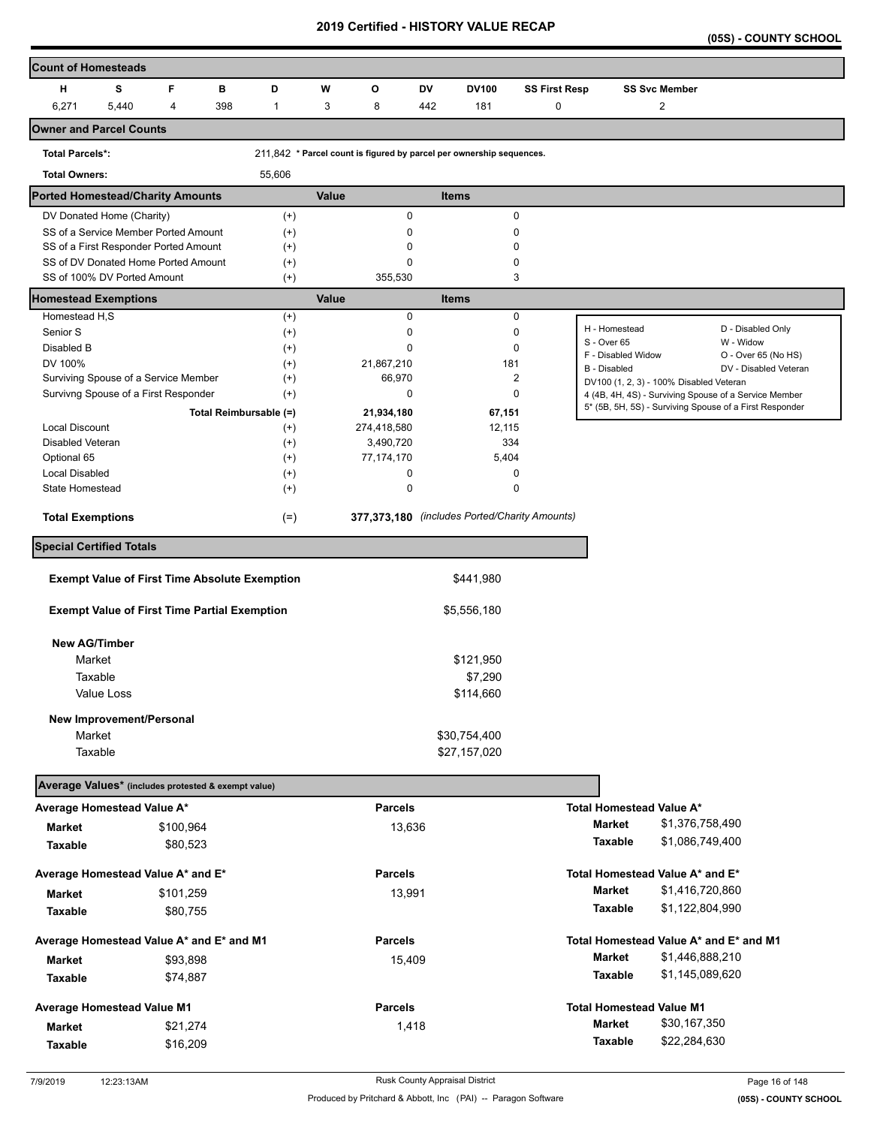**(05S) - COUNTY SCHOOL** 

| <b>Count of Homesteads</b>               |                             |                                                      |     |                        |       |                |           |                                                                      |                      |                              |                                         |                                                         |
|------------------------------------------|-----------------------------|------------------------------------------------------|-----|------------------------|-------|----------------|-----------|----------------------------------------------------------------------|----------------------|------------------------------|-----------------------------------------|---------------------------------------------------------|
| н                                        | s                           | F                                                    | в   | D                      | W     | O              | <b>DV</b> | <b>DV100</b>                                                         | <b>SS First Resp</b> |                              | <b>SS Svc Member</b>                    |                                                         |
| 6,271                                    | 5,440                       | 4                                                    | 398 | 1                      | 3     | 8              | 442       | 181                                                                  | 0                    |                              | 2                                       |                                                         |
| <b>Owner and Parcel Counts</b>           |                             |                                                      |     |                        |       |                |           |                                                                      |                      |                              |                                         |                                                         |
| <b>Total Parcels*:</b>                   |                             |                                                      |     |                        |       |                |           | 211,842 * Parcel count is figured by parcel per ownership sequences. |                      |                              |                                         |                                                         |
| <b>Total Owners:</b>                     |                             |                                                      |     | 55,606                 |       |                |           |                                                                      |                      |                              |                                         |                                                         |
| <b>Ported Homestead/Charity Amounts</b>  |                             |                                                      |     |                        | Value |                |           | <b>Items</b>                                                         |                      |                              |                                         |                                                         |
|                                          | DV Donated Home (Charity)   |                                                      |     | $^{(+)}$               |       | $\mathbf 0$    |           | $\pmb{0}$                                                            |                      |                              |                                         |                                                         |
|                                          |                             | SS of a Service Member Ported Amount                 |     | $^{(+)}$               |       | 0              |           | 0                                                                    |                      |                              |                                         |                                                         |
|                                          |                             | SS of a First Responder Ported Amount                |     | $(+)$                  |       | 0              |           | 0                                                                    |                      |                              |                                         |                                                         |
|                                          |                             | SS of DV Donated Home Ported Amount                  |     | $^{(+)}$               |       | 0              |           | 0                                                                    |                      |                              |                                         |                                                         |
|                                          | SS of 100% DV Ported Amount |                                                      |     | $(+)$                  |       | 355,530        |           | 3                                                                    |                      |                              |                                         |                                                         |
| <b>Homestead Exemptions</b>              |                             |                                                      |     |                        | Value |                |           | <b>Items</b>                                                         |                      |                              |                                         |                                                         |
| Homestead H,S                            |                             |                                                      |     | $^{(+)}$               |       | $\mathbf 0$    |           | 0                                                                    |                      |                              |                                         |                                                         |
| Senior S                                 |                             |                                                      |     | $(+)$                  |       | 0              |           | 0                                                                    |                      | H - Homestead<br>S - Over 65 |                                         | D - Disabled Only<br>W - Widow                          |
| Disabled B                               |                             |                                                      |     | $^{(+)}$               |       | 0              |           | 0                                                                    |                      | F - Disabled Widow           |                                         | O - Over 65 (No HS)                                     |
| DV 100%                                  |                             |                                                      |     | $(+)$                  |       | 21,867,210     |           | 181                                                                  |                      | B - Disabled                 |                                         | DV - Disabled Veteran                                   |
|                                          |                             | Surviving Spouse of a Service Member                 |     | $^{(+)}$               |       | 66,970         |           | 2                                                                    |                      |                              | DV100 (1, 2, 3) - 100% Disabled Veteran |                                                         |
|                                          |                             | Survivng Spouse of a First Responder                 |     | $^{(+)}$               |       | 0              |           | 0                                                                    |                      |                              |                                         | 4 (4B, 4H, 4S) - Surviving Spouse of a Service Member   |
|                                          |                             |                                                      |     | Total Reimbursable (=) |       | 21,934,180     |           | 67,151                                                               |                      |                              |                                         | 5* (5B, 5H, 5S) - Surviving Spouse of a First Responder |
| Local Discount                           |                             |                                                      |     | $^{(+)}$               |       | 274,418,580    |           | 12,115                                                               |                      |                              |                                         |                                                         |
| Disabled Veteran                         |                             |                                                      |     | $(+)$                  |       | 3,490,720      |           | 334                                                                  |                      |                              |                                         |                                                         |
| Optional 65                              |                             |                                                      |     | $^{(+)}$               |       | 77,174,170     |           | 5,404                                                                |                      |                              |                                         |                                                         |
| <b>Local Disabled</b>                    |                             |                                                      |     | $^{(+)}$               |       | 0              |           | 0                                                                    |                      |                              |                                         |                                                         |
| State Homestead                          |                             |                                                      |     | $^{(+)}$               |       | 0              |           | 0                                                                    |                      |                              |                                         |                                                         |
| <b>Total Exemptions</b>                  |                             |                                                      |     | $(=)$                  |       |                |           | 377,373,180 (includes Ported/Charity Amounts)                        |                      |                              |                                         |                                                         |
| <b>Special Certified Totals</b>          |                             |                                                      |     |                        |       |                |           |                                                                      |                      |                              |                                         |                                                         |
|                                          |                             | <b>Exempt Value of First Time Absolute Exemption</b> |     |                        |       |                |           | \$441,980                                                            |                      |                              |                                         |                                                         |
|                                          |                             |                                                      |     |                        |       |                |           |                                                                      |                      |                              |                                         |                                                         |
|                                          |                             | <b>Exempt Value of First Time Partial Exemption</b>  |     |                        |       |                |           | \$5,556,180                                                          |                      |                              |                                         |                                                         |
| <b>New AG/Timber</b>                     |                             |                                                      |     |                        |       |                |           |                                                                      |                      |                              |                                         |                                                         |
| Market                                   |                             |                                                      |     |                        |       |                |           | \$121,950                                                            |                      |                              |                                         |                                                         |
|                                          | Taxable                     |                                                      |     |                        |       |                |           | \$7,290                                                              |                      |                              |                                         |                                                         |
|                                          | Value Loss                  |                                                      |     |                        |       |                |           | \$114,660                                                            |                      |                              |                                         |                                                         |
|                                          | New Improvement/Personal    |                                                      |     |                        |       |                |           |                                                                      |                      |                              |                                         |                                                         |
| Market                                   |                             |                                                      |     |                        |       |                |           | \$30,754,400                                                         |                      |                              |                                         |                                                         |
|                                          | Taxable                     |                                                      |     |                        |       |                |           | \$27,157,020                                                         |                      |                              |                                         |                                                         |
|                                          |                             | Average Values* (includes protested & exempt value)  |     |                        |       |                |           |                                                                      |                      |                              |                                         |                                                         |
| Average Homestead Value A*               |                             |                                                      |     |                        |       | <b>Parcels</b> |           |                                                                      |                      |                              | Total Homestead Value A*                |                                                         |
| <b>Market</b>                            |                             | \$100,964                                            |     |                        |       | 13,636         |           |                                                                      |                      | Market                       | \$1,376,758,490                         |                                                         |
| Taxable                                  |                             | \$80,523                                             |     |                        |       |                |           |                                                                      |                      | Taxable                      | \$1,086,749,400                         |                                                         |
|                                          |                             |                                                      |     |                        |       |                |           |                                                                      |                      |                              |                                         |                                                         |
| Average Homestead Value A* and E*        |                             |                                                      |     |                        |       | <b>Parcels</b> |           |                                                                      |                      |                              | Total Homestead Value A* and E*         |                                                         |
| <b>Market</b>                            |                             | \$101,259                                            |     |                        |       | 13,991         |           |                                                                      |                      | <b>Market</b>                | \$1,416,720,860                         |                                                         |
| Taxable                                  |                             | \$80,755                                             |     |                        |       |                |           |                                                                      |                      | Taxable                      | \$1,122,804,990                         |                                                         |
| Average Homestead Value A* and E* and M1 |                             |                                                      |     |                        |       | <b>Parcels</b> |           |                                                                      |                      |                              |                                         | Total Homestead Value A* and E* and M1                  |
| Market                                   |                             | \$93,898                                             |     |                        |       | 15,409         |           |                                                                      |                      | <b>Market</b>                | \$1,446,888,210                         |                                                         |
| Taxable                                  |                             | \$74,887                                             |     |                        |       |                |           |                                                                      |                      | Taxable                      | \$1,145,089,620                         |                                                         |
|                                          |                             |                                                      |     |                        |       |                |           |                                                                      |                      |                              |                                         |                                                         |
| <b>Average Homestead Value M1</b>        |                             |                                                      |     |                        |       | <b>Parcels</b> |           |                                                                      |                      |                              | <b>Total Homestead Value M1</b>         |                                                         |
| Market                                   |                             | \$21,274                                             |     |                        |       | 1,418          |           |                                                                      |                      | <b>Market</b>                | \$30,167,350                            |                                                         |
| Taxable                                  |                             | \$16,209                                             |     |                        |       |                |           |                                                                      |                      | Taxable                      | \$22,284,630                            |                                                         |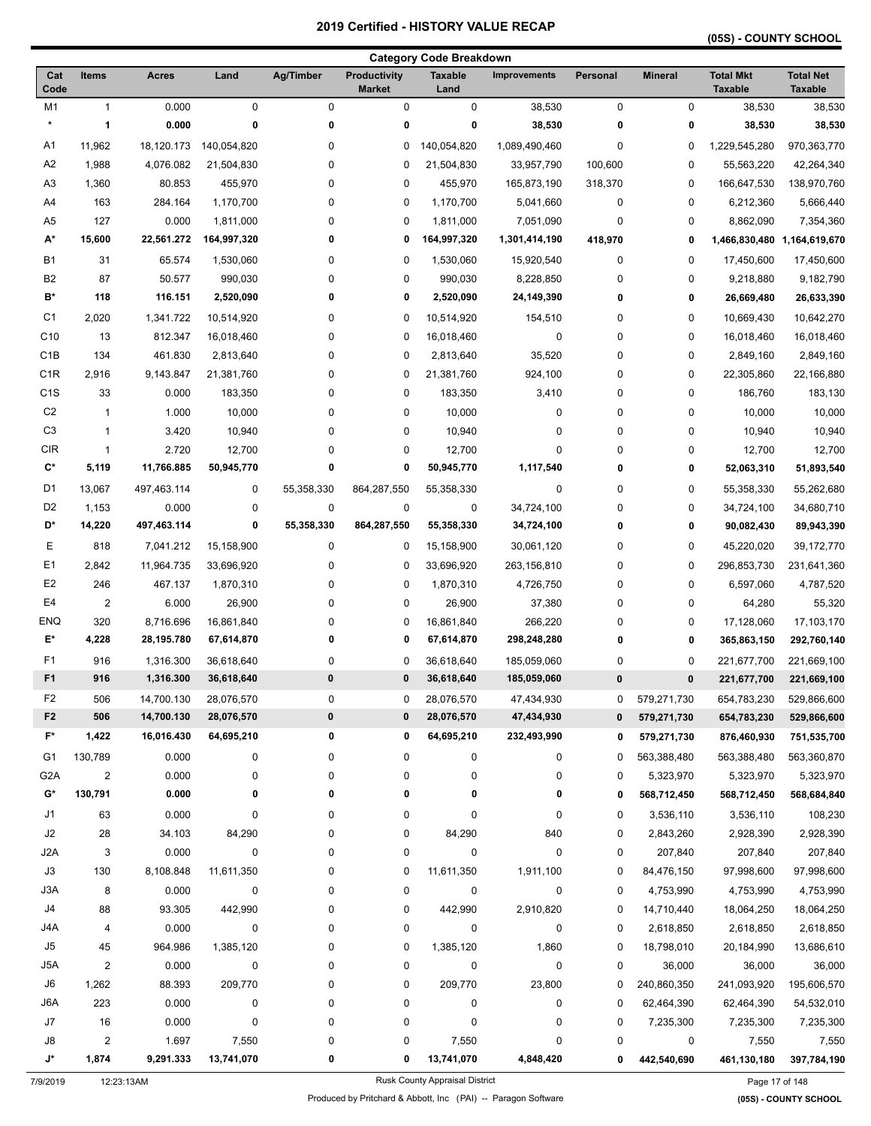# **(05S) - COUNTY SCHOOL**

|                      |                                  |                    |                     |                  |                                      | <b>Category Code Breakdown</b> |                        |             |                  |                                    |                                    |
|----------------------|----------------------------------|--------------------|---------------------|------------------|--------------------------------------|--------------------------------|------------------------|-------------|------------------|------------------------------------|------------------------------------|
| Cat<br>Code          | <b>Items</b>                     | <b>Acres</b>       | Land                | <b>Ag/Timber</b> | <b>Productivity</b><br><b>Market</b> | <b>Taxable</b><br>Land         | <b>Improvements</b>    | Personal    | <b>Mineral</b>   | <b>Total Mkt</b><br><b>Taxable</b> | <b>Total Net</b><br><b>Taxable</b> |
| M1                   | $\mathbf{1}$                     | 0.000              | $\pmb{0}$           | $\mathbf 0$      | 0                                    | $\pmb{0}$                      | 38,530                 | $\mathbf 0$ | $\pmb{0}$        | 38,530                             | 38,530                             |
| $\star$              | 1                                | 0.000              | 0                   | 0                | 0                                    | $\bf{0}$                       | 38,530                 | 0           | 0                | 38,530                             | 38,530                             |
| A1                   | 11,962                           | 18,120.173         | 140,054,820         | 0                | 0                                    | 140,054,820                    | 1,089,490,460          | 0           | 0                | 1,229,545,280                      | 970,363,770                        |
| A <sub>2</sub>       | 1,988                            | 4,076.082          | 21,504,830          | 0                | 0                                    | 21,504,830                     | 33,957,790             | 100,600     | 0                | 55,563,220                         | 42,264,340                         |
| A <sub>3</sub>       | 1,360                            | 80.853             | 455,970             | 0                | 0                                    | 455,970                        | 165,873,190            | 318,370     | 0                | 166,647,530                        | 138,970,760                        |
| A4                   | 163                              | 284.164            | 1,170,700           | 0                | 0                                    | 1,170,700                      | 5,041,660              | 0           | 0                | 6,212,360                          | 5,666,440                          |
| A <sub>5</sub>       | 127                              | 0.000              | 1,811,000           | 0                | 0                                    | 1,811,000                      | 7,051,090              | 0           | 0                | 8,862,090                          | 7,354,360                          |
| A*                   | 15,600                           | 22,561.272         | 164,997,320         | 0                | 0                                    | 164,997,320                    | 1,301,414,190          | 418,970     | 0                | 1,466,830,480                      | 1,164,619,670                      |
| <b>B1</b>            | 31                               | 65.574             | 1,530,060           | 0                | 0                                    | 1,530,060                      | 15,920,540             | 0           | 0                | 17,450,600                         | 17,450,600                         |
| B <sub>2</sub>       | 87                               | 50.577             | 990,030             | 0                | 0                                    | 990,030                        | 8,228,850              | 0           | 0                | 9,218,880                          | 9,182,790                          |
| B*                   | 118                              | 116.151            | 2,520,090           | 0                | 0                                    | 2,520,090                      | 24,149,390             | 0           | 0                | 26,669,480                         | 26,633,390                         |
| C <sub>1</sub>       | 2,020                            | 1,341.722          | 10,514,920          | 0                | 0                                    | 10,514,920                     | 154,510                | 0           | 0                | 10,669,430                         | 10,642,270                         |
| C10                  | 13                               | 812.347            | 16,018,460          | 0                | 0                                    | 16,018,460                     | $\pmb{0}$              | 0           | 0                | 16,018,460                         | 16,018,460                         |
| C <sub>1</sub> B     | 134                              | 461.830            | 2,813,640           | 0                | 0                                    | 2,813,640                      | 35,520                 | 0           | 0                | 2,849,160                          | 2,849,160                          |
| C <sub>1R</sub>      | 2,916                            | 9,143.847          | 21,381,760          | 0                | 0                                    | 21,381,760                     | 924,100                | 0           | 0                | 22,305,860                         | 22,166,880                         |
| C <sub>1</sub> S     | 33                               | 0.000              | 183,350             | 0                | 0                                    | 183,350                        | 3,410                  | 0           | 0                | 186,760                            | 183,130                            |
| C <sub>2</sub>       | $\mathbf{1}$                     | 1.000              | 10,000              | 0                | 0                                    | 10,000                         | $\pmb{0}$              | 0           | 0                | 10,000                             | 10,000                             |
| C <sub>3</sub>       | $\mathbf{1}$                     | 3.420              | 10,940              | 0                | 0                                    | 10,940                         | 0                      | 0           | 0                | 10,940                             | 10,940                             |
| <b>CIR</b>           | $\mathbf{1}$                     | 2.720              | 12,700              | 0                | 0                                    | 12,700                         | 0                      | 0           | 0                | 12,700                             | 12,700                             |
| $\mathbf{C}^{\star}$ | 5,119                            | 11,766.885         | 50,945,770          | 0                | 0                                    | 50,945,770                     | 1,117,540              | 0           | 0                | 52,063,310                         | 51,893,540                         |
| D <sub>1</sub>       | 13,067                           | 497,463.114        | 0                   | 55,358,330       | 864,287,550                          | 55,358,330                     | $\pmb{0}$              | 0           | 0                | 55,358,330                         | 55,262,680                         |
| D <sub>2</sub>       | 1,153                            | 0.000              | 0                   | $\mathbf 0$      | 0                                    | 0                              | 34,724,100             | 0           | 0                | 34,724,100                         | 34,680,710                         |
| D*                   | 14,220                           | 497,463.114        | 0                   | 55,358,330       | 864,287,550                          | 55,358,330                     | 34,724,100             | 0           | 0                | 90,082,430                         | 89,943,390                         |
| Ε                    | 818                              | 7,041.212          | 15,158,900          | $\mathbf 0$      | 0                                    | 15,158,900                     | 30,061,120             | 0           | 0                | 45,220,020                         | 39,172,770                         |
| E <sub>1</sub>       | 2,842                            | 11,964.735         | 33,696,920          | 0                | 0                                    | 33,696,920                     | 263,156,810            | 0           | 0                | 296,853,730                        | 231,641,360                        |
| E <sub>2</sub>       | 246                              | 467.137            | 1,870,310           | 0                | 0                                    | 1,870,310                      | 4,726,750              | 0           | 0                | 6,597,060                          | 4,787,520                          |
| E <sub>4</sub>       | $\overline{2}$                   | 6.000              | 26,900              | 0                | 0                                    | 26,900                         | 37,380                 | 0           | 0                | 64,280                             | 55,320                             |
| <b>ENQ</b>           | 320                              | 8,716.696          | 16,861,840          | 0                | 0                                    | 16,861,840                     | 266,220                | 0           | 0                | 17,128,060                         | 17,103,170                         |
| E*                   | 4,228                            | 28,195.780         | 67,614,870          | 0                | 0                                    | 67,614,870                     | 298,248,280            | 0           | 0                | 365,863,150                        | 292,760,140                        |
| F <sub>1</sub>       | 916                              | 1,316.300          | 36,618,640          | 0                | 0                                    | 36,618,640                     | 185,059,060            | 0           | 0                | 221,677,700                        | 221,669,100                        |
| F <sub>1</sub>       | 916                              | 1,316.300          | 36,618,640          | $\pmb{0}$        | 0                                    | 36,618,640                     | 185,059,060            | 0           | $\pmb{0}$        | 221,677,700                        | 221,669,100                        |
| F <sub>2</sub>       | 506                              | 14,700.130         | 28,076,570          | 0                | 0                                    | 28,076,570                     | 47,434,930             | 0           | 579,271,730      | 654,783,230                        | 529,866,600                        |
| F2                   | 506                              | 14,700.130         | 28,076,570          | $\pmb{0}$        | 0                                    | 28,076,570                     | 47,434,930             | $\bf{0}$    | 579,271,730      | 654,783,230                        | 529,866,600                        |
| F*                   | 1,422                            | 16,016.430         | 64,695,210          | 0                | 0                                    | 64,695,210                     | 232,493,990            | 0           | 579,271,730      | 876,460,930                        | 751,535,700                        |
| G1                   | 130.789                          | 0.000              | 0                   | 0                | 0                                    | 0                              | 0                      | 0           | 563,388,480      | 563,388,480                        | 563,360,870                        |
| G <sub>2</sub> A     | $\overline{2}$                   | 0.000              | 0                   | 0                | 0                                    | 0                              | 0                      | 0           | 5,323,970        | 5,323,970                          | 5,323,970                          |
| G*                   | 130,791                          | 0.000              | 0                   | 0                | 0                                    | 0                              | 0                      | 0           | 568,712,450      | 568,712,450                        | 568,684,840                        |
| J1                   | 63                               | 0.000              | $\pmb{0}$           | 0                |                                      | 0                              | 0                      | 0           |                  |                                    | 108,230                            |
| J2                   |                                  |                    |                     |                  | 0                                    |                                |                        |             | 3,536,110        | 3,536,110                          |                                    |
|                      | 28                               | 34.103             | 84,290<br>$\pmb{0}$ | 0                | 0                                    | 84,290                         | 840<br>$\pmb{0}$       | 0           | 2,843,260        | 2,928,390                          | 2,928,390                          |
| J2A<br>J3            | 3                                | 0.000              |                     | 0                | 0                                    | 0                              |                        | 0           | 207,840          | 207,840                            | 207,840                            |
|                      | 130                              | 8,108.848          | 11,611,350          | 0                | 0                                    | 11,611,350                     | 1,911,100              | 0           | 84,476,150       | 97,998,600                         | 97,998,600                         |
| J3A<br>J4            | 8                                | 0.000              | 0                   | 0                | 0                                    | 0                              | 0                      | 0           | 4,753,990        | 4,753,990                          | 4,753,990                          |
|                      | 88                               | 93.305             | 442,990             | 0                | 0                                    | 442,990                        | 2,910,820              | 0           | 14,710,440       | 18,064,250                         | 18,064,250                         |
| J4A                  | 4                                | 0.000              | $\pmb{0}$           | 0                | 0                                    | 0                              | $\pmb{0}$              | 0           | 2,618,850        | 2,618,850                          | 2,618,850                          |
| J5                   | 45                               | 964.986            | 1,385,120           | 0                | 0                                    | 1,385,120                      | 1,860                  | 0           | 18,798,010       | 20,184,990                         | 13,686,610                         |
| J5A                  | $\overline{2}$                   | 0.000              | 0                   | 0                | 0                                    | 0                              | 0                      | 0           | 36,000           | 36,000                             | 36,000                             |
| J6                   | 1,262                            | 88.393             | 209,770             | 0                | 0                                    | 209,770                        | 23,800                 | 0           | 240,860,350      | 241,093,920                        | 195,606,570                        |
| J6A<br>$\sf J7$      | 223                              | 0.000<br>0.000     | 0                   | 0                | 0                                    | 0<br>0                         | 0                      | 0           | 62,464,390       | 62,464,390                         | 54,532,010                         |
|                      | 16                               |                    | $\pmb{0}$           | 0                | 0                                    |                                | 0                      | 0           | 7,235,300        | 7,235,300                          | 7,235,300                          |
| ${\sf J}8$<br>J*     | $\overline{\mathbf{c}}$<br>1,874 | 1.697<br>9,291.333 | 7,550<br>13,741,070 | 0<br>0           | 0<br>0                               | 7,550<br>13,741,070            | $\pmb{0}$<br>4,848,420 | 0<br>0      | 0<br>442,540,690 | 7,550<br>461,130,180               | 7,550<br>397,784,190               |
|                      |                                  |                    |                     |                  |                                      |                                |                        |             |                  |                                    |                                    |

7/9/2019 12:23:13AM Rusk County Appraisal District Page 17 of 148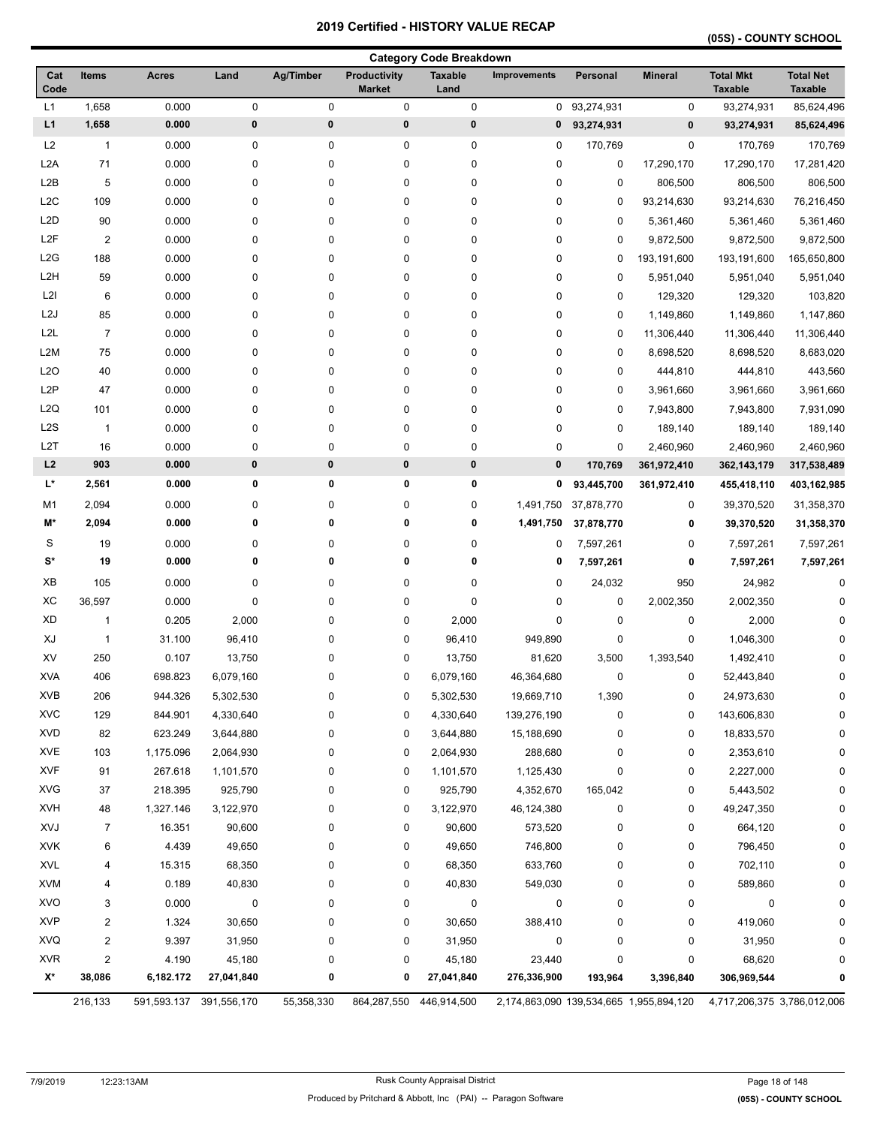# **(05S) - COUNTY SCHOOL**

|                  |                |              |                         |             |                                      | <b>Category Code Breakdown</b> |                     |             |                                         |                                    |                                    |
|------------------|----------------|--------------|-------------------------|-------------|--------------------------------------|--------------------------------|---------------------|-------------|-----------------------------------------|------------------------------------|------------------------------------|
| Cat<br>Code      | <b>Items</b>   | <b>Acres</b> | Land                    | Ag/Timber   | <b>Productivity</b><br><b>Market</b> | <b>Taxable</b><br>Land         | <b>Improvements</b> | Personal    | <b>Mineral</b>                          | <b>Total Mkt</b><br><b>Taxable</b> | <b>Total Net</b><br><b>Taxable</b> |
| L1               | 1,658          | 0.000        | 0                       | 0           | $\pmb{0}$                            | $\pmb{0}$                      | 0                   | 93,274,931  | 0                                       | 93,274,931                         | 85,624,496                         |
| L1               | 1,658          | 0.000        | $\pmb{0}$               | $\bf{0}$    | $\pmb{0}$                            | 0                              | 0                   | 93,274,931  | 0                                       | 93,274,931                         | 85,624,496                         |
| L2               | $\mathbf{1}$   | 0.000        | 0                       | 0           | 0                                    | 0                              | 0                   | 170,769     | 0                                       | 170,769                            | 170,769                            |
| L <sub>2</sub> A | 71             | 0.000        | 0                       | 0           | 0                                    | $\pmb{0}$                      | 0                   | 0           | 17,290,170                              | 17,290,170                         | 17,281,420                         |
| L <sub>2</sub> B | 5              | 0.000        | 0                       | 0           | 0                                    | $\pmb{0}$                      | 0                   | 0           | 806,500                                 | 806,500                            | 806,500                            |
| L <sub>2</sub> C | 109            | 0.000        | 0                       | 0           | 0                                    | $\pmb{0}$                      | 0                   | $\mathbf 0$ | 93,214,630                              | 93,214,630                         | 76,216,450                         |
| L <sub>2</sub> D | 90             | 0.000        | 0                       | 0           | 0                                    | 0                              | 0                   | 0           | 5,361,460                               | 5,361,460                          | 5,361,460                          |
| L <sub>2</sub> F | $\overline{2}$ | 0.000        | 0                       | 0           | 0                                    | 0                              | 0                   | 0           | 9,872,500                               | 9,872,500                          | 9,872,500                          |
| L2G              | 188            | 0.000        | 0                       | 0           | 0                                    | 0                              | 0                   | 0           | 193,191,600                             | 193,191,600                        | 165,650,800                        |
| L <sub>2</sub> H | 59             | 0.000        | 0                       | 0           | 0                                    | 0                              | 0                   | 0           | 5,951,040                               | 5,951,040                          | 5,951,040                          |
| L2I              | 6              | 0.000        | 0                       | 0           | 0                                    | $\pmb{0}$                      | 0                   | 0           | 129,320                                 | 129,320                            | 103,820                            |
| L <sub>2</sub> J | 85             | 0.000        | 0                       | 0           | 0                                    | $\pmb{0}$                      | 0                   | 0           | 1,149,860                               | 1,149,860                          | 1,147,860                          |
| L <sub>2</sub> L | $\overline{7}$ | 0.000        | 0                       | 0           | 0                                    | 0                              | 0                   | 0           | 11,306,440                              | 11,306,440                         | 11,306,440                         |
| L2M              | 75             | 0.000        | 0                       | 0           | 0                                    | 0                              | 0                   | 0           | 8,698,520                               | 8,698,520                          | 8,683,020                          |
| L <sub>20</sub>  | 40             | 0.000        | 0                       | 0           | 0                                    | 0                              | 0                   | 0           | 444,810                                 | 444,810                            | 443,560                            |
| L <sub>2</sub> P | 47             | 0.000        | 0                       | 0           | 0                                    | 0                              | 0                   | $\mathbf 0$ | 3,961,660                               | 3,961,660                          | 3,961,660                          |
| L <sub>2</sub> Q | 101            | 0.000        | 0                       | 0           | 0                                    | $\pmb{0}$                      | 0                   | $\mathbf 0$ | 7,943,800                               | 7,943,800                          | 7,931,090                          |
| L <sub>2</sub> S | $\mathbf{1}$   | 0.000        | 0                       | 0           | 0                                    | $\pmb{0}$                      | 0                   | 0           | 189,140                                 | 189,140                            | 189,140                            |
| L <sub>2</sub> T | 16             | 0.000        | 0                       | $\pmb{0}$   | 0                                    | $\pmb{0}$                      | 0                   | 0           | 2,460,960                               | 2,460,960                          | 2,460,960                          |
| L2               | 903            | 0.000        | $\pmb{0}$               | $\pmb{0}$   | $\pmb{0}$                            | $\pmb{0}$                      | $\pmb{0}$           | 170,769     | 361,972,410                             | 362, 143, 179                      | 317,538,489                        |
| L*               | 2,561          | 0.000        | 0                       | 0           | 0                                    | 0                              | 0                   | 93,445,700  | 361,972,410                             | 455,418,110                        | 403,162,985                        |
| M <sub>1</sub>   | 2,094          | 0.000        | 0                       | 0           | 0                                    | $\pmb{0}$                      | 1,491,750           | 37,878,770  | 0                                       | 39,370,520                         | 31,358,370                         |
| M*               | 2,094          | 0.000        | 0                       | $\mathbf 0$ | 0                                    | 0                              | 1,491,750           | 37,878,770  | 0                                       | 39,370,520                         | 31,358,370                         |
| S                | 19             | 0.000        | 0                       | 0           | 0                                    | 0                              | 0                   | 7,597,261   | 0                                       | 7,597,261                          | 7,597,261                          |
| $\mathbf{S}^*$   | 19             | 0.000        | 0                       | $\mathbf 0$ | 0                                    | 0                              | 0                   | 7,597,261   | 0                                       | 7,597,261                          | 7,597,261                          |
| XB               | 105            | 0.000        | 0                       | 0           | 0                                    | 0                              | 0                   | 24,032      | 950                                     | 24,982                             | $\mathbf 0$                        |
| XC               | 36,597         | 0.000        | 0                       | 0           | 0                                    | $\pmb{0}$                      | 0                   | 0           | 2,002,350                               | 2,002,350                          | U                                  |
| <b>XD</b>        | $\mathbf{1}$   | 0.205        | 2,000                   | 0           | 0                                    | 2,000                          | 0                   | 0           | 0                                       | 2,000                              |                                    |
| XJ               | $\mathbf{1}$   | 31.100       | 96,410                  | 0           | 0                                    | 96,410                         | 949,890             | 0           | 0                                       | 1,046,300                          |                                    |
| XV               | 250            | 0.107        | 13,750                  | 0           | 0                                    | 13,750                         | 81,620              | 3,500       | 1,393,540                               | 1,492,410                          |                                    |
| <b>XVA</b>       | 406            | 698.823      | 6,079,160               | 0           | 0                                    | 6,079,160                      | 46,364,680          | 0           | 0                                       | 52,443,840                         | 0                                  |
| XVB              | 206            | 944.326      | 5,302,530               | 0           | 0                                    | 5,302,530                      | 19,669,710          | 1,390       | 0                                       | 24,973,630                         | O                                  |
| <b>XVC</b>       | 129            | 844.901      | 4,330,640               | 0           | 0                                    | 4,330,640                      | 139,276,190         | 0           | 0                                       | 143,606,830                        | 0                                  |
| <b>XVD</b>       | 82             | 623.249      | 3,644,880               | 0           | 0                                    | 3,644,880                      | 15,188,690          | 0           | 0                                       | 18,833,570                         |                                    |
| <b>XVE</b>       | 103            | 1,175.096    | 2,064,930               | 0           | 0                                    | 2,064,930                      | 288,680             | 0           | 0                                       | 2,353,610                          |                                    |
| <b>XVF</b>       | 91             | 267.618      | 1,101,570               | 0           | 0                                    | 1,101,570                      | 1,125,430           | 0           | 0                                       | 2,227,000                          |                                    |
| <b>XVG</b>       | 37             | 218.395      | 925,790                 | 0           | 0                                    | 925,790                        | 4,352,670           | 165,042     | 0                                       | 5,443,502                          |                                    |
| <b>XVH</b>       | 48             | 1,327.146    | 3,122,970               | 0           | 0                                    | 3,122,970                      | 46,124,380          | 0           | 0                                       | 49,247,350                         |                                    |
| XVJ              | $\overline{7}$ | 16.351       | 90,600                  | 0           | 0                                    | 90,600                         | 573,520             | 0           | 0                                       | 664,120                            |                                    |
| <b>XVK</b>       | 6              | 4.439        | 49,650                  | 0           | 0                                    | 49,650                         | 746,800             | 0           | 0                                       | 796,450                            |                                    |
| <b>XVL</b>       | 4              | 15.315       | 68,350                  | 0           | 0                                    | 68,350                         | 633,760             | 0           | 0                                       | 702,110                            | ŋ                                  |
| <b>XVM</b>       | 4              | 0.189        | 40,830                  | 0           | 0                                    | 40,830                         | 549,030             | 0           | 0                                       | 589,860                            |                                    |
| <b>XVO</b>       | 3              | 0.000        | 0                       | 0           | 0                                    | 0                              | 0                   | 0           | 0                                       | 0                                  | 0                                  |
| <b>XVP</b>       | 2              | 1.324        | 30,650                  | 0           | 0                                    | 30,650                         | 388,410             | 0           | 0                                       | 419,060                            |                                    |
| XVQ              | 2              | 9.397        | 31,950                  | 0           | 0                                    | 31,950                         | 0                   | 0           | 0                                       | 31,950                             |                                    |
| <b>XVR</b>       | $\overline{2}$ | 4.190        | 45,180                  | 0           | 0                                    | 45,180                         | 23,440              | 0           | 0                                       | 68,620                             |                                    |
| X*               | 38,086         | 6,182.172    | 27,041,840              | 0           | 0                                    | 27,041,840                     | 276,336,900         | 193,964     | 3,396,840                               | 306,969,544                        |                                    |
|                  | 216,133        |              | 591,593.137 391,556,170 | 55,358,330  | 864,287,550                          | 446,914,500                    |                     |             | 2,174,863,090 139,534,665 1,955,894,120 | 4,717,206,375 3,786,012,006        |                                    |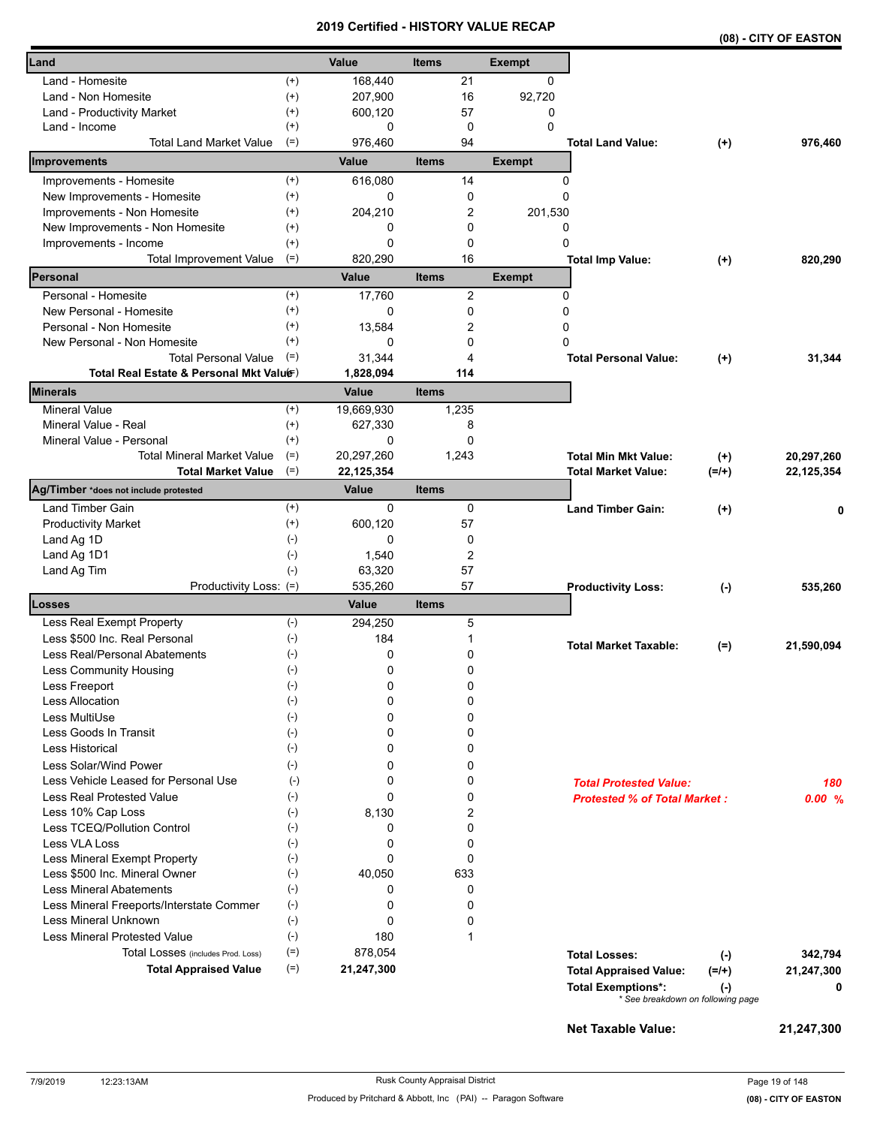|                                          |                    |                     |                |               |                                     |           | (08) - CITY OF EASTON |
|------------------------------------------|--------------------|---------------------|----------------|---------------|-------------------------------------|-----------|-----------------------|
| Land                                     |                    | Value               | <b>Items</b>   | <b>Exempt</b> |                                     |           |                       |
| Land - Homesite                          | $^{(+)}$           | 168,440             | 21             | 0             |                                     |           |                       |
| Land - Non Homesite                      | $^{(+)}$           | 207,900             | 16             | 92,720        |                                     |           |                       |
| Land - Productivity Market               | $^{(+)}$           | 600,120             | 57             | 0             |                                     |           |                       |
| Land - Income                            | $^{(+)}$           | 0                   | 0              | $\Omega$      |                                     |           |                       |
| <b>Total Land Market Value</b>           | $(=)$              | 976,460             | 94             |               | <b>Total Land Value:</b>            | $(+)$     | 976,460               |
| Improvements                             |                    | Value               | <b>Items</b>   | <b>Exempt</b> |                                     |           |                       |
| Improvements - Homesite                  | $^{(+)}$           | 616,080             | 14             |               | 0                                   |           |                       |
| New Improvements - Homesite              | $^{(+)}$           | 0                   | 0              |               | 0                                   |           |                       |
| Improvements - Non Homesite              | $^{(+)}$           | 204,210             | 2              | 201,530       |                                     |           |                       |
| New Improvements - Non Homesite          | $^{(+)}$           | 0                   | 0              |               | 0                                   |           |                       |
| Improvements - Income                    | $^{(+)}$           | 0                   | 0              |               | 0                                   |           |                       |
| <b>Total Improvement Value</b>           | $(=)$              | 820,290             | 16             |               | <b>Total Imp Value:</b>             | $(+)$     | 820,290               |
| Personal                                 |                    | Value               | <b>Items</b>   | <b>Exempt</b> |                                     |           |                       |
| Personal - Homesite                      | $^{(+)}$           | 17,760              | $\overline{c}$ |               | 0                                   |           |                       |
| New Personal - Homesite                  | $^{(+)}$           | 0                   | 0              |               | 0                                   |           |                       |
| Personal - Non Homesite                  | $^{(+)}$           | 13,584              | 2              | 0             |                                     |           |                       |
| New Personal - Non Homesite              | $^{(+)}$           | 0                   | 0              | 0             |                                     |           |                       |
| <b>Total Personal Value</b>              | $(=)$              | 31.344              | 4              |               | <b>Total Personal Value:</b>        | $(+)$     | 31,344                |
| Total Real Estate & Personal Mkt Valuer) |                    | 1,828,094           | 114            |               |                                     |           |                       |
| <b>Minerals</b>                          |                    | Value               | <b>Items</b>   |               |                                     |           |                       |
| <b>Mineral Value</b>                     | $^{(+)}$           | 19,669,930          | 1,235          |               |                                     |           |                       |
| Mineral Value - Real                     | $^{(+)}$           | 627,330             | 8              |               |                                     |           |                       |
| Mineral Value - Personal                 | $^{(+)}$           | 0                   | 0              |               |                                     |           |                       |
| <b>Total Mineral Market Value</b>        | $(=)$              | 20,297,260          | 1,243          |               | <b>Total Min Mkt Value:</b>         | $(+)$     | 20,297,260            |
| <b>Total Market Value</b>                | $(=)$              | 22,125,354<br>Value |                |               | <b>Total Market Value:</b>          | $(=/+)$   | 22, 125, 354          |
| Ag/Timber *does not include protested    |                    |                     | <b>Items</b>   |               |                                     |           |                       |
| Land Timber Gain                         | $^{(+)}$           | 0                   | 0              |               | <b>Land Timber Gain:</b>            | $(+)$     |                       |
| <b>Productivity Market</b>               | $^{(+)}$           | 600,120             | 57             |               |                                     |           |                       |
| Land Ag 1D                               | $(-)$              | 0                   | 0              |               |                                     |           |                       |
| Land Ag 1D1                              | $(\text{-})$       | 1,540               | 2              |               |                                     |           |                       |
| Land Ag Tim                              | $(-)$              | 63,320<br>535,260   | 57<br>57       |               |                                     |           | 535,260               |
| Productivity Loss: (=)<br><b>Losses</b>  |                    | Value               | <b>Items</b>   |               | <b>Productivity Loss:</b>           | $(-)$     |                       |
| Less Real Exempt Property                | $(-)$              | 294,250             | 5              |               |                                     |           |                       |
| Less \$500 Inc. Real Personal            | $(-)$              | 184                 |                |               |                                     |           |                       |
| <b>Less Real/Personal Abatements</b>     | $(\textnormal{-})$ | 0                   | 0              |               | <b>Total Market Taxable:</b>        | $(=)$     | 21,590,094            |
| <b>Less Community Housing</b>            | $(\text{-})$       | 0                   | 0              |               |                                     |           |                       |
| Less Freeport                            | $(\text{-})$       | 0                   | 0              |               |                                     |           |                       |
| <b>Less Allocation</b>                   | $(-)$              | 0                   | 0              |               |                                     |           |                       |
| Less MultiUse                            | $(-)$              | 0                   | 0              |               |                                     |           |                       |
| Less Goods In Transit                    | $(\text{-})$       | 0                   | 0              |               |                                     |           |                       |
| <b>Less Historical</b>                   | $(-)$              | 0                   | 0              |               |                                     |           |                       |
| Less Solar/Wind Power                    | $(-)$              | 0                   | 0              |               |                                     |           |                       |
| Less Vehicle Leased for Personal Use     | $(-)$              | 0                   | 0              |               | <b>Total Protested Value:</b>       |           | 180                   |
| Less Real Protested Value                | $(-)$              | 0                   | 0              |               | <b>Protested % of Total Market:</b> |           | 0.00%                 |
| Less 10% Cap Loss                        | $(-)$              | 8,130               | 2              |               |                                     |           |                       |
| Less TCEQ/Pollution Control              | $(-)$              | 0                   | 0              |               |                                     |           |                       |
| <b>Less VLA Loss</b>                     | $(\cdot)$          | 0                   | 0              |               |                                     |           |                       |
| Less Mineral Exempt Property             | $(-)$              | 0                   | 0              |               |                                     |           |                       |
| Less \$500 Inc. Mineral Owner            | $(-)$              | 40,050              | 633            |               |                                     |           |                       |
| <b>Less Mineral Abatements</b>           | $(-)$              | 0                   | 0              |               |                                     |           |                       |
| Less Mineral Freeports/Interstate Commer | $(-)$              | 0                   | 0              |               |                                     |           |                       |
| Less Mineral Unknown                     | $(-)$              | 0                   | 0              |               |                                     |           |                       |
| <b>Less Mineral Protested Value</b>      | $(-)$              | 180                 | 1              |               |                                     |           |                       |
| Total Losses (includes Prod. Loss)       | $(=)$              | 878,054             |                |               | <b>Total Losses:</b>                | $(-)$     | 342,794               |
| <b>Total Appraised Value</b>             | $(=)$              | 21,247,300          |                |               | <b>Total Appraised Value:</b>       | $(=/+)$   | 21,247,300            |
|                                          |                    |                     |                |               | <b>Total Exemptions*:</b>           | $(\cdot)$ | 0                     |
|                                          |                    |                     |                |               | * See breakdown on following page   |           |                       |
|                                          |                    |                     |                |               | <b>Net Taxable Value:</b>           |           | 21,247,300            |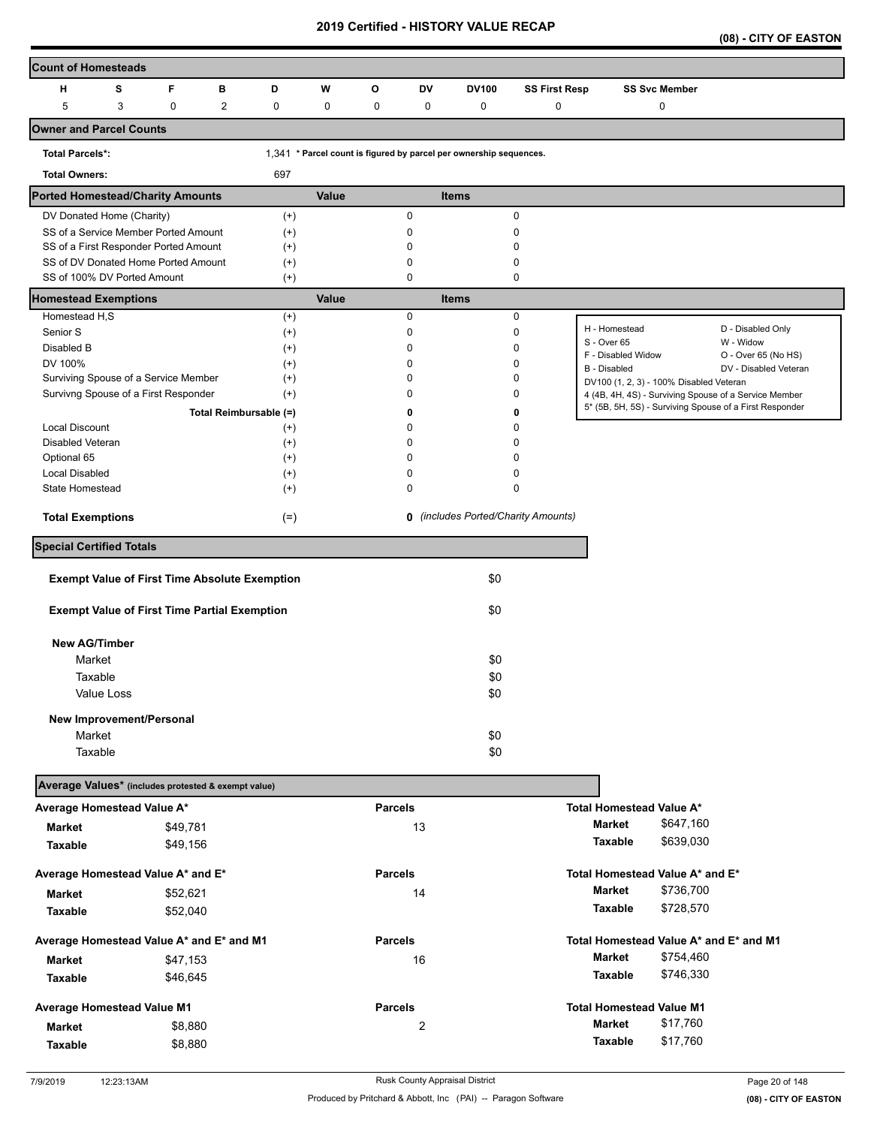| (08) - CITY OF EASTON |
|-----------------------|
|-----------------------|

| <b>Count of Homesteads</b>                                                   |            |             |                |                                                      |       |                |                         |                                                                    |                      |                                         |                      |                                                                                                                  |
|------------------------------------------------------------------------------|------------|-------------|----------------|------------------------------------------------------|-------|----------------|-------------------------|--------------------------------------------------------------------|----------------------|-----------------------------------------|----------------------|------------------------------------------------------------------------------------------------------------------|
| н                                                                            | s          | F           | в              | D                                                    | W     | O              | DV                      | DV100                                                              | <b>SS First Resp</b> |                                         | <b>SS Svc Member</b> |                                                                                                                  |
| 5                                                                            | 3          | $\mathbf 0$ | $\overline{c}$ | $\pmb{0}$                                            | 0     | $\mathbf 0$    | 0                       | $\pmb{0}$                                                          | 0                    |                                         | 0                    |                                                                                                                  |
| Owner and Parcel Counts                                                      |            |             |                |                                                      |       |                |                         |                                                                    |                      |                                         |                      |                                                                                                                  |
| <b>Total Parcels*:</b>                                                       |            |             |                |                                                      |       |                |                         | 1,341 * Parcel count is figured by parcel per ownership sequences. |                      |                                         |                      |                                                                                                                  |
| <b>Total Owners:</b>                                                         |            |             |                | 697                                                  |       |                |                         |                                                                    |                      |                                         |                      |                                                                                                                  |
| <b>Ported Homestead/Charity Amounts</b>                                      |            |             |                |                                                      | Value |                |                         | <b>Items</b>                                                       |                      |                                         |                      |                                                                                                                  |
| DV Donated Home (Charity)                                                    |            |             |                | $(+)$                                                |       |                | 0                       |                                                                    | 0                    |                                         |                      |                                                                                                                  |
| SS of a Service Member Ported Amount                                         |            |             |                | $(+)$                                                |       |                | 0                       |                                                                    | 0                    |                                         |                      |                                                                                                                  |
| SS of a First Responder Ported Amount<br>SS of DV Donated Home Ported Amount |            |             |                | $^{(+)}$<br>$^{(+)}$                                 |       |                | 0<br>0                  |                                                                    | 0<br>0               |                                         |                      |                                                                                                                  |
| SS of 100% DV Ported Amount                                                  |            |             |                | $^{(+)}$                                             |       |                | 0                       |                                                                    | 0                    |                                         |                      |                                                                                                                  |
| <b>Homestead Exemptions</b>                                                  |            |             |                |                                                      | Value |                |                         | <b>Items</b>                                                       |                      |                                         |                      |                                                                                                                  |
| Homestead H,S                                                                |            |             |                | $^{(+)}$                                             |       |                | 0                       |                                                                    | 0                    |                                         |                      |                                                                                                                  |
| Senior S                                                                     |            |             |                | $^{(+)}$                                             |       |                | 0                       |                                                                    | $\mathbf 0$          | H - Homestead<br>S - Over 65            |                      | D - Disabled Only<br>W - Widow                                                                                   |
| Disabled B                                                                   |            |             |                | $^{(+)}$                                             |       |                | 0                       |                                                                    | $\Omega$             | F - Disabled Widow                      |                      | O - Over 65 (No HS)                                                                                              |
| DV 100%                                                                      |            |             |                | $^{(+)}$                                             |       |                | 0                       |                                                                    | 0                    | B - Disabled                            |                      | DV - Disabled Veteran                                                                                            |
| Surviving Spouse of a Service Member                                         |            |             |                | $^{(+)}$                                             |       |                | 0                       |                                                                    | $\mathbf 0$          | DV100 (1, 2, 3) - 100% Disabled Veteran |                      |                                                                                                                  |
| Survivng Spouse of a First Responder                                         |            |             |                | $^{(+)}$                                             |       |                | 0                       |                                                                    | 0                    |                                         |                      | 4 (4B, 4H, 4S) - Surviving Spouse of a Service Member<br>5* (5B, 5H, 5S) - Surviving Spouse of a First Responder |
|                                                                              |            |             |                | Total Reimbursable (=)                               |       |                | 0                       |                                                                    | 0                    |                                         |                      |                                                                                                                  |
| <b>Local Discount</b>                                                        |            |             |                | $^{(+)}$                                             |       |                | 0                       |                                                                    | $\Omega$             |                                         |                      |                                                                                                                  |
| Disabled Veteran                                                             |            |             |                | $^{(+)}$                                             |       |                | $\Omega$                |                                                                    | $\Omega$             |                                         |                      |                                                                                                                  |
| Optional 65                                                                  |            |             |                | $^{(+)}$                                             |       |                | 0                       |                                                                    | $\Omega$             |                                         |                      |                                                                                                                  |
| <b>Local Disabled</b><br><b>State Homestead</b>                              |            |             |                | $^{(+)}$                                             |       |                | 0<br>0                  |                                                                    | 0<br>0               |                                         |                      |                                                                                                                  |
|                                                                              |            |             |                | $^{(+)}$                                             |       |                |                         |                                                                    |                      |                                         |                      |                                                                                                                  |
| <b>Total Exemptions</b>                                                      |            |             |                | $(=)$                                                |       |                |                         | 0 (includes Ported/Charity Amounts)                                |                      |                                         |                      |                                                                                                                  |
| <b>Special Certified Totals</b>                                              |            |             |                |                                                      |       |                |                         |                                                                    |                      |                                         |                      |                                                                                                                  |
|                                                                              |            |             |                | <b>Exempt Value of First Time Absolute Exemption</b> |       |                |                         | \$0                                                                |                      |                                         |                      |                                                                                                                  |
| <b>Exempt Value of First Time Partial Exemption</b>                          |            |             |                |                                                      |       |                |                         | \$0                                                                |                      |                                         |                      |                                                                                                                  |
| <b>New AG/Timber</b>                                                         |            |             |                |                                                      |       |                |                         |                                                                    |                      |                                         |                      |                                                                                                                  |
| Market                                                                       |            |             |                |                                                      |       |                |                         | \$0                                                                |                      |                                         |                      |                                                                                                                  |
| Taxable                                                                      |            |             |                |                                                      |       |                |                         | \$0                                                                |                      |                                         |                      |                                                                                                                  |
|                                                                              | Value Loss |             |                |                                                      |       |                |                         | \$0                                                                |                      |                                         |                      |                                                                                                                  |
| New Improvement/Personal                                                     |            |             |                |                                                      |       |                |                         |                                                                    |                      |                                         |                      |                                                                                                                  |
| Market                                                                       |            |             |                |                                                      |       |                |                         | \$0                                                                |                      |                                         |                      |                                                                                                                  |
| Taxable                                                                      |            |             |                |                                                      |       |                |                         | \$0                                                                |                      |                                         |                      |                                                                                                                  |
| Average Values* (includes protested & exempt value)                          |            |             |                |                                                      |       |                |                         |                                                                    |                      |                                         |                      |                                                                                                                  |
| Average Homestead Value A*                                                   |            |             |                |                                                      |       | <b>Parcels</b> |                         |                                                                    |                      | Total Homestead Value A*                |                      |                                                                                                                  |
|                                                                              |            |             |                |                                                      |       |                |                         |                                                                    |                      | <b>Market</b>                           | \$647,160            |                                                                                                                  |
| Market                                                                       |            | \$49,781    |                |                                                      |       |                | 13                      |                                                                    |                      | Taxable                                 | \$639,030            |                                                                                                                  |
| <b>Taxable</b>                                                               |            | \$49,156    |                |                                                      |       |                |                         |                                                                    |                      |                                         |                      |                                                                                                                  |
| Average Homestead Value A* and E*                                            |            |             |                |                                                      |       | <b>Parcels</b> |                         |                                                                    |                      | Total Homestead Value A* and E*         |                      |                                                                                                                  |
| <b>Market</b>                                                                |            | \$52,621    |                |                                                      |       |                | 14                      |                                                                    |                      | <b>Market</b>                           | \$736,700            |                                                                                                                  |
| Taxable                                                                      |            | \$52,040    |                |                                                      |       |                |                         |                                                                    |                      | Taxable                                 | \$728,570            |                                                                                                                  |
| Average Homestead Value A* and E* and M1                                     |            |             |                |                                                      |       | <b>Parcels</b> |                         |                                                                    |                      |                                         |                      | Total Homestead Value A* and E* and M1                                                                           |
| <b>Market</b>                                                                |            | \$47,153    |                |                                                      |       |                | 16                      |                                                                    |                      | <b>Market</b>                           | \$754,460            |                                                                                                                  |
| Taxable                                                                      |            | \$46,645    |                |                                                      |       |                |                         |                                                                    |                      | Taxable                                 | \$746,330            |                                                                                                                  |
| Average Homestead Value M1                                                   |            |             |                |                                                      |       | <b>Parcels</b> |                         |                                                                    |                      | <b>Total Homestead Value M1</b>         |                      |                                                                                                                  |
|                                                                              |            |             |                |                                                      |       |                |                         |                                                                    |                      | <b>Market</b>                           | \$17,760             |                                                                                                                  |
| Market                                                                       |            | \$8,880     |                |                                                      |       |                | $\overline{\mathbf{c}}$ |                                                                    |                      | Taxable                                 | \$17,760             |                                                                                                                  |
| <b>Taxable</b>                                                               |            | \$8,880     |                |                                                      |       |                |                         |                                                                    |                      |                                         |                      |                                                                                                                  |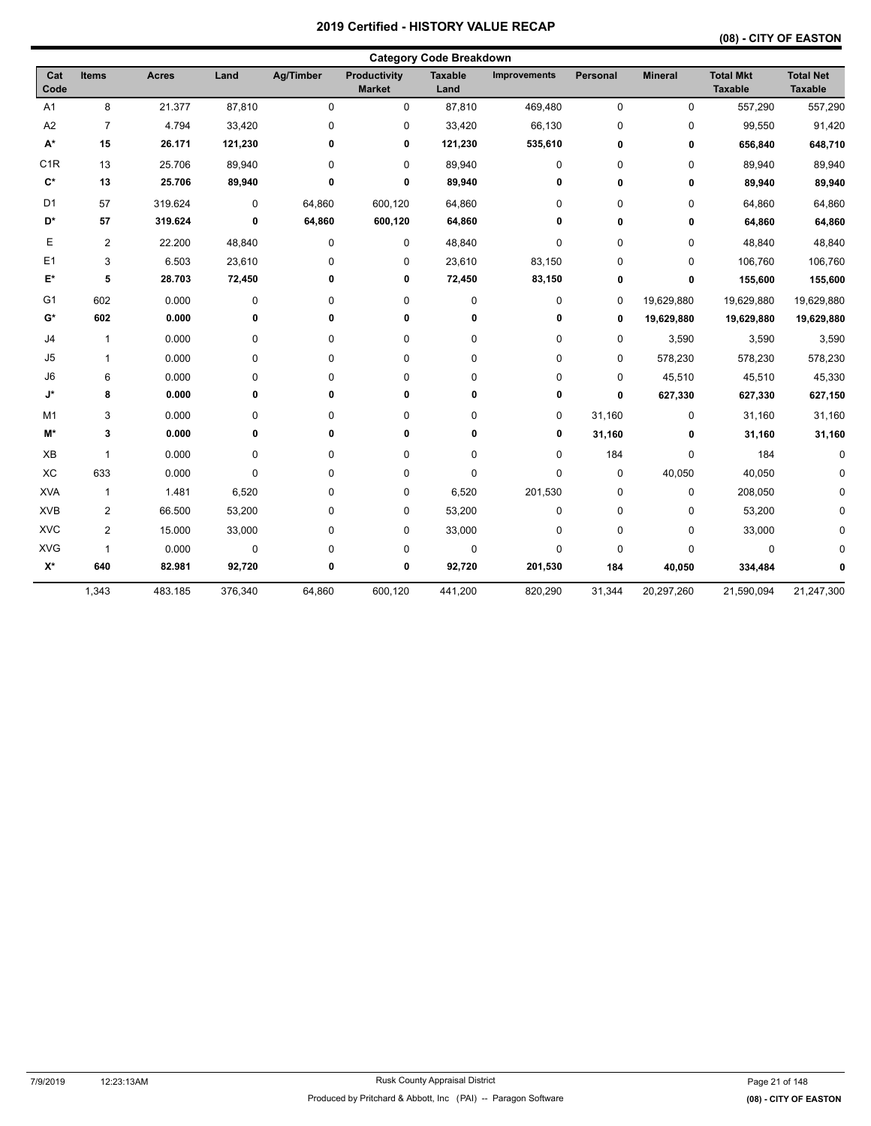| <b>Category Code Breakdown</b> |                |              |           |             |                                      |                        |                     |                 |                |                                    |                                    |  |
|--------------------------------|----------------|--------------|-----------|-------------|--------------------------------------|------------------------|---------------------|-----------------|----------------|------------------------------------|------------------------------------|--|
| Cat<br>Code                    | <b>Items</b>   | <b>Acres</b> | Land      | Ag/Timber   | <b>Productivity</b><br><b>Market</b> | <b>Taxable</b><br>Land | <b>Improvements</b> | <b>Personal</b> | <b>Mineral</b> | <b>Total Mkt</b><br><b>Taxable</b> | <b>Total Net</b><br><b>Taxable</b> |  |
| A <sub>1</sub>                 | 8              | 21.377       | 87,810    | 0           | 0                                    | 87,810                 | 469,480             | 0               | 0              | 557,290                            | 557,290                            |  |
| A <sub>2</sub>                 | $\overline{7}$ | 4.794        | 33,420    | 0           | 0                                    | 33,420                 | 66,130              | 0               | 0              | 99,550                             | 91,420                             |  |
| $\mathsf{A}^\star$             | 15             | 26.171       | 121,230   | 0           | 0                                    | 121,230                | 535,610             | 0               | 0              | 656,840                            | 648,710                            |  |
| C <sub>1R</sub>                | 13             | 25.706       | 89,940    | 0           | 0                                    | 89,940                 | $\pmb{0}$           | 0               | 0              | 89,940                             | 89,940                             |  |
| $\mathbf{C}^*$                 | 13             | 25.706       | 89,940    | 0           | 0                                    | 89,940                 | 0                   | 0               | 0              | 89,940                             | 89,940                             |  |
| D <sub>1</sub>                 | 57             | 319.624      | $\pmb{0}$ | 64,860      | 600,120                              | 64,860                 | 0                   | 0               | $\pmb{0}$      | 64,860                             | 64,860                             |  |
| D*                             | 57             | 319.624      | 0         | 64,860      | 600,120                              | 64,860                 | 0                   | 0               | 0              | 64,860                             | 64,860                             |  |
| Е                              | $\overline{2}$ | 22.200       | 48,840    | $\mathbf 0$ | 0                                    | 48,840                 | $\pmb{0}$           | 0               | 0              | 48,840                             | 48,840                             |  |
| E1                             | 3              | 6.503        | 23,610    | 0           | 0                                    | 23,610                 | 83,150              | 0               | 0              | 106,760                            | 106,760                            |  |
| E*                             | 5              | 28.703       | 72,450    | 0           | 0                                    | 72,450                 | 83,150              | 0               | 0              | 155,600                            | 155,600                            |  |
| G <sub>1</sub>                 | 602            | 0.000        | $\pmb{0}$ | 0           | 0                                    | 0                      | $\pmb{0}$           | 0               | 19,629,880     | 19,629,880                         | 19,629,880                         |  |
| G*                             | 602            | 0.000        | 0         | 0           | 0                                    | 0                      | 0                   | 0               | 19,629,880     | 19,629,880                         | 19,629,880                         |  |
| J <sub>4</sub>                 | $\mathbf{1}$   | 0.000        | $\pmb{0}$ | 0           | 0                                    | 0                      | $\pmb{0}$           | 0               | 3,590          | 3,590                              | 3,590                              |  |
| J5                             | $\mathbf{1}$   | 0.000        | 0         | 0           | 0                                    | 0                      | 0                   | 0               | 578,230        | 578,230                            | 578,230                            |  |
| J <sub>6</sub>                 | 6              | 0.000        | 0         | 0           | 0                                    | 0                      | 0                   | 0               | 45,510         | 45,510                             | 45,330                             |  |
| J*                             | 8              | 0.000        | 0         | 0           | 0                                    | 0                      | 0                   | 0               | 627,330        | 627,330                            | 627,150                            |  |
| M <sub>1</sub>                 | 3              | 0.000        | $\pmb{0}$ | 0           | 0                                    | 0                      | 0                   | 31,160          | $\pmb{0}$      | 31,160                             | 31,160                             |  |
| M*                             | 3              | 0.000        | 0         | 0           | 0                                    | 0                      | 0                   | 31,160          | 0              | 31,160                             | 31,160                             |  |
| XB                             | 1              | 0.000        | $\pmb{0}$ | 0           | 0                                    | 0                      | $\pmb{0}$           | 184             | $\pmb{0}$      | 184                                | $\Omega$                           |  |
| XC                             | 633            | 0.000        | $\pmb{0}$ | 0           | 0                                    | 0                      | $\pmb{0}$           | 0               | 40,050         | 40,050                             | <sup>0</sup>                       |  |
| <b>XVA</b>                     | $\mathbf{1}$   | 1.481        | 6,520     | 0           | 0                                    | 6,520                  | 201,530             | 0               | 0              | 208,050                            |                                    |  |
| <b>XVB</b>                     | $\overline{2}$ | 66.500       | 53,200    | 0           | 0                                    | 53,200                 | $\pmb{0}$           | 0               | 0              | 53,200                             |                                    |  |
| <b>XVC</b>                     | 2              | 15.000       | 33,000    | 0           | 0                                    | 33,000                 | 0                   | 0               | 0              | 33,000                             |                                    |  |
| <b>XVG</b>                     | $\mathbf{1}$   | 0.000        | $\pmb{0}$ | 0           | 0                                    | $\pmb{0}$              | $\pmb{0}$           | 0               | $\mathbf 0$    | $\pmb{0}$                          | n                                  |  |
| $\mathsf{X}^\star$             | 640            | 82.981       | 92,720    | 0           | 0                                    | 92,720                 | 201,530             | 184             | 40,050         | 334,484                            | 0                                  |  |
|                                | 1,343          | 483.185      | 376,340   | 64,860      | 600,120                              | 441,200                | 820,290             | 31,344          | 20,297,260     | 21,590,094                         | 21,247,300                         |  |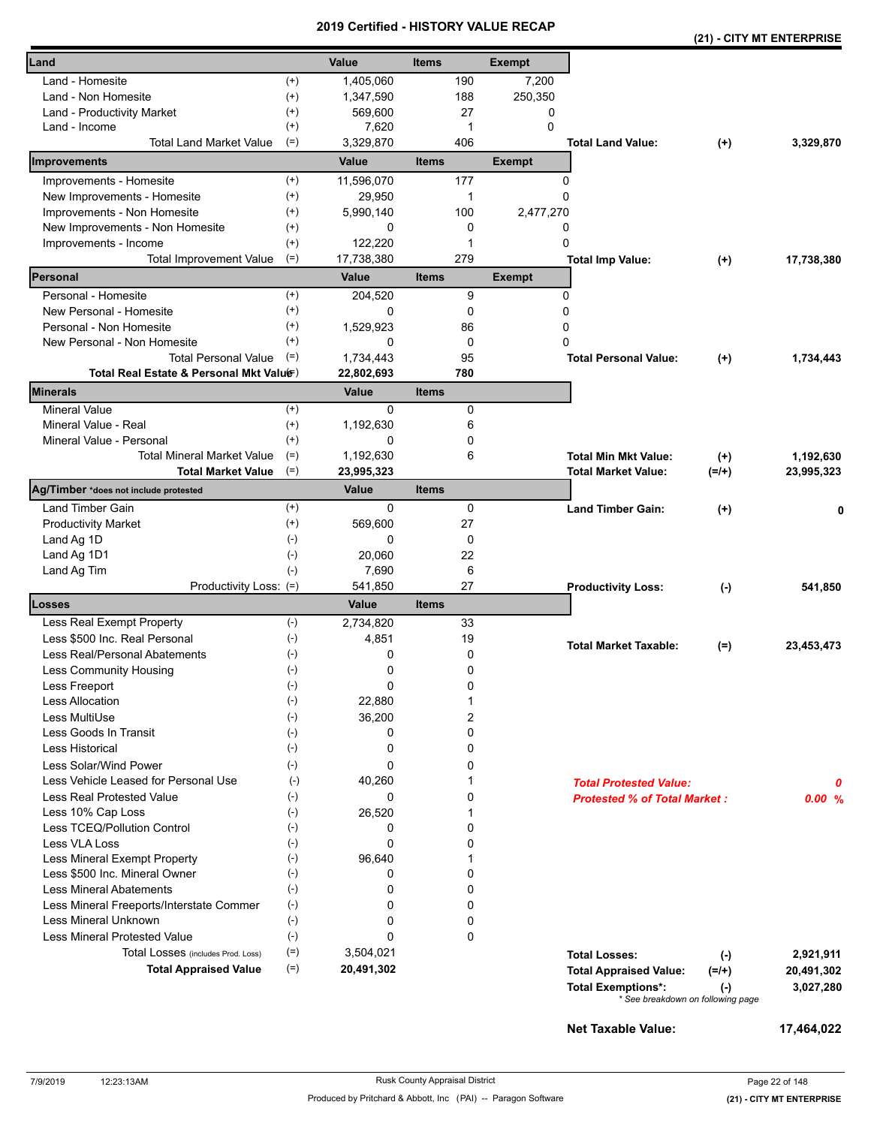|                                          |              |              |              |             |               |                                                            |                                                       | (21) - CITY MT ENTERPRISE |
|------------------------------------------|--------------|--------------|--------------|-------------|---------------|------------------------------------------------------------|-------------------------------------------------------|---------------------------|
| Land                                     |              | Value        | <b>Items</b> |             | <b>Exempt</b> |                                                            |                                                       |                           |
| Land - Homesite                          | $^{(+)}$     | 1,405,060    |              | 190         | 7,200         |                                                            |                                                       |                           |
| Land - Non Homesite                      | $^{(+)}$     | 1,347,590    |              | 188         | 250,350       |                                                            |                                                       |                           |
| Land - Productivity Market               | $(+)$        | 569,600      |              | 27          | 0             |                                                            |                                                       |                           |
| Land - Income                            | $(+)$        | 7,620        |              | -1          | 0             |                                                            |                                                       |                           |
| <b>Total Land Market Value</b>           | $(=)$        | 3,329,870    |              | 406         |               | <b>Total Land Value:</b>                                   | $(+)$                                                 | 3,329,870                 |
| Improvements                             |              | Value        | <b>Items</b> |             | <b>Exempt</b> |                                                            |                                                       |                           |
| Improvements - Homesite                  | $^{(+)}$     | 11,596,070   |              | 177         | 0             |                                                            |                                                       |                           |
| New Improvements - Homesite              | $(+)$        | 29,950       |              | 1           | 0             |                                                            |                                                       |                           |
| Improvements - Non Homesite              | $(+)$        | 5,990,140    |              | 100         | 2,477,270     |                                                            |                                                       |                           |
| New Improvements - Non Homesite          | $^{(+)}$     | 0            |              | 0           | 0             |                                                            |                                                       |                           |
| Improvements - Income                    | $^{(+)}$     | 122,220      |              | 1           | 0             |                                                            |                                                       |                           |
| <b>Total Improvement Value</b>           | $(=)$        | 17,738,380   |              | 279         |               | <b>Total Imp Value:</b>                                    | $(+)$                                                 | 17,738,380                |
| Personal                                 |              | Value        | <b>Items</b> |             | <b>Exempt</b> |                                                            |                                                       |                           |
| Personal - Homesite                      | $^{(+)}$     | 204,520      |              | 9           | 0             |                                                            |                                                       |                           |
| New Personal - Homesite                  | $^{(+)}$     | 0            |              | 0           | 0             |                                                            |                                                       |                           |
| Personal - Non Homesite                  | $(+)$        | 1,529,923    |              | 86          | $\Omega$      |                                                            |                                                       |                           |
| New Personal - Non Homesite              | $^{(+)}$     | $\Omega$     |              | $\mathbf 0$ | 0             |                                                            |                                                       |                           |
| <b>Total Personal Value</b>              | $(=)$        | 1,734,443    |              | 95          |               | <b>Total Personal Value:</b>                               | $(+)$                                                 | 1,734,443                 |
| Total Real Estate & Personal Mkt Valuer) |              | 22,802,693   |              | 780         |               |                                                            |                                                       |                           |
| <b>Minerals</b>                          |              | <b>Value</b> | <b>Items</b> |             |               |                                                            |                                                       |                           |
| <b>Mineral Value</b>                     | $^{(+)}$     | 0            |              | 0           |               |                                                            |                                                       |                           |
| Mineral Value - Real                     | $^{(+)}$     | 1,192,630    |              | 6           |               |                                                            |                                                       |                           |
| Mineral Value - Personal                 | $^{(+)}$     | 0            |              | 0           |               |                                                            |                                                       |                           |
| <b>Total Mineral Market Value</b>        | $(=)$        | 1,192,630    |              | 6           |               | <b>Total Min Mkt Value:</b>                                | $^{(+)}$                                              | 1,192,630                 |
| <b>Total Market Value</b>                | $(=)$        | 23,995,323   |              |             |               | <b>Total Market Value:</b>                                 | $(=/+)$                                               | 23,995,323                |
| Ag/Timber *does not include protested    |              | Value        | <b>Items</b> |             |               |                                                            |                                                       |                           |
| Land Timber Gain                         | $^{(+)}$     | 0            |              | 0           |               | <b>Land Timber Gain:</b>                                   | $^{(+)}$                                              |                           |
| <b>Productivity Market</b>               | $(+)$        | 569,600      |              | 27          |               |                                                            |                                                       |                           |
| Land Ag 1D                               | $(\text{-})$ | 0            |              | 0           |               |                                                            |                                                       |                           |
| Land Ag 1D1                              | $(-)$        | 20,060       |              | 22          |               |                                                            |                                                       |                           |
| Land Ag Tim                              | $(-)$        | 7,690        |              | 6           |               |                                                            |                                                       |                           |
| Productivity Loss: (=)                   |              | 541,850      |              | 27          |               | <b>Productivity Loss:</b>                                  | $(\cdot)$                                             | 541,850                   |
| Losses                                   |              | <b>Value</b> | <b>Items</b> |             |               |                                                            |                                                       |                           |
| Less Real Exempt Property                | $(-)$        | 2,734,820    |              | 33          |               |                                                            |                                                       |                           |
| Less \$500 Inc. Real Personal            | $(-)$        | 4,851        |              | 19          |               | <b>Total Market Taxable:</b>                               | $(=)$                                                 | 23,453,473                |
| Less Real/Personal Abatements            | $(-)$        | 0            |              | 0           |               |                                                            |                                                       |                           |
| Less Community Housing                   | $(\text{-})$ | 0            |              | 0           |               |                                                            |                                                       |                           |
| Less Freeport                            | $(-)$        | 0            |              | 0           |               |                                                            |                                                       |                           |
| <b>Less Allocation</b>                   | $(-)$        | 22,880       |              | 1           |               |                                                            |                                                       |                           |
| Less MultiUse                            | $(-)$        | 36,200       |              | 2           |               |                                                            |                                                       |                           |
| Less Goods In Transit                    | $(-)$        | 0            |              | 0           |               |                                                            |                                                       |                           |
| Less Historical                          | $(-)$        | 0            |              | 0           |               |                                                            |                                                       |                           |
| Less Solar/Wind Power                    | $(-)$        | 0            |              | 0           |               |                                                            |                                                       |                           |
| Less Vehicle Leased for Personal Use     | $(-)$        | 40,260       |              |             |               | <b>Total Protested Value:</b>                              |                                                       | 0                         |
| Less Real Protested Value                | $(-)$        | 0            |              | 0           |               | <b>Protested % of Total Market:</b>                        |                                                       | 0.00%                     |
| Less 10% Cap Loss                        | $(-)$        | 26,520       |              | 1           |               |                                                            |                                                       |                           |
| Less TCEQ/Pollution Control              | $(-)$        | 0            |              | 0           |               |                                                            |                                                       |                           |
| Less VLA Loss                            | $(-)$        | 0            |              | 0           |               |                                                            |                                                       |                           |
| Less Mineral Exempt Property             | $(-)$        | 96,640       |              | 1           |               |                                                            |                                                       |                           |
| Less \$500 Inc. Mineral Owner            | $(-)$        | 0            |              | 0           |               |                                                            |                                                       |                           |
| <b>Less Mineral Abatements</b>           | $(-)$        | $\Omega$     |              | $\mathbf 0$ |               |                                                            |                                                       |                           |
| Less Mineral Freeports/Interstate Commer | $(-)$        | 0            |              | $\mathbf 0$ |               |                                                            |                                                       |                           |
| Less Mineral Unknown                     | $(-)$        | 0            |              | 0           |               |                                                            |                                                       |                           |
| <b>Less Mineral Protested Value</b>      | $(-)$        | 0            |              | 0           |               |                                                            |                                                       |                           |
| Total Losses (includes Prod. Loss)       | $(=)$        | 3,504,021    |              |             |               | <b>Total Losses:</b>                                       | $(-)$                                                 | 2,921,911                 |
| <b>Total Appraised Value</b>             | $(=)$        | 20,491,302   |              |             |               | <b>Total Appraised Value:</b><br><b>Total Exemptions*:</b> | $(=/+)$<br>$(-)$<br>* See breakdown on following page | 20,491,302<br>3,027,280   |
|                                          |              |              |              |             |               |                                                            |                                                       |                           |

**Net Taxable Value: 17,464,022**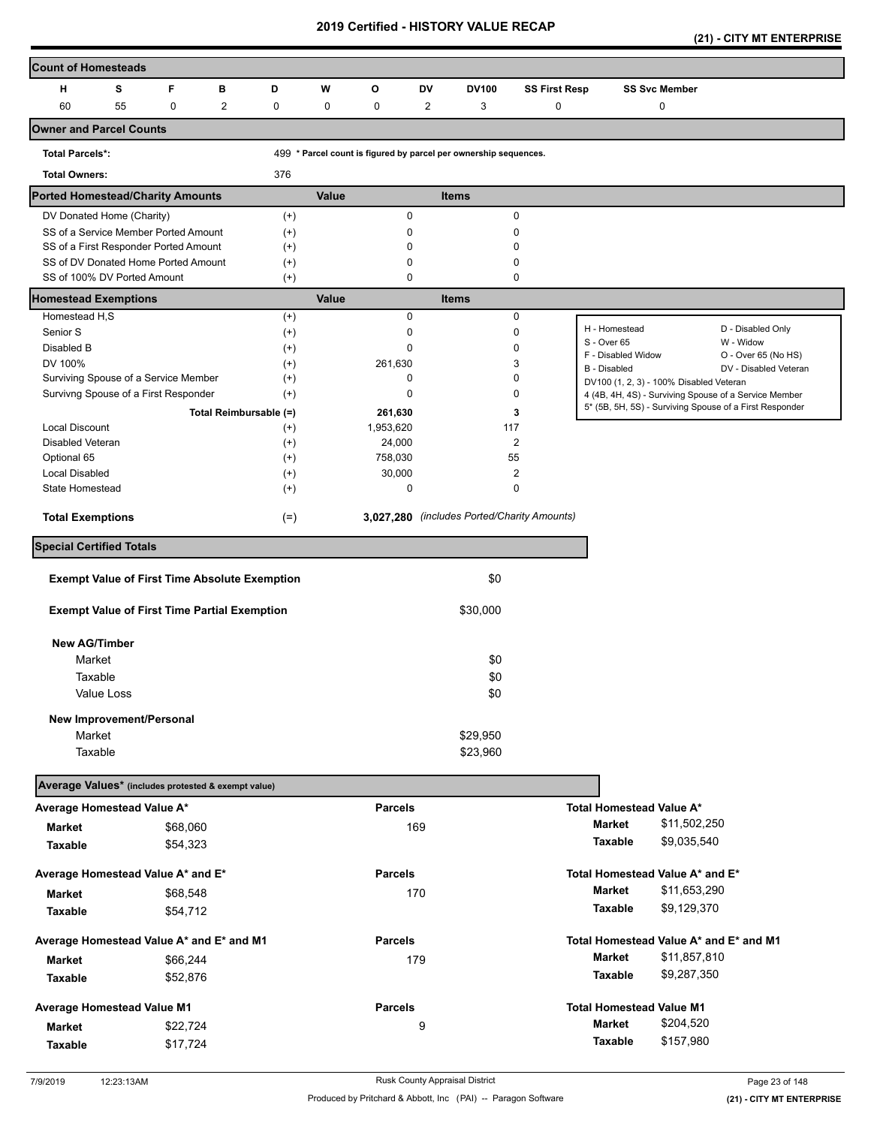| <b>Count of Homesteads</b>                                                   |    |             |                        |                      |       |                   |                |                                                                  |                      |                                         |                      |                                                                                                                  |
|------------------------------------------------------------------------------|----|-------------|------------------------|----------------------|-------|-------------------|----------------|------------------------------------------------------------------|----------------------|-----------------------------------------|----------------------|------------------------------------------------------------------------------------------------------------------|
| н                                                                            | s  | F           | в                      | D                    | W     | O                 | DV             | <b>DV100</b>                                                     | <b>SS First Resp</b> |                                         | <b>SS Svc Member</b> |                                                                                                                  |
| 60                                                                           | 55 | $\mathbf 0$ | $\overline{2}$         | 0                    | 0     | 0                 | $\overline{2}$ | 3                                                                | 0                    |                                         | 0                    |                                                                                                                  |
| <b>Owner and Parcel Counts</b>                                               |    |             |                        |                      |       |                   |                |                                                                  |                      |                                         |                      |                                                                                                                  |
| <b>Total Parcels*:</b>                                                       |    |             |                        |                      |       |                   |                | 499 * Parcel count is figured by parcel per ownership sequences. |                      |                                         |                      |                                                                                                                  |
| <b>Total Owners:</b>                                                         |    |             |                        | 376                  |       |                   |                |                                                                  |                      |                                         |                      |                                                                                                                  |
| <b>Ported Homestead/Charity Amounts</b>                                      |    |             |                        |                      | Value |                   |                | <b>Items</b>                                                     |                      |                                         |                      |                                                                                                                  |
| DV Donated Home (Charity)                                                    |    |             |                        | $^{(+)}$             |       | $\mathbf 0$       |                |                                                                  | $\mathbf 0$          |                                         |                      |                                                                                                                  |
| SS of a Service Member Ported Amount                                         |    |             |                        | $^{(+)}$             |       | 0                 |                |                                                                  | 0                    |                                         |                      |                                                                                                                  |
| SS of a First Responder Ported Amount<br>SS of DV Donated Home Ported Amount |    |             |                        | $^{(+)}$<br>$^{(+)}$ |       | 0<br>0            |                |                                                                  | 0<br>0               |                                         |                      |                                                                                                                  |
| SS of 100% DV Ported Amount                                                  |    |             |                        | $(+)$                |       | 0                 |                |                                                                  | 0                    |                                         |                      |                                                                                                                  |
| <b>Homestead Exemptions</b>                                                  |    |             |                        |                      | Value |                   |                | <b>Items</b>                                                     |                      |                                         |                      |                                                                                                                  |
| Homestead H,S                                                                |    |             |                        | $(+)$                |       | $\mathbf 0$       |                |                                                                  | $\mathbf 0$          |                                         |                      |                                                                                                                  |
| Senior S                                                                     |    |             |                        | $^{(+)}$             |       | 0                 |                |                                                                  | 0                    | H - Homestead                           |                      | D - Disabled Only                                                                                                |
| Disabled B                                                                   |    |             |                        | $^{(+)}$             |       | 0                 |                |                                                                  | $\mathbf 0$          | S - Over 65<br>F - Disabled Widow       |                      | W - Widow<br>O - Over 65 (No HS)                                                                                 |
| DV 100%                                                                      |    |             |                        | $^{(+)}$             |       | 261,630           |                |                                                                  | 3                    | B - Disabled                            |                      | DV - Disabled Veteran                                                                                            |
| Surviving Spouse of a Service Member                                         |    |             |                        | $^{(+)}$             |       | 0                 |                |                                                                  | 0                    | DV100 (1, 2, 3) - 100% Disabled Veteran |                      |                                                                                                                  |
| Survivng Spouse of a First Responder                                         |    |             |                        | $^{(+)}$             |       | 0                 |                |                                                                  | 0                    |                                         |                      | 4 (4B, 4H, 4S) - Surviving Spouse of a Service Member<br>5* (5B, 5H, 5S) - Surviving Spouse of a First Responder |
|                                                                              |    |             | Total Reimbursable (=) |                      |       | 261,630           |                |                                                                  | 3                    |                                         |                      |                                                                                                                  |
| <b>Local Discount</b>                                                        |    |             |                        | $^{(+)}$             |       | 1,953,620         |                | 117                                                              |                      |                                         |                      |                                                                                                                  |
| Disabled Veteran                                                             |    |             |                        | $^{(+)}$             |       | 24,000            |                |                                                                  | 2                    |                                         |                      |                                                                                                                  |
| Optional 65<br><b>Local Disabled</b>                                         |    |             |                        | $^{(+)}$<br>$^{(+)}$ |       | 758,030<br>30,000 |                | 55                                                               | 2                    |                                         |                      |                                                                                                                  |
| State Homestead                                                              |    |             |                        | $^{(+)}$             |       | 0                 |                |                                                                  | 0                    |                                         |                      |                                                                                                                  |
|                                                                              |    |             |                        |                      |       |                   |                |                                                                  |                      |                                         |                      |                                                                                                                  |
| <b>Total Exemptions</b>                                                      |    |             |                        | $(=)$                |       |                   |                | 3,027,280 (includes Ported/Charity Amounts)                      |                      |                                         |                      |                                                                                                                  |
| <b>Special Certified Totals</b>                                              |    |             |                        |                      |       |                   |                |                                                                  |                      |                                         |                      |                                                                                                                  |
| <b>Exempt Value of First Time Absolute Exemption</b>                         |    |             |                        |                      |       |                   |                | \$0                                                              |                      |                                         |                      |                                                                                                                  |
| <b>Exempt Value of First Time Partial Exemption</b>                          |    |             |                        |                      |       |                   |                | \$30,000                                                         |                      |                                         |                      |                                                                                                                  |
| <b>New AG/Timber</b>                                                         |    |             |                        |                      |       |                   |                |                                                                  |                      |                                         |                      |                                                                                                                  |
| Market                                                                       |    |             |                        |                      |       |                   |                | \$0                                                              |                      |                                         |                      |                                                                                                                  |
| Taxable                                                                      |    |             |                        |                      |       |                   |                | \$0                                                              |                      |                                         |                      |                                                                                                                  |
| Value Loss                                                                   |    |             |                        |                      |       |                   |                | \$0                                                              |                      |                                         |                      |                                                                                                                  |
| New Improvement/Personal                                                     |    |             |                        |                      |       |                   |                |                                                                  |                      |                                         |                      |                                                                                                                  |
| Market                                                                       |    |             |                        |                      |       |                   |                | \$29,950                                                         |                      |                                         |                      |                                                                                                                  |
| Taxable                                                                      |    |             |                        |                      |       |                   |                | \$23,960                                                         |                      |                                         |                      |                                                                                                                  |
|                                                                              |    |             |                        |                      |       |                   |                |                                                                  |                      |                                         |                      |                                                                                                                  |
| Average Values* (includes protested & exempt value)                          |    |             |                        |                      |       |                   |                |                                                                  |                      |                                         |                      |                                                                                                                  |
| Average Homestead Value A*                                                   |    |             |                        |                      |       | <b>Parcels</b>    |                |                                                                  |                      | Total Homestead Value A*                |                      |                                                                                                                  |
| Market                                                                       |    | \$68,060    |                        |                      |       |                   | 169            |                                                                  |                      | <b>Market</b>                           | \$11,502,250         |                                                                                                                  |
| Taxable                                                                      |    | \$54,323    |                        |                      |       |                   |                |                                                                  |                      | Taxable                                 | \$9,035,540          |                                                                                                                  |
| Average Homestead Value A* and E*                                            |    |             |                        |                      |       | <b>Parcels</b>    |                |                                                                  |                      | Total Homestead Value A* and E*         |                      |                                                                                                                  |
| Market                                                                       |    | \$68,548    |                        |                      |       |                   | 170            |                                                                  |                      | <b>Market</b>                           | \$11,653,290         |                                                                                                                  |
| Taxable                                                                      |    | \$54,712    |                        |                      |       |                   |                |                                                                  |                      | Taxable                                 | \$9,129,370          |                                                                                                                  |
| Average Homestead Value A* and E* and M1                                     |    |             |                        |                      |       | <b>Parcels</b>    |                |                                                                  |                      |                                         |                      | Total Homestead Value A* and E* and M1                                                                           |
|                                                                              |    |             |                        |                      |       |                   |                |                                                                  |                      | <b>Market</b>                           | \$11,857,810         |                                                                                                                  |
| Market                                                                       |    | \$66,244    |                        |                      |       |                   | 179            |                                                                  |                      | Taxable                                 | \$9,287,350          |                                                                                                                  |
| Taxable                                                                      |    | \$52,876    |                        |                      |       |                   |                |                                                                  |                      |                                         |                      |                                                                                                                  |
| <b>Average Homestead Value M1</b>                                            |    |             |                        |                      |       | <b>Parcels</b>    |                |                                                                  |                      | <b>Total Homestead Value M1</b>         |                      |                                                                                                                  |
| Market                                                                       |    | \$22,724    |                        |                      |       |                   | 9              |                                                                  |                      | Market                                  | \$204,520            |                                                                                                                  |
| <b>Taxable</b>                                                               |    | \$17,724    |                        |                      |       |                   |                |                                                                  |                      | Taxable                                 | \$157,980            |                                                                                                                  |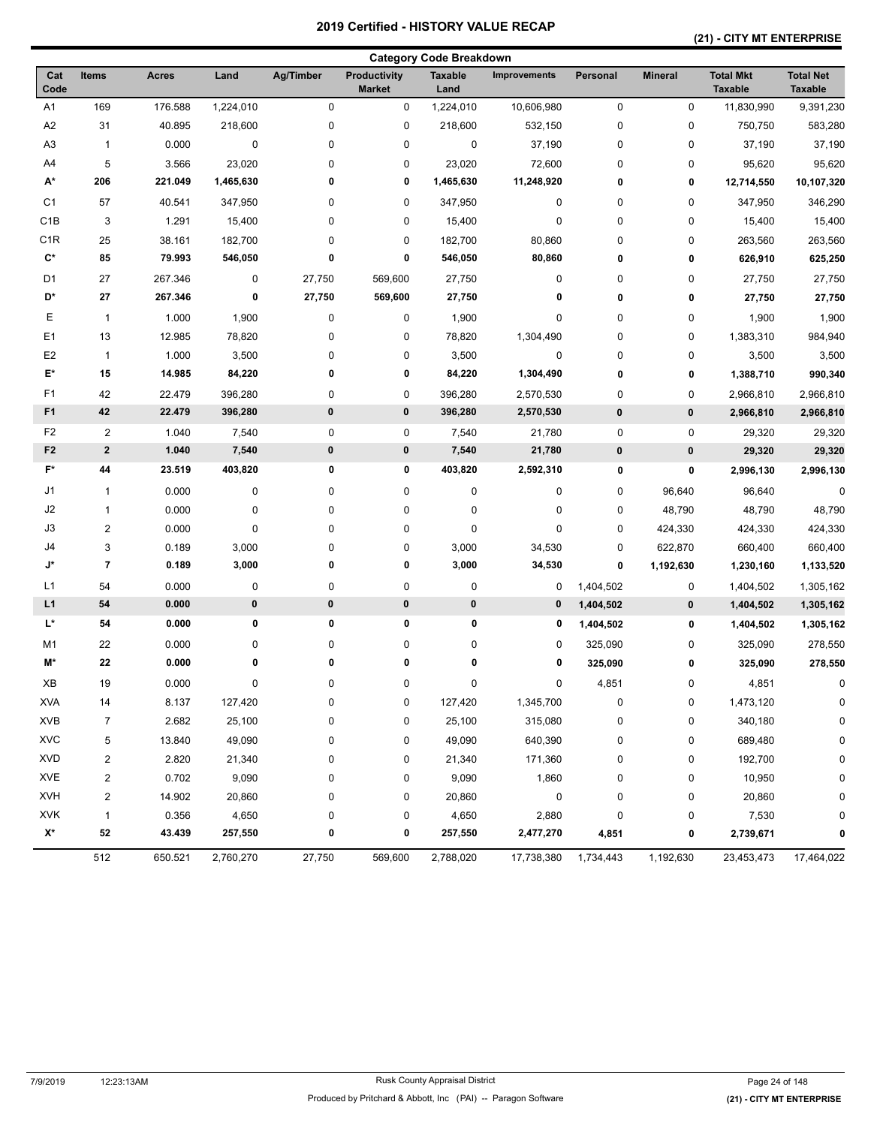### **(21) - CITY MT ENTERPRISE**

|                    |                          |              |           |           |                               | <b>Category Code Breakdown</b> |                     |           |                |                                    |                                    |
|--------------------|--------------------------|--------------|-----------|-----------|-------------------------------|--------------------------------|---------------------|-----------|----------------|------------------------------------|------------------------------------|
| Cat<br>Code        | <b>Items</b>             | <b>Acres</b> | Land      | Ag/Timber | Productivity<br><b>Market</b> | <b>Taxable</b><br>Land         | <b>Improvements</b> | Personal  | <b>Mineral</b> | <b>Total Mkt</b><br><b>Taxable</b> | <b>Total Net</b><br><b>Taxable</b> |
| A <sub>1</sub>     | 169                      | 176.588      | 1,224,010 | 0         | 0                             | 1,224,010                      | 10,606,980          | $\pmb{0}$ | 0              | 11,830,990                         | 9,391,230                          |
| A2                 | 31                       | 40.895       | 218,600   | $\pmb{0}$ | 0                             | 218,600                        | 532,150             | 0         | 0              | 750,750                            | 583,280                            |
| A <sub>3</sub>     | $\mathbf{1}$             | 0.000        | 0         | 0         | 0                             | $\pmb{0}$                      | 37,190              | 0         | 0              | 37,190                             | 37,190                             |
| A4                 | 5                        | 3.566        | 23,020    | 0         | 0                             | 23,020                         | 72,600              | 0         | 0              | 95,620                             | 95,620                             |
| A*                 | 206                      | 221.049      | 1,465,630 | 0         | 0                             | 1,465,630                      | 11,248,920          | 0         | 0              | 12,714,550                         | 10,107,320                         |
| C <sub>1</sub>     | 57                       | 40.541       | 347,950   | 0         | 0                             | 347,950                        | 0                   | 0         | 0              | 347,950                            | 346,290                            |
| C1B                | 3                        | 1.291        | 15,400    | $\pmb{0}$ | 0                             | 15,400                         | $\pmb{0}$           | 0         | 0              | 15,400                             | 15,400                             |
| C <sub>1</sub> R   | 25                       | 38.161       | 182,700   | 0         | 0                             | 182,700                        | 80,860              | 0         | 0              | 263,560                            | 263,560                            |
| C*                 | 85                       | 79.993       | 546,050   | 0         | 0                             | 546,050                        | 80,860              | 0         | 0              | 626,910                            | 625,250                            |
| D <sub>1</sub>     | 27                       | 267.346      | 0         | 27,750    | 569,600                       | 27,750                         | 0                   | 0         | 0              | 27,750                             | 27,750                             |
| D*                 | 27                       | 267.346      | 0         | 27,750    | 569,600                       | 27,750                         | 0                   | 0         | 0              | 27,750                             | 27,750                             |
| Е                  | $\overline{1}$           | 1.000        | 1,900     | 0         | 0                             | 1,900                          | $\pmb{0}$           | 0         | 0              | 1,900                              | 1,900                              |
| E <sub>1</sub>     | 13                       | 12.985       | 78,820    | 0         | 0                             | 78,820                         | 1,304,490           | 0         | 0              | 1,383,310                          | 984,940                            |
| E <sub>2</sub>     | $\mathbf{1}$             | 1.000        | 3,500     | 0         | 0                             | 3,500                          | $\pmb{0}$           | 0         | 0              | 3,500                              | 3,500                              |
| $\mathsf{E}^\star$ | 15                       | 14.985       | 84,220    | 0         | 0                             | 84,220                         | 1,304,490           | 0         | 0              | 1,388,710                          | 990,340                            |
| F1                 | 42                       | 22.479       | 396,280   | 0         | 0                             | 396,280                        | 2,570,530           | 0         | 0              | 2,966,810                          | 2,966,810                          |
| F <sub>1</sub>     | 42                       | 22.479       | 396,280   | $\pmb{0}$ | 0                             | 396,280                        | 2,570,530           | $\pmb{0}$ | 0              | 2,966,810                          | 2,966,810                          |
| F <sub>2</sub>     | $\overline{2}$           | 1.040        | 7,540     | $\pmb{0}$ | 0                             | 7,540                          | 21,780              | 0         | 0              | 29,320                             | 29,320                             |
| F <sub>2</sub>     | $\mathbf{2}$             | 1.040        | 7,540     | $\pmb{0}$ | 0                             | 7,540                          | 21,780              | $\pmb{0}$ | $\pmb{0}$      | 29,320                             | 29,320                             |
| $F^*$              | 44                       | 23.519       | 403,820   | $\pmb{0}$ | 0                             | 403,820                        | 2,592,310           | 0         | 0              | 2,996,130                          | 2,996,130                          |
| J1                 | 1                        | 0.000        | 0         | 0         | 0                             | 0                              | $\pmb{0}$           | 0         | 96,640         | 96,640                             | $\mathbf 0$                        |
| J2                 | 1                        | 0.000        | 0         | 0         | 0                             | 0                              | $\pmb{0}$           | 0         | 48,790         | 48,790                             | 48,790                             |
| J3                 | 2                        | 0.000        | 0         | 0         | 0                             | $\mathbf 0$                    | $\pmb{0}$           | 0         | 424,330        | 424,330                            | 424,330                            |
| J4                 | 3                        | 0.189        | 3,000     | 0         | 0                             | 3,000                          | 34,530              | 0         | 622,870        | 660,400                            | 660,400                            |
| J*                 | $\overline{\phantom{a}}$ | 0.189        | 3,000     | 0         | 0                             | 3,000                          | 34,530              | 0         | 1,192,630      | 1,230,160                          | 1,133,520                          |
| L1                 | 54                       | 0.000        | 0         | 0         | 0                             | 0                              | 0                   | 1,404,502 | 0              | 1,404,502                          | 1,305,162                          |
| L1                 | 54                       | 0.000        | $\pmb{0}$ | $\pmb{0}$ | 0                             | 0                              | 0                   | 1,404,502 | $\pmb{0}$      | 1,404,502                          | 1,305,162                          |
| L*                 | 54                       | 0.000        | 0         | $\pmb{0}$ | 0                             | 0                              | 0                   | 1,404,502 | 0              | 1,404,502                          | 1,305,162                          |
| M1                 |                          | 0.000        |           |           |                               |                                |                     |           |                |                                    |                                    |
| M*                 | 22<br>$\bf 22$           | 0.000        | 0<br>0    | 0<br>0    | 0<br>0                        | 0<br>0                         | 0<br>0              | 325,090   | 0              | 325,090                            | 278,550                            |
|                    |                          |              |           |           |                               |                                |                     | 325,090   | 0              | 325,090                            | 278,550                            |
| ХB                 | 19                       | 0.000        | 0         | 0         | 0                             | 0                              | 0                   | 4,851     | 0              | 4,851                              | 0                                  |
| <b>XVA</b>         | 14                       | 8.137        | 127,420   | 0         | 0                             | 127,420                        | 1,345,700           | $\pmb{0}$ | 0              | 1,473,120                          | 0                                  |
| <b>XVB</b>         | $\overline{7}$           | 2.682        | 25,100    | 0         | 0                             | 25,100                         | 315,080             | 0         | 0              | 340,180                            | 0                                  |
| <b>XVC</b>         | 5                        | 13.840       | 49,090    | 0         | 0                             | 49,090                         | 640,390             | 0         | 0              | 689,480                            | 0                                  |
| <b>XVD</b>         | 2                        | 2.820        | 21,340    | 0         | 0                             | 21,340                         | 171,360             | 0         | 0              | 192,700                            | 0                                  |
| <b>XVE</b>         | $\overline{\mathbf{c}}$  | 0.702        | 9,090     | 0         | 0                             | 9,090                          | 1,860               | 0         | 0              | 10,950                             | 0                                  |
| <b>XVH</b>         | $\overline{\mathbf{c}}$  | 14.902       | 20,860    | 0         | 0                             | 20,860                         | $\pmb{0}$           | 0         | 0              | 20,860                             | 0                                  |
| <b>XVK</b>         | 1                        | 0.356        | 4,650     | 0         | 0                             | 4,650                          | 2,880               | 0         | 0              | 7,530                              | 0                                  |
| $\mathsf{X}^\star$ | 52                       | 43.439       | 257,550   | 0         | 0                             | 257,550                        | 2,477,270           | 4,851     | 0              | 2,739,671                          | 0                                  |
|                    | 512                      | 650.521      | 2,760,270 | 27,750    | 569,600                       | 2,788,020                      | 17,738,380          | 1,734,443 | 1,192,630      | 23,453,473                         | 17,464,022                         |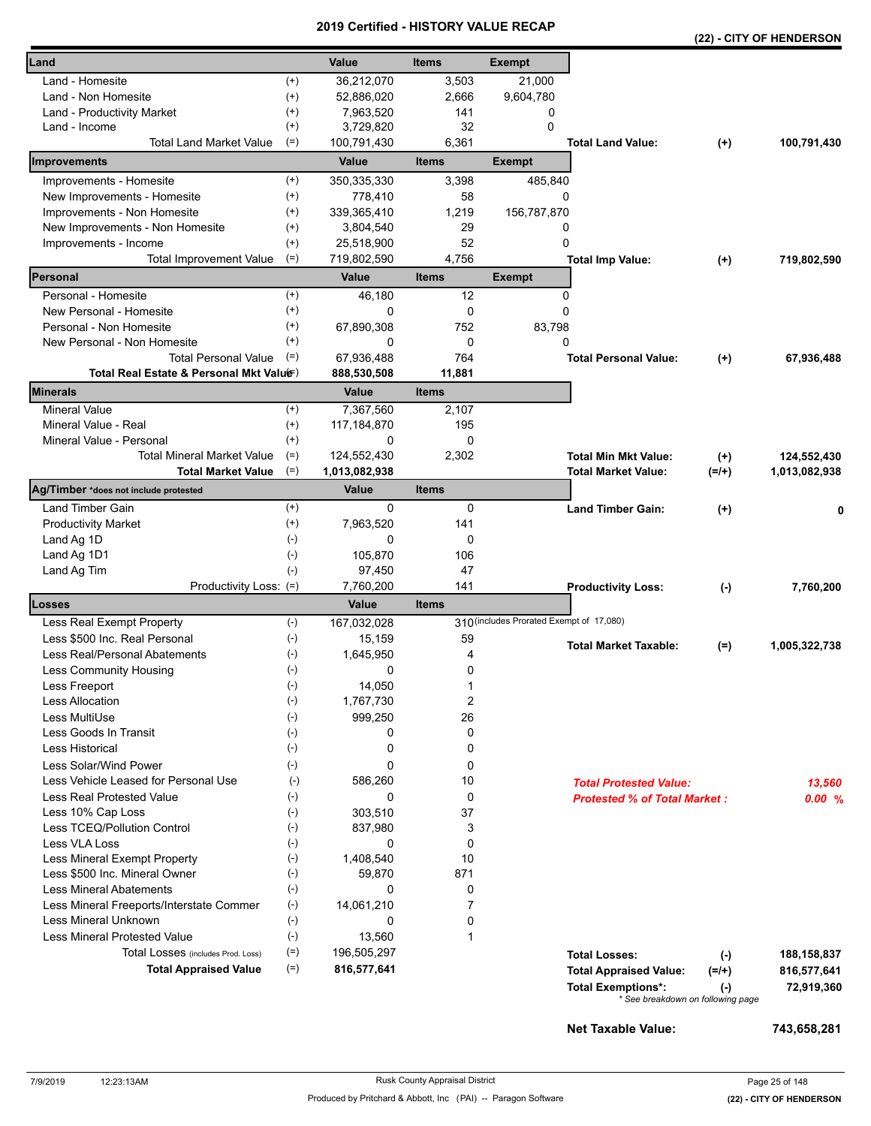|                                          |                      |                |                |                                          |                                     |           | (22) - CITY OF HENDERSON |
|------------------------------------------|----------------------|----------------|----------------|------------------------------------------|-------------------------------------|-----------|--------------------------|
| Land                                     |                      | Value          | <b>Items</b>   | <b>Exempt</b>                            |                                     |           |                          |
| Land - Homesite                          | $^{(+)}$             | 36,212,070     | 3,503          | 21,000                                   |                                     |           |                          |
| Land - Non Homesite                      | $^{(+)}$             | 52,886,020     | 2,666          | 9,604,780                                |                                     |           |                          |
| Land - Productivity Market               | $^{(+)}$             | 7,963,520      | 141            | 0                                        |                                     |           |                          |
| Land - Income                            | $^{(+)}$             | 3,729,820      | 32             | $\Omega$                                 |                                     |           |                          |
| Total Land Market Value                  | $(=)$                | 100,791,430    | 6,361          |                                          | <b>Total Land Value:</b>            | $(+)$     | 100,791,430              |
| Improvements                             |                      | Value          | <b>Items</b>   | <b>Exempt</b>                            |                                     |           |                          |
| Improvements - Homesite                  | $^{(+)}$             | 350,335,330    | 3,398          | 485,840                                  |                                     |           |                          |
| New Improvements - Homesite              | $^{(+)}$             | 778,410        | 58             | 0                                        |                                     |           |                          |
| Improvements - Non Homesite              | $^{(+)}$             | 339,365,410    | 1,219          | 156,787,870                              |                                     |           |                          |
| New Improvements - Non Homesite          | $^{(+)}$             | 3,804,540      | 29             | 0                                        |                                     |           |                          |
| Improvements - Income                    | $^{(+)}$             | 25,518,900     | 52             | 0                                        |                                     |           |                          |
| Total Improvement Value                  | $(=)$                | 719,802,590    | 4,756          |                                          | <b>Total Imp Value:</b>             | $(+)$     | 719,802,590              |
| Personal                                 |                      | Value          | <b>Items</b>   | <b>Exempt</b>                            |                                     |           |                          |
| Personal - Homesite                      | $^{(+)}$             | 46,180         | 12             | 0                                        |                                     |           |                          |
| New Personal - Homesite                  | $^{(+)}$             | $\Omega$       | 0              | $\Omega$                                 |                                     |           |                          |
| Personal - Non Homesite                  | $^{(+)}$             | 67,890,308     | 752            | 83,798                                   |                                     |           |                          |
| New Personal - Non Homesite              | $^{(+)}$             | 0              | $\mathbf 0$    | 0                                        |                                     |           |                          |
| <b>Total Personal Value</b>              | $(=)$                | 67,936,488     | 764            |                                          | <b>Total Personal Value:</b>        | $(+)$     | 67,936,488               |
| Total Real Estate & Personal Mkt Valuer) |                      | 888,530,508    | 11,881         |                                          |                                     |           |                          |
| <b>Minerals</b>                          |                      | Value          | <b>Items</b>   |                                          |                                     |           |                          |
| <b>Mineral Value</b>                     | $^{(+)}$             | 7,367,560      | 2,107          |                                          |                                     |           |                          |
| Mineral Value - Real                     | $^{(+)}$             | 117, 184, 870  | 195            |                                          |                                     |           |                          |
| Mineral Value - Personal                 | $(+)$                | 0              | 0              |                                          |                                     |           |                          |
| <b>Total Mineral Market Value</b>        | $(=)$<br>$(=)$       | 124,552,430    | 2,302          |                                          | <b>Total Min Mkt Value:</b>         | $^{(+)}$  | 124,552,430              |
| <b>Total Market Value</b>                |                      | 1,013,082,938  |                |                                          | Total Market Value:                 | $(=/+)$   | 1,013,082,938            |
| Ag/Timber *does not include protested    |                      | Value          | <b>Items</b>   |                                          |                                     |           |                          |
| Land Timber Gain                         | $^{(+)}$<br>$^{(+)}$ | 0<br>7,963,520 | 0<br>141       |                                          | <b>Land Timber Gain:</b>            | $(+)$     |                          |
| <b>Productivity Market</b>               | $(-)$                | 0              |                |                                          |                                     |           |                          |
| Land Ag 1D                               |                      | 105,870        | 0<br>106       |                                          |                                     |           |                          |
| Land Ag 1D1                              | $(-)$<br>$(-)$       | 97,450         | 47             |                                          |                                     |           |                          |
| Land Ag Tim<br>Productivity Loss: (=)    |                      | 7,760,200      | 141            |                                          | <b>Productivity Loss:</b>           | $(-)$     | 7,760,200                |
| <b>Losses</b>                            |                      | <b>Value</b>   | <b>Items</b>   |                                          |                                     |           |                          |
| Less Real Exempt Property                | $(-)$                | 167,032,028    |                | 310 (includes Prorated Exempt of 17,080) |                                     |           |                          |
| Less \$500 Inc. Real Personal            | $(-)$                | 15,159         | 59             |                                          |                                     |           |                          |
| Less Real/Personal Abatements            | $(-)$                | 1,645,950      | 4              |                                          | <b>Total Market Taxable:</b>        | $(=)$     | 1,005,322,738            |
| Less Community Housing                   | $(\text{-})$         | υ              | 0              |                                          |                                     |           |                          |
| Less Freeport                            | $(\cdot)$            | 14,050         | 1              |                                          |                                     |           |                          |
| <b>Less Allocation</b>                   | $(-)$                | 1,767,730      | $\overline{2}$ |                                          |                                     |           |                          |
| Less MultiUse                            | $(-)$                | 999,250        | 26             |                                          |                                     |           |                          |
| Less Goods In Transit                    | $(\cdot)$            | 0              | 0              |                                          |                                     |           |                          |
| Less Historical                          | $(-)$                | 0              | 0              |                                          |                                     |           |                          |
| Less Solar/Wind Power                    | $(-)$                | 0              | 0              |                                          |                                     |           |                          |
| Less Vehicle Leased for Personal Use     | $(\text{-})$         | 586,260        | 10             |                                          | <b>Total Protested Value:</b>       |           | 13,560                   |
| Less Real Protested Value                | $(-)$                | 0              | 0              |                                          | <b>Protested % of Total Market:</b> |           | 0.00%                    |
| Less 10% Cap Loss                        | $(-)$                | 303.510        | 37             |                                          |                                     |           |                          |
| Less TCEQ/Pollution Control              | $(-)$                | 837,980        | 3              |                                          |                                     |           |                          |
| <b>Less VLA Loss</b>                     | $(-)$                | 0              | 0              |                                          |                                     |           |                          |
| Less Mineral Exempt Property             | $(-)$                | 1,408,540      | 10             |                                          |                                     |           |                          |
| Less \$500 Inc. Mineral Owner            | $(-)$                | 59,870         | 871            |                                          |                                     |           |                          |
| <b>Less Mineral Abatements</b>           | $(-)$                | 0              | 0              |                                          |                                     |           |                          |
| Less Mineral Freeports/Interstate Commer | $(-)$                | 14,061,210     | $\overline{7}$ |                                          |                                     |           |                          |
| Less Mineral Unknown                     | $(-)$                | 0              | 0              |                                          |                                     |           |                          |
| <b>Less Mineral Protested Value</b>      | $(-)$                | 13,560         | 1              |                                          |                                     |           |                          |
| Total Losses (includes Prod. Loss)       | $(=)$                | 196,505,297    |                |                                          | <b>Total Losses:</b>                | $(-)$     | 188,158,837              |
| <b>Total Appraised Value</b>             | $(=)$                | 816,577,641    |                |                                          | <b>Total Appraised Value:</b>       | $(=/+)$   | 816,577,641              |
|                                          |                      |                |                |                                          | <b>Total Exemptions*:</b>           | $(\cdot)$ | 72,919,360               |
|                                          |                      |                |                |                                          | * See breakdown on following page   |           |                          |
|                                          |                      |                |                |                                          |                                     |           |                          |

**Net Taxable Value: 743,658,281**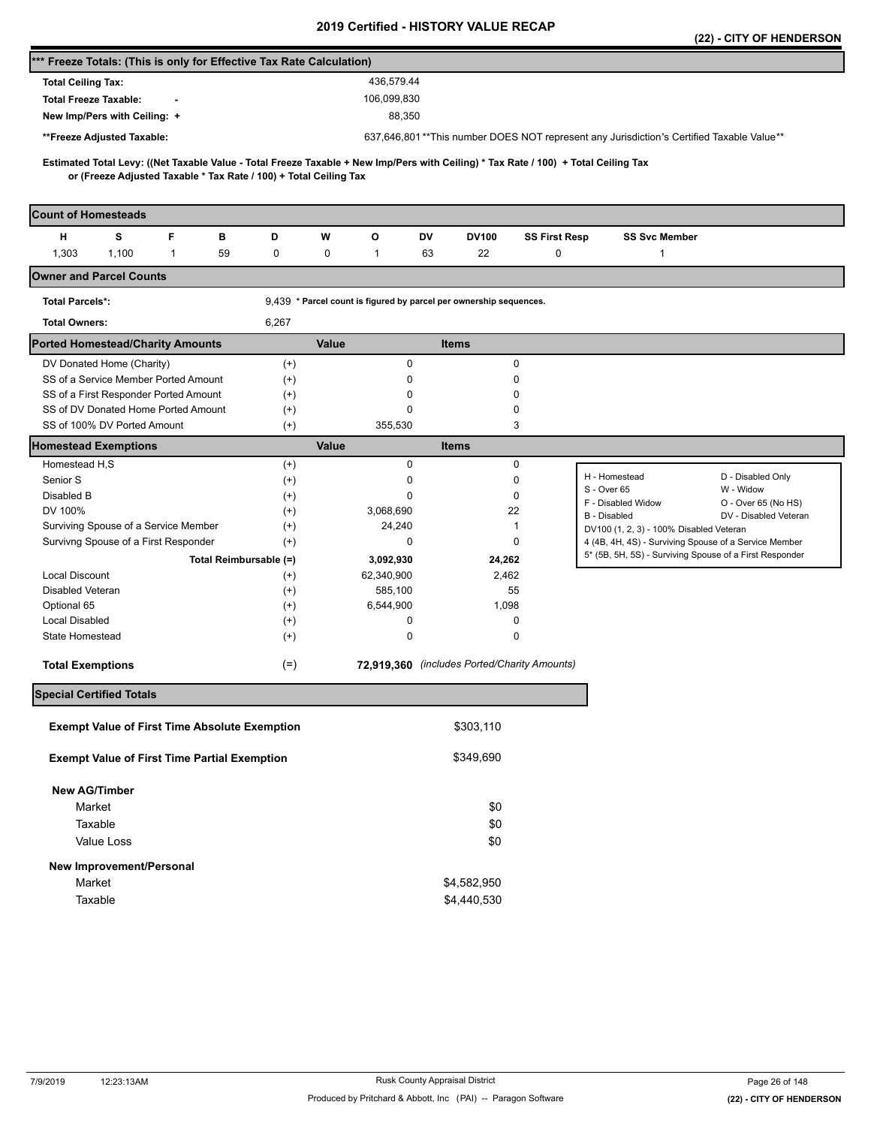|                                                                                                                                                                                                          |                   |                                                                    |                                              |                      |                                                                                                  | (22) - CITY OF HENDERSON |
|----------------------------------------------------------------------------------------------------------------------------------------------------------------------------------------------------------|-------------------|--------------------------------------------------------------------|----------------------------------------------|----------------------|--------------------------------------------------------------------------------------------------|--------------------------|
| *** Freeze Totals: (This is only for Effective Tax Rate Calculation)                                                                                                                                     |                   |                                                                    |                                              |                      |                                                                                                  |                          |
| <b>Total Ceiling Tax:</b>                                                                                                                                                                                |                   | 436,579.44                                                         |                                              |                      |                                                                                                  |                          |
| <b>Total Freeze Taxable:</b>                                                                                                                                                                             |                   | 106,099,830                                                        |                                              |                      |                                                                                                  |                          |
| New Imp/Pers with Ceiling: +                                                                                                                                                                             |                   | 88,350                                                             |                                              |                      |                                                                                                  |                          |
| **Freeze Adjusted Taxable:                                                                                                                                                                               |                   |                                                                    |                                              |                      | 637,646,801**This number DOES NOT represent any Jurisdiction's Certified Taxable Value**         |                          |
|                                                                                                                                                                                                          |                   |                                                                    |                                              |                      |                                                                                                  |                          |
| Estimated Total Levy: ((Net Taxable Value - Total Freeze Taxable + New Imp/Pers with Ceiling) * Tax Rate / 100) + Total Ceiling Tax<br>or (Freeze Adjusted Taxable * Tax Rate / 100) + Total Ceiling Tax |                   |                                                                    |                                              |                      |                                                                                                  |                          |
|                                                                                                                                                                                                          |                   |                                                                    |                                              |                      |                                                                                                  |                          |
| <b>Count of Homesteads</b>                                                                                                                                                                               |                   |                                                                    |                                              |                      |                                                                                                  |                          |
| s<br>F<br>н<br>в                                                                                                                                                                                         | D                 | W<br>О                                                             | DV<br><b>DV100</b>                           | <b>SS First Resp</b> | <b>SS Svc Member</b>                                                                             |                          |
| 1,303<br>1,100<br>1<br>59                                                                                                                                                                                | 0                 | 0<br>$\mathbf{1}$                                                  | 63<br>22                                     | 0                    | $\mathbf{1}$                                                                                     |                          |
| <b>Owner and Parcel Counts</b>                                                                                                                                                                           |                   |                                                                    |                                              |                      |                                                                                                  |                          |
| <b>Total Parcels*:</b>                                                                                                                                                                                   |                   | 9,439 * Parcel count is figured by parcel per ownership sequences. |                                              |                      |                                                                                                  |                          |
| <b>Total Owners:</b>                                                                                                                                                                                     | 6,267             |                                                                    |                                              |                      |                                                                                                  |                          |
| <b>Ported Homestead/Charity Amounts</b>                                                                                                                                                                  |                   | Value                                                              | <b>Items</b>                                 |                      |                                                                                                  |                          |
| DV Donated Home (Charity)                                                                                                                                                                                | $^{(+)}$          | 0                                                                  | 0                                            |                      |                                                                                                  |                          |
| SS of a Service Member Ported Amount                                                                                                                                                                     | $(+)$             | 0                                                                  | 0                                            |                      |                                                                                                  |                          |
| SS of a First Responder Ported Amount                                                                                                                                                                    | $^{(+)}$          | 0                                                                  | 0                                            |                      |                                                                                                  |                          |
| SS of DV Donated Home Ported Amount                                                                                                                                                                      | $^{(+)}$          | 0                                                                  | 0                                            |                      |                                                                                                  |                          |
| SS of 100% DV Ported Amount                                                                                                                                                                              | $^{(+)}$          | 355,530                                                            | 3                                            |                      |                                                                                                  |                          |
| <b>Homestead Exemptions</b>                                                                                                                                                                              |                   | Value                                                              | <b>Items</b>                                 |                      |                                                                                                  |                          |
| Homestead H.S                                                                                                                                                                                            | $^{(+)}$          | $\mathbf 0$                                                        | 0                                            |                      | H - Homestead                                                                                    | D - Disabled Only        |
| Senior S<br>Disabled B                                                                                                                                                                                   | $^{(+)}$          | 0<br>0                                                             | 0<br>0                                       |                      | S - Over 65                                                                                      | W - Widow                |
| DV 100%                                                                                                                                                                                                  | $^{(+)}$<br>$(+)$ | 3,068,690                                                          | 22                                           |                      | F - Disabled Widow                                                                               | O - Over 65 (No HS)      |
| Surviving Spouse of a Service Member                                                                                                                                                                     | $^{(+)}$          | 24,240                                                             | 1                                            |                      | B - Disabled                                                                                     | DV - Disabled Veteran    |
| Survivng Spouse of a First Responder                                                                                                                                                                     | $^{(+)}$          | 0                                                                  | 0                                            |                      | DV100 (1, 2, 3) - 100% Disabled Veteran<br>4 (4B, 4H, 4S) - Surviving Spouse of a Service Member |                          |
| Total Reimbursable (=)                                                                                                                                                                                   |                   | 3,092,930                                                          | 24,262                                       |                      | 5* (5B, 5H, 5S) - Surviving Spouse of a First Responder                                          |                          |
| <b>Local Discount</b>                                                                                                                                                                                    | $^{(+)}$          | 62,340,900                                                         | 2,462                                        |                      |                                                                                                  |                          |
| Disabled Veteran                                                                                                                                                                                         | $^{(+)}$          | 585,100                                                            | 55                                           |                      |                                                                                                  |                          |
| Optional 65                                                                                                                                                                                              | $^{(+)}$          | 6,544,900                                                          | 1,098                                        |                      |                                                                                                  |                          |
| <b>Local Disabled</b>                                                                                                                                                                                    | $^{(+)}$          | 0                                                                  | 0                                            |                      |                                                                                                  |                          |
| State Homestead                                                                                                                                                                                          | $^{(+)}$          | 0                                                                  | 0                                            |                      |                                                                                                  |                          |
| <b>Total Exemptions</b>                                                                                                                                                                                  | $(=)$             |                                                                    | 72,919,360 (includes Ported/Charity Amounts) |                      |                                                                                                  |                          |
| <b>Special Certified Totals</b>                                                                                                                                                                          |                   |                                                                    |                                              |                      |                                                                                                  |                          |
| <b>Exempt Value of First Time Absolute Exemption</b>                                                                                                                                                     |                   |                                                                    | \$303,110                                    |                      |                                                                                                  |                          |
| <b>Exempt Value of First Time Partial Exemption</b>                                                                                                                                                      |                   |                                                                    | \$349,690                                    |                      |                                                                                                  |                          |
|                                                                                                                                                                                                          |                   |                                                                    |                                              |                      |                                                                                                  |                          |
| <b>New AG/Timber</b><br>Market                                                                                                                                                                           |                   |                                                                    | \$0                                          |                      |                                                                                                  |                          |
| Taxable                                                                                                                                                                                                  |                   |                                                                    | \$0                                          |                      |                                                                                                  |                          |
| Value Loss                                                                                                                                                                                               |                   |                                                                    | \$0                                          |                      |                                                                                                  |                          |
|                                                                                                                                                                                                          |                   |                                                                    |                                              |                      |                                                                                                  |                          |
| New Improvement/Personal                                                                                                                                                                                 |                   |                                                                    |                                              |                      |                                                                                                  |                          |
| Market                                                                                                                                                                                                   |                   |                                                                    | \$4,582,950                                  |                      |                                                                                                  |                          |
| Taxable                                                                                                                                                                                                  |                   |                                                                    | \$4,440,530                                  |                      |                                                                                                  |                          |
|                                                                                                                                                                                                          |                   |                                                                    |                                              |                      |                                                                                                  |                          |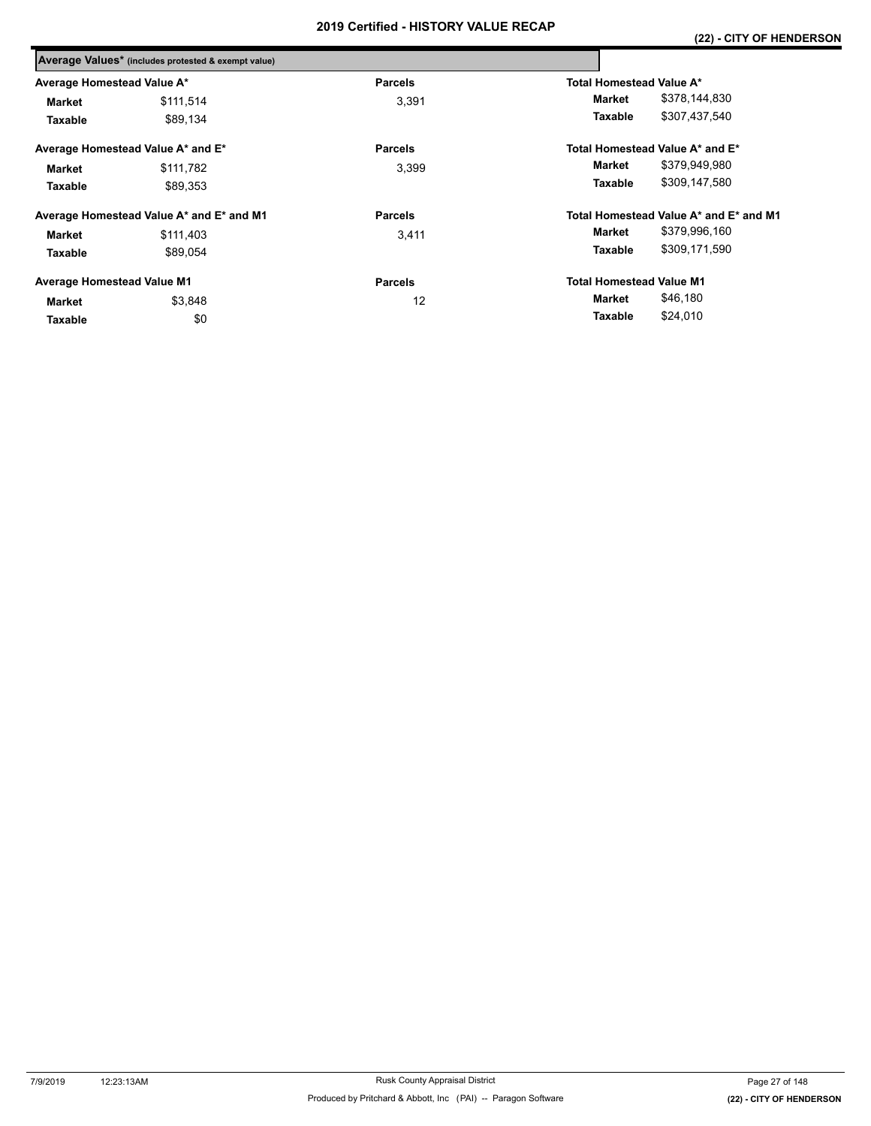|                                   | Average Values* (includes protested & exempt value) |                |                                        |  |  |
|-----------------------------------|-----------------------------------------------------|----------------|----------------------------------------|--|--|
| Average Homestead Value A*        |                                                     | <b>Parcels</b> | Total Homestead Value A*               |  |  |
| Market                            | \$111.514                                           | 3,391          | \$378,144,830<br>Market                |  |  |
| Taxable                           | \$89.134                                            |                | \$307,437,540<br>Taxable               |  |  |
|                                   | Average Homestead Value A* and E*                   | <b>Parcels</b> | Total Homestead Value A* and E*        |  |  |
| Market                            | \$111.782                                           | 3,399          | \$379,949,980<br>Market                |  |  |
| Taxable                           | \$89.353                                            |                | \$309,147,580<br>Taxable               |  |  |
|                                   | Average Homestead Value A* and E* and M1            | <b>Parcels</b> | Total Homestead Value A* and E* and M1 |  |  |
| Market                            | \$111,403                                           | 3,411          | \$379,996,160<br>Market                |  |  |
| Taxable                           | \$89,054                                            |                | \$309,171,590<br>Taxable               |  |  |
| <b>Average Homestead Value M1</b> |                                                     | <b>Parcels</b> | <b>Total Homestead Value M1</b>        |  |  |
| Market                            | \$3,848                                             | 12             | \$46,180<br>Market                     |  |  |
| Taxable                           | \$0                                                 |                | \$24,010<br>Taxable                    |  |  |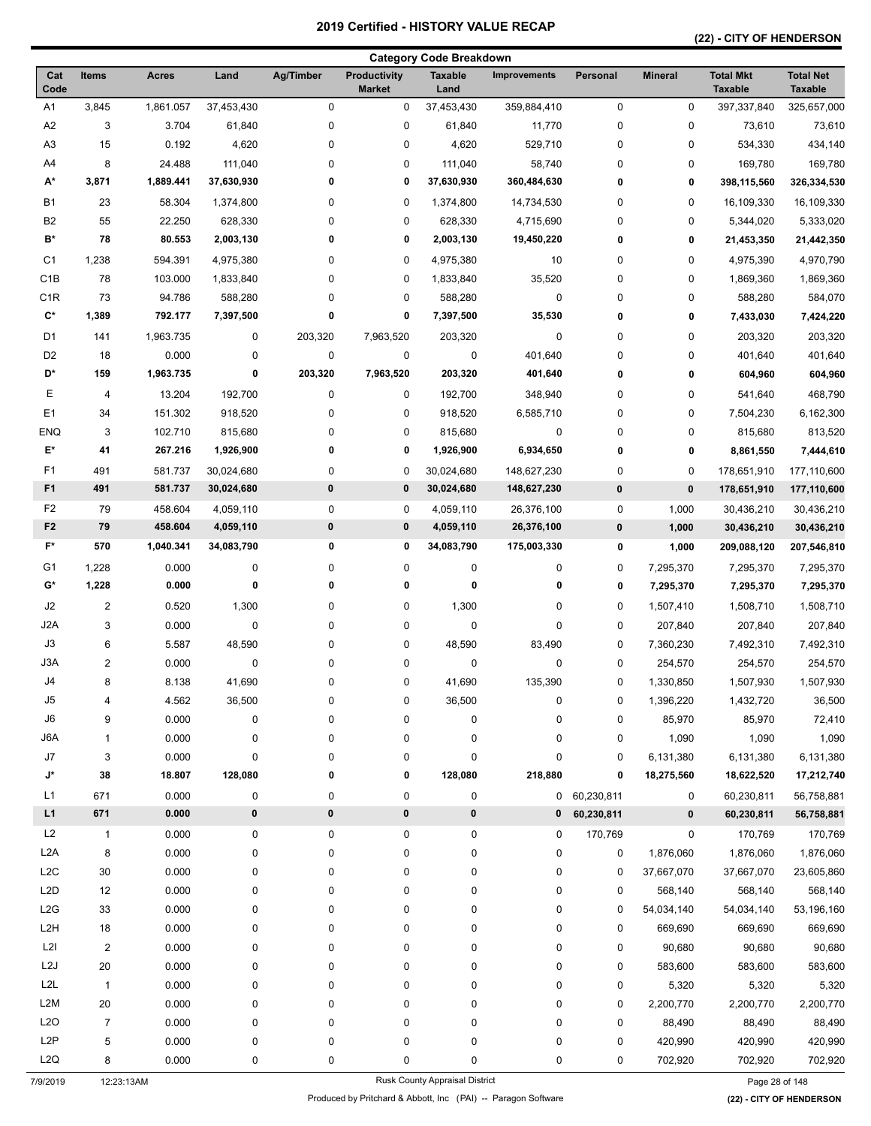### **(22) - CITY OF HENDERSON**

|                      |                         |                    |             |               |                               | <b>Category Code Breakdown</b> |                     |              |                |                                    |                                    |
|----------------------|-------------------------|--------------------|-------------|---------------|-------------------------------|--------------------------------|---------------------|--------------|----------------|------------------------------------|------------------------------------|
| Cat<br>Code          | Items                   | <b>Acres</b>       | Land        | Ag/Timber     | Productivity<br><b>Market</b> | <b>Taxable</b><br>Land         | <b>Improvements</b> | Personal     | <b>Mineral</b> | <b>Total Mkt</b><br><b>Taxable</b> | <b>Total Net</b><br><b>Taxable</b> |
| A1                   | 3,845                   | 1,861.057          | 37,453,430  | $\pmb{0}$     | 0                             | 37,453,430                     | 359,884,410         | 0            | 0              | 397,337,840                        | 325,657,000                        |
| A2                   | 3                       | 3.704              | 61,840      | $\mathbf 0$   | 0                             | 61,840                         | 11,770              | 0            | 0              | 73,610                             | 73,610                             |
| A <sub>3</sub>       | 15                      | 0.192              | 4,620       | $\pmb{0}$     | 0                             | 4,620                          | 529,710             | 0            | 0              | 534,330                            | 434,140                            |
| A4                   | 8                       | 24.488             | 111,040     | 0             | 0                             | 111,040                        | 58,740              | 0            | 0              | 169,780                            | 169,780                            |
| A*                   | 3,871                   | 1,889.441          | 37,630,930  | 0             | 0                             | 37,630,930                     | 360,484,630         | 0            | 0              | 398,115,560                        | 326,334,530                        |
| <b>B1</b>            | 23                      | 58.304             | 1,374,800   | 0             | 0                             | 1,374,800                      | 14,734,530          | 0            | 0              | 16,109,330                         | 16,109,330                         |
| B <sub>2</sub>       | 55                      | 22.250             | 628,330     | 0             | 0                             | 628,330                        | 4,715,690           | 0            | 0              | 5,344,020                          | 5,333,020                          |
| $\mathbf{B}^{\star}$ | 78                      | 80.553             | 2,003,130   | 0             | 0                             | 2,003,130                      | 19,450,220          | 0            | 0              | 21,453,350                         | 21,442,350                         |
| C <sub>1</sub>       | 1,238                   | 594.391            | 4,975,380   | 0             | 0                             | 4,975,380                      | 10                  | 0            | 0              | 4,975,390                          | 4,970,790                          |
| C <sub>1</sub> B     | 78                      | 103.000            | 1,833,840   | $\mathbf 0$   | 0                             | 1,833,840                      | 35,520              | 0            | 0              | 1,869,360                          | 1,869,360                          |
| C <sub>1</sub> R     | 73                      | 94.786             | 588,280     | 0             | 0                             | 588,280                        | $\pmb{0}$           | 0            | 0              | 588,280                            | 584,070                            |
| $\mathbf{C}^{\star}$ | 1,389                   | 792.177            | 7,397,500   | 0             | 0                             | 7,397,500                      | 35,530              | 0            | 0              | 7,433,030                          | 7,424,220                          |
| D <sub>1</sub>       | 141                     | 1,963.735          | 0           | 203,320       | 7,963,520                     | 203,320                        | $\pmb{0}$           | 0            | 0              | 203,320                            | 203,320                            |
| D <sub>2</sub>       | 18                      | 0.000              | 0           | 0             | 0                             | 0                              | 401,640             | 0            | 0              | 401,640                            | 401,640                            |
| D*                   | 159                     | 1,963.735          | 0           | 203,320       | 7,963,520                     | 203,320                        | 401,640             | 0            | 0              | 604,960                            | 604,960                            |
| Е                    | 4                       | 13.204             | 192,700     | 0             | 0                             | 192,700                        | 348,940             | 0            | 0              | 541,640                            | 468,790                            |
| E <sub>1</sub>       | 34                      | 151.302            | 918,520     | 0             | 0                             | 918,520                        | 6,585,710           | 0            | 0              | 7,504,230                          | 6,162,300                          |
| <b>ENQ</b>           | 3                       | 102.710            | 815,680     | 0             | 0                             | 815,680                        | 0                   | 0            | 0              | 815,680                            | 813,520                            |
| $\mathsf{E}^\star$   | 41                      | 267.216            | 1,926,900   | 0             | 0                             | 1,926,900                      | 6,934,650           | 0            | 0              | 8,861,550                          | 7,444,610                          |
|                      |                         |                    |             |               |                               |                                |                     |              |                |                                    |                                    |
| F1<br>F <sub>1</sub> | 491<br>491              | 581.737<br>581.737 | 30,024,680  | 0<br>$\bf{0}$ | 0<br>$\bf{0}$                 | 30,024,680                     | 148,627,230         | 0            | 0              | 178,651,910                        | 177,110,600                        |
|                      |                         |                    | 30,024,680  |               |                               | 30,024,680                     | 148,627,230         | 0            | $\pmb{0}$      | 178,651,910                        | 177,110,600                        |
| F <sub>2</sub>       | 79                      | 458.604            | 4,059,110   | $\pmb{0}$     | $\mathbf 0$                   | 4,059,110                      | 26,376,100          | 0            | 1,000          | 30,436,210                         | 30,436,210                         |
| F <sub>2</sub>       | 79                      | 458.604            | 4,059,110   | $\pmb{0}$     | $\pmb{0}$                     | 4,059,110                      | 26,376,100          | 0            | 1,000          | 30,436,210                         | 30,436,210                         |
| $F^*$                | 570                     | 1,040.341          | 34,083,790  | 0             | 0                             | 34,083,790                     | 175,003,330         | 0            | 1,000          | 209,088,120                        | 207,546,810                        |
| G <sub>1</sub>       | 1,228                   | 0.000              | 0           | $\pmb{0}$     | 0                             | $\pmb{0}$                      | 0                   | 0            | 7,295,370      | 7,295,370                          | 7,295,370                          |
| G*                   | 1,228                   | 0.000              | 0           | 0             | 0                             | 0                              | 0                   | 0            | 7,295,370      | 7,295,370                          | 7,295,370                          |
| J2                   | 2                       | 0.520              | 1,300       | 0             | 0                             | 1,300                          | 0                   | 0            | 1,507,410      | 1,508,710                          | 1,508,710                          |
| J <sub>2</sub> A     | 3                       | 0.000              | $\mathbf 0$ | $\pmb{0}$     | 0                             | $\mathbf 0$                    | 0                   | 0            | 207,840        | 207,840                            | 207,840                            |
| J3                   | 6                       | 5.587              | 48,590      | 0             | 0                             | 48,590                         | 83,490              | 0            | 7,360,230      | 7,492,310                          | 7,492,310                          |
| J3A                  | $\overline{\mathbf{c}}$ | 0.000              | 0           | $\mathbf 0$   | 0                             | 0                              | 0                   | 0            | 254,570        | 254,570                            | 254,570                            |
| J4                   | 8                       | 8.138              | 41,690      | 0             | 0                             | 41,690                         | 135,390             | 0            | 1,330,850      | 1,507,930                          | 1,507,930                          |
| J <sub>5</sub>       | 4                       | 4.562              | 36,500      | $\pmb{0}$     | 0                             | 36,500                         | 0                   | 0            | 1,396,220      | 1,432,720                          | 36,500                             |
| J6                   | 9                       | 0.000              | 0           | $\pmb{0}$     | 0                             | $\pmb{0}$                      | 0                   | 0            | 85,970         | 85,970                             | 72,410                             |
| J6A                  | 1                       | 0.000              | 0           | $\pmb{0}$     | 0                             | $\pmb{0}$                      | 0                   | 0            | 1,090          | 1,090                              | 1,090                              |
| J7                   | 3                       | 0.000              | 0           | $\mathbf 0$   | 0                             | $\mathbf 0$                    | 0                   | 0            | 6,131,380      | 6,131,380                          | 6,131,380                          |
| J*                   | 38                      | 18.807             | 128,080     | 0             | 0                             | 128,080                        | 218,880             | 0            | 18,275,560     | 18,622,520                         | 17,212,740                         |
| L1                   | 671                     | 0.000              | 0           | $\pmb{0}$     | 0                             | $\pmb{0}$                      |                     | 0 60,230,811 | 0              | 60,230,811                         | 56,758,881                         |
| L1                   | 671                     | 0.000              | $\bf{0}$    | $\pmb{0}$     | $\bf{0}$                      | $\pmb{0}$                      | 0                   | 60,230,811   | $\mathbf 0$    | 60,230,811                         | 56,758,881                         |
| L2                   | 1                       | 0.000              | 0           | $\pmb{0}$     | 0                             | $\pmb{0}$                      | 0                   | 170,769      | 0              | 170,769                            | 170,769                            |
| L <sub>2</sub> A     | 8                       | 0.000              | 0           | $\pmb{0}$     | 0                             | 0                              | 0                   | 0            | 1,876,060      | 1,876,060                          | 1,876,060                          |
| L <sub>2</sub> C     | 30                      | 0.000              | 0           | $\pmb{0}$     | 0                             | 0                              | 0                   | 0            | 37,667,070     | 37,667,070                         | 23,605,860                         |
| L <sub>2</sub> D     | 12                      | 0.000              | 0           | $\pmb{0}$     | 0                             | 0                              | 0                   | 0            | 568,140        | 568,140                            | 568,140                            |
| L2G                  | 33                      | 0.000              | 0           | $\pmb{0}$     | 0                             | 0                              | 0                   | 0            | 54,034,140     | 54,034,140                         | 53,196,160                         |
| L <sub>2</sub> H     | 18                      | 0.000              | 0           | $\pmb{0}$     | 0                             | $\pmb{0}$                      | 0                   | 0            | 669,690        | 669,690                            | 669,690                            |
| L2I                  | $\overline{\mathbf{c}}$ | 0.000              | 0           | $\pmb{0}$     | 0                             | 0                              | 0                   | 0            | 90,680         | 90,680                             | 90,680                             |
| L <sub>2</sub> J     | 20                      | 0.000              | 0           | 0             | 0                             | 0                              | 0                   | 0            | 583,600        | 583,600                            | 583,600                            |
| L <sub>2</sub> L     | 1                       | 0.000              | 0           | $\pmb{0}$     | 0                             | 0                              | 0                   | 0            | 5,320          | 5,320                              | 5,320                              |
| L <sub>2</sub> M     | 20                      | 0.000              | 0           | 0             | 0                             | 0                              | 0                   | 0            | 2,200,770      | 2,200,770                          | 2,200,770                          |
| L2O                  | $\overline{7}$          | 0.000              | 0           | $\pmb{0}$     | 0                             | $\pmb{0}$                      | 0                   | 0            | 88,490         | 88,490                             | 88,490                             |
| L2P                  | 5                       | 0.000              | 0           | 0             | 0                             | 0                              | 0                   | 0            | 420,990        | 420,990                            | 420,990                            |
| L <sub>2</sub> Q     | 8                       | 0.000              | 0           | 0             | 0                             | $\mathbf 0$                    | 0                   | 0            | 702,920        | 702,920                            | 702,920                            |
| 7/9/2019             | 12:23:13AM              |                    |             |               |                               | Rusk County Appraisal District |                     |              |                | Page 28 of 148                     |                                    |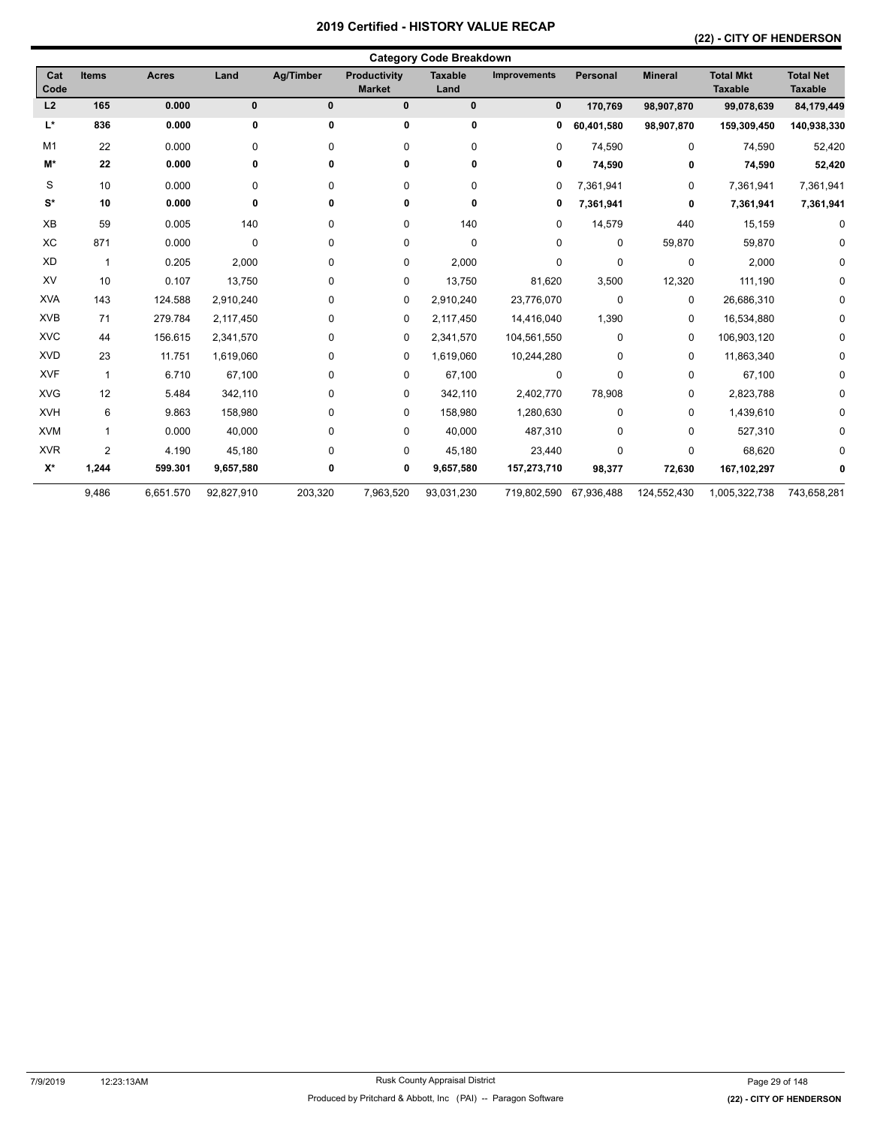# **(22) - CITY OF HENDERSON**

| Cat<br>Code          | Items                   | <b>Acres</b> | Land         | <b>Ag/Timber</b> | <b>Productivity</b><br><b>Market</b> | <b>Taxable</b><br>Land | <b>Improvements</b> | <b>Personal</b> | <b>Mineral</b> | <b>Total Mkt</b><br><b>Taxable</b> | <b>Total Net</b><br><b>Taxable</b> |
|----------------------|-------------------------|--------------|--------------|------------------|--------------------------------------|------------------------|---------------------|-----------------|----------------|------------------------------------|------------------------------------|
| L2                   | 165                     | 0.000        | $\mathbf{0}$ | $\mathbf{0}$     | $\pmb{0}$                            | $\mathbf 0$            | $\bf{0}$            | 170,769         | 98,907,870     | 99,078,639                         | 84,179,449                         |
| L*                   | 836                     | 0.000        | 0            | 0                | 0                                    | 0                      | 0                   | 60,401,580      | 98,907,870     | 159,309,450                        | 140,938,330                        |
| M <sub>1</sub>       | 22                      | 0.000        | $\mathbf 0$  | 0                | 0                                    | 0                      | 0                   | 74,590          | $\mathbf 0$    | 74,590                             | 52,420                             |
| M*                   | 22                      | 0.000        | 0            | 0                | 0                                    | 0                      | 0                   | 74,590          | 0              | 74,590                             | 52,420                             |
| S                    | 10                      | 0.000        | $\mathbf 0$  | 0                | 0                                    | 0                      | 0                   | 7,361,941       | 0              | 7,361,941                          | 7,361,941                          |
| $\mathbf{S}^{\star}$ | 10                      | 0.000        | 0            | 0                | 0                                    | 0                      | 0                   | 7,361,941       | 0              | 7,361,941                          | 7,361,941                          |
| XB                   | 59                      | 0.005        | 140          | 0                | 0                                    | 140                    | $\mathbf 0$         | 14,579          | 440            | 15,159                             | 0                                  |
| XC                   | 871                     | 0.000        | $\mathbf 0$  | 0                | 0                                    | 0                      | 0                   | $\Omega$        | 59,870         | 59,870                             | 0                                  |
| XD                   | $\overline{\mathbf{1}}$ | 0.205        | 2,000        | 0                | 0                                    | 2,000                  | 0                   | 0               | $\mathbf 0$    | 2,000                              | ŋ                                  |
| XV                   | 10                      | 0.107        | 13,750       | 0                | 0                                    | 13,750                 | 81,620              | 3,500           | 12,320         | 111,190                            |                                    |
| <b>XVA</b>           | 143                     | 124.588      | 2,910,240    | 0                | 0                                    | 2,910,240              | 23,776,070          | 0               | 0              | 26,686,310                         | $\Omega$                           |
| <b>XVB</b>           | 71                      | 279.784      | 2,117,450    | 0                | 0                                    | 2,117,450              | 14,416,040          | 1,390           | 0              | 16,534,880                         | 0                                  |
| <b>XVC</b>           | 44                      | 156.615      | 2,341,570    | 0                | 0                                    | 2,341,570              | 104,561,550         | 0               | 0              | 106,903,120                        | $\Omega$                           |
| <b>XVD</b>           | 23                      | 11.751       | 1,619,060    | 0                | 0                                    | 1,619,060              | 10,244,280          | 0               | 0              | 11,863,340                         | 0                                  |
| <b>XVF</b>           | $\mathbf{1}$            | 6.710        | 67,100       | 0                | 0                                    | 67,100                 | $\mathbf 0$         | 0               | 0              | 67,100                             | $\Omega$                           |
| <b>XVG</b>           | 12                      | 5.484        | 342,110      | 0                | 0                                    | 342,110                | 2,402,770           | 78,908          | 0              | 2,823,788                          | 0                                  |
| <b>XVH</b>           | 6                       | 9.863        | 158,980      | 0                | 0                                    | 158,980                | 1,280,630           | 0               | 0              | 1,439,610                          | $\Omega$                           |
| <b>XVM</b>           | 1                       | 0.000        | 40,000       | 0                | 0                                    | 40,000                 | 487,310             | $\Omega$        | 0              | 527,310                            | ŋ                                  |
| <b>XVR</b>           | $\overline{2}$          | 4.190        | 45,180       | 0                | 0                                    | 45,180                 | 23,440              | 0               | 0              | 68,620                             |                                    |
| $\mathsf{X}^\star$   | 1,244                   | 599.301      | 9,657,580    | 0                | 0                                    | 9,657,580              | 157,273,710         | 98,377          | 72,630         | 167,102,297                        |                                    |
|                      | 9,486                   | 6,651.570    | 92,827,910   | 203,320          | 7,963,520                            | 93,031,230             | 719,802,590         | 67,936,488      | 124,552,430    | 1,005,322,738                      | 743,658,281                        |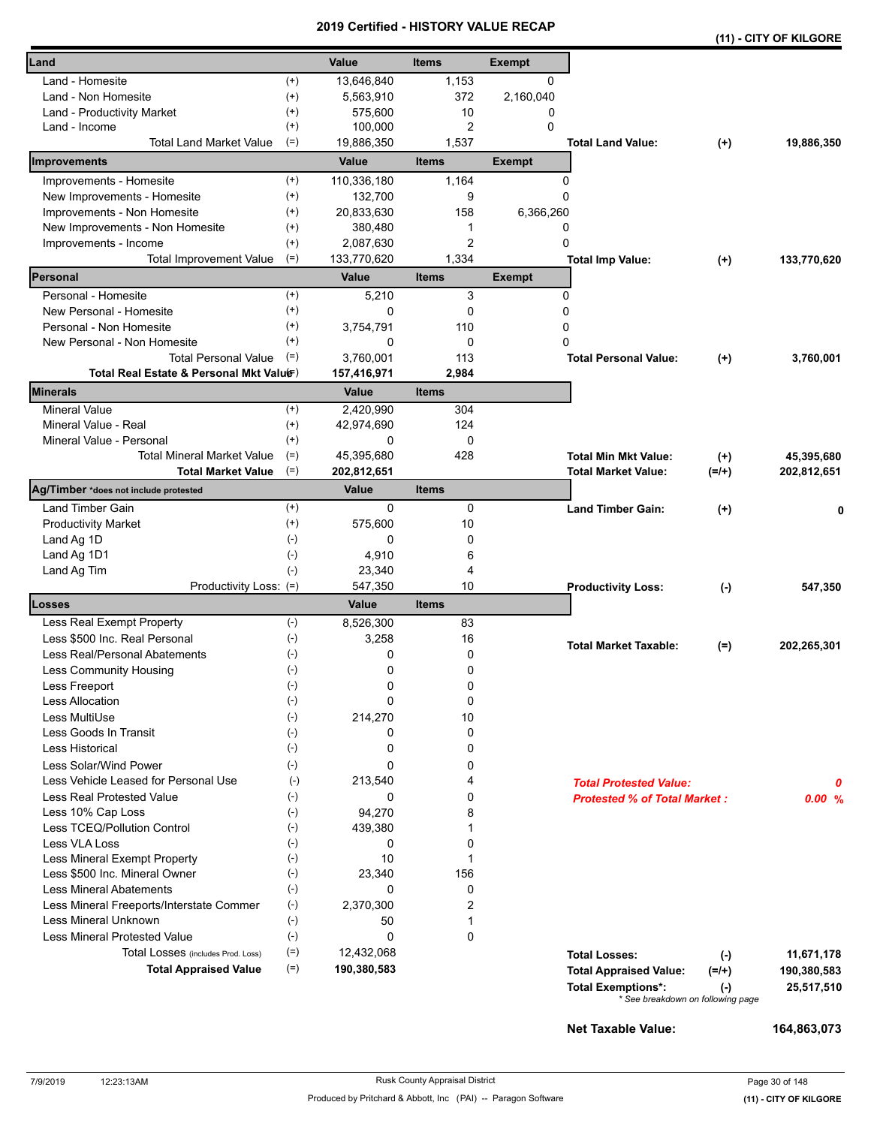|                                          |              |             |                |               |                                     |           | (11) - CITY OF KILGORE |
|------------------------------------------|--------------|-------------|----------------|---------------|-------------------------------------|-----------|------------------------|
| Land                                     |              | Value       | <b>Items</b>   | <b>Exempt</b> |                                     |           |                        |
| Land - Homesite                          | $^{(+)}$     | 13,646,840  | 1,153          | $\mathbf{0}$  |                                     |           |                        |
| Land - Non Homesite                      | $^{(+)}$     | 5,563,910   | 372            | 2,160,040     |                                     |           |                        |
| Land - Productivity Market               | $^{(+)}$     | 575,600     | 10             | 0             |                                     |           |                        |
| Land - Income                            | $^{(+)}$     | 100,000     | 2              | 0             |                                     |           |                        |
| <b>Total Land Market Value</b>           | $(=)$        | 19,886,350  | 1,537          |               | <b>Total Land Value:</b>            | $(+)$     | 19,886,350             |
| Improvements                             |              | Value       | <b>Items</b>   | <b>Exempt</b> |                                     |           |                        |
| Improvements - Homesite                  | $^{(+)}$     | 110,336,180 | 1,164          | 0             |                                     |           |                        |
| New Improvements - Homesite              | $^{(+)}$     | 132,700     | 9              | 0             |                                     |           |                        |
| Improvements - Non Homesite              | $^{(+)}$     | 20,833,630  | 158            | 6,366,260     |                                     |           |                        |
| New Improvements - Non Homesite          | $^{(+)}$     | 380,480     | 1              | 0             |                                     |           |                        |
| Improvements - Income                    | $^{(+)}$     | 2,087,630   | $\overline{c}$ | 0             |                                     |           |                        |
| <b>Total Improvement Value</b>           | $(=)$        | 133,770,620 | 1,334          |               | <b>Total Imp Value:</b>             | $(+)$     | 133,770,620            |
| Personal                                 |              | Value       | <b>Items</b>   | <b>Exempt</b> |                                     |           |                        |
| Personal - Homesite                      | $^{(+)}$     | 5,210       | 3              | 0             |                                     |           |                        |
| New Personal - Homesite                  | $^{(+)}$     | 0           | 0              | 0             |                                     |           |                        |
| Personal - Non Homesite                  | $^{(+)}$     | 3,754,791   | 110            | 0             |                                     |           |                        |
| New Personal - Non Homesite              | $^{(+)}$     | 0           | 0              | 0             |                                     |           |                        |
| <b>Total Personal Value</b>              | $(=)$        | 3.760.001   | 113            |               | <b>Total Personal Value:</b>        | $(+)$     | 3,760,001              |
| Total Real Estate & Personal Mkt Valuer) |              | 157,416,971 | 2,984          |               |                                     |           |                        |
| Minerals                                 |              | Value       | <b>Items</b>   |               |                                     |           |                        |
| <b>Mineral Value</b>                     | $^{(+)}$     | 2,420,990   | 304            |               |                                     |           |                        |
| Mineral Value - Real                     | $^{(+)}$     | 42,974,690  | 124            |               |                                     |           |                        |
| Mineral Value - Personal                 | $^{(+)}$     | 0           | 0              |               |                                     |           |                        |
| <b>Total Mineral Market Value</b>        | $(=)$        | 45,395,680  | 428            |               | <b>Total Min Mkt Value:</b>         | $(+)$     | 45,395,680             |
| <b>Total Market Value</b>                | $(=)$        | 202,812,651 |                |               | <b>Total Market Value:</b>          | $(=/+)$   | 202,812,651            |
| Ag/Timber *does not include protested    |              | Value       | <b>Items</b>   |               |                                     |           |                        |
| Land Timber Gain                         | $^{(+)}$     | $\mathbf 0$ | 0              |               | <b>Land Timber Gain:</b>            | $(+)$     |                        |
| <b>Productivity Market</b>               | $^{(+)}$     | 575,600     | 10             |               |                                     |           |                        |
| Land Ag 1D                               | $(-)$        | 0           | 0              |               |                                     |           |                        |
| Land Ag 1D1                              | $(-)$        | 4,910       | 6              |               |                                     |           |                        |
| Land Ag Tim                              | $(-)$        | 23,340      | 4              |               |                                     |           |                        |
| Productivity Loss: (=)                   |              | 547,350     | 10             |               | <b>Productivity Loss:</b>           | $(\cdot)$ | 547,350                |
| Losses                                   |              | Value       | <b>Items</b>   |               |                                     |           |                        |
| Less Real Exempt Property                | $(-)$        | 8,526,300   | 83             |               |                                     |           |                        |
| Less \$500 Inc. Real Personal            | $(-)$        | 3,258       | 16             |               | <b>Total Market Taxable:</b>        | $(=)$     | 202,265,301            |
| Less Real/Personal Abatements            | $(-)$        | 0           | 0              |               |                                     |           |                        |
| Less Community Housing                   | $(\hbox{-})$ | 0           | 0              |               |                                     |           |                        |
| Less Freeport                            | $(-)$        | 0           | 0              |               |                                     |           |                        |
| <b>Less Allocation</b>                   | $(-)$        | 0           | 0              |               |                                     |           |                        |
| Less MultiUse                            | $(-)$        | 214,270     | 10             |               |                                     |           |                        |
| Less Goods In Transit                    | $(-)$        | 0           | 0              |               |                                     |           |                        |
| Less Historical                          | $(-)$        | 0           | 0              |               |                                     |           |                        |
| Less Solar/Wind Power                    | $(-)$        | 0           | 0              |               |                                     |           |                        |
| Less Vehicle Leased for Personal Use     | $(-)$        | 213,540     | 4              |               | <b>Total Protested Value:</b>       |           | Ω                      |
| <b>Less Real Protested Value</b>         | $(-)$        | 0           | 0              |               | <b>Protested % of Total Market:</b> |           | 0.00%                  |
| Less 10% Cap Loss                        | $(-)$        | 94,270      | 8              |               |                                     |           |                        |
| Less TCEQ/Pollution Control              | $(-)$        | 439,380     | 1              |               |                                     |           |                        |
| Less VLA Loss                            | $(-)$        | 0           | 0              |               |                                     |           |                        |
| Less Mineral Exempt Property             | $(-)$        | 10          | 1              |               |                                     |           |                        |
| Less \$500 Inc. Mineral Owner            | $(-)$        | 23,340      | 156            |               |                                     |           |                        |
| <b>Less Mineral Abatements</b>           | $(-)$        | 0           | 0              |               |                                     |           |                        |
| Less Mineral Freeports/Interstate Commer | $(-)$        | 2,370,300   | $\overline{c}$ |               |                                     |           |                        |
| Less Mineral Unknown                     | $(-)$        | 50          | 1              |               |                                     |           |                        |
| <b>Less Mineral Protested Value</b>      | $(-)$        | 0           | 0              |               |                                     |           |                        |
| Total Losses (includes Prod. Loss)       | $(=)$        | 12,432,068  |                |               | <b>Total Losses:</b>                | $(-)$     | 11,671,178             |
| <b>Total Appraised Value</b>             | $(=)$        | 190,380,583 |                |               | <b>Total Appraised Value:</b>       | $(=/+)$   | 190,380,583            |
|                                          |              |             |                |               | <b>Total Exemptions*:</b>           | $(-)$     | 25,517,510             |
|                                          |              |             |                |               | * See breakdown on following page   |           |                        |

**Net Taxable Value: 164,863,073**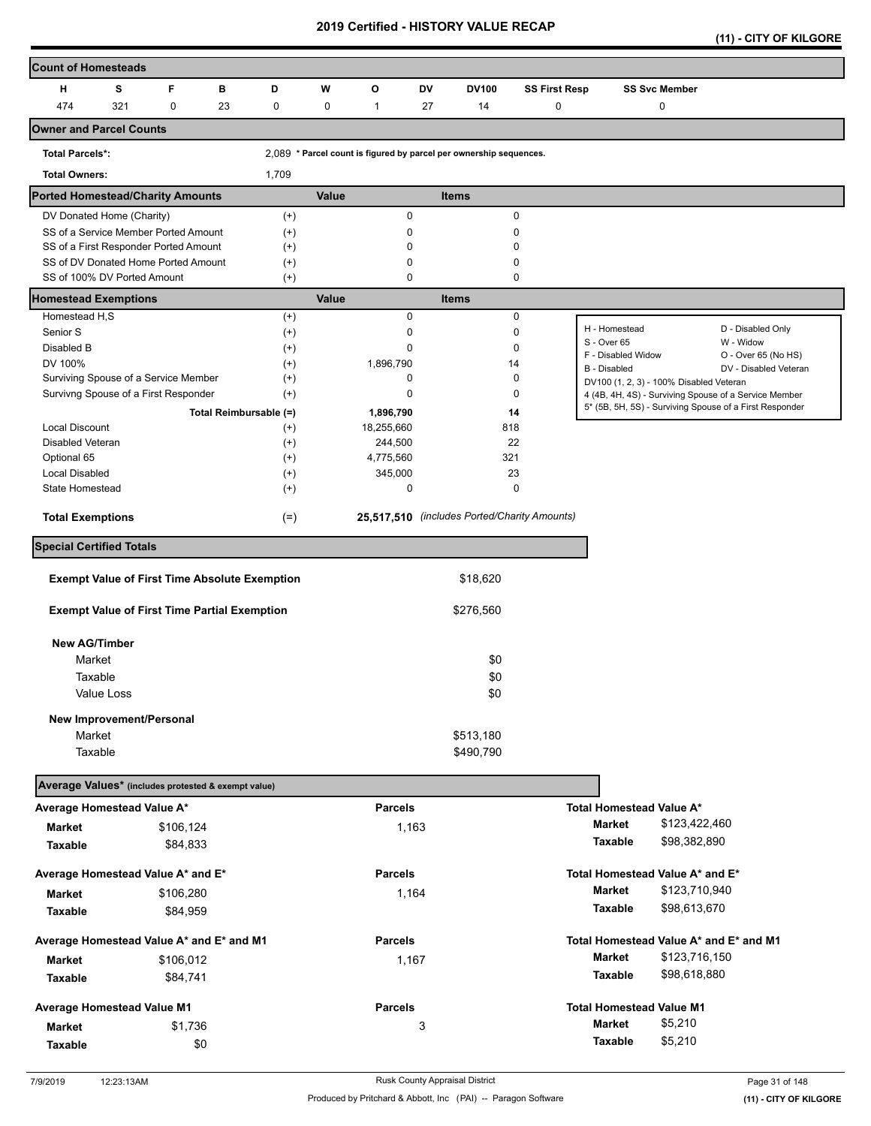| (11) - CITY OF KILGORE |  |
|------------------------|--|
|                        |  |

| Count of Homesteads                                                |            |           |    |                        |       |                |    |                                                                    |                      |                                         |                      |                                                         |
|--------------------------------------------------------------------|------------|-----------|----|------------------------|-------|----------------|----|--------------------------------------------------------------------|----------------------|-----------------------------------------|----------------------|---------------------------------------------------------|
| н                                                                  | s          | F         | в  | D                      | W     | O              | DV | <b>DV100</b>                                                       | <b>SS First Resp</b> |                                         | <b>SS Svc Member</b> |                                                         |
| 474                                                                | 321        | 0         | 23 | 0                      | 0     | $\mathbf{1}$   | 27 | 14                                                                 | 0                    |                                         | 0                    |                                                         |
| Owner and Parcel Counts                                            |            |           |    |                        |       |                |    |                                                                    |                      |                                         |                      |                                                         |
| <b>Total Parcels*:</b>                                             |            |           |    |                        |       |                |    | 2,089 * Parcel count is figured by parcel per ownership sequences. |                      |                                         |                      |                                                         |
| <b>Total Owners:</b>                                               |            |           |    | 1,709                  |       |                |    |                                                                    |                      |                                         |                      |                                                         |
| Ported Homestead/Charity Amounts                                   |            |           |    |                        | Value |                |    | <b>Items</b>                                                       |                      |                                         |                      |                                                         |
| DV Donated Home (Charity)                                          |            |           |    | $(+)$                  |       | $\mathbf 0$    |    | $\mathbf 0$                                                        |                      |                                         |                      |                                                         |
| SS of a Service Member Ported Amount                               |            |           |    | $^{(+)}$               |       | 0              |    | 0                                                                  |                      |                                         |                      |                                                         |
| SS of a First Responder Ported Amount                              |            |           |    | $^{(+)}$               |       | 0              |    | 0                                                                  |                      |                                         |                      |                                                         |
| SS of DV Donated Home Ported Amount<br>SS of 100% DV Ported Amount |            |           |    | $^{(+)}$<br>$(+)$      |       | 0<br>0         |    | 0<br>$\mathbf 0$                                                   |                      |                                         |                      |                                                         |
| <b>Homestead Exemptions</b>                                        |            |           |    |                        | Value |                |    | <b>Items</b>                                                       |                      |                                         |                      |                                                         |
| Homestead H,S                                                      |            |           |    | $(+)$                  |       | $\mathbf 0$    |    | $\pmb{0}$                                                          |                      |                                         |                      |                                                         |
| Senior S                                                           |            |           |    | $^{(+)}$               |       | 0              |    | 0                                                                  |                      | H - Homestead                           |                      | D - Disabled Only                                       |
| Disabled B                                                         |            |           |    | $^{(+)}$               |       | 0              |    | $\mathbf 0$                                                        |                      | S - Over 65                             |                      | W - Widow                                               |
| DV 100%                                                            |            |           |    | $(+)$                  |       | 1,896,790      |    | 14                                                                 |                      | F - Disabled Widow<br>B - Disabled      |                      | O - Over 65 (No HS)<br>DV - Disabled Veteran            |
| Surviving Spouse of a Service Member                               |            |           |    | $^{(+)}$               |       | 0              |    | 0                                                                  |                      | DV100 (1, 2, 3) - 100% Disabled Veteran |                      |                                                         |
| Survivng Spouse of a First Responder                               |            |           |    | $^{(+)}$               |       | 0              |    | 0                                                                  |                      |                                         |                      | 4 (4B, 4H, 4S) - Surviving Spouse of a Service Member   |
|                                                                    |            |           |    | Total Reimbursable (=) |       | 1,896,790      |    | 14                                                                 |                      |                                         |                      | 5* (5B, 5H, 5S) - Surviving Spouse of a First Responder |
| Local Discount                                                     |            |           |    | $^{(+)}$               |       | 18,255,660     |    | 818                                                                |                      |                                         |                      |                                                         |
| Disabled Veteran                                                   |            |           |    | $^{(+)}$               |       | 244,500        |    | 22                                                                 |                      |                                         |                      |                                                         |
| Optional 65                                                        |            |           |    | $^{(+)}$               |       | 4,775,560      |    | 321                                                                |                      |                                         |                      |                                                         |
| <b>Local Disabled</b>                                              |            |           |    | $^{(+)}$               |       | 345,000        |    | 23                                                                 |                      |                                         |                      |                                                         |
| State Homestead                                                    |            |           |    | $^{(+)}$               |       | 0              |    | $\mathbf 0$                                                        |                      |                                         |                      |                                                         |
| <b>Total Exemptions</b>                                            |            |           |    | $(=)$                  |       |                |    | 25,517,510 (includes Ported/Charity Amounts)                       |                      |                                         |                      |                                                         |
| <b>Special Certified Totals</b>                                    |            |           |    |                        |       |                |    |                                                                    |                      |                                         |                      |                                                         |
| <b>Exempt Value of First Time Absolute Exemption</b>               |            |           |    |                        |       |                |    | \$18,620                                                           |                      |                                         |                      |                                                         |
| <b>Exempt Value of First Time Partial Exemption</b>                |            |           |    |                        |       |                |    | \$276,560                                                          |                      |                                         |                      |                                                         |
|                                                                    |            |           |    |                        |       |                |    |                                                                    |                      |                                         |                      |                                                         |
| <b>New AG/Timber</b>                                               |            |           |    |                        |       |                |    |                                                                    |                      |                                         |                      |                                                         |
| Market                                                             |            |           |    |                        |       |                |    | \$0                                                                |                      |                                         |                      |                                                         |
| Taxable                                                            |            |           |    |                        |       |                |    | \$0                                                                |                      |                                         |                      |                                                         |
|                                                                    | Value Loss |           |    |                        |       |                |    | \$0                                                                |                      |                                         |                      |                                                         |
| New Improvement/Personal                                           |            |           |    |                        |       |                |    |                                                                    |                      |                                         |                      |                                                         |
| Market                                                             |            |           |    |                        |       |                |    | \$513,180                                                          |                      |                                         |                      |                                                         |
| Taxable                                                            |            |           |    |                        |       |                |    | \$490,790                                                          |                      |                                         |                      |                                                         |
| Average Values* (includes protested & exempt value)                |            |           |    |                        |       |                |    |                                                                    |                      |                                         |                      |                                                         |
| Average Homestead Value A*                                         |            |           |    |                        |       | <b>Parcels</b> |    |                                                                    |                      | Total Homestead Value A*                |                      |                                                         |
| Market                                                             |            | \$106,124 |    |                        |       | 1,163          |    |                                                                    |                      | <b>Market</b>                           | \$123,422,460        |                                                         |
| Taxable                                                            |            | \$84,833  |    |                        |       |                |    |                                                                    |                      | Taxable                                 | \$98,382,890         |                                                         |
| Average Homestead Value A* and E*                                  |            |           |    |                        |       | <b>Parcels</b> |    |                                                                    |                      | Total Homestead Value A* and E*         |                      |                                                         |
| Market                                                             |            | \$106,280 |    |                        |       | 1,164          |    |                                                                    |                      | Market                                  | \$123,710,940        |                                                         |
| Taxable                                                            |            | \$84,959  |    |                        |       |                |    |                                                                    |                      | Taxable                                 | \$98,613,670         |                                                         |
|                                                                    |            |           |    |                        |       |                |    |                                                                    |                      |                                         |                      |                                                         |
| Average Homestead Value A* and E* and M1                           |            |           |    |                        |       | <b>Parcels</b> |    |                                                                    |                      |                                         |                      | Total Homestead Value A* and E* and M1                  |
| <b>Market</b>                                                      |            | \$106,012 |    |                        |       | 1,167          |    |                                                                    |                      | <b>Market</b>                           | \$123,716,150        |                                                         |
| Taxable                                                            |            | \$84,741  |    |                        |       |                |    |                                                                    |                      | Taxable                                 | \$98,618,880         |                                                         |
| Average Homestead Value M1                                         |            |           |    |                        |       | <b>Parcels</b> |    |                                                                    |                      | <b>Total Homestead Value M1</b>         |                      |                                                         |
| <b>Market</b>                                                      |            | \$1,736   |    |                        |       |                | 3  |                                                                    |                      | <b>Market</b>                           | \$5,210              |                                                         |
| <b>Taxable</b>                                                     |            | \$0       |    |                        |       |                |    |                                                                    |                      | Taxable                                 | \$5,210              |                                                         |
|                                                                    |            |           |    |                        |       |                |    |                                                                    |                      |                                         |                      |                                                         |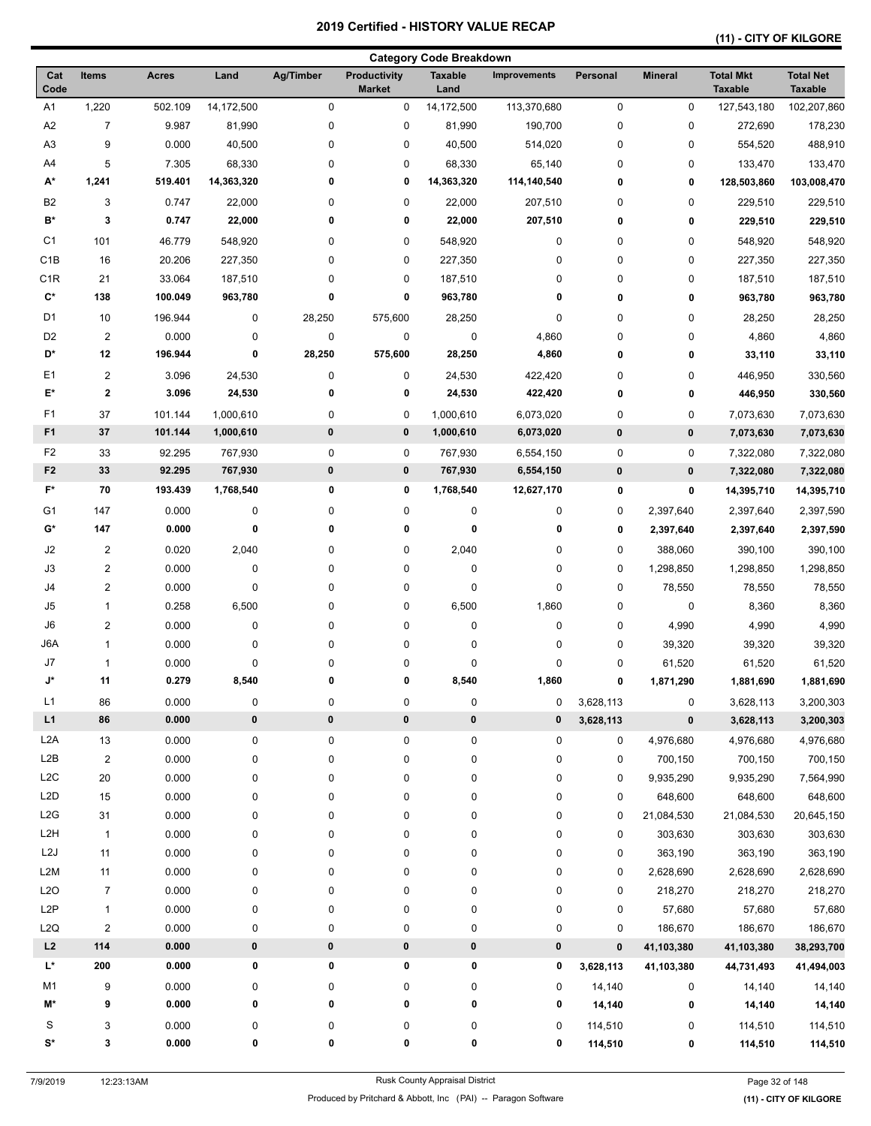# **(11) - CITY OF KILGORE**

|                      |                              |                |            |                  |                                      | <b>Category Code Breakdown</b> |                     |             |                |                                    |                                    |
|----------------------|------------------------------|----------------|------------|------------------|--------------------------------------|--------------------------------|---------------------|-------------|----------------|------------------------------------|------------------------------------|
| Cat<br>Code          | Items                        | <b>Acres</b>   | Land       | <b>Ag/Timber</b> | <b>Productivity</b><br><b>Market</b> | <b>Taxable</b><br>Land         | <b>Improvements</b> | Personal    | <b>Mineral</b> | <b>Total Mkt</b><br><b>Taxable</b> | <b>Total Net</b><br><b>Taxable</b> |
| A1                   | 1,220                        | 502.109        | 14,172,500 | $\pmb{0}$        | 0                                    | 14,172,500                     | 113,370,680         | 0           | 0              | 127,543,180                        | 102,207,860                        |
| A <sub>2</sub>       | $\overline{7}$               | 9.987          | 81,990     | 0                | 0                                    | 81,990                         | 190,700             | $\mathbf 0$ | 0              | 272,690                            | 178,230                            |
| A <sub>3</sub>       | 9                            | 0.000          | 40,500     | 0                | 0                                    | 40,500                         | 514,020             | 0           | 0              | 554,520                            | 488,910                            |
| A4                   | 5                            | 7.305          | 68,330     | 0                | 0                                    | 68,330                         | 65,140              | 0           | 0              | 133,470                            | 133,470                            |
| A*                   | 1,241                        | 519.401        | 14,363,320 | 0                | 0                                    | 14,363,320                     | 114,140,540         | 0           | 0              | 128,503,860                        | 103,008,470                        |
| B <sub>2</sub>       | 3                            | 0.747          | 22,000     | 0                | 0                                    | 22,000                         | 207,510             | 0           | 0              | 229,510                            | 229,510                            |
| B*                   | 3                            | 0.747          | 22,000     | 0                | 0                                    | 22,000                         | 207,510             | 0           | 0              | 229,510                            | 229,510                            |
| C <sub>1</sub>       | 101                          | 46.779         | 548,920    | 0                | 0                                    | 548,920                        | 0                   | 0           | 0              | 548,920                            | 548,920                            |
| C <sub>1</sub> B     | 16                           | 20.206         | 227,350    | 0                | 0                                    | 227,350                        | 0                   | 0           | 0              | 227,350                            | 227,350                            |
| C <sub>1</sub> R     | 21                           | 33.064         | 187,510    | 0                | 0                                    | 187,510                        | 0                   | 0           | 0              | 187,510                            | 187,510                            |
| $\mathbf{C}^{\star}$ | 138                          | 100.049        | 963,780    | 0                | 0                                    | 963,780                        | 0                   | 0           | 0              | 963,780                            | 963,780                            |
| D <sub>1</sub>       | 10                           | 196.944        | 0          | 28,250           | 575,600                              | 28,250                         | $\pmb{0}$           | 0           | 0              | 28,250                             | 28,250                             |
| D <sub>2</sub>       | $\overline{2}$               | 0.000          | 0          | 0                | 0                                    | $\pmb{0}$                      | 4,860               | 0           | 0              | 4,860                              | 4,860                              |
| D*                   | 12                           | 196.944        | 0          | 28,250           | 575,600                              | 28,250                         | 4,860               | 0           | 0              | 33,110                             | 33,110                             |
| E <sub>1</sub>       | $\overline{2}$               | 3.096          | 24,530     | 0                | 0                                    | 24,530                         | 422,420             | 0           | 0              | 446,950                            | 330,560                            |
| E*                   | $\bf{2}$                     | 3.096          | 24,530     | 0                | 0                                    | 24,530                         | 422,420             | 0           | 0              | 446,950                            | 330,560                            |
| F <sub>1</sub>       | 37                           | 101.144        | 1,000,610  | 0                | 0                                    | 1,000,610                      | 6,073,020           | 0           | 0              | 7,073,630                          | 7,073,630                          |
| F <sub>1</sub>       | 37                           | 101.144        | 1,000,610  | 0                | 0                                    | 1,000,610                      | 6,073,020           | 0           | 0              | 7,073,630                          | 7,073,630                          |
| F <sub>2</sub>       | 33                           | 92.295         | 767,930    | 0                | 0                                    | 767,930                        | 6,554,150           | 0           | 0              | 7,322,080                          | 7,322,080                          |
| F <sub>2</sub>       | 33                           | 92.295         | 767,930    | 0                | $\pmb{0}$                            | 767,930                        | 6,554,150           | 0           | 0              | 7,322,080                          | 7,322,080                          |
| $F^*$                | 70                           | 193.439        | 1,768,540  | 0                | 0                                    | 1,768,540                      | 12,627,170          | 0           | 0              | 14,395,710                         | 14,395,710                         |
| G1                   | 147                          | 0.000          | 0          | 0                | 0                                    | 0                              | 0                   | 0           | 2,397,640      | 2,397,640                          | 2,397,590                          |
| $\mathsf{G}^\star$   | 147                          | 0.000          | 0          | 0                | 0                                    | 0                              | 0                   | 0           | 2,397,640      | 2,397,640                          | 2,397,590                          |
| J2                   |                              |                |            | 0                |                                      |                                |                     |             |                |                                    |                                    |
| J3                   | $\overline{c}$               | 0.020          | 2,040      | 0                | 0                                    | 2,040                          | 0<br>0              | 0<br>0      | 388,060        | 390,100                            | 390,100                            |
| J4                   | 2<br>$\overline{\mathbf{c}}$ | 0.000          | 0<br>0     | 0                | 0                                    | 0<br>$\pmb{0}$                 | $\pmb{0}$           | 0           | 1,298,850      | 1,298,850                          | 1,298,850                          |
| J5                   |                              | 0.000          |            |                  | 0                                    |                                |                     |             | 78,550         | 78,550                             | 78,550                             |
|                      | $\mathbf{1}$                 | 0.258          | 6,500      | 0                | 0                                    | 6,500                          | 1,860               | 0           | 0              | 8,360                              | 8,360                              |
| J6                   | $\overline{\mathbf{c}}$      | 0.000          | 0          | 0                | 0                                    | $\pmb{0}$                      | $\pmb{0}$           | 0           | 4,990          | 4,990                              | 4,990                              |
| J6A                  | $\mathbf{1}$                 | 0.000          | 0          | 0                | 0                                    | 0                              | 0                   | 0           | 39,320         | 39,320                             | 39,320                             |
| J7<br>J*             | $\mathbf{1}$<br>11           | 0.000<br>0.279 | 0<br>8,540 | 0<br>0           | 0<br>0                               | $\pmb{0}$<br>8,540             | 0<br>1,860          | 0<br>0      | 61,520         | 61,520                             | 61,520                             |
|                      |                              |                |            |                  |                                      |                                |                     |             | 1,871,290      | 1,881,690                          | 1,881,690                          |
| L1<br>L1             | 86<br>86                     | 0.000<br>0.000 | 0          | 0<br>$\pmb{0}$   | 0                                    | 0                              | 0<br>0              | 3,628,113   | 0              | 3,628,113                          | 3,200,303                          |
|                      |                              |                | $\pmb{0}$  |                  | $\pmb{0}$                            | 0                              |                     | 3,628,113   | 0              | 3,628,113                          | 3,200,303                          |
| L <sub>2</sub> A     | 13                           | 0.000          | 0          | 0                | 0                                    | 0                              | 0                   | 0           | 4,976,680      | 4,976,680                          | 4,976,680                          |
| L2B                  | $\overline{c}$               | 0.000          | 0          | 0                | 0                                    | 0                              | $\pmb{0}$           | 0           | 700,150        | 700,150                            | 700,150                            |
| L <sub>2</sub> C     | $20\,$                       | 0.000          | 0          | 0                | 0                                    | 0                              | 0                   | 0           | 9,935,290      | 9,935,290                          | 7,564,990                          |
| L <sub>2</sub> D     | 15                           | 0.000          | 0          | 0                | 0                                    | 0                              | 0                   | 0           | 648,600        | 648,600                            | 648,600                            |
| L2G                  | 31                           | 0.000          | 0          | 0                | 0                                    | $\pmb{0}$                      | 0                   | 0           | 21,084,530     | 21,084,530                         | 20,645,150                         |
| L <sub>2</sub> H     | $\mathbf{1}$                 | 0.000          | 0          | 0                | 0                                    | 0                              | $\pmb{0}$           | $\pmb{0}$   | 303,630        | 303,630                            | 303,630                            |
| L <sub>2</sub> J     | 11                           | 0.000          | 0          | 0                | 0                                    | 0                              | $\pmb{0}$           | 0           | 363,190        | 363,190                            | 363,190                            |
| L2M                  | 11                           | 0.000          | 0          | 0                | 0                                    | 0                              | 0                   | 0           | 2,628,690      | 2,628,690                          | 2,628,690                          |
| L2O                  | $\overline{7}$               | 0.000          | 0          | 0                | 0                                    | 0                              | 0                   | 0           | 218,270        | 218,270                            | 218,270                            |
| L <sub>2</sub> P     | $\mathbf{1}$                 | 0.000          | 0          | 0                | 0                                    | 0                              | 0                   | 0           | 57,680         | 57,680                             | 57,680                             |
| L <sub>2</sub> Q     | $\boldsymbol{2}$             | 0.000          | 0          | 0                | 0                                    | 0                              | 0                   | 0           | 186,670        | 186,670                            | 186,670                            |
| L2                   | 114                          | 0.000          | $\pmb{0}$  | $\pmb{0}$        | $\pmb{0}$                            | 0                              | $\pmb{0}$           | $\pmb{0}$   | 41,103,380     | 41,103,380                         | 38,293,700                         |
| L*                   | 200                          | 0.000          | 0          | 0                | 0                                    | 0                              | 0                   | 3,628,113   | 41,103,380     | 44,731,493                         | 41,494,003                         |
| M1                   | 9                            | 0.000          | 0          | 0                | 0                                    | 0                              | 0                   | 14,140      | 0              | 14,140                             | 14,140                             |
| M*                   | 9                            | 0.000          | 0          | 0                | 0                                    | 0                              | 0                   | 14,140      | 0              | 14,140                             | 14,140                             |
| S                    | 3                            | 0.000          | 0          | 0                | 0                                    | 0                              | 0                   | 114,510     | 0              | 114,510                            | 114,510                            |
| S*                   | 3                            | 0.000          | 0          | 0                | 0                                    | 0                              | 0                   | 114,510     | 0              | 114,510                            | 114,510                            |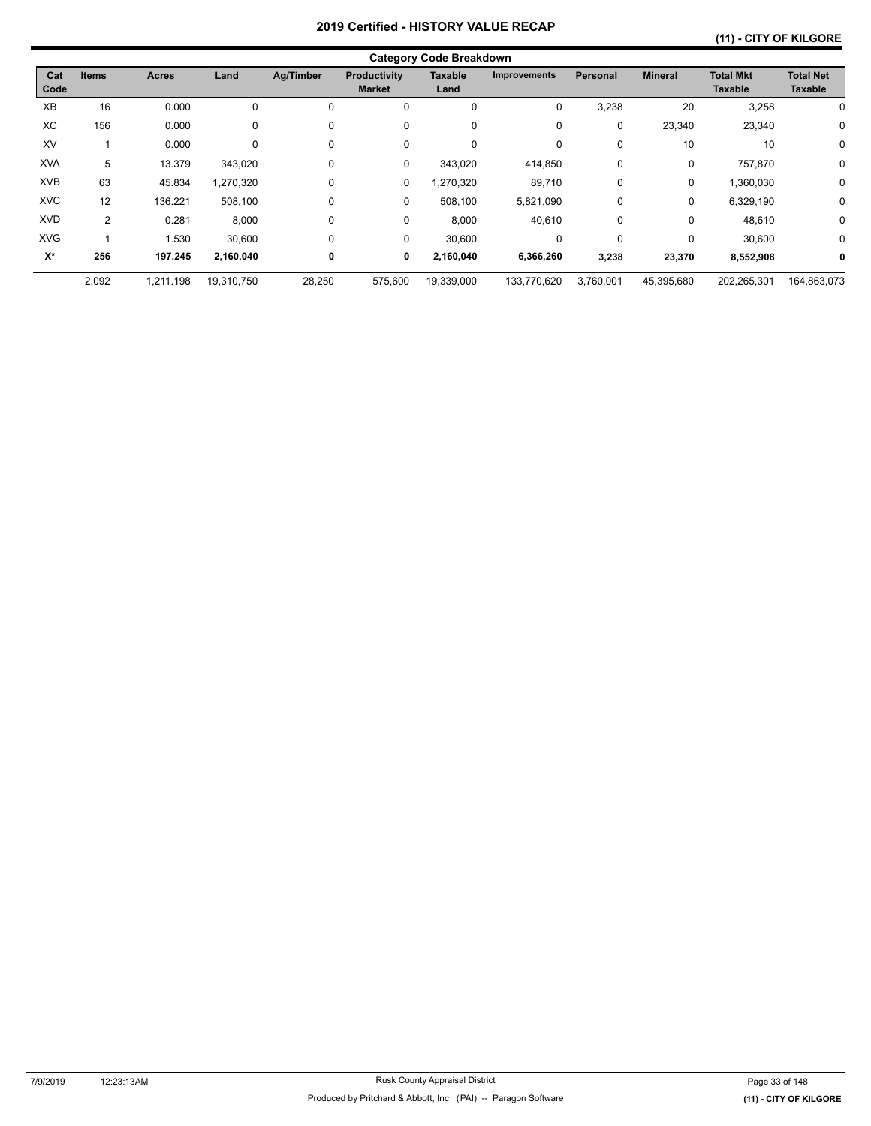# **(11) - CITY OF KILGORE**

|             | <b>Category Code Breakdown</b> |           |            |           |                               |                 |                     |             |                |                                    |                                    |  |  |
|-------------|--------------------------------|-----------|------------|-----------|-------------------------------|-----------------|---------------------|-------------|----------------|------------------------------------|------------------------------------|--|--|
| Cat<br>Code | <b>Items</b><br>Land<br>Acres  |           |            | Ag/Timber | Productivity<br><b>Market</b> | Taxable<br>Land | <b>Improvements</b> | Personal    | <b>Mineral</b> | <b>Total Mkt</b><br><b>Taxable</b> | <b>Total Net</b><br><b>Taxable</b> |  |  |
| XB          | 16                             | 0.000     | 0          |           | 0                             | 0               | 0                   | 3,238       | 20             | 3,258                              | 0                                  |  |  |
| ХC          | 156                            | 0.000     | 0          | 0         | 0                             | 0               | 0                   | $\mathbf 0$ | 23,340         | 23,340                             | 0                                  |  |  |
| XV          |                                | 0.000     | 0          | 0         | 0                             | 0               | 0                   | $\mathbf 0$ | 10             | 10                                 | $\mathbf 0$                        |  |  |
| <b>XVA</b>  | 5                              | 13.379    | 343,020    | 0         | 0                             | 343,020         | 414,850             | 0           | 0              | 757,870                            | 0                                  |  |  |
| <b>XVB</b>  | 63                             | 45.834    | 1,270,320  | 0         | 0                             | 1,270,320       | 89,710              | $\mathbf 0$ | 0              | 1,360,030                          | 0                                  |  |  |
| <b>XVC</b>  | 12                             | 136.221   | 508,100    | $\Omega$  | 0                             | 508,100         | 5,821,090           | $\mathbf 0$ | 0              | 6,329,190                          | $\mathbf 0$                        |  |  |
| <b>XVD</b>  | $\overline{2}$                 | 0.281     | 8,000      | 0         | 0                             | 8,000           | 40,610              | 0           | 0              | 48,610                             | 0                                  |  |  |
| <b>XVG</b>  |                                | 1.530     | 30,600     | $\Omega$  | 0                             | 30,600          | 0                   | $\Omega$    | 0              | 30,600                             | $\mathbf 0$                        |  |  |
| $X^*$       | 256                            | 197.245   | 2,160,040  | 0         | 0                             | 2,160,040       | 6,366,260           | 3,238       | 23,370         | 8,552,908                          | 0                                  |  |  |
|             | 2,092                          | 1,211.198 | 19,310,750 | 28,250    | 575,600                       | 19,339,000      | 133,770,620         | 3,760,001   | 45,395,680     | 202,265,301                        | 164,863,073                        |  |  |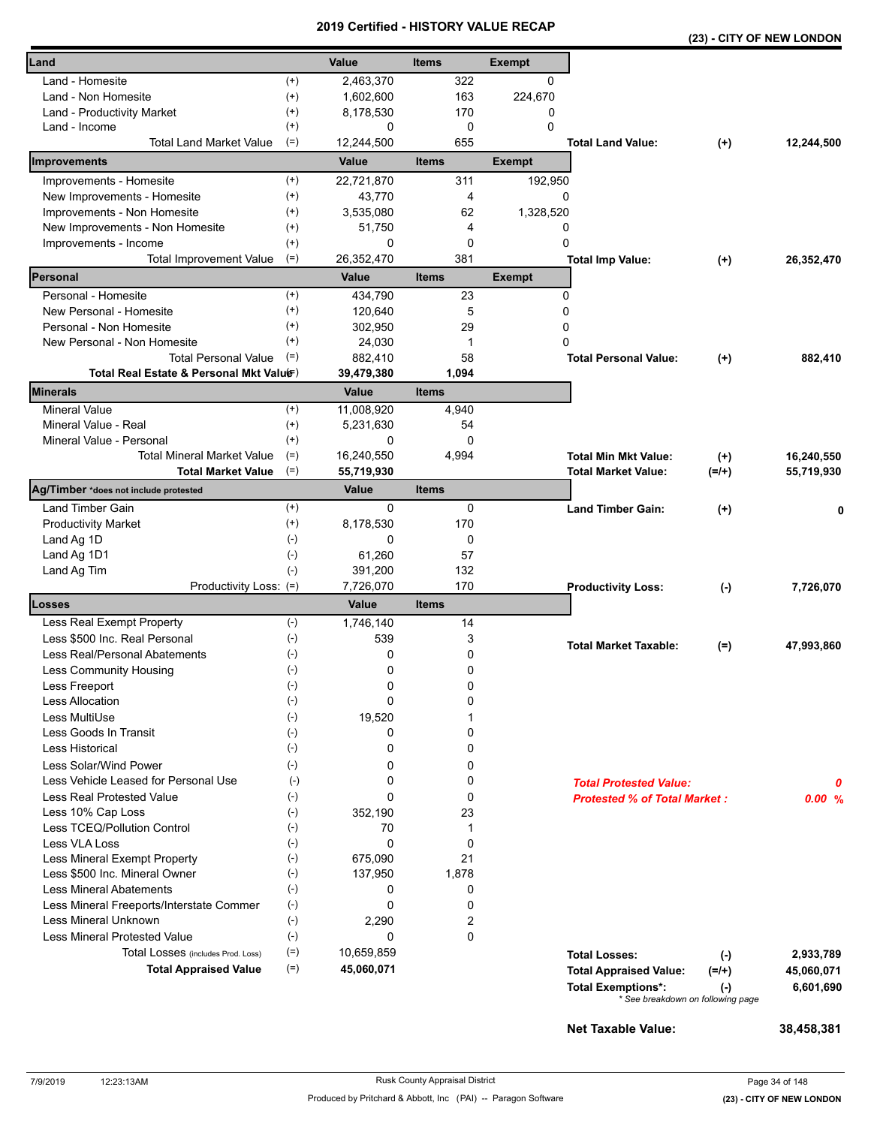|                                          |                    |              |              |               |                                     |                                   | (23) - CITY OF NEW LONDON |
|------------------------------------------|--------------------|--------------|--------------|---------------|-------------------------------------|-----------------------------------|---------------------------|
| Land                                     |                    | Value        | <b>Items</b> | <b>Exempt</b> |                                     |                                   |                           |
| Land - Homesite                          | $^{(+)}$           | 2,463,370    | 322          | 0             |                                     |                                   |                           |
| Land - Non Homesite                      | $^{(+)}$           | 1,602,600    | 163          | 224,670       |                                     |                                   |                           |
| Land - Productivity Market               | $^{(+)}$           | 8,178,530    | 170          | 0             |                                     |                                   |                           |
| Land - Income                            | $^{(+)}$           | 0            | $\mathbf 0$  | $\mathbf 0$   |                                     |                                   |                           |
| <b>Total Land Market Value</b>           | $(=)$              | 12,244,500   | 655          |               | <b>Total Land Value:</b>            | $(+)$                             | 12,244,500                |
| Improvements                             |                    | Value        | <b>Items</b> | <b>Exempt</b> |                                     |                                   |                           |
| Improvements - Homesite                  | $^{(+)}$           | 22,721,870   | 311          | 192,950       |                                     |                                   |                           |
| New Improvements - Homesite              | $^{(+)}$           | 43,770       | 4            |               | 0                                   |                                   |                           |
| Improvements - Non Homesite              | $^{(+)}$           | 3,535,080    | 62           | 1,328,520     |                                     |                                   |                           |
| New Improvements - Non Homesite          | $^{(+)}$           | 51,750       | 4            |               | 0                                   |                                   |                           |
| Improvements - Income                    | $^{(+)}$           | 0            | 0            |               | 0                                   |                                   |                           |
| $(=)$<br><b>Total Improvement Value</b>  |                    | 26,352,470   | 381          |               | <b>Total Imp Value:</b>             | $^{(+)}$                          | 26,352,470                |
| Personal                                 |                    | Value        | <b>Items</b> | <b>Exempt</b> |                                     |                                   |                           |
| Personal - Homesite                      | $^{(+)}$           | 434,790      | 23           |               | 0                                   |                                   |                           |
| New Personal - Homesite                  | $^{(+)}$           | 120,640      | 5            |               | 0                                   |                                   |                           |
| Personal - Non Homesite                  | $^{(+)}$           | 302,950      | 29           |               | 0                                   |                                   |                           |
| New Personal - Non Homesite              | $^{(+)}$           | 24,030       | 1            |               | $\Omega$                            |                                   |                           |
| <b>Total Personal Value</b>              | $(=)$              | 882,410      | 58           |               | <b>Total Personal Value:</b>        | $^{(+)}$                          | 882,410                   |
| Total Real Estate & Personal Mkt Valuer) |                    | 39,479,380   | 1,094        |               |                                     |                                   |                           |
| <b>Minerals</b>                          |                    | <b>Value</b> | <b>Items</b> |               |                                     |                                   |                           |
| <b>Mineral Value</b>                     | $^{(+)}$           | 11,008,920   | 4,940        |               |                                     |                                   |                           |
| Mineral Value - Real                     | $^{(+)}$           | 5,231,630    | 54           |               |                                     |                                   |                           |
| Mineral Value - Personal                 | $^{(+)}$           | 0            | 0            |               |                                     |                                   |                           |
| <b>Total Mineral Market Value</b>        | $(=)$              | 16,240,550   | 4,994        |               | <b>Total Min Mkt Value:</b>         | $^{(+)}$                          | 16,240,550                |
| $(=)$<br><b>Total Market Value</b>       |                    | 55,719,930   |              |               | <b>Total Market Value:</b>          | $(=/+)$                           | 55,719,930                |
| Ag/Timber *does not include protested    |                    | Value        | <b>Items</b> |               |                                     |                                   |                           |
| Land Timber Gain                         | $^{(+)}$           | 0            | 0            |               | <b>Land Timber Gain:</b>            | $^{(+)}$                          | 0                         |
| <b>Productivity Market</b>               | $^{(+)}$           | 8,178,530    | 170          |               |                                     |                                   |                           |
| Land Ag 1D                               | $(-)$              | 0            | 0            |               |                                     |                                   |                           |
| Land Ag 1D1                              | $(-)$              | 61,260       | 57           |               |                                     |                                   |                           |
| Land Ag Tim                              | $(-)$              | 391,200      | 132          |               |                                     |                                   |                           |
| Productivity Loss: (=)                   |                    | 7,726,070    | 170          |               | <b>Productivity Loss:</b>           | $(\cdot)$                         | 7,726,070                 |
| Losses                                   |                    | Value        | <b>Items</b> |               |                                     |                                   |                           |
| Less Real Exempt Property                | $(-)$              | 1,746,140    | 14           |               |                                     |                                   |                           |
| Less \$500 Inc. Real Personal            | $(-)$              | 539          | 3            |               | <b>Total Market Taxable:</b>        | $(=)$                             | 47,993,860                |
| Less Real/Personal Abatements            | $(-)$              | 0            | 0            |               |                                     |                                   |                           |
| Less Community Housing                   | $(\textnormal{-})$ | 0            | 0            |               |                                     |                                   |                           |
| Less Freeport                            | $(-)$              | 0            | 0            |               |                                     |                                   |                           |
| <b>Less Allocation</b>                   | $(-)$              | 0            | 0            |               |                                     |                                   |                           |
| Less MultiUse                            | $(-)$              | 19,520       | 1            |               |                                     |                                   |                           |
| Less Goods In Transit                    | $(-)$              | 0            | 0            |               |                                     |                                   |                           |
| <b>Less Historical</b>                   | $(-)$              | 0            | 0            |               |                                     |                                   |                           |
| Less Solar/Wind Power                    | $(-)$              | 0            | 0            |               |                                     |                                   |                           |
| Less Vehicle Leased for Personal Use     | $(-)$              | 0            | 0            |               | <b>Total Protested Value:</b>       |                                   | 0                         |
| Less Real Protested Value                | $(-)$              | 0            | 0            |               | <b>Protested % of Total Market:</b> |                                   | 0.00%                     |
| Less 10% Cap Loss                        | $(-)$              | 352,190      | 23           |               |                                     |                                   |                           |
| Less TCEQ/Pollution Control              | $(-)$              | 70           | 1            |               |                                     |                                   |                           |
| Less VLA Loss                            | $(-)$              | 0            | $\mathbf 0$  |               |                                     |                                   |                           |
| Less Mineral Exempt Property             | $(-)$              | 675,090      | 21           |               |                                     |                                   |                           |
| Less \$500 Inc. Mineral Owner            | $(-)$              | 137,950      | 1,878        |               |                                     |                                   |                           |
| <b>Less Mineral Abatements</b>           | $(-)$              | 0            | 0            |               |                                     |                                   |                           |
| Less Mineral Freeports/Interstate Commer | $(-)$              | 0            | 0            |               |                                     |                                   |                           |
| <b>Less Mineral Unknown</b>              | $(-)$              | 2,290        | 2            |               |                                     |                                   |                           |
| <b>Less Mineral Protested Value</b>      | $(-)$              | 0            | 0            |               |                                     |                                   |                           |
| Total Losses (includes Prod. Loss)       | $(=)$              | 10,659,859   |              |               | <b>Total Losses:</b>                | $(-)$                             | 2,933,789                 |
| <b>Total Appraised Value</b>             | $(=)$              | 45,060,071   |              |               | <b>Total Appraised Value:</b>       | $(=/+)$                           | 45,060,071                |
|                                          |                    |              |              |               | <b>Total Exemptions*:</b>           | $(\cdot)$                         | 6,601,690                 |
|                                          |                    |              |              |               |                                     | * See breakdown on following page |                           |
|                                          |                    |              |              |               |                                     |                                   |                           |
|                                          |                    |              |              |               | <b>Net Taxable Value:</b>           |                                   | 38,458,381                |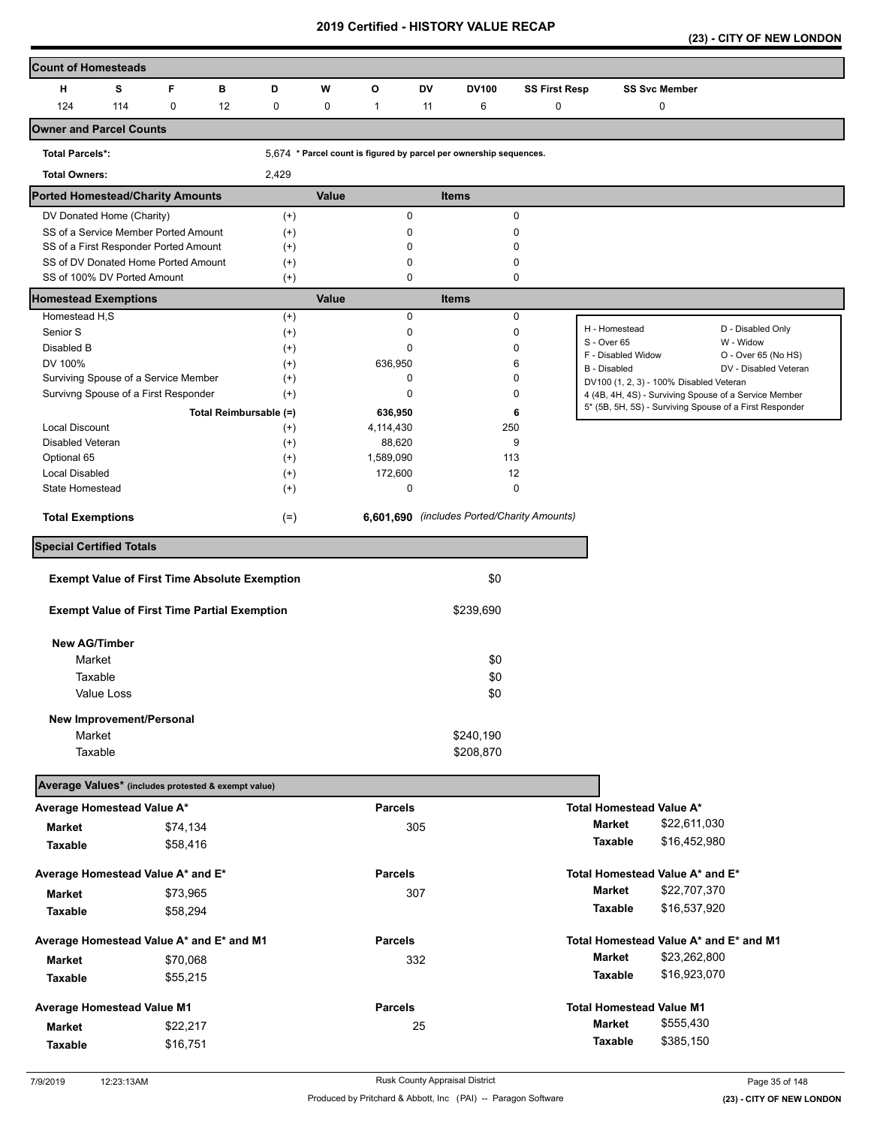|  |  |  | (23) - CITY OF NEW LONDON |
|--|--|--|---------------------------|
|--|--|--|---------------------------|

| <b>Count of Homesteads</b>                                                                   |                                                                    |          |                        |                      |       |                      |           |                                             |                      |                                         |                      |                                                         |  |
|----------------------------------------------------------------------------------------------|--------------------------------------------------------------------|----------|------------------------|----------------------|-------|----------------------|-----------|---------------------------------------------|----------------------|-----------------------------------------|----------------------|---------------------------------------------------------|--|
| H                                                                                            | s                                                                  | F.       | в                      | D                    | W     | O                    | <b>DV</b> | DV100                                       | <b>SS First Resp</b> |                                         | <b>SS Svc Member</b> |                                                         |  |
| 124                                                                                          | 114                                                                | 0        | 12                     | $\mathbf 0$          | 0     | $\mathbf{1}$         | 11        | 6                                           | 0                    |                                         | 0                    |                                                         |  |
| <b>Owner and Parcel Counts</b>                                                               |                                                                    |          |                        |                      |       |                      |           |                                             |                      |                                         |                      |                                                         |  |
| <b>Total Parcels*:</b><br>5,674 * Parcel count is figured by parcel per ownership sequences. |                                                                    |          |                        |                      |       |                      |           |                                             |                      |                                         |                      |                                                         |  |
| <b>Total Owners:</b>                                                                         |                                                                    |          |                        | 2,429                |       |                      |           |                                             |                      |                                         |                      |                                                         |  |
| <b>Ported Homestead/Charity Amounts</b>                                                      |                                                                    |          |                        |                      | Value |                      |           | <b>Items</b>                                |                      |                                         |                      |                                                         |  |
|                                                                                              | DV Donated Home (Charity)                                          |          |                        | $(+)$                |       | 0                    |           | 0                                           |                      |                                         |                      |                                                         |  |
|                                                                                              | SS of a Service Member Ported Amount                               |          |                        | $(+)$                |       | 0                    |           | 0                                           |                      |                                         |                      |                                                         |  |
|                                                                                              | SS of a First Responder Ported Amount                              |          |                        | $^{(+)}$             |       | $\Omega$             |           | 0                                           |                      |                                         |                      |                                                         |  |
|                                                                                              | SS of DV Donated Home Ported Amount<br>SS of 100% DV Ported Amount |          |                        | $^{(+)}$<br>$^{(+)}$ |       | 0<br>0               |           | 0<br>0                                      |                      |                                         |                      |                                                         |  |
| <b>Homestead Exemptions</b>                                                                  |                                                                    |          |                        |                      | Value |                      |           | <b>Items</b>                                |                      |                                         |                      |                                                         |  |
| Homestead H,S                                                                                |                                                                    |          |                        | $^{(+)}$             |       | $\mathbf 0$          |           | 0                                           |                      |                                         |                      |                                                         |  |
| Senior S                                                                                     |                                                                    |          |                        | $^{(+)}$             |       | 0                    |           | 0                                           |                      | H - Homestead                           |                      | D - Disabled Only                                       |  |
| Disabled B                                                                                   |                                                                    |          |                        | $^{(+)}$             |       | 0                    |           | 0                                           |                      | S - Over 65<br>F - Disabled Widow       |                      | W - Widow<br>O - Over 65 (No HS)                        |  |
| DV 100%                                                                                      |                                                                    |          |                        | $^{(+)}$             |       | 636,950              |           | 6                                           |                      | B - Disabled                            |                      | DV - Disabled Veteran                                   |  |
|                                                                                              | Surviving Spouse of a Service Member                               |          |                        | $^{(+)}$             |       | 0                    |           | 0                                           |                      | DV100 (1, 2, 3) - 100% Disabled Veteran |                      |                                                         |  |
|                                                                                              | Survivng Spouse of a First Responder                               |          |                        | $^{(+)}$             |       | $\Omega$             |           | 0                                           |                      |                                         |                      | 4 (4B, 4H, 4S) - Surviving Spouse of a Service Member   |  |
|                                                                                              |                                                                    |          | Total Reimbursable (=) |                      |       | 636,950              |           | 6                                           |                      |                                         |                      | 5* (5B, 5H, 5S) - Surviving Spouse of a First Responder |  |
| <b>Local Discount</b>                                                                        |                                                                    |          |                        | $^{(+)}$             |       | 4,114,430            |           | 250                                         |                      |                                         |                      |                                                         |  |
| <b>Disabled Veteran</b>                                                                      |                                                                    |          |                        | $^{(+)}$             |       | 88,620               |           | 9                                           |                      |                                         |                      |                                                         |  |
| Optional 65<br><b>Local Disabled</b>                                                         |                                                                    |          |                        | $^{(+)}$<br>$^{(+)}$ |       | 1,589,090<br>172,600 |           | 113<br>12                                   |                      |                                         |                      |                                                         |  |
| State Homestead                                                                              |                                                                    |          |                        | $^{(+)}$             |       | 0                    |           | 0                                           |                      |                                         |                      |                                                         |  |
|                                                                                              |                                                                    |          |                        |                      |       |                      |           |                                             |                      |                                         |                      |                                                         |  |
| <b>Total Exemptions</b>                                                                      |                                                                    |          |                        | $(=)$                |       |                      |           | 6,601,690 (includes Ported/Charity Amounts) |                      |                                         |                      |                                                         |  |
| <b>Special Certified Totals</b>                                                              |                                                                    |          |                        |                      |       |                      |           |                                             |                      |                                         |                      |                                                         |  |
|                                                                                              | <b>Exempt Value of First Time Absolute Exemption</b>               |          |                        |                      |       |                      |           | \$0                                         |                      |                                         |                      |                                                         |  |
|                                                                                              | <b>Exempt Value of First Time Partial Exemption</b>                |          |                        |                      |       |                      |           | \$239,690                                   |                      |                                         |                      |                                                         |  |
| <b>New AG/Timber</b>                                                                         |                                                                    |          |                        |                      |       |                      |           |                                             |                      |                                         |                      |                                                         |  |
| Market                                                                                       |                                                                    |          |                        |                      |       |                      |           | \$0                                         |                      |                                         |                      |                                                         |  |
| Taxable                                                                                      |                                                                    |          |                        |                      |       |                      |           | \$0                                         |                      |                                         |                      |                                                         |  |
|                                                                                              | Value Loss                                                         |          |                        |                      |       |                      |           | \$0                                         |                      |                                         |                      |                                                         |  |
|                                                                                              |                                                                    |          |                        |                      |       |                      |           |                                             |                      |                                         |                      |                                                         |  |
| Market                                                                                       | New Improvement/Personal                                           |          |                        |                      |       |                      |           | \$240,190                                   |                      |                                         |                      |                                                         |  |
| Taxable                                                                                      |                                                                    |          |                        |                      |       |                      |           | \$208,870                                   |                      |                                         |                      |                                                         |  |
|                                                                                              |                                                                    |          |                        |                      |       |                      |           |                                             |                      |                                         |                      |                                                         |  |
| Average Values* (includes protested & exempt value)                                          |                                                                    |          |                        |                      |       |                      |           |                                             |                      |                                         |                      |                                                         |  |
| Average Homestead Value A*                                                                   |                                                                    |          |                        |                      |       | <b>Parcels</b>       |           |                                             |                      | Total Homestead Value A*                |                      |                                                         |  |
| <b>Market</b>                                                                                |                                                                    | \$74,134 |                        |                      |       |                      | 305       |                                             |                      | <b>Market</b>                           | \$22,611,030         |                                                         |  |
| Taxable                                                                                      |                                                                    | \$58,416 |                        |                      |       |                      |           |                                             |                      | Taxable                                 | \$16,452,980         |                                                         |  |
| Average Homestead Value A* and E*                                                            |                                                                    |          |                        |                      |       | <b>Parcels</b>       |           |                                             |                      | Total Homestead Value A* and E*         |                      |                                                         |  |
| Market                                                                                       |                                                                    | \$73,965 |                        |                      |       |                      | 307       |                                             |                      | <b>Market</b>                           | \$22,707,370         |                                                         |  |
| Taxable                                                                                      |                                                                    | \$58,294 |                        |                      |       |                      |           |                                             |                      | Taxable                                 | \$16,537,920         |                                                         |  |
| Average Homestead Value A* and E* and M1                                                     |                                                                    |          |                        |                      |       | <b>Parcels</b>       |           |                                             |                      | Total Homestead Value A* and E* and M1  |                      |                                                         |  |
| <b>Market</b>                                                                                |                                                                    | \$70,068 |                        |                      |       |                      | 332       |                                             |                      | <b>Market</b>                           | \$23,262,800         |                                                         |  |
| Taxable                                                                                      |                                                                    | \$55,215 |                        |                      |       |                      |           |                                             |                      | Taxable                                 | \$16,923,070         |                                                         |  |
| Average Homestead Value M1                                                                   |                                                                    |          |                        |                      |       | <b>Parcels</b>       |           |                                             |                      | <b>Total Homestead Value M1</b>         |                      |                                                         |  |
| <b>Market</b>                                                                                |                                                                    | \$22,217 |                        |                      |       |                      | 25        |                                             |                      | <b>Market</b>                           | \$555,430            |                                                         |  |
| Taxable                                                                                      |                                                                    | \$16,751 |                        |                      |       |                      |           |                                             |                      | Taxable                                 | \$385,150            |                                                         |  |
|                                                                                              |                                                                    |          |                        |                      |       |                      |           |                                             |                      |                                         |                      |                                                         |  |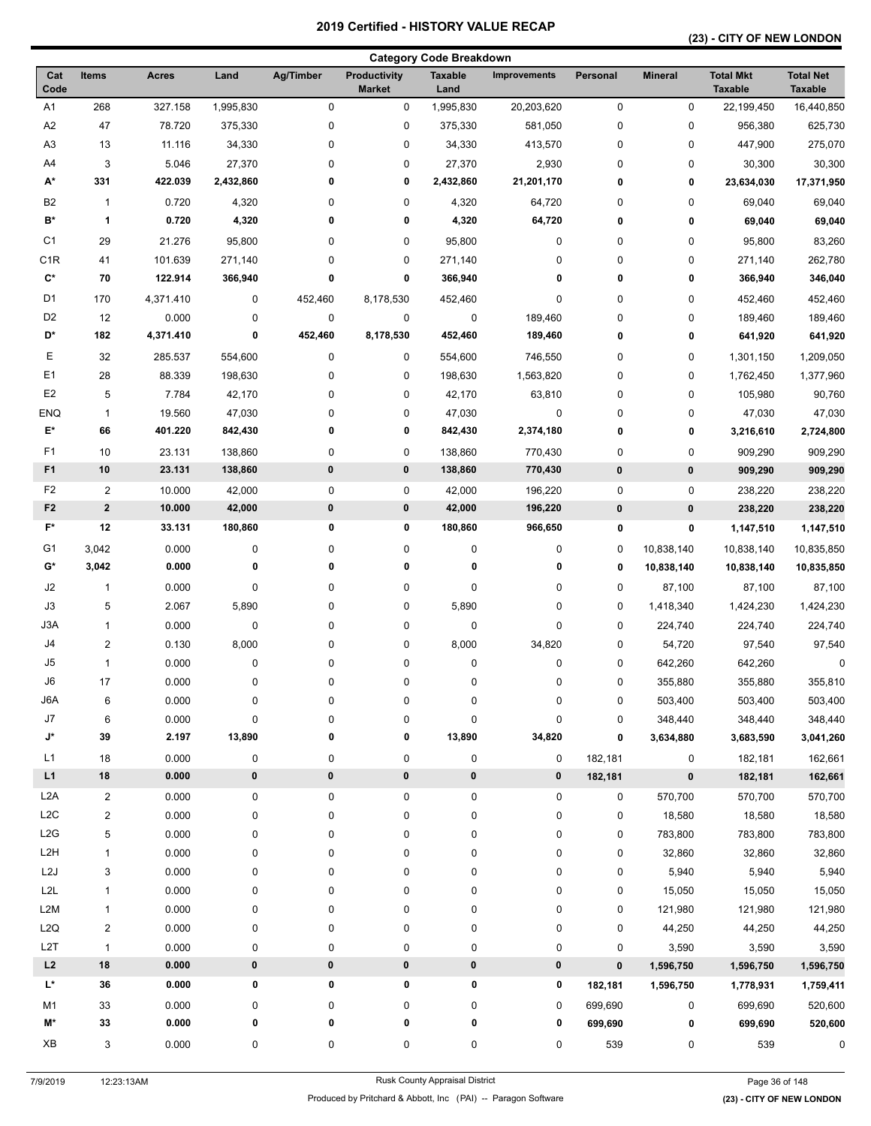# **(23) - CITY OF NEW LONDON**

| <b>Category Code Breakdown</b> |                         |                   |           |           |                                      |                        |                     |          |                |                                    |                                    |
|--------------------------------|-------------------------|-------------------|-----------|-----------|--------------------------------------|------------------------|---------------------|----------|----------------|------------------------------------|------------------------------------|
| Cat<br>Code                    | <b>Items</b>            | <b>Acres</b>      | Land      | Ag/Timber | <b>Productivity</b><br><b>Market</b> | <b>Taxable</b><br>Land | <b>Improvements</b> | Personal | <b>Mineral</b> | <b>Total Mkt</b><br><b>Taxable</b> | <b>Total Net</b><br><b>Taxable</b> |
| A1                             | 268                     | 327.158           | 1,995,830 | $\pmb{0}$ | $\mathsf 0$                          | 1,995,830              | 20,203,620          | 0        | 0              | 22,199,450                         | 16,440,850                         |
| A <sub>2</sub>                 | 47                      | 78.720            | 375,330   | 0         | 0                                    | 375,330                | 581,050             | 0        | 0              | 956,380                            | 625,730                            |
| A3                             | 13                      | 11.116            | 34,330    | 0         | 0                                    | 34,330                 | 413,570             | 0        | 0              | 447,900                            | 275,070                            |
| A4                             | 3                       | 5.046             | 27,370    | 0         | 0                                    | 27,370                 | 2,930               | 0        | 0              | 30,300                             | 30,300                             |
| A*                             | 331                     | 422.039           | 2,432,860 | 0         | 0                                    | 2,432,860              | 21,201,170          | 0        | 0              | 23,634,030                         | 17,371,950                         |
| B <sub>2</sub>                 | $\mathbf{1}$            | 0.720             | 4,320     | 0         | 0                                    | 4,320                  | 64,720              | 0        | 0              | 69,040                             | 69,040                             |
| $\mathbf{B}^{\star}$           | 1                       | 0.720             | 4,320     | 0         | 0                                    | 4,320                  | 64,720              | 0        | 0              | 69,040                             | 69,040                             |
| C <sub>1</sub>                 | 29                      | 21.276            | 95,800    | 0         | 0                                    | 95,800                 | 0                   | 0        | 0              | 95,800                             | 83,260                             |
| C <sub>1</sub> R               | 41                      | 101.639           | 271,140   | 0         | 0                                    | 271,140                | 0                   | 0        | 0              | 271,140                            | 262,780                            |
| $\mathbf{C}^{\star}$           | 70                      | 122.914           | 366,940   | 0         | 0                                    | 366,940                | 0                   | 0        | 0              | 366,940                            | 346,040                            |
| D1                             | 170                     | 4,371.410         | 0         | 452,460   | 8,178,530                            | 452,460                | 0                   | 0        | 0              | 452,460                            | 452,460                            |
| D <sub>2</sub>                 | 12                      | 0.000             | 0         | $\pmb{0}$ | 0                                    | $\pmb{0}$              | 189,460             | 0        | 0              | 189,460                            | 189,460                            |
| D*                             | 182                     | 4,371.410         | 0         | 452,460   | 8,178,530                            | 452,460                | 189,460             | 0        | 0              | 641,920                            | 641,920                            |
| Ε                              | 32                      | 285.537           | 554,600   | 0         | 0                                    | 554,600                | 746,550             | 0        | 0              | 1,301,150                          | 1,209,050                          |
| E <sub>1</sub>                 |                         |                   |           |           |                                      |                        |                     |          |                |                                    | 1,377,960                          |
| E <sub>2</sub>                 | 28                      | 88.339            | 198,630   | 0         | 0                                    | 198,630                | 1,563,820           | 0        | 0              | 1,762,450                          |                                    |
|                                | 5                       | 7.784             | 42,170    | 0         | 0                                    | 42,170                 | 63,810              | 0        | 0              | 105,980                            | 90,760                             |
| <b>ENQ</b><br>E*               | $\mathbf{1}$<br>66      | 19.560<br>401.220 | 47,030    | 0<br>0    | 0<br>0                               | 47,030                 | 0<br>2,374,180      | 0        | 0              | 47,030                             | 47,030                             |
|                                |                         |                   | 842,430   |           |                                      | 842,430                |                     | 0        | 0              | 3,216,610                          | 2,724,800                          |
| F1                             | 10                      | 23.131            | 138,860   | 0         | 0                                    | 138,860                | 770,430             | 0        | 0              | 909,290                            | 909,290                            |
| F <sub>1</sub>                 | 10                      | 23.131            | 138,860   | $\pmb{0}$ | $\pmb{0}$                            | 138,860                | 770,430             | 0        | 0              | 909,290                            | 909,290                            |
| F <sub>2</sub>                 | $\overline{2}$          | 10.000            | 42,000    | 0         | $\pmb{0}$                            | 42,000                 | 196,220             | 0        | 0              | 238,220                            | 238,220                            |
| F <sub>2</sub>                 | $\bf 2$                 | 10.000            | 42,000    | 0         | $\pmb{0}$                            | 42,000                 | 196,220             | 0        | $\pmb{0}$      | 238,220                            | 238,220                            |
| F*                             | 12                      | 33.131            | 180,860   | 0         | 0                                    | 180,860                | 966,650             | 0        | 0              | 1,147,510                          | 1,147,510                          |
| G <sub>1</sub>                 | 3,042                   | 0.000             | 0         | 0         | 0                                    | 0                      | 0                   | 0        | 10,838,140     | 10,838,140                         | 10,835,850                         |
| G*                             | 3,042                   | 0.000             | 0         | 0         | 0                                    | 0                      | 0                   | 0        | 10,838,140     | 10,838,140                         | 10,835,850                         |
| J2                             | $\mathbf{1}$            | 0.000             | 0         | 0         | 0                                    | $\pmb{0}$              | 0                   | 0        | 87,100         | 87,100                             | 87,100                             |
| J3                             | 5                       | 2.067             | 5,890     | 0         | 0                                    | 5,890                  | 0                   | 0        | 1,418,340      | 1,424,230                          | 1,424,230                          |
| J3A                            | $\mathbf{1}$            | 0.000             | 0         | 0         | 0                                    | $\pmb{0}$              | 0                   | 0        | 224,740        | 224,740                            | 224,740                            |
| J4                             | $\overline{c}$          | 0.130             | 8,000     | 0         | 0                                    | 8,000                  | 34,820              | 0        | 54,720         | 97,540                             | 97,540                             |
| J5                             | $\mathbf{1}$            | 0.000             | 0         | 0         | 0                                    | $\pmb{0}$              | 0                   | 0        | 642,260        | 642,260                            | 0                                  |
| J6                             | 17                      | 0.000             | 0         | 0         | 0                                    | $\pmb{0}$              | 0                   | 0        | 355,880        | 355,880                            | 355,810                            |
| J6A                            | 6                       | 0.000             | 0         | 0         | 0                                    | $\pmb{0}$              | $\pmb{0}$           | 0        | 503,400        | 503,400                            | 503,400                            |
| J7                             | 6                       | 0.000             | 0         | 0         | 0                                    | $\pmb{0}$              | 0                   | 0        | 348,440        | 348,440                            | 348,440                            |
| J*                             | 39                      | 2.197             | 13,890    | 0         | 0                                    | 13,890                 | 34,820              | 0        | 3,634,880      | 3,683,590                          | 3,041,260                          |
| L1                             | 18                      | 0.000             | 0         | 0         | 0                                    | 0                      | 0                   | 182,181  | 0              | 182,181                            | 162,661                            |
| L1                             | 18                      | 0.000             | $\pmb{0}$ | $\pmb{0}$ | $\pmb{0}$                            | 0                      | $\pmb{0}$           | 182,181  | $\pmb{0}$      | 182,181                            | 162,661                            |
| L2A                            | $\overline{\mathbf{c}}$ | 0.000             | 0         | 0         | 0                                    | 0                      | 0                   | 0        | 570,700        | 570,700                            | 570,700                            |
| L <sub>2</sub> C               | $\overline{2}$          | 0.000             | 0         | 0         | 0                                    | $\pmb{0}$              | $\pmb{0}$           | 0        | 18,580         | 18,580                             | 18,580                             |
| L2G                            | 5                       | 0.000             | 0         | 0         | 0                                    | 0                      | $\pmb{0}$           | 0        | 783,800        | 783,800                            | 783,800                            |
| L <sub>2</sub> H               | $\mathbf{1}$            | 0.000             | 0         | 0         | 0                                    | 0                      | 0                   | 0        | 32,860         | 32,860                             | 32,860                             |
| L <sub>2</sub> J               | 3                       | 0.000             | 0         | 0         | 0                                    | 0                      | 0                   | 0        | 5,940          | 5,940                              | 5,940                              |
| L2L                            | $\mathbf{1}$            | 0.000             | 0         | 0         | 0                                    | 0                      | 0                   | 0        | 15,050         | 15,050                             | 15,050                             |
| L <sub>2</sub> M               | $\mathbf{1}$            | 0.000             | 0         | 0         | 0                                    | 0                      | 0                   | 0        | 121,980        | 121,980                            | 121,980                            |
| L2Q                            | $\overline{2}$          | 0.000             | 0         | 0         | 0                                    | 0                      | 0                   | 0        | 44,250         | 44,250                             | 44,250                             |
| L2T                            | $\mathbf{1}$            | 0.000             | 0         | 0         | 0                                    | $\pmb{0}$              | $\pmb{0}$           | 0        | 3,590          | 3,590                              | 3,590                              |
| L <sub>2</sub>                 | ${\bf 18}$              | 0.000             | $\pmb{0}$ | $\pmb{0}$ | $\pmb{0}$                            | 0                      | $\mathbf 0$         | 0        | 1,596,750      | 1,596,750                          | 1,596,750                          |
| L*                             | 36                      | 0.000             | 0         | 0         | 0                                    | 0                      | 0                   | 182,181  | 1,596,750      | 1,778,931                          | 1,759,411                          |
| M1                             | 33                      | 0.000             | 0         | 0         | 0                                    | 0                      | 0                   | 699,690  | 0              | 699,690                            | 520,600                            |
| M*                             | 33                      | 0.000             | 0         | 0         | 0                                    | 0                      | 0                   | 699,690  | 0              | 699,690                            | 520,600                            |
| ΧB                             | 3                       | 0.000             | 0         | 0         | 0                                    | 0                      | 0                   | 539      | 0              | 539                                | 0                                  |
|                                |                         |                   |           |           |                                      |                        |                     |          |                |                                    |                                    |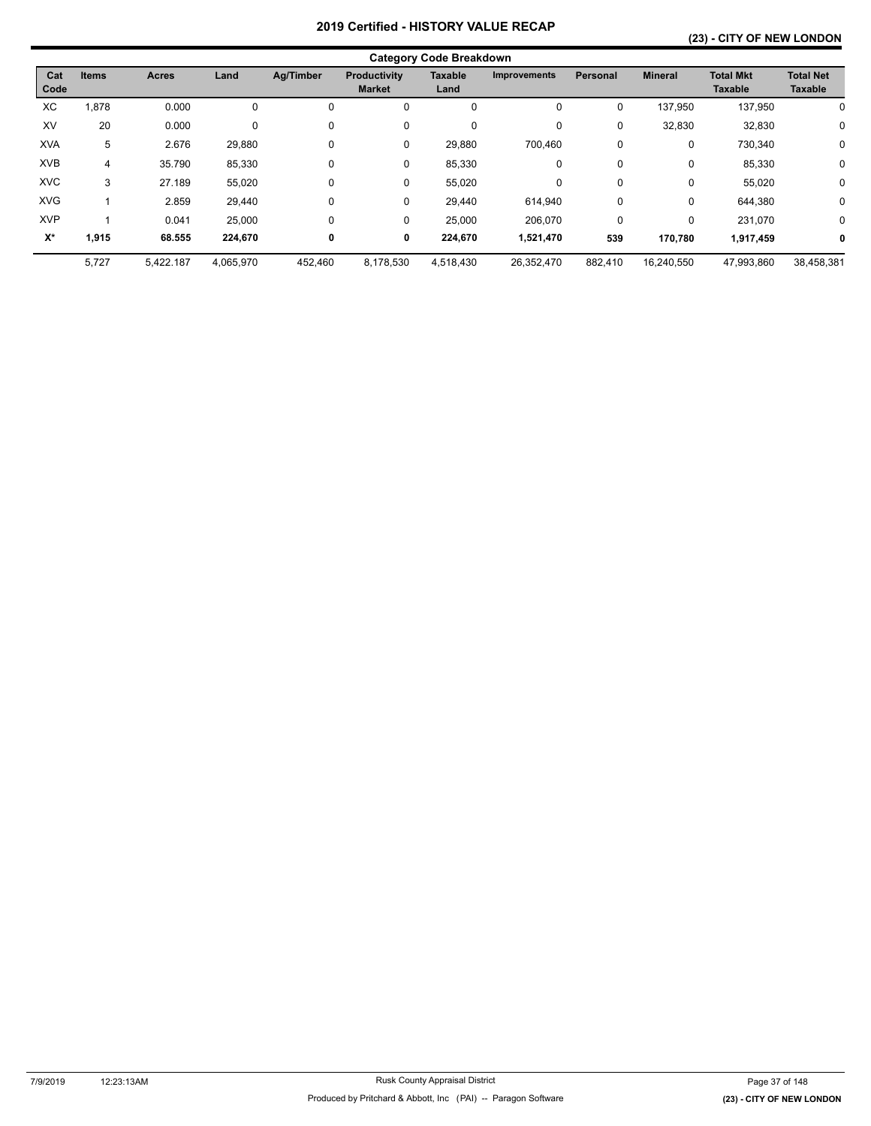## **(23) - CITY OF NEW LONDON**

|                    | <b>Category Code Breakdown</b> |              |           |           |                               |                        |                     |                 |                |                                    |                                    |  |  |
|--------------------|--------------------------------|--------------|-----------|-----------|-------------------------------|------------------------|---------------------|-----------------|----------------|------------------------------------|------------------------------------|--|--|
| Cat<br>Code        | <b>Items</b>                   | <b>Acres</b> | Land      | Ag/Timber | Productivity<br><b>Market</b> | <b>Taxable</b><br>Land | <b>Improvements</b> | <b>Personal</b> | <b>Mineral</b> | <b>Total Mkt</b><br><b>Taxable</b> | <b>Total Net</b><br><b>Taxable</b> |  |  |
| ХC                 | 1,878                          | 0.000        | 0         | 0         | 0                             | 0                      | 0                   | $\Omega$        | 137,950        | 137,950                            | 0                                  |  |  |
| XV                 | 20                             | 0.000        | 0         | 0         | $\mathbf 0$                   | 0                      | 0                   | $\mathbf 0$     | 32,830         | 32,830                             | 0                                  |  |  |
| <b>XVA</b>         | 5                              | 2.676        | 29,880    | 0         | 0                             | 29,880                 | 700,460             | $\mathbf 0$     | 0              | 730,340                            | 0                                  |  |  |
| <b>XVB</b>         | 4                              | 35.790       | 85,330    | 0         | 0                             | 85,330                 | 0                   | 0               | 0              | 85,330                             | 0                                  |  |  |
| <b>XVC</b>         | 3                              | 27.189       | 55,020    | 0         | 0                             | 55,020                 | 0                   | $\mathbf 0$     | 0              | 55,020                             | 0                                  |  |  |
| <b>XVG</b>         |                                | 2.859        | 29,440    | 0         | 0                             | 29,440                 | 614.940             | 0               | 0              | 644,380                            | $\mathbf 0$                        |  |  |
| <b>XVP</b>         |                                | 0.041        | 25,000    | 0         | 0                             | 25,000                 | 206,070             | $\Omega$        | 0              | 231,070                            | $\mathbf 0$                        |  |  |
| $\mathsf{X}^\star$ | 1,915                          | 68.555       | 224,670   | 0         | 0                             | 224,670                | 1,521,470           | 539             | 170,780        | 1,917,459                          | 0                                  |  |  |
|                    | 5,727                          | 5,422.187    | 4,065,970 | 452,460   | 8,178,530                     | 4,518,430              | 26,352,470          | 882,410         | 16,240,550     | 47,993,860                         | 38,458,381                         |  |  |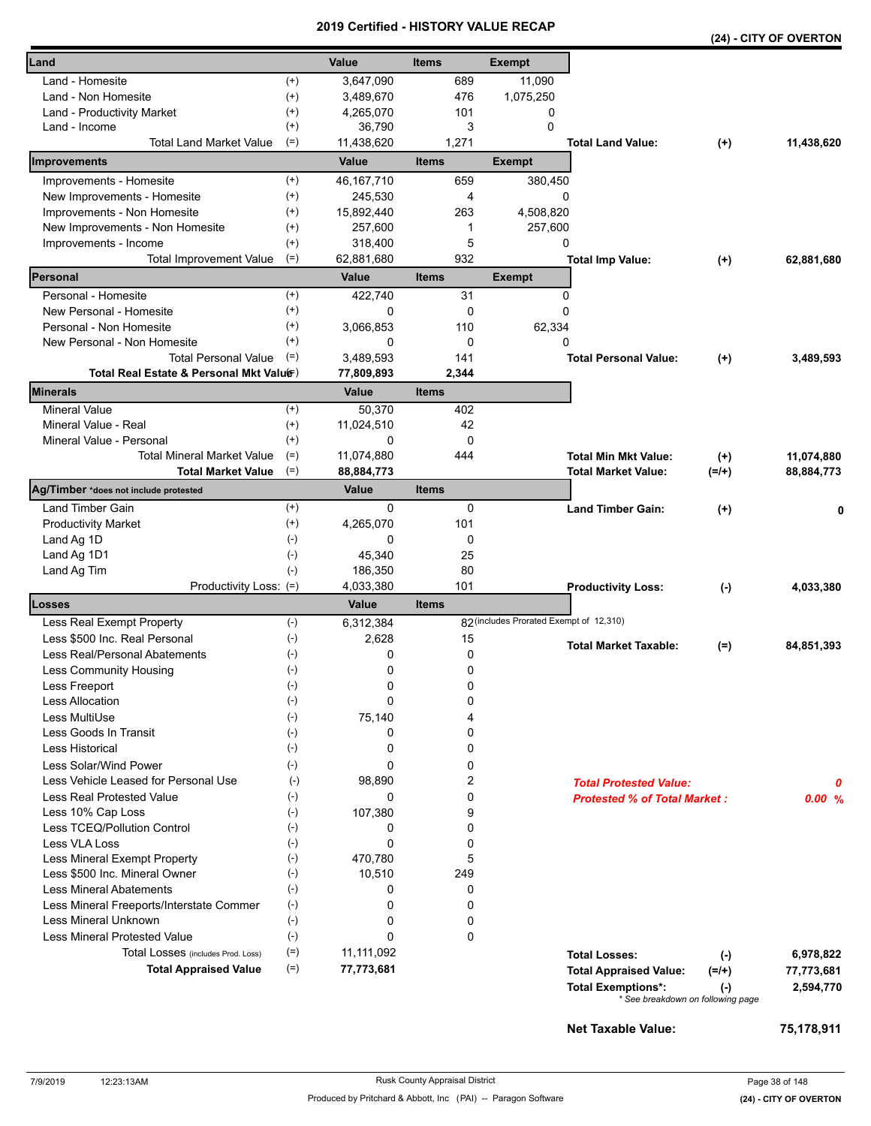|                                                                    |              |                     |              |                                         |                                                            |                      | (24) - CITY OF OVERTON  |
|--------------------------------------------------------------------|--------------|---------------------|--------------|-----------------------------------------|------------------------------------------------------------|----------------------|-------------------------|
| Land                                                               |              | Value               | <b>Items</b> | <b>Exempt</b>                           |                                                            |                      |                         |
| Land - Homesite                                                    | $^{(+)}$     | 3,647,090           | 689          | 11,090                                  |                                                            |                      |                         |
| Land - Non Homesite                                                | $^{(+)}$     | 3,489,670           | 476          | 1,075,250                               |                                                            |                      |                         |
| Land - Productivity Market                                         | $^{(+)}$     | 4,265,070           | 101          | 0                                       |                                                            |                      |                         |
| Land - Income                                                      | $^{(+)}$     | 36,790              | 3            | $\Omega$                                |                                                            |                      |                         |
| Total Land Market Value                                            | $(=)$        | 11,438,620          | 1,271        |                                         | <b>Total Land Value:</b>                                   | $(+)$                | 11,438,620              |
| Improvements                                                       |              | Value               | <b>Items</b> | <b>Exempt</b>                           |                                                            |                      |                         |
| Improvements - Homesite                                            | $^{(+)}$     | 46, 167, 710        | 659          | 380,450                                 |                                                            |                      |                         |
| New Improvements - Homesite                                        | $^{(+)}$     | 245,530             | 4            | 0                                       |                                                            |                      |                         |
| Improvements - Non Homesite                                        | $^{(+)}$     | 15,892,440          | 263          | 4,508,820                               |                                                            |                      |                         |
| New Improvements - Non Homesite                                    | $^{(+)}$     | 257,600             | 1            | 257,600                                 |                                                            |                      |                         |
| Improvements - Income                                              | $^{(+)}$     | 318,400             | 5            | 0                                       |                                                            |                      |                         |
| Total Improvement Value                                            | $(=)$        | 62,881,680          | 932          |                                         | <b>Total Imp Value:</b>                                    | $(+)$                | 62,881,680              |
| Personal                                                           |              | Value               | <b>Items</b> | <b>Exempt</b>                           |                                                            |                      |                         |
| Personal - Homesite                                                | $^{(+)}$     | 422,740             | 31           | 0                                       |                                                            |                      |                         |
| New Personal - Homesite                                            | $^{(+)}$     | 0                   | 0            | $\Omega$                                |                                                            |                      |                         |
| Personal - Non Homesite                                            | $^{(+)}$     | 3,066,853           | 110          | 62,334                                  |                                                            |                      |                         |
| New Personal - Non Homesite                                        | $^{(+)}$     | $\Omega$            | $\mathbf 0$  | $\Omega$                                |                                                            |                      |                         |
| <b>Total Personal Value</b>                                        | $(=)$        | 3.489.593           | 141          |                                         | <b>Total Personal Value:</b>                               | $(+)$                | 3,489,593               |
| Total Real Estate & Personal Mkt Valuer)                           |              | 77,809,893          | 2,344        |                                         |                                                            |                      |                         |
| <b>Minerals</b>                                                    |              | Value               | <b>Items</b> |                                         |                                                            |                      |                         |
| <b>Mineral Value</b>                                               | $^{(+)}$     | 50,370              | 402          |                                         |                                                            |                      |                         |
| Mineral Value - Real                                               | $^{(+)}$     | 11,024,510          | 42           |                                         |                                                            |                      |                         |
| Mineral Value - Personal                                           | $(+)$        | 0                   | 0            |                                         |                                                            |                      |                         |
| <b>Total Mineral Market Value</b>                                  | $(=)$        | 11,074,880          | 444          |                                         | <b>Total Min Mkt Value:</b>                                | $(+)$                | 11,074,880              |
| <b>Total Market Value</b><br>Ag/Timber *does not include protested | $(=)$        | 88,884,773<br>Value | <b>Items</b> |                                         | Total Market Value:                                        | $(=/+)$              | 88,884,773              |
| Land Timber Gain                                                   | $^{(+)}$     | 0                   | 0            |                                         | <b>Land Timber Gain:</b>                                   |                      |                         |
| <b>Productivity Market</b>                                         | $^{(+)}$     | 4,265,070           | 101          |                                         |                                                            | $(+)$                |                         |
| Land Ag 1D                                                         | $(-)$        | 0                   | 0            |                                         |                                                            |                      |                         |
| Land Ag 1D1                                                        | $(-)$        | 45,340              | 25           |                                         |                                                            |                      |                         |
| Land Ag Tim                                                        | $(-)$        | 186,350             | 80           |                                         |                                                            |                      |                         |
| Productivity Loss: (=)                                             |              | 4,033,380           | 101          |                                         | <b>Productivity Loss:</b>                                  | $(-)$                | 4,033,380               |
| <b>Losses</b>                                                      |              | Value               | <b>Items</b> |                                         |                                                            |                      |                         |
| Less Real Exempt Property                                          | $(-)$        | 6,312,384           |              | 82 (includes Prorated Exempt of 12,310) |                                                            |                      |                         |
| Less \$500 Inc. Real Personal                                      | $(-)$        | 2,628               | 15           |                                         |                                                            |                      |                         |
| <b>Less Real/Personal Abatements</b>                               | $(\text{-})$ | 0                   | 0            |                                         | <b>Total Market Taxable:</b>                               | $(=)$                | 84,851,393              |
| <b>Less Community Housing</b>                                      | $(\hbox{-})$ | 0                   | 0            |                                         |                                                            |                      |                         |
| Less Freeport                                                      | $(\cdot)$    | 0                   | 0            |                                         |                                                            |                      |                         |
| <b>Less Allocation</b>                                             | $(-)$        | 0                   | 0            |                                         |                                                            |                      |                         |
| Less MultiUse                                                      | $(-)$        | 75,140              | 4            |                                         |                                                            |                      |                         |
| Less Goods In Transit                                              | $(\cdot)$    | 0                   | $\mathbf 0$  |                                         |                                                            |                      |                         |
| <b>Less Historical</b>                                             | $(-)$        | 0                   | 0            |                                         |                                                            |                      |                         |
| Less Solar/Wind Power                                              | $(-)$        | 0                   | 0            |                                         |                                                            |                      |                         |
| Less Vehicle Leased for Personal Use                               | $(-)$        | 98,890              | 2            |                                         | <b>Total Protested Value:</b>                              |                      | Ω                       |
| Less Real Protested Value                                          | $(-)$        | 0                   | 0            |                                         | <b>Protested % of Total Market:</b>                        |                      | 0.00%                   |
| Less 10% Cap Loss                                                  | $(-)$        | 107,380             | 9            |                                         |                                                            |                      |                         |
| Less TCEQ/Pollution Control                                        | $(-)$        | 0                   | 0            |                                         |                                                            |                      |                         |
| <b>Less VLA Loss</b>                                               | $(\cdot)$    | 0                   | 0            |                                         |                                                            |                      |                         |
| Less Mineral Exempt Property                                       | $(-)$        | 470,780             | 5            |                                         |                                                            |                      |                         |
| Less \$500 Inc. Mineral Owner                                      | $(-)$        | 10,510              | 249          |                                         |                                                            |                      |                         |
| <b>Less Mineral Abatements</b>                                     | $(-)$        | 0                   | 0            |                                         |                                                            |                      |                         |
| Less Mineral Freeports/Interstate Commer                           | $(-)$        | 0                   | 0            |                                         |                                                            |                      |                         |
| Less Mineral Unknown                                               | $(-)$        | 0                   | 0            |                                         |                                                            |                      |                         |
| <b>Less Mineral Protested Value</b>                                | $(-)$        | 0                   | $\mathbf 0$  |                                         |                                                            |                      |                         |
| Total Losses (includes Prod. Loss)                                 | $(=)$        | 11,111,092          |              |                                         | <b>Total Losses:</b>                                       | $(-)$                | 6,978,822               |
| <b>Total Appraised Value</b>                                       | $(=)$        | 77,773,681          |              |                                         | <b>Total Appraised Value:</b><br><b>Total Exemptions*:</b> | $(=/+)$<br>$(\cdot)$ | 77,773,681<br>2,594,770 |
|                                                                    |              |                     |              |                                         | * See breakdown on following page                          |                      |                         |

**Net Taxable Value: 75,178,911**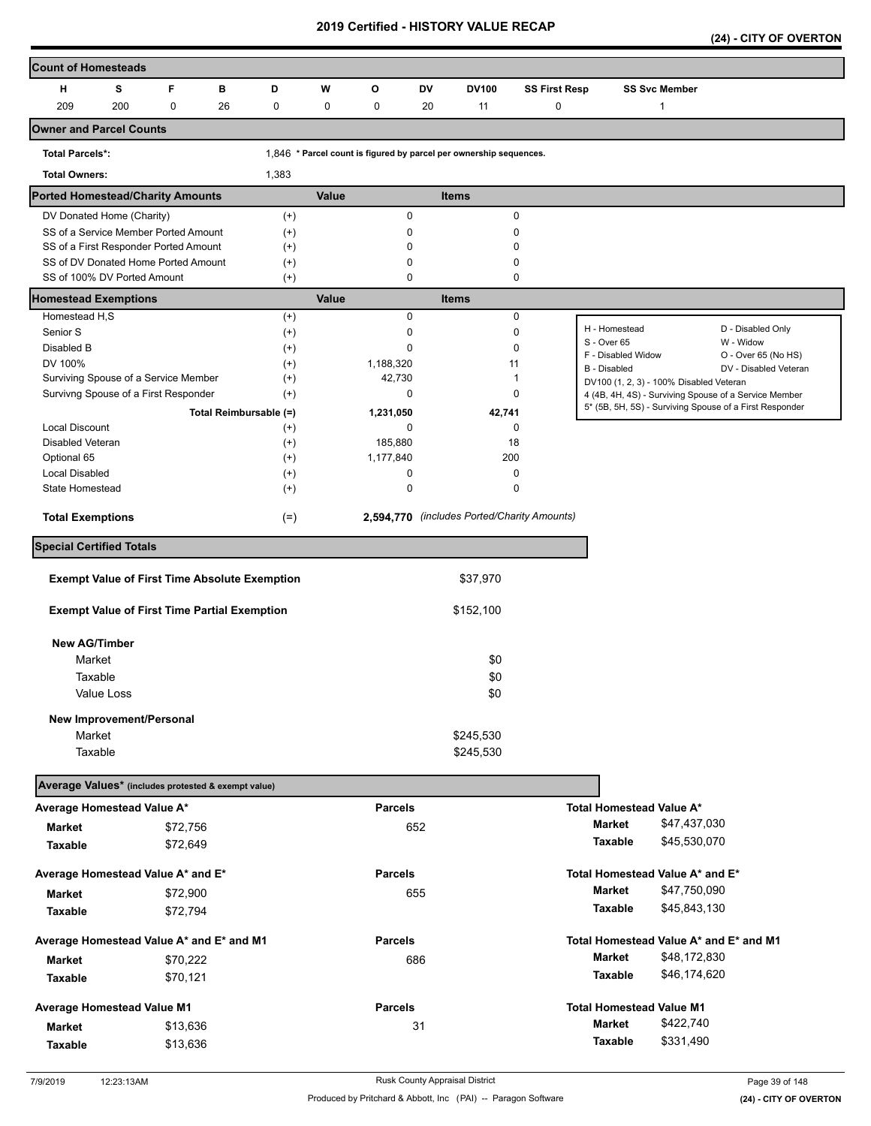**(24) - CITY OF OVERTON** 

| <b>Count of Homesteads</b>                           |            |          |                        |          |              |                |     |                                                                    |                      |                                         |                      |                                                         |
|------------------------------------------------------|------------|----------|------------------------|----------|--------------|----------------|-----|--------------------------------------------------------------------|----------------------|-----------------------------------------|----------------------|---------------------------------------------------------|
| н                                                    | s          | F        | в                      | D        | W            | O              | DV  | DV100                                                              | <b>SS First Resp</b> |                                         | <b>SS Svc Member</b> |                                                         |
| 209                                                  | 200        | 0        | 26                     | 0        | 0            | 0              | 20  | 11                                                                 | 0                    |                                         | $\mathbf{1}$         |                                                         |
| <b>Owner and Parcel Counts</b>                       |            |          |                        |          |              |                |     |                                                                    |                      |                                         |                      |                                                         |
| <b>Total Parcels*:</b>                               |            |          |                        |          |              |                |     | 1,846 * Parcel count is figured by parcel per ownership sequences. |                      |                                         |                      |                                                         |
| <b>Total Owners:</b>                                 |            |          |                        | 1,383    |              |                |     |                                                                    |                      |                                         |                      |                                                         |
| <b>Ported Homestead/Charity Amounts</b>              |            |          |                        |          | <b>Value</b> |                |     | <b>Items</b>                                                       |                      |                                         |                      |                                                         |
| DV Donated Home (Charity)                            |            |          |                        | $^{(+)}$ |              |                | 0   | 0                                                                  |                      |                                         |                      |                                                         |
| SS of a Service Member Ported Amount                 |            |          |                        | $(+)$    |              |                | 0   | 0                                                                  |                      |                                         |                      |                                                         |
| SS of a First Responder Ported Amount                |            |          |                        | $^{(+)}$ |              |                | 0   | 0                                                                  |                      |                                         |                      |                                                         |
| SS of DV Donated Home Ported Amount                  |            |          |                        | $^{(+)}$ |              |                | 0   | 0                                                                  |                      |                                         |                      |                                                         |
| SS of 100% DV Ported Amount                          |            |          |                        | $^{(+)}$ |              |                | 0   | 0                                                                  |                      |                                         |                      |                                                         |
| <b>Homestead Exemptions</b>                          |            |          |                        |          | Value        |                |     | <b>Items</b>                                                       |                      |                                         |                      |                                                         |
| Homestead H,S                                        |            |          |                        | $^{(+)}$ |              |                | 0   | 0                                                                  |                      |                                         |                      |                                                         |
| Senior S                                             |            |          |                        | $^{(+)}$ |              |                | 0   | 0                                                                  |                      | H - Homestead<br>S - Over 65            |                      | D - Disabled Only<br>W - Widow                          |
| Disabled B                                           |            |          |                        | $^{(+)}$ |              |                | 0   | 0                                                                  |                      | F - Disabled Widow                      |                      | O - Over 65 (No HS)                                     |
| DV 100%                                              |            |          |                        | $^{(+)}$ |              | 1,188,320      |     | 11                                                                 |                      | B - Disabled                            |                      | DV - Disabled Veteran                                   |
| Surviving Spouse of a Service Member                 |            |          |                        | $^{(+)}$ |              | 42,730         |     | 1                                                                  |                      | DV100 (1, 2, 3) - 100% Disabled Veteran |                      |                                                         |
| Survivng Spouse of a First Responder                 |            |          |                        | $^{(+)}$ |              |                | 0   | 0                                                                  |                      |                                         |                      | 4 (4B, 4H, 4S) - Surviving Spouse of a Service Member   |
|                                                      |            |          | Total Reimbursable (=) |          |              | 1,231,050      |     | 42,741                                                             |                      |                                         |                      | 5* (5B, 5H, 5S) - Surviving Spouse of a First Responder |
| <b>Local Discount</b>                                |            |          |                        | $^{(+)}$ |              |                | 0   | 0                                                                  |                      |                                         |                      |                                                         |
| Disabled Veteran                                     |            |          |                        | $^{(+)}$ |              | 185,880        |     | 18                                                                 |                      |                                         |                      |                                                         |
| Optional 65                                          |            |          |                        | $^{(+)}$ |              | 1,177,840      |     | 200                                                                |                      |                                         |                      |                                                         |
| <b>Local Disabled</b>                                |            |          |                        | $^{(+)}$ |              |                | 0   | 0                                                                  |                      |                                         |                      |                                                         |
| State Homestead                                      |            |          |                        | $^{(+)}$ |              |                | 0   | 0                                                                  |                      |                                         |                      |                                                         |
| <b>Total Exemptions</b>                              |            |          |                        | $(=)$    |              |                |     | 2,594,770 (includes Ported/Charity Amounts)                        |                      |                                         |                      |                                                         |
| <b>Special Certified Totals</b>                      |            |          |                        |          |              |                |     |                                                                    |                      |                                         |                      |                                                         |
|                                                      |            |          |                        |          |              |                |     | \$37,970                                                           |                      |                                         |                      |                                                         |
| <b>Exempt Value of First Time Absolute Exemption</b> |            |          |                        |          |              |                |     |                                                                    |                      |                                         |                      |                                                         |
| <b>Exempt Value of First Time Partial Exemption</b>  |            |          |                        |          |              |                |     | \$152,100                                                          |                      |                                         |                      |                                                         |
| <b>New AG/Timber</b>                                 |            |          |                        |          |              |                |     |                                                                    |                      |                                         |                      |                                                         |
| Market                                               |            |          |                        |          |              |                |     | \$0                                                                |                      |                                         |                      |                                                         |
| Taxable                                              |            |          |                        |          |              |                |     | \$0                                                                |                      |                                         |                      |                                                         |
|                                                      | Value Loss |          |                        |          |              |                |     | \$0                                                                |                      |                                         |                      |                                                         |
|                                                      |            |          |                        |          |              |                |     |                                                                    |                      |                                         |                      |                                                         |
| New Improvement/Personal<br>Market                   |            |          |                        |          |              |                |     | \$245,530                                                          |                      |                                         |                      |                                                         |
| Taxable                                              |            |          |                        |          |              |                |     | \$245,530                                                          |                      |                                         |                      |                                                         |
|                                                      |            |          |                        |          |              |                |     |                                                                    |                      |                                         |                      |                                                         |
| Average Values* (includes protested & exempt value)  |            |          |                        |          |              |                |     |                                                                    |                      |                                         |                      |                                                         |
| Average Homestead Value A*                           |            |          |                        |          |              | <b>Parcels</b> |     |                                                                    |                      | Total Homestead Value A*                |                      |                                                         |
| Market                                               |            | \$72,756 |                        |          |              |                | 652 |                                                                    |                      | Market                                  | \$47,437,030         |                                                         |
| Taxable                                              |            | \$72,649 |                        |          |              |                |     |                                                                    |                      | Taxable                                 | \$45,530,070         |                                                         |
| Average Homestead Value A* and E*                    |            |          |                        |          |              | <b>Parcels</b> |     |                                                                    |                      | Total Homestead Value A* and E*         |                      |                                                         |
| <b>Market</b>                                        |            | \$72,900 |                        |          |              |                | 655 |                                                                    |                      | <b>Market</b>                           | \$47,750,090         |                                                         |
| Taxable                                              |            | \$72,794 |                        |          |              |                |     |                                                                    |                      | Taxable                                 | \$45,843,130         |                                                         |
| Average Homestead Value A* and E* and M1             |            |          |                        |          |              | <b>Parcels</b> |     |                                                                    |                      | Total Homestead Value A* and E* and M1  |                      |                                                         |
| <b>Market</b>                                        |            | \$70,222 |                        |          |              |                | 686 |                                                                    |                      | <b>Market</b>                           | \$48,172,830         |                                                         |
| Taxable                                              |            | \$70,121 |                        |          |              |                |     |                                                                    |                      | Taxable                                 | \$46,174,620         |                                                         |
| <b>Average Homestead Value M1</b>                    |            |          |                        |          |              | <b>Parcels</b> |     |                                                                    |                      | <b>Total Homestead Value M1</b>         |                      |                                                         |
|                                                      |            |          |                        |          |              |                |     |                                                                    |                      | Market                                  | \$422,740            |                                                         |
| <b>Market</b>                                        |            | \$13,636 |                        |          |              |                | 31  |                                                                    |                      |                                         | \$331,490            |                                                         |
| Taxable                                              |            | \$13,636 |                        |          |              |                |     |                                                                    |                      | Taxable                                 |                      |                                                         |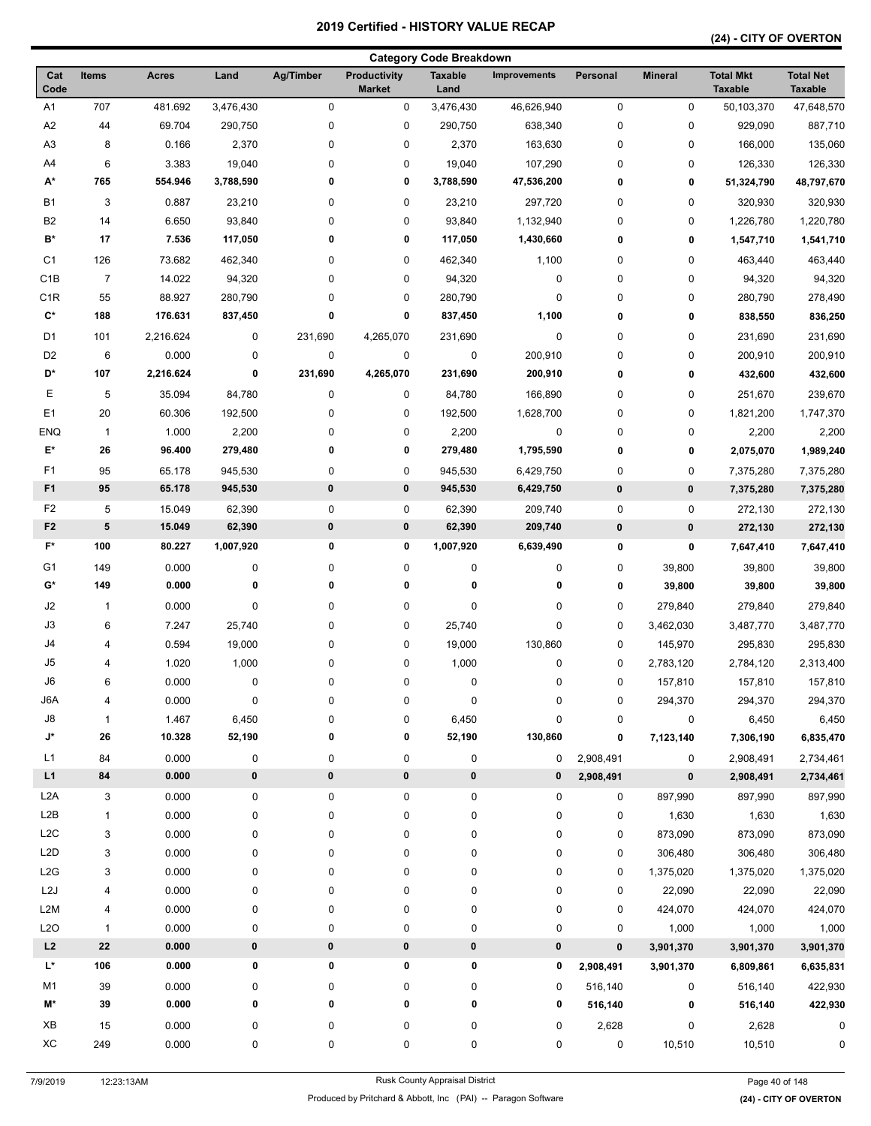| <b>Category Code Breakdown</b>                                                                                                                                 |                |                                    |                                    |
|----------------------------------------------------------------------------------------------------------------------------------------------------------------|----------------|------------------------------------|------------------------------------|
| <b>Ag/Timber</b><br>Cat<br><b>Acres</b><br>Land<br>Productivity<br><b>Taxable</b><br><b>Improvements</b><br>Personal<br>Items<br>Code<br><b>Market</b><br>Land | <b>Mineral</b> | <b>Total Mkt</b><br><b>Taxable</b> | <b>Total Net</b><br><b>Taxable</b> |
| 707<br>$\mathbf 0$<br>0<br>A1<br>481.692<br>3,476,430<br>0<br>3,476,430<br>46,626,940                                                                          | 0              | 50,103,370                         | 47,648,570                         |
| A2<br>44<br>69.704<br>0<br>0<br>638,340<br>0<br>290,750<br>290,750                                                                                             | 0              | 929,090                            | 887,710                            |
| A3<br>8<br>0.166<br>2,370<br>0<br>0<br>2,370<br>163,630<br>0                                                                                                   | 0              | 166,000                            | 135,060                            |
| A4<br>6<br>3.383<br>19,040<br>0<br>0<br>19,040<br>0<br>107,290                                                                                                 | 0              | 126,330                            | 126,330                            |
| А*<br>765<br>0<br>554.946<br>3,788,590<br>0<br>3,788,590<br>47,536,200<br>0                                                                                    | 0              | 51,324,790                         | 48,797,670                         |
| <b>B1</b><br>3<br>0.887<br>23,210<br>0<br>0<br>297,720<br>0<br>23,210                                                                                          | 0              | 320,930                            | 320,930                            |
| B <sub>2</sub><br>14<br>6.650<br>93,840<br>0<br>0<br>93,840<br>1,132,940<br>0                                                                                  | 0              | 1,226,780                          | 1,220,780                          |
| B*<br>17<br>7.536<br>0<br>117,050<br>0<br>117,050<br>1,430,660<br>0                                                                                            | 0              | 1,547,710                          | 1,541,710                          |
| C <sub>1</sub><br>126<br>73.682<br>462,340<br>0<br>0<br>462,340<br>1,100<br>0                                                                                  | 0              | 463,440                            | 463,440                            |
| C <sub>1</sub> B<br>$\pmb{0}$<br>$\overline{7}$<br>14.022<br>94,320<br>0<br>0<br>94,320<br>0                                                                   | 0              | 94,320                             | 94,320                             |
| C <sub>1</sub> R<br>55<br>88.927<br>280,790<br>0<br>0<br>280,790<br>0<br>0                                                                                     | 0              | 280,790                            | 278,490                            |
| $\mathtt{C}^{\star}$<br>0<br>0<br>1,100<br>188<br>176.631<br>837,450<br>837,450<br>0                                                                           | 0              | 838,550                            | 836,250                            |
| D <sub>1</sub><br>101<br>2,216.624<br>231,690<br>4,265,070<br>0<br>0<br>0<br>231,690                                                                           | 0              | 231,690                            | 231,690                            |
| D <sub>2</sub><br>6<br>0.000<br>0<br>0<br>0<br>0<br>200,910<br>0                                                                                               | 0              | 200,910                            | 200,910                            |
| D*<br>2,216.624<br>0<br>4,265,070<br>107<br>231,690<br>231,690<br>200,910<br>0                                                                                 | 0              | 432,600                            | 432,600                            |
| Ε<br>5<br>0<br>35.094<br>84,780<br>0<br>84,780<br>166,890<br>0                                                                                                 | 0              | 251,670                            | 239,670                            |
| E <sub>1</sub><br>20<br>60.306<br>192,500<br>0<br>0<br>192,500<br>1,628,700<br>0                                                                               | 0              | 1,821,200                          | 1,747,370                          |
| <b>ENQ</b><br>1.000<br>$\overline{1}$<br>2,200<br>0<br>0<br>2,200<br>0<br>0                                                                                    | 0              | 2,200                              | 2,200                              |
| E*<br>26<br>96.400<br>279,480<br>0<br>0<br>279,480<br>1,795,590<br>0                                                                                           | 0              | 2,075,070                          | 1,989,240                          |
| F1                                                                                                                                                             |                |                                    |                                    |
| 95<br>65.178<br>0<br>0<br>0<br>945,530<br>945,530<br>6,429,750<br>F <sub>1</sub><br>95<br>$\pmb{0}$<br>$\pmb{0}$<br>65.178<br>945,530<br>945,530               | 0              | 7,375,280                          | 7,375,280                          |
| 6,429,750<br>0                                                                                                                                                 | $\pmb{0}$      | 7,375,280                          | 7,375,280                          |
| F <sub>2</sub><br>$\pmb{0}$<br>5<br>15.049<br>62,390<br>0<br>62,390<br>209,740<br>0                                                                            | 0              | 272,130                            | 272,130                            |
| F <sub>2</sub><br>5<br>62,390<br>$\pmb{0}$<br>15.049<br>0<br>62,390<br>209,740<br>0                                                                            | 0              | 272,130                            | 272,130                            |
| $F^*$<br>100<br>0<br>6,639,490<br>80.227<br>1,007,920<br>0<br>1,007,920<br>0                                                                                   | 0              | 7,647,410                          | 7,647,410                          |
| G <sub>1</sub><br>149<br>0.000<br>0<br>0<br>0<br>0<br>0<br>0                                                                                                   | 39,800         | 39,800                             | 39,800                             |
| G*<br>149<br>0.000<br>0<br>0<br>0<br>0<br>0<br>0                                                                                                               | 39,800         | 39,800                             | 39,800                             |
| J2<br>0.000<br>0<br>0<br>0<br>0<br>0<br>0<br>$\mathbf{1}$                                                                                                      | 279,840        | 279,840                            | 279,840                            |
| J3<br>0<br>0<br>0<br>0<br>6<br>7.247<br>25,740<br>25,740                                                                                                       | 3,462,030      | 3,487,770                          | 3,487,770                          |
| J4<br>0.594<br>19,000<br>0<br>0<br>19,000<br>130,860<br>0<br>4                                                                                                 | 145,970        | 295,830                            | 295,830                            |
| J5<br>1.020<br>1,000<br>1,000<br>0<br>0<br>0<br>0<br>4                                                                                                         | 2,783,120      | 2,784,120                          | 2,313,400                          |
| J6<br>0.000<br>6<br>0<br>0<br>0<br>$\Omega$<br>0<br>0                                                                                                          | 157,810        | 157,810                            | 157,810                            |
| J6A<br>$\pmb{0}$<br>0.000<br>0<br>0<br>0<br>0<br>4<br>0                                                                                                        | 294,370        | 294,370                            | 294,370                            |
| J8<br>6,450<br>6,450<br>1.467<br>0<br>0<br>0<br>0<br>$\mathbf{1}$                                                                                              | 0              | 6,450                              | 6,450                              |
| J*<br>26<br>10.328<br>52,190<br>0<br>52,190<br>130,860<br>0<br>0                                                                                               | 7,123,140      | 7,306,190                          | 6,835,470                          |
| L1<br>84<br>0.000<br>0<br>$\pmb{0}$<br>0<br>0<br>0<br>2,908,491                                                                                                | 0              | 2,908,491                          | 2,734,461                          |
| L1<br>${\bf 84}$<br>$\pmb{0}$<br>$\pmb{0}$<br>$\pmb{0}$<br>0.000<br>$\pmb{0}$<br>0<br>2,908,491                                                                | $\pmb{0}$      | 2,908,491                          | 2,734,461                          |
| L <sub>2</sub> A<br>3<br>0.000<br>0<br>0<br>0<br>0<br>0<br>0                                                                                                   | 897,990        | 897,990                            | 897,990                            |
| L2B<br>0.000<br>0<br>0<br>0<br>0<br>0<br>0<br>1                                                                                                                | 1,630          | 1,630                              | 1,630                              |
| L <sub>2</sub> C<br>0.000<br>3<br>0<br>0<br>0<br>0<br>0<br>0                                                                                                   | 873,090        | 873,090                            | 873,090                            |
| L <sub>2</sub> D<br>0.000<br>3<br>0<br>0<br>0<br>0<br>0<br>0                                                                                                   | 306,480        | 306,480                            | 306,480                            |
| L2G<br>3<br>0.000<br>0<br>0<br>0<br>0<br>0<br>0                                                                                                                | 1,375,020      | 1,375,020                          | 1,375,020                          |
| L <sub>2</sub> J<br>0.000<br>0<br>0<br>0<br>0<br>0<br>0<br>4                                                                                                   | 22,090         | 22,090                             | 22,090                             |
| L <sub>2</sub> M<br>0.000<br>0<br>0<br>0<br>0<br>0<br>0<br>4                                                                                                   | 424,070        | 424,070                            | 424,070                            |
| L2O<br>0.000<br>0<br>0<br>0<br>0<br>0<br>0<br>$\mathbf{1}$                                                                                                     | 1,000          | 1,000                              | 1,000                              |
| L2<br>22<br>0.000<br>0<br>$\pmb{0}$<br>$\pmb{0}$<br>0<br>0<br>$\bf{0}$                                                                                         | 3,901,370      | 3,901,370                          | 3,901,370                          |
| L*<br>106<br>0.000<br>0<br>0<br>0<br>0<br>0<br>2,908,491                                                                                                       | 3,901,370      | 6,809,861                          | 6,635,831                          |
| M1<br>39<br>0.000<br>0<br>0<br>0<br>0<br>0<br>516,140                                                                                                          | 0              | 516,140                            | 422,930                            |
| M*<br>39<br>0.000<br>0<br>0<br>0<br>0<br>0<br>516,140                                                                                                          | 0              | 516,140                            | 422,930                            |
| ХB<br>15<br>0.000<br>0<br>0<br>0<br>0<br>0<br>2,628                                                                                                            | 0              | 2,628                              | 0                                  |
| XC<br>249<br>0.000<br>0<br>0<br>0<br>0<br>0<br>0                                                                                                               | 10,510         | 10,510                             | 0                                  |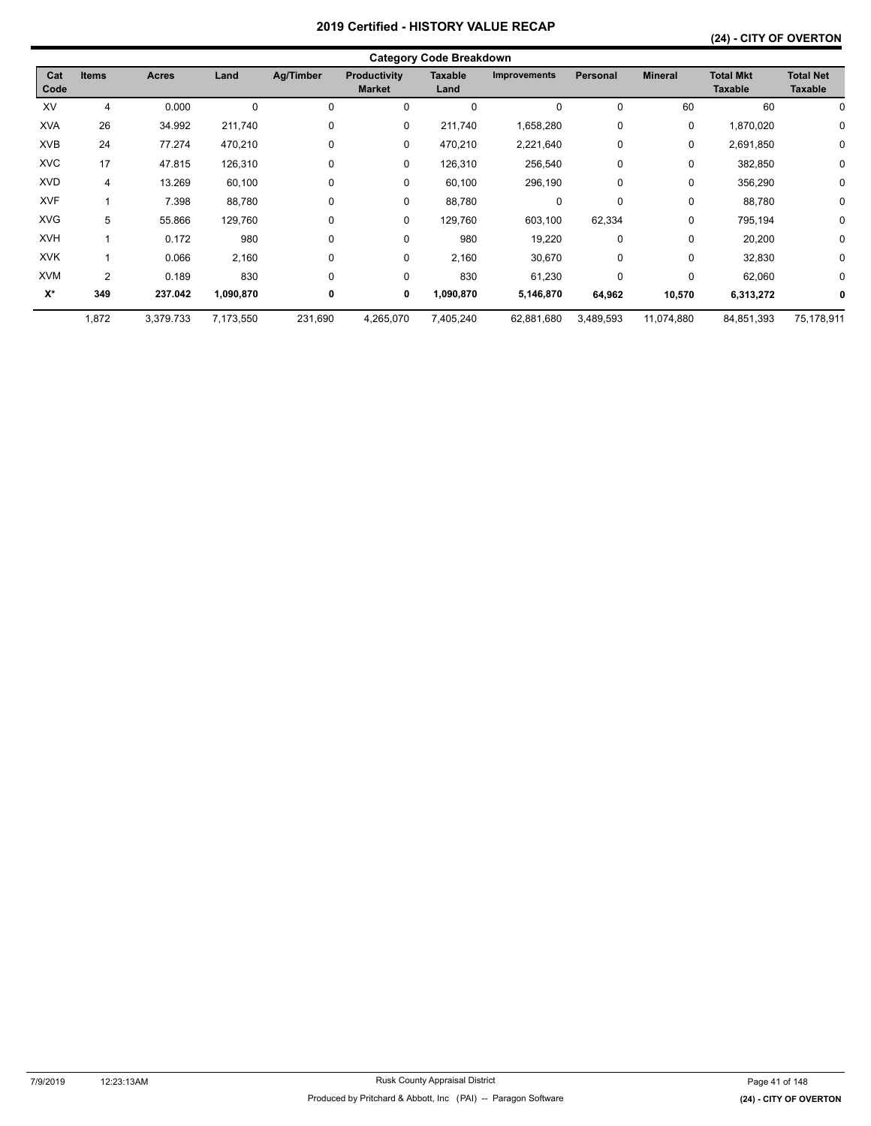|             |              |           |           |           |                                      | <b>Category Code Breakdown</b> |                     |                 |                |                                    |                                    |
|-------------|--------------|-----------|-----------|-----------|--------------------------------------|--------------------------------|---------------------|-----------------|----------------|------------------------------------|------------------------------------|
| Cat<br>Code | <b>Items</b> | Acres     | Land      | Ag/Timber | <b>Productivity</b><br><b>Market</b> | <b>Taxable</b><br>Land         | <b>Improvements</b> | <b>Personal</b> | <b>Mineral</b> | <b>Total Mkt</b><br><b>Taxable</b> | <b>Total Net</b><br><b>Taxable</b> |
| XV          | 4            | 0.000     | 0         | 0         | 0                                    | $\Omega$                       | $\Omega$            | 0               | 60             | 60                                 | 0                                  |
| <b>XVA</b>  | 26           | 34.992    | 211,740   | 0         | 0                                    | 211,740                        | 1,658,280           | 0               | 0              | 1,870,020                          | 0                                  |
| <b>XVB</b>  | 24           | 77.274    | 470,210   | 0         | 0                                    | 470,210                        | 2,221,640           | 0               | 0              | 2,691,850                          | 0                                  |
| <b>XVC</b>  | 17           | 47.815    | 126,310   | 0         | 0                                    | 126,310                        | 256,540             | 0               | 0              | 382,850                            | 0                                  |
| <b>XVD</b>  | 4            | 13.269    | 60,100    | 0         | 0                                    | 60,100                         | 296,190             | 0               | 0              | 356,290                            | 0                                  |
| <b>XVF</b>  |              | 7.398     | 88,780    | 0         | 0                                    | 88,780                         | 0                   | 0               | 0              | 88,780                             | 0                                  |
| <b>XVG</b>  | 5            | 55.866    | 129,760   | 0         | 0                                    | 129,760                        | 603,100             | 62,334          | 0              | 795,194                            | 0                                  |
| <b>XVH</b>  |              | 0.172     | 980       | 0         | 0                                    | 980                            | 19,220              | 0               | 0              | 20,200                             | 0                                  |
| <b>XVK</b>  |              | 0.066     | 2,160     | 0         | 0                                    | 2,160                          | 30,670              | 0               | 0              | 32,830                             | $\mathbf 0$                        |
| <b>XVM</b>  | 2            | 0.189     | 830       | 0         | 0                                    | 830                            | 61,230              | 0               | 0              | 62,060                             | 0                                  |
| X*          | 349          | 237.042   | 1,090,870 | 0         | 0                                    | 1,090,870                      | 5,146,870           | 64,962          | 10,570         | 6,313,272                          | $\bf{0}$                           |
|             | 1,872        | 3,379.733 | 7,173,550 | 231,690   | 4,265,070                            | 7,405,240                      | 62,881,680          | 3,489,593       | 11,074,880     | 84,851,393                         | 75,178,911                         |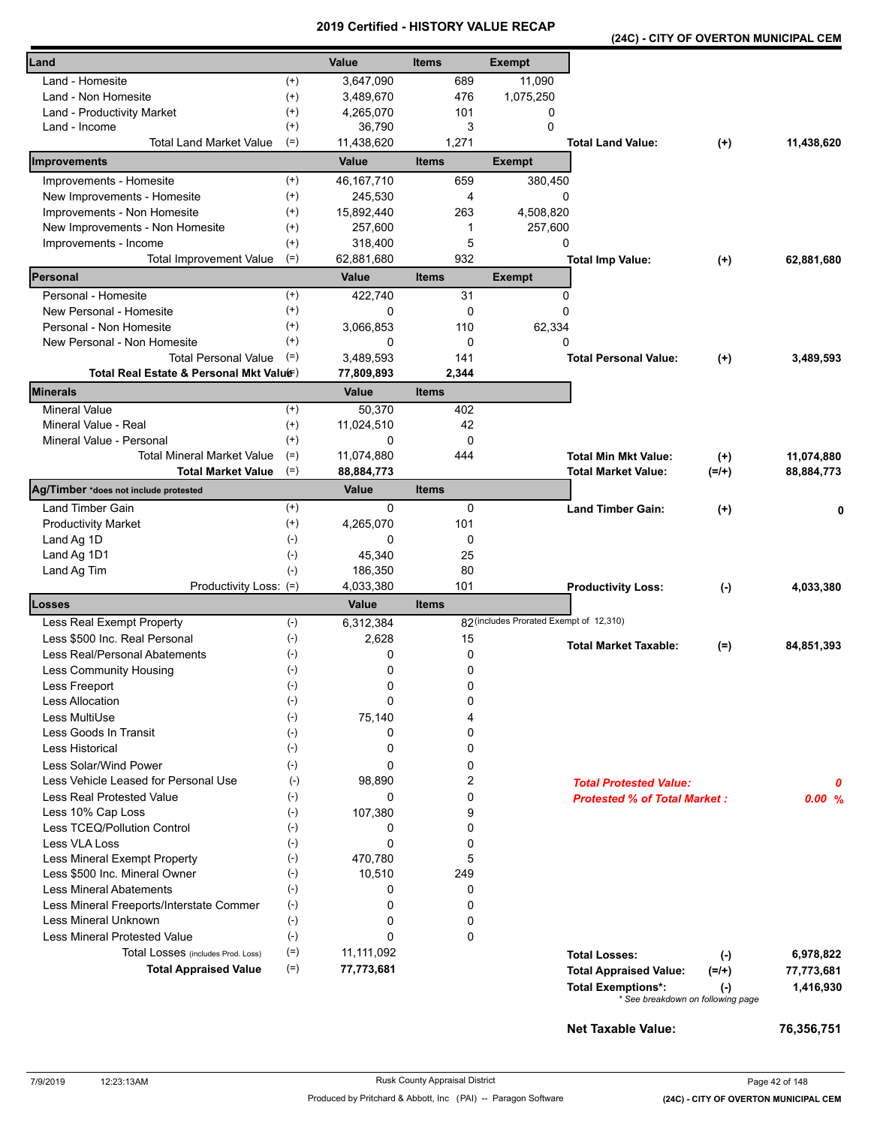|  |  |  | (24C) - CITY OF OVERTON MUNICIPAL CEM |  |
|--|--|--|---------------------------------------|--|
|--|--|--|---------------------------------------|--|

| Land                                     |                | <b>Value</b> | <b>Items</b> | <b>Exempt</b>                           |                                     |           |            |
|------------------------------------------|----------------|--------------|--------------|-----------------------------------------|-------------------------------------|-----------|------------|
| Land - Homesite                          | $^{(+)}$       | 3,647,090    | 689          | 11,090                                  |                                     |           |            |
| Land - Non Homesite                      | $^{(+)}$       | 3,489,670    | 476          | 1,075,250                               |                                     |           |            |
| Land - Productivity Market               | $^{(+)}$       | 4,265,070    | 101          | 0                                       |                                     |           |            |
| Land - Income                            | $^{(+)}$       | 36,790       | 3            | 0                                       |                                     |           |            |
| <b>Total Land Market Value</b>           | $(=)$          | 11,438,620   | 1,271        |                                         | <b>Total Land Value:</b>            | $(+)$     | 11,438,620 |
| Improvements                             |                | Value        | <b>Items</b> | <b>Exempt</b>                           |                                     |           |            |
| Improvements - Homesite                  | $^{(+)}$       | 46, 167, 710 | 659          | 380,450                                 |                                     |           |            |
| New Improvements - Homesite              | $^{(+)}$       | 245,530      | 4            | 0                                       |                                     |           |            |
| Improvements - Non Homesite              | $^{(+)}$       | 15,892,440   | 263          | 4,508,820                               |                                     |           |            |
| New Improvements - Non Homesite          | $^{(+)}$       | 257,600      | 1            | 257,600                                 |                                     |           |            |
| Improvements - Income                    | $^{(+)}$       | 318,400      | 5            | 0                                       |                                     |           |            |
| <b>Total Improvement Value</b>           | $(=)$          | 62,881,680   | 932          |                                         | <b>Total Imp Value:</b>             | $^{(+)}$  | 62,881,680 |
| Personal                                 |                | Value        | <b>Items</b> | <b>Exempt</b>                           |                                     |           |            |
| Personal - Homesite                      | $^{(+)}$       | 422,740      | 31           | 0                                       |                                     |           |            |
| New Personal - Homesite                  | $^{(+)}$       | 0            | 0            | 0                                       |                                     |           |            |
| Personal - Non Homesite                  | $^{(+)}$       | 3,066,853    | 110          | 62,334                                  |                                     |           |            |
| New Personal - Non Homesite              | $^{(+)}$       | 0            | 0            | 0                                       |                                     |           |            |
| <b>Total Personal Value</b>              | $(=)$          | 3,489,593    | 141          |                                         | <b>Total Personal Value:</b>        | $(+)$     | 3,489,593  |
| Total Real Estate & Personal Mkt Valuer) |                | 77,809,893   | 2,344        |                                         |                                     |           |            |
| <b>Minerals</b>                          |                | <b>Value</b> | <b>Items</b> |                                         |                                     |           |            |
| <b>Mineral Value</b>                     | $(+)$          | 50,370       | 402          |                                         |                                     |           |            |
| Mineral Value - Real                     | $^{(+)}$       | 11,024,510   | 42           |                                         |                                     |           |            |
| Mineral Value - Personal                 | $^{(+)}$       | 0            | 0            |                                         |                                     |           |            |
| Total Mineral Market Value               | $(=)$          | 11,074,880   | 444          |                                         | <b>Total Min Mkt Value:</b>         | $(+)$     | 11,074,880 |
| <b>Total Market Value</b>                | $(=)$          | 88,884,773   |              |                                         | <b>Total Market Value:</b>          | $(=/+)$   | 88,884,773 |
| Ag/Timber *does not include protested    |                | Value        | <b>Items</b> |                                         |                                     |           |            |
| Land Timber Gain                         | $^{(+)}$       | 0            | 0            |                                         | <b>Land Timber Gain:</b>            | $(+)$     | 0          |
| <b>Productivity Market</b>               | $^{(+)}$       | 4,265,070    | 101          |                                         |                                     |           |            |
| Land Ag 1D                               | $(-)$<br>$(-)$ | 0<br>45,340  | 0<br>25      |                                         |                                     |           |            |
| Land Ag 1D1<br>Land Ag Tim               | $(-)$          | 186,350      | 80           |                                         |                                     |           |            |
| Productivity Loss: (=)                   |                | 4,033,380    | 101          |                                         | <b>Productivity Loss:</b>           |           | 4,033,380  |
| Losses                                   |                | Value        | <b>Items</b> |                                         |                                     | $(\cdot)$ |            |
| Less Real Exempt Property                | $(-)$          | 6,312,384    |              | 82 (includes Prorated Exempt of 12,310) |                                     |           |            |
| Less \$500 Inc. Real Personal            | $(-)$          | 2,628        | 15           |                                         |                                     |           |            |
| Less Real/Personal Abatements            | $(\cdot)$      | 0            | 0            |                                         | <b>Total Market Taxable:</b>        | $(=)$     | 84,851,393 |
| <b>Less Community Housing</b>            | $(-)$          | 0            | 0            |                                         |                                     |           |            |
| Less Freeport                            | $(-)$          | 0            | 0            |                                         |                                     |           |            |
| <b>Less Allocation</b>                   | $(-)$          | 0            | 0            |                                         |                                     |           |            |
| Less MultiUse                            | $(-)$          | 75,140       | 4            |                                         |                                     |           |            |
| Less Goods In Transit                    | $(-)$          | 0            | 0            |                                         |                                     |           |            |
| Less Historical                          | $(-)$          | 0            | 0            |                                         |                                     |           |            |
| Less Solar/Wind Power                    | $(-)$          | 0            | 0            |                                         |                                     |           |            |
| Less Vehicle Leased for Personal Use     | $(-)$          | 98,890       | 2            |                                         | <b>Total Protested Value:</b>       |           | 0          |
| Less Real Protested Value                | $(-)$          | 0            | 0            |                                         | <b>Protested % of Total Market:</b> |           | 0.00%      |
| Less 10% Cap Loss                        | $(-)$          | 107,380      | 9            |                                         |                                     |           |            |
| Less TCEQ/Pollution Control              | $(-)$          | 0            | 0            |                                         |                                     |           |            |
| Less VLA Loss                            | $(-)$          | 0            | 0            |                                         |                                     |           |            |
| Less Mineral Exempt Property             | $(-)$          | 470,780      | 5            |                                         |                                     |           |            |
| Less \$500 Inc. Mineral Owner            | $(-)$          | 10,510       | 249          |                                         |                                     |           |            |
| <b>Less Mineral Abatements</b>           | $(-)$          | 0            | 0            |                                         |                                     |           |            |
| Less Mineral Freeports/Interstate Commer | $(-)$          | 0            | 0            |                                         |                                     |           |            |
| <b>Less Mineral Unknown</b>              | $(-)$          | 0            | 0            |                                         |                                     |           |            |
| <b>Less Mineral Protested Value</b>      | $(-)$          | 0            | 0            |                                         |                                     |           |            |
| Total Losses (includes Prod. Loss)       | $(=)$          | 11,111,092   |              |                                         | <b>Total Losses:</b>                | $(-)$     | 6,978,822  |
| <b>Total Appraised Value</b>             | $(=)$          | 77,773,681   |              |                                         | <b>Total Appraised Value:</b>       | (=/+)     | 77,773,681 |
|                                          |                |              |              |                                         | <b>Total Exemptions*:</b>           | $(-)$     | 1,416,930  |
|                                          |                |              |              |                                         | * See breakdown on following page   |           |            |
|                                          |                |              |              |                                         | <b>Net Taxable Value:</b>           |           | 76,356,751 |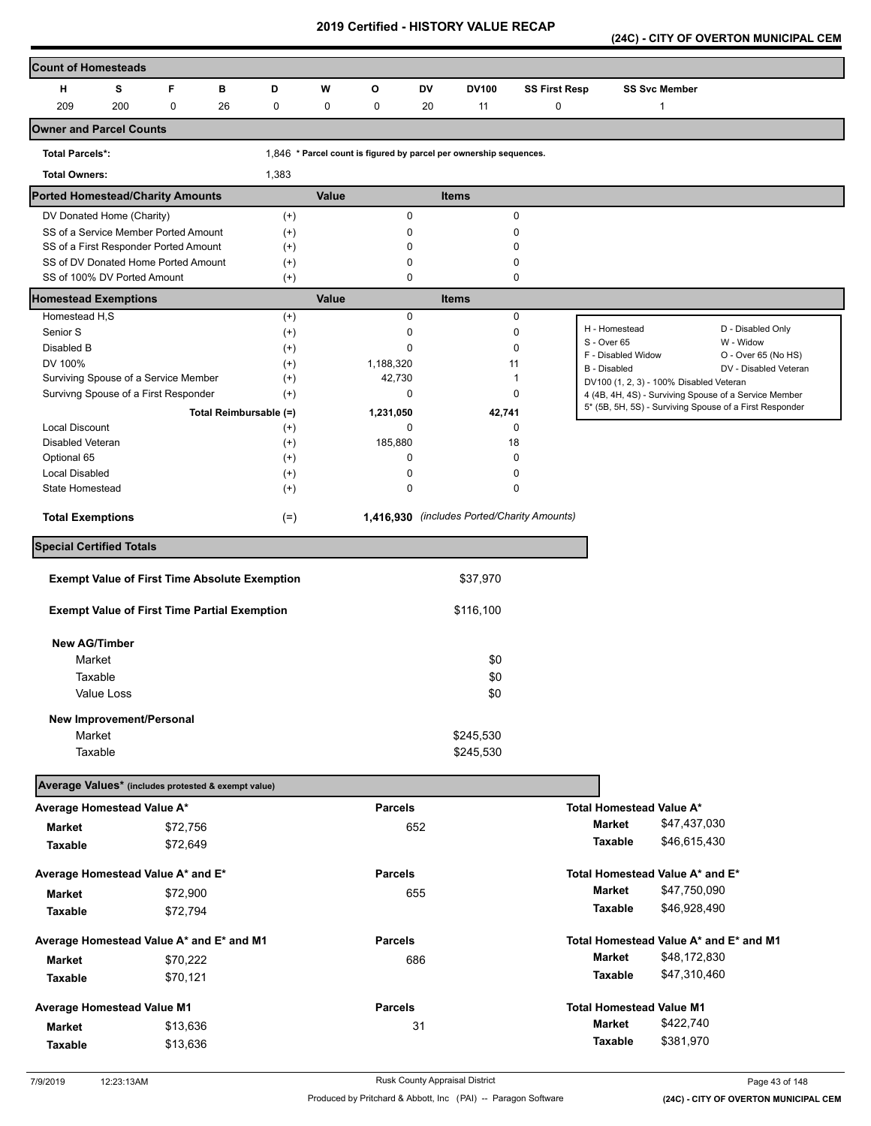**(24C) - CITY OF OVERTON MUNICIPAL CEM** 

| <b>Count of Homesteads</b>                           |     |             |    |                        |       |                |             |                                                                    |                      |                                                         |                      |                                                         |
|------------------------------------------------------|-----|-------------|----|------------------------|-------|----------------|-------------|--------------------------------------------------------------------|----------------------|---------------------------------------------------------|----------------------|---------------------------------------------------------|
| н                                                    | s   | F           | B  | D                      | W     | $\circ$        | DV          | <b>DV100</b>                                                       | <b>SS First Resp</b> |                                                         | <b>SS Svc Member</b> |                                                         |
| 209                                                  | 200 | $\mathbf 0$ | 26 | 0                      | 0     | 0              | 20          | 11                                                                 | 0                    |                                                         | $\mathbf{1}$         |                                                         |
| <b>Owner and Parcel Counts</b>                       |     |             |    |                        |       |                |             |                                                                    |                      |                                                         |                      |                                                         |
| <b>Total Parcels*:</b>                               |     |             |    |                        |       |                |             | 1.846 * Parcel count is figured by parcel per ownership sequences. |                      |                                                         |                      |                                                         |
| <b>Total Owners:</b>                                 |     |             |    | 1,383                  |       |                |             |                                                                    |                      |                                                         |                      |                                                         |
| <b>Ported Homestead/Charity Amounts</b>              |     |             |    |                        | Value |                |             | <b>Items</b>                                                       |                      |                                                         |                      |                                                         |
| DV Donated Home (Charity)                            |     |             |    | $^{(+)}$               |       |                | $\pmb{0}$   |                                                                    | 0                    |                                                         |                      |                                                         |
| SS of a Service Member Ported Amount                 |     |             |    | $^{(+)}$               |       |                | 0           |                                                                    | 0                    |                                                         |                      |                                                         |
| SS of a First Responder Ported Amount                |     |             |    | $^{(+)}$               |       |                | O           |                                                                    | 0                    |                                                         |                      |                                                         |
| SS of DV Donated Home Ported Amount                  |     |             |    | $^{(+)}$               |       |                | 0           |                                                                    | 0                    |                                                         |                      |                                                         |
| SS of 100% DV Ported Amount                          |     |             |    | $^{(+)}$               |       |                | $\mathbf 0$ |                                                                    | $\pmb{0}$            |                                                         |                      |                                                         |
| <b>Homestead Exemptions</b><br>Homestead H,S         |     |             |    |                        | Value |                | $\pmb{0}$   | <b>Items</b>                                                       | 0                    |                                                         |                      |                                                         |
| Senior S                                             |     |             |    | $^{(+)}$<br>$^{(+)}$   |       |                | 0           |                                                                    | 0                    | H - Homestead                                           |                      | D - Disabled Only                                       |
| Disabled B                                           |     |             |    | $^{(+)}$               |       |                | $\Omega$    |                                                                    | $\mathbf 0$          | S - Over 65                                             |                      | W - Widow                                               |
| DV 100%                                              |     |             |    | $^{(+)}$               |       | 1,188,320      |             | 11                                                                 |                      | F - Disabled Widow                                      |                      | O - Over 65 (No HS)                                     |
| Surviving Spouse of a Service Member                 |     |             |    | $^{(+)}$               |       | 42,730         |             | 1                                                                  |                      | B - Disabled<br>DV100 (1, 2, 3) - 100% Disabled Veteran |                      | DV - Disabled Veteran                                   |
| Survivng Spouse of a First Responder                 |     |             |    | $(+)$                  |       |                | 0           |                                                                    | $\mathbf 0$          |                                                         |                      | 4 (4B, 4H, 4S) - Surviving Spouse of a Service Member   |
|                                                      |     |             |    | Total Reimbursable (=) |       | 1,231,050      |             | 42,741                                                             |                      |                                                         |                      | 5* (5B, 5H, 5S) - Surviving Spouse of a First Responder |
| <b>Local Discount</b>                                |     |             |    | $^{(+)}$               |       |                | 0           |                                                                    | 0                    |                                                         |                      |                                                         |
| Disabled Veteran                                     |     |             |    | $^{(+)}$               |       | 185,880        |             | 18                                                                 |                      |                                                         |                      |                                                         |
| Optional 65                                          |     |             |    | $^{(+)}$               |       |                | 0           |                                                                    | 0                    |                                                         |                      |                                                         |
| <b>Local Disabled</b>                                |     |             |    | $^{(+)}$               |       |                | $\mathbf 0$ |                                                                    | 0                    |                                                         |                      |                                                         |
| State Homestead                                      |     |             |    | $^{(+)}$               |       |                | $\mathbf 0$ |                                                                    | $\mathbf 0$          |                                                         |                      |                                                         |
| <b>Total Exemptions</b>                              |     |             |    | $(=)$                  |       |                |             | 1,416,930 (includes Ported/Charity Amounts)                        |                      |                                                         |                      |                                                         |
| <b>Special Certified Totals</b>                      |     |             |    |                        |       |                |             |                                                                    |                      |                                                         |                      |                                                         |
| <b>Exempt Value of First Time Absolute Exemption</b> |     |             |    |                        |       |                |             | \$37,970                                                           |                      |                                                         |                      |                                                         |
|                                                      |     |             |    |                        |       |                |             |                                                                    |                      |                                                         |                      |                                                         |
| <b>Exempt Value of First Time Partial Exemption</b>  |     |             |    |                        |       |                |             | \$116,100                                                          |                      |                                                         |                      |                                                         |
| <b>New AG/Timber</b>                                 |     |             |    |                        |       |                |             |                                                                    |                      |                                                         |                      |                                                         |
| Market                                               |     |             |    |                        |       |                |             | \$0                                                                |                      |                                                         |                      |                                                         |
| Taxable                                              |     |             |    |                        |       |                |             | \$0                                                                |                      |                                                         |                      |                                                         |
| Value Loss                                           |     |             |    |                        |       |                |             | \$0                                                                |                      |                                                         |                      |                                                         |
| New Improvement/Personal                             |     |             |    |                        |       |                |             |                                                                    |                      |                                                         |                      |                                                         |
| Market                                               |     |             |    |                        |       |                |             | \$245,530                                                          |                      |                                                         |                      |                                                         |
| Taxable                                              |     |             |    |                        |       |                |             | \$245,530                                                          |                      |                                                         |                      |                                                         |
|                                                      |     |             |    |                        |       |                |             |                                                                    |                      |                                                         |                      |                                                         |
| Average Values* (includes protested & exempt value)  |     |             |    |                        |       |                |             |                                                                    |                      |                                                         |                      |                                                         |
| Average Homestead Value A*                           |     |             |    |                        |       | <b>Parcels</b> |             |                                                                    |                      | Total Homestead Value A*                                |                      |                                                         |
| <b>Market</b>                                        |     | \$72,756    |    |                        |       |                | 652         |                                                                    |                      | Market                                                  | \$47,437,030         |                                                         |
| Taxable                                              |     | \$72,649    |    |                        |       |                |             |                                                                    |                      | Taxable                                                 | \$46,615,430         |                                                         |
| Average Homestead Value A* and E*                    |     |             |    |                        |       | <b>Parcels</b> |             |                                                                    |                      | Total Homestead Value A* and E*                         |                      |                                                         |
| <b>Market</b>                                        |     | \$72,900    |    |                        |       |                | 655         |                                                                    |                      | <b>Market</b>                                           | \$47,750,090         |                                                         |
| Taxable                                              |     | \$72,794    |    |                        |       |                |             |                                                                    |                      | Taxable                                                 | \$46,928,490         |                                                         |
| Average Homestead Value A* and E* and M1             |     |             |    |                        |       | <b>Parcels</b> |             |                                                                    |                      | Total Homestead Value A* and E* and M1                  |                      |                                                         |
| <b>Market</b>                                        |     | \$70,222    |    |                        |       |                | 686         |                                                                    |                      | <b>Market</b>                                           | \$48,172,830         |                                                         |
| Taxable                                              |     | \$70,121    |    |                        |       |                |             |                                                                    |                      | Taxable                                                 | \$47,310,460         |                                                         |
| Average Homestead Value M1                           |     |             |    |                        |       | <b>Parcels</b> |             |                                                                    |                      | <b>Total Homestead Value M1</b>                         |                      |                                                         |
| <b>Market</b>                                        |     | \$13,636    |    |                        |       |                | 31          |                                                                    |                      | Market                                                  | \$422,740            |                                                         |
| Taxable                                              |     | \$13,636    |    |                        |       |                |             |                                                                    |                      | Taxable                                                 | \$381,970            |                                                         |
|                                                      |     |             |    |                        |       |                |             |                                                                    |                      |                                                         |                      |                                                         |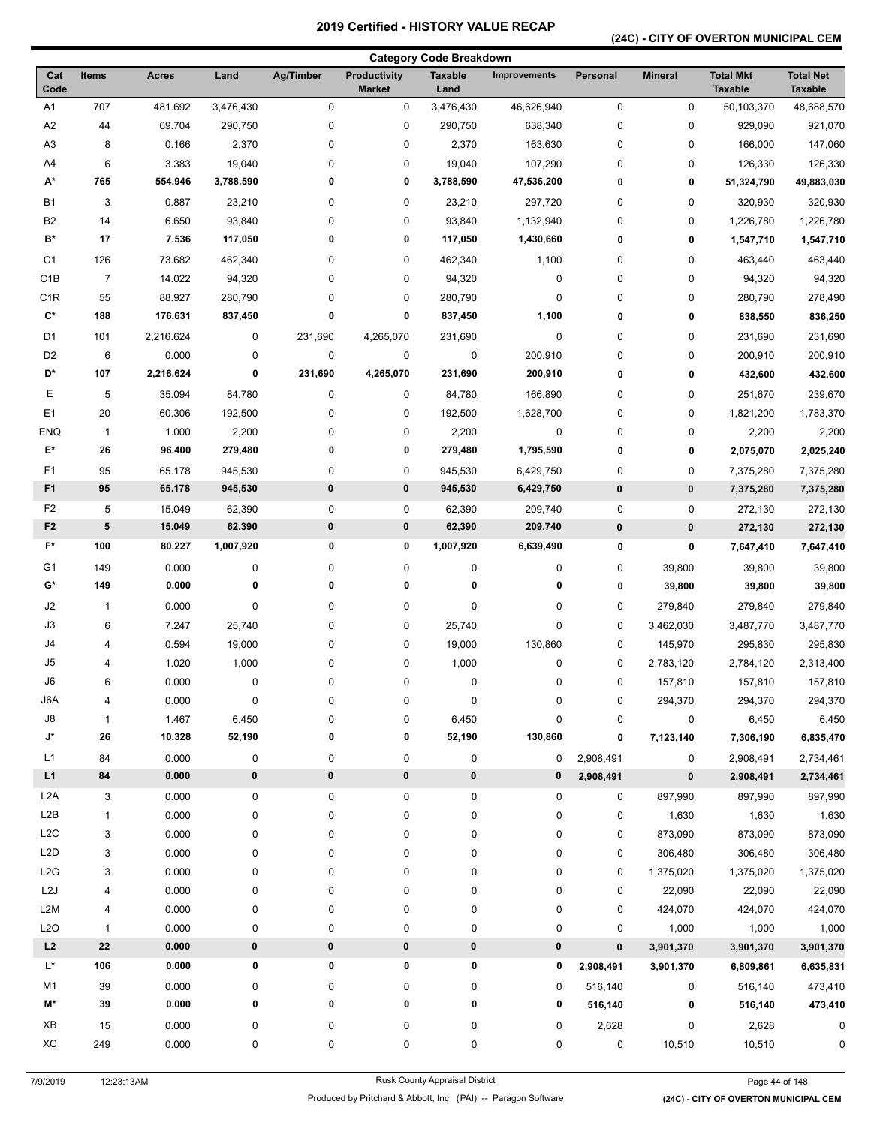## **(24C) - CITY OF OVERTON MUNICIPAL CEM**

| <b>Category Code Breakdown</b> |                |              |           |           |                                      |                        |                     |           |                |                                    |                                    |
|--------------------------------|----------------|--------------|-----------|-----------|--------------------------------------|------------------------|---------------------|-----------|----------------|------------------------------------|------------------------------------|
| Cat<br>Code                    | <b>Items</b>   | <b>Acres</b> | Land      | Ag/Timber | <b>Productivity</b><br><b>Market</b> | <b>Taxable</b><br>Land | <b>Improvements</b> | Personal  | <b>Mineral</b> | <b>Total Mkt</b><br><b>Taxable</b> | <b>Total Net</b><br><b>Taxable</b> |
| A1                             | 707            | 481.692      | 3,476,430 | 0         | 0                                    | 3,476,430              | 46,626,940          | 0         | 0              | 50,103,370                         | 48,688,570                         |
| A <sub>2</sub>                 | 44             | 69.704       | 290,750   | $\pmb{0}$ | $\pmb{0}$                            | 290,750                | 638,340             | 0         | 0              | 929,090                            | 921,070                            |
| A <sub>3</sub>                 | 8              | 0.166        | 2,370     | 0         | 0                                    | 2,370                  | 163,630             | 0         | 0              | 166,000                            | 147,060                            |
| A4                             | 6              | 3.383        | 19,040    | 0         | $\pmb{0}$                            | 19,040                 | 107,290             | 0         | 0              | 126,330                            | 126,330                            |
| A*                             | 765            | 554.946      | 3,788,590 | 0         | 0                                    | 3,788,590              | 47,536,200          | 0         | 0              | 51,324,790                         | 49,883,030                         |
| B1                             | 3              | 0.887        | 23,210    | 0         | 0                                    | 23,210                 | 297,720             | 0         | 0              | 320,930                            | 320,930                            |
| B <sub>2</sub>                 | 14             | 6.650        | 93,840    | 0         | $\pmb{0}$                            | 93,840                 | 1,132,940           | 0         | 0              | 1,226,780                          | 1,226,780                          |
| B*                             | 17             | 7.536        | 117,050   | 0         | 0                                    | 117,050                | 1,430,660           | 0         | 0              | 1,547,710                          | 1,547,710                          |
| C <sub>1</sub>                 | 126            | 73.682       | 462,340   | 0         | 0                                    | 462,340                | 1,100               | 0         | 0              | 463,440                            | 463,440                            |
| C <sub>1</sub> B               | $\overline{7}$ | 14.022       | 94,320    | 0         | 0                                    | 94,320                 | 0                   | 0         | 0              | 94,320                             | 94,320                             |
| C <sub>1R</sub>                | 55             | 88.927       | 280,790   | 0         | $\pmb{0}$                            | 280,790                | $\pmb{0}$           | 0         | 0              | 280,790                            | 278,490                            |
| $\mathbf{C}^{\star}$           | 188            | 176.631      | 837,450   | 0         | 0                                    | 837,450                | 1,100               | 0         | 0              | 838,550                            | 836,250                            |
| D1                             | 101            | 2,216.624    | 0         | 231,690   | 4,265,070                            | 231,690                | $\pmb{0}$           | 0         | 0              | 231,690                            | 231,690                            |
| D <sub>2</sub>                 | 6              | 0.000        | 0         | 0         | $\pmb{0}$                            | 0                      | 200,910             | 0         | 0              | 200,910                            | 200,910                            |
| D*                             | 107            | 2,216.624    | 0         | 231,690   | 4,265,070                            | 231,690                | 200,910             | 0         | 0              | 432,600                            | 432,600                            |
| Е                              | 5              | 35.094       | 84,780    | 0         | 0                                    | 84,780                 | 166,890             | 0         | 0              | 251,670                            | 239,670                            |
| E <sub>1</sub>                 | 20             | 60.306       | 192,500   | 0         | 0                                    | 192,500                | 1,628,700           | 0         | 0              | 1,821,200                          | 1,783,370                          |
| <b>ENQ</b>                     | $\mathbf{1}$   | 1.000        | 2,200     | 0         | 0                                    | 2,200                  | $\pmb{0}$           | 0         | 0              | 2,200                              | 2,200                              |
| E*                             | 26             | 96.400       | 279,480   | 0         | 0                                    | 279,480                | 1,795,590           | 0         | 0              | 2,075,070                          | 2,025,240                          |
| F <sub>1</sub>                 | 95             | 65.178       | 945,530   | 0         | 0                                    | 945,530                | 6,429,750           | 0         | 0              | 7,375,280                          | 7,375,280                          |
| F <sub>1</sub>                 | 95             | 65.178       | 945,530   | $\bf{0}$  | 0                                    | 945,530                | 6,429,750           | $\pmb{0}$ | 0              | 7,375,280                          | 7,375,280                          |
| F <sub>2</sub>                 | 5              | 15.049       | 62,390    | 0         | 0                                    | 62,390                 | 209,740             | 0         | 0              | 272,130                            | 272,130                            |
| F <sub>2</sub>                 | ${\bf 5}$      | 15.049       | 62,390    | $\pmb{0}$ | 0                                    | 62,390                 | 209,740             | $\pmb{0}$ | $\pmb{0}$      | 272,130                            | 272,130                            |
| F*                             | 100            | 80.227       | 1,007,920 | 0         | 0                                    | 1,007,920              | 6,639,490           | 0         | 0              | 7,647,410                          | 7,647,410                          |
| G <sub>1</sub>                 | 149            | 0.000        | 0         | 0         | 0                                    | 0                      | 0                   | 0         | 39,800         | 39,800                             | 39,800                             |
| G*                             | 149            | 0.000        | 0         | 0         | 0                                    | 0                      | 0                   | 0         | 39,800         | 39,800                             | 39,800                             |
| J2                             | $\mathbf{1}$   | 0.000        | 0         | 0         | $\pmb{0}$                            | 0                      | $\pmb{0}$           | 0         | 279,840        | 279,840                            | 279,840                            |
| J3                             | 6              | 7.247        | 25,740    | 0         | 0                                    | 25,740                 | $\pmb{0}$           | 0         | 3,462,030      | 3,487,770                          | 3,487,770                          |
| J4                             | 4              | 0.594        | 19,000    | 0         | 0                                    | 19,000                 | 130,860             | 0         | 145,970        | 295,830                            | 295,830                            |
| J <sub>5</sub>                 | 4              | 1.020        | 1,000     | 0         | $\pmb{0}$                            | 1,000                  | $\pmb{0}$           | 0         | 2,783,120      | 2,784,120                          | 2,313,400                          |
| J6                             | 6              | 0.000        | 0         | 0         | $\pmb{0}$                            | 0                      | 0                   | 0         | 157,810        | 157,810                            | 157,810                            |
| J6A                            | 4              | 0.000        | $\pmb{0}$ | 0         | $\pmb{0}$                            | $\pmb{0}$              | $\pmb{0}$           | 0         | 294,370        | 294,370                            | 294,370                            |
| J8                             | $\mathbf{1}$   | 1.467        | 6,450     | 0         | $\pmb{0}$                            | 6,450                  | $\pmb{0}$           | 0         | 0              | 6,450                              | 6,450                              |
| J*                             | 26             | 10.328       | 52,190    | 0         | 0                                    | 52,190                 | 130,860             | 0         | 7,123,140      | 7,306,190                          | 6,835,470                          |
| L1                             | 84             | 0.000        | 0         | 0         | $\pmb{0}$                            | 0                      | 0                   | 2,908,491 | 0              | 2,908,491                          | 2,734,461                          |
| L1                             | 84             | 0.000        | 0         | 0         | $\pmb{0}$                            | 0                      | 0                   | 2,908,491 | $\pmb{0}$      | 2,908,491                          | 2,734,461                          |
| L <sub>2</sub> A               | 3              | 0.000        | 0         | 0         | 0                                    | 0                      | 0                   | 0         | 897,990        | 897,990                            | 897,990                            |
| L2B                            | $\mathbf{1}$   | 0.000        | 0         | 0         | $\pmb{0}$                            | 0                      | $\pmb{0}$           | 0         | 1,630          | 1,630                              | 1,630                              |
| L <sub>2</sub> C               | 3              | 0.000        | 0         | 0         | $\pmb{0}$                            | 0                      | $\pmb{0}$           | 0         | 873,090        | 873,090                            | 873,090                            |
| L <sub>2</sub> D               | 3              | 0.000        | 0         | 0         | $\pmb{0}$                            | 0                      | 0                   | 0         | 306,480        | 306,480                            | 306,480                            |
| L2G                            | 3              | 0.000        | 0         | 0         | 0                                    | 0                      | 0                   | 0         | 1,375,020      | 1,375,020                          | 1,375,020                          |
| L2J                            | 4              | 0.000        | 0         | 0         | $\pmb{0}$                            | 0                      | 0                   | 0         | 22,090         | 22,090                             | 22,090                             |
| L <sub>2</sub> M               | 4              | 0.000        | 0         | 0         | $\pmb{0}$                            | 0                      | $\pmb{0}$           | 0         | 424,070        | 424,070                            | 424,070                            |
| L2O                            | $\mathbf{1}$   | 0.000        | 0         | 0         | $\pmb{0}$                            | 0                      | $\pmb{0}$           | 0         | 1,000          | 1,000                              | 1,000                              |
| L2                             | $\bf 22$       | 0.000        | 0         | 0         | $\pmb{0}$                            | 0                      | $\mathbf 0$         | $\pmb{0}$ | 3,901,370      | 3,901,370                          | 3,901,370                          |
| L*                             | 106            | 0.000        | 0         | 0         | 0                                    | 0                      | 0                   | 2,908,491 | 3,901,370      | 6,809,861                          | 6,635,831                          |
| M1                             | 39             | 0.000        | 0         | 0         | $\pmb{0}$                            | 0                      | 0                   | 516,140   | 0              | 516,140                            | 473,410                            |
| M*                             | 39             | 0.000        | 0         | 0         | 0                                    | 0                      | 0                   | 516,140   | 0              | 516,140                            | 473,410                            |
| XB                             | 15             | 0.000        | 0         | 0         | 0                                    | 0                      | 0                   | 2,628     | 0              | 2,628                              | 0                                  |
| XC                             | 249            | 0.000        | 0         | 0         | 0                                    | 0                      | 0                   | 0         | 10,510         | 10,510                             | 0                                  |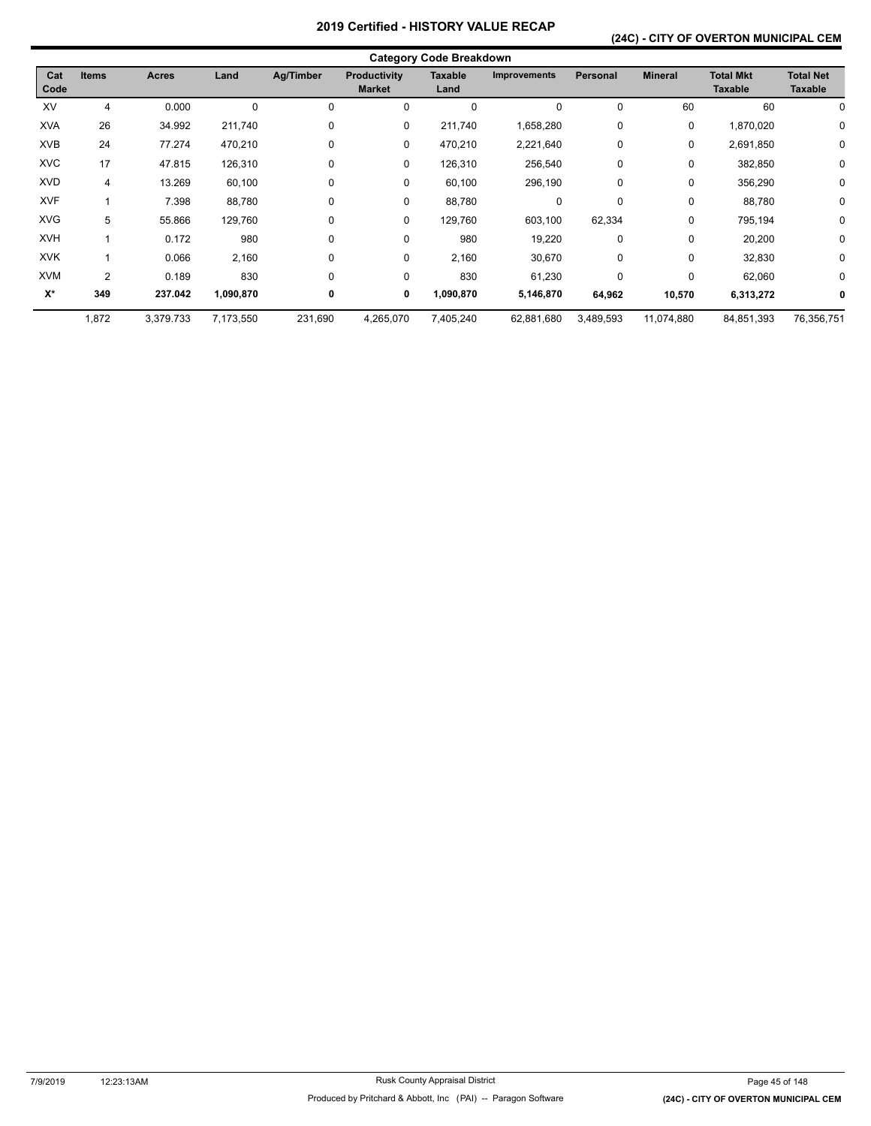### **(24C) - CITY OF OVERTON MUNICIPAL CEM**

|             | <b>Category Code Breakdown</b> |              |             |             |                                      |                        |                     |                 |                |                                    |                                    |  |  |
|-------------|--------------------------------|--------------|-------------|-------------|--------------------------------------|------------------------|---------------------|-----------------|----------------|------------------------------------|------------------------------------|--|--|
| Cat<br>Code | <b>Items</b>                   | <b>Acres</b> | Land        | Ag/Timber   | <b>Productivity</b><br><b>Market</b> | <b>Taxable</b><br>Land | <b>Improvements</b> | <b>Personal</b> | <b>Mineral</b> | <b>Total Mkt</b><br><b>Taxable</b> | <b>Total Net</b><br><b>Taxable</b> |  |  |
| XV          | 4                              | 0.000        | $\mathbf 0$ | $\mathbf 0$ | 0                                    | 0                      | 0                   | $\mathbf 0$     | 60             | 60                                 |                                    |  |  |
| <b>XVA</b>  | 26                             | 34.992       | 211,740     | 0           | 0                                    | 211,740                | 1,658,280           | 0               | 0              | 1,870,020                          | 0                                  |  |  |
| <b>XVB</b>  | 24                             | 77.274       | 470,210     | 0           | 0                                    | 470,210                | 2,221,640           | $\mathbf 0$     | $\mathbf 0$    | 2,691,850                          | 0                                  |  |  |
| <b>XVC</b>  | 17                             | 47.815       | 126,310     | 0           | 0                                    | 126,310                | 256,540             | 0               | 0              | 382,850                            | 0                                  |  |  |
| <b>XVD</b>  | 4                              | 13.269       | 60,100      | 0           | 0                                    | 60,100                 | 296,190             | 0               | 0              | 356,290                            | 0                                  |  |  |
| <b>XVF</b>  |                                | 7.398        | 88,780      | 0           | 0                                    | 88,780                 | 0                   | $\mathbf 0$     | 0              | 88,780                             | 0                                  |  |  |
| <b>XVG</b>  | 5                              | 55.866       | 129,760     | 0           | 0                                    | 129,760                | 603,100             | 62,334          | 0              | 795,194                            | 0                                  |  |  |
| <b>XVH</b>  |                                | 0.172        | 980         | 0           | 0                                    | 980                    | 19,220              | 0               | 0              | 20,200                             | 0                                  |  |  |
| <b>XVK</b>  |                                | 0.066        | 2,160       | 0           | 0                                    | 2,160                  | 30,670              | 0               | 0              | 32,830                             | 0                                  |  |  |
| <b>XVM</b>  | 2                              | 0.189        | 830         | $\Omega$    | 0                                    | 830                    | 61,230              | 0               | 0              | 62,060                             | 0                                  |  |  |
| X*          | 349                            | 237.042      | 1,090,870   | 0           | 0                                    | 1,090,870              | 5,146,870           | 64,962          | 10,570         | 6,313,272                          |                                    |  |  |
|             | 1,872                          | 3,379.733    | 7,173,550   | 231,690     | 4,265,070                            | 7,405,240              | 62,881,680          | 3,489,593       | 11,074,880     | 84,851,393                         | 76,356,751                         |  |  |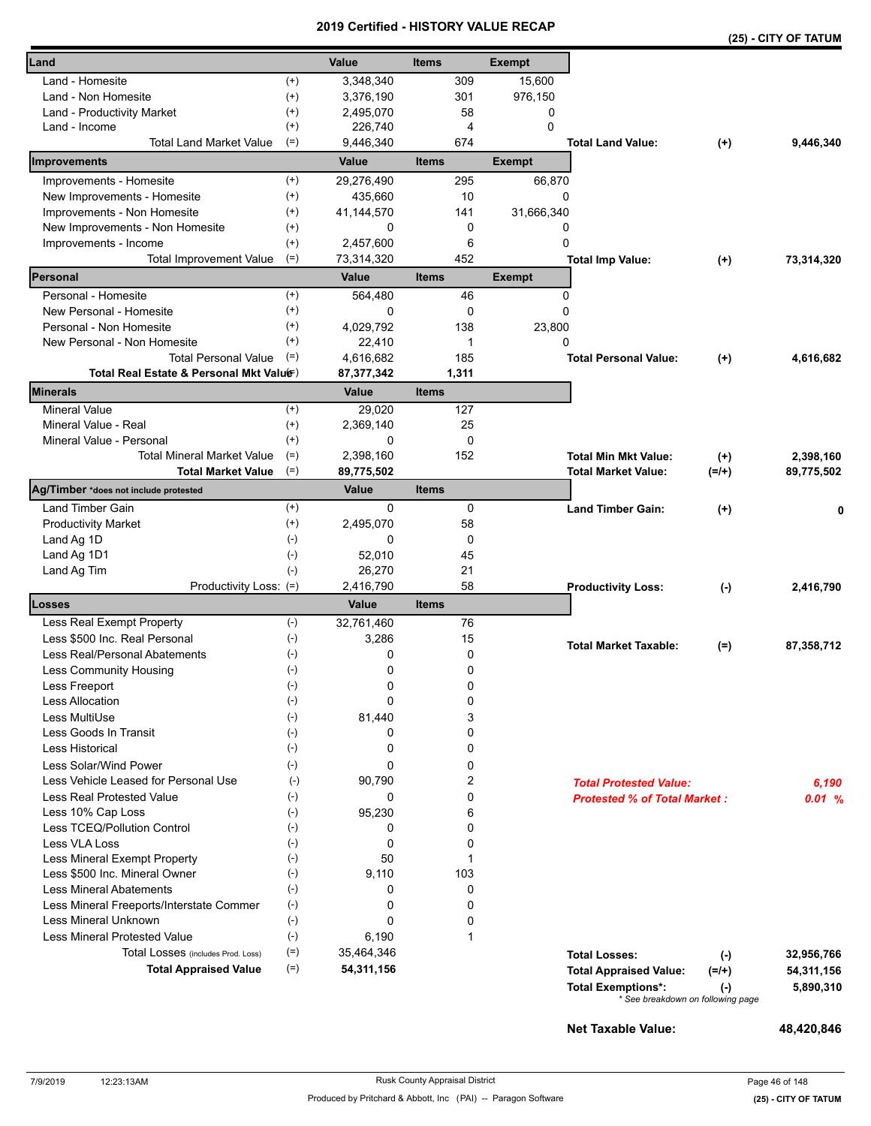|                                                         |                       |                     |              |              |               |                                                                |          | (25) - CITY OF TATUM |
|---------------------------------------------------------|-----------------------|---------------------|--------------|--------------|---------------|----------------------------------------------------------------|----------|----------------------|
| Land                                                    |                       | Value               | <b>Items</b> |              | <b>Exempt</b> |                                                                |          |                      |
| Land - Homesite                                         | $^{(+)}$              | 3,348,340           |              | 309          | 15,600        |                                                                |          |                      |
| Land - Non Homesite                                     | $^{(+)}$              | 3,376,190           |              | 301          | 976,150       |                                                                |          |                      |
| Land - Productivity Market                              | $^{(+)}$              | 2,495,070           |              | 58           | 0             |                                                                |          |                      |
| Land - Income                                           | $^{(+)}$              | 226,740             |              | 4            | 0             |                                                                |          |                      |
| <b>Total Land Market Value</b>                          | $(=)$                 | 9,446,340           |              | 674          |               | <b>Total Land Value:</b>                                       | $(+)$    | 9,446,340            |
| Improvements                                            |                       | Value               | <b>Items</b> |              | <b>Exempt</b> |                                                                |          |                      |
| Improvements - Homesite                                 | $^{(+)}$              | 29,276,490          |              | 295          | 66,870        |                                                                |          |                      |
| New Improvements - Homesite                             | $^{(+)}$              | 435,660             |              | 10           | 0             |                                                                |          |                      |
| Improvements - Non Homesite                             | $^{(+)}$              | 41,144,570          |              | 141          | 31,666,340    |                                                                |          |                      |
| New Improvements - Non Homesite                         | $^{(+)}$              | 0                   |              | 0            | 0<br>0        |                                                                |          |                      |
| Improvements - Income<br><b>Total Improvement Value</b> | $^{(+)}$<br>$(=)$     | 2,457,600           |              | 6<br>452     |               |                                                                |          | 73,314,320           |
| Personal                                                |                       | 73,314,320<br>Value | <b>Items</b> |              | <b>Exempt</b> | <b>Total Imp Value:</b>                                        | $(+)$    |                      |
|                                                         |                       |                     |              |              |               |                                                                |          |                      |
| Personal - Homesite<br>New Personal - Homesite          | $^{(+)}$<br>$^{(+)}$  | 564,480<br>0        |              | 46<br>0      | 0<br>0        |                                                                |          |                      |
| Personal - Non Homesite                                 | $^{(+)}$              | 4,029,792           |              | 138          | 23,800        |                                                                |          |                      |
| New Personal - Non Homesite                             | $^{(+)}$              | 22,410              |              | 1            | 0             |                                                                |          |                      |
| <b>Total Personal Value</b>                             | $(=)$                 | 4,616,682           |              | 185          |               | <b>Total Personal Value:</b>                                   | $(+)$    | 4,616,682            |
| Total Real Estate & Personal Mkt Valuer)                |                       | 87,377,342          |              | 1,311        |               |                                                                |          |                      |
| Minerals                                                |                       | Value               | <b>Items</b> |              |               |                                                                |          |                      |
| <b>Mineral Value</b>                                    | $^{(+)}$              | 29.020              |              | 127          |               |                                                                |          |                      |
| Mineral Value - Real                                    | $^{(+)}$              | 2,369,140           |              | 25           |               |                                                                |          |                      |
| Mineral Value - Personal                                | $^{(+)}$              | 0                   |              | $\mathbf 0$  |               |                                                                |          |                      |
| <b>Total Mineral Market Value</b>                       | $(=)$                 | 2,398,160           |              | 152          |               | <b>Total Min Mkt Value:</b>                                    | $^{(+)}$ | 2,398,160            |
| <b>Total Market Value</b>                               | $(=)$                 | 89,775,502          |              |              |               | <b>Total Market Value:</b>                                     | $(=/+)$  | 89,775,502           |
| Ag/Timber *does not include protested                   |                       | Value               | <b>Items</b> |              |               |                                                                |          |                      |
| Land Timber Gain                                        | $^{(+)}$              | $\mathbf 0$         |              | 0            |               | <b>Land Timber Gain:</b>                                       | $(+)$    |                      |
| <b>Productivity Market</b>                              | $^{(+)}$              | 2,495,070           |              | 58           |               |                                                                |          |                      |
| Land Ag 1D                                              | $(-)$                 | 0                   |              | 0            |               |                                                                |          |                      |
| Land Ag 1D1                                             | $(-)$                 | 52,010              |              | 45           |               |                                                                |          |                      |
| Land Ag Tim                                             | $(-)$                 | 26,270              |              | 21           |               |                                                                |          |                      |
| Productivity Loss: (=)<br>Losses                        |                       | 2,416,790           |              | 58           |               | <b>Productivity Loss:</b>                                      | $(-)$    | 2,416,790            |
|                                                         |                       | Value               | <b>Items</b> |              |               |                                                                |          |                      |
| Less Real Exempt Property                               | $(-)$                 | 32,761,460          |              | 76           |               |                                                                |          |                      |
| Less \$500 Inc. Real Personal                           | $(-)$                 | 3,286               |              | 15           |               | <b>Total Market Taxable:</b>                                   | $(=)$    | 87,358,712           |
| Less Real/Personal Abatements                           | $(-)$                 | 0                   |              | 0            |               |                                                                |          |                      |
| <b>Less Community Housing</b><br>Less Freeport          | $(\hbox{-})$<br>$(-)$ | 0<br>0              |              | 0<br>0       |               |                                                                |          |                      |
| <b>Less Allocation</b>                                  | $(-)$                 | 0                   |              | 0            |               |                                                                |          |                      |
| Less MultiUse                                           | $(-)$                 | 81,440              |              | 3            |               |                                                                |          |                      |
| Less Goods In Transit                                   | $(-)$                 | 0                   |              | 0            |               |                                                                |          |                      |
| <b>Less Historical</b>                                  | $(-)$                 | 0                   |              | 0            |               |                                                                |          |                      |
| Less Solar/Wind Power                                   | $(-)$                 | 0                   |              | 0            |               |                                                                |          |                      |
| Less Vehicle Leased for Personal Use                    | $(-)$                 | 90,790              |              | 2            |               | <b>Total Protested Value:</b>                                  |          | 6,190                |
| <b>Less Real Protested Value</b>                        | $(-)$                 | 0                   |              | 0            |               | <b>Protested % of Total Market:</b>                            |          | 0.01%                |
| Less 10% Cap Loss                                       | $(-)$                 | 95,230              |              | 6            |               |                                                                |          |                      |
| Less TCEQ/Pollution Control                             | $(-)$                 | 0                   |              | 0            |               |                                                                |          |                      |
| Less VLA Loss                                           | $(-)$                 | 0                   |              | 0            |               |                                                                |          |                      |
| Less Mineral Exempt Property                            | $(-)$                 | 50                  |              | 1            |               |                                                                |          |                      |
| Less \$500 Inc. Mineral Owner                           | $(\cdot)$             | 9,110               |              | 103          |               |                                                                |          |                      |
| <b>Less Mineral Abatements</b>                          | $(-)$                 | 0                   |              | 0            |               |                                                                |          |                      |
| Less Mineral Freeports/Interstate Commer                | $(-)$                 | 0                   |              | 0            |               |                                                                |          |                      |
| Less Mineral Unknown                                    | $(-)$                 | 0                   |              | 0            |               |                                                                |          |                      |
| <b>Less Mineral Protested Value</b>                     | $(-)$                 | 6,190               |              | $\mathbf{1}$ |               |                                                                |          |                      |
| Total Losses (includes Prod. Loss)                      | $(=)$                 | 35,464,346          |              |              |               | <b>Total Losses:</b>                                           | $(-)$    | 32,956,766           |
| <b>Total Appraised Value</b>                            | $(=)$                 | 54,311,156          |              |              |               | <b>Total Appraised Value:</b>                                  | $(=/+)$  | 54,311,156           |
|                                                         |                       |                     |              |              |               | <b>Total Exemptions*:</b><br>* See breakdown on following page | $(-)$    | 5,890,310            |
|                                                         |                       |                     |              |              |               |                                                                |          |                      |

**Net Taxable Value: 48,420,846**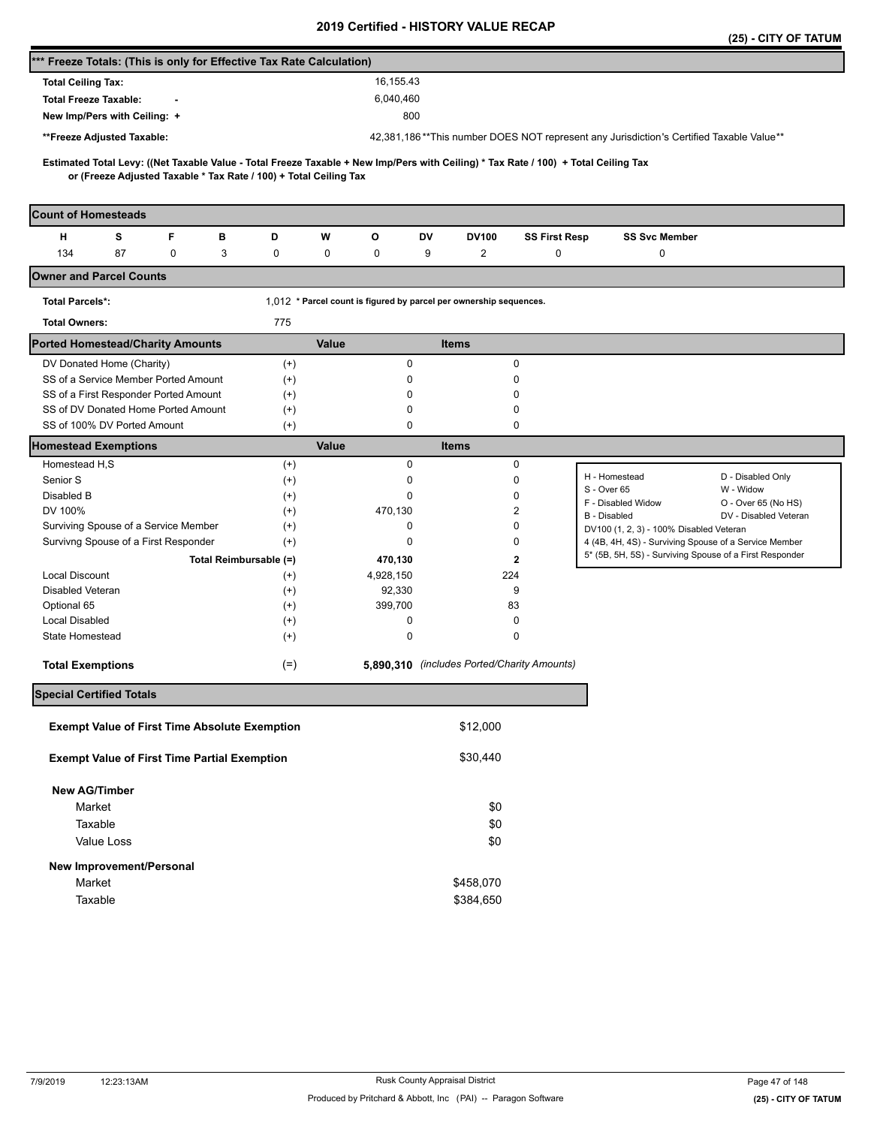|                                                                                                                                                                                                          |          |                                                                    |                                             |                      |                                                                                         | (25) - CITY OF TATUM           |
|----------------------------------------------------------------------------------------------------------------------------------------------------------------------------------------------------------|----------|--------------------------------------------------------------------|---------------------------------------------|----------------------|-----------------------------------------------------------------------------------------|--------------------------------|
| *** Freeze Totals: (This is only for Effective Tax Rate Calculation)                                                                                                                                     |          |                                                                    |                                             |                      |                                                                                         |                                |
| <b>Total Ceiling Tax:</b>                                                                                                                                                                                |          | 16,155.43                                                          |                                             |                      |                                                                                         |                                |
| <b>Total Freeze Taxable:</b>                                                                                                                                                                             |          | 6,040,460                                                          |                                             |                      |                                                                                         |                                |
| New Imp/Pers with Ceiling: +                                                                                                                                                                             |          | 800                                                                |                                             |                      |                                                                                         |                                |
| **Freeze Adjusted Taxable:                                                                                                                                                                               |          |                                                                    |                                             |                      | 42,381,186**This number DOES NOT represent any Jurisdiction's Certified Taxable Value** |                                |
|                                                                                                                                                                                                          |          |                                                                    |                                             |                      |                                                                                         |                                |
| Estimated Total Levy: ((Net Taxable Value - Total Freeze Taxable + New Imp/Pers with Ceiling) * Tax Rate / 100) + Total Ceiling Tax<br>or (Freeze Adjusted Taxable * Tax Rate / 100) + Total Ceiling Tax |          |                                                                    |                                             |                      |                                                                                         |                                |
| <b>Count of Homesteads</b>                                                                                                                                                                               |          |                                                                    |                                             |                      |                                                                                         |                                |
| F<br>н<br>s<br>в                                                                                                                                                                                         | D        | W<br>o                                                             | DV<br><b>DV100</b>                          | <b>SS First Resp</b> | <b>SS Svc Member</b>                                                                    |                                |
| 134<br>87<br>0<br>3                                                                                                                                                                                      | 0        | 0<br>0                                                             | $\overline{2}$<br>9                         | 0                    | 0                                                                                       |                                |
| <b>Owner and Parcel Counts</b>                                                                                                                                                                           |          |                                                                    |                                             |                      |                                                                                         |                                |
| <b>Total Parcels*:</b>                                                                                                                                                                                   |          | 1,012 * Parcel count is figured by parcel per ownership sequences. |                                             |                      |                                                                                         |                                |
| <b>Total Owners:</b>                                                                                                                                                                                     | 775      |                                                                    |                                             |                      |                                                                                         |                                |
| <b>Ported Homestead/Charity Amounts</b>                                                                                                                                                                  |          | Value                                                              | <b>Items</b>                                |                      |                                                                                         |                                |
| DV Donated Home (Charity)                                                                                                                                                                                | $(+)$    | 0                                                                  |                                             | $\pmb{0}$            |                                                                                         |                                |
| SS of a Service Member Ported Amount                                                                                                                                                                     | $(+)$    | 0                                                                  |                                             | 0                    |                                                                                         |                                |
| SS of a First Responder Ported Amount                                                                                                                                                                    | $^{(+)}$ | 0                                                                  |                                             | 0                    |                                                                                         |                                |
| SS of DV Donated Home Ported Amount                                                                                                                                                                      | $^{(+)}$ | 0                                                                  |                                             | 0                    |                                                                                         |                                |
| SS of 100% DV Ported Amount                                                                                                                                                                              | $^{(+)}$ | 0                                                                  |                                             | 0                    |                                                                                         |                                |
| <b>Homestead Exemptions</b>                                                                                                                                                                              |          | Value                                                              | <b>Items</b>                                |                      |                                                                                         |                                |
| Homestead H,S                                                                                                                                                                                            | $^{(+)}$ | 0                                                                  |                                             | $\pmb{0}$            |                                                                                         |                                |
| Senior S                                                                                                                                                                                                 | $^{(+)}$ | 0                                                                  |                                             | 0                    | H - Homestead<br>S - Over 65                                                            | D - Disabled Only<br>W - Widow |
| Disabled B                                                                                                                                                                                               | $^{(+)}$ | 0                                                                  |                                             | 0                    | F - Disabled Widow                                                                      | O - Over 65 (No HS)            |
| DV 100%                                                                                                                                                                                                  | $(+)$    | 470,130                                                            |                                             | 2                    | B - Disabled                                                                            | DV - Disabled Veteran          |
| Surviving Spouse of a Service Member                                                                                                                                                                     | $^{(+)}$ | 0                                                                  |                                             | 0                    | DV100 (1, 2, 3) - 100% Disabled Veteran                                                 |                                |
| Survivng Spouse of a First Responder                                                                                                                                                                     | $^{(+)}$ | 0                                                                  |                                             | 0                    | 4 (4B, 4H, 4S) - Surviving Spouse of a Service Member                                   |                                |
| Total Reimbursable (=)                                                                                                                                                                                   |          | 470,130                                                            |                                             | $\overline{2}$       | 5* (5B, 5H, 5S) - Surviving Spouse of a First Responder                                 |                                |
| <b>Local Discount</b>                                                                                                                                                                                    | $^{(+)}$ | 4,928,150                                                          | 224                                         |                      |                                                                                         |                                |
| Disabled Veteran                                                                                                                                                                                         | $^{(+)}$ | 92,330                                                             |                                             | 9                    |                                                                                         |                                |
| Optional 65                                                                                                                                                                                              | $^{(+)}$ | 399,700                                                            | 83                                          |                      |                                                                                         |                                |
| <b>Local Disabled</b>                                                                                                                                                                                    | $^{(+)}$ | 0                                                                  |                                             | 0                    |                                                                                         |                                |
| State Homestead                                                                                                                                                                                          | $(+)$    | 0                                                                  |                                             | 0                    |                                                                                         |                                |
| <b>Total Exemptions</b>                                                                                                                                                                                  | $(=)$    |                                                                    | 5,890,310 (includes Ported/Charity Amounts) |                      |                                                                                         |                                |
| <b>Special Certified Totals</b>                                                                                                                                                                          |          |                                                                    |                                             |                      |                                                                                         |                                |
| <b>Exempt Value of First Time Absolute Exemption</b>                                                                                                                                                     |          |                                                                    | \$12,000                                    |                      |                                                                                         |                                |
| <b>Exempt Value of First Time Partial Exemption</b>                                                                                                                                                      |          |                                                                    | \$30,440                                    |                      |                                                                                         |                                |
| <b>New AG/Timber</b>                                                                                                                                                                                     |          |                                                                    |                                             |                      |                                                                                         |                                |
| Market                                                                                                                                                                                                   |          |                                                                    | \$0                                         |                      |                                                                                         |                                |
| Taxable                                                                                                                                                                                                  |          |                                                                    | \$0                                         |                      |                                                                                         |                                |
| Value Loss                                                                                                                                                                                               |          |                                                                    | \$0                                         |                      |                                                                                         |                                |
| New Improvement/Personal                                                                                                                                                                                 |          |                                                                    |                                             |                      |                                                                                         |                                |
| Market                                                                                                                                                                                                   |          |                                                                    | \$458,070                                   |                      |                                                                                         |                                |
|                                                                                                                                                                                                          |          |                                                                    |                                             |                      |                                                                                         |                                |
| Taxable                                                                                                                                                                                                  |          |                                                                    | \$384,650                                   |                      |                                                                                         |                                |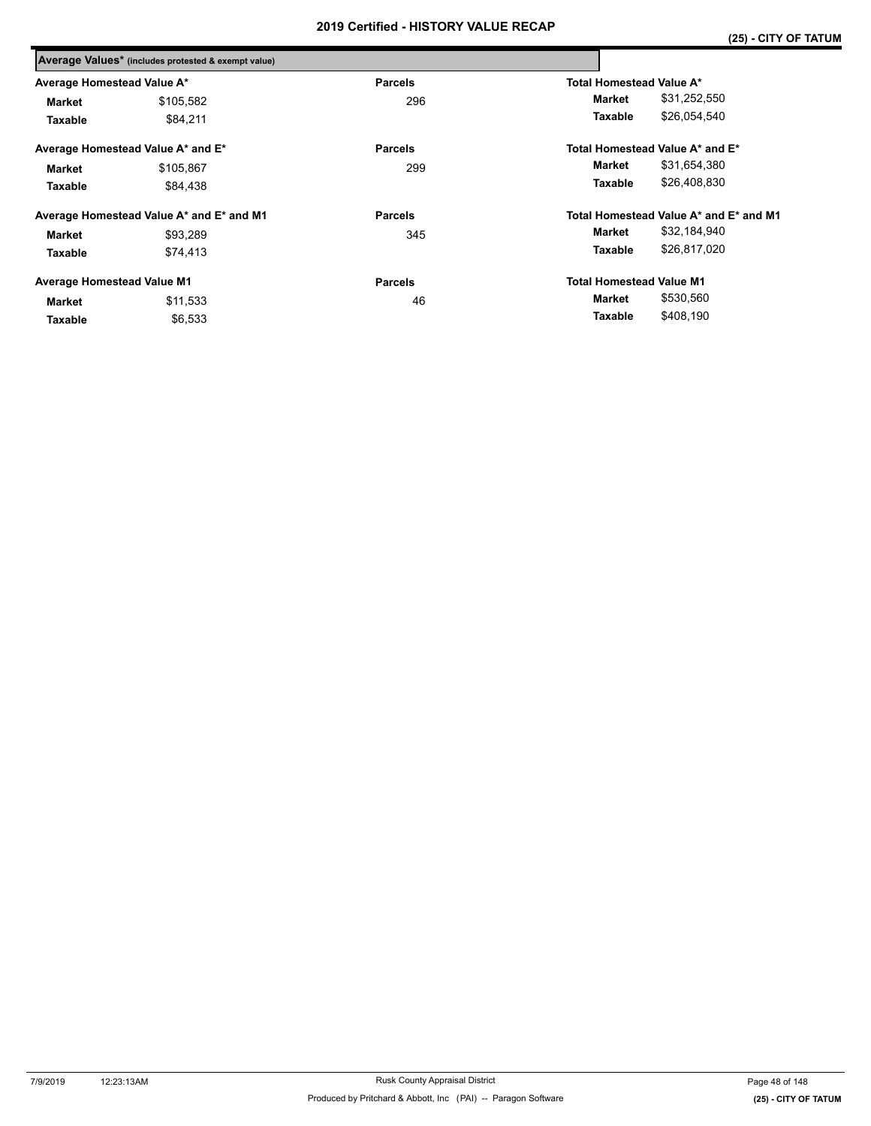|                                                 | Average Values* (includes protested & exempt value) |                |                                        |  |  |
|-------------------------------------------------|-----------------------------------------------------|----------------|----------------------------------------|--|--|
| Average Homestead Value A*                      |                                                     | <b>Parcels</b> | <b>Total Homestead Value A*</b>        |  |  |
| <b>Market</b>                                   | \$105,582                                           | 296            | \$31,252,550<br>Market                 |  |  |
| Taxable                                         | \$84.211                                            |                | \$26,054,540<br>Taxable                |  |  |
|                                                 | Average Homestead Value A* and E*                   | <b>Parcels</b> | Total Homestead Value A* and E*        |  |  |
| <b>Market</b>                                   | \$105,867                                           | 299            | \$31,654,380<br>Market                 |  |  |
| Taxable                                         | \$84.438                                            |                | \$26,408,830<br>Taxable                |  |  |
|                                                 | Average Homestead Value A* and E* and M1            | <b>Parcels</b> | Total Homestead Value A* and E* and M1 |  |  |
| <b>Market</b>                                   | \$93,289                                            | 345            | \$32,184,940<br>Market                 |  |  |
| Taxable                                         | \$74,413                                            |                | \$26,817,020<br>Taxable                |  |  |
| <b>Average Homestead Value M1</b>               |                                                     | <b>Parcels</b> | <b>Total Homestead Value M1</b>        |  |  |
| \$11,533<br><b>Market</b><br>\$6,533<br>Taxable |                                                     | 46             | \$530,560<br>Market                    |  |  |
|                                                 |                                                     |                | \$408,190<br>Taxable                   |  |  |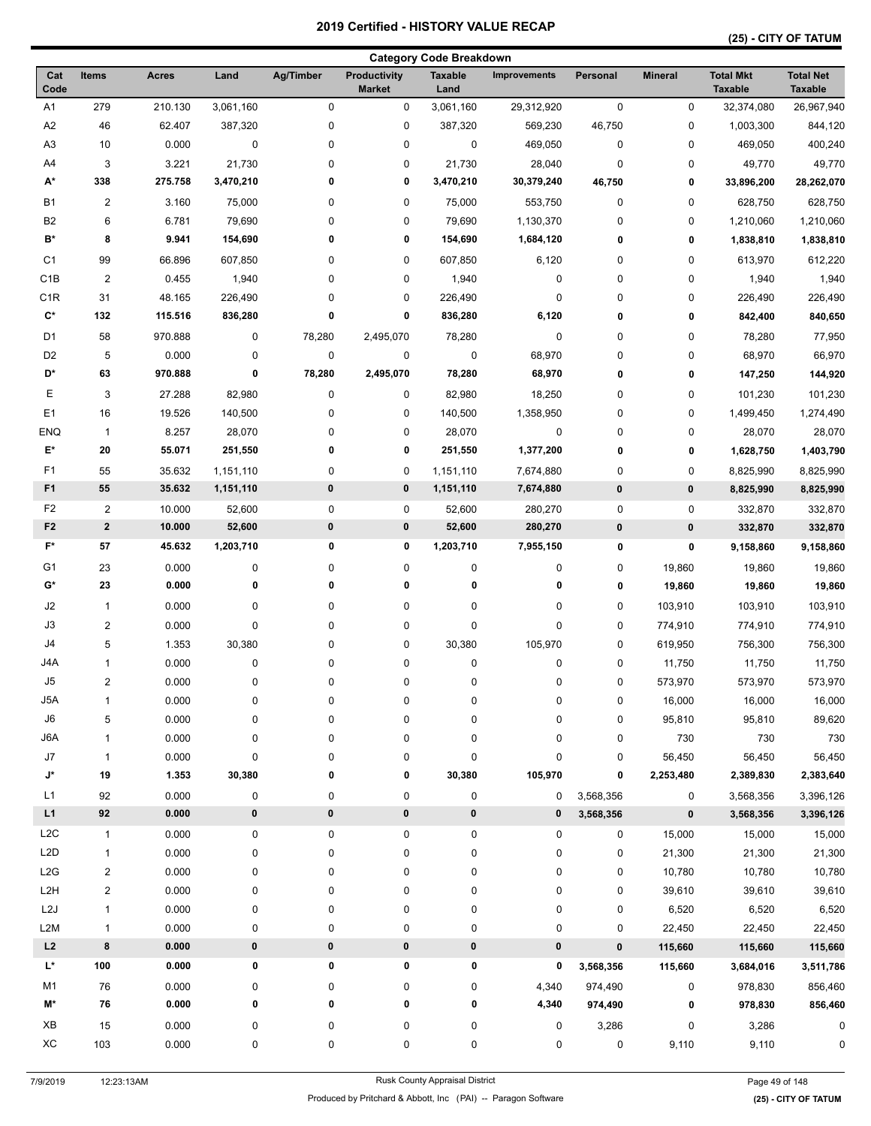|                      |                         |              |           |           |                                      | <b>Category Code Breakdown</b> |                     |             |                |                                    |                                    |
|----------------------|-------------------------|--------------|-----------|-----------|--------------------------------------|--------------------------------|---------------------|-------------|----------------|------------------------------------|------------------------------------|
| Cat<br>Code          | Items                   | <b>Acres</b> | Land      | Ag/Timber | <b>Productivity</b><br><b>Market</b> | <b>Taxable</b><br>Land         | <b>Improvements</b> | Personal    | <b>Mineral</b> | <b>Total Mkt</b><br><b>Taxable</b> | <b>Total Net</b><br><b>Taxable</b> |
| A1                   | 279                     | 210.130      | 3,061,160 | 0         | 0                                    | 3,061,160                      | 29,312,920          | $\pmb{0}$   | 0              | 32,374,080                         | 26,967,940                         |
| A2                   | 46                      | 62.407       | 387,320   | 0         | $\pmb{0}$                            | 387,320                        | 569,230             | 46,750      | 0              | 1,003,300                          | 844,120                            |
| A <sub>3</sub>       | 10                      | 0.000        | $\pmb{0}$ | 0         | $\pmb{0}$                            | $\pmb{0}$                      | 469,050             | $\mathbf 0$ | 0              | 469,050                            | 400,240                            |
| A4                   | 3                       | 3.221        | 21,730    | 0         | $\pmb{0}$                            | 21,730                         | 28,040              | $\pmb{0}$   | 0              | 49,770                             | 49,770                             |
| A*                   | 338                     | 275.758      | 3,470,210 | 0         | 0                                    | 3,470,210                      | 30,379,240          | 46,750      | 0              | 33,896,200                         | 28,262,070                         |
| <b>B1</b>            | 2                       | 3.160        | 75,000    | 0         | 0                                    | 75,000                         | 553,750             | $\mathbf 0$ | 0              | 628,750                            | 628,750                            |
| B <sub>2</sub>       | 6                       | 6.781        | 79,690    | 0         | $\pmb{0}$                            | 79,690                         | 1,130,370           | $\mathbf 0$ | 0              | 1,210,060                          | 1,210,060                          |
| $\mathbf{B}^{\star}$ | 8                       | 9.941        | 154,690   | 0         | 0                                    | 154,690                        | 1,684,120           | 0           | 0              | 1,838,810                          | 1,838,810                          |
| C <sub>1</sub>       | 99                      | 66.896       | 607,850   | 0         | 0                                    | 607,850                        | 6,120               | 0           | 0              | 613,970                            | 612,220                            |
| C <sub>1</sub> B     | $\overline{2}$          | 0.455        | 1,940     | 0         | $\pmb{0}$                            | 1,940                          | 0                   | 0           | 0              | 1,940                              | 1,940                              |
| C <sub>1</sub> R     | 31                      | 48.165       | 226,490   | 0         | $\pmb{0}$                            | 226,490                        | 0                   | 0           | 0              | 226,490                            | 226,490                            |
| $\mathtt{C}^{\star}$ | 132                     | 115.516      | 836,280   | 0         | 0                                    | 836,280                        | 6,120               | 0           | 0              | 842,400                            | 840,650                            |
| D1                   | 58                      | 970.888      | 0         | 78,280    | 2,495,070                            | 78,280                         | 0                   | 0           | 0              | 78,280                             | 77,950                             |
| D <sub>2</sub>       | 5                       | 0.000        | 0         | 0         | $\pmb{0}$                            | $\pmb{0}$                      | 68,970              | 0           | 0              | 68,970                             | 66,970                             |
| D*                   | 63                      | 970.888      | 0         | 78,280    | 2,495,070                            | 78,280                         | 68,970              | 0           | 0              | 147,250                            | 144,920                            |
| Е                    | 3                       | 27.288       | 82,980    | 0         | $\pmb{0}$                            | 82,980                         | 18,250              | 0           | 0              | 101,230                            | 101,230                            |
| E <sub>1</sub>       | 16                      | 19.526       | 140,500   | 0         | $\pmb{0}$                            | 140,500                        | 1,358,950           | 0           | 0              | 1,499,450                          | 1,274,490                          |
| ENQ                  | $\mathbf{1}$            | 8.257        | 28,070    | 0         | $\pmb{0}$                            | 28,070                         | $\mathbf 0$         | 0           | 0              | 28,070                             | 28,070                             |
| E*                   | 20                      | 55.071       | 251,550   | 0         | 0                                    | 251,550                        | 1,377,200           | 0           | 0              | 1,628,750                          | 1,403,790                          |
| F <sub>1</sub>       | 55                      | 35.632       | 1,151,110 | 0         | $\pmb{0}$                            | 1,151,110                      | 7,674,880           | $\mathbf 0$ | $\pmb{0}$      | 8,825,990                          | 8,825,990                          |
| F <sub>1</sub>       | 55                      | 35.632       | 1,151,110 | $\pmb{0}$ | 0                                    | 1,151,110                      | 7,674,880           | $\pmb{0}$   | 0              | 8,825,990                          | 8,825,990                          |
| F <sub>2</sub>       | $\overline{2}$          | 10.000       | 52,600    | 0         | 0                                    | 52,600                         | 280,270             | $\pmb{0}$   | 0              | 332,870                            | 332,870                            |
| F <sub>2</sub>       | $\mathbf{2}$            | 10.000       | 52,600    | $\bf{0}$  | 0                                    | 52,600                         | 280,270             | $\pmb{0}$   | 0              | 332,870                            | 332,870                            |
| $F^*$                | 57                      | 45.632       | 1,203,710 | 0         | 0                                    | 1,203,710                      | 7,955,150           |             |                |                                    |                                    |
|                      |                         |              |           |           |                                      |                                |                     | 0           | 0              | 9,158,860                          | 9,158,860                          |
| G <sub>1</sub>       | 23                      | 0.000        | 0         | 0         | 0                                    | 0                              | 0                   | 0           | 19,860         | 19,860                             | 19,860                             |
| G*                   | 23                      | 0.000        | 0         | 0         | 0                                    | 0                              | 0                   | 0           | 19,860         | 19,860                             | 19,860                             |
| J2                   | $\mathbf{1}$            | 0.000        | 0         | 0         | $\pmb{0}$                            | 0                              | 0                   | 0           | 103,910        | 103,910                            | 103,910                            |
| J3                   | $\overline{c}$          | 0.000        | 0         | 0         | 0                                    | $\pmb{0}$                      | 0                   | 0           | 774,910        | 774,910                            | 774,910                            |
| J4                   | 5                       | 1.353        | 30,380    | 0         | 0                                    | 30,380                         | 105,970             | 0           | 619,950        | 756,300                            | 756,300                            |
| J4A                  | 1                       | 0.000        | 0         | 0         | $\pmb{0}$                            | $\pmb{0}$                      | 0                   | 0           | 11,750         | 11,750                             | 11,750                             |
| J5                   | $\overline{c}$          | 0.000        | 0         | 0         | 0                                    | $\pmb{0}$                      | 0                   | 0           | 573,970        | 573,970                            | 573,970                            |
| J5A                  | $\mathbf{1}$            | 0.000        | 0         | 0         | $\pmb{0}$                            | 0                              | 0                   | $\pmb{0}$   | 16,000         | 16,000                             | 16,000                             |
| $\mathsf{J6}$        | 5                       | 0.000        | 0         | 0         | $\pmb{0}$                            | 0                              | 0                   | 0           | 95,810         | 95,810                             | 89,620                             |
| J6A                  | $\mathbf{1}$            | 0.000        | 0         | 0         | 0                                    | 0                              | 0                   | 0           | 730            | 730                                | 730                                |
| J7                   | $\mathbf{1}$            | 0.000        | 0         | 0         | 0                                    | $\pmb{0}$                      | 0                   | 0           | 56,450         | 56,450                             | 56,450                             |
| J*                   | 19                      | 1.353        | 30,380    | 0         | 0                                    | 30,380                         | 105,970             | 0           | 2,253,480      | 2,389,830                          | 2,383,640                          |
| L1                   | 92                      | 0.000        | 0         | 0         | 0                                    | 0                              | 0                   | 3,568,356   | 0              | 3,568,356                          | 3,396,126                          |
| L1                   | $92\,$                  | 0.000        | $\pmb{0}$ | $\pmb{0}$ | $\pmb{0}$                            | $\pmb{0}$                      | 0                   | 3,568,356   | 0              | 3,568,356                          | 3,396,126                          |
| L <sub>2</sub> C     | $\mathbf{1}$            | 0.000        | 0         | 0         | 0                                    | 0                              | 0                   | 0           | 15,000         | 15,000                             | 15,000                             |
| L <sub>2</sub> D     | $\mathbf{1}$            | 0.000        | 0         | 0         | $\pmb{0}$                            | 0                              | 0                   | 0           | 21,300         | 21,300                             | 21,300                             |
| L2G                  | $\boldsymbol{2}$        | 0.000        | 0         | 0         | $\pmb{0}$                            | 0                              | 0                   | 0           | 10,780         | 10,780                             | 10,780                             |
| L <sub>2</sub> H     | $\overline{\mathbf{c}}$ | 0.000        | 0         | 0         | $\pmb{0}$                            | 0                              | 0                   | 0           | 39,610         | 39,610                             | 39,610                             |
| L <sub>2</sub> J     | $\mathbf{1}$            | 0.000        | 0         | 0         | 0                                    | 0                              | 0                   | 0           | 6,520          | 6,520                              | 6,520                              |
| L2M                  | $\mathbf{1}$            | 0.000        | 0         | 0         | 0                                    | 0                              | 0                   | 0           | 22,450         | 22,450                             | 22,450                             |
| L2                   | 8                       | 0.000        | $\pmb{0}$ | $\pmb{0}$ | 0                                    | $\pmb{0}$                      | $\pmb{0}$           | $\pmb{0}$   | 115,660        | 115,660                            | 115,660                            |
| L*                   | 100                     | 0.000        | 0         | 0         | 0                                    | 0                              | 0                   | 3,568,356   | 115,660        | 3,684,016                          | 3,511,786                          |
| M1                   | 76                      | 0.000        | 0         | 0         | $\pmb{0}$                            | 0                              | 4,340               | 974,490     | 0              | 978,830                            | 856,460                            |
| M*                   | 76                      | 0.000        | 0         | 0         | 0                                    | 0                              | 4,340               | 974,490     | 0              | 978,830                            | 856,460                            |
| XB                   | 15                      | 0.000        | 0         | 0         | 0                                    | 0                              | 0                   | 3,286       | 0              | 3,286                              | 0                                  |
| XC                   | 103                     | 0.000        | 0         | 0         | 0                                    | 0                              | 0                   | 0           | 9,110          | 9,110                              | 0                                  |
|                      |                         |              |           |           |                                      |                                |                     |             |                |                                    |                                    |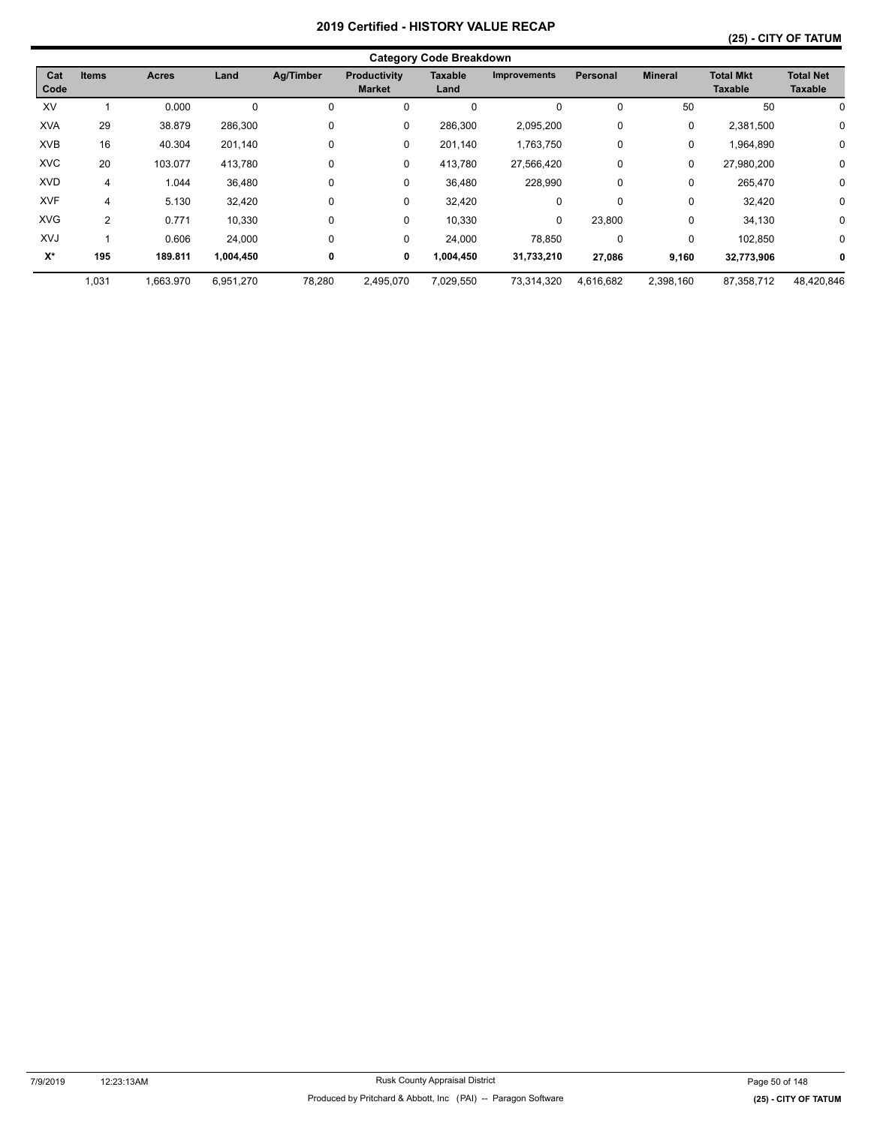|                    | <b>Category Code Breakdown</b> |              |           |           |                                      |                 |                     |                 |                |                                    |                                    |
|--------------------|--------------------------------|--------------|-----------|-----------|--------------------------------------|-----------------|---------------------|-----------------|----------------|------------------------------------|------------------------------------|
| Cat<br>Code        | <b>Items</b>                   | <b>Acres</b> | Land      | Ag/Timber | <b>Productivity</b><br><b>Market</b> | Taxable<br>Land | <b>Improvements</b> | <b>Personal</b> | <b>Mineral</b> | <b>Total Mkt</b><br><b>Taxable</b> | <b>Total Net</b><br><b>Taxable</b> |
| XV                 |                                | 0.000        | $\Omega$  |           | 0                                    | 0               | 0                   | 0               | 50             | 50                                 | 0                                  |
| <b>XVA</b>         | 29                             | 38.879       | 286,300   | 0         | 0                                    | 286,300         | 2,095,200           | 0               | 0              | 2,381,500                          | 0                                  |
| <b>XVB</b>         | 16                             | 40.304       | 201,140   | 0         | 0                                    | 201,140         | 1,763,750           | $\mathbf 0$     | 0              | 1,964,890                          | 0                                  |
| <b>XVC</b>         | 20                             | 103.077      | 413,780   | 0         | 0                                    | 413,780         | 27,566,420          | 0               | 0              | 27,980,200                         | 0                                  |
| <b>XVD</b>         | 4                              | 1.044        | 36,480    | 0         | 0                                    | 36,480          | 228,990             | 0               | 0              | 265,470                            | 0                                  |
| <b>XVF</b>         | 4                              | 5.130        | 32,420    | 0         | 0                                    | 32,420          | 0                   | 0               | 0              | 32,420                             | 0                                  |
| <b>XVG</b>         | $\overline{2}$                 | 0.771        | 10,330    | 0         | 0                                    | 10,330          | 0                   | 23,800          | 0              | 34,130                             | $\mathbf 0$                        |
| XVJ                |                                | 0.606        | 24,000    | 0         | 0                                    | 24,000          | 78,850              | 0               | 0              | 102,850                            | 0                                  |
| $\mathsf{X}^\star$ | 195                            | 189.811      | 1,004,450 | 0         | 0                                    | 1,004,450       | 31,733,210          | 27,086          | 9,160          | 32,773,906                         | 0                                  |
|                    | 1,031                          | 1,663.970    | 6,951,270 | 78,280    | 2,495,070                            | 7,029,550       | 73,314,320          | 4,616,682       | 2,398,160      | 87,358,712                         | 48,420,846                         |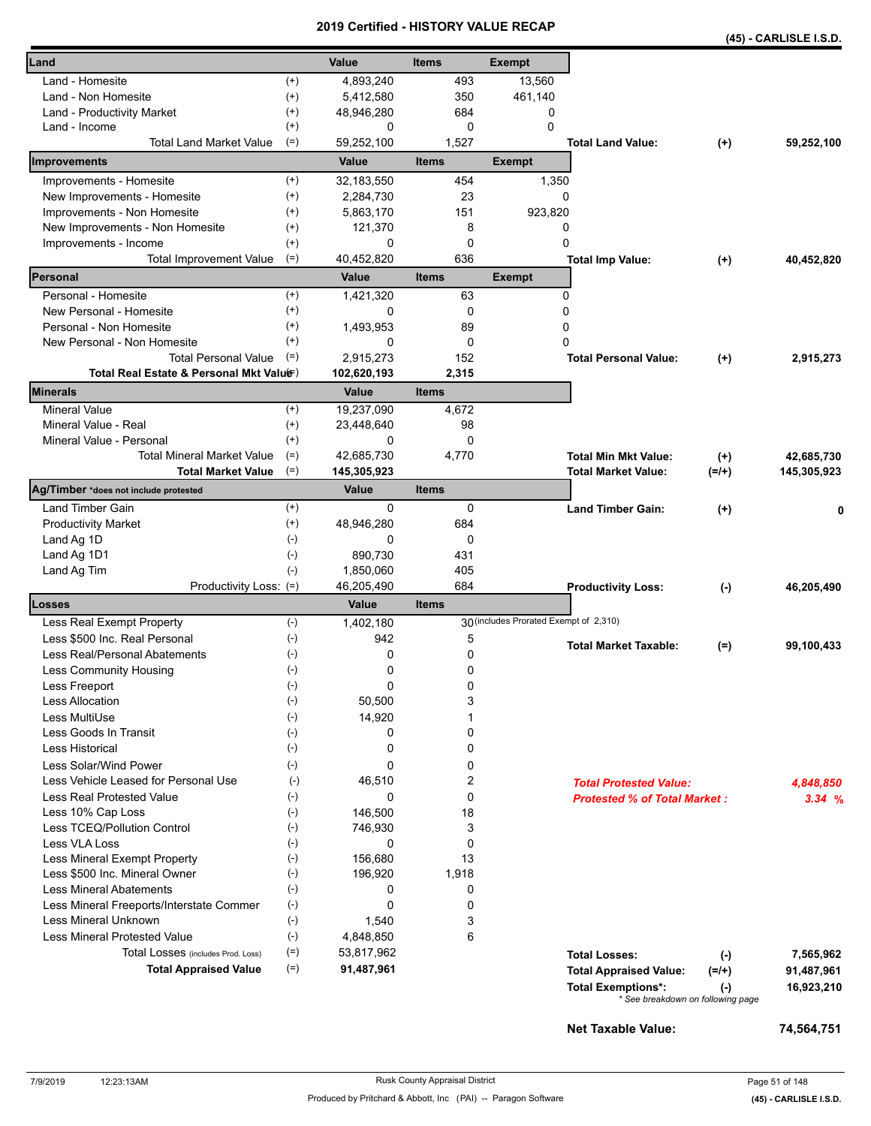|                                                                         |                |                      |                       | <b>VEILIIIEU - NIJ I URT VALUE REVAR</b> |                                     |                      | (45) - CARLISLE I.S.D.  |
|-------------------------------------------------------------------------|----------------|----------------------|-----------------------|------------------------------------------|-------------------------------------|----------------------|-------------------------|
| Land                                                                    |                | Value                | <b>Items</b>          | <b>Exempt</b>                            |                                     |                      |                         |
| Land - Homesite                                                         | $^{(+)}$       | 4,893,240            | 493                   | 13,560                                   |                                     |                      |                         |
| Land - Non Homesite                                                     | $^{(+)}$       | 5,412,580            | 350                   | 461,140                                  |                                     |                      |                         |
| Land - Productivity Market                                              | $^{(+)}$       | 48,946,280           | 684                   | 0                                        |                                     |                      |                         |
| Land - Income                                                           | $^{(+)}$       | 0                    | 0                     | $\Omega$                                 |                                     |                      |                         |
| <b>Total Land Market Value</b>                                          | $(=)$          | 59,252,100           | 1,527                 |                                          | <b>Total Land Value:</b>            | $(+)$                | 59,252,100              |
| Improvements                                                            |                | Value                | <b>Items</b>          | <b>Exempt</b>                            |                                     |                      |                         |
| Improvements - Homesite                                                 | $^{(+)}$       | 32,183,550           | 454                   | 1,350                                    |                                     |                      |                         |
| New Improvements - Homesite                                             | $^{(+)}$       | 2,284,730            | 23                    |                                          | 0                                   |                      |                         |
| Improvements - Non Homesite                                             | $^{(+)}$       | 5,863,170            | 151                   | 923,820                                  |                                     |                      |                         |
| New Improvements - Non Homesite                                         | $^{(+)}$       | 121,370              | 8                     |                                          | 0                                   |                      |                         |
| Improvements - Income                                                   | $^{(+)}$       | 0                    | 0                     |                                          | 0                                   |                      |                         |
| <b>Total Improvement Value</b>                                          | $(=)$          | 40,452,820           | 636                   |                                          | <b>Total Imp Value:</b>             | $(+)$                | 40,452,820              |
| Personal                                                                |                | Value                | <b>Items</b>          | <b>Exempt</b>                            |                                     |                      |                         |
| Personal - Homesite                                                     | $(+)$          | 1,421,320            | 63                    |                                          | 0                                   |                      |                         |
| New Personal - Homesite                                                 | $^{(+)}$       | 0                    | 0                     |                                          | 0                                   |                      |                         |
| Personal - Non Homesite                                                 | $^{(+)}$       | 1,493,953            | 89                    |                                          | 0                                   |                      |                         |
| New Personal - Non Homesite                                             | $^{(+)}$       | 0                    | 0                     |                                          | 0                                   |                      |                         |
| <b>Total Personal Value</b><br>Total Real Estate & Personal Mkt Valuer) | $(=)$          | 2,915,273            | 152                   |                                          | <b>Total Personal Value:</b>        | $(+)$                | 2.915.273               |
| <b>Minerals</b>                                                         |                | 102,620,193<br>Value | 2,315<br><b>Items</b> |                                          |                                     |                      |                         |
| <b>Mineral Value</b>                                                    | $^{(+)}$       | 19.237.090           | 4,672                 |                                          |                                     |                      |                         |
| Mineral Value - Real                                                    | $^{(+)}$       | 23,448,640           | 98                    |                                          |                                     |                      |                         |
| Mineral Value - Personal                                                | $^{(+)}$       | 0                    | 0                     |                                          |                                     |                      |                         |
| <b>Total Mineral Market Value</b>                                       | $(=)$          | 42,685,730           | 4,770                 |                                          | <b>Total Min Mkt Value:</b>         | $^{(+)}$             | 42,685,730              |
| <b>Total Market Value</b>                                               | $(=)$          | 145,305,923          |                       |                                          | Total Market Value:                 | $(=/+)$              | 145,305,923             |
| Ag/Timber *does not include protested                                   |                | <b>Value</b>         | <b>Items</b>          |                                          |                                     |                      |                         |
| <b>Land Timber Gain</b>                                                 | $^{(+)}$       | 0                    | 0                     |                                          | <b>Land Timber Gain:</b>            | $^{(+)}$             | 0                       |
| <b>Productivity Market</b>                                              | $^{(+)}$       | 48,946,280           | 684                   |                                          |                                     |                      |                         |
| Land Ag 1D                                                              | $(-)$          | 0                    | 0                     |                                          |                                     |                      |                         |
| Land Ag 1D1                                                             | $(\text{-})$   | 890,730              | 431                   |                                          |                                     |                      |                         |
| Land Ag Tim                                                             | $(-)$          | 1,850,060            | 405                   |                                          |                                     |                      |                         |
| Productivity Loss: (=)                                                  |                | 46,205,490           | 684                   |                                          | <b>Productivity Loss:</b>           | $(-)$                | 46,205,490              |
| Losses                                                                  |                | Value                | <b>Items</b>          |                                          |                                     |                      |                         |
| Less Real Exempt Property                                               | $(-)$          | 1,402,180            |                       | 30 (includes Prorated Exempt of 2,310)   |                                     |                      |                         |
| Less \$500 Inc. Real Personal                                           | $(\cdot)$      | 942                  | 5                     |                                          | <b>Total Market Taxable:</b>        | $(=)$                | 99,100,433              |
| Less Real/Personal Abatements                                           | $(\text{-})$   | 0                    | 0                     |                                          |                                     |                      |                         |
| Less Community Housing                                                  | $(\cdot)$      | 0                    | 0                     |                                          |                                     |                      |                         |
| Less Freeport                                                           | $(-)$          | 0                    | 0                     |                                          |                                     |                      |                         |
| <b>Less Allocation</b>                                                  | $(-)$          | 50,500               | 3                     |                                          |                                     |                      |                         |
| Less MultiUse                                                           | $(\text{-})$   | 14,920               | 1                     |                                          |                                     |                      |                         |
| Less Goods In Transit                                                   | $(-)$          | 0                    | 0                     |                                          |                                     |                      |                         |
| Less Historical                                                         | $(-)$          | 0                    | 0                     |                                          |                                     |                      |                         |
| Less Solar/Wind Power                                                   | $(-)$          | 0                    | 0                     |                                          |                                     |                      |                         |
| Less Vehicle Leased for Personal Use                                    | $(-)$          | 46,510               | 2                     |                                          | <b>Total Protested Value:</b>       |                      | 4,848,850               |
| Less Real Protested Value                                               | $(-)$          | 0                    | 0                     |                                          | <b>Protested % of Total Market:</b> |                      | 3.34%                   |
| Less 10% Cap Loss                                                       | $(-)$          | 146,500              | 18                    |                                          |                                     |                      |                         |
| Less TCEQ/Pollution Control                                             | $(-)$          | 746,930              | 3                     |                                          |                                     |                      |                         |
| Less VLA Loss                                                           | $(-)$          | 0                    | 0<br>13               |                                          |                                     |                      |                         |
| Less Mineral Exempt Property                                            | $(-)$<br>$(-)$ | 156,680              |                       |                                          |                                     |                      |                         |
| Less \$500 Inc. Mineral Owner<br><b>Less Mineral Abatements</b>         | $(\text{-})$   | 196,920<br>0         | 1,918<br>0            |                                          |                                     |                      |                         |
| Less Mineral Freeports/Interstate Commer                                | $(\text{-})$   | 0                    | 0                     |                                          |                                     |                      |                         |
| Less Mineral Unknown                                                    | $(-)$          | 1,540                | 3                     |                                          |                                     |                      |                         |
| <b>Less Mineral Protested Value</b>                                     | $(\text{-})$   | 4,848,850            | 6                     |                                          |                                     |                      |                         |
| Total Losses (includes Prod. Loss)                                      | $(=)$          | 53,817,962           |                       |                                          | <b>Total Losses:</b>                |                      |                         |
| <b>Total Appraised Value</b>                                            | $(=)$          | 91,487,961           |                       |                                          | <b>Total Appraised Value:</b>       | $(\cdot)$<br>$(=/+)$ | 7,565,962<br>91,487,961 |
|                                                                         |                |                      |                       |                                          | <b>Total Exemptions*:</b>           |                      | 16,923,210              |
|                                                                         |                |                      |                       |                                          | * See breakdown on following page   | $(\cdot)$            |                         |
|                                                                         |                |                      |                       |                                          |                                     |                      |                         |
|                                                                         |                |                      |                       |                                          | Net Taxable Value:                  |                      | 74,564,751              |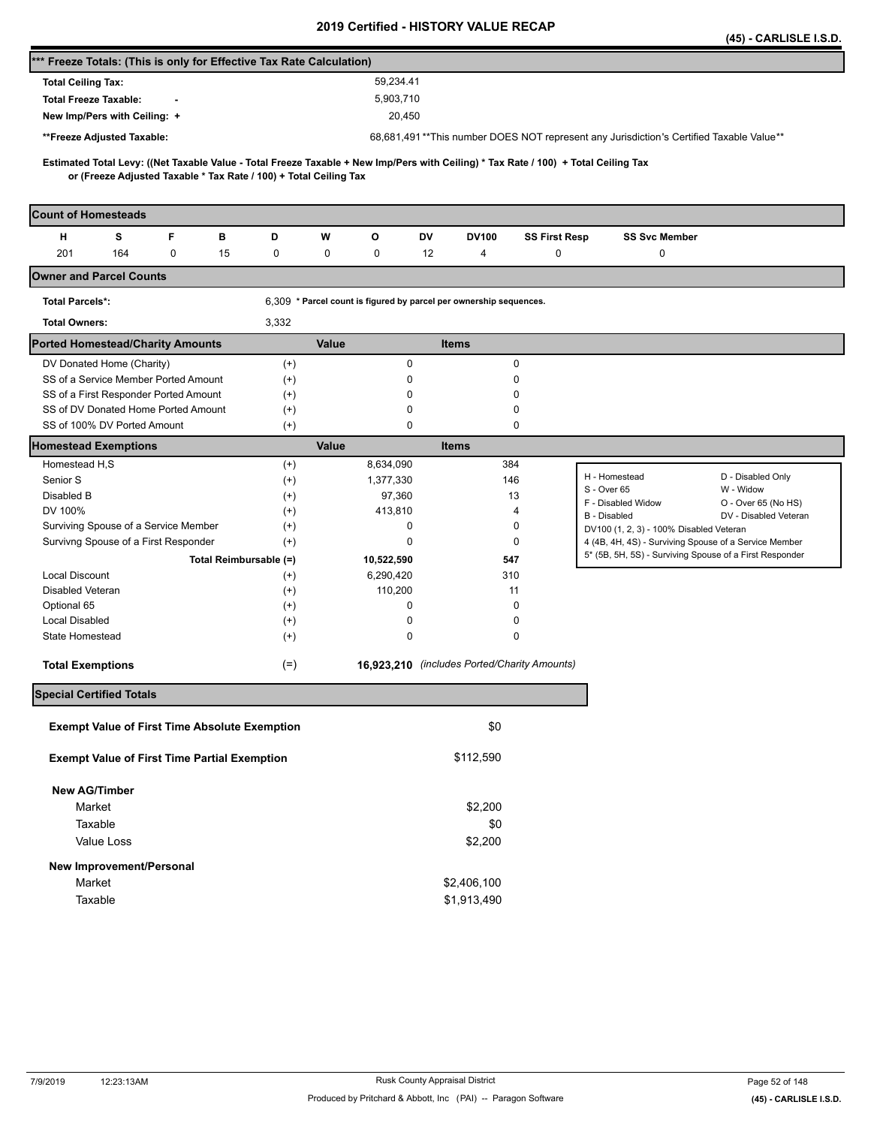|                                                                                                                                     |                   |                                                                    | <b>Certified - HISTORT VALUL RL</b>          |              |                      |                                                                                         | (45) - CARLISLE I.S.D.                       |
|-------------------------------------------------------------------------------------------------------------------------------------|-------------------|--------------------------------------------------------------------|----------------------------------------------|--------------|----------------------|-----------------------------------------------------------------------------------------|----------------------------------------------|
| *** Freeze Totals: (This is only for Effective Tax Rate Calculation)                                                                |                   |                                                                    |                                              |              |                      |                                                                                         |                                              |
| <b>Total Ceiling Tax:</b>                                                                                                           |                   | 59,234.41                                                          |                                              |              |                      |                                                                                         |                                              |
| <b>Total Freeze Taxable:</b>                                                                                                        |                   | 5,903,710                                                          |                                              |              |                      |                                                                                         |                                              |
| New Imp/Pers with Ceiling: +                                                                                                        |                   | 20,450                                                             |                                              |              |                      |                                                                                         |                                              |
| **Freeze Adjusted Taxable:                                                                                                          |                   |                                                                    |                                              |              |                      | 68,681,491**This number DOES NOT represent any Jurisdiction's Certified Taxable Value** |                                              |
| Estimated Total Levy: ((Net Taxable Value - Total Freeze Taxable + New Imp/Pers with Ceiling) * Tax Rate / 100) + Total Ceiling Tax |                   |                                                                    |                                              |              |                      |                                                                                         |                                              |
| or (Freeze Adjusted Taxable * Tax Rate / 100) + Total Ceiling Tax                                                                   |                   |                                                                    |                                              |              |                      |                                                                                         |                                              |
|                                                                                                                                     |                   |                                                                    |                                              |              |                      |                                                                                         |                                              |
| <b>Count of Homesteads</b>                                                                                                          |                   |                                                                    |                                              |              |                      |                                                                                         |                                              |
| F<br>н<br>s<br>в                                                                                                                    | D                 | w<br>O                                                             | DV                                           | <b>DV100</b> | <b>SS First Resp</b> | <b>SS Svc Member</b>                                                                    |                                              |
| 201<br>164<br>0<br>15                                                                                                               | 0                 | 0<br>0                                                             | 12                                           | 4            | 0                    | 0                                                                                       |                                              |
| <b>Owner and Parcel Counts</b>                                                                                                      |                   |                                                                    |                                              |              |                      |                                                                                         |                                              |
| <b>Total Parcels*:</b>                                                                                                              |                   | 6,309 * Parcel count is figured by parcel per ownership sequences. |                                              |              |                      |                                                                                         |                                              |
| <b>Total Owners:</b>                                                                                                                | 3,332             |                                                                    |                                              |              |                      |                                                                                         |                                              |
| <b>Ported Homestead/Charity Amounts</b>                                                                                             |                   | Value                                                              | <b>Items</b>                                 |              |                      |                                                                                         |                                              |
| DV Donated Home (Charity)                                                                                                           | $^{(+)}$          |                                                                    | 0                                            | 0            |                      |                                                                                         |                                              |
| SS of a Service Member Ported Amount                                                                                                | $^{(+)}$          |                                                                    | 0                                            | 0            |                      |                                                                                         |                                              |
| SS of a First Responder Ported Amount                                                                                               | $^{(+)}$          |                                                                    | 0                                            | 0            |                      |                                                                                         |                                              |
| SS of DV Donated Home Ported Amount<br>SS of 100% DV Ported Amount                                                                  | $(+)$<br>$(+)$    |                                                                    | 0<br>0                                       | 0<br>0       |                      |                                                                                         |                                              |
| Homestead Exemptions                                                                                                                |                   | Value                                                              | <b>Items</b>                                 |              |                      |                                                                                         |                                              |
| Homestead H,S                                                                                                                       | $^{(+)}$          | 8,634,090                                                          |                                              | 384          |                      |                                                                                         |                                              |
| Senior S                                                                                                                            | $^{(+)}$          | 1,377,330                                                          |                                              | 146          |                      | H - Homestead                                                                           | D - Disabled Only                            |
| Disabled B                                                                                                                          | $^{(+)}$          | 97,360                                                             |                                              | 13           |                      | S - Over 65<br>F - Disabled Widow                                                       | W - Widow                                    |
| DV 100%                                                                                                                             | $^{(+)}$          | 413,810                                                            |                                              | 4            |                      | <b>B</b> - Disabled                                                                     | O - Over 65 (No HS)<br>DV - Disabled Veteran |
| Surviving Spouse of a Service Member                                                                                                | $^{(+)}$          |                                                                    | 0                                            | 0            |                      | DV100 (1, 2, 3) - 100% Disabled Veteran                                                 |                                              |
| Survivng Spouse of a First Responder                                                                                                | $(+)$             |                                                                    | 0                                            | 0            |                      | 4 (4B, 4H, 4S) - Surviving Spouse of a Service Member                                   |                                              |
| Total Reimbursable (=)                                                                                                              |                   | 10,522,590                                                         |                                              | 547          |                      | 5* (5B, 5H, 5S) - Surviving Spouse of a First Responder                                 |                                              |
| <b>Local Discount</b>                                                                                                               | $^{(+)}$          | 6,290,420                                                          |                                              | 310          |                      |                                                                                         |                                              |
| Disabled Veteran                                                                                                                    | $^{(+)}$          | 110,200                                                            |                                              | 11           |                      |                                                                                         |                                              |
| Optional 65<br><b>Local Disabled</b>                                                                                                | $^{(+)}$          |                                                                    | 0<br>0                                       | 0<br>0       |                      |                                                                                         |                                              |
| State Homestead                                                                                                                     | $^{(+)}$<br>$(+)$ |                                                                    | 0                                            | 0            |                      |                                                                                         |                                              |
|                                                                                                                                     |                   |                                                                    |                                              |              |                      |                                                                                         |                                              |
| <b>Total Exemptions</b>                                                                                                             | $(=)$             |                                                                    | 16,923,210 (includes Ported/Charity Amounts) |              |                      |                                                                                         |                                              |
| <b>Special Certified Totals</b>                                                                                                     |                   |                                                                    |                                              |              |                      |                                                                                         |                                              |
| <b>Exempt Value of First Time Absolute Exemption</b>                                                                                |                   |                                                                    |                                              | \$0          |                      |                                                                                         |                                              |
| <b>Exempt Value of First Time Partial Exemption</b>                                                                                 |                   |                                                                    |                                              | \$112,590    |                      |                                                                                         |                                              |
|                                                                                                                                     |                   |                                                                    |                                              |              |                      |                                                                                         |                                              |
| <b>New AG/Timber</b>                                                                                                                |                   |                                                                    |                                              |              |                      |                                                                                         |                                              |
| Market                                                                                                                              |                   |                                                                    |                                              | \$2,200      |                      |                                                                                         |                                              |
| Taxable                                                                                                                             |                   |                                                                    |                                              | \$0          |                      |                                                                                         |                                              |
| Value Loss                                                                                                                          |                   |                                                                    |                                              | \$2,200      |                      |                                                                                         |                                              |
| New Improvement/Personal                                                                                                            |                   |                                                                    |                                              |              |                      |                                                                                         |                                              |
| Market                                                                                                                              |                   |                                                                    | \$2,406,100                                  |              |                      |                                                                                         |                                              |
| Taxable                                                                                                                             |                   |                                                                    | \$1,913,490                                  |              |                      |                                                                                         |                                              |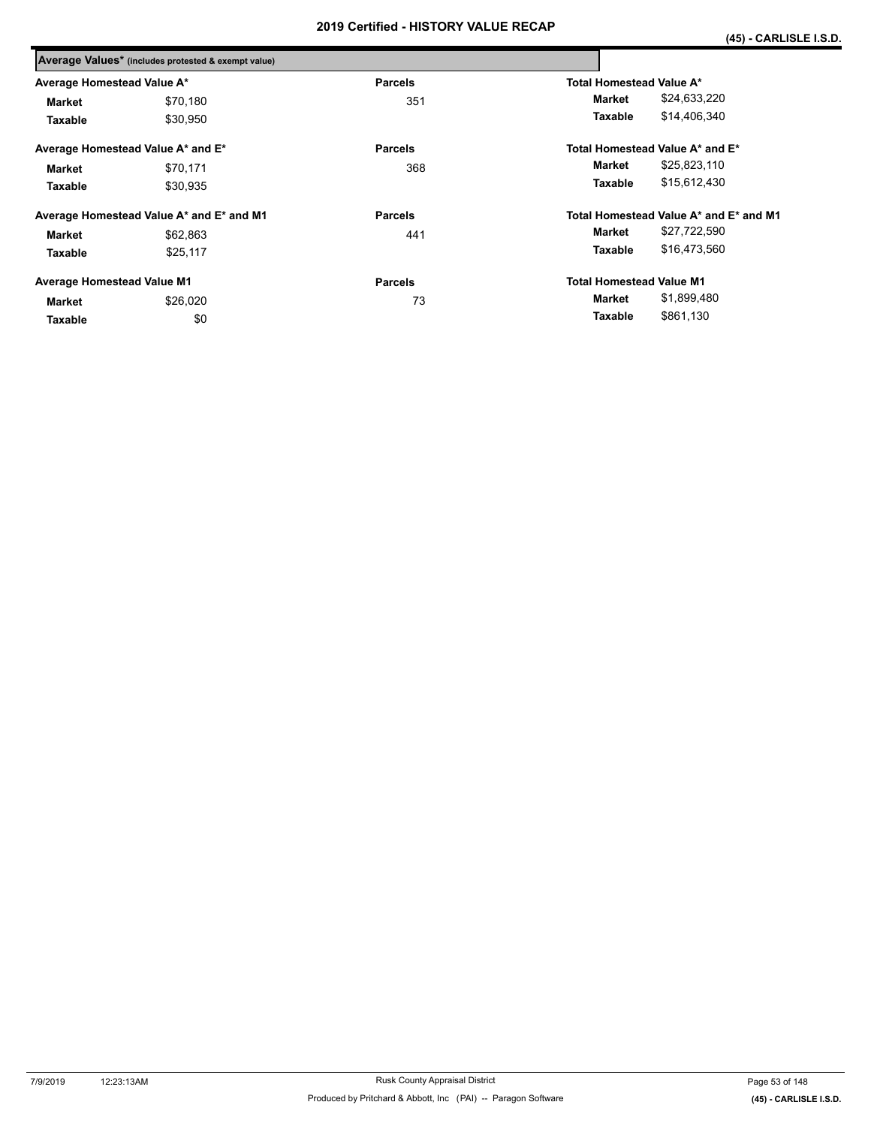|          | <b>Parcels</b>                                                                                                                                                                                          | Total Homestead Value A*               |
|----------|---------------------------------------------------------------------------------------------------------------------------------------------------------------------------------------------------------|----------------------------------------|
| \$70,180 | 351                                                                                                                                                                                                     | \$24,633,220<br>Market                 |
| \$30,950 |                                                                                                                                                                                                         | \$14,406,340<br>Taxable                |
|          | <b>Parcels</b>                                                                                                                                                                                          | Total Homestead Value A* and E*        |
| \$70,171 | 368                                                                                                                                                                                                     | \$25,823,110<br>Market                 |
| \$30.935 |                                                                                                                                                                                                         | \$15,612,430<br>Taxable                |
|          | <b>Parcels</b>                                                                                                                                                                                          | Total Homestead Value A* and E* and M1 |
| \$62,863 | 441                                                                                                                                                                                                     | \$27,722,590<br>Market                 |
| \$25,117 |                                                                                                                                                                                                         | \$16,473,560<br>Taxable                |
|          | <b>Parcels</b>                                                                                                                                                                                          | <b>Total Homestead Value M1</b>        |
| \$26,020 | 73                                                                                                                                                                                                      | \$1,899,480<br>Market                  |
| \$0      |                                                                                                                                                                                                         | \$861,130<br>Taxable                   |
|          | Average Values* (includes protested & exempt value)<br>Average Homestead Value A*<br>Average Homestead Value A* and E*<br>Average Homestead Value A* and E* and M1<br><b>Average Homestead Value M1</b> |                                        |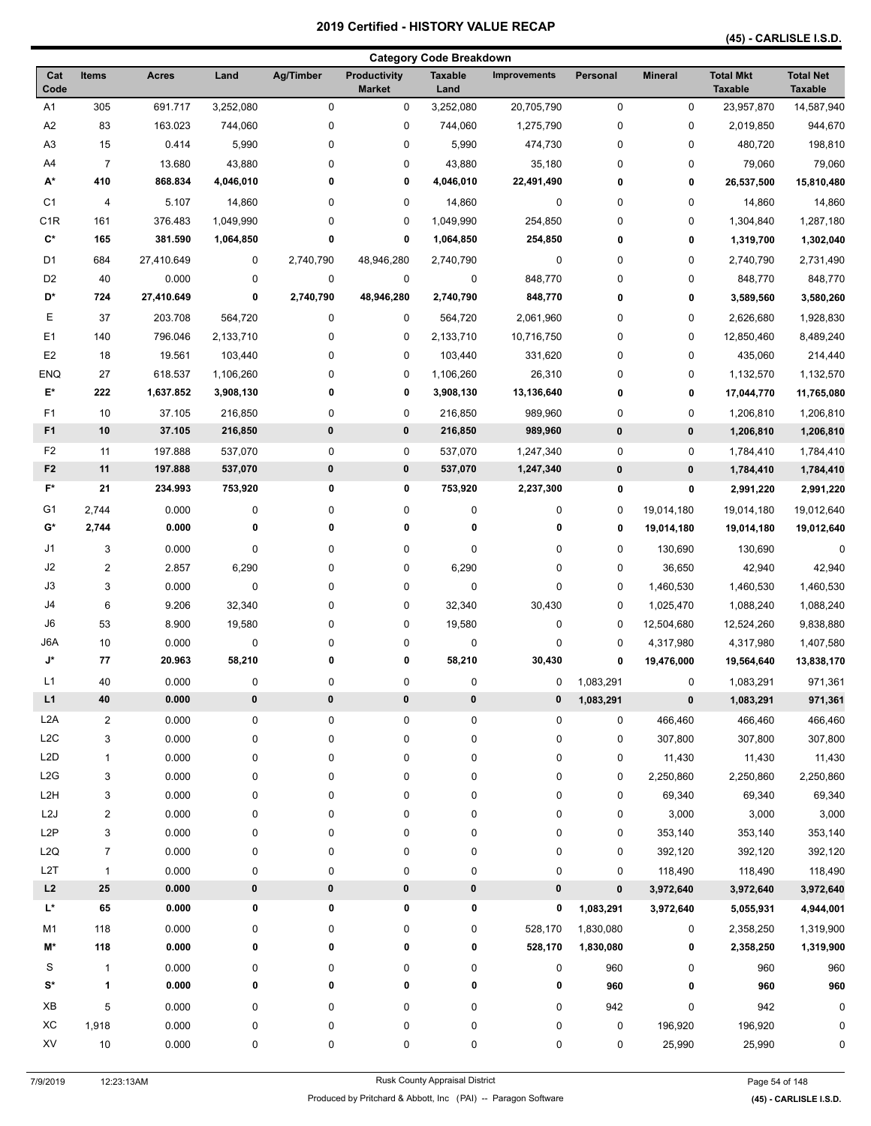|                  |                         |              |           |             |                               | <b>Category Code Breakdown</b> |                     |           |                |                                    |                                    |
|------------------|-------------------------|--------------|-----------|-------------|-------------------------------|--------------------------------|---------------------|-----------|----------------|------------------------------------|------------------------------------|
| Cat<br>Code      | <b>Items</b>            | <b>Acres</b> | Land      | Ag/Timber   | Productivity<br><b>Market</b> | <b>Taxable</b><br>Land         | <b>Improvements</b> | Personal  | <b>Mineral</b> | <b>Total Mkt</b><br><b>Taxable</b> | <b>Total Net</b><br><b>Taxable</b> |
| A <sub>1</sub>   | 305                     | 691.717      | 3,252,080 | 0           | 0                             | 3,252,080                      | 20,705,790          | 0         | 0              | 23,957,870                         | 14,587,940                         |
| A <sub>2</sub>   | 83                      | 163.023      | 744,060   | 0           | 0                             | 744,060                        | 1,275,790           | 0         | 0              | 2,019,850                          | 944,670                            |
| A3               | 15                      | 0.414        | 5,990     | 0           | 0                             | 5,990                          | 474,730             | 0         | 0              | 480,720                            | 198,810                            |
| A4               | $\overline{7}$          | 13.680       | 43,880    | 0           | 0                             | 43,880                         | 35,180              | 0         | 0              | 79,060                             | 79,060                             |
| А*               | 410                     | 868.834      | 4,046,010 | 0           | 0                             | 4,046,010                      | 22,491,490          | 0         | 0              | 26,537,500                         | 15,810,480                         |
| C <sub>1</sub>   | 4                       | 5.107        | 14,860    | 0           | 0                             | 14,860                         | 0                   | 0         | 0              | 14,860                             | 14,860                             |
| C <sub>1</sub> R | 161                     | 376.483      | 1,049,990 | 0           | 0                             | 1,049,990                      | 254,850             | 0         | 0              | 1,304,840                          | 1,287,180                          |
| C*               | 165                     | 381.590      | 1,064,850 | 0           | 0                             | 1,064,850                      | 254,850             | 0         | 0              | 1,319,700                          | 1,302,040                          |
| D <sub>1</sub>   | 684                     | 27,410.649   | 0         | 2,740,790   | 48,946,280                    | 2,740,790                      | 0                   | 0         | 0              | 2,740,790                          | 2,731,490                          |
| D <sub>2</sub>   | 40                      | 0.000        | 0         | 0           | 0                             | 0                              | 848,770             | 0         | 0              | 848,770                            | 848,770                            |
| D*               | 724                     | 27,410.649   | 0         | 2,740,790   | 48,946,280                    | 2,740,790                      | 848,770             | 0         | 0              | 3,589,560                          | 3,580,260                          |
| Ε                | 37                      | 203.708      | 564,720   | $\mathbf 0$ | 0                             | 564,720                        | 2,061,960           | 0         | 0              | 2,626,680                          | 1,928,830                          |
| E <sub>1</sub>   |                         |              | 2,133,710 |             |                               |                                |                     |           | 0              |                                    |                                    |
| E <sub>2</sub>   | 140                     | 796.046      |           | 0           | 0                             | 2,133,710                      | 10,716,750          | 0         |                | 12,850,460                         | 8,489,240                          |
|                  | 18                      | 19.561       | 103,440   | 0           | 0                             | 103,440                        | 331,620             | 0         | 0              | 435,060                            | 214,440                            |
| <b>ENQ</b>       | 27                      | 618.537      | 1,106,260 | 0           | 0                             | 1,106,260                      | 26,310              | 0         | 0              | 1,132,570                          | 1,132,570                          |
| E*               | 222                     | 1,637.852    | 3,908,130 | 0           | 0                             | 3,908,130                      | 13,136,640          | 0         | 0              | 17,044,770                         | 11,765,080                         |
| F <sub>1</sub>   | 10                      | 37.105       | 216,850   | 0           | 0                             | 216,850                        | 989,960             | 0         | $\pmb{0}$      | 1,206,810                          | 1,206,810                          |
| F <sub>1</sub>   | 10                      | 37.105       | 216,850   | $\pmb{0}$   | 0                             | 216,850                        | 989,960             | $\pmb{0}$ | 0              | 1,206,810                          | 1,206,810                          |
| F <sub>2</sub>   | 11                      | 197.888      | 537,070   | 0           | 0                             | 537,070                        | 1,247,340           | 0         | 0              | 1,784,410                          | 1,784,410                          |
| F <sub>2</sub>   | 11                      | 197.888      | 537,070   | 0           | 0                             | 537,070                        | 1,247,340           | $\pmb{0}$ | 0              | 1,784,410                          | 1,784,410                          |
| F*               | 21                      | 234.993      | 753,920   | 0           | 0                             | 753,920                        | 2,237,300           | 0         | 0              | 2,991,220                          | 2,991,220                          |
| G <sub>1</sub>   | 2,744                   | 0.000        | 0         | 0           | 0                             | 0                              | 0                   | 0         | 19,014,180     | 19,014,180                         | 19,012,640                         |
| G*               | 2,744                   | 0.000        | 0         | 0           | 0                             | 0                              | 0                   | 0         | 19,014,180     | 19,014,180                         | 19,012,640                         |
| J1               | 3                       | 0.000        | $\pmb{0}$ | 0           | 0                             | 0                              | 0                   | 0         | 130,690        | 130,690                            | $\mathbf 0$                        |
| J2               | $\overline{2}$          | 2.857        | 6,290     | 0           | 0                             | 6,290                          | 0                   | 0         | 36,650         | 42,940                             | 42,940                             |
| J3               | 3                       | 0.000        | $\pmb{0}$ | 0           | 0                             | 0                              | 0                   | 0         | 1,460,530      | 1,460,530                          | 1,460,530                          |
| J4               | 6                       | 9.206        | 32,340    | 0           | 0                             | 32,340                         | 30,430              | 0         | 1,025,470      | 1,088,240                          | 1,088,240                          |
| J6               | 53                      | 8.900        | 19,580    | 0           | 0                             | 19,580                         | $\pmb{0}$           | 0         | 12,504,680     | 12,524,260                         | 9,838,880                          |
| J6A              | 10                      | 0.000        | 0         | 0           | 0                             | 0                              | 0                   | 0         | 4,317,980      | 4,317,980                          | 1,407,580                          |
| J*               | 77                      | 20.963       | 58,210    | 0           | 0                             | 58,210                         | 30,430              | 0         | 19,476,000     | 19,564,640                         | 13,838,170                         |
| L1               | 40                      | 0.000        | 0         | 0           | 0                             | 0                              | 0                   | 1,083,291 | 0              | 1,083,291                          | 971,361                            |
| L1               | 40                      | 0.000        | 0         | $\pmb{0}$   | 0                             | 0                              | 0                   | 1,083,291 | $\pmb{0}$      | 1,083,291                          | 971,361                            |
| L2A              | $\overline{\mathbf{c}}$ | 0.000        | 0         | 0           | 0                             | 0                              | $\pmb{0}$           | 0         | 466,460        | 466,460                            | 466,460                            |
| L2C              | 3                       | 0.000        | 0         | 0           | 0                             | 0                              | $\pmb{0}$           | 0         | 307,800        | 307,800                            | 307,800                            |
| L <sub>2</sub> D | 1                       | 0.000        | 0         | 0           | 0                             | 0                              | $\pmb{0}$           | 0         | 11,430         | 11,430                             | 11,430                             |
| L2G              | 3                       | 0.000        | 0         | 0           | 0                             | 0                              | $\pmb{0}$           | 0         | 2,250,860      | 2,250,860                          | 2,250,860                          |
| L <sub>2</sub> H | 3                       | 0.000        | 0         | 0           | 0                             | 0                              | $\pmb{0}$           | 0         | 69,340         | 69,340                             | 69,340                             |
| L <sub>2</sub> J | 2                       | 0.000        | 0         | 0           | 0                             | 0                              | $\pmb{0}$           | 0         | 3,000          | 3,000                              | 3,000                              |
| L2P              | 3                       | 0.000        | $\pmb{0}$ | 0           | 0                             | 0                              | $\pmb{0}$           | 0         | 353,140        | 353,140                            | 353,140                            |
| L <sub>2</sub> Q | $\overline{7}$          | 0.000        | $\pmb{0}$ | 0           | 0                             | 0                              | $\pmb{0}$           | 0         | 392,120        | 392,120                            | 392,120                            |
| L2T              | $\mathbf{1}$            | 0.000        | 0         | 0           | 0                             | 0                              | $\pmb{0}$           | 0         | 118,490        | 118,490                            | 118,490                            |
| L2               | 25                      | 0.000        | $\pmb{0}$ | $\pmb{0}$   | $\pmb{0}$                     | 0                              | $\pmb{0}$           | $\pmb{0}$ | 3,972,640      | 3,972,640                          | 3,972,640                          |
| L*               | 65                      | 0.000        | 0         | 0           | 0                             | 0                              | 0                   | 1,083,291 | 3,972,640      | 5,055,931                          | 4,944,001                          |
|                  |                         |              |           |             |                               |                                |                     |           |                |                                    |                                    |
| M1               | 118                     | 0.000        | $\pmb{0}$ | 0           | 0                             | $\pmb{0}$                      | 528,170             | 1,830,080 | 0              | 2,358,250                          | 1,319,900                          |
| M*               | 118                     | 0.000        | 0         | 0           | 0                             | 0                              | 528,170             | 1,830,080 | 0              | 2,358,250                          | 1,319,900                          |
| S                | $\mathbf{1}$            | 0.000        | 0         | 0           | 0                             | 0                              | $\pmb{0}$           | 960       | 0              | 960                                | 960                                |
| S*               | 1                       | 0.000        | 0         | 0           | 0                             | 0                              | 0                   | 960       | 0              | 960                                | 960                                |
| XB               | 5                       | 0.000        | 0         | 0           | 0                             | 0                              | 0                   | 942       | 0              | 942                                | 0                                  |
| XC               | 1,918                   | 0.000        | 0         | 0           | 0                             | 0                              | $\pmb{0}$           | $\pmb{0}$ | 196,920        | 196,920                            | 0                                  |
| XV               | 10                      | 0.000        | 0         | 0           | 0                             | 0                              | $\pmb{0}$           | 0         | 25,990         | 25,990                             | 0                                  |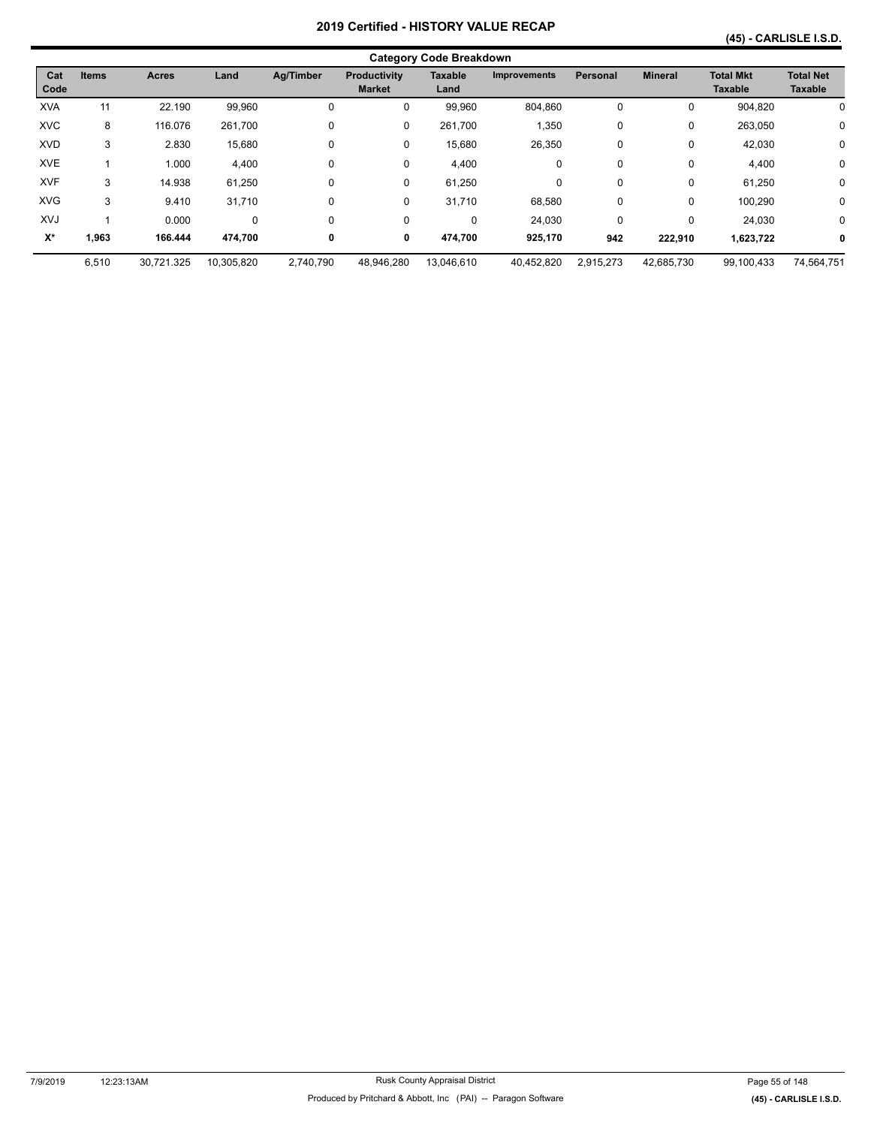|             | <b>Category Code Breakdown</b> |            |            |           |                               |                        |                     |             |                |                                    |                                    |
|-------------|--------------------------------|------------|------------|-----------|-------------------------------|------------------------|---------------------|-------------|----------------|------------------------------------|------------------------------------|
| Cat<br>Code | <b>Items</b>                   | Acres      | Land       | Ag/Timber | Productivity<br><b>Market</b> | <b>Taxable</b><br>Land | <b>Improvements</b> | Personal    | <b>Mineral</b> | <b>Total Mkt</b><br><b>Taxable</b> | <b>Total Net</b><br><b>Taxable</b> |
| <b>XVA</b>  | 11                             | 22.190     | 99.960     | 0         | 0                             | 99,960                 | 804.860             | 0           | 0              | 904.820                            | 0                                  |
| <b>XVC</b>  | 8                              | 116.076    | 261,700    | $\Omega$  | 0                             | 261,700                | 1,350               | $\mathbf 0$ | 0              | 263,050                            | 0                                  |
| <b>XVD</b>  | 3                              | 2.830      | 15,680     | 0         | 0                             | 15,680                 | 26,350              | $\mathbf 0$ | 0              | 42,030                             | 0                                  |
| <b>XVE</b>  |                                | 1.000      | 4,400      | 0         | 0                             | 4,400                  | 0                   | $\mathbf 0$ | 0              | 4,400                              | 0                                  |
| <b>XVF</b>  | 3                              | 14.938     | 61,250     | $\Omega$  | 0                             | 61,250                 | 0                   | $\Omega$    | 0              | 61,250                             | 0                                  |
| <b>XVG</b>  | 3                              | 9.410      | 31,710     | $\Omega$  | 0                             | 31,710                 | 68,580              | $\mathbf 0$ | 0              | 100,290                            | 0                                  |
| XVJ         |                                | 0.000      | 0          | 0         | 0                             | 0                      | 24,030              | $\Omega$    | 0              | 24.030                             | $\mathbf 0$                        |
| $X^*$       | 1,963                          | 166.444    | 474.700    | 0         | 0                             | 474,700                | 925,170             | 942         | 222,910        | 1,623,722                          | 0                                  |
|             | 6,510                          | 30.721.325 | 10,305,820 | 2.740.790 | 48,946,280                    | 13,046,610             | 40,452,820          | 2,915,273   | 42,685,730     | 99,100,433                         | 74,564,751                         |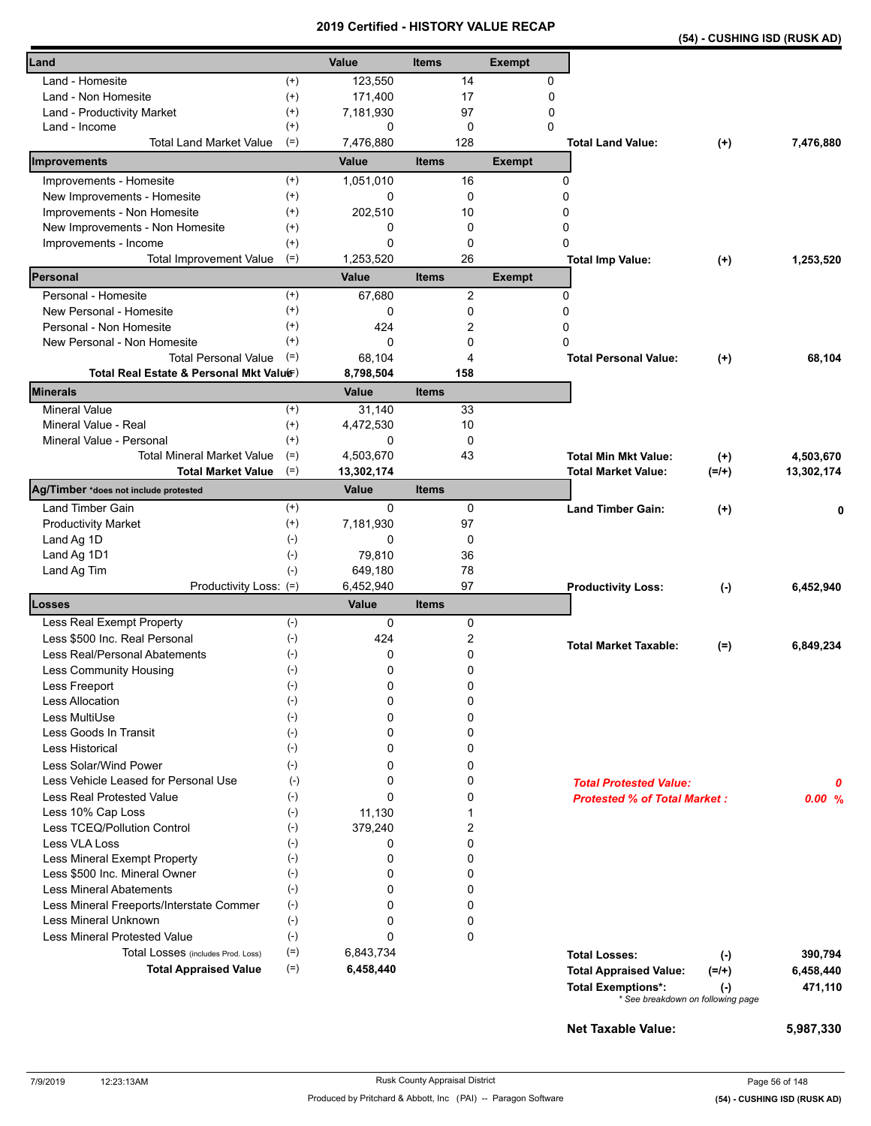|                                                                         |                      | 20 I J              |              |                | <b>VEILIIIEU - FIIO I URT VALUE REVAP</b> |                                     |                                   | (54) - CUSHING ISD (RUSK AD) |
|-------------------------------------------------------------------------|----------------------|---------------------|--------------|----------------|-------------------------------------------|-------------------------------------|-----------------------------------|------------------------------|
| Land                                                                    |                      | Value               | <b>Items</b> |                | <b>Exempt</b>                             |                                     |                                   |                              |
| Land - Homesite                                                         | $^{(+)}$             | 123,550             |              | 14             |                                           | 0                                   |                                   |                              |
| Land - Non Homesite                                                     | $^{(+)}$             | 171,400             |              | 17             |                                           | $\mathbf 0$                         |                                   |                              |
| Land - Productivity Market                                              | $^{(+)}$             | 7,181,930           |              | 97             |                                           | 0                                   |                                   |                              |
| Land - Income                                                           | $^{(+)}$             | 0                   |              | $\mathbf 0$    |                                           | $\Omega$                            |                                   |                              |
| <b>Total Land Market Value</b>                                          | $(=)$                | 7,476,880           |              | 128            |                                           | <b>Total Land Value:</b>            | $^{(+)}$                          | 7,476,880                    |
| Improvements                                                            |                      | Value               | <b>Items</b> |                | <b>Exempt</b>                             |                                     |                                   |                              |
| Improvements - Homesite                                                 | $^{(+)}$             | 1,051,010           |              | 16             |                                           | 0                                   |                                   |                              |
| New Improvements - Homesite                                             | $^{(+)}$             | 0                   |              | 0              |                                           | 0                                   |                                   |                              |
| Improvements - Non Homesite                                             | $^{(+)}$             | 202,510             |              | 10             |                                           | 0                                   |                                   |                              |
| New Improvements - Non Homesite                                         | $^{(+)}$             | 0                   |              | $\mathbf 0$    |                                           | 0                                   |                                   |                              |
| Improvements - Income                                                   | $^{(+)}$             | 0                   |              | $\mathbf 0$    |                                           | 0                                   |                                   |                              |
| <b>Total Improvement Value</b>                                          | $(=)$                | 1,253,520           |              | 26             |                                           | <b>Total Imp Value:</b>             | $^{(+)}$                          | 1,253,520                    |
| Personal                                                                |                      | <b>Value</b>        | <b>Items</b> |                | <b>Exempt</b>                             |                                     |                                   |                              |
| Personal - Homesite                                                     | $(+)$<br>$^{(+)}$    | 67,680              |              | $\overline{c}$ |                                           | 0                                   |                                   |                              |
| New Personal - Homesite                                                 |                      | 0                   |              | 0              |                                           | 0                                   |                                   |                              |
| Personal - Non Homesite                                                 | $^{(+)}$<br>$^{(+)}$ | 424                 |              | 2              |                                           | 0                                   |                                   |                              |
| New Personal - Non Homesite                                             | $(=)$                | 0                   |              | 0              |                                           | 0                                   |                                   |                              |
| <b>Total Personal Value</b><br>Total Real Estate & Personal Mkt Valuer) |                      | 68,104<br>8,798,504 |              | 4<br>158       |                                           | <b>Total Personal Value:</b>        | $^{(+)}$                          | 68,104                       |
| Minerals                                                                |                      | Value               | <b>Items</b> |                |                                           |                                     |                                   |                              |
| <b>Mineral Value</b>                                                    | $(+)$                | 31,140              |              | 33             |                                           |                                     |                                   |                              |
| Mineral Value - Real                                                    | $^{(+)}$             | 4,472,530           |              | 10             |                                           |                                     |                                   |                              |
| Mineral Value - Personal                                                | $^{(+)}$             | 0                   |              | 0              |                                           |                                     |                                   |                              |
| <b>Total Mineral Market Value</b>                                       | $(=)$                | 4,503,670           |              | 43             |                                           | <b>Total Min Mkt Value:</b>         | $^{(+)}$                          | 4,503,670                    |
| <b>Total Market Value</b>                                               | $(=)$                | 13,302,174          |              |                |                                           | <b>Total Market Value:</b>          | $(=/+)$                           | 13,302,174                   |
| Ag/Timber *does not include protested                                   |                      | Value               | <b>Items</b> |                |                                           |                                     |                                   |                              |
| <b>Land Timber Gain</b>                                                 | $^{(+)}$             | 0                   |              | 0              |                                           | <b>Land Timber Gain:</b>            | $^{(+)}$                          | 0                            |
| <b>Productivity Market</b>                                              | $^{(+)}$             | 7,181,930           |              | 97             |                                           |                                     |                                   |                              |
| Land Ag 1D                                                              | $(-)$                | 0                   |              | 0              |                                           |                                     |                                   |                              |
| Land Ag 1D1                                                             | $(-)$                | 79,810              |              | 36             |                                           |                                     |                                   |                              |
| Land Ag Tim                                                             | $(-)$                | 649,180             |              | 78             |                                           |                                     |                                   |                              |
| Productivity Loss: (=)<br>Losses                                        |                      | 6,452,940           |              | 97             |                                           | <b>Productivity Loss:</b>           | $(-)$                             | 6,452,940                    |
|                                                                         | $(-)$                | Value<br>0          | <b>Items</b> |                |                                           |                                     |                                   |                              |
| Less Real Exempt Property<br>Less \$500 Inc. Real Personal              | $(-)$                | 424                 |              | 0<br>2         |                                           |                                     |                                   |                              |
| Less Real/Personal Abatements                                           | $(-)$                | 0                   |              | 0              |                                           | <b>Total Market Taxable:</b>        | $(=)$                             | 6,849,234                    |
| Less Community Housing                                                  | $(\textnormal{-})$   | 0                   |              | 0              |                                           |                                     |                                   |                              |
| Less Freeport                                                           | $(-)$                | 0                   |              | 0              |                                           |                                     |                                   |                              |
| Less Allocation                                                         | $(-)$                | 0                   |              | 0              |                                           |                                     |                                   |                              |
| Less MultiUse                                                           | $(-)$                | 0                   |              | 0              |                                           |                                     |                                   |                              |
| Less Goods In Transit                                                   | $(-)$                | 0                   |              | 0              |                                           |                                     |                                   |                              |
| Less Historical                                                         | $(-)$                | 0                   |              | 0              |                                           |                                     |                                   |                              |
| Less Solar/Wind Power                                                   | $(-)$                | 0                   |              | 0              |                                           |                                     |                                   |                              |
| Less Vehicle Leased for Personal Use                                    | $(-)$                | 0                   |              | 0              |                                           | <b>Total Protested Value:</b>       |                                   |                              |
| <b>Less Real Protested Value</b>                                        | $(-)$                | 0                   |              | 0              |                                           | <b>Protested % of Total Market:</b> |                                   | 0                            |
| Less 10% Cap Loss                                                       | $(-)$                | 11,130              |              | 1              |                                           |                                     |                                   | 0.00%                        |
| Less TCEQ/Pollution Control                                             | $(-)$                | 379,240             |              | 2              |                                           |                                     |                                   |                              |
| Less VLA Loss                                                           | $(-)$                | 0                   |              | 0              |                                           |                                     |                                   |                              |
| Less Mineral Exempt Property                                            | $(\cdot)$            | 0                   |              | 0              |                                           |                                     |                                   |                              |
| Less \$500 Inc. Mineral Owner                                           | $(-)$                | 0                   |              | 0              |                                           |                                     |                                   |                              |
| <b>Less Mineral Abatements</b>                                          | $(-)$                | 0                   |              | 0              |                                           |                                     |                                   |                              |
| Less Mineral Freeports/Interstate Commer                                | $(-)$                | 0                   |              | 0              |                                           |                                     |                                   |                              |
| <b>Less Mineral Unknown</b>                                             | $(-)$                | 0                   |              | 0              |                                           |                                     |                                   |                              |
| <b>Less Mineral Protested Value</b>                                     | $(-)$                | 0                   |              | 0              |                                           |                                     |                                   |                              |
| Total Losses (includes Prod. Loss)                                      | $(=)$                | 6,843,734           |              |                |                                           | <b>Total Losses:</b>                | $(\cdot)$                         | 390,794                      |
| <b>Total Appraised Value</b>                                            | $(=)$                | 6,458,440           |              |                |                                           | <b>Total Appraised Value:</b>       | $(=/+)$                           | 6,458,440                    |
|                                                                         |                      |                     |              |                |                                           | <b>Total Exemptions*:</b>           | $(\cdot)$                         | 471,110                      |
|                                                                         |                      |                     |              |                |                                           |                                     | * See breakdown on following page |                              |

**Net Taxable Value: 5,987,330**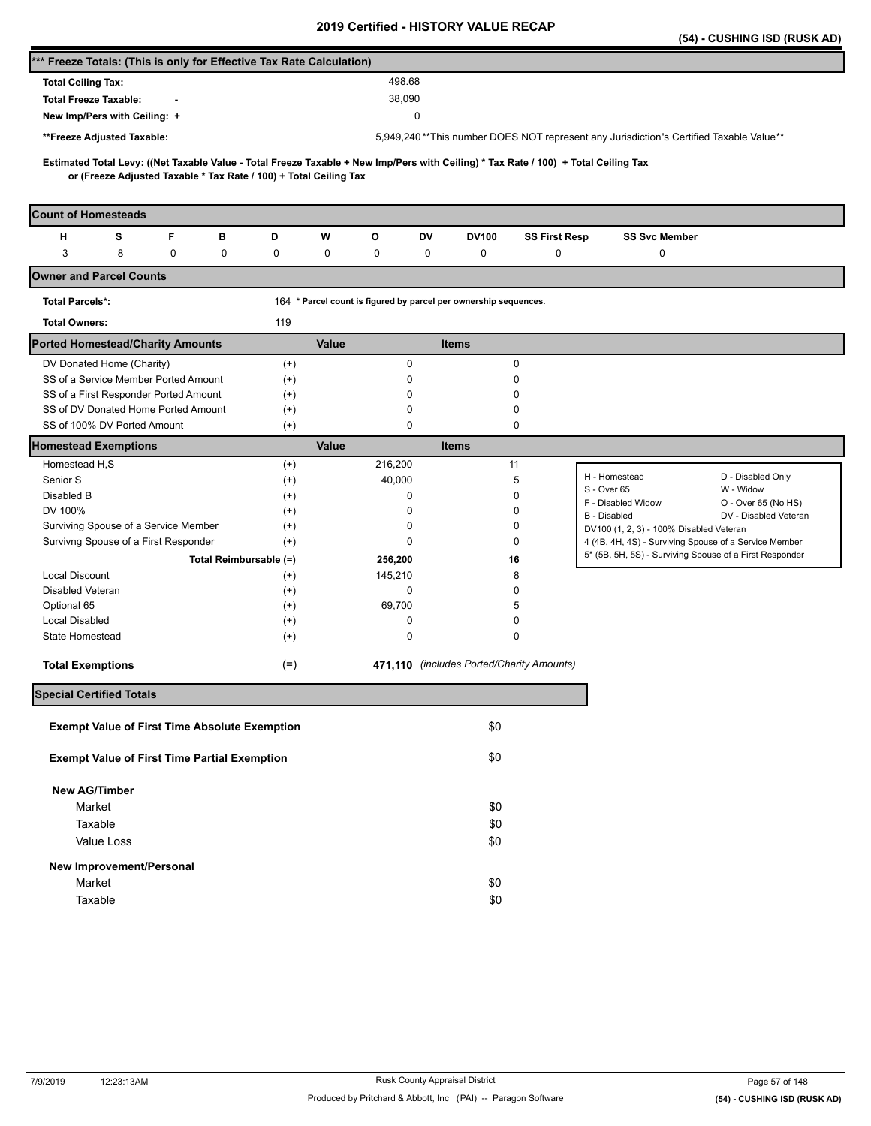|                                                                                                                                                                                                          |                   |                                                                  |                                           |                      | (54) - CUSHING ISD (RUSK AD)                                                           |  |
|----------------------------------------------------------------------------------------------------------------------------------------------------------------------------------------------------------|-------------------|------------------------------------------------------------------|-------------------------------------------|----------------------|----------------------------------------------------------------------------------------|--|
| *** Freeze Totals: (This is only for Effective Tax Rate Calculation)                                                                                                                                     |                   |                                                                  |                                           |                      |                                                                                        |  |
| <b>Total Ceiling Tax:</b>                                                                                                                                                                                |                   | 498.68                                                           |                                           |                      |                                                                                        |  |
| <b>Total Freeze Taxable:</b>                                                                                                                                                                             |                   | 38,090                                                           |                                           |                      |                                                                                        |  |
| New Imp/Pers with Ceiling: +                                                                                                                                                                             |                   |                                                                  | 0                                         |                      |                                                                                        |  |
| **Freeze Adjusted Taxable:                                                                                                                                                                               |                   |                                                                  |                                           |                      | 5,949,240**This number DOES NOT represent any Jurisdiction's Certified Taxable Value** |  |
|                                                                                                                                                                                                          |                   |                                                                  |                                           |                      |                                                                                        |  |
| Estimated Total Levy: ((Net Taxable Value - Total Freeze Taxable + New Imp/Pers with Ceiling) * Tax Rate / 100) + Total Ceiling Tax<br>or (Freeze Adjusted Taxable * Tax Rate / 100) + Total Ceiling Tax |                   |                                                                  |                                           |                      |                                                                                        |  |
|                                                                                                                                                                                                          |                   |                                                                  |                                           |                      |                                                                                        |  |
| <b>Count of Homesteads</b>                                                                                                                                                                               |                   |                                                                  |                                           |                      |                                                                                        |  |
| F<br>н<br>s<br>в                                                                                                                                                                                         | D                 | w<br>o                                                           | DV<br>DV100                               | <b>SS First Resp</b> | <b>SS Svc Member</b>                                                                   |  |
| 3<br>8<br>0<br>0                                                                                                                                                                                         | 0                 | 0<br>0                                                           | 0<br>0                                    | 0                    | 0                                                                                      |  |
| <b>Owner and Parcel Counts</b>                                                                                                                                                                           |                   |                                                                  |                                           |                      |                                                                                        |  |
| <b>Total Parcels*:</b>                                                                                                                                                                                   |                   | 164 * Parcel count is figured by parcel per ownership sequences. |                                           |                      |                                                                                        |  |
| <b>Total Owners:</b>                                                                                                                                                                                     | 119               |                                                                  |                                           |                      |                                                                                        |  |
| <b>Ported Homestead/Charity Amounts</b>                                                                                                                                                                  |                   | Value                                                            | <b>Items</b>                              |                      |                                                                                        |  |
| DV Donated Home (Charity)                                                                                                                                                                                | $^{(+)}$          | 0                                                                |                                           | 0                    |                                                                                        |  |
| SS of a Service Member Ported Amount                                                                                                                                                                     | $^{(+)}$          | 0                                                                |                                           | 0                    |                                                                                        |  |
| SS of a First Responder Ported Amount                                                                                                                                                                    | $^{(+)}$          | 0                                                                |                                           | 0                    |                                                                                        |  |
| SS of DV Donated Home Ported Amount<br>SS of 100% DV Ported Amount                                                                                                                                       | $^{(+)}$<br>$(+)$ | 0<br>0                                                           |                                           | 0<br>0               |                                                                                        |  |
| <b>Homestead Exemptions</b>                                                                                                                                                                              |                   | <b>Value</b>                                                     | <b>Items</b>                              |                      |                                                                                        |  |
| Homestead H,S                                                                                                                                                                                            | $^{(+)}$          | 216,200                                                          | 11                                        |                      |                                                                                        |  |
| Senior S                                                                                                                                                                                                 | $^{(+)}$          | 40,000                                                           |                                           | 5                    | D - Disabled Only<br>H - Homestead                                                     |  |
| Disabled B                                                                                                                                                                                               | $^{(+)}$          | 0                                                                |                                           | 0                    | S - Over 65<br>W - Widow                                                               |  |
| DV 100%                                                                                                                                                                                                  | $^{(+)}$          | 0                                                                |                                           | 0                    | F - Disabled Widow<br>O - Over 65 (No HS)                                              |  |
| Surviving Spouse of a Service Member                                                                                                                                                                     | $^{(+)}$          | 0                                                                |                                           | 0                    | B - Disabled<br>DV - Disabled Veteran<br>DV100 (1, 2, 3) - 100% Disabled Veteran       |  |
| Survivng Spouse of a First Responder                                                                                                                                                                     | $^{(+)}$          | 0                                                                |                                           | 0                    | 4 (4B, 4H, 4S) - Surviving Spouse of a Service Member                                  |  |
| Total Reimbursable (=)                                                                                                                                                                                   |                   | 256,200                                                          | 16                                        |                      | 5* (5B, 5H, 5S) - Surviving Spouse of a First Responder                                |  |
| <b>Local Discount</b>                                                                                                                                                                                    | $^{(+)}$          | 145,210                                                          |                                           | 8                    |                                                                                        |  |
| Disabled Veteran                                                                                                                                                                                         | $^{(+)}$          | 0                                                                |                                           | 0                    |                                                                                        |  |
| Optional 65                                                                                                                                                                                              | $^{(+)}$          | 69,700                                                           |                                           | 5                    |                                                                                        |  |
| <b>Local Disabled</b>                                                                                                                                                                                    | $^{(+)}$          | 0                                                                |                                           | 0                    |                                                                                        |  |
| <b>State Homestead</b>                                                                                                                                                                                   | $^{(+)}$          | 0                                                                |                                           | 0                    |                                                                                        |  |
| <b>Total Exemptions</b>                                                                                                                                                                                  | $(=)$             |                                                                  | 471,110 (includes Ported/Charity Amounts) |                      |                                                                                        |  |
| <b>Special Certified Totals</b>                                                                                                                                                                          |                   |                                                                  |                                           |                      |                                                                                        |  |
|                                                                                                                                                                                                          |                   |                                                                  |                                           |                      |                                                                                        |  |
| <b>Exempt Value of First Time Absolute Exemption</b>                                                                                                                                                     |                   |                                                                  | \$0                                       |                      |                                                                                        |  |
| <b>Exempt Value of First Time Partial Exemption</b>                                                                                                                                                      |                   |                                                                  | \$0                                       |                      |                                                                                        |  |
| <b>New AG/Timber</b>                                                                                                                                                                                     |                   |                                                                  |                                           |                      |                                                                                        |  |
| Market                                                                                                                                                                                                   |                   |                                                                  | \$0                                       |                      |                                                                                        |  |
| Taxable                                                                                                                                                                                                  |                   |                                                                  | \$0                                       |                      |                                                                                        |  |
| Value Loss                                                                                                                                                                                               |                   |                                                                  | \$0                                       |                      |                                                                                        |  |
| New Improvement/Personal                                                                                                                                                                                 |                   |                                                                  |                                           |                      |                                                                                        |  |
| Market                                                                                                                                                                                                   |                   |                                                                  | \$0                                       |                      |                                                                                        |  |
|                                                                                                                                                                                                          |                   |                                                                  |                                           |                      |                                                                                        |  |
| Taxable                                                                                                                                                                                                  |                   |                                                                  | \$0                                       |                      |                                                                                        |  |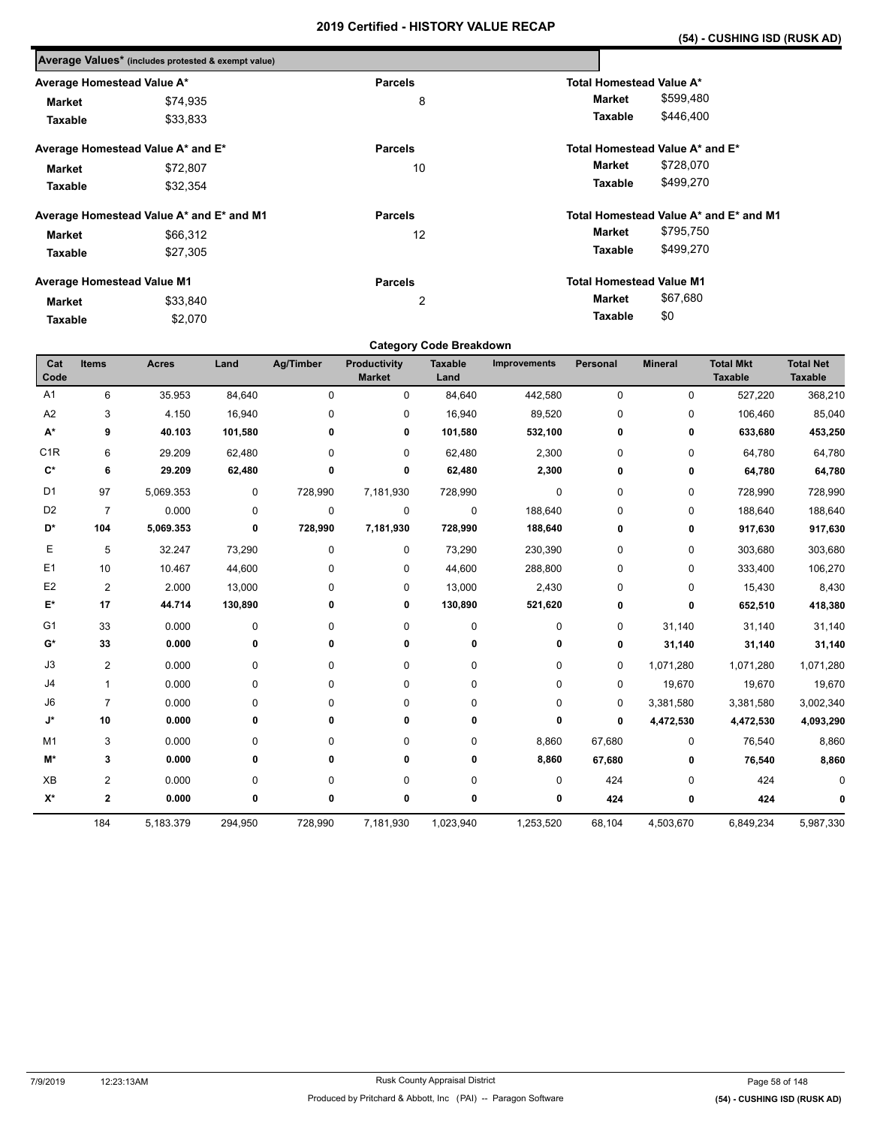|                                   | Average Values* (includes protested & exempt value) |                |                                        |
|-----------------------------------|-----------------------------------------------------|----------------|----------------------------------------|
| Average Homestead Value A*        |                                                     | <b>Parcels</b> | <b>Total Homestead Value A*</b>        |
| <b>Market</b>                     | \$74,935                                            | 8              | \$599,480<br><b>Market</b>             |
| Taxable                           | \$33,833                                            |                | \$446,400<br>Taxable                   |
|                                   | Average Homestead Value A* and E*                   | <b>Parcels</b> | Total Homestead Value A* and E*        |
| <b>Market</b>                     | \$72,807                                            | 10             | \$728,070<br>Market                    |
| Taxable                           | \$32.354                                            |                | \$499,270<br>Taxable                   |
|                                   | Average Homestead Value A* and E* and M1            | <b>Parcels</b> | Total Homestead Value A* and E* and M1 |
| Market                            | \$66,312                                            | 12             | \$795,750<br>Market                    |
| Taxable                           | \$27,305                                            |                | \$499,270<br>Taxable                   |
| <b>Average Homestead Value M1</b> |                                                     | <b>Parcels</b> | <b>Total Homestead Value M1</b>        |
| Market                            | \$33,840                                            | 2              | \$67,680<br>Market                     |
| \$2,070<br>Taxable                |                                                     |                | \$0<br>Taxable                         |

## **Category Code Breakdown**

| Cat<br>Code        | <b>Items</b>   | <b>Acres</b> | Land      | <b>Ag/Timber</b> | <b>Productivity</b><br><b>Market</b> | <b>Taxable</b><br>Land | <b>Improvements</b> | Personal | <b>Mineral</b> | <b>Total Mkt</b><br><b>Taxable</b> | <b>Total Net</b><br><b>Taxable</b> |
|--------------------|----------------|--------------|-----------|------------------|--------------------------------------|------------------------|---------------------|----------|----------------|------------------------------------|------------------------------------|
|                    |                |              |           |                  |                                      |                        |                     |          |                |                                    |                                    |
| A1                 | 6              | 35.953       | 84,640    | $\Omega$         | $\mathbf 0$                          | 84,640                 | 442,580             | 0        | $\mathbf 0$    | 527,220                            | 368,210                            |
| A <sub>2</sub>     | 3              | 4.150        | 16,940    | 0                | 0                                    | 16,940                 | 89,520              | 0        | $\mathbf 0$    | 106,460                            | 85,040                             |
| $\mathsf{A}^\star$ | 9              | 40.103       | 101,580   | 0                | 0                                    | 101,580                | 532,100             | 0        | 0              | 633,680                            | 453,250                            |
| C <sub>1R</sub>    | 6              | 29.209       | 62,480    | 0                | 0                                    | 62,480                 | 2,300               | 0        | $\mathbf 0$    | 64,780                             | 64,780                             |
| $C^*$              | 6              | 29.209       | 62,480    | 0                | 0                                    | 62,480                 | 2,300               | 0        | 0              | 64,780                             | 64,780                             |
| D <sub>1</sub>     | 97             | 5,069.353    | 0         | 728,990          | 7,181,930                            | 728,990                | $\pmb{0}$           | 0        | 0              | 728,990                            | 728,990                            |
| D <sub>2</sub>     | $\overline{7}$ | 0.000        | $\pmb{0}$ | $\mathbf 0$      | 0                                    | $\pmb{0}$              | 188,640             | 0        | $\mathbf 0$    | 188,640                            | 188,640                            |
| D*                 | 104            | 5,069.353    | 0         | 728,990          | 7,181,930                            | 728,990                | 188,640             | 0        | $\mathbf 0$    | 917,630                            | 917,630                            |
| Е                  | 5              | 32.247       | 73,290    | $\mathbf 0$      | 0                                    | 73,290                 | 230,390             | 0        | $\mathbf 0$    | 303,680                            | 303,680                            |
| E <sub>1</sub>     | 10             | 10.467       | 44,600    | 0                | 0                                    | 44,600                 | 288,800             | 0        | $\mathbf 0$    | 333,400                            | 106,270                            |
| E <sub>2</sub>     | 2              | 2.000        | 13,000    | 0                | 0                                    | 13,000                 | 2,430               | 0        | 0              | 15,430                             | 8,430                              |
| E*                 | 17             | 44.714       | 130,890   | 0                | 0                                    | 130,890                | 521,620             | 0        | 0              | 652,510                            | 418,380                            |
| G <sub>1</sub>     | 33             | 0.000        | $\pmb{0}$ | 0                | 0                                    | 0                      | $\pmb{0}$           | 0        | 31,140         | 31,140                             | 31,140                             |
| $G^*$              | 33             | 0.000        | 0         | 0                | 0                                    | 0                      | 0                   | 0        | 31,140         | 31,140                             | 31,140                             |
| J3                 | 2              | 0.000        | 0         | 0                | $\pmb{0}$                            | $\pmb{0}$              | 0                   | 0        | 1,071,280      | 1,071,280                          | 1,071,280                          |
| J <sub>4</sub>     | $\mathbf{1}$   | 0.000        | $\pmb{0}$ | 0                | $\pmb{0}$                            | $\pmb{0}$              | 0                   | 0        | 19,670         | 19,670                             | 19,670                             |
| J6                 | $\overline{7}$ | 0.000        | 0         | 0                | $\mathbf 0$                          | 0                      | 0                   | 0        | 3,381,580      | 3,381,580                          | 3,002,340                          |
| J*                 | 10             | 0.000        | 0         | 0                | 0                                    | 0                      | 0                   | 0        | 4,472,530      | 4,472,530                          | 4,093,290                          |
| M <sub>1</sub>     | 3              | 0.000        | 0         | 0                | 0                                    | 0                      | 8,860               | 67,680   | 0              | 76,540                             | 8,860                              |
| M*                 | 3              | 0.000        | 0         | 0                | 0                                    | 0                      | 8,860               | 67,680   | 0              | 76,540                             | 8,860                              |
| <b>XB</b>          | $\overline{c}$ | 0.000        | 0         | 0                | 0                                    | 0                      | 0                   | 424      | 0              | 424                                |                                    |
| $\mathsf{X}^\star$ | $\mathbf{2}$   | 0.000        | 0         | 0                | 0                                    | 0                      | 0                   | 424      | $\mathbf 0$    | 424                                |                                    |
|                    | 184            | 5,183.379    | 294,950   | 728,990          | 7,181,930                            | 1,023,940              | 1,253,520           | 68,104   | 4,503,670      | 6,849,234                          | 5,987,330                          |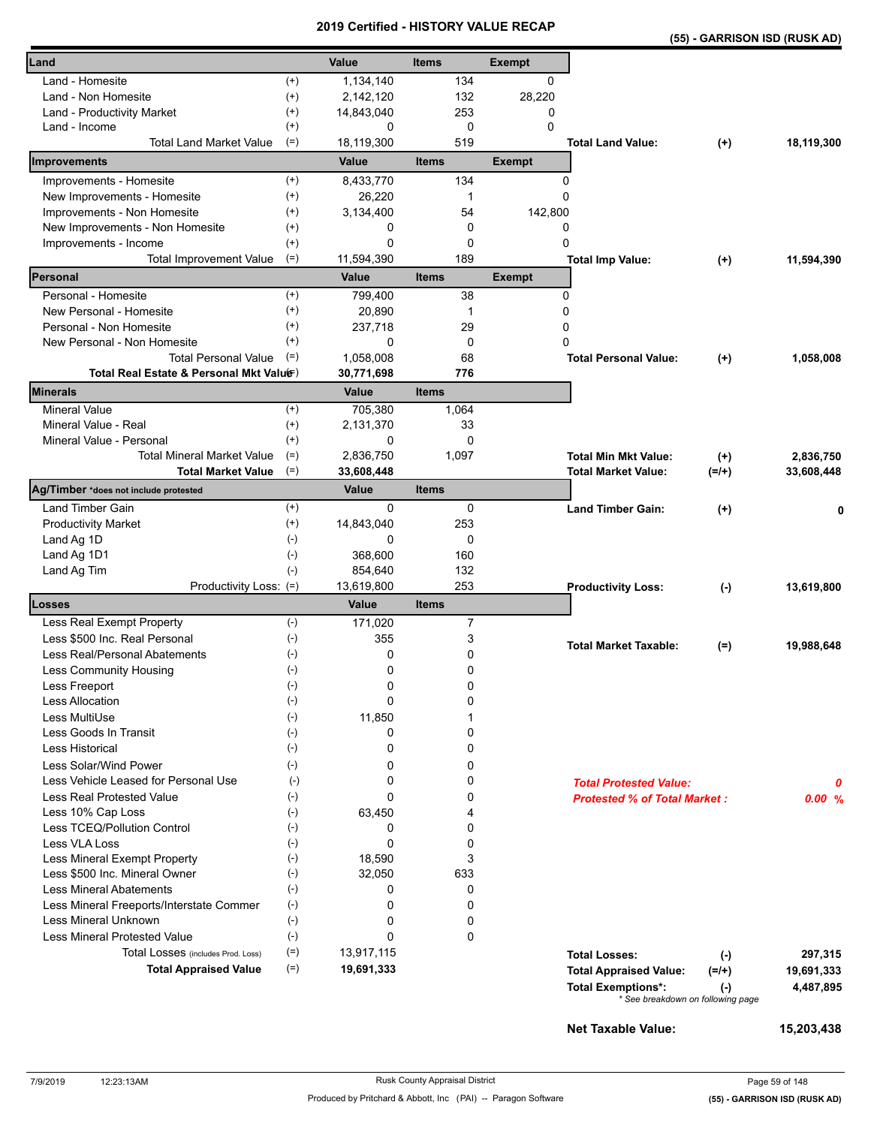|                                                          |                          |                 | <b>VEILIIIEU - NIJ I URT VALUE REVAR</b> |               | (55) - GARRISON ISD (RUSK AD)                                               |            |
|----------------------------------------------------------|--------------------------|-----------------|------------------------------------------|---------------|-----------------------------------------------------------------------------|------------|
| Land                                                     |                          | Value           | <b>Items</b>                             | <b>Exempt</b> |                                                                             |            |
| Land - Homesite                                          | $^{(+)}$                 | 1,134,140       | 134                                      | 0             |                                                                             |            |
| Land - Non Homesite                                      | $^{(+)}$                 | 2,142,120       | 132                                      | 28,220        |                                                                             |            |
| Land - Productivity Market                               | $^{(+)}$                 | 14,843,040      | 253                                      | 0             |                                                                             |            |
| Land - Income                                            | $^{(+)}$                 | 0               | 0                                        | $\Omega$      |                                                                             |            |
| <b>Total Land Market Value</b>                           | $(=)$                    | 18,119,300      | 519                                      |               | <b>Total Land Value:</b><br>$(+)$                                           | 18,119,300 |
| Improvements                                             |                          | Value           | <b>Items</b>                             | <b>Exempt</b> |                                                                             |            |
| Improvements - Homesite                                  | $^{(+)}$                 | 8,433,770       | 134                                      | 0             |                                                                             |            |
| New Improvements - Homesite                              | $^{(+)}$                 | 26,220          | 1                                        | 0             |                                                                             |            |
| Improvements - Non Homesite                              | $^{(+)}$                 | 3,134,400       | 54                                       | 142,800       |                                                                             |            |
| New Improvements - Non Homesite<br>Improvements - Income | $^{(+)}$<br>$^{(+)}$     | 0<br>0          | 0<br>0                                   | 0<br>0        |                                                                             |            |
| <b>Total Improvement Value</b>                           | $(=)$                    | 11,594,390      | 189                                      |               | <b>Total Imp Value:</b>                                                     | 11,594,390 |
| Personal                                                 |                          | Value           | <b>Items</b>                             | <b>Exempt</b> | $(+)$                                                                       |            |
| Personal - Homesite                                      | $^{(+)}$                 | 799,400         | 38                                       | 0             |                                                                             |            |
| New Personal - Homesite                                  | $^{(+)}$                 | 20,890          | 1                                        | 0             |                                                                             |            |
| Personal - Non Homesite                                  | $^{(+)}$                 | 237,718         | 29                                       | 0             |                                                                             |            |
| New Personal - Non Homesite                              | $^{(+)}$                 | 0               | 0                                        | 0             |                                                                             |            |
| <b>Total Personal Value</b>                              | $(=)$                    | 1,058,008       | 68                                       |               | <b>Total Personal Value:</b><br>$^{(+)}$                                    | 1,058,008  |
| Total Real Estate & Personal Mkt Valuer)                 |                          | 30,771,698      | 776                                      |               |                                                                             |            |
| <b>Minerals</b>                                          |                          | Value           | <b>Items</b>                             |               |                                                                             |            |
| <b>Mineral Value</b>                                     | $^{(+)}$                 | 705,380         | 1,064                                    |               |                                                                             |            |
| Mineral Value - Real                                     | $^{(+)}$                 | 2,131,370       | 33                                       |               |                                                                             |            |
| Mineral Value - Personal                                 | $^{(+)}$                 | 0               | 0                                        |               |                                                                             |            |
| <b>Total Mineral Market Value</b>                        | $(=)$                    | 2,836,750       | 1,097                                    |               | <b>Total Min Mkt Value:</b><br>$^{(+)}$                                     | 2,836,750  |
| <b>Total Market Value</b>                                | $(=)$                    | 33,608,448      |                                          |               | $(=/+)$<br>Total Market Value:                                              | 33,608,448 |
| Ag/Timber *does not include protested                    |                          | Value           | <b>Items</b>                             |               |                                                                             |            |
| Land Timber Gain                                         | $^{(+)}$                 | 0               | 0<br>253                                 |               | <b>Land Timber Gain:</b><br>$(+)$                                           | 0          |
| <b>Productivity Market</b>                               | $^{(+)}$<br>$(\text{-})$ | 14,843,040<br>0 | 0                                        |               |                                                                             |            |
| Land Ag 1D<br>Land Ag 1D1                                | $(\text{-})$             | 368,600         | 160                                      |               |                                                                             |            |
| Land Ag Tim                                              | $(-)$                    | 854,640         | 132                                      |               |                                                                             |            |
| Productivity Loss: (=)                                   |                          | 13,619,800      | 253                                      |               | <b>Productivity Loss:</b><br>$(-)$                                          | 13,619,800 |
| Losses                                                   |                          | Value           | <b>Items</b>                             |               |                                                                             |            |
| Less Real Exempt Property                                | $(-)$                    | 171,020         | $\overline{7}$                           |               |                                                                             |            |
| Less \$500 Inc. Real Personal                            | $(\text{-})$             | 355             | 3                                        |               | <b>Total Market Taxable:</b><br>$(=)$                                       | 19,988,648 |
| Less Real/Personal Abatements                            | $(\cdot)$                | 0               | 0                                        |               |                                                                             |            |
| Less Community Housing                                   | $(\textnormal{-})$       | 0               | 0                                        |               |                                                                             |            |
| Less Freeport                                            | $(-)$                    | 0               | 0                                        |               |                                                                             |            |
| <b>Less Allocation</b>                                   | $(\text{-})$             | 0               | 0                                        |               |                                                                             |            |
| Less MultiUse                                            | $(\cdot)$                | 11,850          | 1                                        |               |                                                                             |            |
| Less Goods In Transit<br>Less Historical                 | $(-)$<br>$(-)$           | 0<br>0          | 0<br>0                                   |               |                                                                             |            |
| Less Solar/Wind Power                                    |                          | 0               |                                          |               |                                                                             |            |
| Less Vehicle Leased for Personal Use                     | $(-)$<br>$(-)$           | 0               | 0<br>0                                   |               |                                                                             |            |
| Less Real Protested Value                                | $(-)$                    | 0               | 0                                        |               | <b>Total Protested Value:</b><br><b>Protested % of Total Market:</b>        | 0<br>0.00% |
| Less 10% Cap Loss                                        | $(-)$                    | 63,450          | 4                                        |               |                                                                             |            |
| Less TCEQ/Pollution Control                              | $(-)$                    | 0               | 0                                        |               |                                                                             |            |
| Less VLA Loss                                            | $(-)$                    | 0               | 0                                        |               |                                                                             |            |
| Less Mineral Exempt Property                             | $(-)$                    | 18,590          | 3                                        |               |                                                                             |            |
| Less \$500 Inc. Mineral Owner                            | $(-)$                    | 32,050          | 633                                      |               |                                                                             |            |
| <b>Less Mineral Abatements</b>                           | $(-)$                    | 0               | 0                                        |               |                                                                             |            |
| Less Mineral Freeports/Interstate Commer                 | $(\text{-})$             | 0               | 0                                        |               |                                                                             |            |
| <b>Less Mineral Unknown</b>                              | $(-)$                    | 0               | 0                                        |               |                                                                             |            |
| <b>Less Mineral Protested Value</b>                      | $(\text{-})$             | 0               | 0                                        |               |                                                                             |            |
| Total Losses (includes Prod. Loss)                       | $(=)$                    | 13,917,115      |                                          |               | <b>Total Losses:</b><br>$(-)$                                               | 297,315    |
| <b>Total Appraised Value</b>                             | $(=)$                    | 19,691,333      |                                          |               | <b>Total Appraised Value:</b><br>$(=/+)$                                    | 19,691,333 |
|                                                          |                          |                 |                                          |               | <b>Total Exemptions*:</b><br>$(\cdot)$<br>* See breakdown on following page | 4,487,895  |
|                                                          |                          |                 |                                          |               |                                                                             |            |

**Net Taxable Value: 15,203,438**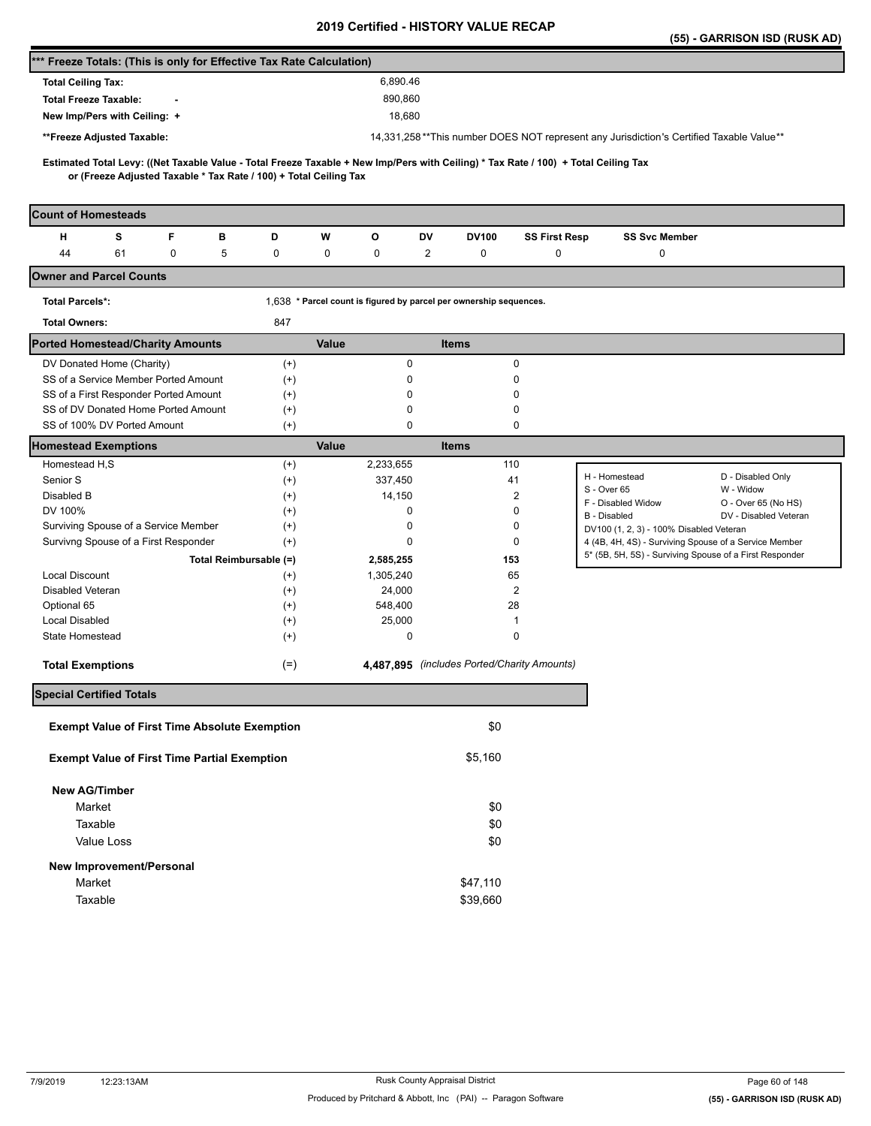|                                                                                                                                     |          |                                                                    |                                             |                      |                                                                                                                  | (55) - GARRISON ISD (RUSK AD)  |
|-------------------------------------------------------------------------------------------------------------------------------------|----------|--------------------------------------------------------------------|---------------------------------------------|----------------------|------------------------------------------------------------------------------------------------------------------|--------------------------------|
| *** Freeze Totals: (This is only for Effective Tax Rate Calculation)                                                                |          |                                                                    |                                             |                      |                                                                                                                  |                                |
| <b>Total Ceiling Tax:</b>                                                                                                           |          | 6,890.46                                                           |                                             |                      |                                                                                                                  |                                |
| <b>Total Freeze Taxable:</b>                                                                                                        |          | 890,860                                                            |                                             |                      |                                                                                                                  |                                |
| New Imp/Pers with Ceiling: +                                                                                                        |          | 18,680                                                             |                                             |                      |                                                                                                                  |                                |
| **Freeze Adjusted Taxable:                                                                                                          |          |                                                                    |                                             |                      | 14,331,258**This number DOES NOT represent any Jurisdiction's Certified Taxable Value**                          |                                |
|                                                                                                                                     |          |                                                                    |                                             |                      |                                                                                                                  |                                |
| Estimated Total Levy: ((Net Taxable Value - Total Freeze Taxable + New Imp/Pers with Ceiling) * Tax Rate / 100) + Total Ceiling Tax |          |                                                                    |                                             |                      |                                                                                                                  |                                |
| or (Freeze Adjusted Taxable * Tax Rate / 100) + Total Ceiling Tax                                                                   |          |                                                                    |                                             |                      |                                                                                                                  |                                |
| <b>Count of Homesteads</b>                                                                                                          |          |                                                                    |                                             |                      |                                                                                                                  |                                |
| F<br>н<br>s<br>в                                                                                                                    | D        | W<br>o                                                             | DV<br><b>DV100</b>                          | <b>SS First Resp</b> | <b>SS Svc Member</b>                                                                                             |                                |
| 44<br>61<br>0<br>5                                                                                                                  | 0        | 0<br>0                                                             | $\overline{c}$<br>0                         | 0                    | 0                                                                                                                |                                |
| <b>Owner and Parcel Counts</b>                                                                                                      |          |                                                                    |                                             |                      |                                                                                                                  |                                |
| <b>Total Parcels*:</b>                                                                                                              |          | 1,638 * Parcel count is figured by parcel per ownership sequences. |                                             |                      |                                                                                                                  |                                |
| <b>Total Owners:</b>                                                                                                                | 847      |                                                                    |                                             |                      |                                                                                                                  |                                |
| <b>Ported Homestead/Charity Amounts</b>                                                                                             |          | Value                                                              | <b>Items</b>                                |                      |                                                                                                                  |                                |
| DV Donated Home (Charity)                                                                                                           | $^{(+)}$ | 0                                                                  |                                             | 0                    |                                                                                                                  |                                |
| SS of a Service Member Ported Amount                                                                                                | $^{(+)}$ | 0                                                                  |                                             | 0                    |                                                                                                                  |                                |
| SS of a First Responder Ported Amount                                                                                               | $^{(+)}$ | 0                                                                  |                                             | 0                    |                                                                                                                  |                                |
| SS of DV Donated Home Ported Amount                                                                                                 | $^{(+)}$ | 0                                                                  |                                             | 0                    |                                                                                                                  |                                |
| SS of 100% DV Ported Amount                                                                                                         | $^{(+)}$ | 0                                                                  |                                             | 0                    |                                                                                                                  |                                |
| <b>Homestead Exemptions</b>                                                                                                         |          | Value                                                              | <b>Items</b>                                |                      |                                                                                                                  |                                |
| Homestead H,S                                                                                                                       | $^{(+)}$ | 2,233,655                                                          | 110                                         |                      |                                                                                                                  |                                |
| Senior S                                                                                                                            | $^{(+)}$ | 337,450                                                            | 41                                          |                      | H - Homestead<br>S - Over 65                                                                                     | D - Disabled Only<br>W - Widow |
| Disabled B                                                                                                                          | $^{(+)}$ | 14,150                                                             |                                             | 2                    | F - Disabled Widow                                                                                               | O - Over 65 (No HS)            |
| DV 100%                                                                                                                             | $^{(+)}$ | 0                                                                  |                                             | 0                    | B - Disabled                                                                                                     | DV - Disabled Veteran          |
| Surviving Spouse of a Service Member                                                                                                | $^{(+)}$ | 0                                                                  |                                             | 0                    | DV100 (1, 2, 3) - 100% Disabled Veteran                                                                          |                                |
| Survivng Spouse of a First Responder                                                                                                | $^{(+)}$ | 0                                                                  |                                             | 0                    | 4 (4B, 4H, 4S) - Surviving Spouse of a Service Member<br>5* (5B, 5H, 5S) - Surviving Spouse of a First Responder |                                |
| Total Reimbursable (=)                                                                                                              |          | 2,585,255                                                          | 153                                         |                      |                                                                                                                  |                                |
| <b>Local Discount</b>                                                                                                               | $^{(+)}$ | 1,305,240                                                          | 65                                          |                      |                                                                                                                  |                                |
| Disabled Veteran                                                                                                                    | $^{(+)}$ | 24,000                                                             |                                             | $\overline{2}$       |                                                                                                                  |                                |
| Optional 65                                                                                                                         | $^{(+)}$ | 548,400                                                            | 28                                          |                      |                                                                                                                  |                                |
| <b>Local Disabled</b>                                                                                                               | $^{(+)}$ | 25,000                                                             |                                             | 1                    |                                                                                                                  |                                |
| State Homestead                                                                                                                     | $^{(+)}$ | 0                                                                  |                                             | 0                    |                                                                                                                  |                                |
| <b>Total Exemptions</b>                                                                                                             | $(=)$    |                                                                    | 4,487,895 (includes Ported/Charity Amounts) |                      |                                                                                                                  |                                |
| <b>Special Certified Totals</b>                                                                                                     |          |                                                                    |                                             |                      |                                                                                                                  |                                |
| <b>Exempt Value of First Time Absolute Exemption</b>                                                                                |          |                                                                    | \$0                                         |                      |                                                                                                                  |                                |
| <b>Exempt Value of First Time Partial Exemption</b>                                                                                 |          |                                                                    | \$5,160                                     |                      |                                                                                                                  |                                |
|                                                                                                                                     |          |                                                                    |                                             |                      |                                                                                                                  |                                |
| <b>New AG/Timber</b>                                                                                                                |          |                                                                    |                                             |                      |                                                                                                                  |                                |
| Market                                                                                                                              |          |                                                                    | \$0                                         |                      |                                                                                                                  |                                |
| Taxable                                                                                                                             |          |                                                                    | \$0                                         |                      |                                                                                                                  |                                |
| Value Loss                                                                                                                          |          |                                                                    | \$0                                         |                      |                                                                                                                  |                                |
| New Improvement/Personal                                                                                                            |          |                                                                    |                                             |                      |                                                                                                                  |                                |
| Market                                                                                                                              |          |                                                                    | \$47,110                                    |                      |                                                                                                                  |                                |
| Taxable                                                                                                                             |          |                                                                    | \$39,660                                    |                      |                                                                                                                  |                                |
|                                                                                                                                     |          |                                                                    |                                             |                      |                                                                                                                  |                                |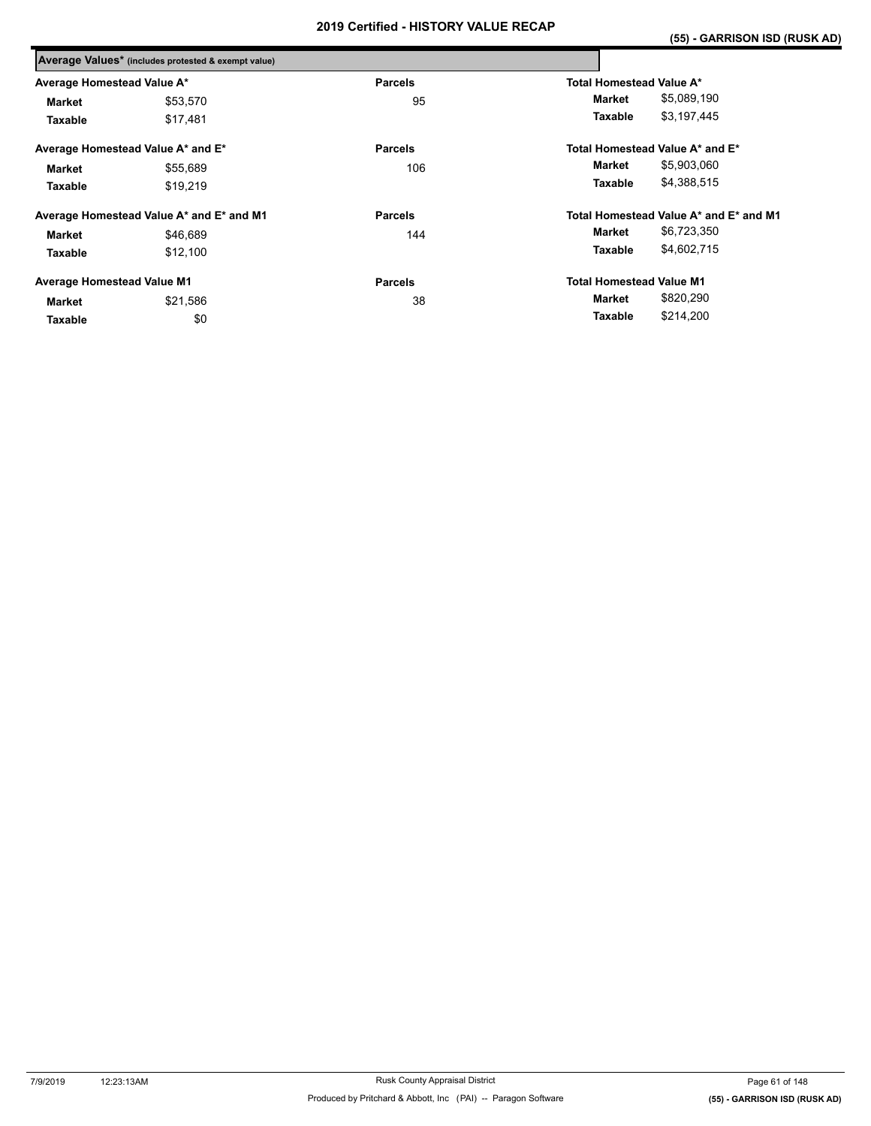|                                   | Average Values* (includes protested & exempt value) |                |                                        |
|-----------------------------------|-----------------------------------------------------|----------------|----------------------------------------|
| Average Homestead Value A*        |                                                     | <b>Parcels</b> | Total Homestead Value A*               |
| <b>Market</b>                     | \$53,570                                            | 95             | \$5,089,190<br>Market                  |
| Taxable                           | \$17,481                                            |                | \$3,197,445<br>Taxable                 |
|                                   | Average Homestead Value A* and E*                   | <b>Parcels</b> | Total Homestead Value A* and E*        |
| <b>Market</b>                     | \$55,689                                            | 106            | \$5,903,060<br>Market                  |
| Taxable                           | \$19,219                                            |                | \$4,388,515<br>Taxable                 |
|                                   | Average Homestead Value A* and E* and M1            | <b>Parcels</b> | Total Homestead Value A* and E* and M1 |
| <b>Market</b>                     | \$46,689                                            | 144            | \$6,723,350<br>Market                  |
| Taxable                           | \$12,100                                            |                | \$4,602,715<br>Taxable                 |
| <b>Average Homestead Value M1</b> |                                                     | <b>Parcels</b> | <b>Total Homestead Value M1</b>        |
| <b>Market</b>                     | \$21,586                                            | 38             | \$820,290<br>Market                    |
| Taxable                           | \$0                                                 |                | \$214,200<br>Taxable                   |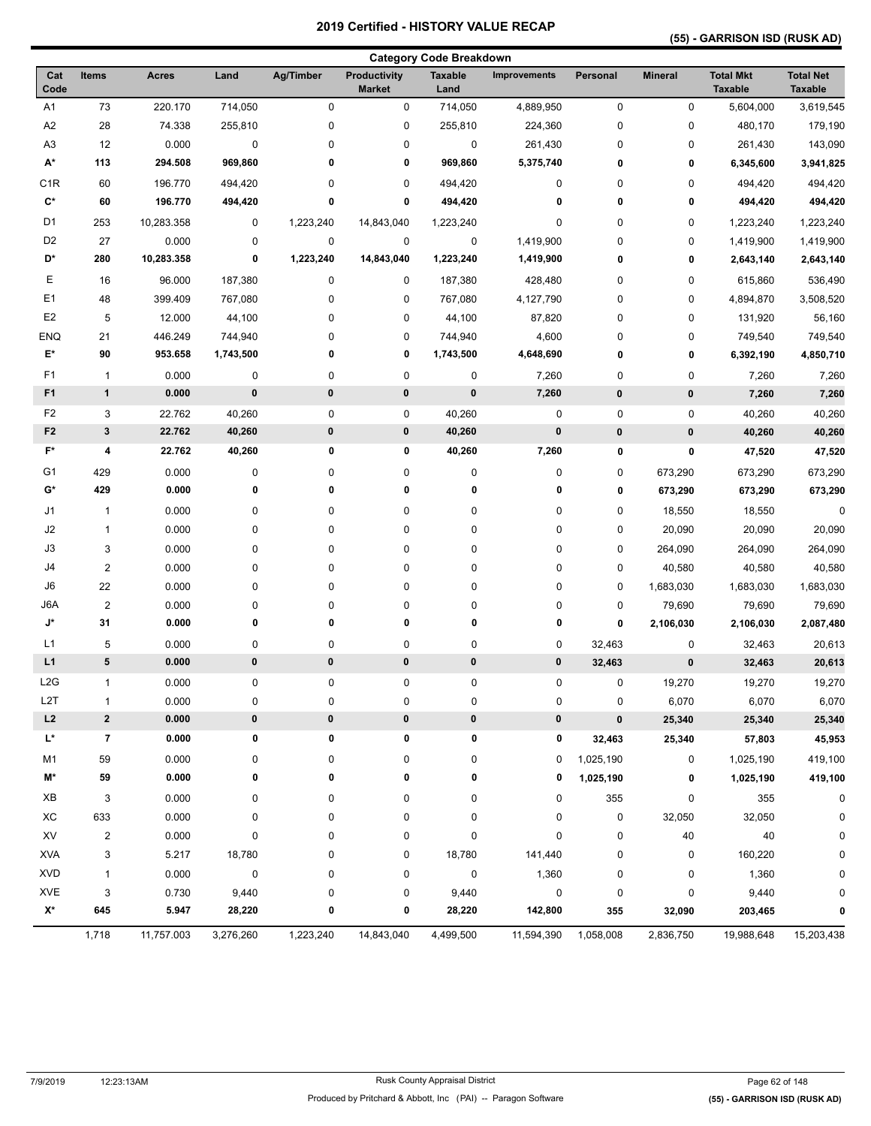## **(55) - GARRISON ISD (RUSK AD)**

|                      |                |              |                      |           |                                      | <b>Category Code Breakdown</b> |                     |             |                |                                    |                                    |
|----------------------|----------------|--------------|----------------------|-----------|--------------------------------------|--------------------------------|---------------------|-------------|----------------|------------------------------------|------------------------------------|
| Cat<br>Code          | <b>Items</b>   | <b>Acres</b> | Land                 | Ag/Timber | <b>Productivity</b><br><b>Market</b> | <b>Taxable</b><br>Land         | <b>Improvements</b> | Personal    | <b>Mineral</b> | <b>Total Mkt</b><br><b>Taxable</b> | <b>Total Net</b><br><b>Taxable</b> |
| A <sub>1</sub>       | 73             | 220.170      | 714,050              | $\pmb{0}$ | 0                                    | 714,050                        | 4,889,950           | $\pmb{0}$   | 0              | 5,604,000                          | 3,619,545                          |
| A <sub>2</sub>       | 28             | 74.338       | 255,810              | $\pmb{0}$ | 0                                    | 255,810                        | 224,360             | $\pmb{0}$   | 0              | 480,170                            | 179,190                            |
| A <sub>3</sub>       | 12             | 0.000        | $\pmb{0}$            | $\pmb{0}$ | 0                                    | 0                              | 261,430             | $\pmb{0}$   | 0              | 261,430                            | 143,090                            |
| $\mathsf{A}^\star$   | 113            | 294.508      | 969,860              | 0         | 0                                    | 969,860                        | 5,375,740           | 0           | 0              | 6,345,600                          | 3,941,825                          |
| C <sub>1R</sub>      | 60             | 196.770      | 494,420              | $\pmb{0}$ | 0                                    | 494,420                        | 0                   | 0           | 0              | 494,420                            | 494,420                            |
| $\mathbf{C}^{\star}$ | 60             | 196.770      | 494,420              | 0         | 0                                    | 494,420                        | 0                   | 0           | 0              | 494,420                            | 494,420                            |
| D <sub>1</sub>       | 253            | 10,283.358   | 0                    | 1,223,240 | 14,843,040                           | 1,223,240                      | 0                   | 0           | 0              | 1,223,240                          | 1,223,240                          |
| D <sub>2</sub>       | 27             | 0.000        | 0                    | 0         | 0                                    | 0                              | 1,419,900           | 0           | 0              | 1,419,900                          | 1,419,900                          |
| D*                   | 280            | 10,283.358   | 0                    | 1,223,240 | 14,843,040                           | 1,223,240                      | 1,419,900           | 0           | 0              | 2,643,140                          | 2,643,140                          |
| Е                    | 16             | 96.000       | 187,380              | $\pmb{0}$ | 0                                    | 187,380                        | 428,480             | 0           | 0              | 615,860                            | 536,490                            |
| E <sub>1</sub>       | 48             | 399.409      | 767,080              | $\pmb{0}$ | 0                                    | 767,080                        | 4,127,790           | 0           | 0              | 4,894,870                          | 3,508,520                          |
| E <sub>2</sub>       | 5              | 12.000       | 44,100               | 0         | 0                                    | 44,100                         | 87,820              | 0           | 0              | 131,920                            | 56,160                             |
| ENQ                  | 21             | 446.249      |                      | $\pmb{0}$ | 0                                    |                                |                     | $\mathbf 0$ |                |                                    |                                    |
| E*                   | 90             | 953.658      | 744,940<br>1,743,500 | 0         | 0                                    | 744,940<br>1,743,500           | 4,600<br>4,648,690  | 0           | 0<br>0         | 749,540<br>6,392,190               | 749,540<br>4,850,710               |
|                      |                |              |                      |           |                                      |                                |                     |             |                |                                    |                                    |
| F1                   | $\overline{1}$ | 0.000        | 0                    | $\pmb{0}$ | $\pmb{0}$                            | 0                              | 7,260               | 0           | 0              | 7,260                              | 7,260                              |
| F <sub>1</sub>       | $\mathbf{1}$   | 0.000        | 0                    | 0         | $\pmb{0}$                            | $\pmb{0}$                      | 7,260               | $\pmb{0}$   | $\pmb{0}$      | 7,260                              | 7,260                              |
| F <sub>2</sub>       | 3              | 22.762       | 40,260               | $\pmb{0}$ | 0                                    | 40,260                         | 0                   | $\pmb{0}$   | $\pmb{0}$      | 40,260                             | 40,260                             |
| F <sub>2</sub>       | $\mathbf{3}$   | 22.762       | 40,260               | 0         | 0                                    | 40,260                         | 0                   | $\pmb{0}$   | $\pmb{0}$      | 40,260                             | 40,260                             |
| F*                   | 4              | 22.762       | 40,260               | 0         | 0                                    | 40,260                         | 7,260               | 0           | 0              | 47,520                             | 47,520                             |
| G <sub>1</sub>       | 429            | 0.000        | 0                    | 0         | 0                                    | 0                              | 0                   | 0           | 673,290        | 673,290                            | 673,290                            |
| G*                   | 429            | 0.000        | 0                    | 0         | 0                                    | 0                              | 0                   | 0           | 673,290        | 673,290                            | 673,290                            |
| J1                   | $\mathbf{1}$   | 0.000        | $\pmb{0}$            | $\pmb{0}$ | 0                                    | 0                              | 0                   | 0           | 18,550         | 18,550                             | $\pmb{0}$                          |
| J2                   | $\mathbf{1}$   | 0.000        | 0                    | $\pmb{0}$ | 0                                    | 0                              | 0                   | 0           | 20,090         | 20,090                             | 20,090                             |
| J3                   | 3              | 0.000        | $\pmb{0}$            | 0         | $\pmb{0}$                            | 0                              | 0                   | 0           | 264,090        | 264,090                            | 264,090                            |
| J4                   | $\overline{2}$ | 0.000        | $\pmb{0}$            | $\pmb{0}$ | 0                                    | 0                              | 0                   | $\pmb{0}$   | 40,580         | 40,580                             | 40,580                             |
| J6                   | 22             | 0.000        | $\pmb{0}$            | $\pmb{0}$ | 0                                    | 0                              | 0                   | $\pmb{0}$   | 1,683,030      | 1,683,030                          | 1,683,030                          |
| J6A                  | $\overline{2}$ | 0.000        | $\pmb{0}$            | $\pmb{0}$ | 0                                    | 0                              | 0                   | $\pmb{0}$   | 79,690         | 79,690                             | 79,690                             |
| J*                   | 31             | 0.000        | 0                    | 0         | 0                                    | 0                              | 0                   | 0           | 2,106,030      | 2,106,030                          | 2,087,480                          |
| L1                   | 5              | 0.000        | $\pmb{0}$            | 0         | 0                                    | 0                              | 0                   | 32,463      | 0              | 32,463                             | 20,613                             |
| L1                   | 5              | 0.000        | 0                    | 0         | $\pmb{0}$                            | 0                              | 0                   | 32,463      | $\pmb{0}$      | 32,463                             | 20,613                             |
| L <sub>2</sub> G     | 1              | 0.000        | $\pmb{0}$            | $\pmb{0}$ | 0                                    | 0                              | 0                   | 0           | 19,270         | 19,270                             | 19,270                             |
| L2T                  | $\mathbf{1}$   | 0.000        | 0                    | $\pmb{0}$ | 0                                    | 0                              | 0                   | 0           | 6,070          | 6,070                              | 6,070                              |
| L2                   | $\mathbf{2}$   | 0.000        | 0                    | 0         | $\pmb{0}$                            | 0                              | 0                   | $\bf{0}$    | 25,340         | 25,340                             | 25,340                             |
| L*                   | $\overline{7}$ | 0.000        | 0                    | 0         | 0                                    | 0                              | 0                   | 32,463      | 25,340         | 57,803                             | 45,953                             |
| M1                   | 59             | 0.000        | 0                    | 0         | 0                                    | 0                              | 0                   | 1,025,190   | 0              | 1,025,190                          | 419,100                            |
| M*                   | 59             | 0.000        | 0                    | 0         | 0                                    | 0                              | 0                   | 1,025,190   | 0              | 1,025,190                          | 419,100                            |
| XB                   | 3              | 0.000        | 0                    | 0         | 0                                    | 0                              | 0                   | 355         | 0              | 355                                | 0                                  |
| ХC                   |                | 0.000        |                      |           |                                      |                                |                     |             |                |                                    | $\mathbf 0$                        |
| XV                   | 633            |              | $\pmb{0}$            | 0         | 0                                    | 0                              | 0                   | $\pmb{0}$   | 32,050<br>40   | 32,050<br>40                       |                                    |
|                      | $\overline{c}$ | 0.000        | $\pmb{0}$            | 0         | 0                                    | 0                              | 0                   | 0           |                |                                    | 0                                  |
| <b>XVA</b>           | 3              | 5.217        | 18,780               | 0         | 0                                    | 18,780                         | 141,440             | 0           | 0              | 160,220                            | 0                                  |
| <b>XVD</b>           | $\mathbf{1}$   | 0.000        | $\pmb{0}$            | 0         | 0                                    | 0                              | 1,360               | 0           | 0              | 1,360                              | 0                                  |
| <b>XVE</b>           | 3              | 0.730        | 9,440                | 0         | 0                                    | 9,440                          | 0                   | 0           | 0              | 9,440                              | 0                                  |
| $\mathsf{X}^\star$   | 645            | 5.947        | 28,220               | 0         | 0                                    | 28,220                         | 142,800             | 355         | 32,090         | 203,465                            | 0                                  |
|                      | 1,718          | 11,757.003   | 3,276,260            | 1,223,240 | 14,843,040                           | 4,499,500                      | 11,594,390          | 1,058,008   | 2,836,750      | 19,988,648                         | 15,203,438                         |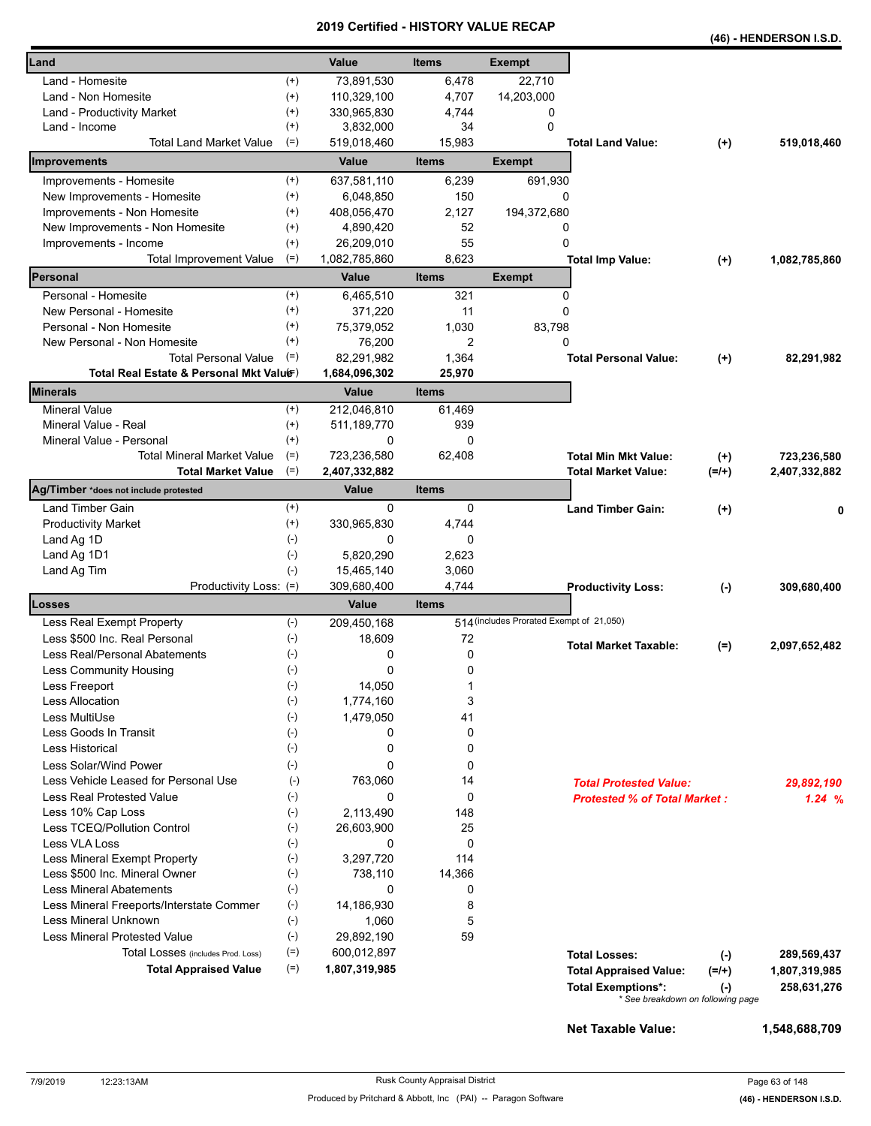|                                          |                   |                         |                |                                          |                                     |           | (46) - HENDERSON I.S.D. |
|------------------------------------------|-------------------|-------------------------|----------------|------------------------------------------|-------------------------------------|-----------|-------------------------|
| Land                                     |                   | Value                   | <b>Items</b>   | <b>Exempt</b>                            |                                     |           |                         |
| Land - Homesite                          | $^{(+)}$          | 73,891,530              | 6,478          | 22,710                                   |                                     |           |                         |
| Land - Non Homesite                      | $^{(+)}$          | 110,329,100             | 4,707          | 14,203,000                               |                                     |           |                         |
| Land - Productivity Market               | $^{(+)}$          | 330,965,830             | 4,744          | 0                                        |                                     |           |                         |
| Land - Income                            | $^{(+)}$          | 3,832,000               | 34             | 0                                        |                                     |           |                         |
| <b>Total Land Market Value</b>           | $(=)$             | 519,018,460             | 15,983         |                                          | <b>Total Land Value:</b>            | $(+)$     | 519,018,460             |
| Improvements                             |                   | Value                   | <b>Items</b>   | <b>Exempt</b>                            |                                     |           |                         |
| Improvements - Homesite                  | $^{(+)}$          | 637,581,110             | 6,239          | 691,930                                  |                                     |           |                         |
| New Improvements - Homesite              | $^{(+)}$          | 6,048,850               | 150            | 0                                        |                                     |           |                         |
| Improvements - Non Homesite              | $^{(+)}$          | 408,056,470             | 2,127          | 194,372,680                              |                                     |           |                         |
| New Improvements - Non Homesite          | $^{(+)}$          | 4,890,420               | 52             | 0                                        |                                     |           |                         |
| Improvements - Income                    | $^{(+)}$          | 26,209,010              | 55             | 0                                        |                                     |           |                         |
| <b>Total Improvement Value</b>           | $(=)$             | 1,082,785,860           | 8,623          |                                          | <b>Total Imp Value:</b>             | $^{(+)}$  | 1,082,785,860           |
| Personal                                 |                   | Value                   | <b>Items</b>   | <b>Exempt</b>                            |                                     |           |                         |
| Personal - Homesite                      | $^{(+)}$          | 6,465,510               | 321            | 0                                        |                                     |           |                         |
| New Personal - Homesite                  | $^{(+)}$          | 371,220                 | 11             | 0                                        |                                     |           |                         |
| Personal - Non Homesite                  | $^{(+)}$          | 75,379,052              | 1,030          | 83,798                                   |                                     |           |                         |
| New Personal - Non Homesite              | $^{(+)}$          | 76,200                  | 2              | 0                                        |                                     |           |                         |
| <b>Total Personal Value</b>              | $(=)$             | 82,291,982              | 1,364          |                                          | <b>Total Personal Value:</b>        | $(+)$     | 82,291,982              |
| Total Real Estate & Personal Mkt Valuer) |                   | 1,684,096,302           | 25,970         |                                          |                                     |           |                         |
| Minerals                                 |                   | Value                   | <b>Items</b>   |                                          |                                     |           |                         |
| <b>Mineral Value</b>                     | $^{(+)}$          | 212,046,810             | 61.469         |                                          |                                     |           |                         |
| Mineral Value - Real                     | $^{(+)}$          | 511, 189, 770           | 939            |                                          |                                     |           |                         |
| Mineral Value - Personal                 | $^{(+)}$          | 0                       | 0              |                                          |                                     |           |                         |
| <b>Total Mineral Market Value</b>        | $(=)$             | 723,236,580             | 62,408         |                                          | <b>Total Min Mkt Value:</b>         | $^{(+)}$  | 723,236,580             |
| <b>Total Market Value</b>                | $(=)$             | 2,407,332,882           |                |                                          | <b>Total Market Value:</b>          | $(=/+)$   | 2,407,332,882           |
| Ag/Timber *does not include protested    |                   | Value                   | <b>Items</b>   |                                          |                                     |           |                         |
| Land Timber Gain                         | $^{(+)}$          | 0                       | 0              |                                          | <b>Land Timber Gain:</b>            | $(+)$     |                         |
| <b>Productivity Market</b>               | $^{(+)}$<br>$(-)$ | 330,965,830             | 4,744          |                                          |                                     |           |                         |
| Land Ag 1D                               |                   | 0                       | 0              |                                          |                                     |           |                         |
| Land Ag 1D1                              | $(-)$<br>$(-)$    | 5,820,290<br>15,465,140 | 2,623<br>3,060 |                                          |                                     |           |                         |
| Land Ag Tim<br>Productivity Loss: (=)    |                   | 309,680,400             | 4,744          |                                          | <b>Productivity Loss:</b>           | $(\cdot)$ | 309,680,400             |
| Losses                                   |                   | Value                   | <b>Items</b>   |                                          |                                     |           |                         |
| Less Real Exempt Property                | $(-)$             | 209,450,168             |                | 514 (includes Prorated Exempt of 21,050) |                                     |           |                         |
| Less \$500 Inc. Real Personal            | $(-)$             | 18,609                  | 72             |                                          |                                     |           |                         |
| Less Real/Personal Abatements            | $(-)$             | 0                       | 0              |                                          | <b>Total Market Taxable:</b>        | $(=)$     | 2,097,652,482           |
| Less Community Housing                   | $(\hbox{-})$      | 0                       | 0              |                                          |                                     |           |                         |
| Less Freeport                            | $(-)$             | 14,050                  | 1              |                                          |                                     |           |                         |
| <b>Less Allocation</b>                   | $(-)$             | 1,774,160               | 3              |                                          |                                     |           |                         |
| Less MultiUse                            | $(-)$             | 1,479,050               | 41             |                                          |                                     |           |                         |
| Less Goods In Transit                    | $(-)$             | 0                       | 0              |                                          |                                     |           |                         |
| <b>Less Historical</b>                   | $(-)$             | 0                       | 0              |                                          |                                     |           |                         |
| Less Solar/Wind Power                    | $(-)$             | 0                       | 0              |                                          |                                     |           |                         |
| Less Vehicle Leased for Personal Use     | $(-)$             | 763,060                 | 14             |                                          | <b>Total Protested Value:</b>       |           | 29,892,190              |
| <b>Less Real Protested Value</b>         | $(-)$             | 0                       | 0              |                                          | <b>Protested % of Total Market:</b> |           | 1.24%                   |
| Less 10% Cap Loss                        | $(-)$             | 2,113,490               | 148            |                                          |                                     |           |                         |
| Less TCEQ/Pollution Control              | $(-)$             | 26,603,900              | 25             |                                          |                                     |           |                         |
| Less VLA Loss                            | $(-)$             | 0                       | 0              |                                          |                                     |           |                         |
| Less Mineral Exempt Property             | $(-)$             | 3,297,720               | 114            |                                          |                                     |           |                         |
| Less \$500 Inc. Mineral Owner            | $(-)$             | 738,110                 | 14,366         |                                          |                                     |           |                         |
| <b>Less Mineral Abatements</b>           | $(-)$             | 0                       | 0              |                                          |                                     |           |                         |
| Less Mineral Freeports/Interstate Commer | $(-)$             | 14,186,930              | 8              |                                          |                                     |           |                         |
| Less Mineral Unknown                     | $(-)$             | 1,060                   | 5              |                                          |                                     |           |                         |
| <b>Less Mineral Protested Value</b>      | $(-)$             | 29,892,190              | 59             |                                          |                                     |           |                         |
| Total Losses (includes Prod. Loss)       | $(=)$             | 600,012,897             |                |                                          | <b>Total Losses:</b>                | $(-)$     | 289,569,437             |
| <b>Total Appraised Value</b>             | $(=)$             | 1,807,319,985           |                |                                          | <b>Total Appraised Value:</b>       | $(=/+)$   | 1,807,319,985           |
|                                          |                   |                         |                |                                          | <b>Total Exemptions*:</b>           | $(-)$     | 258,631,276             |
|                                          |                   |                         |                |                                          | * See breakdown on following page   |           |                         |

**Net Taxable Value: 1,548,688,709**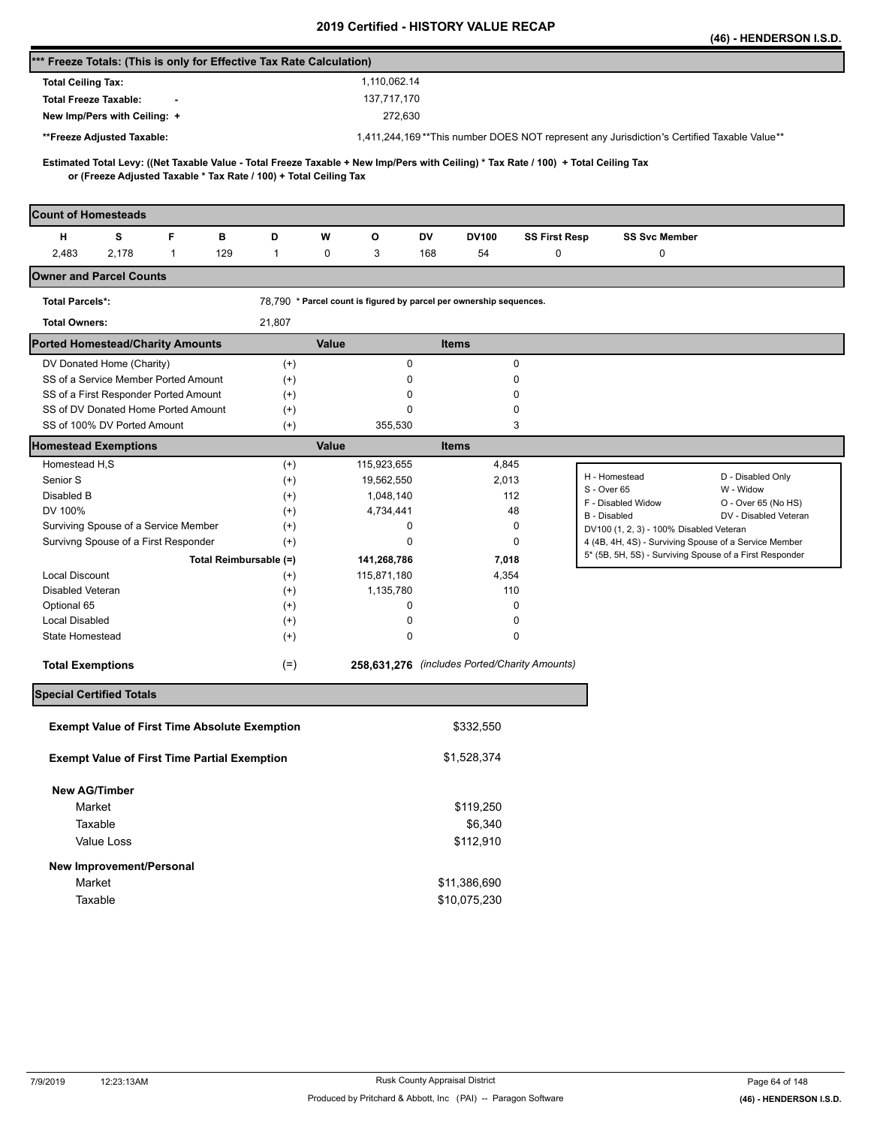|                                                                                                                                                                                                          |                      |              |                                                                     |                      |                                                                                                                  | (46) - HENDERSON I.S.D.        |
|----------------------------------------------------------------------------------------------------------------------------------------------------------------------------------------------------------|----------------------|--------------|---------------------------------------------------------------------|----------------------|------------------------------------------------------------------------------------------------------------------|--------------------------------|
| *** Freeze Totals: (This is only for Effective Tax Rate Calculation)                                                                                                                                     |                      |              |                                                                     |                      |                                                                                                                  |                                |
| <b>Total Ceiling Tax:</b>                                                                                                                                                                                |                      | 1,110,062.14 |                                                                     |                      |                                                                                                                  |                                |
| <b>Total Freeze Taxable:</b>                                                                                                                                                                             |                      | 137,717,170  |                                                                     |                      |                                                                                                                  |                                |
| New Imp/Pers with Ceiling: +                                                                                                                                                                             |                      | 272,630      |                                                                     |                      |                                                                                                                  |                                |
| **Freeze Adjusted Taxable:                                                                                                                                                                               |                      |              |                                                                     |                      | 1,411,244,169**This number DOES NOT represent any Jurisdiction's Certified Taxable Value**                       |                                |
|                                                                                                                                                                                                          |                      |              |                                                                     |                      |                                                                                                                  |                                |
| Estimated Total Levy: ((Net Taxable Value - Total Freeze Taxable + New Imp/Pers with Ceiling) * Tax Rate / 100) + Total Ceiling Tax<br>or (Freeze Adjusted Taxable * Tax Rate / 100) + Total Ceiling Tax |                      |              |                                                                     |                      |                                                                                                                  |                                |
|                                                                                                                                                                                                          |                      |              |                                                                     |                      |                                                                                                                  |                                |
| <b>Count of Homesteads</b>                                                                                                                                                                               |                      |              |                                                                     |                      |                                                                                                                  |                                |
| F<br>н<br>s<br>в                                                                                                                                                                                         | D                    | W<br>o       | DV<br><b>DV100</b>                                                  | <b>SS First Resp</b> | <b>SS Svc Member</b>                                                                                             |                                |
| 2,483<br>2,178<br>129<br>$\mathbf{1}$                                                                                                                                                                    | $\mathbf{1}$         | 0<br>3       | 168<br>54                                                           | 0                    | 0                                                                                                                |                                |
| <b>Owner and Parcel Counts</b>                                                                                                                                                                           |                      |              |                                                                     |                      |                                                                                                                  |                                |
| <b>Total Parcels*:</b>                                                                                                                                                                                   |                      |              | 78,790 * Parcel count is figured by parcel per ownership sequences. |                      |                                                                                                                  |                                |
| <b>Total Owners:</b>                                                                                                                                                                                     | 21,807               |              |                                                                     |                      |                                                                                                                  |                                |
| <b>Ported Homestead/Charity Amounts</b>                                                                                                                                                                  |                      | Value        | <b>Items</b>                                                        |                      |                                                                                                                  |                                |
| DV Donated Home (Charity)                                                                                                                                                                                |                      | 0            | 0                                                                   |                      |                                                                                                                  |                                |
| SS of a Service Member Ported Amount                                                                                                                                                                     | $^{(+)}$<br>$^{(+)}$ | 0            | 0                                                                   |                      |                                                                                                                  |                                |
| SS of a First Responder Ported Amount                                                                                                                                                                    | $^{(+)}$             | 0            | 0                                                                   |                      |                                                                                                                  |                                |
| SS of DV Donated Home Ported Amount                                                                                                                                                                      | $^{(+)}$             | 0            | 0                                                                   |                      |                                                                                                                  |                                |
| SS of 100% DV Ported Amount                                                                                                                                                                              | $^{(+)}$             | 355,530      | 3                                                                   |                      |                                                                                                                  |                                |
| <b>Homestead Exemptions</b>                                                                                                                                                                              |                      | Value        | <b>Items</b>                                                        |                      |                                                                                                                  |                                |
| Homestead H,S                                                                                                                                                                                            | $^{(+)}$             | 115,923,655  | 4,845                                                               |                      |                                                                                                                  |                                |
| Senior S                                                                                                                                                                                                 | $^{(+)}$             | 19,562,550   | 2,013                                                               |                      | H - Homestead<br>S - Over 65                                                                                     | D - Disabled Only<br>W - Widow |
| Disabled B                                                                                                                                                                                               | $^{(+)}$             | 1,048,140    | 112                                                                 |                      | F - Disabled Widow                                                                                               | O - Over 65 (No HS)            |
| DV 100%                                                                                                                                                                                                  | $^{(+)}$             | 4,734,441    | 48                                                                  |                      | B - Disabled                                                                                                     | DV - Disabled Veteran          |
| Surviving Spouse of a Service Member<br>Survivng Spouse of a First Responder                                                                                                                             | $^{(+)}$<br>$^{(+)}$ | 0<br>0       | 0<br>0                                                              |                      | DV100 (1, 2, 3) - 100% Disabled Veteran                                                                          |                                |
| Total Reimbursable (=)                                                                                                                                                                                   |                      | 141,268,786  | 7,018                                                               |                      | 4 (4B, 4H, 4S) - Surviving Spouse of a Service Member<br>5* (5B, 5H, 5S) - Surviving Spouse of a First Responder |                                |
| Local Discount                                                                                                                                                                                           | $^{(+)}$             | 115,871,180  | 4,354                                                               |                      |                                                                                                                  |                                |
| Disabled Veteran                                                                                                                                                                                         | $^{(+)}$             | 1,135,780    | 110                                                                 |                      |                                                                                                                  |                                |
| Optional 65                                                                                                                                                                                              |                      |              |                                                                     |                      |                                                                                                                  |                                |
|                                                                                                                                                                                                          | $^{(+)}$             | 0            | 0                                                                   |                      |                                                                                                                  |                                |
| <b>Local Disabled</b>                                                                                                                                                                                    | $^{(+)}$             | 0            | 0                                                                   |                      |                                                                                                                  |                                |
| State Homestead                                                                                                                                                                                          | $^{(+)}$             | 0            | 0                                                                   |                      |                                                                                                                  |                                |
| <b>Total Exemptions</b>                                                                                                                                                                                  | $(=)$                |              | 258,631,276 (includes Ported/Charity Amounts)                       |                      |                                                                                                                  |                                |
| <b>Special Certified Totals</b>                                                                                                                                                                          |                      |              |                                                                     |                      |                                                                                                                  |                                |
|                                                                                                                                                                                                          |                      |              |                                                                     |                      |                                                                                                                  |                                |
| <b>Exempt Value of First Time Absolute Exemption</b>                                                                                                                                                     |                      |              | \$332,550                                                           |                      |                                                                                                                  |                                |
| <b>Exempt Value of First Time Partial Exemption</b>                                                                                                                                                      |                      |              | \$1,528,374                                                         |                      |                                                                                                                  |                                |
|                                                                                                                                                                                                          |                      |              |                                                                     |                      |                                                                                                                  |                                |
| <b>New AG/Timber</b>                                                                                                                                                                                     |                      |              |                                                                     |                      |                                                                                                                  |                                |
| Market                                                                                                                                                                                                   |                      |              | \$119,250                                                           |                      |                                                                                                                  |                                |
| Taxable<br>Value Loss                                                                                                                                                                                    |                      |              | \$6,340<br>\$112,910                                                |                      |                                                                                                                  |                                |
|                                                                                                                                                                                                          |                      |              |                                                                     |                      |                                                                                                                  |                                |
| New Improvement/Personal                                                                                                                                                                                 |                      |              |                                                                     |                      |                                                                                                                  |                                |
| Market<br>Taxable                                                                                                                                                                                        |                      |              | \$11,386,690<br>\$10,075,230                                        |                      |                                                                                                                  |                                |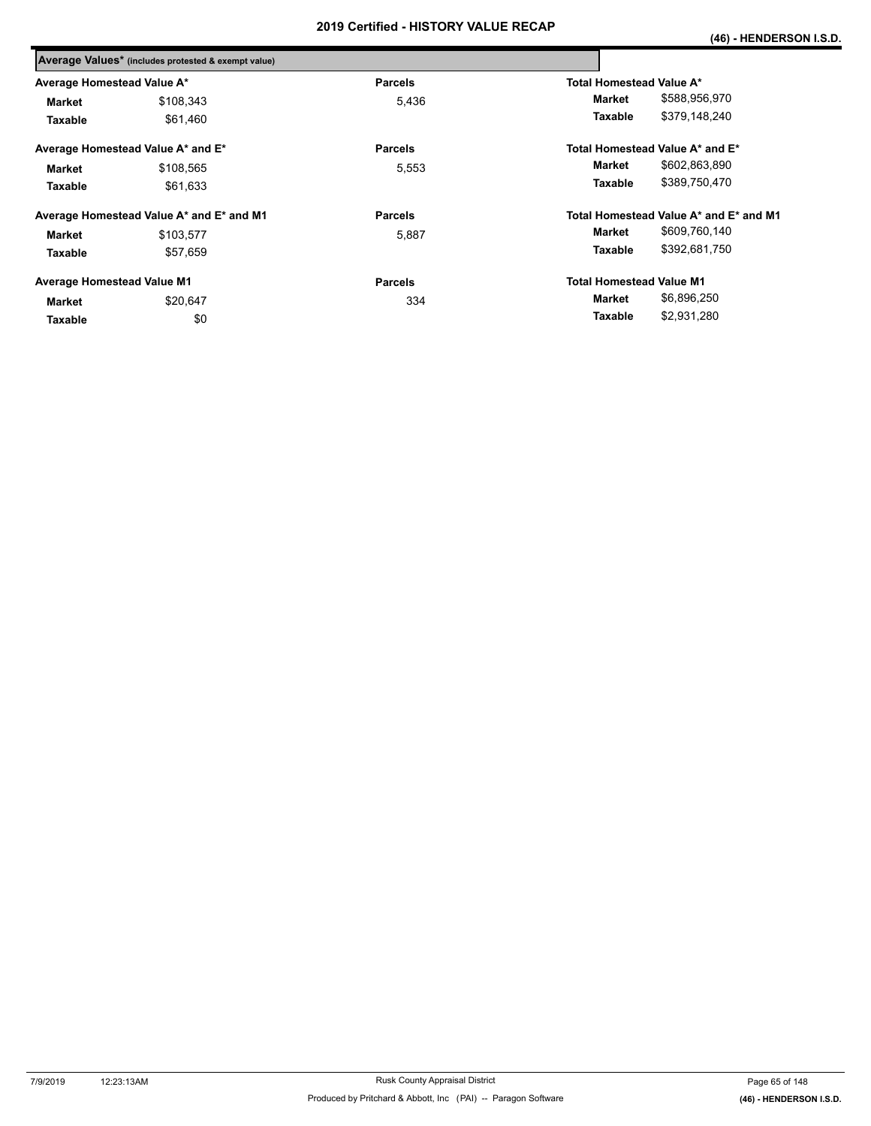|                                   | Average Values* (includes protested & exempt value) |                |                                        |
|-----------------------------------|-----------------------------------------------------|----------------|----------------------------------------|
| Average Homestead Value A*        |                                                     | <b>Parcels</b> | <b>Total Homestead Value A*</b>        |
| Market                            | \$108,343                                           | 5,436          | \$588,956,970<br>Market                |
| Taxable                           | \$61,460                                            |                | \$379,148,240<br>Taxable               |
|                                   | Average Homestead Value A* and E*                   | <b>Parcels</b> | Total Homestead Value A* and E*        |
| <b>Market</b>                     | \$108,565                                           | 5,553          | \$602,863,890<br>Market                |
| Taxable                           | \$61,633                                            |                | \$389,750,470<br>Taxable               |
|                                   | Average Homestead Value A* and E* and M1            | <b>Parcels</b> | Total Homestead Value A* and E* and M1 |
| <b>Market</b>                     | \$103,577                                           | 5,887          | \$609,760,140<br>Market                |
| Taxable                           | \$57,659                                            |                | \$392,681,750<br>Taxable               |
| <b>Average Homestead Value M1</b> |                                                     | <b>Parcels</b> | <b>Total Homestead Value M1</b>        |
| Market                            | \$20,647                                            | 334            | \$6,896,250<br>Market                  |
| Taxable                           | \$0                                                 |                | \$2,931,280<br>Taxable                 |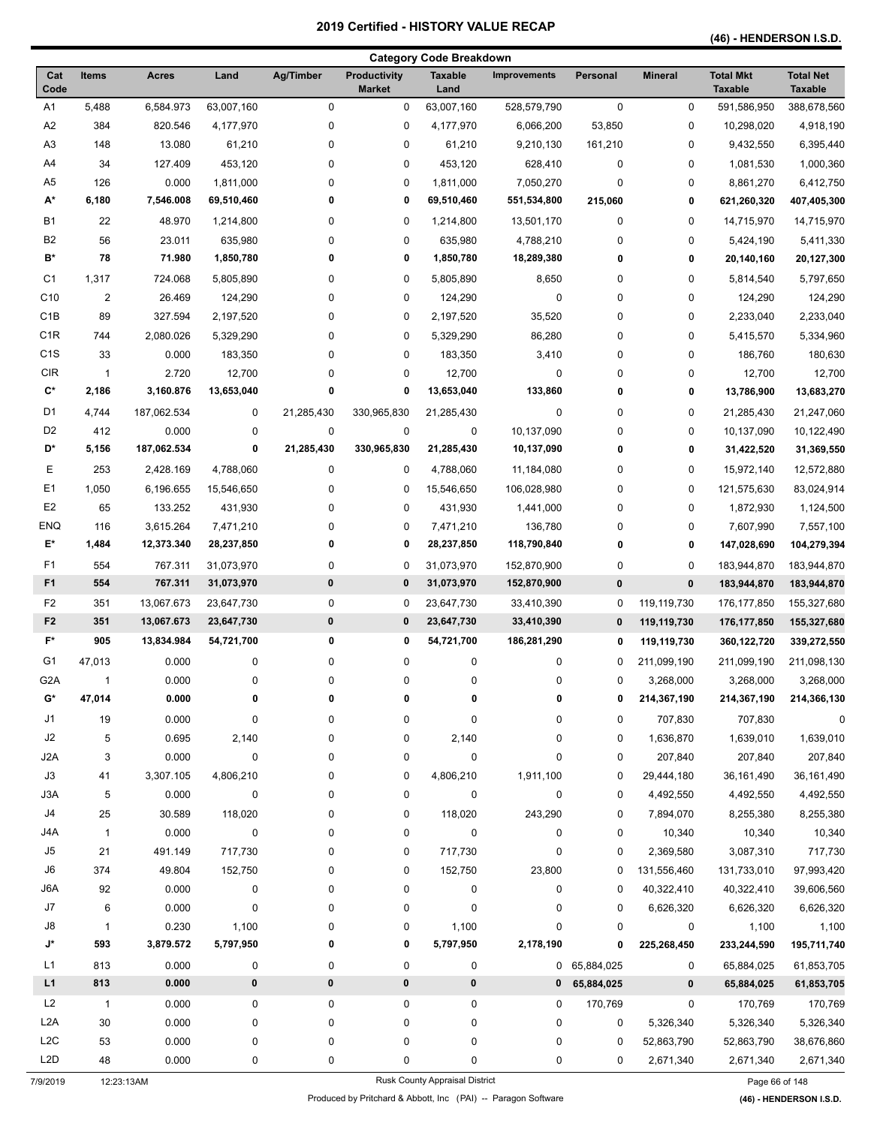**(46) - HENDERSON I.S.D.** 

|                       |                     |                    |                    |             |                                      | <b>Category Code Breakdown</b> |                     |              |                          |                                    |                                    |
|-----------------------|---------------------|--------------------|--------------------|-------------|--------------------------------------|--------------------------------|---------------------|--------------|--------------------------|------------------------------------|------------------------------------|
| Cat<br>Code           | <b>Items</b>        | <b>Acres</b>       | Land               | Ag/Timber   | <b>Productivity</b><br><b>Market</b> | <b>Taxable</b><br>Land         | <b>Improvements</b> | Personal     | <b>Mineral</b>           | <b>Total Mkt</b><br><b>Taxable</b> | <b>Total Net</b><br><b>Taxable</b> |
| A1                    | 5,488               | 6,584.973          | 63,007,160         | 0           | 0                                    | 63,007,160                     | 528,579,790         | $\mathbf 0$  | 0                        | 591,586,950                        | 388,678,560                        |
| A <sub>2</sub>        | 384                 | 820.546            | 4,177,970          | 0           | 0                                    | 4,177,970                      | 6,066,200           | 53,850       | 0                        | 10,298,020                         | 4,918,190                          |
| A <sub>3</sub>        | 148                 | 13.080             | 61,210             | 0           | 0                                    | 61,210                         | 9,210,130           | 161,210      | 0                        | 9,432,550                          | 6,395,440                          |
| A4                    | 34                  | 127.409            | 453,120            | 0           | 0                                    | 453,120                        | 628,410             | 0            | 0                        | 1,081,530                          | 1,000,360                          |
| A <sub>5</sub>        | 126                 | 0.000              | 1,811,000          | 0           | 0                                    | 1,811,000                      | 7,050,270           | 0            | 0                        | 8,861,270                          | 6,412,750                          |
| A*                    | 6,180               | 7,546.008          | 69,510,460         | 0           | 0                                    | 69,510,460                     | 551,534,800         | 215,060      | 0                        | 621,260,320                        | 407,405,300                        |
| <b>B1</b>             | 22                  | 48.970             | 1,214,800          | 0           | 0                                    | 1,214,800                      | 13,501,170          | 0            | 0                        | 14,715,970                         | 14,715,970                         |
| B <sub>2</sub>        | 56                  | 23.011             | 635,980            | 0           | 0                                    | 635,980                        | 4,788,210           | 0            | 0                        | 5,424,190                          | 5,411,330                          |
| B*                    | 78                  | 71.980             | 1,850,780          | 0           | 0                                    | 1,850,780                      | 18,289,380          | 0            | 0                        | 20,140,160                         | 20,127,300                         |
| C1                    | 1,317               | 724.068            | 5,805,890          | 0           | 0                                    | 5,805,890                      | 8,650               | 0            | 0                        | 5,814,540                          | 5,797,650                          |
| C10                   | $\overline{c}$      | 26.469             | 124,290            | 0           | $\pmb{0}$                            | 124,290                        | $\pmb{0}$           | 0            | 0                        | 124,290                            | 124,290                            |
| C <sub>1</sub> B      | 89                  | 327.594            | 2,197,520          | 0           | 0                                    | 2,197,520                      | 35,520              | 0            | 0                        | 2,233,040                          | 2,233,040                          |
| C <sub>1</sub> R      | 744                 | 2,080.026          | 5,329,290          | 0           | 0                                    | 5,329,290                      | 86,280              | 0            | 0                        | 5,415,570                          | 5,334,960                          |
| C <sub>1</sub> S      | 33                  | 0.000              | 183,350            | 0           | 0                                    | 183,350                        | 3,410               | 0            | 0                        | 186,760                            | 180,630                            |
| <b>CIR</b>            | -1                  | 2.720              | 12,700             | 0           | 0                                    | 12,700                         | 0                   | 0            | 0                        | 12,700                             | 12,700                             |
| C*                    | 2,186               | 3,160.876          | 13,653,040         | 0           | 0                                    | 13,653,040                     | 133,860             | 0            | 0                        | 13,786,900                         | 13,683,270                         |
| D1                    | 4,744               | 187,062.534        | 0                  | 21,285,430  | 330,965,830                          | 21,285,430                     | 0                   | 0            | 0                        | 21,285,430                         | 21,247,060                         |
| D <sub>2</sub>        | 412                 | 0.000              | 0                  | $\mathbf 0$ | 0                                    | 0                              | 10,137,090          | 0            | 0                        | 10,137,090                         | 10,122,490                         |
| D*                    | 5,156               | 187,062.534        | 0                  | 21,285,430  | 330,965,830                          | 21,285,430                     | 10,137,090          | 0            | 0                        | 31,422,520                         | 31,369,550                         |
| Е                     | 253                 | 2,428.169          | 4,788,060          | 0           | 0                                    | 4,788,060                      | 11,184,080          | 0            | 0                        | 15,972,140                         | 12,572,880                         |
| E1                    | 1,050               | 6,196.655          | 15,546,650         | 0           | 0                                    | 15,546,650                     | 106,028,980         | 0            | 0                        | 121,575,630                        | 83,024,914                         |
| E <sub>2</sub>        | 65                  | 133.252            | 431,930            | 0           | 0                                    | 431,930                        | 1,441,000           | 0            | 0                        | 1,872,930                          | 1,124,500                          |
| ENQ                   | 116                 | 3,615.264          | 7,471,210          | 0           | 0                                    | 7,471,210                      | 136,780             | 0            | 0                        | 7,607,990                          | 7,557,100                          |
| E*                    | 1,484               | 12,373.340         | 28,237,850         | 0           | 0                                    | 28,237,850                     | 118,790,840         | 0            | 0                        | 147,028,690                        | 104,279,394                        |
| F <sub>1</sub>        | 554                 | 767.311            | 31,073,970         | 0           | 0                                    | 31,073,970                     | 152,870,900         | 0            | 0                        | 183,944,870                        | 183,944,870                        |
| F <sub>1</sub>        | 554                 | 767.311            | 31,073,970         | $\pmb{0}$   | 0                                    | 31,073,970                     | 152,870,900         | $\bf{0}$     | $\pmb{0}$                | 183,944,870                        | 183,944,870                        |
| F <sub>2</sub>        | 351                 | 13,067.673         | 23,647,730         | 0           | 0                                    | 23,647,730                     | 33,410,390          | 0            | 119,119,730              | 176, 177, 850                      | 155,327,680                        |
| F <sub>2</sub>        | 351                 | 13,067.673         | 23,647,730         | $\bf{0}$    | 0                                    | 23,647,730                     | 33,410,390          | $\bf{0}$     | 119,119,730              | 176,177,850                        | 155,327,680                        |
| F*                    | 905                 | 13,834.984         | 54,721,700         | 0           | 0                                    | 54,721,700                     | 186,281,290         | 0            | 119,119,730              | 360,122,720                        | 339,272,550                        |
| G1                    | 47,013              | 0.000              | 0                  | 0           | 0                                    | 0                              | 0                   | 0            | 211,099,190              | 211,099,190                        | 211,098,130                        |
| G <sub>2</sub> A      | $\mathbf{1}$        | 0.000              | 0                  | 0           | 0                                    | 0                              | 0                   | 0            |                          | 3,268,000                          | 3,268,000                          |
| G*                    | 47,014              | 0.000              | 0                  | 0           | 0                                    | 0                              | 0                   | 0            | 3,268,000<br>214,367,190 | 214,367,190                        | 214,366,130                        |
|                       |                     |                    |                    |             |                                      |                                |                     |              |                          |                                    |                                    |
| J1                    | 19                  | 0.000              | 0                  | 0           | 0                                    | 0                              | 0                   | 0            | 707,830                  | 707,830                            | $\mathbf 0$                        |
| J2                    | 5                   | 0.695              | 2,140              | 0           | 0                                    | 2,140                          | 0                   | 0            | 1,636,870                | 1,639,010                          | 1,639,010                          |
| J <sub>2</sub> A      | 3                   | 0.000              | 0                  | 0           | 0                                    | 0                              | 0                   | 0            | 207,840                  | 207,840                            | 207,840                            |
| J3                    | 41                  | 3,307.105          | 4,806,210          | 0           | 0                                    | 4,806,210                      | 1,911,100           | 0            | 29,444,180               | 36, 161, 490                       | 36, 161, 490                       |
| J3A<br>J <sub>4</sub> | 5                   | 0.000              | $\boldsymbol{0}$   | 0           | $\pmb{0}$                            | 0                              | $\pmb{0}$           | 0            | 4,492,550                | 4,492,550                          | 4,492,550                          |
|                       | 25                  | 30.589             | 118,020            | 0           | 0                                    | 118,020                        | 243,290             | 0            | 7,894,070                | 8,255,380                          | 8,255,380                          |
| J4A                   | $\mathbf{1}$        | 0.000              | $\pmb{0}$          | 0           | 0                                    | 0                              | 0                   | 0            | 10,340                   | 10,340                             | 10,340                             |
| J5<br>J6              | 21<br>374           | 491.149            | 717,730            | 0           | 0                                    | 717,730                        | 0                   | 0            | 2,369,580                | 3,087,310                          | 717,730                            |
|                       |                     | 49.804             | 152,750            | 0           | $\pmb{0}$                            | 152,750                        | 23,800              | 0            | 131,556,460              | 131,733,010                        | 97,993,420                         |
| J6A                   | 92                  | 0.000              | $\boldsymbol{0}$   | 0           | $\pmb{0}$                            | 0                              | $\pmb{0}$           | 0            | 40,322,410               | 40,322,410                         | 39,606,560                         |
| J7                    | 6                   | 0.000              | $\mathbf 0$        | 0           | 0                                    | 0                              | 0                   | 0            | 6,626,320                | 6,626,320                          | 6,626,320                          |
| J8<br>J*              | $\mathbf{1}$<br>593 | 0.230<br>3,879.572 | 1,100<br>5,797,950 | 0<br>0      | 0<br>0                               | 1,100<br>5,797,950             | 0<br>2,178,190      | 0<br>0       | 0<br>225,268,450         | 1,100                              | 1,100                              |
|                       |                     |                    |                    |             |                                      |                                |                     |              |                          | 233,244,590                        | 195,711,740                        |
| L1                    | 813                 | 0.000              | 0                  | 0           | $\pmb{0}$                            | 0                              |                     | 0 65,884,025 | 0                        | 65,884,025                         | 61,853,705                         |
| L1                    | 813                 | 0.000              | $\pmb{0}$          | $\pmb{0}$   | $\pmb{0}$                            | 0                              |                     | 0 65,884,025 | 0                        | 65,884,025                         | 61,853,705                         |
| L2                    | $\mathbf{1}$        | 0.000              | 0                  | 0           | $\pmb{0}$                            | 0                              | 0                   | 170,769      | 0                        | 170,769                            | 170,769                            |
| L <sub>2</sub> A      | 30                  | 0.000              | 0                  | 0           | 0                                    | 0                              | $\pmb{0}$           | 0            | 5,326,340                | 5,326,340                          | 5,326,340                          |
| L <sub>2</sub> C      | 53                  | 0.000              | 0                  | 0           | $\pmb{0}$                            | 0                              | $\pmb{0}$           | 0            | 52,863,790               | 52,863,790                         | 38,676,860                         |
| L <sub>2</sub> D      | 48                  | 0.000              | 0                  | 0           | 0                                    | 0                              | 0                   | 0            | 2,671,340                | 2,671,340                          | 2,671,340                          |

7/9/2019 12:23:13AM Rusk County Appraisal District Page 66 of 148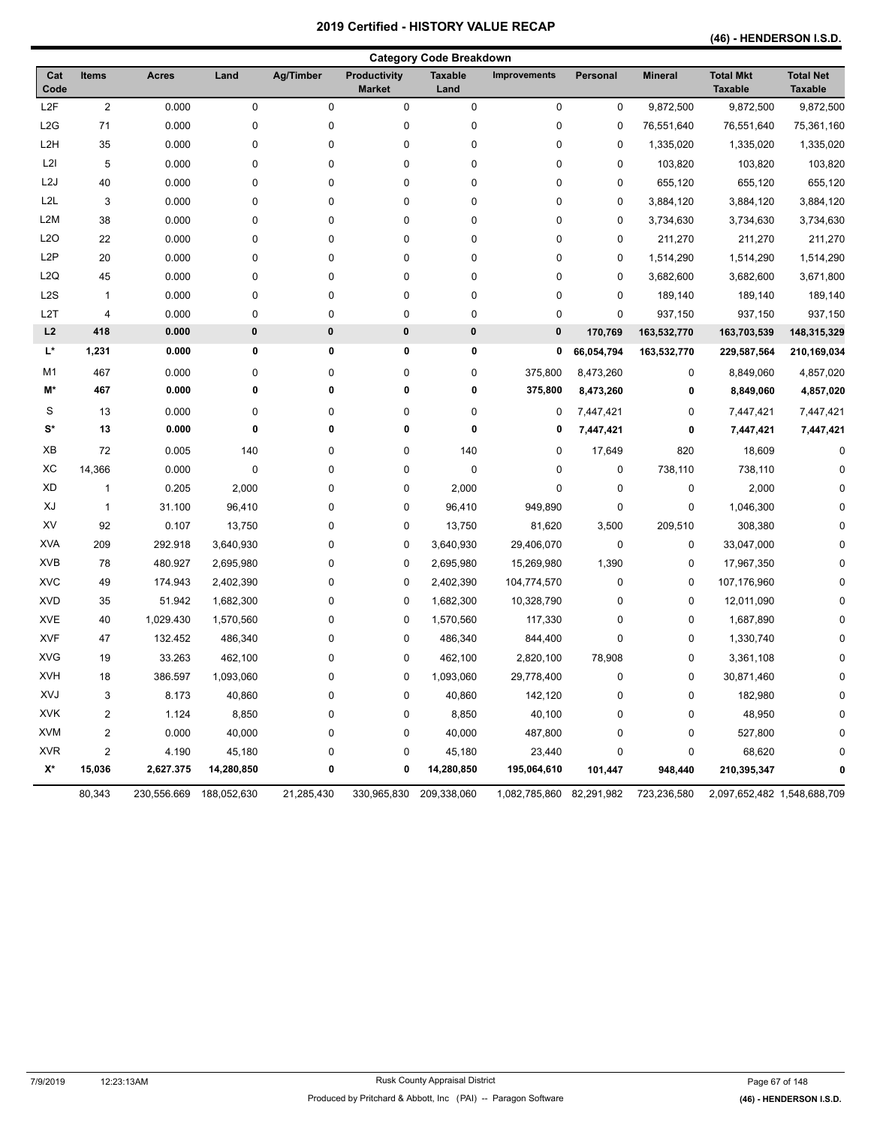**(46) - HENDERSON I.S.D.** 

|                  |                         |                         |             |            |                               | <b>Category Code Breakdown</b> |                          |            |                |                                    |                                    |
|------------------|-------------------------|-------------------------|-------------|------------|-------------------------------|--------------------------------|--------------------------|------------|----------------|------------------------------------|------------------------------------|
| Cat<br>Code      | Items                   | <b>Acres</b>            | Land        | Ag/Timber  | Productivity<br><b>Market</b> | <b>Taxable</b><br>Land         | <b>Improvements</b>      | Personal   | <b>Mineral</b> | <b>Total Mkt</b><br><b>Taxable</b> | <b>Total Net</b><br><b>Taxable</b> |
| L2F              | $\overline{c}$          | 0.000                   | 0           | 0          | 0                             | 0                              | $\pmb{0}$                | 0          | 9,872,500      | 9,872,500                          | 9,872,500                          |
| L2G              | 71                      | 0.000                   | 0           | 0          | 0                             | 0                              | $\pmb{0}$                | 0          | 76,551,640     | 76,551,640                         | 75,361,160                         |
| L <sub>2</sub> H | 35                      | 0.000                   | 0           | 0          | 0                             | 0                              | 0                        | 0          | 1,335,020      | 1,335,020                          | 1,335,020                          |
| L <sub>2</sub> I | 5                       | 0.000                   | 0           | 0          | 0                             | 0                              | 0                        | 0          | 103,820        | 103,820                            | 103,820                            |
| L <sub>2</sub> J | 40                      | 0.000                   | 0           | 0          | 0                             | 0                              | 0                        | 0          | 655,120        | 655,120                            | 655,120                            |
| L2L              | 3                       | 0.000                   | 0           | 0          | 0                             | 0                              | $\pmb{0}$                | 0          | 3,884,120      | 3,884,120                          | 3,884,120                          |
| L <sub>2</sub> M | 38                      | 0.000                   | 0           | 0          | 0                             | 0                              | $\pmb{0}$                | 0          | 3,734,630      | 3,734,630                          | 3,734,630                          |
| L <sub>20</sub>  | 22                      | 0.000                   | 0           | 0          | 0                             | 0                              | $\pmb{0}$                | 0          | 211,270        | 211,270                            | 211,270                            |
| L <sub>2</sub> P | 20                      | 0.000                   | 0           | 0          | 0                             | 0                              | 0                        | 0          | 1,514,290      | 1,514,290                          | 1,514,290                          |
| L2Q              | 45                      | 0.000                   | 0           | 0          | 0                             | 0                              | 0                        | 0          | 3,682,600      | 3,682,600                          | 3,671,800                          |
| L2S              | $\mathbf{1}$            | 0.000                   | 0           | 0          | 0                             | 0                              | 0                        | 0          | 189,140        | 189,140                            | 189,140                            |
| L <sub>2</sub> T | 4                       | 0.000                   | 0           | 0          | 0                             | 0                              | $\pmb{0}$                | $\pmb{0}$  | 937,150        | 937,150                            | 937,150                            |
| L2               | 418                     | 0.000                   | $\pmb{0}$   | $\bf{0}$   | 0                             | $\pmb{0}$                      | 0                        | 170,769    | 163,532,770    | 163,703,539                        | 148,315,329                        |
| L*               | 1,231                   | 0.000                   | 0           | 0          | 0                             | 0                              | 0                        | 66,054,794 | 163,532,770    | 229,587,564                        | 210,169,034                        |
| M1               | 467                     | 0.000                   | 0           | 0          | 0                             | 0                              | 375,800                  | 8,473,260  | 0              | 8,849,060                          | 4,857,020                          |
| M*               | 467                     | 0.000                   | 0           | 0          | 0                             | 0                              | 375,800                  | 8,473,260  | 0              | 8,849,060                          | 4,857,020                          |
| S                | 13                      | 0.000                   | 0           | 0          | 0                             | 0                              | 0                        | 7,447,421  | 0              | 7,447,421                          | 7,447,421                          |
| $S^*$            | 13                      | 0.000                   | 0           | 0          | 0                             | 0                              | 0                        | 7,447,421  | 0              | 7,447,421                          | 7,447,421                          |
| XB               | 72                      | 0.005                   | 140         | 0          | 0                             | 140                            | $\pmb{0}$                | 17,649     | 820            | 18,609                             | 0                                  |
| ХC               | 14,366                  | 0.000                   | $\mathbf 0$ | 0          | 0                             | 0                              | $\pmb{0}$                | 0          | 738,110        | 738,110                            | $\Omega$                           |
| XD               | 1                       | 0.205                   | 2,000       | 0          | 0                             | 2,000                          | $\pmb{0}$                | 0          | 0              | 2,000                              | $\Omega$                           |
| XJ               | $\mathbf{1}$            | 31.100                  | 96,410      | 0          | 0                             | 96,410                         | 949,890                  | 0          | 0              | 1,046,300                          | n                                  |
| XV               | 92                      | 0.107                   | 13,750      | 0          | 0                             | 13,750                         | 81,620                   | 3,500      | 209,510        | 308,380                            | O                                  |
| <b>XVA</b>       | 209                     | 292.918                 | 3,640,930   | 0          | 0                             | 3,640,930                      | 29,406,070               | 0          | 0              | 33,047,000                         | $\Omega$                           |
| <b>XVB</b>       | 78                      | 480.927                 | 2,695,980   | $\pmb{0}$  | 0                             | 2,695,980                      | 15,269,980               | 1,390      | 0              | 17,967,350                         | $\Omega$                           |
| <b>XVC</b>       | 49                      | 174.943                 | 2,402,390   | 0          | 0                             | 2,402,390                      | 104,774,570              | 0          | 0              | 107,176,960                        | $\Omega$                           |
| <b>XVD</b>       | 35                      | 51.942                  | 1,682,300   | 0          | 0                             | 1,682,300                      | 10,328,790               | 0          | 0              | 12,011,090                         | $\Omega$                           |
| <b>XVE</b>       | 40                      | 1,029.430               | 1,570,560   | 0          | 0                             | 1,570,560                      | 117,330                  | 0          | 0              | 1,687,890                          | O                                  |
| <b>XVF</b>       | 47                      | 132.452                 | 486,340     | 0          | 0                             | 486,340                        | 844,400                  | 0          | 0              | 1,330,740                          | n                                  |
| <b>XVG</b>       | 19                      | 33.263                  | 462,100     | 0          | 0                             | 462,100                        | 2,820,100                | 78,908     | 0              | 3,361,108                          | $\Omega$                           |
| <b>XVH</b>       | 18                      | 386.597                 | 1,093,060   | 0          | 0                             | 1,093,060                      | 29,778,400               | 0          | 0              | 30,871,460                         | 0                                  |
| XVJ              | 3                       | 8.173                   | 40,860      | 0          | 0                             | 40,860                         | 142,120                  | 0          | 0              | 182,980                            | 0                                  |
| <b>XVK</b>       | $\overline{c}$          | 1.124                   | 8,850       | 0          | 0                             | 8,850                          | 40,100                   | 0          | 0              | 48,950                             | 0                                  |
| <b>XVM</b>       | $\overline{\mathbf{c}}$ | 0.000                   | 40,000      | 0          | 0                             | 40,000                         | 487,800                  | 0          | 0              | 527,800                            | 0                                  |
| <b>XVR</b>       | $\overline{\mathbf{c}}$ | 4.190                   | 45,180      | 0          | 0                             | 45,180                         | 23,440                   | 0          | 0              | 68,620                             | 0                                  |
| X*               | 15,036                  | 2,627.375               | 14,280,850  | 0          | 0                             | 14,280,850                     | 195,064,610              | 101,447    | 948,440        | 210,395,347                        | 0                                  |
|                  | 80,343                  | 230,556.669 188,052,630 |             | 21,285,430 |                               | 330,965,830 209,338,060        | 1,082,785,860 82,291,982 |            | 723,236,580    | 2,097,652,482 1,548,688,709        |                                    |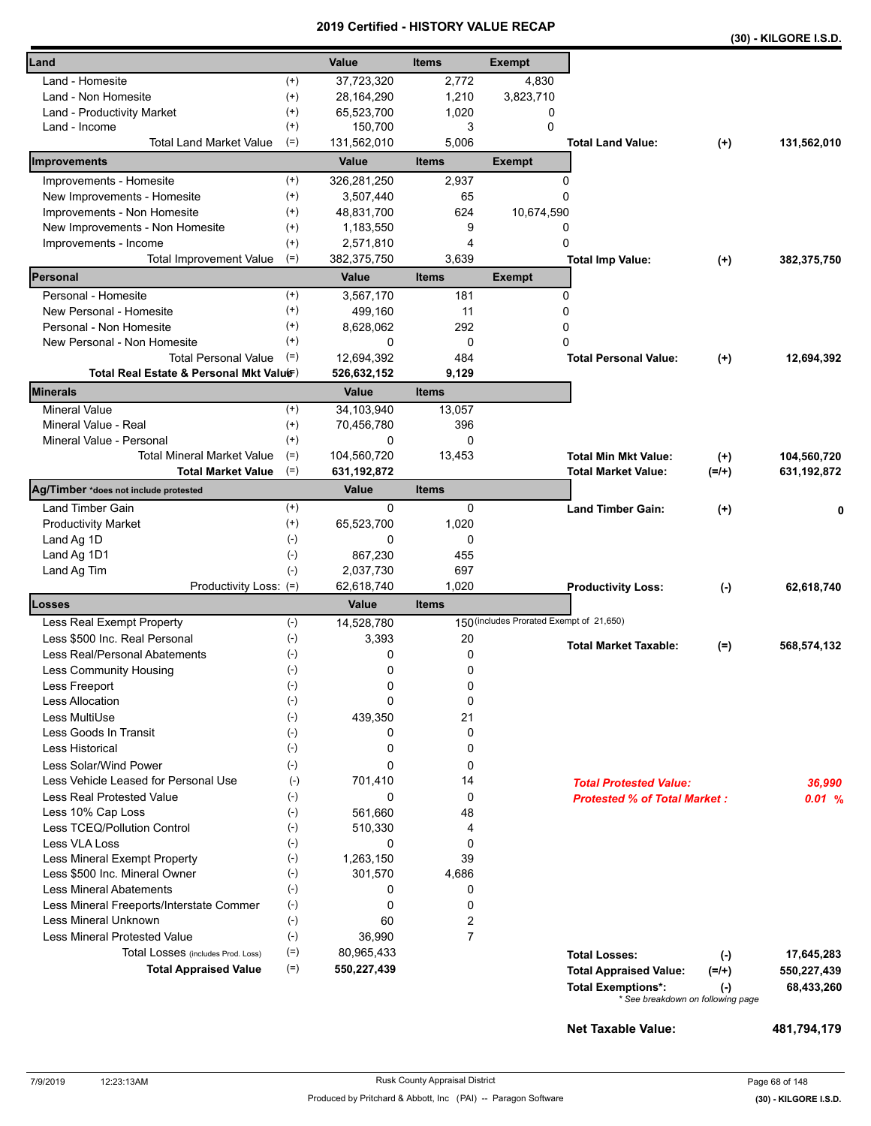|                                                                         |                                                                                                      |                                                                                             |                                                        |                                          |                                                                                    |                               | (30) - KILGORE I.S.D.                   |
|-------------------------------------------------------------------------|------------------------------------------------------------------------------------------------------|---------------------------------------------------------------------------------------------|--------------------------------------------------------|------------------------------------------|------------------------------------------------------------------------------------|-------------------------------|-----------------------------------------|
| Land                                                                    |                                                                                                      | Value                                                                                       | <b>Items</b>                                           | <b>Exempt</b>                            |                                                                                    |                               |                                         |
| Land - Homesite                                                         | $^{(+)}$                                                                                             | 37,723,320                                                                                  | 2,772                                                  | 4,830                                    |                                                                                    |                               |                                         |
| Land - Non Homesite                                                     | $^{(+)}$                                                                                             | 28,164,290                                                                                  | 1,210                                                  | 3,823,710                                |                                                                                    |                               |                                         |
| Land - Productivity Market                                              | $^{(+)}$                                                                                             | 65,523,700                                                                                  | 1,020                                                  | 0                                        |                                                                                    |                               |                                         |
| Land - Income                                                           | $^{(+)}$                                                                                             | 150,700                                                                                     | 3                                                      | $\Omega$                                 |                                                                                    |                               |                                         |
| Total Land Market Value                                                 | $(=)$                                                                                                | 131,562,010                                                                                 | 5,006                                                  |                                          | <b>Total Land Value:</b>                                                           | $(+)$                         | 131,562,010                             |
| Improvements                                                            |                                                                                                      | Value                                                                                       | <b>Items</b>                                           | <b>Exempt</b>                            |                                                                                    |                               |                                         |
| Improvements - Homesite                                                 | $^{(+)}$                                                                                             | 326,281,250                                                                                 | 2,937                                                  |                                          | 0                                                                                  |                               |                                         |
| New Improvements - Homesite                                             | $^{(+)}$                                                                                             | 3,507,440                                                                                   | 65                                                     |                                          | 0                                                                                  |                               |                                         |
| Improvements - Non Homesite                                             | $^{(+)}$                                                                                             | 48,831,700                                                                                  | 624                                                    | 10,674,590                               |                                                                                    |                               |                                         |
| New Improvements - Non Homesite                                         | $^{(+)}$                                                                                             | 1,183,550                                                                                   | 9                                                      |                                          | 0                                                                                  |                               |                                         |
| Improvements - Income                                                   | $^{(+)}$                                                                                             | 2,571,810                                                                                   | 4                                                      |                                          | 0                                                                                  |                               |                                         |
| <b>Total Improvement Value</b>                                          | $(=)$                                                                                                | 382,375,750                                                                                 | 3,639                                                  |                                          | <b>Total Imp Value:</b>                                                            | $^{(+)}$                      | 382,375,750                             |
| Personal                                                                |                                                                                                      | Value                                                                                       | <b>Items</b>                                           | <b>Exempt</b>                            |                                                                                    |                               |                                         |
| Personal - Homesite                                                     | $^{(+)}$                                                                                             | 3,567,170                                                                                   | 181                                                    |                                          | 0                                                                                  |                               |                                         |
| New Personal - Homesite                                                 | $^{(+)}$                                                                                             | 499,160                                                                                     | 11                                                     |                                          | 0                                                                                  |                               |                                         |
| Personal - Non Homesite                                                 | $^{(+)}$                                                                                             | 8,628,062                                                                                   | 292                                                    |                                          | 0                                                                                  |                               |                                         |
| New Personal - Non Homesite                                             | $^{(+)}$                                                                                             | 0                                                                                           | 0                                                      |                                          | $\Omega$                                                                           |                               |                                         |
| <b>Total Personal Value</b>                                             | $(=)$                                                                                                | 12.694.392                                                                                  | 484                                                    |                                          | <b>Total Personal Value:</b>                                                       | $(+)$                         | 12,694,392                              |
| Total Real Estate & Personal Mkt Valuer)<br><b>Minerals</b>             |                                                                                                      | 526,632,152<br><b>Value</b>                                                                 | 9,129<br><b>Items</b>                                  |                                          |                                                                                    |                               |                                         |
| <b>Mineral Value</b>                                                    | $(+)$                                                                                                | 34,103,940                                                                                  | 13,057                                                 |                                          |                                                                                    |                               |                                         |
| Mineral Value - Real                                                    | $^{(+)}$                                                                                             | 70,456,780                                                                                  | 396                                                    |                                          |                                                                                    |                               |                                         |
| Mineral Value - Personal                                                | $^{(+)}$                                                                                             | 0                                                                                           | 0                                                      |                                          |                                                                                    |                               |                                         |
| <b>Total Mineral Market Value</b>                                       | $(=)$                                                                                                | 104,560,720                                                                                 | 13,453                                                 |                                          | <b>Total Min Mkt Value:</b>                                                        |                               | 104,560,720                             |
| <b>Total Market Value</b>                                               | $(=)$                                                                                                | 631, 192, 872                                                                               |                                                        |                                          | <b>Total Market Value:</b>                                                         | $(+)$<br>$(=/+)$              | 631, 192, 872                           |
| Ag/Timber *does not include protested                                   |                                                                                                      | Value                                                                                       | <b>Items</b>                                           |                                          |                                                                                    |                               |                                         |
| Land Timber Gain                                                        | $^{(+)}$                                                                                             | 0                                                                                           | 0                                                      |                                          | <b>Land Timber Gain:</b>                                                           | $(+)$                         | 0                                       |
| <b>Productivity Market</b>                                              | $^{(+)}$                                                                                             | 65,523,700                                                                                  | 1,020                                                  |                                          |                                                                                    |                               |                                         |
| Land Ag 1D                                                              | $(\text{-})$                                                                                         | 0                                                                                           | 0                                                      |                                          |                                                                                    |                               |                                         |
| Land Ag 1D1                                                             | $(-)$                                                                                                | 867,230                                                                                     | 455                                                    |                                          |                                                                                    |                               |                                         |
| Land Ag Tim                                                             | $(-)$                                                                                                | 2,037,730                                                                                   | 697                                                    |                                          |                                                                                    |                               |                                         |
| Productivity Loss: (=)                                                  |                                                                                                      | 62,618,740                                                                                  | 1,020                                                  |                                          | <b>Productivity Loss:</b>                                                          | $(-)$                         | 62,618,740                              |
| Losses                                                                  |                                                                                                      | Value                                                                                       | <b>Items</b>                                           |                                          |                                                                                    |                               |                                         |
| Less Real Exempt Property                                               | $(-)$                                                                                                | 14,528,780                                                                                  |                                                        | 150 (includes Prorated Exempt of 21,650) |                                                                                    |                               |                                         |
| Less \$500 Inc. Real Personal                                           | $(\text{-})$                                                                                         | 3,393                                                                                       | 20                                                     |                                          | <b>Total Market Taxable:</b>                                                       | $(=)$                         | 568,574,132                             |
| Less Real/Personal Abatements                                           | $(\text{-})$                                                                                         | 0                                                                                           | 0                                                      |                                          |                                                                                    |                               |                                         |
| Less Community Housing                                                  | $(\text{-})$                                                                                         | 0                                                                                           | 0                                                      |                                          |                                                                                    |                               |                                         |
| Less Freeport                                                           | $(\text{-})$                                                                                         | 0                                                                                           | 0                                                      |                                          |                                                                                    |                               |                                         |
| <b>Less Allocation</b>                                                  | $(-)$                                                                                                | 0                                                                                           | 0                                                      |                                          |                                                                                    |                               |                                         |
| Less MultiUse                                                           | $(-)$                                                                                                | 439,350                                                                                     | 21                                                     |                                          |                                                                                    |                               |                                         |
| Less Goods In Transit                                                   | $(\text{-})$                                                                                         | 0                                                                                           | 0                                                      |                                          |                                                                                    |                               |                                         |
| <b>Less Historical</b>                                                  | $(-)$                                                                                                | 0                                                                                           | 0                                                      |                                          |                                                                                    |                               |                                         |
| Less Solar/Wind Power                                                   | $(-)$                                                                                                | 0                                                                                           | 0                                                      |                                          |                                                                                    |                               |                                         |
| Less Vehicle Leased for Personal Use                                    | $(-)$                                                                                                | 701,410                                                                                     | 14                                                     |                                          | <b>Total Protested Value:</b>                                                      |                               | 36.990                                  |
| Less Real Protested Value                                               | $(-)$                                                                                                | 0                                                                                           | 0                                                      |                                          | <b>Protested % of Total Market:</b>                                                |                               | 0.01%                                   |
| Less 10% Cap Loss                                                       | $(-)$                                                                                                | 561,660                                                                                     | 48                                                     |                                          |                                                                                    |                               |                                         |
| Less TCEQ/Pollution Control                                             |                                                                                                      |                                                                                             |                                                        |                                          |                                                                                    |                               |                                         |
| <b>Less VLA Loss</b>                                                    |                                                                                                      |                                                                                             |                                                        |                                          |                                                                                    |                               |                                         |
| Less Mineral Exempt Property                                            |                                                                                                      |                                                                                             |                                                        |                                          |                                                                                    |                               |                                         |
| Less \$500 Inc. Mineral Owner                                           |                                                                                                      |                                                                                             |                                                        |                                          |                                                                                    |                               |                                         |
| <b>Less Mineral Abatements</b>                                          |                                                                                                      |                                                                                             |                                                        |                                          |                                                                                    |                               |                                         |
| Less Mineral Freeports/Interstate Commer<br><b>Less Mineral Unknown</b> |                                                                                                      |                                                                                             |                                                        |                                          |                                                                                    |                               |                                         |
| <b>Less Mineral Protested Value</b>                                     |                                                                                                      |                                                                                             |                                                        |                                          |                                                                                    |                               |                                         |
|                                                                         |                                                                                                      |                                                                                             |                                                        |                                          |                                                                                    |                               |                                         |
| Total Losses (includes Prod. Loss)                                      |                                                                                                      |                                                                                             |                                                        |                                          |                                                                                    |                               |                                         |
| <b>Total Appraised Value</b>                                            |                                                                                                      |                                                                                             |                                                        |                                          |                                                                                    |                               |                                         |
|                                                                         |                                                                                                      |                                                                                             |                                                        |                                          |                                                                                    |                               |                                         |
|                                                                         | $(-)$<br>$(-)$<br>$(-)$<br>$(\text{-})$<br>$(-)$<br>$(-)$<br>$(\text{-})$<br>$(-)$<br>$(=)$<br>$(=)$ | 510,330<br>0<br>1,263,150<br>301,570<br>0<br>0<br>60<br>36,990<br>80,965,433<br>550,227,439 | 4<br>0<br>39<br>4,686<br>0<br>0<br>2<br>$\overline{7}$ |                                          | <b>Total Losses:</b><br><b>Total Appraised Value:</b><br><b>Total Exemptions*:</b> | $(-)$<br>$(=/+)$<br>$(\cdot)$ | 17,645,283<br>550,227,439<br>68,433,260 |

**Net Taxable Value: 481,794,179**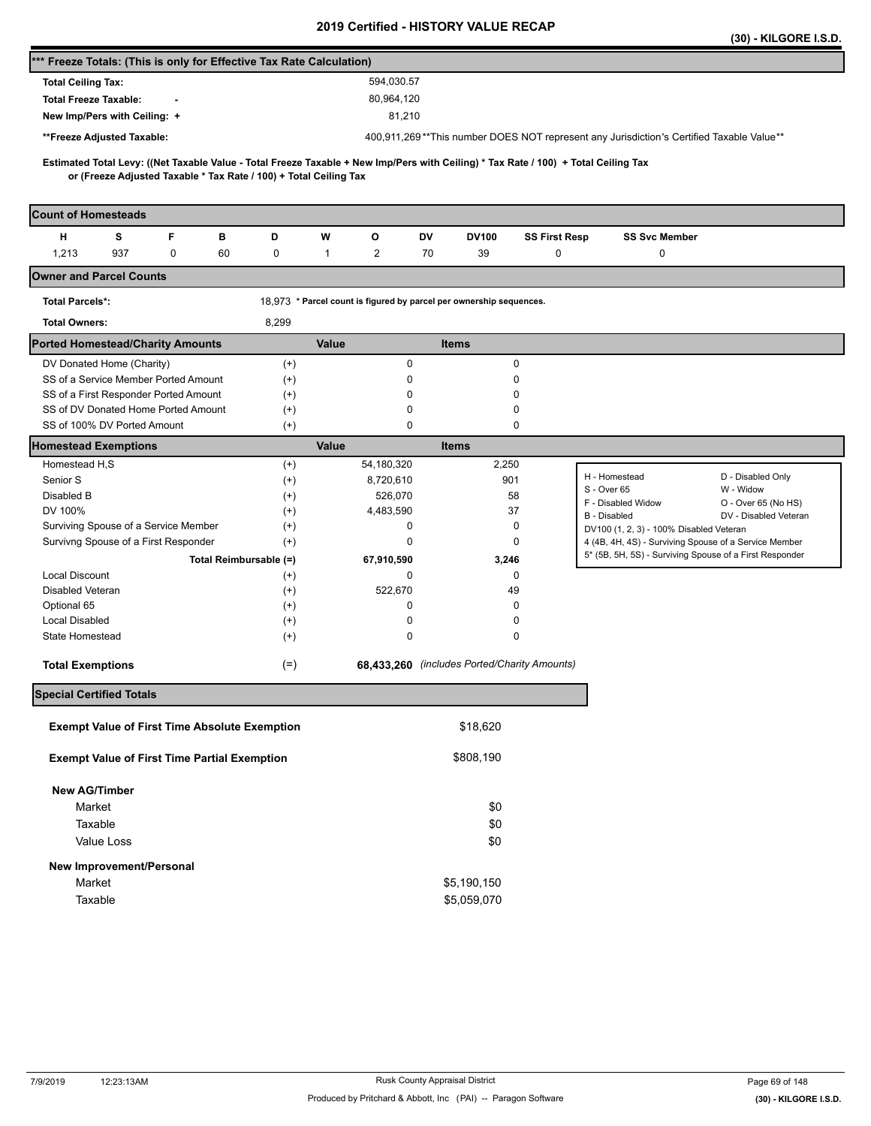|                                                                                                                                                                                                          |                      |                                                                     |                                              |                      |                                                                                                  | (30) - KILGORE I.S.D.          |
|----------------------------------------------------------------------------------------------------------------------------------------------------------------------------------------------------------|----------------------|---------------------------------------------------------------------|----------------------------------------------|----------------------|--------------------------------------------------------------------------------------------------|--------------------------------|
| *** Freeze Totals: (This is only for Effective Tax Rate Calculation)                                                                                                                                     |                      |                                                                     |                                              |                      |                                                                                                  |                                |
| <b>Total Ceiling Tax:</b>                                                                                                                                                                                |                      | 594,030.57                                                          |                                              |                      |                                                                                                  |                                |
| <b>Total Freeze Taxable:</b>                                                                                                                                                                             |                      | 80,964,120                                                          |                                              |                      |                                                                                                  |                                |
| New Imp/Pers with Ceiling: +                                                                                                                                                                             |                      | 81,210                                                              |                                              |                      |                                                                                                  |                                |
| **Freeze Adjusted Taxable:                                                                                                                                                                               |                      |                                                                     |                                              |                      | 400,911,269**This number DOES NOT represent any Jurisdiction's Certified Taxable Value**         |                                |
|                                                                                                                                                                                                          |                      |                                                                     |                                              |                      |                                                                                                  |                                |
| Estimated Total Levy: ((Net Taxable Value - Total Freeze Taxable + New Imp/Pers with Ceiling) * Tax Rate / 100) + Total Ceiling Tax<br>or (Freeze Adjusted Taxable * Tax Rate / 100) + Total Ceiling Tax |                      |                                                                     |                                              |                      |                                                                                                  |                                |
|                                                                                                                                                                                                          |                      |                                                                     |                                              |                      |                                                                                                  |                                |
| <b>Count of Homesteads</b>                                                                                                                                                                               |                      |                                                                     |                                              |                      |                                                                                                  |                                |
| F<br>н<br>s<br>в                                                                                                                                                                                         | D                    | w<br>o                                                              | DV<br>DV100                                  | <b>SS First Resp</b> | <b>SS Svc Member</b>                                                                             |                                |
| 1,213<br>937<br>0<br>60                                                                                                                                                                                  | 0                    | $\mathbf{1}$<br>2                                                   | 70<br>39                                     | 0                    | 0                                                                                                |                                |
| <b>Owner and Parcel Counts</b>                                                                                                                                                                           |                      |                                                                     |                                              |                      |                                                                                                  |                                |
| <b>Total Parcels*:</b>                                                                                                                                                                                   |                      | 18,973 * Parcel count is figured by parcel per ownership sequences. |                                              |                      |                                                                                                  |                                |
| <b>Total Owners:</b>                                                                                                                                                                                     | 8,299                |                                                                     |                                              |                      |                                                                                                  |                                |
| <b>Ported Homestead/Charity Amounts</b>                                                                                                                                                                  |                      | <b>Value</b>                                                        | <b>Items</b>                                 |                      |                                                                                                  |                                |
| DV Donated Home (Charity)                                                                                                                                                                                | $^{(+)}$             | 0                                                                   | 0                                            |                      |                                                                                                  |                                |
| SS of a Service Member Ported Amount                                                                                                                                                                     | $^{(+)}$             | 0                                                                   | 0                                            |                      |                                                                                                  |                                |
| SS of a First Responder Ported Amount                                                                                                                                                                    | $^{(+)}$             | 0                                                                   | 0                                            |                      |                                                                                                  |                                |
| SS of DV Donated Home Ported Amount                                                                                                                                                                      | $^{(+)}$             | 0                                                                   | 0                                            |                      |                                                                                                  |                                |
| SS of 100% DV Ported Amount                                                                                                                                                                              | $^{(+)}$             | 0                                                                   | 0                                            |                      |                                                                                                  |                                |
| <b>Homestead Exemptions</b>                                                                                                                                                                              |                      | <b>Value</b>                                                        | <b>Items</b>                                 |                      |                                                                                                  |                                |
| Homestead H,S                                                                                                                                                                                            | $^{(+)}$             | 54,180,320                                                          | 2,250                                        |                      | H - Homestead                                                                                    |                                |
| Senior S                                                                                                                                                                                                 | $^{(+)}$             | 8,720,610                                                           | 901                                          |                      | S - Over 65                                                                                      | D - Disabled Only<br>W - Widow |
| Disabled B                                                                                                                                                                                               | $^{(+)}$             | 526,070                                                             | 58                                           |                      | F - Disabled Widow                                                                               | O - Over 65 (No HS)            |
| DV 100%                                                                                                                                                                                                  | $^{(+)}$             | 4,483,590<br>0                                                      | 37<br>0                                      |                      | B - Disabled                                                                                     | DV - Disabled Veteran          |
| Surviving Spouse of a Service Member<br>Survivng Spouse of a First Responder                                                                                                                             | $^{(+)}$<br>$^{(+)}$ | 0                                                                   | 0                                            |                      | DV100 (1, 2, 3) - 100% Disabled Veteran<br>4 (4B, 4H, 4S) - Surviving Spouse of a Service Member |                                |
| Total Reimbursable (=)                                                                                                                                                                                   |                      | 67,910,590                                                          | 3,246                                        |                      | 5* (5B, 5H, 5S) - Surviving Spouse of a First Responder                                          |                                |
| <b>Local Discount</b>                                                                                                                                                                                    | $^{(+)}$             | 0                                                                   | 0                                            |                      |                                                                                                  |                                |
| Disabled Veteran                                                                                                                                                                                         | $^{(+)}$             | 522,670                                                             | 49                                           |                      |                                                                                                  |                                |
| Optional 65                                                                                                                                                                                              | $^{(+)}$             | 0                                                                   | 0                                            |                      |                                                                                                  |                                |
| <b>Local Disabled</b>                                                                                                                                                                                    | $^{(+)}$             | 0                                                                   | 0                                            |                      |                                                                                                  |                                |
| State Homestead                                                                                                                                                                                          | $^{(+)}$             | 0                                                                   | 0                                            |                      |                                                                                                  |                                |
| <b>Total Exemptions</b>                                                                                                                                                                                  | $(=)$                |                                                                     | 68,433,260 (includes Ported/Charity Amounts) |                      |                                                                                                  |                                |
| <b>Special Certified Totals</b>                                                                                                                                                                          |                      |                                                                     |                                              |                      |                                                                                                  |                                |
| <b>Exempt Value of First Time Absolute Exemption</b>                                                                                                                                                     |                      |                                                                     | \$18,620                                     |                      |                                                                                                  |                                |
| <b>Exempt Value of First Time Partial Exemption</b>                                                                                                                                                      |                      |                                                                     | \$808,190                                    |                      |                                                                                                  |                                |
| <b>New AG/Timber</b>                                                                                                                                                                                     |                      |                                                                     |                                              |                      |                                                                                                  |                                |
| Market                                                                                                                                                                                                   |                      |                                                                     | \$0                                          |                      |                                                                                                  |                                |
| Taxable                                                                                                                                                                                                  |                      |                                                                     | \$0                                          |                      |                                                                                                  |                                |
| Value Loss                                                                                                                                                                                               |                      |                                                                     | \$0                                          |                      |                                                                                                  |                                |
|                                                                                                                                                                                                          |                      |                                                                     |                                              |                      |                                                                                                  |                                |
| New Improvement/Personal                                                                                                                                                                                 |                      |                                                                     |                                              |                      |                                                                                                  |                                |
| Market                                                                                                                                                                                                   |                      |                                                                     | \$5,190,150                                  |                      |                                                                                                  |                                |
| Taxable                                                                                                                                                                                                  |                      |                                                                     | \$5,059,070                                  |                      |                                                                                                  |                                |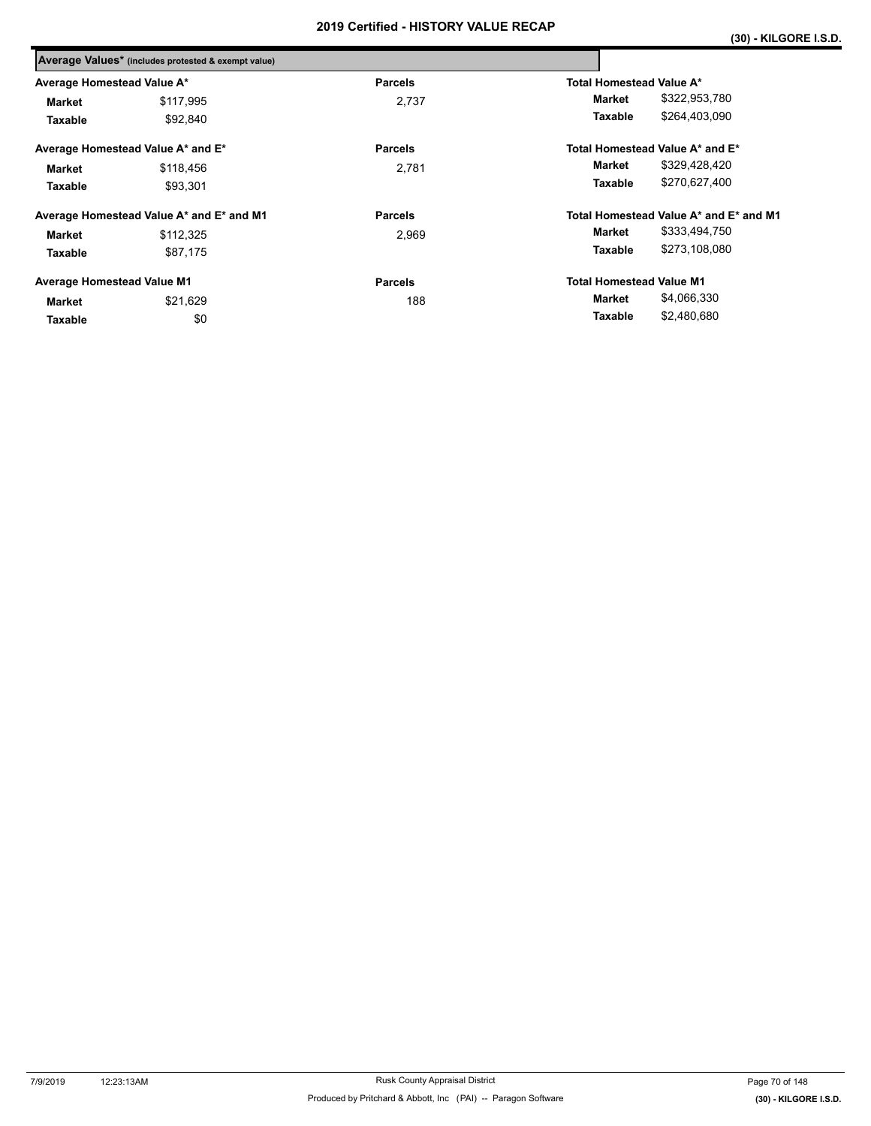|                                   | Average Values* (includes protested & exempt value) |                |                                        |  |  |
|-----------------------------------|-----------------------------------------------------|----------------|----------------------------------------|--|--|
| Average Homestead Value A*        |                                                     | <b>Parcels</b> | Total Homestead Value A*               |  |  |
| <b>Market</b>                     | \$117,995                                           | 2.737          | \$322,953,780<br>Market                |  |  |
| Taxable                           | \$92,840                                            |                | \$264,403,090<br>Taxable               |  |  |
|                                   | Average Homestead Value A* and E*                   | <b>Parcels</b> | Total Homestead Value A* and E*        |  |  |
| <b>Market</b>                     | \$118,456                                           | 2,781          | \$329,428,420<br>Market                |  |  |
| Taxable                           | \$93.301                                            |                | \$270,627,400<br>Taxable               |  |  |
|                                   | Average Homestead Value A* and E* and M1            | <b>Parcels</b> | Total Homestead Value A* and E* and M1 |  |  |
| <b>Market</b>                     | \$112,325                                           | 2,969          | \$333,494,750<br>Market                |  |  |
| Taxable                           | \$87,175                                            |                | \$273,108,080<br>Taxable               |  |  |
| <b>Average Homestead Value M1</b> |                                                     | <b>Parcels</b> | <b>Total Homestead Value M1</b>        |  |  |
| <b>Market</b>                     | \$21,629                                            | 188            | \$4,066,330<br>Market                  |  |  |
| Taxable                           | \$0                                                 |                | \$2,480,680<br>Taxable                 |  |  |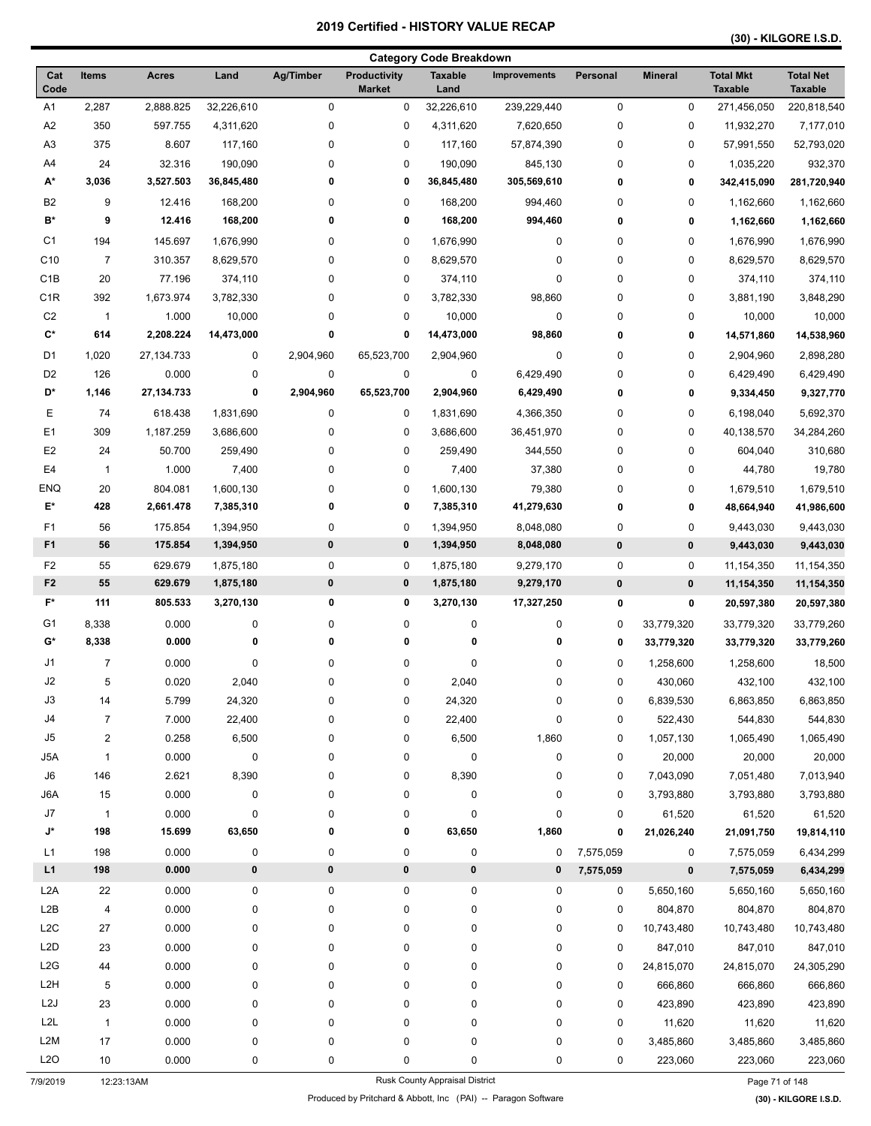| <b>Category Code Breakdown</b> |                |              |            |             |                               |                                |                     |             |                |                                    |                                    |
|--------------------------------|----------------|--------------|------------|-------------|-------------------------------|--------------------------------|---------------------|-------------|----------------|------------------------------------|------------------------------------|
| Cat<br>Code                    | <b>Items</b>   | Acres        | Land       | Ag/Timber   | Productivity<br><b>Market</b> | <b>Taxable</b><br>Land         | <b>Improvements</b> | Personal    | <b>Mineral</b> | <b>Total Mkt</b><br><b>Taxable</b> | <b>Total Net</b><br><b>Taxable</b> |
| A1                             | 2,287          | 2,888.825    | 32,226,610 | $\mathbf 0$ | 0                             | 32,226,610                     | 239,229,440         | $\mathsf 0$ | 0              | 271,456,050                        | 220,818,540                        |
| A2                             | 350            | 597.755      | 4,311,620  | $\pmb{0}$   | 0                             | 4,311,620                      | 7,620,650           | 0           | 0              | 11,932,270                         | 7,177,010                          |
| A <sub>3</sub>                 | 375            | 8.607        | 117,160    | 0           | 0                             | 117,160                        | 57,874,390          | 0           | 0              | 57,991,550                         | 52,793,020                         |
| A4                             | 24             | 32.316       | 190,090    | $\pmb{0}$   | 0                             | 190,090                        | 845,130             | 0           | $\pmb{0}$      | 1,035,220                          | 932,370                            |
| А*                             | 3,036          | 3,527.503    | 36,845,480 | 0           | 0                             | 36,845,480                     | 305,569,610         | 0           | 0              | 342,415,090                        | 281,720,940                        |
| B <sub>2</sub>                 | 9              | 12.416       | 168,200    | 0           | $\pmb{0}$                     | 168,200                        | 994,460             | 0           | 0              | 1,162,660                          | 1,162,660                          |
| B*                             | 9              | 12.416       | 168,200    | 0           | 0                             | 168,200                        | 994,460             | 0           | 0              | 1,162,660                          | 1,162,660                          |
| C <sub>1</sub>                 | 194            | 145.697      | 1,676,990  | 0           | 0                             | 1,676,990                      | 0                   | 0           | 0              | 1,676,990                          | 1,676,990                          |
| C <sub>10</sub>                | $\overline{7}$ | 310.357      | 8,629,570  | 0           | 0                             | 8,629,570                      | 0                   | 0           | 0              | 8,629,570                          | 8,629,570                          |
| C <sub>1</sub> B               | 20             | 77.196       | 374,110    | 0           | 0                             | 374,110                        | $\pmb{0}$           | 0           | 0              | 374,110                            | 374,110                            |
| C <sub>1R</sub>                | 392            | 1,673.974    | 3,782,330  | $\pmb{0}$   | 0                             | 3,782,330                      | 98,860              | 0           | $\pmb{0}$      | 3,881,190                          | 3,848,290                          |
| C <sub>2</sub>                 | $\mathbf{1}$   | 1.000        | 10,000     | 0           | 0                             | 10,000                         | $\pmb{0}$           | 0           | 0              | 10,000                             | 10,000                             |
| $\mathbf{C}^{\star}$           | 614            | 2,208.224    | 14,473,000 | 0           | 0                             | 14,473,000                     | 98,860              | 0           | 0              | 14,571,860                         | 14,538,960                         |
| D <sub>1</sub>                 | 1,020          | 27,134.733   | 0          | 2,904,960   | 65,523,700                    | 2,904,960                      | $\pmb{0}$           | 0           | $\pmb{0}$      | 2,904,960                          | 2,898,280                          |
| D <sub>2</sub>                 | 126            | 0.000        | 0          | 0           | 0                             | 0                              | 6,429,490           | 0           | 0              | 6,429,490                          | 6,429,490                          |
| D*                             | 1,146          | 27, 134. 733 | 0          | 2,904,960   | 65,523,700                    | 2,904,960                      | 6,429,490           | 0           | 0              | 9,334,450                          | 9,327,770                          |
| Ε                              | 74             | 618.438      | 1,831,690  | 0           | 0                             | 1,831,690                      | 4,366,350           | 0           | 0              | 6,198,040                          | 5,692,370                          |
| E <sub>1</sub>                 | 309            | 1,187.259    | 3,686,600  | $\pmb{0}$   | 0                             | 3,686,600                      | 36,451,970          | 0           | $\pmb{0}$      | 40,138,570                         | 34,284,260                         |
| E <sub>2</sub>                 | 24             | 50.700       | 259,490    | 0           | 0                             | 259,490                        | 344,550             | 0           | 0              | 604,040                            | 310,680                            |
| E4                             | $\mathbf{1}$   | 1.000        | 7,400      | 0           | 0                             | 7,400                          | 37,380              | 0           | 0              | 44,780                             | 19,780                             |
| <b>ENQ</b>                     | 20             | 804.081      | 1,600,130  | 0           | 0                             | 1,600,130                      | 79,380              | 0           | 0              | 1,679,510                          | 1,679,510                          |
| $\mathsf{E}^\star$             | 428            | 2,661.478    | 7,385,310  | 0           | 0                             | 7,385,310                      | 41,279,630          | 0           | 0              | 48,664,940                         | 41,986,600                         |
| F1                             | 56             | 175.854      | 1,394,950  | 0           | 0                             | 1,394,950                      | 8,048,080           | 0           | 0              | 9,443,030                          | 9,443,030                          |
| F <sub>1</sub>                 | 56             | 175.854      | 1,394,950  | $\pmb{0}$   | $\pmb{0}$                     | 1,394,950                      | 8,048,080           | $\pmb{0}$   | $\pmb{0}$      | 9,443,030                          | 9,443,030                          |
| F <sub>2</sub>                 | 55             | 629.679      | 1,875,180  | 0           | 0                             | 1,875,180                      | 9,279,170           | 0           | 0              | 11,154,350                         | 11, 154, 350                       |
| F <sub>2</sub>                 | 55             | 629.679      | 1,875,180  | $\pmb{0}$   | $\pmb{0}$                     | 1,875,180                      | 9,279,170           | $\pmb{0}$   | $\pmb{0}$      | 11,154,350                         | 11,154,350                         |
| $F^*$                          | 111            | 805.533      | 3,270,130  | 0           | 0                             | 3,270,130                      | 17,327,250          | 0           | 0              | 20,597,380                         | 20,597,380                         |
| G <sub>1</sub>                 | 8,338          | 0.000        | 0          | $\pmb{0}$   | 0                             | $\pmb{0}$                      | 0                   | 0           | 33,779,320     | 33,779,320                         | 33,779,260                         |
| G*                             | 8,338          | 0.000        | 0          | 0           | 0                             | 0                              | 0                   | 0           | 33,779,320     | 33,779,320                         | 33,779,260                         |
| J1                             | $\overline{7}$ | 0.000        | 0          | 0           | 0                             | 0                              | 0                   | 0           | 1,258,600      | 1,258,600                          | 18,500                             |
| J2                             | 5              | 0.020        | 2,040      | 0           | 0                             | 2,040                          | 0                   | 0           | 430,060        | 432,100                            | 432,100                            |
| J3                             | 14             | 5.799        | 24,320     | $\pmb{0}$   | 0                             | 24,320                         | $\pmb{0}$           | 0           | 6,839,530      | 6,863,850                          | 6,863,850                          |
| $\sf J4$                       | 7              | 7.000        | 22,400     | 0           | 0                             | 22,400                         | $\pmb{0}$           | 0           | 522,430        | 544,830                            | 544,830                            |
| J5                             | 2              | 0.258        | 6,500      | 0           | 0                             | 6,500                          | 1,860               | 0           | 1,057,130      | 1,065,490                          | 1,065,490                          |
| J5A                            | 1              | 0.000        | 0          | 0           | 0                             | 0                              | $\pmb{0}$           | 0           | 20,000         | 20,000                             | 20,000                             |
| J6                             | 146            | 2.621        | 8,390      | 0           | 0                             | 8,390                          | 0                   | 0           | 7,043,090      | 7,051,480                          | 7,013,940                          |
| J6A                            | 15             | 0.000        | 0          | 0           | 0                             | 0                              | $\pmb{0}$           | 0           | 3,793,880      | 3,793,880                          | 3,793,880                          |
| J7                             | $\mathbf{1}$   | 0.000        | $\pmb{0}$  | 0           | 0                             | 0                              | $\pmb{0}$           | 0           | 61,520         | 61,520                             | 61,520                             |
| J*                             | 198            | 15.699       | 63,650     | 0           | 0                             | 63,650                         | 1,860               | 0           | 21,026,240     | 21,091,750                         | 19,814,110                         |
| L1                             | 198            | 0.000        | 0          | 0           | $\pmb{0}$                     | $\pmb{0}$                      | 0                   | 7,575,059   | 0              | 7,575,059                          | 6,434,299                          |
| L1                             | 198            | 0.000        | $\pmb{0}$  | $\pmb{0}$   | $\pmb{0}$                     | $\pmb{0}$                      | 0                   | 7,575,059   | $\pmb{0}$      | 7,575,059                          | 6,434,299                          |
| L <sub>2</sub> A               | 22             | 0.000        | 0          | 0           | $\pmb{0}$                     | $\pmb{0}$                      | $\pmb{0}$           | 0           | 5,650,160      | 5,650,160                          | 5,650,160                          |
| L <sub>2</sub> B               | 4              | 0.000        | 0          | 0           | 0                             | 0                              | 0                   | 0           | 804,870        | 804,870                            | 804,870                            |
| L <sub>2</sub> C               | 27             | 0.000        | 0          | 0           | 0                             | 0                              | 0                   | 0           | 10,743,480     | 10,743,480                         | 10,743,480                         |
| L <sub>2</sub> D               | 23             | 0.000        | 0          | 0           | 0                             | 0                              | 0                   | 0           | 847,010        | 847,010                            | 847,010                            |
| L2G                            | 44             | 0.000        | 0          | 0           | 0                             | 0                              | $\pmb{0}$           | 0           | 24,815,070     | 24,815,070                         | 24,305,290                         |
| L <sub>2</sub> H               | 5              | 0.000        | 0          | 0           | 0                             | 0                              | $\pmb{0}$           | 0           | 666,860        | 666,860                            | 666,860                            |
| L2J                            | 23             | 0.000        | 0          | 0           | 0                             | 0                              | $\pmb{0}$           | 0           | 423,890        | 423,890                            | 423,890                            |
| L <sub>2</sub> L               | $\mathbf{1}$   | 0.000        | 0          | 0           | 0                             | 0                              | $\pmb{0}$           | 0           | 11,620         | 11,620                             | 11,620                             |
| L <sub>2</sub> M               | 17             | 0.000        | 0          | 0           | 0                             | 0                              | $\pmb{0}$           | 0           | 3,485,860      | 3,485,860                          | 3,485,860                          |
| L2O                            | 10             | 0.000        | 0          | 0           | 0                             | 0                              | 0                   | 0           | 223,060        | 223,060                            | 223,060                            |
| 7/9/2019                       |                | 12:23:13AM   |            |             |                               | Rusk County Appraisal District |                     |             |                | Page 71 of 148                     |                                    |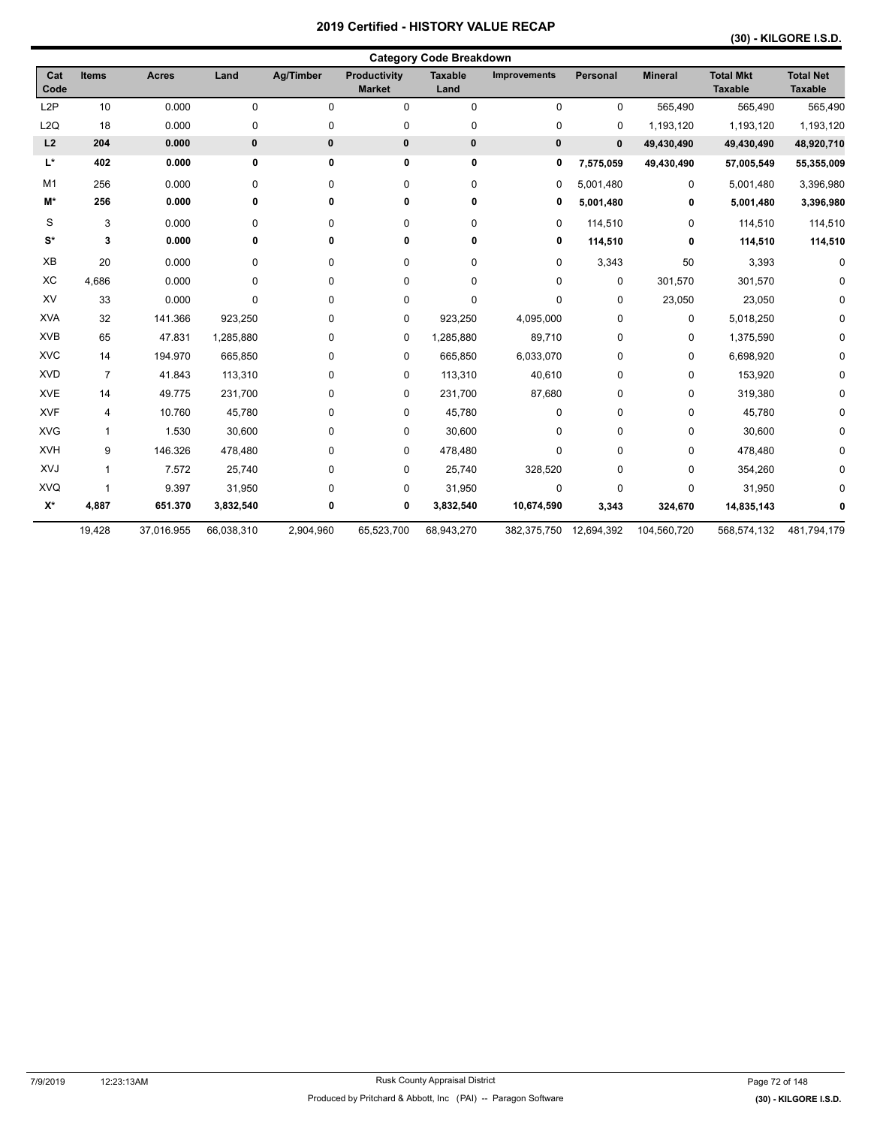| Cat<br>Code          | <b>Items</b>   | <b>Acres</b> | Land       | Ag/Timber | <b>Productivity</b><br><b>Market</b> | <b>Taxable</b><br>Land | Improvements | Personal    | <b>Mineral</b> | <b>Total Mkt</b><br><b>Taxable</b> | <b>Total Net</b><br><b>Taxable</b> |
|----------------------|----------------|--------------|------------|-----------|--------------------------------------|------------------------|--------------|-------------|----------------|------------------------------------|------------------------------------|
| L <sub>2</sub> P     | 10             | 0.000        | 0          | 0         | 0                                    | $\mathbf 0$            | 0            | 0           | 565,490        | 565,490                            | 565,490                            |
| L <sub>2</sub> Q     | 18             | 0.000        | 0          | 0         | 0                                    | 0                      | 0            | 0           | 1,193,120      | 1,193,120                          | 1,193,120                          |
| L2                   | 204            | 0.000        | 0          | 0         | $\pmb{0}$                            | $\pmb{0}$              | $\mathbf 0$  | $\mathbf 0$ | 49,430,490     | 49,430,490                         | 48,920,710                         |
| L*                   | 402            | 0.000        | 0          | 0         | 0                                    | $\bf{0}$               | 0            | 7,575,059   | 49,430,490     | 57,005,549                         | 55,355,009                         |
| M <sub>1</sub>       | 256            | 0.000        | 0          | 0         | 0                                    | $\mathbf 0$            | 0            | 5,001,480   | 0              | 5,001,480                          | 3,396,980                          |
| M*                   | 256            | 0.000        | 0          | 0         | 0                                    | 0                      | 0            | 5,001,480   | 0              | 5,001,480                          | 3,396,980                          |
| S                    | 3              | 0.000        | 0          | 0         | 0                                    | 0                      | 0            | 114,510     | 0              | 114,510                            | 114,510                            |
| $\mathbf{S}^{\star}$ | 3              | 0.000        | 0          | 0         | 0                                    | 0                      | 0            | 114,510     | 0              | 114,510                            | 114,510                            |
| XB                   | 20             | 0.000        | 0          | 0         | 0                                    | 0                      | 0            | 3,343       | 50             | 3,393                              | 0                                  |
| ХC                   | 4,686          | 0.000        | 0          | 0         | 0                                    | 0                      | 0            | 0           | 301,570        | 301,570                            |                                    |
| <b>XV</b>            | 33             | 0.000        | 0          | 0         | 0                                    | 0                      | 0            | 0           | 23,050         | 23,050                             | <sup>0</sup>                       |
| <b>XVA</b>           | 32             | 141.366      | 923,250    | 0         | 0                                    | 923,250                | 4,095,000    | 0           | 0              | 5,018,250                          | <sup>0</sup>                       |
| <b>XVB</b>           | 65             | 47.831       | 1,285,880  | 0         | 0                                    | 1,285,880              | 89,710       | 0           | 0              | 1,375,590                          | <sup>0</sup>                       |
| <b>XVC</b>           | 14             | 194.970      | 665,850    | 0         | 0                                    | 665,850                | 6,033,070    | 0           | 0              | 6,698,920                          | 0                                  |
| <b>XVD</b>           | $\overline{7}$ | 41.843       | 113,310    | 0         | 0                                    | 113,310                | 40,610       | 0           | 0              | 153,920                            | 0                                  |
| <b>XVE</b>           | 14             | 49.775       | 231,700    | 0         | 0                                    | 231,700                | 87,680       | 0           | 0              | 319,380                            | 0                                  |
| <b>XVF</b>           | 4              | 10.760       | 45,780     | 0         | 0                                    | 45,780                 | 0            | 0           | 0              | 45,780                             | 0                                  |
| <b>XVG</b>           | 1              | 1.530        | 30,600     | 0         | 0                                    | 30,600                 | 0            | 0           | 0              | 30,600                             | 0                                  |
| <b>XVH</b>           | 9              | 146.326      | 478,480    | 0         | 0                                    | 478,480                | 0            | 0           | 0              | 478,480                            |                                    |
| XVJ                  | $\mathbf{1}$   | 7.572        | 25,740     | 0         | 0                                    | 25,740                 | 328,520      | 0           | 0              | 354,260                            |                                    |
| <b>XVQ</b>           |                | 9.397        | 31,950     | 0         | 0                                    | 31,950                 | 0            | $\Omega$    | 0              | 31,950                             |                                    |
| $X^*$                | 4,887          | 651.370      | 3,832,540  | 0         | 0                                    | 3,832,540              | 10,674,590   | 3,343       | 324,670        | 14,835,143                         |                                    |
|                      | 19,428         | 37,016.955   | 66,038,310 | 2,904,960 | 65,523,700                           | 68,943,270             | 382,375,750  | 12,694,392  | 104,560,720    | 568,574,132                        | 481,794,179                        |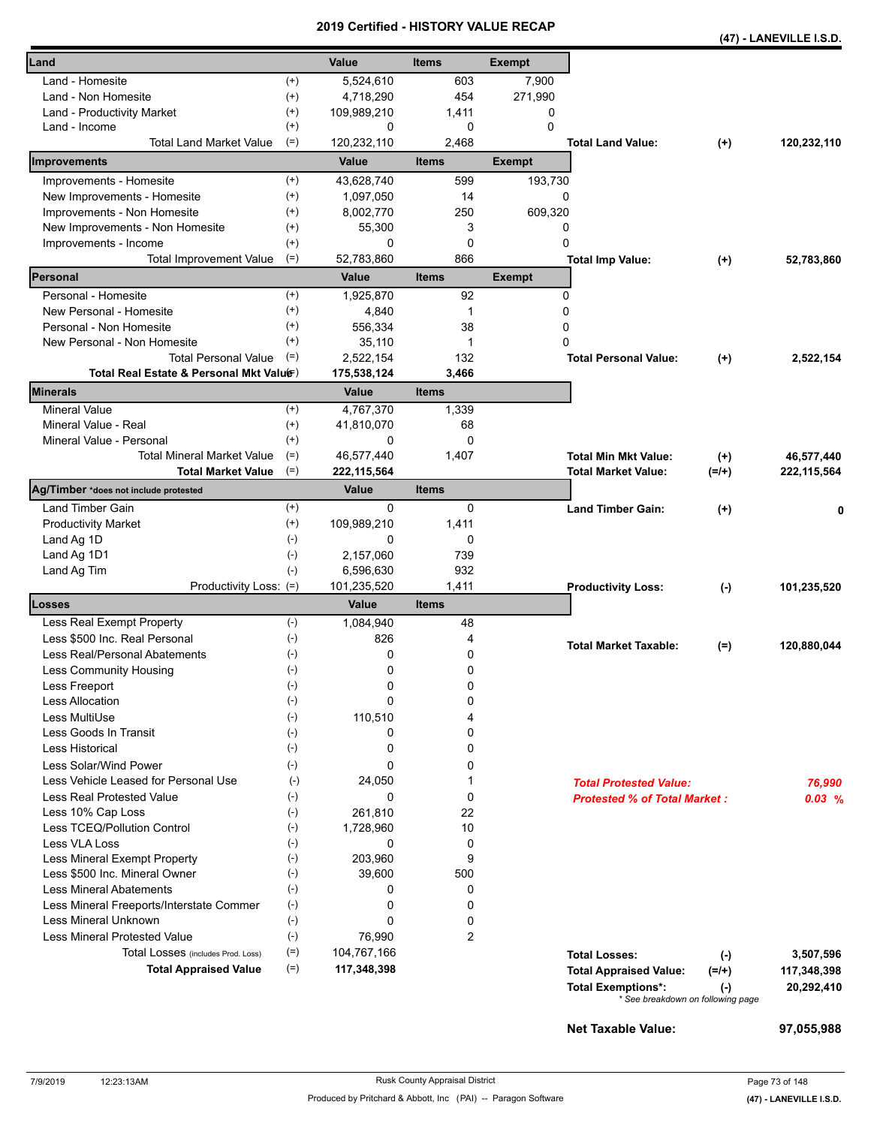|                                                   |                    |               |              |               |                                     |           | (47) - LANEVILLE I.S.D. |
|---------------------------------------------------|--------------------|---------------|--------------|---------------|-------------------------------------|-----------|-------------------------|
| Land                                              |                    | Value         | <b>Items</b> | <b>Exempt</b> |                                     |           |                         |
| Land - Homesite                                   | $^{(+)}$           | 5,524,610     | 603          | 7,900         |                                     |           |                         |
| $^{(+)}$<br>Land - Non Homesite                   |                    | 4,718,290     | 454          | 271,990       |                                     |           |                         |
| $^{(+)}$<br>Land - Productivity Market            |                    | 109,989,210   | 1,411        | 0             |                                     |           |                         |
| Land - Income                                     | $^{(+)}$           | 0             | 0            | $\mathbf 0$   |                                     |           |                         |
| <b>Total Land Market Value</b>                    | $(=)$              | 120,232,110   | 2,468        |               | <b>Total Land Value:</b>            | $^{(+)}$  | 120,232,110             |
| Improvements                                      |                    | Value         | <b>Items</b> | <b>Exempt</b> |                                     |           |                         |
| Improvements - Homesite                           | $^{(+)}$           | 43,628,740    | 599          | 193,730       |                                     |           |                         |
| New Improvements - Homesite<br>$^{(+)}$           |                    | 1,097,050     | 14           |               | 0                                   |           |                         |
| Improvements - Non Homesite                       | $^{(+)}$           | 8,002,770     | 250          | 609,320       |                                     |           |                         |
| New Improvements - Non Homesite                   | $^{(+)}$           | 55,300        | 3            |               | 0                                   |           |                         |
| $^{(+)}$<br>Improvements - Income                 |                    | 0             | $\mathbf 0$  |               | 0                                   |           |                         |
| $(=)$<br><b>Total Improvement Value</b>           |                    | 52,783,860    | 866          |               | <b>Total Imp Value:</b>             | $^{(+)}$  | 52,783,860              |
| Personal                                          |                    | Value         | <b>Items</b> | <b>Exempt</b> |                                     |           |                         |
| Personal - Homesite                               | $^{(+)}$           | 1,925,870     | 92           |               | 0                                   |           |                         |
| New Personal - Homesite                           | $^{(+)}$           | 4,840         | 1            |               | 0                                   |           |                         |
| Personal - Non Homesite<br>$^{(+)}$               |                    | 556,334       | 38           |               | 0                                   |           |                         |
| New Personal - Non Homesite                       | $^{(+)}$           | 35,110        | 1            |               | 0                                   |           |                         |
| <b>Total Personal Value</b><br>$(=)$              |                    | 2,522,154     | 132          |               | <b>Total Personal Value:</b>        | $^{(+)}$  | 2,522,154               |
| Total Real Estate & Personal Mkt Valuer)          |                    | 175,538,124   | 3,466        |               |                                     |           |                         |
| Minerals                                          |                    | Value         | <b>Items</b> |               |                                     |           |                         |
| <b>Mineral Value</b>                              | $^{(+)}$           | 4,767,370     | 1,339        |               |                                     |           |                         |
| Mineral Value - Real                              | $^{(+)}$           | 41,810,070    | 68           |               |                                     |           |                         |
| Mineral Value - Personal                          | $^{(+)}$           | 0             | 0            |               |                                     |           |                         |
| <b>Total Mineral Market Value</b>                 | $(=)$              | 46,577,440    | 1,407        |               | <b>Total Min Mkt Value:</b>         | $^{(+)}$  | 46,577,440              |
| $(=)$<br><b>Total Market Value</b>                |                    | 222, 115, 564 |              |               | <b>Total Market Value:</b>          | $(=/+)$   | 222, 115, 564           |
| Ag/Timber *does not include protested             |                    | Value         | <b>Items</b> |               |                                     |           |                         |
| Land Timber Gain                                  | $^{(+)}$           | 0             | 0            |               | <b>Land Timber Gain:</b>            | $^{(+)}$  | 0                       |
| <b>Productivity Market</b>                        | $^{(+)}$           | 109,989,210   | 1,411        |               |                                     |           |                         |
| $(-)$<br>Land Ag 1D                               |                    | 0             | 0            |               |                                     |           |                         |
| Land Ag 1D1                                       | $(-)$              | 2,157,060     | 739          |               |                                     |           |                         |
| Land Ag Tim                                       | $(-)$              | 6,596,630     | 932          |               |                                     |           |                         |
| Productivity Loss: (=)                            |                    | 101,235,520   | 1,411        |               | <b>Productivity Loss:</b>           | $(-)$     | 101,235,520             |
| Losses                                            |                    | Value         | <b>Items</b> |               |                                     |           |                         |
| Less Real Exempt Property                         | $(-)$              | 1,084,940     | 48           |               |                                     |           |                         |
| Less \$500 Inc. Real Personal<br>$(-)$            |                    | 826           | 4            |               | <b>Total Market Taxable:</b>        | $(=)$     | 120,880,044             |
| Less Real/Personal Abatements                     | $(-)$              | 0             | 0            |               |                                     |           |                         |
| Less Community Housing                            | $(\textnormal{-})$ | 0             | 0            |               |                                     |           |                         |
| Less Freeport<br>$(\text{-})$                     |                    | 0             | 0            |               |                                     |           |                         |
| Less Allocation<br>$(-)$                          |                    | 0             | 0            |               |                                     |           |                         |
| Less MultiUse                                     | $(-)$              | 110.510       | 4            |               |                                     |           |                         |
| Less Goods In Transit<br>$(-)$                    |                    | 0             | 0            |               |                                     |           |                         |
| <b>Less Historical</b>                            | $(-)$              | 0             | 0            |               |                                     |           |                         |
| Less Solar/Wind Power                             | $(-)$              | 0             | 0            |               |                                     |           |                         |
| Less Vehicle Leased for Personal Use              | $(-)$              | 24,050        | 1            |               | <b>Total Protested Value:</b>       |           | 76.990                  |
| Less Real Protested Value                         | $(-)$              | 0             | $\mathbf 0$  |               | <b>Protested % of Total Market:</b> |           | $0.03\%$                |
| Less 10% Cap Loss                                 | $(-)$              | 261,810       | 22           |               |                                     |           |                         |
| Less TCEQ/Pollution Control                       | $(-)$              | 1,728,960     | 10           |               |                                     |           |                         |
| Less VLA Loss                                     | $(-)$              | 0             | $\mathbf 0$  |               |                                     |           |                         |
| Less Mineral Exempt Property                      | $(-)$              | 203,960       | 9            |               |                                     |           |                         |
| Less \$500 Inc. Mineral Owner                     | $(-)$              | 39,600        | 500          |               |                                     |           |                         |
| <b>Less Mineral Abatements</b>                    | $(-)$              | 0             | 0            |               |                                     |           |                         |
| Less Mineral Freeports/Interstate Commer<br>$(-)$ |                    | 0             | 0            |               |                                     |           |                         |
| <b>Less Mineral Unknown</b>                       | $(\text{-})$       | 0             | 0            |               |                                     |           |                         |
| <b>Less Mineral Protested Value</b>               | $(-)$              | 76,990        | 2            |               |                                     |           |                         |
| Total Losses (includes Prod. Loss)                | $(=)$              | 104,767,166   |              |               | <b>Total Losses:</b>                | $(-)$     | 3,507,596               |
| <b>Total Appraised Value</b>                      | $(=)$              | 117,348,398   |              |               | <b>Total Appraised Value:</b>       | $(=/+)$   | 117,348,398             |
|                                                   |                    |               |              |               | <b>Total Exemptions*:</b>           | $(\cdot)$ | 20,292,410              |
|                                                   |                    |               |              |               | * See breakdown on following page   |           |                         |
|                                                   |                    |               |              |               | <b>Net Taxable Value:</b>           |           | 97,055,988              |
|                                                   |                    |               |              |               |                                     |           |                         |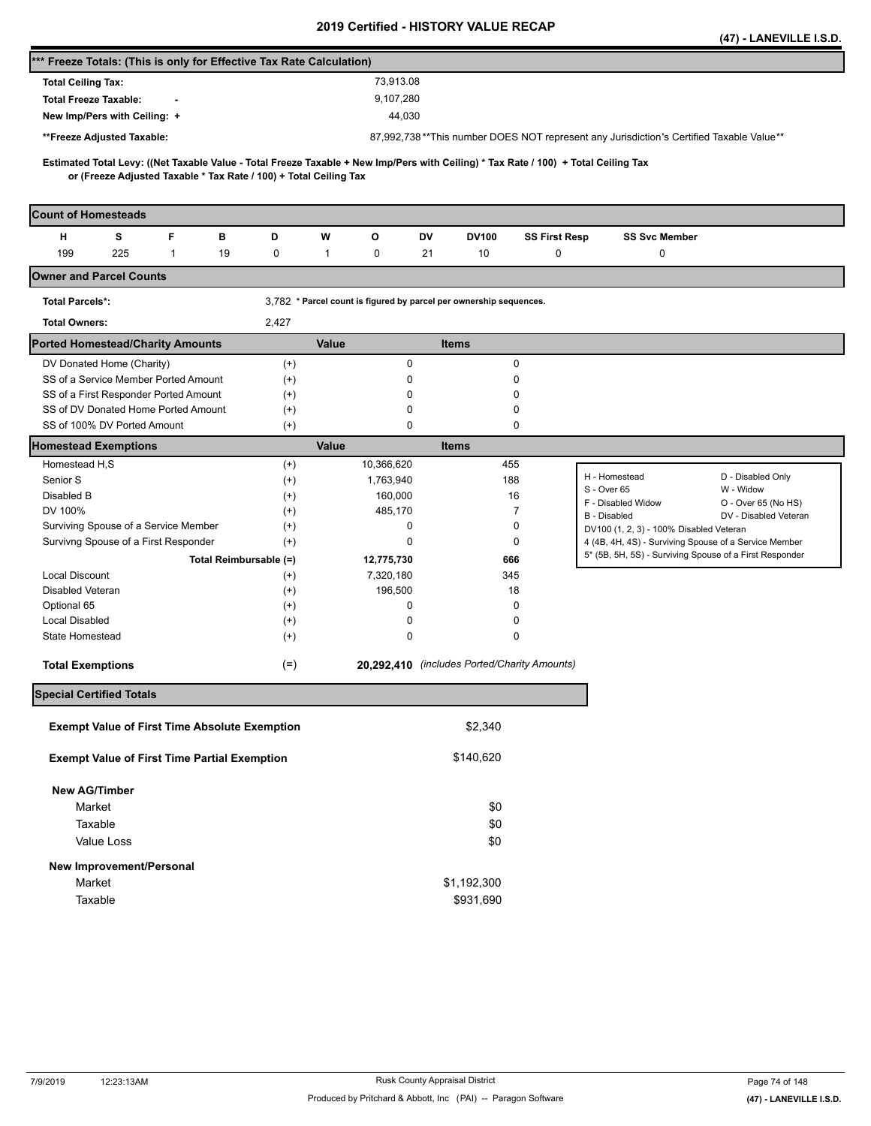|                                                                                                                                     |                      |                                                                    |                                              |                      |                                                                                                                  | (47) - LANEVILLE I.S.D.          |
|-------------------------------------------------------------------------------------------------------------------------------------|----------------------|--------------------------------------------------------------------|----------------------------------------------|----------------------|------------------------------------------------------------------------------------------------------------------|----------------------------------|
| *** Freeze Totals: (This is only for Effective Tax Rate Calculation)                                                                |                      |                                                                    |                                              |                      |                                                                                                                  |                                  |
| <b>Total Ceiling Tax:</b>                                                                                                           |                      | 73,913.08                                                          |                                              |                      |                                                                                                                  |                                  |
| <b>Total Freeze Taxable:</b>                                                                                                        |                      | 9,107,280                                                          |                                              |                      |                                                                                                                  |                                  |
| New Imp/Pers with Ceiling: +                                                                                                        |                      | 44,030                                                             |                                              |                      |                                                                                                                  |                                  |
| **Freeze Adjusted Taxable:                                                                                                          |                      |                                                                    |                                              |                      | 87,992,738**This number DOES NOT represent any Jurisdiction's Certified Taxable Value**                          |                                  |
| Estimated Total Levy: ((Net Taxable Value - Total Freeze Taxable + New Imp/Pers with Ceiling) * Tax Rate / 100) + Total Ceiling Tax |                      |                                                                    |                                              |                      |                                                                                                                  |                                  |
| or (Freeze Adjusted Taxable * Tax Rate / 100) + Total Ceiling Tax                                                                   |                      |                                                                    |                                              |                      |                                                                                                                  |                                  |
| <b>Count of Homesteads</b>                                                                                                          |                      |                                                                    |                                              |                      |                                                                                                                  |                                  |
| s<br>F<br>н<br>в                                                                                                                    | D                    | w<br>o                                                             | DV<br>DV100                                  | <b>SS First Resp</b> | <b>SS Svc Member</b>                                                                                             |                                  |
| 199<br>225<br>$\mathbf{1}$<br>19                                                                                                    | 0                    | $\mathbf{1}$<br>0                                                  | 21<br>10                                     | 0                    | 0                                                                                                                |                                  |
| <b>Owner and Parcel Counts</b>                                                                                                      |                      |                                                                    |                                              |                      |                                                                                                                  |                                  |
| <b>Total Parcels*:</b>                                                                                                              |                      | 3,782 * Parcel count is figured by parcel per ownership sequences. |                                              |                      |                                                                                                                  |                                  |
| <b>Total Owners:</b>                                                                                                                | 2,427                |                                                                    |                                              |                      |                                                                                                                  |                                  |
| <b>Ported Homestead/Charity Amounts</b>                                                                                             |                      | Value                                                              | <b>Items</b>                                 |                      |                                                                                                                  |                                  |
| DV Donated Home (Charity)                                                                                                           | $^{(+)}$             | $\pmb{0}$                                                          |                                              | 0                    |                                                                                                                  |                                  |
| SS of a Service Member Ported Amount                                                                                                | $^{(+)}$             | 0                                                                  |                                              | 0                    |                                                                                                                  |                                  |
| SS of a First Responder Ported Amount                                                                                               | $^{(+)}$             | 0                                                                  |                                              | 0                    |                                                                                                                  |                                  |
| SS of DV Donated Home Ported Amount<br>SS of 100% DV Ported Amount                                                                  | $^{(+)}$<br>$^{(+)}$ | 0<br>0                                                             |                                              | 0<br>0               |                                                                                                                  |                                  |
| <b>Homestead Exemptions</b>                                                                                                         |                      | Value                                                              | <b>Items</b>                                 |                      |                                                                                                                  |                                  |
| Homestead H,S                                                                                                                       | $^{(+)}$             | 10,366,620                                                         | 455                                          |                      |                                                                                                                  |                                  |
| Senior S                                                                                                                            | $^{(+)}$             | 1,763,940                                                          | 188                                          |                      | H - Homestead                                                                                                    | D - Disabled Only                |
| Disabled B                                                                                                                          | $^{(+)}$             | 160,000                                                            |                                              | 16                   | S - Over 65<br>F - Disabled Widow                                                                                | W - Widow<br>O - Over 65 (No HS) |
| DV 100%                                                                                                                             | $^{(+)}$             | 485,170                                                            |                                              | 7                    | B - Disabled                                                                                                     | DV - Disabled Veteran            |
| Surviving Spouse of a Service Member                                                                                                | $^{(+)}$             | 0                                                                  |                                              | 0                    | DV100 (1, 2, 3) - 100% Disabled Veteran                                                                          |                                  |
| Survivng Spouse of a First Responder<br>Total Reimbursable (=)                                                                      | $^{(+)}$             | 0<br>12,775,730                                                    |                                              | 0<br>666             | 4 (4B, 4H, 4S) - Surviving Spouse of a Service Member<br>5* (5B, 5H, 5S) - Surviving Spouse of a First Responder |                                  |
| <b>Local Discount</b>                                                                                                               | $^{(+)}$             | 7,320,180                                                          | 345                                          |                      |                                                                                                                  |                                  |
| Disabled Veteran                                                                                                                    | $^{(+)}$             | 196,500                                                            |                                              | 18                   |                                                                                                                  |                                  |
| Optional 65                                                                                                                         | $^{(+)}$             | 0                                                                  |                                              | 0                    |                                                                                                                  |                                  |
| <b>Local Disabled</b>                                                                                                               | $^{(+)}$             | 0                                                                  |                                              | 0                    |                                                                                                                  |                                  |
| State Homestead                                                                                                                     | $^{(+)}$             | 0                                                                  |                                              | 0                    |                                                                                                                  |                                  |
| <b>Total Exemptions</b>                                                                                                             | $(=)$                |                                                                    | 20,292,410 (includes Ported/Charity Amounts) |                      |                                                                                                                  |                                  |
| <b>Special Certified Totals</b>                                                                                                     |                      |                                                                    |                                              |                      |                                                                                                                  |                                  |
| <b>Exempt Value of First Time Absolute Exemption</b>                                                                                |                      |                                                                    | \$2,340                                      |                      |                                                                                                                  |                                  |
|                                                                                                                                     |                      |                                                                    |                                              |                      |                                                                                                                  |                                  |
| <b>Exempt Value of First Time Partial Exemption</b>                                                                                 |                      |                                                                    | \$140,620                                    |                      |                                                                                                                  |                                  |
| <b>New AG/Timber</b>                                                                                                                |                      |                                                                    |                                              |                      |                                                                                                                  |                                  |
| Market                                                                                                                              |                      |                                                                    | \$0                                          |                      |                                                                                                                  |                                  |
| Taxable                                                                                                                             |                      |                                                                    | \$0                                          |                      |                                                                                                                  |                                  |
| Value Loss                                                                                                                          |                      |                                                                    | \$0                                          |                      |                                                                                                                  |                                  |
| New Improvement/Personal                                                                                                            |                      |                                                                    |                                              |                      |                                                                                                                  |                                  |
| Market                                                                                                                              |                      |                                                                    | \$1,192,300                                  |                      |                                                                                                                  |                                  |
| Taxable                                                                                                                             |                      |                                                                    | \$931,690                                    |                      |                                                                                                                  |                                  |
|                                                                                                                                     |                      |                                                                    |                                              |                      |                                                                                                                  |                                  |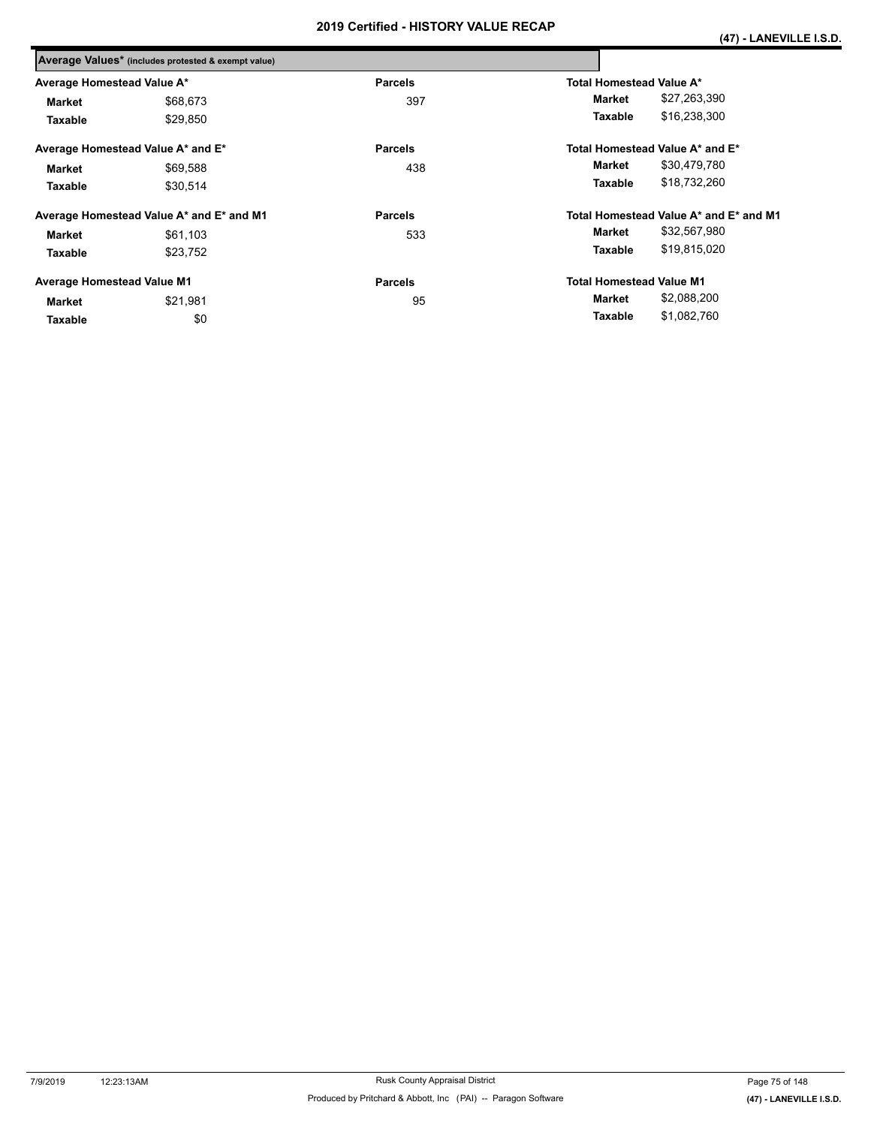|                                   | Average Values* (includes protested & exempt value) |                |                                        |
|-----------------------------------|-----------------------------------------------------|----------------|----------------------------------------|
| Average Homestead Value A*        |                                                     | <b>Parcels</b> | <b>Total Homestead Value A*</b>        |
| <b>Market</b>                     | \$68,673                                            | 397            | \$27,263,390<br>Market                 |
| Taxable                           | \$29,850                                            |                | \$16,238,300<br>Taxable                |
|                                   | Average Homestead Value A* and E*                   | <b>Parcels</b> | Total Homestead Value A* and E*        |
| <b>Market</b>                     | \$69,588                                            | 438            | \$30,479,780<br>Market                 |
| Taxable                           | \$30,514                                            |                | \$18,732,260<br>Taxable                |
|                                   | Average Homestead Value A* and E* and M1            | <b>Parcels</b> | Total Homestead Value A* and E* and M1 |
| <b>Market</b>                     | \$61,103                                            | 533            | \$32,567,980<br>Market                 |
| Taxable                           | \$23,752                                            |                | \$19,815,020<br>Taxable                |
| <b>Average Homestead Value M1</b> |                                                     | <b>Parcels</b> | <b>Total Homestead Value M1</b>        |
| <b>Market</b>                     | \$21.981                                            | 95             | \$2,088,200<br>Market                  |
| Taxable                           | \$0                                                 |                | \$1,082,760<br>Taxable                 |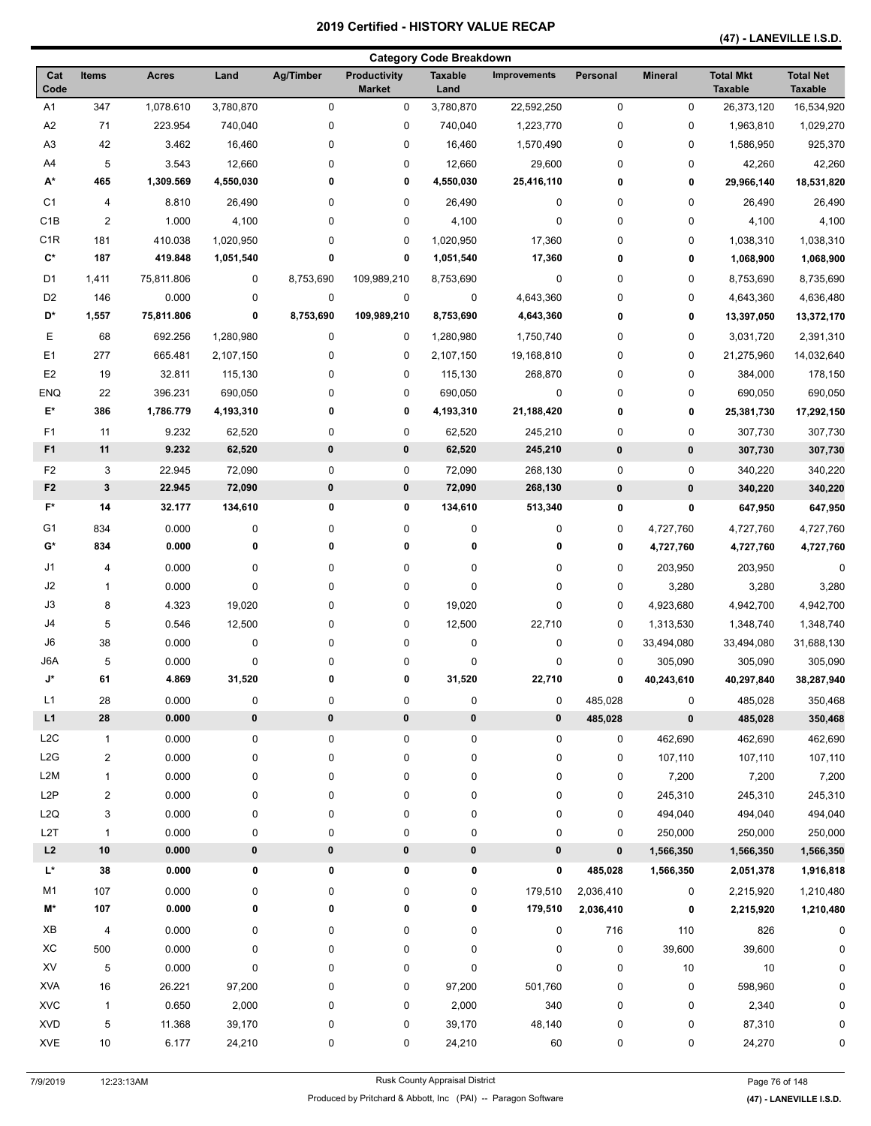|                      |                         |                |           |                |                                      | <b>Category Code Breakdown</b> |                     |             |                |                                    |                                    |
|----------------------|-------------------------|----------------|-----------|----------------|--------------------------------------|--------------------------------|---------------------|-------------|----------------|------------------------------------|------------------------------------|
| Cat<br>Code          | <b>Items</b>            | <b>Acres</b>   | Land      | Ag/Timber      | <b>Productivity</b><br><b>Market</b> | <b>Taxable</b><br>Land         | <b>Improvements</b> | Personal    | <b>Mineral</b> | <b>Total Mkt</b><br><b>Taxable</b> | <b>Total Net</b><br><b>Taxable</b> |
| A <sub>1</sub>       | 347                     | 1,078.610      | 3,780,870 | $\mathbf 0$    | 0                                    | 3,780,870                      | 22,592,250          | $\pmb{0}$   | 0              | 26,373,120                         | 16,534,920                         |
| A2                   | 71                      | 223.954        | 740,040   | 0              | $\pmb{0}$                            | 740,040                        | 1,223,770           | 0           | 0              | 1,963,810                          | 1,029,270                          |
| A <sub>3</sub>       | 42                      | 3.462          | 16,460    | 0              | $\pmb{0}$                            | 16,460                         | 1,570,490           | 0           | 0              | 1,586,950                          | 925,370                            |
| A4                   | $\sqrt{5}$              | 3.543          | 12,660    | 0              | $\pmb{0}$                            | 12,660                         | 29,600              | 0           | 0              | 42,260                             | 42,260                             |
| A*                   | 465                     | 1,309.569      | 4,550,030 | 0              | 0                                    | 4,550,030                      | 25,416,110          | 0           | 0              | 29,966,140                         | 18,531,820                         |
| C <sub>1</sub>       | 4                       | 8.810          | 26,490    | 0              | $\pmb{0}$                            | 26,490                         | $\pmb{0}$           | 0           | 0              | 26,490                             | 26,490                             |
| C <sub>1</sub> B     | $\overline{2}$          | 1.000          | 4,100     | 0              | $\pmb{0}$                            | 4,100                          | $\pmb{0}$           | 0           | 0              | 4,100                              | 4,100                              |
| C1R                  | 181                     | 410.038        | 1,020,950 | 0              | $\pmb{0}$                            | 1,020,950                      | 17,360              | 0           | 0              | 1,038,310                          | 1,038,310                          |
| $\mathbf{C}^\star$   | 187                     | 419.848        | 1,051,540 | 0              | 0                                    | 1,051,540                      | 17,360              | 0           | 0              | 1,068,900                          | 1,068,900                          |
| D <sub>1</sub>       | 1,411                   | 75,811.806     | 0         | 8,753,690      | 109,989,210                          | 8,753,690                      | 0                   | 0           | 0              | 8,753,690                          | 8,735,690                          |
| D <sub>2</sub>       | 146                     | 0.000          | 0         | $\pmb{0}$      | $\pmb{0}$                            | 0                              | 4,643,360           | 0           | 0              | 4,643,360                          | 4,636,480                          |
| D*                   | 1,557                   | 75,811.806     | 0         | 8,753,690      | 109,989,210                          | 8,753,690                      | 4,643,360           | 0           | 0              | 13,397,050                         | 13,372,170                         |
| Е                    | 68                      | 692.256        | 1,280,980 | 0              | 0                                    | 1,280,980                      | 1,750,740           | 0           | 0              | 3,031,720                          | 2,391,310                          |
| E <sub>1</sub>       | 277                     | 665.481        | 2,107,150 | 0              | 0                                    | 2,107,150                      | 19,168,810          | 0           | 0              | 21,275,960                         | 14,032,640                         |
| E <sub>2</sub>       | 19                      | 32.811         | 115,130   | 0              | 0                                    | 115,130                        | 268,870             | 0           | 0              | 384,000                            | 178,150                            |
| <b>ENQ</b>           | 22                      | 396.231        | 690,050   | 0              | 0                                    | 690,050                        | $\pmb{0}$           | 0           | 0              | 690,050                            | 690,050                            |
| E*                   | 386                     | 1,786.779      | 4,193,310 | 0              | 0                                    | 4,193,310                      | 21,188,420          | 0           | 0              | 25,381,730                         | 17,292,150                         |
|                      |                         |                |           |                |                                      |                                |                     |             |                |                                    |                                    |
| F1<br>F <sub>1</sub> | 11<br>11                | 9.232<br>9.232 | 62,520    | 0<br>$\pmb{0}$ | $\pmb{0}$                            | 62,520                         | 245,210             | 0           | 0              | 307,730                            | 307,730                            |
|                      |                         |                | 62,520    |                | 0                                    | 62,520                         | 245,210             | $\pmb{0}$   | 0              | 307,730                            | 307,730                            |
| F <sub>2</sub>       | 3                       | 22.945         | 72,090    | $\pmb{0}$      | $\pmb{0}$                            | 72,090                         | 268,130             | 0           | $\pmb{0}$      | 340,220                            | 340,220                            |
| F <sub>2</sub>       | $\mathbf{3}$            | 22.945         | 72,090    | 0              | $\pmb{0}$                            | 72,090                         | 268,130             | $\pmb{0}$   | $\pmb{0}$      | 340,220                            | 340,220                            |
| $F^*$                | 14                      | 32.177         | 134,610   | 0              | 0                                    | 134,610                        | 513,340             | 0           | 0              | 647,950                            | 647,950                            |
| G1                   | 834                     | 0.000          | 0         | 0              | $\pmb{0}$                            | 0                              | 0                   | 0           | 4,727,760      | 4,727,760                          | 4,727,760                          |
| G*                   | 834                     | 0.000          | 0         | 0              | 0                                    | 0                              | 0                   | 0           | 4,727,760      | 4,727,760                          | 4,727,760                          |
| J1                   | 4                       | 0.000          | 0         | 0              | 0                                    | 0                              | 0                   | 0           | 203,950        | 203,950                            | 0                                  |
| J2                   | 1                       | 0.000          | $\pmb{0}$ | 0              | 0                                    | 0                              | $\pmb{0}$           | 0           | 3,280          | 3,280                              | 3,280                              |
| J3                   | 8                       | 4.323          | 19,020    | 0              | $\pmb{0}$                            | 19,020                         | $\pmb{0}$           | 0           | 4,923,680      | 4,942,700                          | 4,942,700                          |
| J4                   | 5                       | 0.546          | 12,500    | 0              | $\pmb{0}$                            | 12,500                         | 22,710              | 0           | 1,313,530      | 1,348,740                          | 1,348,740                          |
| J6                   | 38                      | 0.000          | 0         | 0              | $\pmb{0}$                            | 0                              | $\pmb{0}$           | $\mathbf 0$ | 33,494,080     | 33,494,080                         | 31,688,130                         |
| J6A                  | 5                       | 0.000          | 0         | 0              | 0                                    | 0                              | 0                   | 0           | 305,090        | 305,090                            | 305,090                            |
| J*                   | 61                      | 4.869          | 31,520    | $\mathbf 0$    | 0                                    | 31,520                         | 22,710              | 0           | 40,243,610     | 40,297,840                         | 38,287,940                         |
| L1                   | 28                      | 0.000          | $\pmb{0}$ | $\pmb{0}$      | $\pmb{0}$                            | 0                              | $\pmb{0}$           | 485,028     | $\pmb{0}$      | 485,028                            | 350,468                            |
| L1                   | ${\bf 28}$              | 0.000          | $\pmb{0}$ | $\pmb{0}$      | $\pmb{0}$                            | 0                              | $\pmb{0}$           | 485,028     | $\pmb{0}$      | 485,028                            | 350,468                            |
| L <sub>2</sub> C     | $\mathbf{1}$            | 0.000          | 0         | $\pmb{0}$      | 0                                    | 0                              | 0                   | $\mathbf 0$ | 462,690        | 462,690                            | 462,690                            |
| L2G                  | $\overline{\mathbf{c}}$ | 0.000          | 0         | 0              | $\pmb{0}$                            | 0                              | $\pmb{0}$           | 0           | 107,110        | 107,110                            | 107,110                            |
| L <sub>2</sub> M     | 1                       | 0.000          | 0         | 0              | $\pmb{0}$                            | 0                              | 0                   | 0           | 7,200          | 7,200                              | 7,200                              |
| L <sub>2</sub> P     | $\overline{\mathbf{c}}$ | 0.000          | 0         | 0              | $\pmb{0}$                            | 0                              | $\pmb{0}$           | 0           | 245,310        | 245,310                            | 245,310                            |
| L <sub>2</sub> Q     | 3                       | 0.000          | 0         | 0              | $\pmb{0}$                            | 0                              | $\pmb{0}$           | 0           | 494,040        | 494,040                            | 494,040                            |
| L2T                  | $\mathbf{1}$            | 0.000          | 0         | 0              | $\pmb{0}$                            | 0                              | $\pmb{0}$           | 0           | 250,000        | 250,000                            | 250,000                            |
| L2                   | $10\,$                  | 0.000          | $\pmb{0}$ | $\pmb{0}$      | 0                                    | 0                              | 0                   | $\pmb{0}$   | 1,566,350      | 1,566,350                          | 1,566,350                          |
| L*                   | 38                      | 0.000          | 0         | 0              | 0                                    | 0                              | 0                   | 485,028     | 1,566,350      | 2,051,378                          | 1,916,818                          |
| M1                   | 107                     | 0.000          | 0         | 0              | 0                                    | 0                              | 179,510             | 2,036,410   | 0              | 2,215,920                          | 1,210,480                          |
| M*                   | 107                     | 0.000          | 0         | 0              | 0                                    | 0                              | 179,510             | 2,036,410   | 0              | 2,215,920                          | 1,210,480                          |
|                      |                         |                |           |                |                                      |                                |                     |             |                |                                    |                                    |
| XB                   | $\overline{\mathbf{4}}$ | 0.000          | 0         | 0              | 0                                    | 0                              | 0                   | 716         | 110            | 826                                | 0                                  |
| XC                   | 500                     | 0.000          | $\pmb{0}$ | 0              | $\pmb{0}$                            | 0                              | $\pmb{0}$           | $\pmb{0}$   | 39,600         | 39,600                             | 0                                  |
| XV                   | 5                       | 0.000          | $\pmb{0}$ | 0              | $\pmb{0}$                            | 0                              | $\pmb{0}$           | 0           | 10             | 10                                 | 0                                  |
| <b>XVA</b>           | 16                      | 26.221         | 97,200    | 0              | 0                                    | 97,200                         | 501,760             | 0           | 0              | 598,960                            |                                    |
| <b>XVC</b>           | 1                       | 0.650          | 2,000     | 0              | 0                                    | 2,000                          | 340                 | $\pmb{0}$   | 0              | 2,340                              | 0                                  |
| <b>XVD</b>           | 5                       | 11.368         | 39,170    | 0              | $\pmb{0}$                            | 39,170                         | 48,140              | 0           | 0              | 87,310                             |                                    |
| <b>XVE</b>           | 10                      | 6.177          | 24,210    | 0              | 0                                    | 24,210                         | 60                  | 0           | 0              | 24,270                             | 0                                  |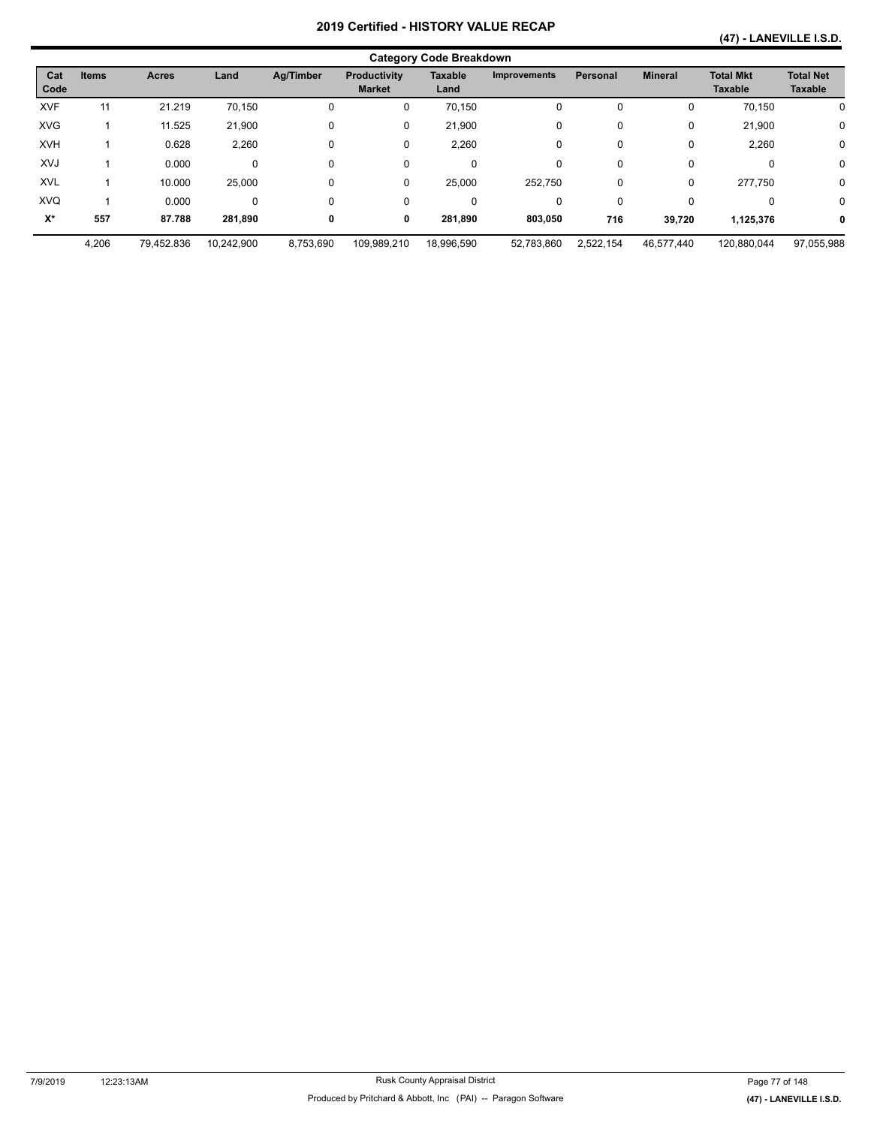#### **(47) - LANEVILLE I.S.D.**

|             |              |              |            |           |                               | <b>Category Code Breakdown</b> |                     |                 |                |                                    |                                    |
|-------------|--------------|--------------|------------|-----------|-------------------------------|--------------------------------|---------------------|-----------------|----------------|------------------------------------|------------------------------------|
| Cat<br>Code | <b>Items</b> | <b>Acres</b> | Land       | Ag/Timber | Productivity<br><b>Market</b> | <b>Taxable</b><br>Land         | <b>Improvements</b> | <b>Personal</b> | <b>Mineral</b> | <b>Total Mkt</b><br><b>Taxable</b> | <b>Total Net</b><br><b>Taxable</b> |
| <b>XVF</b>  | 11           | 21.219       | 70,150     | 0         | 0                             | 70,150                         | 0                   | $\Omega$        | 0              | 70,150                             | 0                                  |
| <b>XVG</b>  |              | 11.525       | 21,900     | 0         | 0                             | 21,900                         | 0                   | $\Omega$        | 0              | 21,900                             | $\mathbf 0$                        |
| <b>XVH</b>  |              | 0.628        | 2,260      | 0         | 0                             | 2,260                          | 0                   | $\Omega$        | 0              | 2,260                              | $\mathbf 0$                        |
| XVJ         |              | 0.000        | 0          | 0         | 0                             | 0                              | 0                   | $\Omega$        | 0              | $\Omega$                           | 0                                  |
| <b>XVL</b>  |              | 10.000       | 25,000     | 0         | 0                             | 25,000                         | 252.750             | 0               | 0              | 277,750                            | $\mathbf 0$                        |
| <b>XVQ</b>  |              | 0.000        | 0          | 0         | 0                             | 0                              | 0                   | $\Omega$        | 0              | 0                                  | 0                                  |
| X*          | 557          | 87.788       | 281,890    | 0         | 0                             | 281,890                        | 803,050             | 716             | 39,720         | 1,125,376                          | 0                                  |
|             | 4,206        | 79,452.836   | 10,242,900 | 8,753,690 | 109,989,210                   | 18,996,590                     | 52,783,860          | 2,522,154       | 46,577,440     | 120,880,044                        | 97,055,988                         |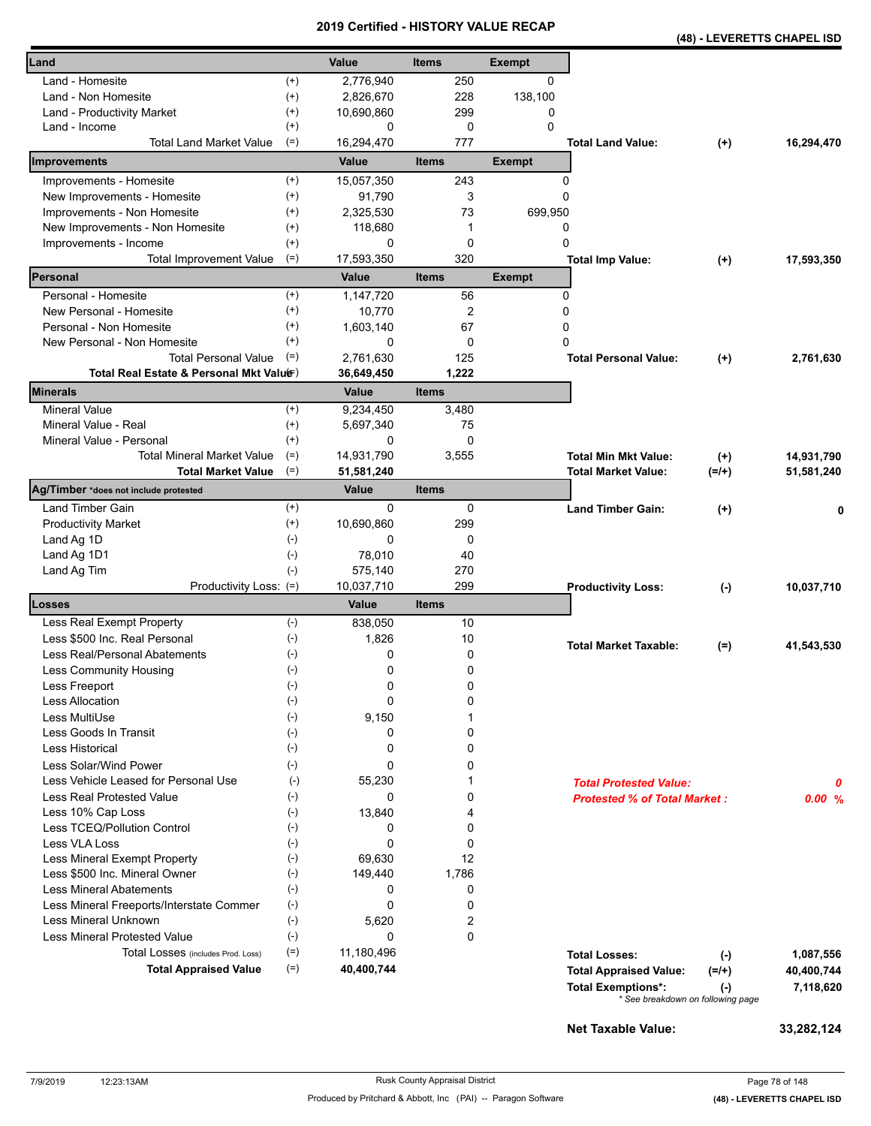|                                                               |                   |                | <b>VEILIIIEU - NIJ I URT VALUE REVAR</b> |               |                                     | (48) - LEVERETTS CHAPEL ISD                    |                          |
|---------------------------------------------------------------|-------------------|----------------|------------------------------------------|---------------|-------------------------------------|------------------------------------------------|--------------------------|
| Land                                                          |                   | <b>Value</b>   | <b>Items</b>                             | <b>Exempt</b> |                                     |                                                |                          |
| Land - Homesite                                               | $^{(+)}$          | 2,776,940      | 250                                      | 0             |                                     |                                                |                          |
| Land - Non Homesite                                           | $^{(+)}$          | 2,826,670      | 228                                      | 138,100       |                                     |                                                |                          |
| Land - Productivity Market                                    | $^{(+)}$          | 10,690,860     | 299                                      | 0             |                                     |                                                |                          |
| Land - Income                                                 | $^{(+)}$          | 0              | 0                                        | $\Omega$      |                                     |                                                |                          |
| <b>Total Land Market Value</b>                                | $(=)$             | 16,294,470     | 777                                      |               | <b>Total Land Value:</b>            | $(+)$                                          | 16,294,470               |
| Improvements                                                  |                   | Value          | <b>Items</b>                             | <b>Exempt</b> |                                     |                                                |                          |
| Improvements - Homesite                                       | $^{(+)}$          | 15,057,350     | 243                                      | 0             |                                     |                                                |                          |
| New Improvements - Homesite                                   | $^{(+)}$          | 91,790         | 3                                        | 0             |                                     |                                                |                          |
| Improvements - Non Homesite                                   | $^{(+)}$          | 2,325,530      | 73                                       | 699,950       |                                     |                                                |                          |
| New Improvements - Non Homesite                               | $^{(+)}$          | 118,680        | 1                                        | 0             |                                     |                                                |                          |
| Improvements - Income                                         | $^{(+)}$          | 0              | 0                                        | 0             |                                     |                                                |                          |
| <b>Total Improvement Value</b>                                | $(=)$             | 17,593,350     | 320                                      |               | <b>Total Imp Value:</b>             | $(+)$                                          | 17,593,350               |
| Personal                                                      |                   | Value          | <b>Items</b>                             | <b>Exempt</b> |                                     |                                                |                          |
| Personal - Homesite                                           | $^{(+)}$          | 1,147,720      | 56                                       | 0             |                                     |                                                |                          |
| New Personal - Homesite                                       | $^{(+)}$          | 10,770         | 2                                        | 0             |                                     |                                                |                          |
| Personal - Non Homesite                                       | $^{(+)}$          | 1,603,140      | 67                                       | 0             |                                     |                                                |                          |
| New Personal - Non Homesite                                   | $^{(+)}$          | 0              | 0                                        | 0             |                                     |                                                |                          |
| <b>Total Personal Value</b>                                   | $(=)$             | 2,761,630      | 125                                      |               | <b>Total Personal Value:</b>        | $(+)$                                          | 2.761.630                |
| Total Real Estate & Personal Mkt Valuer)                      |                   | 36,649,450     | 1,222                                    |               |                                     |                                                |                          |
| <b>Minerals</b>                                               |                   | Value          | <b>Items</b>                             |               |                                     |                                                |                          |
| <b>Mineral Value</b>                                          | $^{(+)}$          | 9,234,450      | 3,480                                    |               |                                     |                                                |                          |
| Mineral Value - Real                                          | $^{(+)}$          | 5,697,340<br>0 | 75<br>$\mathbf{0}$                       |               |                                     |                                                |                          |
| Mineral Value - Personal<br><b>Total Mineral Market Value</b> | $^{(+)}$<br>$(=)$ | 14,931,790     | 3,555                                    |               | <b>Total Min Mkt Value:</b>         |                                                |                          |
| <b>Total Market Value</b>                                     | $(=)$             | 51,581,240     |                                          |               | Total Market Value:                 | $^{(+)}$<br>$(=/+)$                            | 14,931,790<br>51,581,240 |
| Ag/Timber *does not include protested                         |                   | Value          | <b>Items</b>                             |               |                                     |                                                |                          |
| <b>Land Timber Gain</b>                                       | $^{(+)}$          | 0              | 0                                        |               | <b>Land Timber Gain:</b>            |                                                |                          |
| <b>Productivity Market</b>                                    | $^{(+)}$          | 10,690,860     | 299                                      |               |                                     | $(+)$                                          | 0                        |
| Land Ag 1D                                                    | $(-)$             | 0              | 0                                        |               |                                     |                                                |                          |
| Land Ag 1D1                                                   | $(\text{-})$      | 78,010         | 40                                       |               |                                     |                                                |                          |
| Land Ag Tim                                                   | $(-)$             | 575,140        | 270                                      |               |                                     |                                                |                          |
| Productivity Loss: (=)                                        |                   | 10,037,710     | 299                                      |               | <b>Productivity Loss:</b>           | $(-)$                                          | 10,037,710               |
| Losses                                                        |                   | Value          | <b>Items</b>                             |               |                                     |                                                |                          |
| Less Real Exempt Property                                     | $(-)$             | 838,050        | 10                                       |               |                                     |                                                |                          |
| Less \$500 Inc. Real Personal                                 | $(\text{-})$      | 1,826          | 10                                       |               | <b>Total Market Taxable:</b>        |                                                |                          |
| Less Real/Personal Abatements                                 | $(\cdot)$         | 0              | 0                                        |               |                                     | $(=)$                                          | 41,543,530               |
| Less Community Housing                                        | $(\cdot)$         | 0              | 0                                        |               |                                     |                                                |                          |
| Less Freeport                                                 | $(-)$             | 0              | 0                                        |               |                                     |                                                |                          |
| <b>Less Allocation</b>                                        | $(\text{-})$      | 0              | 0                                        |               |                                     |                                                |                          |
| Less MultiUse                                                 | $(\cdot)$         | 9,150          | 1                                        |               |                                     |                                                |                          |
| Less Goods In Transit                                         | $(-)$             | 0              | 0                                        |               |                                     |                                                |                          |
| Less Historical                                               | $(-)$             | 0              | 0                                        |               |                                     |                                                |                          |
| Less Solar/Wind Power                                         | $(-)$             | 0              | 0                                        |               |                                     |                                                |                          |
| Less Vehicle Leased for Personal Use                          | $(-)$             | 55,230         |                                          |               | <b>Total Protested Value:</b>       |                                                | 0                        |
| Less Real Protested Value                                     | $(-)$             | 0              | 0                                        |               | <b>Protested % of Total Market:</b> |                                                | 0.00%                    |
| Less 10% Cap Loss                                             | $(-)$             | 13,840         | 4                                        |               |                                     |                                                |                          |
| Less TCEQ/Pollution Control                                   | $(-)$             | 0              | 0                                        |               |                                     |                                                |                          |
| Less VLA Loss                                                 | $(-)$             | 0              | 0                                        |               |                                     |                                                |                          |
| Less Mineral Exempt Property                                  | $(-)$             | 69,630         | 12                                       |               |                                     |                                                |                          |
| Less \$500 Inc. Mineral Owner                                 | $(-)$             | 149,440        | 1,786                                    |               |                                     |                                                |                          |
| <b>Less Mineral Abatements</b>                                | $(\text{-})$      | 0              | 0                                        |               |                                     |                                                |                          |
| Less Mineral Freeports/Interstate Commer                      | $(\text{-})$      | 0              | 0                                        |               |                                     |                                                |                          |
| <b>Less Mineral Unknown</b>                                   | $(\text{-})$      | 5,620          | 2                                        |               |                                     |                                                |                          |
| <b>Less Mineral Protested Value</b>                           | $(\text{-})$      | 0              | 0                                        |               |                                     |                                                |                          |
| Total Losses (includes Prod. Loss)                            | $(=)$             | 11,180,496     |                                          |               | <b>Total Losses:</b>                | $(\cdot)$                                      | 1,087,556                |
| <b>Total Appraised Value</b>                                  | $(=)$             | 40,400,744     |                                          |               | <b>Total Appraised Value:</b>       | $(=/+)$                                        | 40,400,744               |
|                                                               |                   |                |                                          |               | <b>Total Exemptions*:</b>           | $(\cdot)$<br>* See breakdown on following page | 7,118,620                |
|                                                               |                   |                |                                          |               |                                     |                                                |                          |
|                                                               |                   |                |                                          |               | <b>Net Taxable Value:</b>           |                                                | 33,282,124               |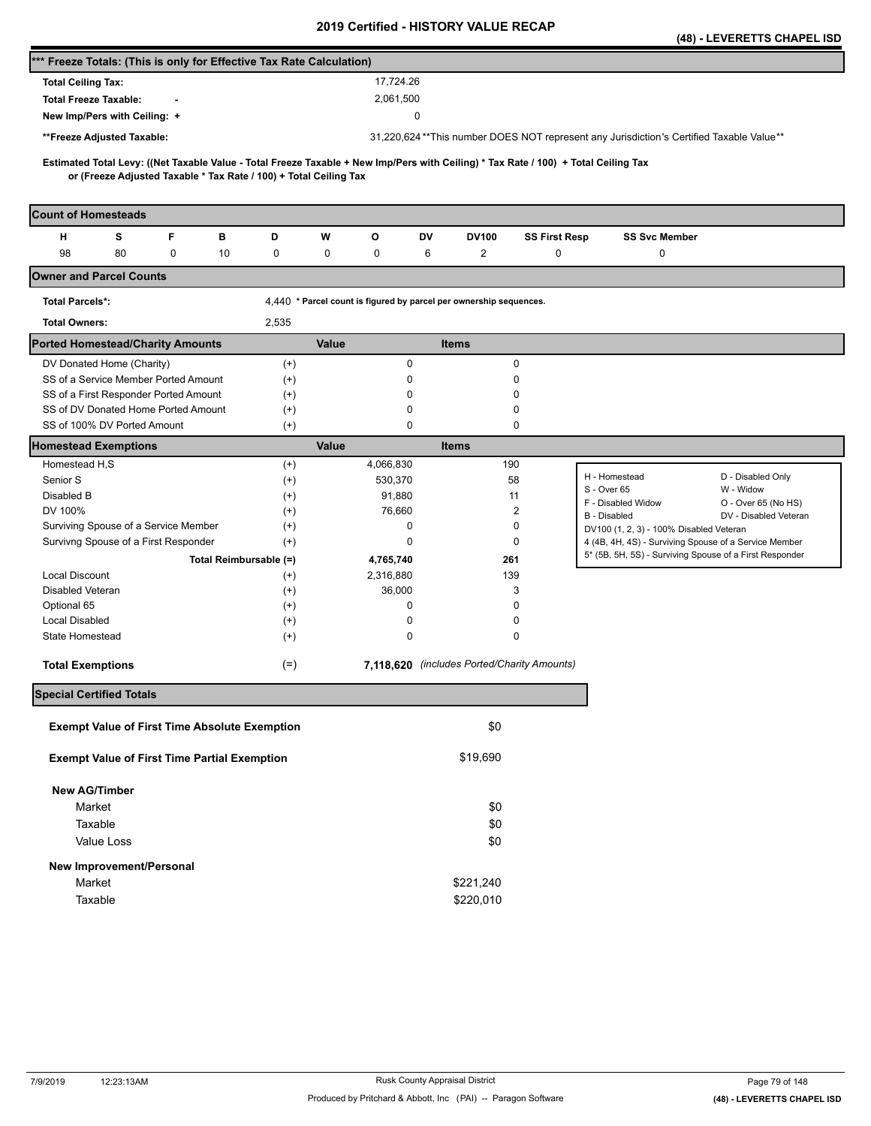|                                                                                                                                                                                                          |                      |                                                                    |                                             |                      |                                                                                                  | (48) - LEVERETTS CHAPEL ISD |
|----------------------------------------------------------------------------------------------------------------------------------------------------------------------------------------------------------|----------------------|--------------------------------------------------------------------|---------------------------------------------|----------------------|--------------------------------------------------------------------------------------------------|-----------------------------|
| *** Freeze Totals: (This is only for Effective Tax Rate Calculation)                                                                                                                                     |                      |                                                                    |                                             |                      |                                                                                                  |                             |
| <b>Total Ceiling Tax:</b>                                                                                                                                                                                |                      | 17,724.26                                                          |                                             |                      |                                                                                                  |                             |
| <b>Total Freeze Taxable:</b>                                                                                                                                                                             |                      | 2,061,500                                                          |                                             |                      |                                                                                                  |                             |
| New Imp/Pers with Ceiling: +                                                                                                                                                                             |                      |                                                                    | 0                                           |                      |                                                                                                  |                             |
| **Freeze Adjusted Taxable:                                                                                                                                                                               |                      |                                                                    |                                             |                      | 31,220,624**This number DOES NOT represent any Jurisdiction's Certified Taxable Value**          |                             |
|                                                                                                                                                                                                          |                      |                                                                    |                                             |                      |                                                                                                  |                             |
| Estimated Total Levy: ((Net Taxable Value - Total Freeze Taxable + New Imp/Pers with Ceiling) * Tax Rate / 100) + Total Ceiling Tax<br>or (Freeze Adjusted Taxable * Tax Rate / 100) + Total Ceiling Tax |                      |                                                                    |                                             |                      |                                                                                                  |                             |
|                                                                                                                                                                                                          |                      |                                                                    |                                             |                      |                                                                                                  |                             |
| <b>Count of Homesteads</b>                                                                                                                                                                               |                      |                                                                    |                                             |                      |                                                                                                  |                             |
| F<br>н<br>s<br>в                                                                                                                                                                                         | D                    | w<br>o                                                             | DV<br>DV100                                 | <b>SS First Resp</b> | <b>SS Svc Member</b>                                                                             |                             |
| 98<br>80<br>0<br>10                                                                                                                                                                                      | 0                    | 0<br>0                                                             | $\overline{\mathbf{c}}$<br>6                | 0                    | 0                                                                                                |                             |
| <b>Owner and Parcel Counts</b>                                                                                                                                                                           |                      |                                                                    |                                             |                      |                                                                                                  |                             |
| <b>Total Parcels*:</b>                                                                                                                                                                                   |                      | 4,440 * Parcel count is figured by parcel per ownership sequences. |                                             |                      |                                                                                                  |                             |
| <b>Total Owners:</b>                                                                                                                                                                                     | 2,535                |                                                                    |                                             |                      |                                                                                                  |                             |
| <b>Ported Homestead/Charity Amounts</b>                                                                                                                                                                  |                      | Value                                                              | <b>Items</b>                                |                      |                                                                                                  |                             |
| DV Donated Home (Charity)                                                                                                                                                                                | $^{(+)}$             | 0                                                                  |                                             | 0                    |                                                                                                  |                             |
| SS of a Service Member Ported Amount                                                                                                                                                                     | $(+)$                | 0                                                                  |                                             | 0                    |                                                                                                  |                             |
| SS of a First Responder Ported Amount                                                                                                                                                                    | $^{(+)}$             | 0                                                                  |                                             | 0                    |                                                                                                  |                             |
| SS of DV Donated Home Ported Amount                                                                                                                                                                      | $^{(+)}$             | 0                                                                  |                                             | 0                    |                                                                                                  |                             |
| SS of 100% DV Ported Amount                                                                                                                                                                              | $^{(+)}$             | 0                                                                  |                                             | 0                    |                                                                                                  |                             |
| <b>Homestead Exemptions</b>                                                                                                                                                                              |                      | Value                                                              | <b>Items</b>                                |                      |                                                                                                  |                             |
| Homestead H <sub>,</sub> S                                                                                                                                                                               | $^{(+)}$             | 4,066,830                                                          | 190                                         |                      | H - Homestead                                                                                    | D - Disabled Only           |
| Senior S                                                                                                                                                                                                 | $^{(+)}$             | 530,370                                                            | 58                                          |                      | S - Over 65                                                                                      | W - Widow                   |
| Disabled B                                                                                                                                                                                               | $^{(+)}$             | 91,880                                                             | 11                                          |                      | F - Disabled Widow                                                                               | O - Over 65 (No HS)         |
| DV 100%<br>Surviving Spouse of a Service Member                                                                                                                                                          | $^{(+)}$<br>$^{(+)}$ | 76,660<br>0                                                        |                                             | 2<br>0               | <b>B</b> - Disabled                                                                              | DV - Disabled Veteran       |
| Survivng Spouse of a First Responder                                                                                                                                                                     | $^{(+)}$             | 0                                                                  |                                             | 0                    | DV100 (1, 2, 3) - 100% Disabled Veteran<br>4 (4B, 4H, 4S) - Surviving Spouse of a Service Member |                             |
| Total Reimbursable (=)                                                                                                                                                                                   |                      | 4,765,740                                                          | 261                                         |                      | 5* (5B, 5H, 5S) - Surviving Spouse of a First Responder                                          |                             |
| <b>Local Discount</b>                                                                                                                                                                                    | $^{(+)}$             | 2,316,880                                                          | 139                                         |                      |                                                                                                  |                             |
| Disabled Veteran                                                                                                                                                                                         | $^{(+)}$             | 36,000                                                             |                                             | 3                    |                                                                                                  |                             |
| Optional 65                                                                                                                                                                                              | $^{(+)}$             | 0                                                                  |                                             | 0                    |                                                                                                  |                             |
| <b>Local Disabled</b>                                                                                                                                                                                    | $^{(+)}$             | 0                                                                  |                                             | 0                    |                                                                                                  |                             |
| State Homestead                                                                                                                                                                                          | $^{(+)}$             | 0                                                                  |                                             | 0                    |                                                                                                  |                             |
| <b>Total Exemptions</b>                                                                                                                                                                                  | $(=)$                |                                                                    | 7,118,620 (includes Ported/Charity Amounts) |                      |                                                                                                  |                             |
| <b>Special Certified Totals</b>                                                                                                                                                                          |                      |                                                                    |                                             |                      |                                                                                                  |                             |
| <b>Exempt Value of First Time Absolute Exemption</b>                                                                                                                                                     |                      |                                                                    | \$0                                         |                      |                                                                                                  |                             |
| <b>Exempt Value of First Time Partial Exemption</b>                                                                                                                                                      |                      |                                                                    | \$19,690                                    |                      |                                                                                                  |                             |
| <b>New AG/Timber</b>                                                                                                                                                                                     |                      |                                                                    |                                             |                      |                                                                                                  |                             |
| Market                                                                                                                                                                                                   |                      |                                                                    | \$0                                         |                      |                                                                                                  |                             |
| Taxable                                                                                                                                                                                                  |                      |                                                                    | \$0                                         |                      |                                                                                                  |                             |
| Value Loss                                                                                                                                                                                               |                      |                                                                    | \$0                                         |                      |                                                                                                  |                             |
| New Improvement/Personal                                                                                                                                                                                 |                      |                                                                    |                                             |                      |                                                                                                  |                             |
| Market                                                                                                                                                                                                   |                      |                                                                    | \$221,240                                   |                      |                                                                                                  |                             |
| Taxable                                                                                                                                                                                                  |                      |                                                                    | \$220,010                                   |                      |                                                                                                  |                             |
|                                                                                                                                                                                                          |                      |                                                                    |                                             |                      |                                                                                                  |                             |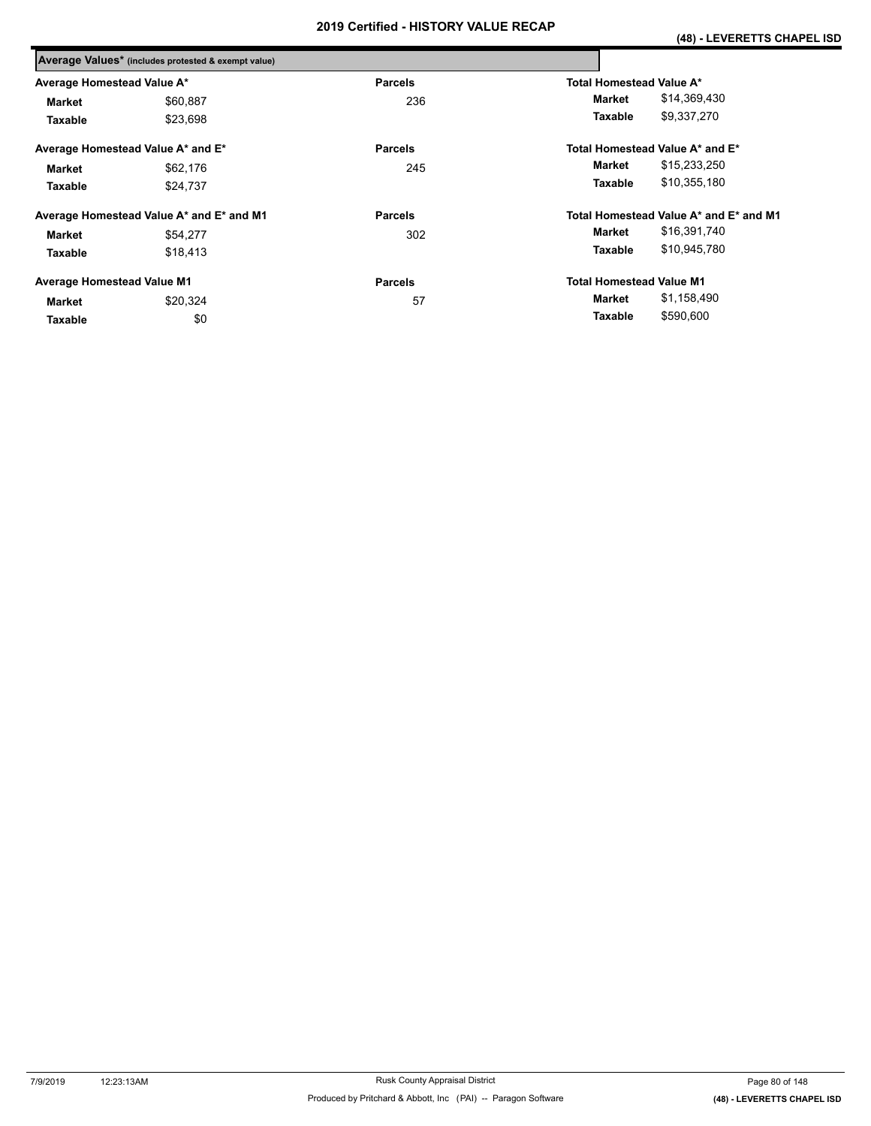|                                   | Average Values* (includes protested & exempt value) |                |                                        |
|-----------------------------------|-----------------------------------------------------|----------------|----------------------------------------|
| Average Homestead Value A*        |                                                     | <b>Parcels</b> | <b>Total Homestead Value A*</b>        |
| <b>Market</b>                     | \$60,887                                            | 236            | \$14,369,430<br>Market                 |
| Taxable                           | \$23,698                                            |                | \$9,337,270<br>Taxable                 |
|                                   | Average Homestead Value A* and E*                   | <b>Parcels</b> | Total Homestead Value A* and E*        |
| <b>Market</b>                     | \$62,176                                            | 245            | \$15,233,250<br>Market                 |
| Taxable                           | \$24,737                                            |                | \$10,355,180<br>Taxable                |
|                                   | Average Homestead Value A* and E* and M1            | <b>Parcels</b> | Total Homestead Value A* and E* and M1 |
| <b>Market</b>                     | \$54,277                                            | 302            | \$16,391,740<br>Market                 |
| Taxable                           | \$18,413                                            |                | \$10,945,780<br>Taxable                |
| <b>Average Homestead Value M1</b> |                                                     | <b>Parcels</b> | <b>Total Homestead Value M1</b>        |
| <b>Market</b>                     | \$20.324                                            | 57             | \$1,158,490<br>Market                  |
| Taxable                           | \$0                                                 |                | \$590,600<br>Taxable                   |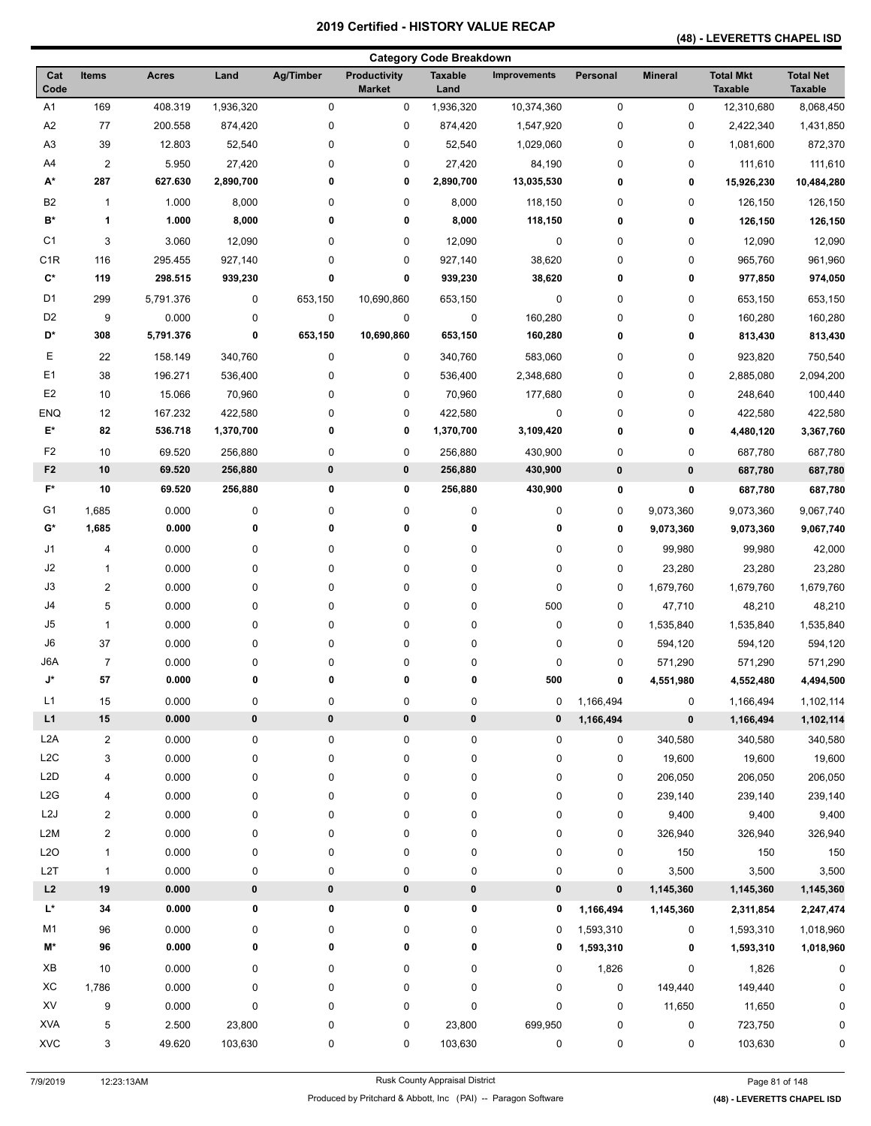## **(48) - LEVERETTS CHAPEL ISD**

| <b>Category Code Breakdown</b> |                         |              |           |             |                               |                        |                     |           |                |                                    |                                    |
|--------------------------------|-------------------------|--------------|-----------|-------------|-------------------------------|------------------------|---------------------|-----------|----------------|------------------------------------|------------------------------------|
| Cat<br>Code                    | <b>Items</b>            | <b>Acres</b> | Land      | Ag/Timber   | Productivity<br><b>Market</b> | <b>Taxable</b><br>Land | <b>Improvements</b> | Personal  | <b>Mineral</b> | <b>Total Mkt</b><br><b>Taxable</b> | <b>Total Net</b><br><b>Taxable</b> |
| A <sub>1</sub>                 | 169                     | 408.319      | 1,936,320 | 0           | 0                             | 1,936,320              | 10,374,360          | 0         | 0              | 12,310,680                         | 8,068,450                          |
| A <sub>2</sub>                 | 77                      | 200.558      | 874,420   | $\mathbf 0$ | 0                             | 874,420                | 1,547,920           | 0         | 0              | 2,422,340                          | 1,431,850                          |
| A <sub>3</sub>                 | 39                      | 12.803       | 52,540    | $\mathbf 0$ | 0                             | 52,540                 | 1,029,060           | 0         | 0              | 1,081,600                          | 872,370                            |
| A4                             | $\overline{2}$          | 5.950        | 27,420    | 0           | 0                             | 27,420                 | 84,190              | 0         | 0              | 111,610                            | 111,610                            |
| A*                             | 287                     | 627.630      | 2,890,700 | 0           | 0                             | 2,890,700              | 13,035,530          | 0         | 0              | 15,926,230                         | 10,484,280                         |
| B <sub>2</sub>                 | $\mathbf{1}$            | 1.000        | 8,000     | 0           | 0                             | 8,000                  | 118,150             | 0         | 0              | 126,150                            | 126,150                            |
| B*                             | $\mathbf{1}$            | 1.000        | 8,000     | 0           | 0                             | 8,000                  | 118,150             | 0         | 0              | 126,150                            | 126,150                            |
| C <sub>1</sub>                 | 3                       | 3.060        | 12,090    | 0           | 0                             | 12,090                 | $\pmb{0}$           | 0         | 0              | 12,090                             | 12,090                             |
| C <sub>1</sub> R               | 116                     | 295.455      | 927,140   | 0           | 0                             | 927,140                | 38,620              | 0         | 0              | 965,760                            | 961,960                            |
| $\mathbf{C}^{\star}$           | 119                     | 298.515      | 939,230   | 0           | 0                             | 939,230                | 38,620              | 0         | 0              | 977,850                            | 974,050                            |
| D <sub>1</sub>                 | 299                     | 5,791.376    | $\pmb{0}$ | 653,150     | 10,690,860                    | 653,150                | $\pmb{0}$           | 0         | 0              | 653,150                            | 653,150                            |
| D <sub>2</sub>                 | 9                       | 0.000        | 0         | $\pmb{0}$   | 0                             | $\pmb{0}$              | 160,280             | 0         | 0              | 160,280                            | 160,280                            |
| D*                             | 308                     | 5,791.376    | 0         | 653,150     | 10,690,860                    | 653,150                | 160,280             | 0         | 0              | 813,430                            | 813,430                            |
| Ε                              | 22                      | 158.149      | 340,760   | $\pmb{0}$   | 0                             | 340,760                | 583,060             | 0         | 0              | 923,820                            | 750,540                            |
| E <sub>1</sub>                 | 38                      | 196.271      | 536,400   | $\pmb{0}$   | 0                             | 536,400                | 2,348,680           | 0         | 0              | 2,885,080                          | 2,094,200                          |
| E <sub>2</sub>                 | 10                      | 15.066       | 70,960    | 0           | 0                             | 70,960                 | 177,680             | 0         | 0              | 248,640                            | 100,440                            |
| <b>ENQ</b>                     | 12                      | 167.232      | 422,580   | 0           | 0                             | 422,580                | 0                   | 0         | 0              | 422,580                            | 422,580                            |
| E*                             | 82                      | 536.718      | 1,370,700 | 0           | 0                             | 1,370,700              | 3,109,420           | 0         | 0              | 4,480,120                          | 3,367,760                          |
| F <sub>2</sub>                 | 10                      | 69.520       | 256,880   | $\pmb{0}$   | 0                             | 256,880                | 430,900             | 0         | 0              | 687,780                            | 687,780                            |
| F <sub>2</sub>                 | 10                      | 69.520       | 256,880   | $\pmb{0}$   | 0                             | 256,880                | 430,900             | 0         | $\pmb{0}$      | 687,780                            | 687,780                            |
| F*                             | 10                      | 69.520       | 256,880   | 0           | 0                             | 256,880                | 430,900             | 0         | 0              | 687,780                            | 687,780                            |
| G1                             | 1,685                   | 0.000        | 0         | 0           | 0                             | 0                      | 0                   | 0         | 9,073,360      | 9,073,360                          | 9,067,740                          |
| G*                             | 1,685                   | 0.000        | 0         | 0           | 0                             | 0                      | 0                   | 0         | 9,073,360      | 9,073,360                          | 9,067,740                          |
| J1                             | 4                       | 0.000        | 0         | 0           | 0                             | 0                      | 0                   | 0         | 99,980         | 99,980                             | 42,000                             |
| J2                             | $\mathbf{1}$            | 0.000        | $\pmb{0}$ | 0           | 0                             | 0                      | $\pmb{0}$           | 0         | 23,280         | 23,280                             | 23,280                             |
| J3                             | $\overline{c}$          | 0.000        | $\pmb{0}$ | 0           | 0                             | 0                      | $\pmb{0}$           | 0         | 1,679,760      | 1,679,760                          | 1,679,760                          |
| J4                             | 5                       | 0.000        | $\pmb{0}$ | 0           | 0                             | 0                      | 500                 | 0         | 47,710         | 48,210                             | 48,210                             |
| J5                             | $\mathbf{1}$            | 0.000        | 0         | 0           | 0                             | 0                      | $\pmb{0}$           | 0         | 1,535,840      | 1,535,840                          | 1,535,840                          |
| J6                             | 37                      | 0.000        | 0         | 0           | 0                             | 0                      | 0                   | 0         | 594,120        | 594,120                            | 594,120                            |
| J6A                            | $\overline{7}$          | 0.000        | 0         | 0           | 0                             | 0                      | 0                   | 0         | 571,290        | 571,290                            | 571,290                            |
| J*                             | 57                      | 0.000        | 0         | 0           | 0                             | 0                      | 500                 | 0         | 4,551,980      | 4,552,480                          | 4,494,500                          |
| L1                             | 15                      | 0.000        | 0         | $\pmb{0}$   | 0                             | $\pmb{0}$              | 0                   | 1,166,494 | 0              | 1,166,494                          | 1,102,114                          |
| L1                             | ${\bf 15}$              | 0.000        | $\pmb{0}$ | $\pmb{0}$   | $\pmb{0}$                     | 0                      | $\pmb{0}$           | 1,166,494 | 0              | 1,166,494                          | 1,102,114                          |
| L <sub>2</sub> A               | $\overline{\mathbf{c}}$ | 0.000        | 0         | 0           | 0                             | 0                      | $\pmb{0}$           | 0         | 340,580        | 340,580                            | 340,580                            |
| L <sub>2</sub> C               | 3                       | 0.000        | 0         | 0           | 0                             | 0                      | $\pmb{0}$           | 0         | 19,600         | 19,600                             | 19,600                             |
| L <sub>2</sub> D               | 4                       | 0.000        | 0         | 0           | 0                             | 0                      | $\pmb{0}$           | 0         | 206,050        | 206,050                            | 206,050                            |
| L <sub>2</sub> G               | 4                       | 0.000        | 0         | 0           | 0                             | 0                      | $\pmb{0}$           | 0         | 239,140        | 239,140                            | 239,140                            |
| L <sub>2</sub> J               | 2                       | 0.000        | 0         | 0           | 0                             | 0                      | $\pmb{0}$           | 0         | 9,400          | 9,400                              | 9,400                              |
| L2M                            | $\overline{\mathbf{c}}$ | 0.000        | 0         | 0           | 0                             | 0                      | $\pmb{0}$           | 0         | 326,940        | 326,940                            | 326,940                            |
| L2O                            | 1                       | 0.000        | 0         | 0           | 0                             | 0                      | $\pmb{0}$           | 0         | 150            | 150                                | 150                                |
| L2T                            | $\mathbf{1}$            | 0.000        | 0         | 0           | 0                             | 0                      | $\pmb{0}$           | 0         | 3,500          | 3,500                              | 3,500                              |
| L2                             | 19                      | 0.000        | 0         | $\pmb{0}$   | 0                             | 0                      | $\mathbf 0$         | $\pmb{0}$ | 1,145,360      | 1,145,360                          | 1,145,360                          |
| $\mathsf{L}^\star$             | 34                      | 0.000        | 0         | 0           | 0                             | 0                      | 0                   | 1,166,494 | 1,145,360      | 2,311,854                          | 2,247,474                          |
| M1                             | 96                      | 0.000        | 0         | 0           | 0                             | 0                      | 0                   | 1,593,310 | 0              | 1,593,310                          | 1,018,960                          |
| M*                             | 96                      | 0.000        | 0         | 0           | 0                             | 0                      | 0                   | 1,593,310 | 0              | 1,593,310                          | 1,018,960                          |
| XB                             | 10                      | 0.000        | 0         | 0           | 0                             | 0                      | 0                   | 1,826     | 0              | 1,826                              | 0                                  |
| ХC                             | 1,786                   | 0.000        | 0         | 0           | 0                             | 0                      | $\pmb{0}$           | 0         | 149,440        | 149,440                            | 0                                  |
| XV                             | 9                       | 0.000        | $\pmb{0}$ | 0           | 0                             | 0                      | $\pmb{0}$           | 0         | 11,650         | 11,650                             |                                    |
| <b>XVA</b>                     | 5                       | 2.500        | 23,800    | 0           | 0                             | 23,800                 | 699,950             | 0         | 0              | 723,750                            |                                    |
| <b>XVC</b>                     | 3                       | 49.620       | 103,630   | 0           | 0                             | 103,630                | $\pmb{0}$           | 0         | 0              | 103,630                            |                                    |
|                                |                         |              |           |             |                               |                        |                     |           |                |                                    |                                    |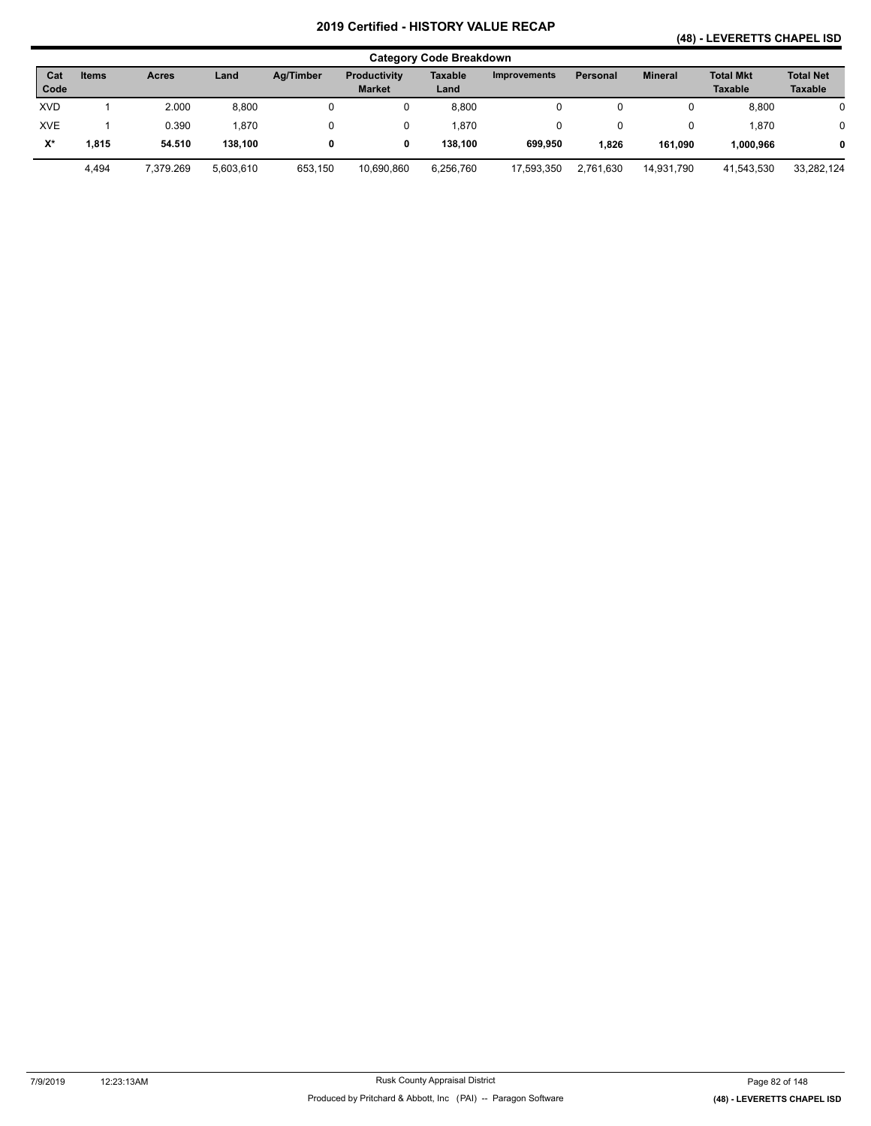## **(48) - LEVERETTS CHAPEL ISD**

|                      | <b>Category Code Breakdown</b> |              |           |           |                                      |                 |                     |                 |                |                                    |                                    |  |  |
|----------------------|--------------------------------|--------------|-----------|-----------|--------------------------------------|-----------------|---------------------|-----------------|----------------|------------------------------------|------------------------------------|--|--|
| Cat<br>Code          | <b>Items</b>                   | <b>Acres</b> | Land      | Ag/Timber | <b>Productivity</b><br><b>Market</b> | Taxable<br>Land | <b>Improvements</b> | <b>Personal</b> | <b>Mineral</b> | <b>Total Mkt</b><br><b>Taxable</b> | <b>Total Net</b><br><b>Taxable</b> |  |  |
| <b>XVD</b>           |                                | 2.000        | 8,800     |           | 0                                    | 8,800           |                     |                 | u              | 8,800                              |                                    |  |  |
| <b>XVE</b>           |                                | 0.390        | .870      |           | 0                                    | 1,870           |                     |                 | 0              | .870                               |                                    |  |  |
| $\mathsf{X}^{\star}$ | 1.815                          | 54.510       | 138.100   |           | 0                                    | 138.100         | 699.950             | 1,826           | 161,090        | 1,000,966                          |                                    |  |  |
|                      | 4,494                          | 7.379.269    | 5.603.610 | 653.150   | 10.690.860                           | 6,256,760       | 17,593,350          | 2.761.630       | 14.931.790     | 41,543,530                         | 33,282,124                         |  |  |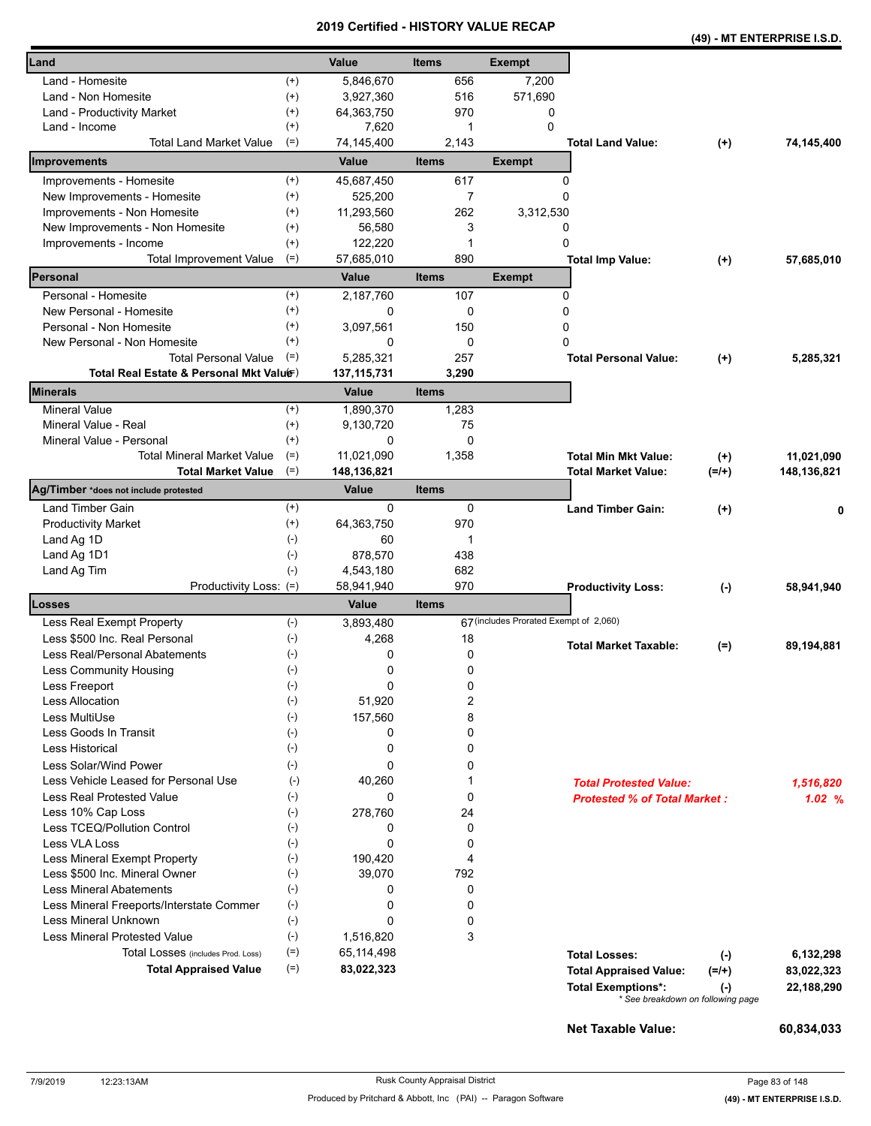|                                                                |                |                           |                |                                        |                                                            |                                                       | (49) - MT ENTERPRISE I.S.D. |
|----------------------------------------------------------------|----------------|---------------------------|----------------|----------------------------------------|------------------------------------------------------------|-------------------------------------------------------|-----------------------------|
| Land                                                           |                | Value                     | <b>Items</b>   | <b>Exempt</b>                          |                                                            |                                                       |                             |
| Land - Homesite                                                | $^{(+)}$       | 5,846,670                 | 656            | 7,200                                  |                                                            |                                                       |                             |
| Land - Non Homesite                                            | $^{(+)}$       | 3,927,360                 | 516            | 571,690                                |                                                            |                                                       |                             |
| Land - Productivity Market                                     | $^{(+)}$       | 64,363,750                | 970            | 0                                      |                                                            |                                                       |                             |
| Land - Income                                                  | $^{(+)}$       | 7,620                     | 1              | $\Omega$                               |                                                            |                                                       |                             |
| <b>Total Land Market Value</b>                                 | $(=)$          | 74,145,400                | 2,143          |                                        | <b>Total Land Value:</b>                                   | $(+)$                                                 | 74,145,400                  |
| Improvements                                                   |                | Value                     | <b>Items</b>   | <b>Exempt</b>                          |                                                            |                                                       |                             |
| Improvements - Homesite                                        | $^{(+)}$       | 45,687,450                | 617            |                                        | 0                                                          |                                                       |                             |
| New Improvements - Homesite                                    | $^{(+)}$       | 525,200                   | $\overline{7}$ |                                        | 0                                                          |                                                       |                             |
| Improvements - Non Homesite                                    | $^{(+)}$       | 11,293,560                | 262            | 3,312,530                              |                                                            |                                                       |                             |
| New Improvements - Non Homesite                                | $^{(+)}$       | 56,580                    | 3              |                                        | 0                                                          |                                                       |                             |
| Improvements - Income                                          | $^{(+)}$       | 122,220                   | 1              |                                        | 0                                                          |                                                       |                             |
| <b>Total Improvement Value</b>                                 | $(=)$          | 57,685,010                | 890            |                                        | <b>Total Imp Value:</b>                                    | $(+)$                                                 | 57,685,010                  |
| Personal                                                       |                | Value                     | <b>Items</b>   | <b>Exempt</b>                          |                                                            |                                                       |                             |
| Personal - Homesite                                            | $^{(+)}$       | 2,187,760                 | 107            |                                        | 0                                                          |                                                       |                             |
| New Personal - Homesite                                        | $^{(+)}$       | 0                         | 0              |                                        | 0                                                          |                                                       |                             |
| Personal - Non Homesite                                        | $^{(+)}$       | 3,097,561                 | 150            |                                        | 0                                                          |                                                       |                             |
| New Personal - Non Homesite                                    | $^{(+)}$       | 0                         | 0              |                                        | 0                                                          |                                                       |                             |
| <b>Total Personal Value</b>                                    | $(=)$          | 5,285,321                 | 257            |                                        | <b>Total Personal Value:</b>                               | $(+)$                                                 | 5,285,321                   |
| Total Real Estate & Personal Mkt Valuer)                       |                | 137, 115, 731             | 3,290          |                                        |                                                            |                                                       |                             |
| <b>Minerals</b>                                                |                | Value                     | <b>Items</b>   |                                        |                                                            |                                                       |                             |
| Mineral Value                                                  | $^{(+)}$       | 1,890,370                 | 1,283          |                                        |                                                            |                                                       |                             |
| Mineral Value - Real                                           | $^{(+)}$       | 9,130,720                 | 75             |                                        |                                                            |                                                       |                             |
| Mineral Value - Personal                                       | $(+)$          | 0                         | 0              |                                        |                                                            |                                                       |                             |
| <b>Total Mineral Market Value</b><br><b>Total Market Value</b> | $(=)$<br>$(=)$ | 11,021,090<br>148,136,821 | 1,358          |                                        | <b>Total Min Mkt Value:</b><br>Total Market Value:         | $(+)$<br>$(=/+)$                                      | 11,021,090<br>148,136,821   |
| Ag/Timber *does not include protested                          |                | Value                     | <b>Items</b>   |                                        |                                                            |                                                       |                             |
| <b>Land Timber Gain</b>                                        | $^{(+)}$       | 0                         | 0              |                                        | <b>Land Timber Gain:</b>                                   | $(+)$                                                 |                             |
| <b>Productivity Market</b>                                     | $^{(+)}$       | 64,363,750                | 970            |                                        |                                                            |                                                       |                             |
| Land Ag 1D                                                     | $(-)$          | 60                        | 1              |                                        |                                                            |                                                       |                             |
| Land Ag 1D1                                                    | $(-)$          | 878,570                   | 438            |                                        |                                                            |                                                       |                             |
| Land Ag Tim                                                    | $(-)$          | 4,543,180                 | 682            |                                        |                                                            |                                                       |                             |
| Productivity Loss: (=)                                         |                | 58,941,940                | 970            |                                        | <b>Productivity Loss:</b>                                  | $(-)$                                                 | 58,941,940                  |
| Losses                                                         |                | Value                     | Items          |                                        |                                                            |                                                       |                             |
| Less Real Exempt Property                                      | $(-)$          | 3,893,480                 |                | 67 (includes Prorated Exempt of 2,060) |                                                            |                                                       |                             |
| Less \$500 Inc. Real Personal                                  | $(-)$          | 4,268                     | 18             |                                        | <b>Total Market Taxable:</b>                               | $(=)$                                                 | 89,194,881                  |
| Less Real/Personal Abatements                                  | $(\cdot)$      | 0                         | 0              |                                        |                                                            |                                                       |                             |
| <b>Less Community Housing</b>                                  | $(-)$          | 0                         | 0              |                                        |                                                            |                                                       |                             |
| Less Freeport                                                  | $(\text{-})$   | 0                         | 0              |                                        |                                                            |                                                       |                             |
| Less Allocation                                                | $(-)$          | 51,920                    | 2              |                                        |                                                            |                                                       |                             |
| Less MultiUse                                                  | $(-)$          | 157,560                   | 8              |                                        |                                                            |                                                       |                             |
| Less Goods In Transit                                          | $(\cdot)$      | 0                         | 0              |                                        |                                                            |                                                       |                             |
| Less Historical                                                | $(-)$          | 0                         | 0              |                                        |                                                            |                                                       |                             |
| Less Solar/Wind Power                                          | $(-)$          | 0                         | 0              |                                        |                                                            |                                                       |                             |
| Less Vehicle Leased for Personal Use                           | $(-)$          | 40,260                    | 1              |                                        | <b>Total Protested Value:</b>                              |                                                       | 1,516,820                   |
| Less Real Protested Value                                      | $(-)$          | 0                         | 0              |                                        | <b>Protested % of Total Market:</b>                        |                                                       | 1.02%                       |
| Less 10% Cap Loss                                              | $(-)$          | 278,760                   | 24             |                                        |                                                            |                                                       |                             |
| Less TCEQ/Pollution Control                                    | $(-)$          | 0                         | 0              |                                        |                                                            |                                                       |                             |
| Less VLA Loss                                                  | $(\cdot)$      | 0                         | 0<br>4         |                                        |                                                            |                                                       |                             |
| Less Mineral Exempt Property<br>Less \$500 Inc. Mineral Owner  | $(-)$<br>$(-)$ | 190,420<br>39,070         | 792            |                                        |                                                            |                                                       |                             |
| <b>Less Mineral Abatements</b>                                 | $(-)$          | 0                         | 0              |                                        |                                                            |                                                       |                             |
| Less Mineral Freeports/Interstate Commer                       | $(-)$          | 0                         | 0              |                                        |                                                            |                                                       |                             |
| Less Mineral Unknown                                           | $(-)$          | 0                         | 0              |                                        |                                                            |                                                       |                             |
| <b>Less Mineral Protested Value</b>                            | $(-)$          | 1,516,820                 | 3              |                                        |                                                            |                                                       |                             |
| Total Losses (includes Prod. Loss)                             | $(=)$          | 65,114,498                |                |                                        | <b>Total Losses:</b>                                       |                                                       |                             |
| <b>Total Appraised Value</b>                                   | $(=)$          | 83,022,323                |                |                                        |                                                            | $(-)$                                                 | 6,132,298                   |
|                                                                |                |                           |                |                                        | <b>Total Appraised Value:</b><br><b>Total Exemptions*:</b> | $(=/+)$<br>$(-)$<br>* See breakdown on following page | 83,022,323<br>22,188,290    |
|                                                                |                |                           |                |                                        |                                                            |                                                       |                             |

**Net Taxable Value: 60,834,033**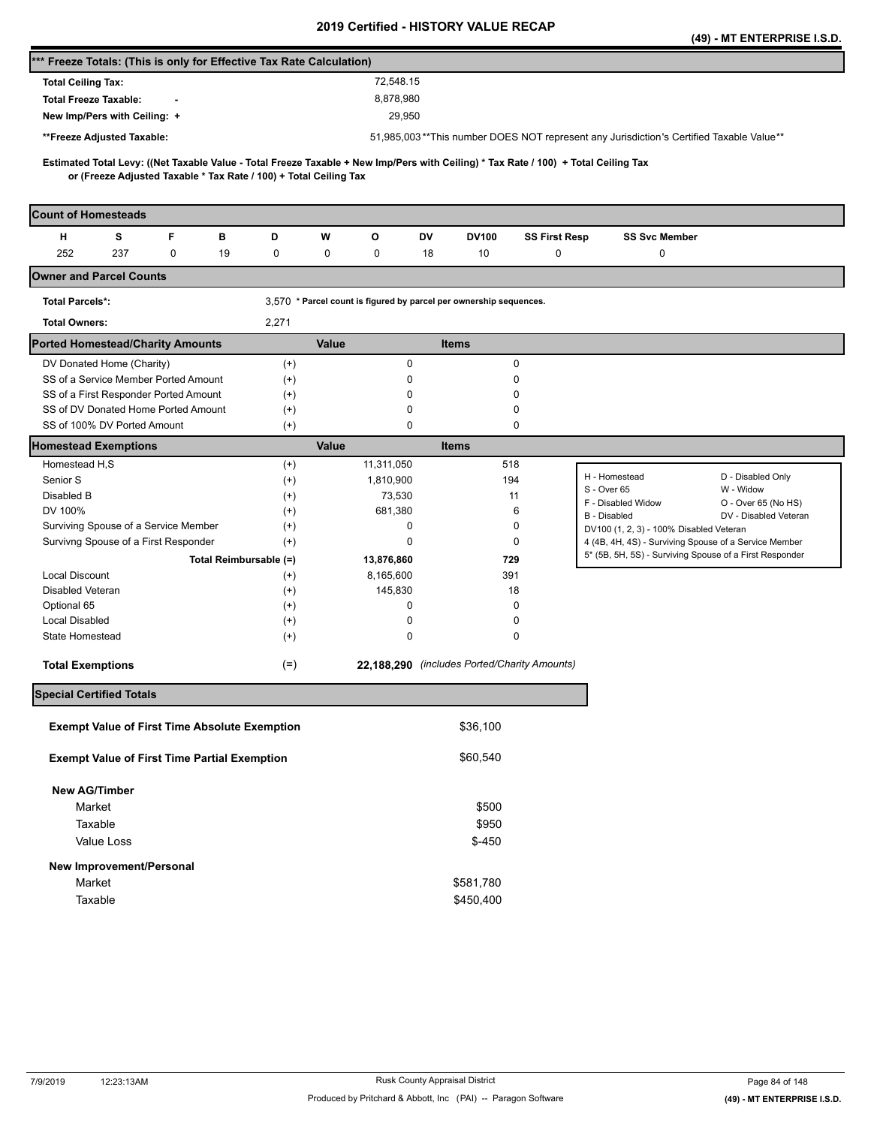|                                                                                                                                     |                      |                                                                    |                                              |                      |                                                                                                                  | (49) - MT ENTERPRISE I.S.D.      |
|-------------------------------------------------------------------------------------------------------------------------------------|----------------------|--------------------------------------------------------------------|----------------------------------------------|----------------------|------------------------------------------------------------------------------------------------------------------|----------------------------------|
| *** Freeze Totals: (This is only for Effective Tax Rate Calculation)                                                                |                      |                                                                    |                                              |                      |                                                                                                                  |                                  |
| <b>Total Ceiling Tax:</b>                                                                                                           |                      | 72.548.15                                                          |                                              |                      |                                                                                                                  |                                  |
| <b>Total Freeze Taxable:</b>                                                                                                        |                      | 8,878,980                                                          |                                              |                      |                                                                                                                  |                                  |
| New Imp/Pers with Ceiling: +                                                                                                        |                      | 29,950                                                             |                                              |                      |                                                                                                                  |                                  |
| **Freeze Adjusted Taxable:                                                                                                          |                      |                                                                    |                                              |                      | 51,985,003**This number DOES NOT represent any Jurisdiction's Certified Taxable Value**                          |                                  |
| Estimated Total Levy: ((Net Taxable Value - Total Freeze Taxable + New Imp/Pers with Ceiling) * Tax Rate / 100) + Total Ceiling Tax |                      |                                                                    |                                              |                      |                                                                                                                  |                                  |
| or (Freeze Adjusted Taxable * Tax Rate / 100) + Total Ceiling Tax                                                                   |                      |                                                                    |                                              |                      |                                                                                                                  |                                  |
| <b>Count of Homesteads</b>                                                                                                          |                      |                                                                    |                                              |                      |                                                                                                                  |                                  |
| н<br>s<br>F<br>в                                                                                                                    | D                    | w<br>o                                                             | DV<br>DV100                                  | <b>SS First Resp</b> | <b>SS Svc Member</b>                                                                                             |                                  |
| 252<br>237<br>0<br>19                                                                                                               | 0                    | 0<br>0                                                             | 18<br>10                                     | 0                    | 0                                                                                                                |                                  |
| <b>Owner and Parcel Counts</b>                                                                                                      |                      |                                                                    |                                              |                      |                                                                                                                  |                                  |
| <b>Total Parcels*:</b>                                                                                                              |                      | 3,570 * Parcel count is figured by parcel per ownership sequences. |                                              |                      |                                                                                                                  |                                  |
| <b>Total Owners:</b>                                                                                                                | 2,271                |                                                                    |                                              |                      |                                                                                                                  |                                  |
| <b>Ported Homestead/Charity Amounts</b>                                                                                             |                      | Value                                                              | <b>Items</b>                                 |                      |                                                                                                                  |                                  |
| DV Donated Home (Charity)                                                                                                           | $^{(+)}$             | $\pmb{0}$                                                          |                                              | 0                    |                                                                                                                  |                                  |
| SS of a Service Member Ported Amount                                                                                                | $^{(+)}$             |                                                                    | 0                                            | 0                    |                                                                                                                  |                                  |
| SS of a First Responder Ported Amount                                                                                               | $^{(+)}$             |                                                                    | 0                                            | 0                    |                                                                                                                  |                                  |
| SS of DV Donated Home Ported Amount<br>SS of 100% DV Ported Amount                                                                  | $^{(+)}$<br>$^{(+)}$ | 0                                                                  | 0                                            | 0<br>0               |                                                                                                                  |                                  |
| <b>Homestead Exemptions</b>                                                                                                         |                      | Value                                                              | <b>Items</b>                                 |                      |                                                                                                                  |                                  |
| Homestead H,S                                                                                                                       | $^{(+)}$             | 11,311,050                                                         |                                              | 518                  |                                                                                                                  |                                  |
| Senior S                                                                                                                            | $^{(+)}$             | 1,810,900                                                          |                                              | 194                  | H - Homestead                                                                                                    | D - Disabled Only                |
| Disabled B                                                                                                                          | $^{(+)}$             | 73,530                                                             |                                              | 11                   | S - Over 65<br>F - Disabled Widow                                                                                | W - Widow<br>O - Over 65 (No HS) |
| DV 100%                                                                                                                             | $(+)$                | 681,380                                                            |                                              | 6                    | B - Disabled                                                                                                     | DV - Disabled Veteran            |
| Surviving Spouse of a Service Member                                                                                                | $^{(+)}$             | 0                                                                  |                                              | 0                    | DV100 (1, 2, 3) - 100% Disabled Veteran                                                                          |                                  |
| Survivng Spouse of a First Responder                                                                                                | $(+)$                | 0                                                                  |                                              | 0                    | 4 (4B, 4H, 4S) - Surviving Spouse of a Service Member<br>5* (5B, 5H, 5S) - Surviving Spouse of a First Responder |                                  |
| Total Reimbursable (=)<br><b>Local Discount</b>                                                                                     |                      | 13,876,860<br>8,165,600                                            |                                              | 729<br>391           |                                                                                                                  |                                  |
| Disabled Veteran                                                                                                                    | $^{(+)}$<br>$^{(+)}$ | 145,830                                                            |                                              | 18                   |                                                                                                                  |                                  |
| Optional 65                                                                                                                         | $^{(+)}$             | 0                                                                  |                                              | 0                    |                                                                                                                  |                                  |
| <b>Local Disabled</b>                                                                                                               | $^{(+)}$             | 0                                                                  |                                              | 0                    |                                                                                                                  |                                  |
| State Homestead                                                                                                                     | $^{(+)}$             | 0                                                                  |                                              | 0                    |                                                                                                                  |                                  |
| <b>Total Exemptions</b>                                                                                                             | $(=)$                |                                                                    | 22,188,290 (includes Ported/Charity Amounts) |                      |                                                                                                                  |                                  |
| <b>Special Certified Totals</b>                                                                                                     |                      |                                                                    |                                              |                      |                                                                                                                  |                                  |
|                                                                                                                                     |                      |                                                                    |                                              |                      |                                                                                                                  |                                  |
| <b>Exempt Value of First Time Absolute Exemption</b>                                                                                |                      |                                                                    | \$36,100                                     |                      |                                                                                                                  |                                  |
| <b>Exempt Value of First Time Partial Exemption</b>                                                                                 |                      |                                                                    | \$60,540                                     |                      |                                                                                                                  |                                  |
| <b>New AG/Timber</b>                                                                                                                |                      |                                                                    |                                              |                      |                                                                                                                  |                                  |
| Market                                                                                                                              |                      |                                                                    | \$500                                        |                      |                                                                                                                  |                                  |
| Taxable                                                                                                                             |                      |                                                                    | \$950                                        |                      |                                                                                                                  |                                  |
| Value Loss                                                                                                                          |                      |                                                                    | $$ -450$                                     |                      |                                                                                                                  |                                  |
| New Improvement/Personal                                                                                                            |                      |                                                                    |                                              |                      |                                                                                                                  |                                  |
| Market                                                                                                                              |                      |                                                                    | \$581,780                                    |                      |                                                                                                                  |                                  |
| Taxable                                                                                                                             |                      |                                                                    | \$450,400                                    |                      |                                                                                                                  |                                  |
|                                                                                                                                     |                      |                                                                    |                                              |                      |                                                                                                                  |                                  |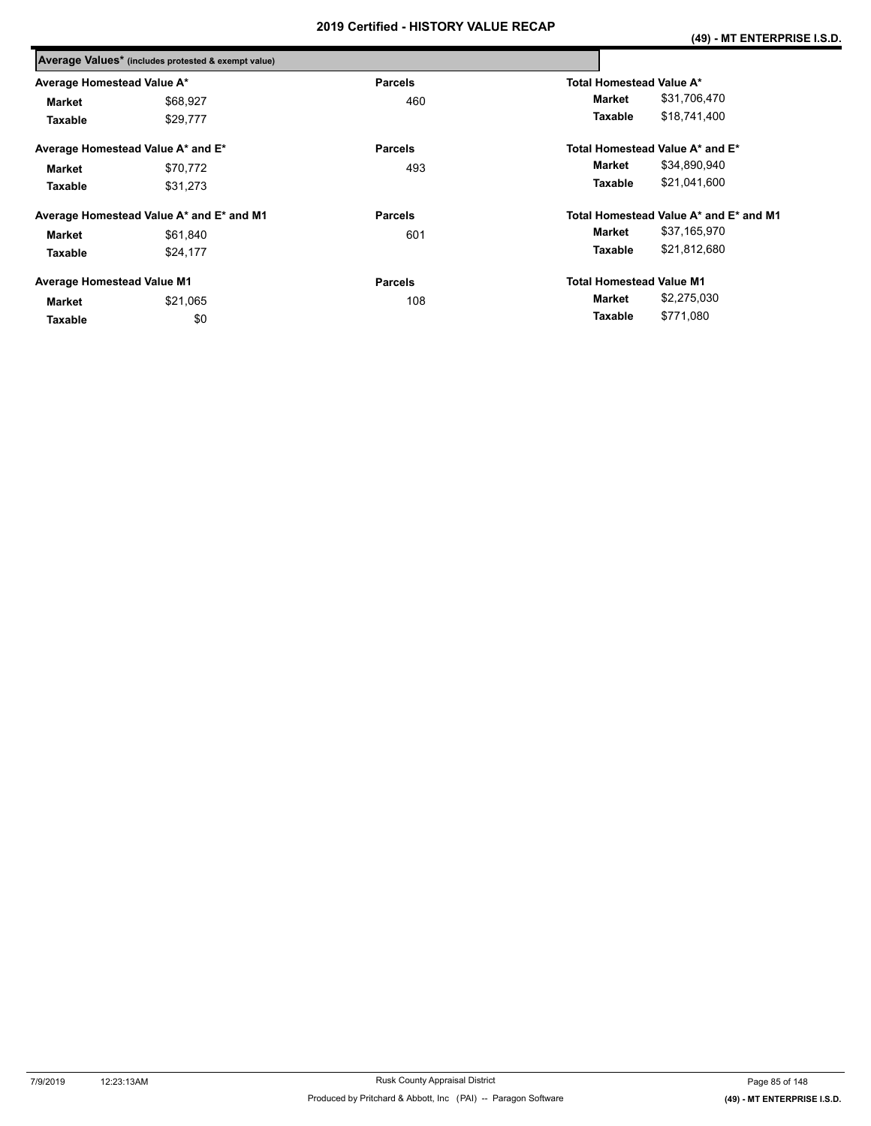|                                   | Average Values* (includes protested & exempt value) |                |                                        |
|-----------------------------------|-----------------------------------------------------|----------------|----------------------------------------|
| Average Homestead Value A*        |                                                     | <b>Parcels</b> | Total Homestead Value A*               |
| Market                            | \$68,927                                            | 460            | \$31,706,470<br>Market                 |
| Taxable                           | \$29,777                                            |                | \$18,741,400<br>Taxable                |
|                                   | Average Homestead Value A* and E*                   | <b>Parcels</b> | Total Homestead Value A* and E*        |
| <b>Market</b>                     | \$70,772                                            | 493            | \$34,890,940<br>Market                 |
| Taxable                           | \$31.273                                            |                | \$21,041,600<br>Taxable                |
|                                   | Average Homestead Value A* and E* and M1            | <b>Parcels</b> | Total Homestead Value A* and E* and M1 |
| <b>Market</b>                     | \$61,840                                            | 601            | \$37,165,970<br>Market                 |
| Taxable                           | \$24,177                                            |                | \$21,812,680<br>Taxable                |
| <b>Average Homestead Value M1</b> |                                                     | <b>Parcels</b> | <b>Total Homestead Value M1</b>        |
| <b>Market</b>                     | \$21,065                                            | 108            | \$2,275,030<br>Market                  |
| Taxable                           | \$0                                                 |                | \$771,080<br>Taxable                   |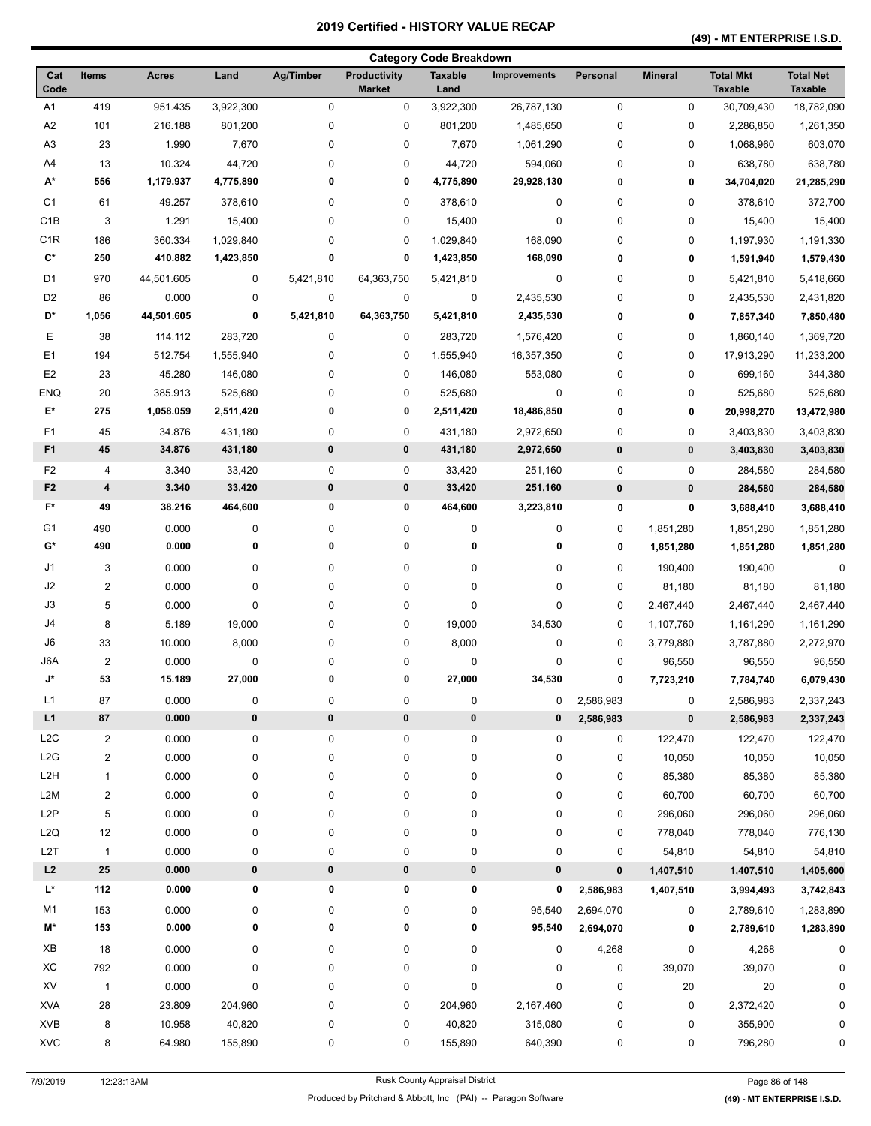#### **(49) - MT ENTERPRISE I.S.D.**

|                      |                         |              |           |                  |                                      | <b>Category Code Breakdown</b> |                     |             |                |                                    |                                    |
|----------------------|-------------------------|--------------|-----------|------------------|--------------------------------------|--------------------------------|---------------------|-------------|----------------|------------------------------------|------------------------------------|
| Cat<br>Code          | Items                   | <b>Acres</b> | Land      | <b>Ag/Timber</b> | <b>Productivity</b><br><b>Market</b> | <b>Taxable</b><br>Land         | <b>Improvements</b> | Personal    | <b>Mineral</b> | <b>Total Mkt</b><br><b>Taxable</b> | <b>Total Net</b><br><b>Taxable</b> |
| A1                   | 419                     | 951.435      | 3,922,300 | 0                | 0                                    | 3,922,300                      | 26,787,130          | $\pmb{0}$   | 0              | 30,709,430                         | 18,782,090                         |
| A <sub>2</sub>       | 101                     | 216.188      | 801,200   | 0                | 0                                    | 801,200                        | 1,485,650           | 0           | 0              | 2,286,850                          | 1,261,350                          |
| A3                   | 23                      | 1.990        | 7,670     | 0                | 0                                    | 7,670                          | 1,061,290           | 0           | 0              | 1,068,960                          | 603,070                            |
| A4                   | 13                      | 10.324       | 44,720    | 0                | $\pmb{0}$                            | 44,720                         | 594,060             | 0           | 0              | 638,780                            | 638,780                            |
| A*                   | 556                     | 1,179.937    | 4,775,890 | 0                | 0                                    | 4,775,890                      | 29,928,130          | 0           | 0              | 34,704,020                         | 21,285,290                         |
| C <sub>1</sub>       | 61                      | 49.257       | 378,610   | 0                | 0                                    | 378,610                        | 0                   | 0           | 0              | 378,610                            | 372,700                            |
| C <sub>1</sub> B     | 3                       | 1.291        | 15,400    | 0                | 0                                    | 15,400                         | 0                   | 0           | 0              | 15,400                             | 15,400                             |
| C <sub>1</sub> R     | 186                     | 360.334      | 1,029,840 | 0                | 0                                    | 1,029,840                      | 168,090             | 0           | 0              | 1,197,930                          | 1,191,330                          |
| $\mathbf{C}^{\star}$ | 250                     | 410.882      | 1,423,850 | 0                | 0                                    | 1,423,850                      | 168,090             | 0           | 0              | 1,591,940                          | 1,579,430                          |
| D <sub>1</sub>       | 970                     | 44,501.605   | 0         | 5,421,810        | 64,363,750                           | 5,421,810                      | 0                   | 0           | 0              | 5,421,810                          | 5,418,660                          |
| D <sub>2</sub>       | 86                      | 0.000        | 0         | 0                | $\pmb{0}$                            | 0                              | 2,435,530           | 0           | 0              | 2,435,530                          | 2,431,820                          |
| D*                   | 1,056                   | 44,501.605   | 0         | 5,421,810        | 64,363,750                           | 5,421,810                      | 2,435,530           | 0           | 0              | 7,857,340                          | 7,850,480                          |
| Е                    |                         |              |           |                  |                                      |                                |                     |             |                |                                    |                                    |
|                      | 38                      | 114.112      | 283,720   | 0                | 0                                    | 283,720                        | 1,576,420           | 0           | 0              | 1,860,140                          | 1,369,720                          |
| E1                   | 194                     | 512.754      | 1,555,940 | 0                | 0                                    | 1,555,940                      | 16,357,350          | 0           | 0              | 17,913,290                         | 11,233,200                         |
| E <sub>2</sub>       | 23                      | 45.280       | 146,080   | 0                | 0                                    | 146,080                        | 553,080             | 0           | 0              | 699,160                            | 344,380                            |
| <b>ENQ</b>           | 20                      | 385.913      | 525,680   | 0                | 0                                    | 525,680                        | $\mathbf 0$         | 0           | 0              | 525,680                            | 525,680                            |
| E*                   | 275                     | 1,058.059    | 2,511,420 | 0                | 0                                    | 2,511,420                      | 18,486,850          | 0           | 0              | 20,998,270                         | 13,472,980                         |
| F1                   | 45                      | 34.876       | 431,180   | 0                | 0                                    | 431,180                        | 2,972,650           | 0           | 0              | 3,403,830                          | 3,403,830                          |
| F <sub>1</sub>       | 45                      | 34.876       | 431,180   | $\pmb{0}$        | 0                                    | 431,180                        | 2,972,650           | $\bf{0}$    | 0              | 3,403,830                          | 3,403,830                          |
| F <sub>2</sub>       | $\overline{4}$          | 3.340        | 33,420    | 0                | $\pmb{0}$                            | 33,420                         | 251,160             | 0           | $\pmb{0}$      | 284,580                            | 284,580                            |
| F <sub>2</sub>       | 4                       | 3.340        | 33,420    | $\pmb{0}$        | 0                                    | 33,420                         | 251,160             | $\pmb{0}$   | 0              | 284,580                            | 284,580                            |
| F*                   | 49                      | 38.216       | 464,600   | 0                | 0                                    | 464,600                        | 3,223,810           | 0           | 0              | 3,688,410                          | 3,688,410                          |
| G <sub>1</sub>       | 490                     | 0.000        | 0         | 0                | $\pmb{0}$                            | 0                              | 0                   | 0           | 1,851,280      | 1,851,280                          | 1,851,280                          |
| G*                   | 490                     | 0.000        | 0         | 0                | 0                                    | 0                              | 0                   | 0           | 1,851,280      | 1,851,280                          | 1,851,280                          |
| J1                   | 3                       | 0.000        | 0         | 0                | $\pmb{0}$                            | $\pmb{0}$                      | 0                   | 0           | 190,400        | 190,400                            | 0                                  |
| J2                   | $\overline{c}$          | 0.000        | 0         | 0                | 0                                    | $\pmb{0}$                      | 0                   | 0           | 81,180         | 81,180                             | 81,180                             |
| J3                   | 5                       | 0.000        | 0         | 0                | 0                                    | $\pmb{0}$                      | 0                   | 0           | 2,467,440      | 2,467,440                          | 2,467,440                          |
| J4                   | 8                       | 5.189        | 19,000    | 0                | 0                                    | 19,000                         | 34,530              | 0           | 1,107,760      | 1,161,290                          | 1,161,290                          |
| J6                   | 33                      | 10.000       | 8,000     | 0                | 0                                    | 8,000                          | 0                   | 0           | 3,779,880      | 3,787,880                          | 2,272,970                          |
| J6A                  | $\overline{2}$          | 0.000        | 0         | 0                | 0                                    | $\mathbf 0$                    | 0                   | $\mathbf 0$ | 96,550         | 96,550                             | 96,550                             |
| J*                   | 53                      | 15.189       | 27,000    | 0                | 0                                    | 27,000                         | 34,530              | 0           | 7,723,210      | 7,784,740                          | 6,079,430                          |
| L1                   | 87                      | 0.000        | 0         | 0                | $\pmb{0}$                            | $\pmb{0}$                      | 0                   | 2,586,983   | 0              | 2,586,983                          | 2,337,243                          |
| L1                   | ${\bf 87}$              | 0.000        | 0         | $\pmb{0}$        | 0                                    | 0                              | 0                   | 2,586,983   | 0              | 2,586,983                          | 2,337,243                          |
| L2C                  | $\overline{\mathbf{c}}$ | 0.000        | 0         | 0                | 0                                    | 0                              | 0                   | 0           | 122,470        | 122,470                            | 122,470                            |
| L2G                  | $\overline{\mathbf{c}}$ | 0.000        | 0         | 0                | $\pmb{0}$                            | 0                              | 0                   | $\pmb{0}$   | 10,050         | 10,050                             | 10,050                             |
| L <sub>2</sub> H     | $\mathbf{1}$            | 0.000        | 0         | 0                | $\pmb{0}$                            | 0                              | 0                   | 0           | 85,380         | 85,380                             | 85,380                             |
| L2M                  | $\overline{\mathbf{c}}$ | 0.000        |           | 0                | $\pmb{0}$                            |                                |                     | 0           | 60,700         | 60,700                             | 60,700                             |
| L <sub>2</sub> P     |                         |              | 0         |                  |                                      | 0                              | 0                   |             |                |                                    | 296,060                            |
|                      | 5                       | 0.000        | 0         | 0                | 0                                    | 0                              | 0                   | 0           | 296,060        | 296,060                            |                                    |
| L2Q                  | 12                      | 0.000        | 0         | 0                | 0                                    | 0                              | 0                   | 0           | 778,040        | 778,040                            | 776,130                            |
| L2T                  | $\mathbf{1}$            | 0.000        | 0         | 0                | $\pmb{0}$                            | 0                              | 0                   | 0           | 54,810         | 54,810                             | 54,810                             |
| L2                   | 25                      | 0.000        | 0         | $\pmb{0}$        | 0                                    | 0                              | $\pmb{0}$           | $\bf{0}$    | 1,407,510      | 1,407,510                          | 1,405,600                          |
| L*                   | $112$                   | 0.000        | 0         | 0                | 0                                    | 0                              | 0                   | 2,586,983   | 1,407,510      | 3,994,493                          | 3,742,843                          |
| M1                   | 153                     | 0.000        | 0         | 0                | 0                                    | 0                              | 95,540              | 2,694,070   | 0              | 2,789,610                          | 1,283,890                          |
| $\mathsf{M}^\star$   | 153                     | 0.000        | 0         | 0                | 0                                    | 0                              | 95,540              | 2,694,070   | 0              | 2,789,610                          | 1,283,890                          |
| XB                   | 18                      | 0.000        | 0         | 0                | $\pmb{0}$                            | 0                              | 0                   | 4,268       | 0              | 4,268                              | 0                                  |
| ХC                   | 792                     | 0.000        | 0         | 0                | 0                                    | 0                              | 0                   | 0           | 39,070         | 39,070                             | 0                                  |
| XV                   | $\mathbf{1}$            | 0.000        | 0         | 0                | 0                                    | 0                              | 0                   | $\pmb{0}$   | 20             | 20                                 |                                    |
| <b>XVA</b>           | 28                      | 23.809       | 204,960   | 0                | 0                                    | 204,960                        | 2,167,460           | $\pmb{0}$   | 0              | 2,372,420                          |                                    |
| <b>XVB</b>           | 8                       | 10.958       | 40,820    | 0                | 0                                    | 40,820                         | 315,080             | 0           | 0              | 355,900                            |                                    |
| <b>XVC</b>           | 8                       | 64.980       | 155,890   | 0                | 0                                    | 155,890                        | 640,390             | 0           | 0              | 796,280                            |                                    |
|                      |                         |              |           |                  |                                      |                                |                     |             |                |                                    |                                    |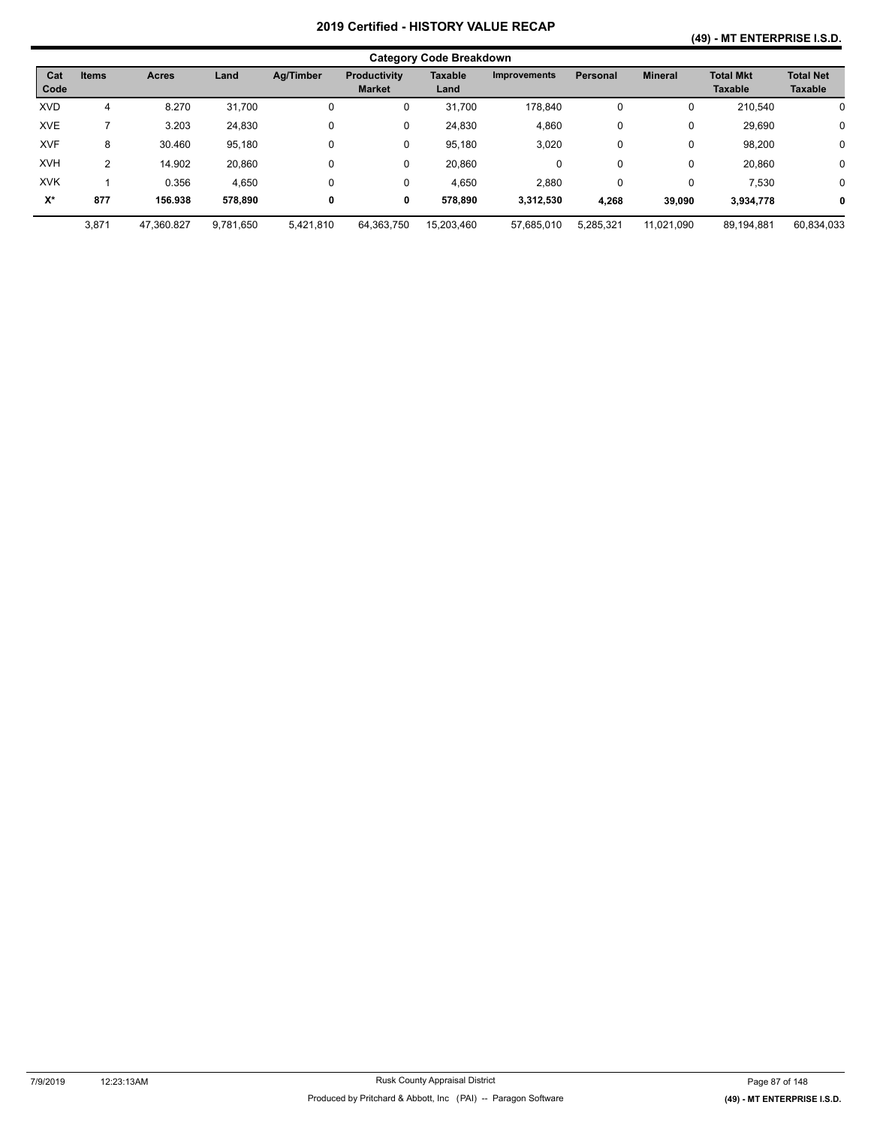#### **(49) - MT ENTERPRISE I.S.D.**

|             | <b>Category Code Breakdown</b> |              |           |           |                                      |                        |                     |                 |                |                                    |                                    |  |  |
|-------------|--------------------------------|--------------|-----------|-----------|--------------------------------------|------------------------|---------------------|-----------------|----------------|------------------------------------|------------------------------------|--|--|
| Cat<br>Code | <b>Items</b>                   | <b>Acres</b> | Land      | Ag/Timber | <b>Productivity</b><br><b>Market</b> | <b>Taxable</b><br>Land | <b>Improvements</b> | <b>Personal</b> | <b>Mineral</b> | <b>Total Mkt</b><br><b>Taxable</b> | <b>Total Net</b><br><b>Taxable</b> |  |  |
| <b>XVD</b>  | 4                              | 8.270        | 31,700    | 0         | 0                                    | 31,700                 | 178,840             | 0               | 0              | 210,540                            | 0                                  |  |  |
| <b>XVE</b>  |                                | 3.203        | 24,830    | 0         | 0                                    | 24,830                 | 4,860               | 0               | 0              | 29,690                             | $\mathbf 0$                        |  |  |
| <b>XVF</b>  | 8                              | 30.460       | 95,180    | $\Omega$  | 0                                    | 95.180                 | 3,020               | 0               | 0              | 98,200                             | 0                                  |  |  |
| <b>XVH</b>  | 2                              | 14.902       | 20,860    | 0         | 0                                    | 20.860                 | 0                   | 0               | 0              | 20.860                             | 0                                  |  |  |
| <b>XVK</b>  |                                | 0.356        | 4,650     | $\Omega$  | 0                                    | 4,650                  | 2,880               | 0               | 0              | 7,530                              | 0                                  |  |  |
| $X^*$       | 877                            | 156.938      | 578.890   | 0         | 0                                    | 578.890                | 3,312,530           | 4,268           | 39,090         | 3,934,778                          | 0                                  |  |  |
|             | 3,871                          | 47,360.827   | 9,781,650 | 5,421,810 | 64,363,750                           | 15,203,460             | 57,685,010          | 5,285,321       | 11,021,090     | 89,194,881                         | 60,834,033                         |  |  |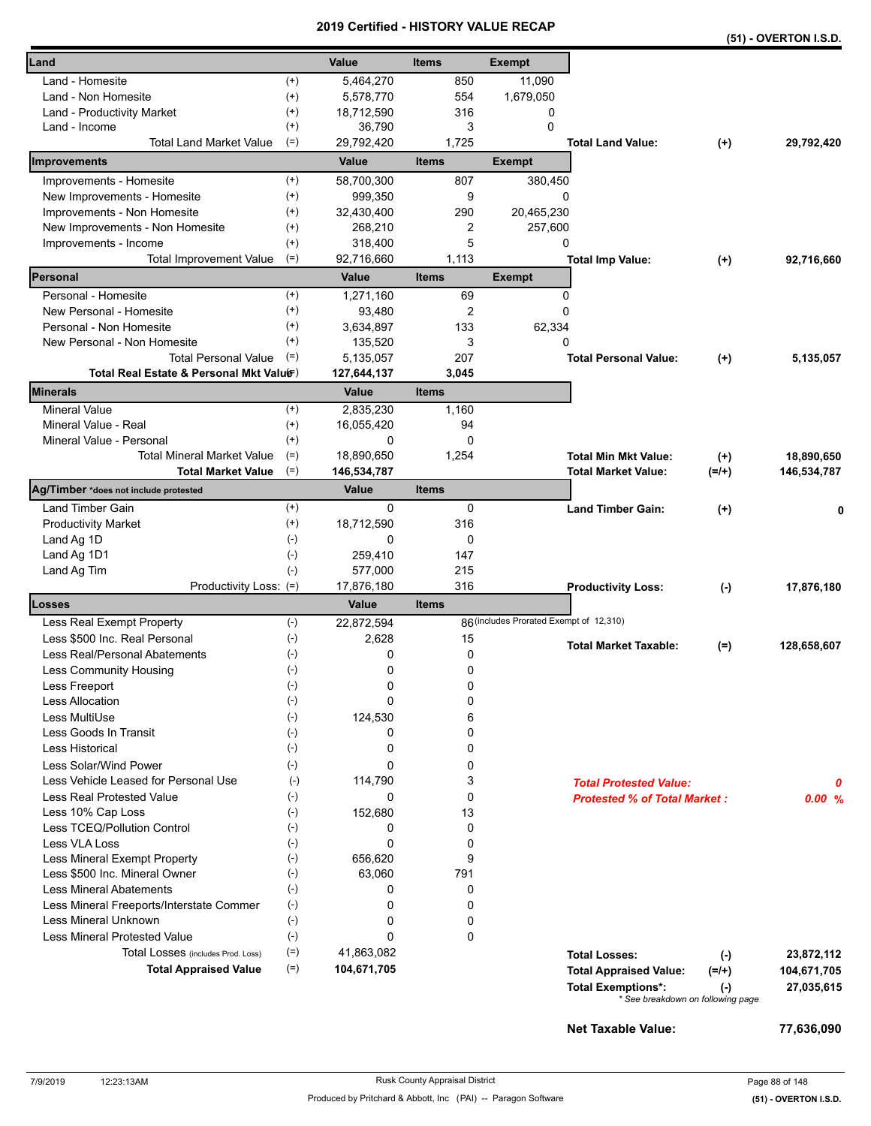|                                                     |           |                     |                     |                                         |                                     |           | (51) - OVERTON I.S.D. |
|-----------------------------------------------------|-----------|---------------------|---------------------|-----------------------------------------|-------------------------------------|-----------|-----------------------|
| Land                                                |           | Value               | <b>Items</b>        | <b>Exempt</b>                           |                                     |           |                       |
| Land - Homesite<br>$^{(+)}$                         |           | 5,464,270           | 850                 | 11,090                                  |                                     |           |                       |
| $^{(+)}$<br>Land - Non Homesite                     |           | 5,578,770           | 554                 | 1,679,050                               |                                     |           |                       |
| $^{(+)}$<br>Land - Productivity Market              |           | 18,712,590          | 316                 | 0                                       |                                     |           |                       |
| $^{(+)}$<br>Land - Income                           |           | 36,790              | 3                   | $\mathbf{0}$                            |                                     |           |                       |
| <b>Total Land Market Value</b><br>$(=)$             |           | 29,792,420          | 1,725               |                                         | <b>Total Land Value:</b>            | $(+)$     | 29,792,420            |
| Improvements                                        |           | Value               | <b>Items</b>        | <b>Exempt</b>                           |                                     |           |                       |
| Improvements - Homesite<br>$^{(+)}$                 |           | 58,700,300          | 807                 | 380,450                                 |                                     |           |                       |
| New Improvements - Homesite<br>$^{(+)}$             |           | 999,350             | 9                   | 0                                       |                                     |           |                       |
| Improvements - Non Homesite<br>$^{(+)}$             |           | 32,430,400          | 290                 | 20,465,230                              |                                     |           |                       |
| New Improvements - Non Homesite<br>$^{(+)}$         |           | 268,210             | 2                   | 257,600                                 |                                     |           |                       |
| $^{(+)}$<br>Improvements - Income                   |           | 318,400             | 5                   | 0                                       |                                     |           |                       |
| $(=)$<br>Total Improvement Value                    |           | 92,716,660          | 1,113               |                                         | <b>Total Imp Value:</b>             | $(+)$     | 92,716,660            |
| Personal                                            |           | Value               | <b>Items</b>        | <b>Exempt</b>                           |                                     |           |                       |
| Personal - Homesite<br>$^{(+)}$                     |           | 1,271,160           | 69                  | 0                                       |                                     |           |                       |
| $^{(+)}$<br>New Personal - Homesite                 |           | 93,480              | 2                   | 0                                       |                                     |           |                       |
| Personal - Non Homesite<br>$^{(+)}$                 |           | 3,634,897           | 133                 | 62,334                                  |                                     |           |                       |
| $^{(+)}$<br>New Personal - Non Homesite             |           | 135,520             | 3                   | 0                                       |                                     |           |                       |
| <b>Total Personal Value</b><br>$(=)$                |           | 5,135,057           | 207                 |                                         | <b>Total Personal Value:</b>        | $(+)$     | 5,135,057             |
| Total Real Estate & Personal Mkt Valuer)            |           | 127,644,137         | 3,045               |                                         |                                     |           |                       |
| <b>Minerals</b>                                     |           | Value               | <b>Items</b>        |                                         |                                     |           |                       |
| <b>Mineral Value</b><br>$^{(+)}$                    |           | 2,835,230           | 1,160               |                                         |                                     |           |                       |
| Mineral Value - Real<br>$^{(+)}$                    |           | 16,055,420          | 94                  |                                         |                                     |           |                       |
| Mineral Value - Personal<br>$^{(+)}$                |           | 0                   | 0                   |                                         |                                     |           |                       |
| <b>Total Mineral Market Value</b><br>$(=)$          |           | 18,890,650          | 1,254               |                                         | <b>Total Min Mkt Value:</b>         | $(+)$     | 18,890,650            |
| $(=)$<br><b>Total Market Value</b>                  |           | 146,534,787         |                     |                                         | <b>Total Market Value:</b>          | $(=/+)$   | 146,534,787           |
| Ag/Timber *does not include protested               |           | Value               | <b>Items</b>        |                                         |                                     |           |                       |
| Land Timber Gain<br>$^{(+)}$                        |           | 0                   | 0                   |                                         | <b>Land Timber Gain:</b>            | $(+)$     | 0                     |
| $^{(+)}$<br><b>Productivity Market</b>              |           | 18,712,590          | 316                 |                                         |                                     |           |                       |
| $(-)$<br>Land Ag 1D                                 |           | 0                   | 0                   |                                         |                                     |           |                       |
| Land Ag 1D1<br>$(\text{-})$                         |           | 259,410             | 147                 |                                         |                                     |           |                       |
| Land Ag Tim<br>$(-)$                                |           | 577,000             | 215                 |                                         |                                     |           |                       |
| Productivity Loss: (=)<br>Losses                    |           | 17,876,180<br>Value | 316<br><b>Items</b> |                                         | <b>Productivity Loss:</b>           | $(-)$     | 17,876,180            |
| $(-)$<br>Less Real Exempt Property                  |           | 22,872,594          |                     | 86 (includes Prorated Exempt of 12,310) |                                     |           |                       |
| Less \$500 Inc. Real Personal<br>$(-)$              |           | 2,628               | 15                  |                                         |                                     |           |                       |
| $(\textnormal{-})$<br>Less Real/Personal Abatements |           | 0                   | 0                   |                                         | <b>Total Market Taxable:</b>        | $(=)$     | 128,658,607           |
| Less Community Housing<br>$(\text{-})$              |           | 0                   | 0                   |                                         |                                     |           |                       |
| $(\text{-})$<br>Less Freeport                       |           | 0                   | 0                   |                                         |                                     |           |                       |
| <b>Less Allocation</b><br>$(-)$                     |           | 0                   | 0                   |                                         |                                     |           |                       |
| Less MultiUse<br>$(-)$                              |           | 124,530             | 6                   |                                         |                                     |           |                       |
| Less Goods In Transit<br>$(-)$                      |           | 0                   | 0                   |                                         |                                     |           |                       |
| $(-)$<br><b>Less Historical</b>                     |           | 0                   | 0                   |                                         |                                     |           |                       |
| Less Solar/Wind Power<br>$(-)$                      |           | 0                   | 0                   |                                         |                                     |           |                       |
| Less Vehicle Leased for Personal Use                | $(\cdot)$ | 114,790             | 3                   |                                         | <b>Total Protested Value:</b>       |           | 0                     |
| Less Real Protested Value<br>$(-)$                  |           | 0                   | 0                   |                                         | <b>Protested % of Total Market:</b> |           | 0.00%                 |
| $(-)$<br>Less 10% Cap Loss                          |           | 152,680             | 13                  |                                         |                                     |           |                       |
| Less TCEQ/Pollution Control<br>$(-)$                |           | 0                   | 0                   |                                         |                                     |           |                       |
| <b>Less VLA Loss</b><br>$(\cdot)$                   |           | 0                   | 0                   |                                         |                                     |           |                       |
| Less Mineral Exempt Property<br>$(-)$               |           | 656,620             | 9                   |                                         |                                     |           |                       |
| $(-)$<br>Less \$500 Inc. Mineral Owner              |           | 63,060              | 791                 |                                         |                                     |           |                       |
| $(-)$<br><b>Less Mineral Abatements</b>             |           | 0                   | 0                   |                                         |                                     |           |                       |
| Less Mineral Freeports/Interstate Commer<br>$(-)$   |           | 0                   | 0                   |                                         |                                     |           |                       |
| $(-)$<br>Less Mineral Unknown                       |           | 0                   | 0                   |                                         |                                     |           |                       |
| <b>Less Mineral Protested Value</b><br>$(-)$        |           | 0                   | 0                   |                                         |                                     |           |                       |
| $(=)$<br>Total Losses (includes Prod. Loss)         |           | 41,863,082          |                     |                                         | <b>Total Losses:</b>                | $(-)$     | 23,872,112            |
| $(=)$<br><b>Total Appraised Value</b>               |           | 104,671,705         |                     |                                         | <b>Total Appraised Value:</b>       | $(=/+)$   | 104,671,705           |
|                                                     |           |                     |                     |                                         | <b>Total Exemptions*:</b>           | $(\cdot)$ | 27,035,615            |
|                                                     |           |                     |                     |                                         | * See breakdown on following page   |           |                       |
|                                                     |           |                     |                     |                                         | Net Taxable Value:                  |           | 77,636,090            |
|                                                     |           |                     |                     |                                         |                                     |           |                       |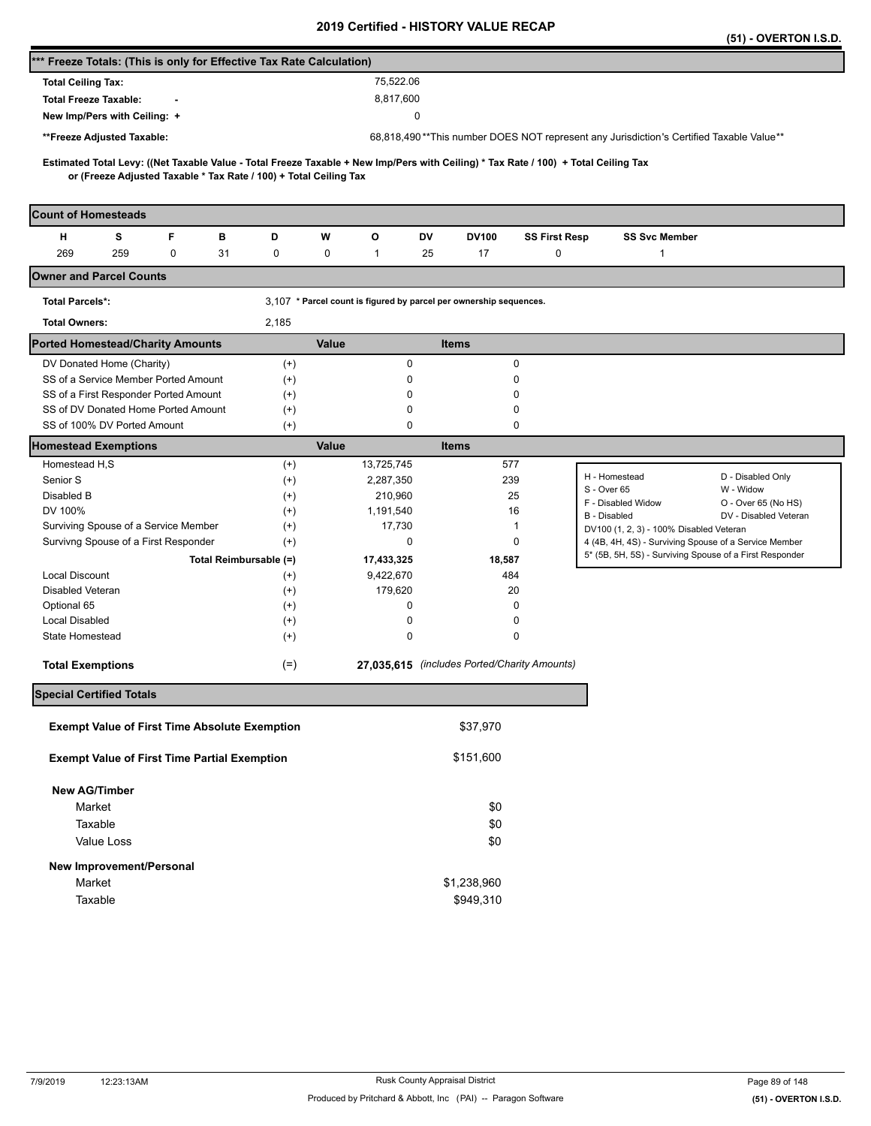|                                                                                                                                                                                                          |                      |                                                                    |                                              |                      |                                                                                                                  | (51) - OVERTON I.S.D.          |
|----------------------------------------------------------------------------------------------------------------------------------------------------------------------------------------------------------|----------------------|--------------------------------------------------------------------|----------------------------------------------|----------------------|------------------------------------------------------------------------------------------------------------------|--------------------------------|
| *** Freeze Totals: (This is only for Effective Tax Rate Calculation)                                                                                                                                     |                      |                                                                    |                                              |                      |                                                                                                                  |                                |
| <b>Total Ceiling Tax:</b>                                                                                                                                                                                |                      | 75,522.06                                                          |                                              |                      |                                                                                                                  |                                |
| <b>Total Freeze Taxable:</b>                                                                                                                                                                             |                      | 8,817,600                                                          |                                              |                      |                                                                                                                  |                                |
| New Imp/Pers with Ceiling: +                                                                                                                                                                             |                      |                                                                    | 0                                            |                      |                                                                                                                  |                                |
| **Freeze Adjusted Taxable:                                                                                                                                                                               |                      |                                                                    |                                              |                      | 68,818,490**This number DOES NOT represent any Jurisdiction's Certified Taxable Value**                          |                                |
|                                                                                                                                                                                                          |                      |                                                                    |                                              |                      |                                                                                                                  |                                |
| Estimated Total Levy: ((Net Taxable Value - Total Freeze Taxable + New Imp/Pers with Ceiling) * Tax Rate / 100) + Total Ceiling Tax<br>or (Freeze Adjusted Taxable * Tax Rate / 100) + Total Ceiling Tax |                      |                                                                    |                                              |                      |                                                                                                                  |                                |
| <b>Count of Homesteads</b>                                                                                                                                                                               |                      |                                                                    |                                              |                      |                                                                                                                  |                                |
| s<br>F<br>н<br>в                                                                                                                                                                                         | D                    | w<br>o                                                             | DV<br>DV100                                  | <b>SS First Resp</b> | <b>SS Svc Member</b>                                                                                             |                                |
| 269<br>259<br>0<br>31                                                                                                                                                                                    | 0                    | 0<br>$\mathbf{1}$                                                  | 25<br>17                                     | 0                    | 1                                                                                                                |                                |
| <b>Owner and Parcel Counts</b>                                                                                                                                                                           |                      |                                                                    |                                              |                      |                                                                                                                  |                                |
| <b>Total Parcels*:</b>                                                                                                                                                                                   |                      | 3,107 * Parcel count is figured by parcel per ownership sequences. |                                              |                      |                                                                                                                  |                                |
| <b>Total Owners:</b>                                                                                                                                                                                     | 2,185                |                                                                    |                                              |                      |                                                                                                                  |                                |
| <b>Ported Homestead/Charity Amounts</b>                                                                                                                                                                  |                      | Value                                                              | <b>Items</b>                                 |                      |                                                                                                                  |                                |
| DV Donated Home (Charity)                                                                                                                                                                                | $^{(+)}$             | $\pmb{0}$                                                          | 0                                            |                      |                                                                                                                  |                                |
| SS of a Service Member Ported Amount                                                                                                                                                                     | $^{(+)}$             | 0                                                                  | 0                                            |                      |                                                                                                                  |                                |
| SS of a First Responder Ported Amount                                                                                                                                                                    | $^{(+)}$             | 0                                                                  | 0                                            |                      |                                                                                                                  |                                |
| SS of DV Donated Home Ported Amount                                                                                                                                                                      | $^{(+)}$             | 0                                                                  | 0                                            |                      |                                                                                                                  |                                |
| SS of 100% DV Ported Amount                                                                                                                                                                              | $^{(+)}$             | 0                                                                  | 0                                            |                      |                                                                                                                  |                                |
| <b>Homestead Exemptions</b>                                                                                                                                                                              |                      | Value                                                              | <b>Items</b>                                 |                      |                                                                                                                  |                                |
| Homestead H,S                                                                                                                                                                                            | $^{(+)}$             | 13,725,745                                                         | 577                                          |                      |                                                                                                                  |                                |
| Senior S                                                                                                                                                                                                 | $^{(+)}$             | 2,287,350                                                          | 239                                          |                      | H - Homestead<br>S - Over 65                                                                                     | D - Disabled Only<br>W - Widow |
| Disabled B                                                                                                                                                                                               | $^{(+)}$             | 210,960                                                            | 25                                           |                      | F - Disabled Widow                                                                                               | O - Over 65 (No HS)            |
| DV 100%                                                                                                                                                                                                  | $(+)$                | 1,191,540                                                          | 16                                           |                      | B - Disabled                                                                                                     | DV - Disabled Veteran          |
| Surviving Spouse of a Service Member                                                                                                                                                                     | $^{(+)}$             | 17,730                                                             | 1                                            |                      | DV100 (1, 2, 3) - 100% Disabled Veteran                                                                          |                                |
| Survivng Spouse of a First Responder                                                                                                                                                                     | $(+)$                | 0                                                                  | 0                                            |                      | 4 (4B, 4H, 4S) - Surviving Spouse of a Service Member<br>5* (5B, 5H, 5S) - Surviving Spouse of a First Responder |                                |
| Total Reimbursable (=)                                                                                                                                                                                   |                      | 17,433,325                                                         | 18,587                                       |                      |                                                                                                                  |                                |
| <b>Local Discount</b>                                                                                                                                                                                    | $^{(+)}$             | 9,422,670                                                          | 484                                          |                      |                                                                                                                  |                                |
| Disabled Veteran                                                                                                                                                                                         | $^{(+)}$             | 179,620<br>0                                                       | 20<br>0                                      |                      |                                                                                                                  |                                |
| Optional 65<br><b>Local Disabled</b>                                                                                                                                                                     | $^{(+)}$<br>$^{(+)}$ | 0                                                                  | 0                                            |                      |                                                                                                                  |                                |
| State Homestead                                                                                                                                                                                          | $^{(+)}$             | 0                                                                  | 0                                            |                      |                                                                                                                  |                                |
|                                                                                                                                                                                                          |                      |                                                                    | 27,035,615 (includes Ported/Charity Amounts) |                      |                                                                                                                  |                                |
| <b>Total Exemptions</b>                                                                                                                                                                                  | $(=)$                |                                                                    |                                              |                      |                                                                                                                  |                                |
| <b>Special Certified Totals</b>                                                                                                                                                                          |                      |                                                                    |                                              |                      |                                                                                                                  |                                |
| <b>Exempt Value of First Time Absolute Exemption</b>                                                                                                                                                     |                      |                                                                    | \$37,970                                     |                      |                                                                                                                  |                                |
| <b>Exempt Value of First Time Partial Exemption</b>                                                                                                                                                      |                      |                                                                    | \$151,600                                    |                      |                                                                                                                  |                                |
| <b>New AG/Timber</b>                                                                                                                                                                                     |                      |                                                                    |                                              |                      |                                                                                                                  |                                |
| Market                                                                                                                                                                                                   |                      |                                                                    | \$0                                          |                      |                                                                                                                  |                                |
| Taxable                                                                                                                                                                                                  |                      |                                                                    | \$0                                          |                      |                                                                                                                  |                                |
| Value Loss                                                                                                                                                                                               |                      |                                                                    | \$0                                          |                      |                                                                                                                  |                                |
| New Improvement/Personal                                                                                                                                                                                 |                      |                                                                    |                                              |                      |                                                                                                                  |                                |
| Market                                                                                                                                                                                                   |                      |                                                                    | \$1,238,960                                  |                      |                                                                                                                  |                                |
| Taxable                                                                                                                                                                                                  |                      |                                                                    | \$949,310                                    |                      |                                                                                                                  |                                |
|                                                                                                                                                                                                          |                      |                                                                    |                                              |                      |                                                                                                                  |                                |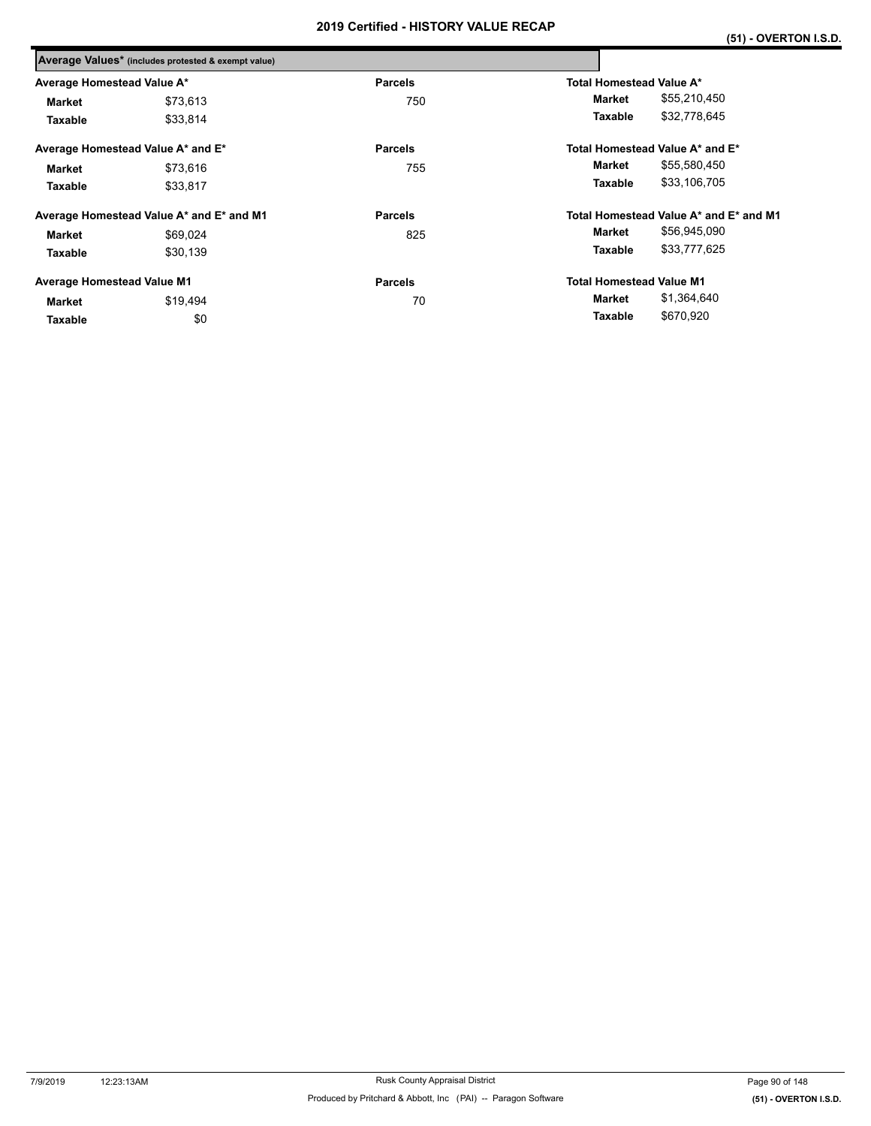|                                   | Average Values* (includes protested & exempt value) |                |                                        |
|-----------------------------------|-----------------------------------------------------|----------------|----------------------------------------|
| Average Homestead Value A*        |                                                     | <b>Parcels</b> | Total Homestead Value A*               |
| Market                            | \$73,613                                            | 750            | \$55,210,450<br>Market                 |
| Taxable                           | \$33,814                                            |                | \$32,778,645<br>Taxable                |
|                                   | Average Homestead Value A* and E*                   | <b>Parcels</b> | Total Homestead Value A* and E*        |
| <b>Market</b>                     | \$73.616                                            | 755            | \$55,580,450<br>Market                 |
| Taxable                           | \$33,817                                            |                | \$33,106,705<br>Taxable                |
|                                   | Average Homestead Value A* and E* and M1            | <b>Parcels</b> | Total Homestead Value A* and E* and M1 |
| <b>Market</b>                     | \$69,024                                            | 825            | \$56,945,090<br>Market                 |
| Taxable                           | \$30,139                                            |                | \$33,777,625<br>Taxable                |
| <b>Average Homestead Value M1</b> |                                                     | <b>Parcels</b> | <b>Total Homestead Value M1</b>        |
| Market                            | \$19,494                                            | 70             | \$1,364,640<br>Market                  |
| Taxable                           | \$0                                                 |                | \$670,920<br>Taxable                   |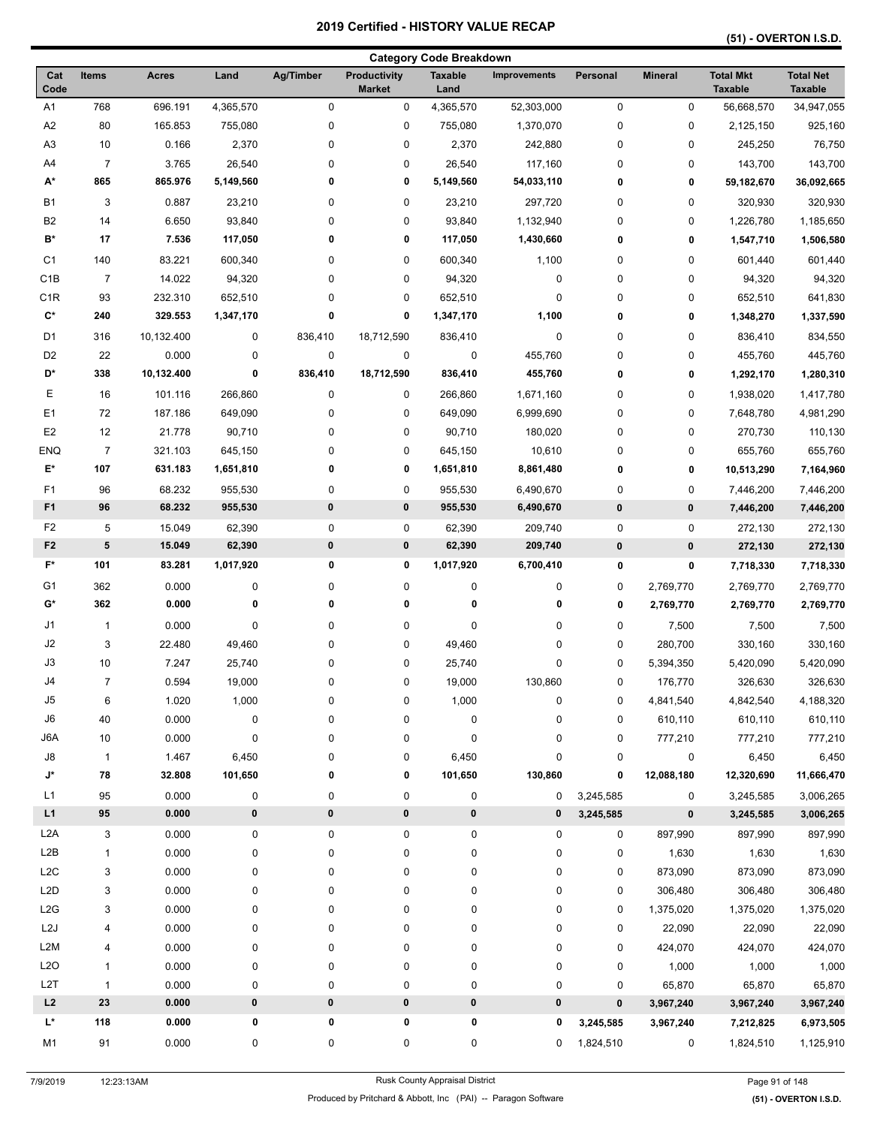|                    |                |                    |           |           |                                      | <b>Category Code Breakdown</b> |                     |             |                |                                    |                                    |
|--------------------|----------------|--------------------|-----------|-----------|--------------------------------------|--------------------------------|---------------------|-------------|----------------|------------------------------------|------------------------------------|
| Cat<br>Code        | <b>Items</b>   | <b>Acres</b>       | Land      | Ag/Timber | <b>Productivity</b><br><b>Market</b> | <b>Taxable</b><br>Land         | <b>Improvements</b> | Personal    | <b>Mineral</b> | <b>Total Mkt</b><br><b>Taxable</b> | <b>Total Net</b><br><b>Taxable</b> |
| A <sub>1</sub>     | 768            | 696.191            | 4,365,570 | $\pmb{0}$ | $\pmb{0}$                            | 4,365,570                      | 52,303,000          | $\pmb{0}$   | 0              | 56,668,570                         | 34,947,055                         |
| A <sub>2</sub>     | 80             | 165.853            | 755,080   | 0         | $\pmb{0}$                            | 755,080                        | 1,370,070           | 0           | 0              | 2,125,150                          | 925,160                            |
| A <sub>3</sub>     | 10             | 0.166              | 2,370     | 0         | $\pmb{0}$                            | 2,370                          | 242,880             | 0           | 0              | 245,250                            | 76,750                             |
| A4                 | $\overline{7}$ | 3.765              | 26,540    | 0         | $\pmb{0}$                            | 26,540                         | 117,160             | 0           | 0              | 143,700                            | 143,700                            |
| A*                 | 865            | 865.976            | 5,149,560 | 0         | 0                                    | 5,149,560                      | 54,033,110          | 0           | 0              | 59,182,670                         | 36,092,665                         |
| <b>B1</b>          | 3              | 0.887              | 23,210    | 0         | $\pmb{0}$                            | 23,210                         | 297,720             | 0           | 0              | 320,930                            | 320,930                            |
| <b>B2</b>          | 14             | 6.650              | 93,840    | 0         | $\pmb{0}$                            | 93,840                         | 1,132,940           | 0           | 0              | 1,226,780                          | 1,185,650                          |
| B*                 | 17             | 7.536              | 117,050   | 0         | 0                                    | 117,050                        | 1,430,660           | 0           | 0              | 1,547,710                          | 1,506,580                          |
| C <sub>1</sub>     | 140            | 83.221             | 600,340   | 0         | 0                                    | 600,340                        | 1,100               | 0           | 0              | 601,440                            | 601,440                            |
| C <sub>1</sub> B   | $\overline{7}$ | 14.022             | 94,320    | 0         | $\pmb{0}$                            | 94,320                         | $\pmb{0}$           | 0           | 0              | 94,320                             | 94,320                             |
| C <sub>1</sub> R   | 93             | 232.310            | 652,510   | 0         | $\pmb{0}$                            | 652,510                        | $\pmb{0}$           | 0           | 0              | 652,510                            | 641,830                            |
| C*                 | 240            | 329.553            | 1,347,170 | 0         | 0                                    | 1,347,170                      | 1,100               | 0           | 0              | 1,348,270                          | 1,337,590                          |
| D <sub>1</sub>     | 316            | 10,132.400         | 0         | 836,410   | 18,712,590                           | 836,410                        | $\pmb{0}$           | 0           | 0              | 836,410                            | 834,550                            |
| D <sub>2</sub>     | 22             | 0.000              | 0         | 0         | $\pmb{0}$                            | 0                              | 455,760             | 0           | 0              | 455,760                            | 445,760                            |
| D*                 | 338            | 10,132.400         | 0         | 836,410   | 18,712,590                           | 836,410                        | 455,760             | 0           | 0              | 1,292,170                          | 1,280,310                          |
| Е                  |                |                    |           | 0         |                                      | 266,860                        |                     |             | 0              |                                    |                                    |
| E <sub>1</sub>     | 16<br>72       | 101.116<br>187.186 | 266,860   |           | 0                                    |                                | 1,671,160           | 0           |                | 1,938,020                          | 1,417,780                          |
|                    |                |                    | 649,090   | 0         | $\pmb{0}$                            | 649,090                        | 6,999,690           | 0           | 0              | 7,648,780                          | 4,981,290                          |
| E <sub>2</sub>     | 12             | 21.778             | 90,710    | 0         | $\pmb{0}$                            | 90,710                         | 180,020             | 0           | 0              | 270,730                            | 110,130                            |
| <b>ENQ</b>         | $\overline{7}$ | 321.103            | 645,150   | 0         | 0                                    | 645,150                        | 10,610              | 0           | 0              | 655,760                            | 655,760                            |
| E*                 | 107            | 631.183            | 1,651,810 | 0         | 0                                    | 1,651,810                      | 8,861,480           | 0           | 0              | 10,513,290                         | 7,164,960                          |
| F1                 | 96             | 68.232             | 955,530   | $\pmb{0}$ | $\pmb{0}$                            | 955,530                        | 6,490,670           | 0           | $\pmb{0}$      | 7,446,200                          | 7,446,200                          |
| F <sub>1</sub>     | 96             | 68.232             | 955,530   | $\bf{0}$  | 0                                    | 955,530                        | 6,490,670           | $\pmb{0}$   | 0              | 7,446,200                          | 7,446,200                          |
| F <sub>2</sub>     | 5              | 15.049             | 62,390    | $\pmb{0}$ | $\pmb{0}$                            | 62,390                         | 209,740             | $\mathbf 0$ | 0              | 272,130                            | 272,130                            |
| F <sub>2</sub>     | 5              | 15.049             | 62,390    | $\pmb{0}$ | $\pmb{0}$                            | 62,390                         | 209,740             | $\mathbf 0$ | 0              | 272,130                            | 272,130                            |
| $F^*$              | 101            | 83.281             | 1,017,920 | 0         | 0                                    | 1,017,920                      | 6,700,410           | 0           | 0              | 7,718,330                          | 7,718,330                          |
| G <sub>1</sub>     | 362            | 0.000              | 0         | 0         | $\pmb{0}$                            | 0                              | 0                   | 0           | 2,769,770      | 2,769,770                          | 2,769,770                          |
| G*                 | 362            | 0.000              | 0         | 0         | 0                                    | 0                              | 0                   | 0           | 2,769,770      | 2,769,770                          | 2,769,770                          |
| J1                 | $\mathbf{1}$   | 0.000              | 0         | 0         | 0                                    | 0                              | 0                   | 0           | 7,500          | 7,500                              | 7,500                              |
| J2                 | 3              | 22.480             | 49,460    | 0         | 0                                    | 49,460                         | 0                   | 0           | 280,700        | 330,160                            | 330,160                            |
| J3                 | 10             | 7.247              | 25,740    | 0         | 0                                    | 25,740                         | 0                   | 0           | 5,394,350      | 5,420,090                          | 5,420,090                          |
| J4                 | 7              | 0.594              | 19,000    | 0         | $\pmb{0}$                            | 19,000                         | 130,860             | 0           | 176,770        | 326,630                            | 326,630                            |
| J5                 | 6              | 1.020              | 1,000     | 0         | $\pmb{0}$                            | 1,000                          | $\pmb{0}$           | 0           | 4,841,540      | 4,842,540                          | 4,188,320                          |
| J6                 | 40             | 0.000              | $\pmb{0}$ | 0         | $\pmb{0}$                            | $\pmb{0}$                      | 0                   | 0           | 610,110        | 610,110                            | 610,110                            |
| J6A                | 10             | 0.000              | 0         | 0         | 0                                    | 0                              | 0                   | 0           | 777,210        | 777,210                            | 777,210                            |
| J8                 | $\overline{1}$ | 1.467              | 6,450     | 0         | 0                                    | 6,450                          | 0                   | 0           | 0              | 6,450                              | 6,450                              |
| J*                 | 78             | 32.808             | 101,650   | 0         | 0                                    | 101,650                        | 130,860             | 0           | 12,088,180     | 12,320,690                         | 11,666,470                         |
| L1                 | 95             | 0.000              | 0         | 0         | $\pmb{0}$                            | 0                              | 0                   | 3,245,585   | 0              | 3,245,585                          | 3,006,265                          |
| L1                 | $95\,$         | 0.000              | $\pmb{0}$ | $\pmb{0}$ | $\pmb{0}$                            | 0                              | 0                   | 3,245,585   | $\pmb{0}$      | 3,245,585                          | 3,006,265                          |
| L <sub>2</sub> A   | 3              | 0.000              | 0         | 0         | $\pmb{0}$                            | 0                              | 0                   | 0           | 897,990        | 897,990                            | 897,990                            |
| L2B                | 1              | 0.000              | 0         | 0         | $\pmb{0}$                            | 0                              | $\pmb{0}$           | 0           | 1,630          | 1,630                              | 1,630                              |
| L <sub>2</sub> C   | 3              | 0.000              | 0         | 0         | $\pmb{0}$                            | 0                              | $\pmb{0}$           | 0           | 873,090        | 873,090                            | 873,090                            |
| L <sub>2</sub> D   | 3              | 0.000              | 0         | 0         | $\pmb{0}$                            | 0                              | 0                   | 0           | 306,480        | 306,480                            | 306,480                            |
| L2G                | 3              | 0.000              | 0         | 0         | 0                                    | 0                              | 0                   | 0           | 1,375,020      | 1,375,020                          | 1,375,020                          |
| L <sub>2</sub> J   | 4              | 0.000              | 0         | 0         | 0                                    | 0                              | 0                   | 0           | 22,090         | 22,090                             | 22,090                             |
| L <sub>2</sub> M   | 4              | 0.000              | 0         | 0         | $\pmb{0}$                            | 0                              | $\pmb{0}$           | 0           | 424,070        | 424,070                            | 424,070                            |
| L <sub>20</sub>    | 1              | 0.000              | 0         | 0         | $\pmb{0}$                            | 0                              | $\pmb{0}$           | 0           | 1,000          | 1,000                              | 1,000                              |
| L2T                | $\mathbf{1}$   | 0.000              | 0         | 0         | $\pmb{0}$                            | 0                              | $\pmb{0}$           | 0           | 65,870         | 65,870                             | 65,870                             |
| L2                 | 23             | 0.000              | $\pmb{0}$ | $\pmb{0}$ | 0                                    | 0                              | 0                   | $\mathbf 0$ | 3,967,240      | 3,967,240                          | 3,967,240                          |
| $\mathsf{L}^\star$ | 118            | 0.000              | 0         | 0         | 0                                    | 0                              | 0                   | 3,245,585   | 3,967,240      | 7,212,825                          | 6,973,505                          |
| M1                 | 91             | 0.000              | 0         | 0         | 0                                    | 0                              | 0                   | 1,824,510   | 0              | 1,824,510                          | 1,125,910                          |
|                    |                |                    |           |           |                                      |                                |                     |             |                |                                    |                                    |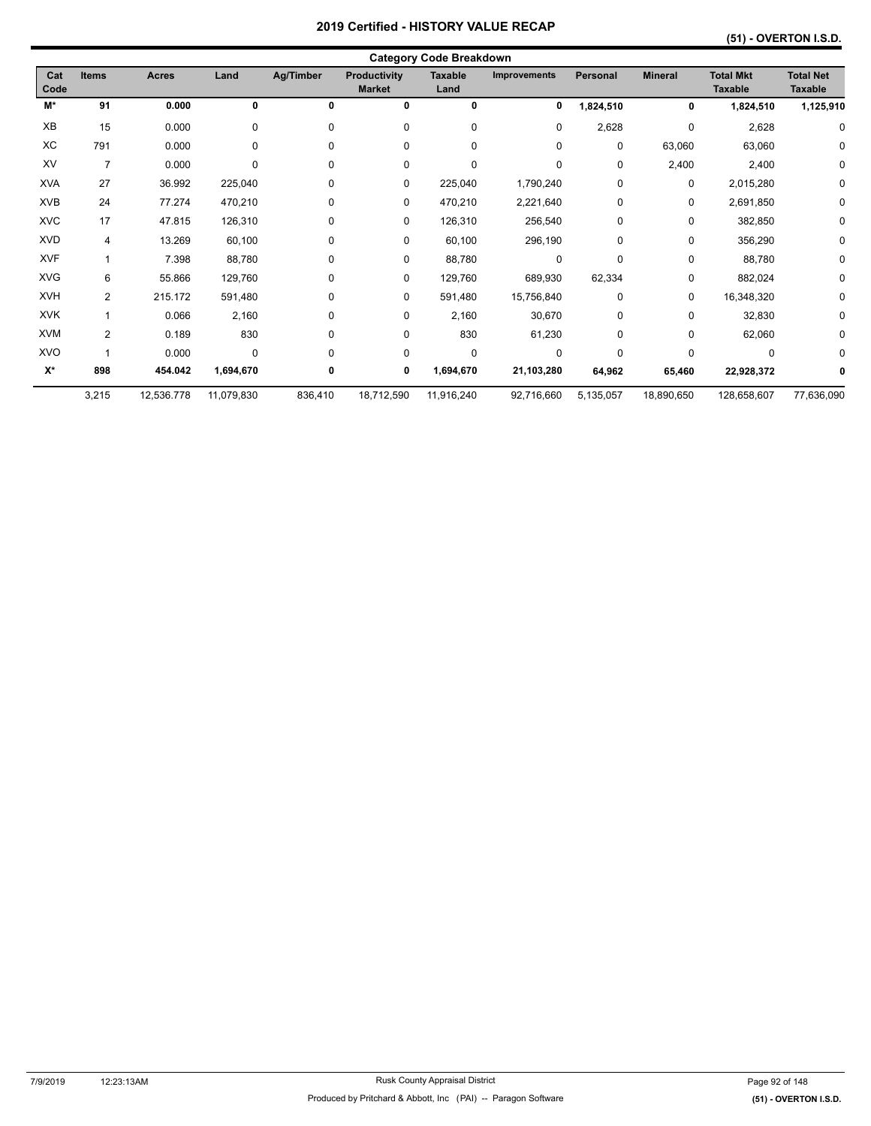|             | <b>Category Code Breakdown</b> |              |             |             |                                      |                        |                     |                 |                |                                    |                                    |  |  |
|-------------|--------------------------------|--------------|-------------|-------------|--------------------------------------|------------------------|---------------------|-----------------|----------------|------------------------------------|------------------------------------|--|--|
| Cat<br>Code | <b>Items</b>                   | <b>Acres</b> | Land        | Ag/Timber   | <b>Productivity</b><br><b>Market</b> | <b>Taxable</b><br>Land | <b>Improvements</b> | <b>Personal</b> | <b>Mineral</b> | <b>Total Mkt</b><br><b>Taxable</b> | <b>Total Net</b><br><b>Taxable</b> |  |  |
| M*          | 91                             | 0.000        | 0           | 0           | 0                                    | 0                      | 0                   | ,824,510        | 0              | 1,824,510                          | 1,125,910                          |  |  |
| XB          | 15                             | 0.000        | 0           | 0           | 0                                    | 0                      | 0                   | 2,628           | 0              | 2,628                              | 0                                  |  |  |
| XC          | 791                            | 0.000        | $\mathbf 0$ | 0           | 0                                    | 0                      | 0                   | 0               | 63,060         | 63,060                             | 0                                  |  |  |
| XV          | $\overline{7}$                 | 0.000        | 0           | $\mathbf 0$ | 0                                    | 0                      | $\mathbf 0$         | 0               | 2,400          | 2,400                              | 0                                  |  |  |
| <b>XVA</b>  | 27                             | 36.992       | 225,040     | 0           | 0                                    | 225,040                | 1,790,240           | 0               | 0              | 2,015,280                          | 0                                  |  |  |
| <b>XVB</b>  | 24                             | 77.274       | 470,210     | $\mathbf 0$ | 0                                    | 470,210                | 2,221,640           | 0               | 0              | 2,691,850                          | 0                                  |  |  |
| <b>XVC</b>  | 17                             | 47.815       | 126,310     | 0           | 0                                    | 126,310                | 256,540             | 0               | 0              | 382,850                            | 0                                  |  |  |
| <b>XVD</b>  | $\overline{4}$                 | 13.269       | 60,100      | $\mathbf 0$ | 0                                    | 60,100                 | 296,190             | 0               | 0              | 356,290                            | 0                                  |  |  |
| <b>XVF</b>  | 1                              | 7.398        | 88,780      | $\mathbf 0$ | 0                                    | 88,780                 | 0                   | $\Omega$        | 0              | 88,780                             | 0                                  |  |  |
| <b>XVG</b>  | 6                              | 55.866       | 129,760     | 0           | 0                                    | 129,760                | 689,930             | 62,334          | 0              | 882,024                            | 0                                  |  |  |
| <b>XVH</b>  | 2                              | 215.172      | 591,480     | 0           | 0                                    | 591,480                | 15,756,840          | 0               | 0              | 16,348,320                         | 0                                  |  |  |
| <b>XVK</b>  | $\overline{1}$                 | 0.066        | 2,160       | 0           | 0                                    | 2,160                  | 30,670              | 0               | 0              | 32,830                             | 0                                  |  |  |
| <b>XVM</b>  | $\overline{2}$                 | 0.189        | 830         | 0           | 0                                    | 830                    | 61,230              | 0               | 0              | 62,060                             | 0                                  |  |  |
| <b>XVO</b>  |                                | 0.000        | 0           | $\Omega$    | $\mathbf 0$                          | 0                      | $\mathbf 0$         | $\Omega$        | 0              | $\Omega$                           | 0                                  |  |  |
| $X^*$       | 898                            | 454.042      | 1,694,670   | 0           | 0                                    | 1,694,670              | 21,103,280          | 64,962          | 65,460         | 22,928,372                         | 0                                  |  |  |
|             | 3,215                          | 12,536.778   | 11,079,830  | 836,410     | 18,712,590                           | 11,916,240             | 92,716,660          | 5,135,057       | 18,890,650     | 128,658,607                        | 77,636,090                         |  |  |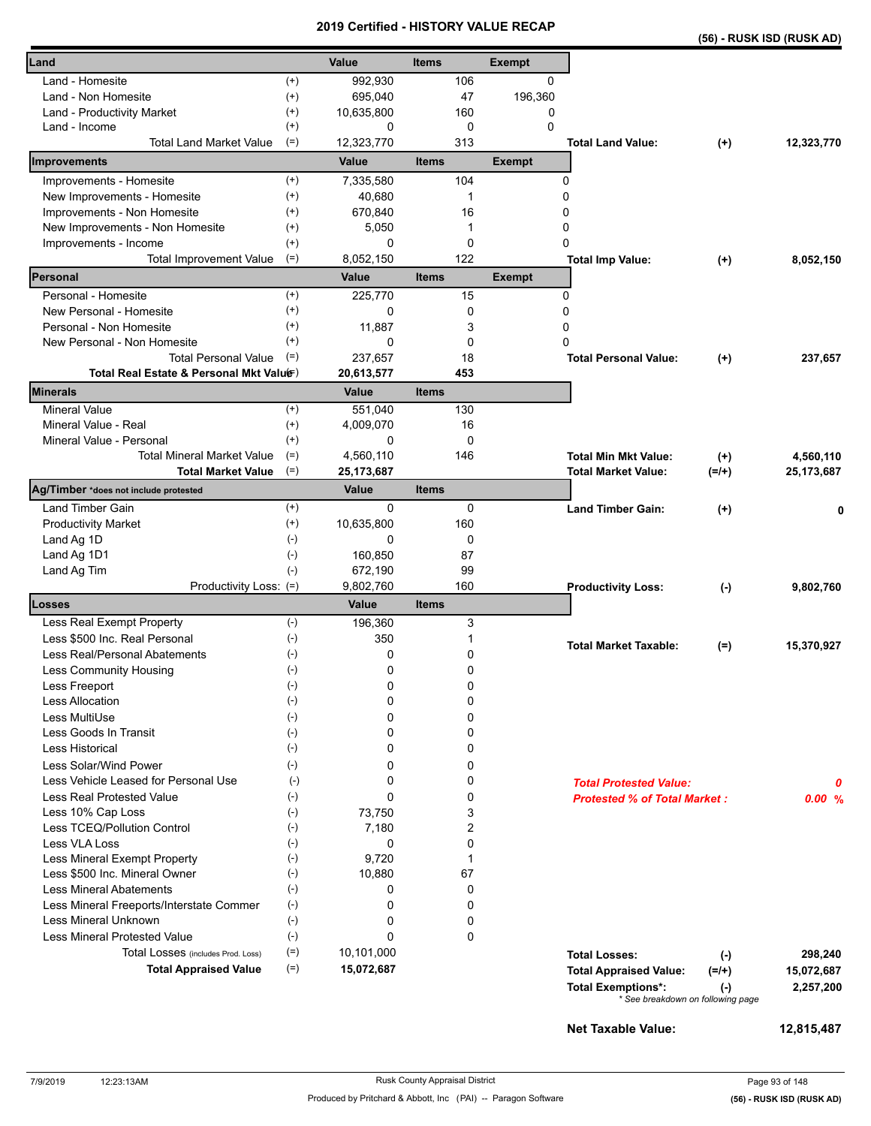|                                                  |                    | 20 I J          |              |             | <b>VEILIIIEU - FIIO I URT VALUE REVAP</b> |                                     |                  | (56) - RUSK ISD (RUSK AD) |
|--------------------------------------------------|--------------------|-----------------|--------------|-------------|-------------------------------------------|-------------------------------------|------------------|---------------------------|
| Land                                             |                    | Value           | <b>Items</b> |             | <b>Exempt</b>                             |                                     |                  |                           |
| Land - Homesite                                  | $^{(+)}$           | 992,930         |              | 106         | 0                                         |                                     |                  |                           |
| Land - Non Homesite                              | $^{(+)}$           | 695,040         |              | 47          | 196,360                                   |                                     |                  |                           |
| Land - Productivity Market                       | $^{(+)}$           | 10,635,800      |              | 160         | 0                                         |                                     |                  |                           |
| Land - Income                                    | $^{(+)}$           | 0               |              | $\mathbf 0$ | $\Omega$                                  |                                     |                  |                           |
| <b>Total Land Market Value</b>                   | $(=)$              | 12,323,770      |              | 313         |                                           | <b>Total Land Value:</b>            | $^{(+)}$         | 12,323,770                |
| Improvements                                     |                    | Value           | <b>Items</b> |             | <b>Exempt</b>                             |                                     |                  |                           |
| Improvements - Homesite                          | $^{(+)}$           | 7,335,580       |              | 104         |                                           | 0                                   |                  |                           |
| New Improvements - Homesite                      | $^{(+)}$           | 40,680          |              | 1           |                                           | 0                                   |                  |                           |
| Improvements - Non Homesite                      | $^{(+)}$           | 670,840         |              | 16          |                                           | 0                                   |                  |                           |
| New Improvements - Non Homesite                  | $^{(+)}$           | 5,050           |              | 1           |                                           | 0                                   |                  |                           |
| Improvements - Income                            | $^{(+)}$           | 0               |              | $\mathbf 0$ |                                           | $\Omega$                            |                  |                           |
| <b>Total Improvement Value</b>                   | $(=)$              | 8,052,150       |              | 122         |                                           | <b>Total Imp Value:</b>             | $^{(+)}$         | 8,052,150                 |
| Personal                                         |                    | <b>Value</b>    | <b>Items</b> |             | <b>Exempt</b>                             |                                     |                  |                           |
| Personal - Homesite<br>New Personal - Homesite   | $(+)$<br>$^{(+)}$  | 225,770<br>0    |              | 15<br>0     |                                           | 0<br>0                              |                  |                           |
| Personal - Non Homesite                          | $^{(+)}$           | 11,887          |              |             |                                           | 0                                   |                  |                           |
| New Personal - Non Homesite                      | $^{(+)}$           | 0               |              | 3<br>0      |                                           | 0                                   |                  |                           |
| <b>Total Personal Value</b>                      | $(=)$              | 237,657         |              | 18          |                                           |                                     |                  |                           |
| Total Real Estate & Personal Mkt Valuer)         |                    | 20,613,577      |              | 453         |                                           | <b>Total Personal Value:</b>        | $^{(+)}$         | 237,657                   |
| Minerals                                         |                    | Value           | <b>Items</b> |             |                                           |                                     |                  |                           |
| <b>Mineral Value</b>                             | $^{(+)}$           | 551,040         |              | 130         |                                           |                                     |                  |                           |
| Mineral Value - Real                             | $^{(+)}$           | 4,009,070       |              | 16          |                                           |                                     |                  |                           |
| Mineral Value - Personal                         | $^{(+)}$           | 0               |              | $\mathbf 0$ |                                           |                                     |                  |                           |
| <b>Total Mineral Market Value</b>                | $(=)$              | 4,560,110       |              | 146         |                                           | <b>Total Min Mkt Value:</b>         | $^{(+)}$         | 4,560,110                 |
| <b>Total Market Value</b>                        | $(=)$              | 25, 173, 687    |              |             |                                           | Total Market Value:                 | $(=/+)$          | 25, 173, 687              |
| Ag/Timber *does not include protested            |                    | Value           | <b>Items</b> |             |                                           |                                     |                  |                           |
| Land Timber Gain                                 | $^{(+)}$           | 0               |              | 0           |                                           | <b>Land Timber Gain:</b>            | $^{(+)}$         | 0                         |
| <b>Productivity Market</b>                       | $^{(+)}$           | 10,635,800      |              | 160         |                                           |                                     |                  |                           |
| Land Ag 1D                                       | $(-)$              | 0               |              | $\mathbf 0$ |                                           |                                     |                  |                           |
| Land Ag 1D1                                      | $(-)$              | 160,850         |              | 87          |                                           |                                     |                  |                           |
| Land Ag Tim                                      | $(-)$              | 672,190         |              | 99          |                                           |                                     |                  |                           |
| Productivity Loss: (=)                           |                    | 9,802,760       |              | 160         |                                           | <b>Productivity Loss:</b>           | $(-)$            | 9,802,760                 |
| Losses                                           |                    | <b>Value</b>    | <b>Items</b> |             |                                           |                                     |                  |                           |
| Less Real Exempt Property                        | $(-)$              | 196,360         |              | 3           |                                           |                                     |                  |                           |
| Less \$500 Inc. Real Personal                    | $(-)$              | 350             |              | 1           |                                           | <b>Total Market Taxable:</b>        | $(=)$            | 15,370,927                |
| Less Real/Personal Abatements                    | $(-)$              | 0               |              | 0           |                                           |                                     |                  |                           |
| Less Community Housing                           | $(\textnormal{-})$ | 0               |              | 0           |                                           |                                     |                  |                           |
| Less Freeport                                    | $(-)$              | 0               |              | 0           |                                           |                                     |                  |                           |
| Less Allocation                                  | $(-)$              | 0               |              | 0           |                                           |                                     |                  |                           |
| Less MultiUse<br>Less Goods In Transit           | $(-)$<br>$(-)$     | 0<br>0          |              | 0<br>0      |                                           |                                     |                  |                           |
| Less Historical                                  | $(-)$              | 0               |              | 0           |                                           |                                     |                  |                           |
|                                                  |                    |                 |              |             |                                           |                                     |                  |                           |
| Less Solar/Wind Power                            | $(-)$              | 0               |              | 0           |                                           |                                     |                  |                           |
| Less Vehicle Leased for Personal Use             | $(\cdot)$          | 0               |              | 0           |                                           | <b>Total Protested Value:</b>       |                  | 0                         |
| <b>Less Real Protested Value</b>                 | $(-)$              | 0               |              | 0           |                                           | <b>Protested % of Total Market:</b> |                  | 0.00%                     |
| Less 10% Cap Loss<br>Less TCEQ/Pollution Control | $(-)$<br>$(-)$     | 73,750<br>7,180 |              | 3<br>2      |                                           |                                     |                  |                           |
| Less VLA Loss                                    | $(-)$              | 0               |              | 0           |                                           |                                     |                  |                           |
| Less Mineral Exempt Property                     | $(\cdot)$          | 9,720           |              | 1           |                                           |                                     |                  |                           |
| Less \$500 Inc. Mineral Owner                    | $(-)$              | 10,880          |              | 67          |                                           |                                     |                  |                           |
| <b>Less Mineral Abatements</b>                   | $(-)$              | 0               |              | 0           |                                           |                                     |                  |                           |
| Less Mineral Freeports/Interstate Commer         | $(-)$              | 0               |              | 0           |                                           |                                     |                  |                           |
| Less Mineral Unknown                             | $(-)$              | 0               |              | 0           |                                           |                                     |                  |                           |
| <b>Less Mineral Protested Value</b>              | $(-)$              | 0               |              | 0           |                                           |                                     |                  |                           |
| Total Losses (includes Prod. Loss)               | $(=)$              | 10,101,000      |              |             |                                           | <b>Total Losses:</b>                |                  | 298,240                   |
| <b>Total Appraised Value</b>                     | $(=)$              | 15,072,687      |              |             |                                           | <b>Total Appraised Value:</b>       | $(-)$<br>$(=/+)$ | 15,072,687                |
|                                                  |                    |                 |              |             |                                           | <b>Total Exemptions*:</b>           |                  | 2,257,200                 |
|                                                  |                    |                 |              |             |                                           | * See breakdown on following page   | $(\cdot)$        |                           |

**Net Taxable Value: 12,815,487**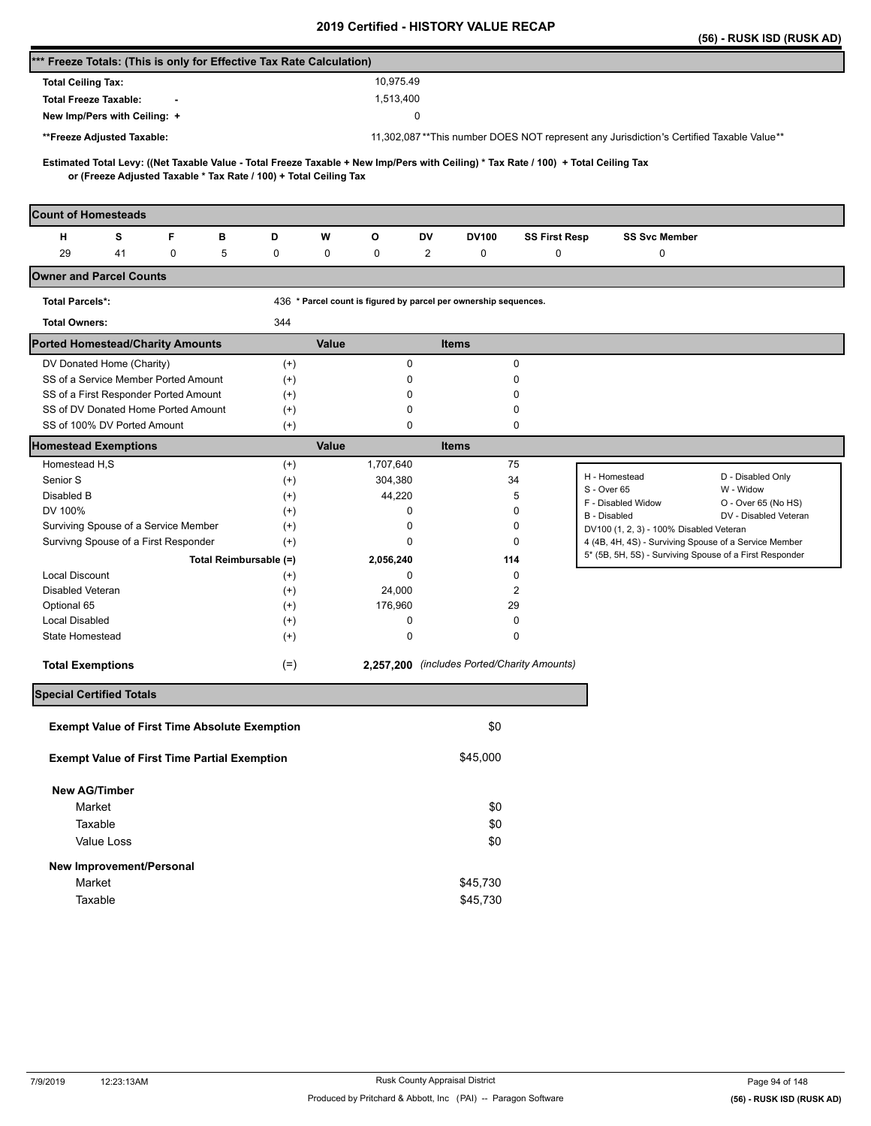|                                                                                                                                                                                                          |                      |                                                                  |                                             |                      |                                                                                         | (56) - RUSK ISD (RUSK AD) |
|----------------------------------------------------------------------------------------------------------------------------------------------------------------------------------------------------------|----------------------|------------------------------------------------------------------|---------------------------------------------|----------------------|-----------------------------------------------------------------------------------------|---------------------------|
| *** Freeze Totals: (This is only for Effective Tax Rate Calculation)                                                                                                                                     |                      |                                                                  |                                             |                      |                                                                                         |                           |
| <b>Total Ceiling Tax:</b>                                                                                                                                                                                |                      | 10,975.49                                                        |                                             |                      |                                                                                         |                           |
| <b>Total Freeze Taxable:</b>                                                                                                                                                                             |                      | 1,513,400                                                        |                                             |                      |                                                                                         |                           |
| New Imp/Pers with Ceiling: +                                                                                                                                                                             |                      |                                                                  | 0                                           |                      |                                                                                         |                           |
| **Freeze Adjusted Taxable:                                                                                                                                                                               |                      |                                                                  |                                             |                      | 11,302,087**This number DOES NOT represent any Jurisdiction's Certified Taxable Value** |                           |
|                                                                                                                                                                                                          |                      |                                                                  |                                             |                      |                                                                                         |                           |
| Estimated Total Levy: ((Net Taxable Value - Total Freeze Taxable + New Imp/Pers with Ceiling) * Tax Rate / 100) + Total Ceiling Tax<br>or (Freeze Adjusted Taxable * Tax Rate / 100) + Total Ceiling Tax |                      |                                                                  |                                             |                      |                                                                                         |                           |
|                                                                                                                                                                                                          |                      |                                                                  |                                             |                      |                                                                                         |                           |
| <b>Count of Homesteads</b>                                                                                                                                                                               |                      |                                                                  |                                             |                      |                                                                                         |                           |
| F<br>н<br>s<br>в                                                                                                                                                                                         | D                    | W<br>o                                                           | DV<br><b>DV100</b>                          | <b>SS First Resp</b> | <b>SS Svc Member</b>                                                                    |                           |
| 29<br>5<br>41<br>0                                                                                                                                                                                       | 0                    | 0<br>0                                                           | $\overline{c}$<br>0                         | 0                    | 0                                                                                       |                           |
| <b>Owner and Parcel Counts</b>                                                                                                                                                                           |                      |                                                                  |                                             |                      |                                                                                         |                           |
| <b>Total Parcels*:</b>                                                                                                                                                                                   |                      | 436 * Parcel count is figured by parcel per ownership sequences. |                                             |                      |                                                                                         |                           |
| <b>Total Owners:</b>                                                                                                                                                                                     | 344                  |                                                                  |                                             |                      |                                                                                         |                           |
| <b>Ported Homestead/Charity Amounts</b>                                                                                                                                                                  |                      | Value                                                            | <b>Items</b>                                |                      |                                                                                         |                           |
| DV Donated Home (Charity)                                                                                                                                                                                | $(+)$                | $\pmb{0}$                                                        |                                             | 0                    |                                                                                         |                           |
| SS of a Service Member Ported Amount                                                                                                                                                                     | $(+)$                | 0                                                                |                                             | 0                    |                                                                                         |                           |
| SS of a First Responder Ported Amount                                                                                                                                                                    | $^{(+)}$             | $\Omega$                                                         |                                             | 0                    |                                                                                         |                           |
| SS of DV Donated Home Ported Amount                                                                                                                                                                      | $^{(+)}$             | 0                                                                |                                             | 0                    |                                                                                         |                           |
| SS of 100% DV Ported Amount                                                                                                                                                                              | $^{(+)}$             | 0                                                                |                                             | 0                    |                                                                                         |                           |
| <b>Homestead Exemptions</b>                                                                                                                                                                              |                      | Value                                                            | <b>Items</b>                                |                      |                                                                                         |                           |
| Homestead H,S<br>Senior S                                                                                                                                                                                | $^{(+)}$             | 1,707,640                                                        |                                             | 75<br>34             | H - Homestead                                                                           | D - Disabled Only         |
| Disabled B                                                                                                                                                                                               | $^{(+)}$<br>$^{(+)}$ | 304,380<br>44,220                                                |                                             | 5                    | S - Over 65                                                                             | W - Widow                 |
| DV 100%                                                                                                                                                                                                  | $^{(+)}$             | 0                                                                |                                             | 0                    | F - Disabled Widow                                                                      | O - Over 65 (No HS)       |
| Surviving Spouse of a Service Member                                                                                                                                                                     | $^{(+)}$             | 0                                                                |                                             | 0                    | B - Disabled<br>DV100 (1, 2, 3) - 100% Disabled Veteran                                 | DV - Disabled Veteran     |
| Survivng Spouse of a First Responder                                                                                                                                                                     | $^{(+)}$             | 0                                                                |                                             | 0                    | 4 (4B, 4H, 4S) - Surviving Spouse of a Service Member                                   |                           |
| Total Reimbursable (=)                                                                                                                                                                                   |                      | 2,056,240                                                        | 114                                         |                      | 5* (5B, 5H, 5S) - Surviving Spouse of a First Responder                                 |                           |
| <b>Local Discount</b>                                                                                                                                                                                    | $^{(+)}$             | 0                                                                |                                             | 0                    |                                                                                         |                           |
| Disabled Veteran                                                                                                                                                                                         | $^{(+)}$             | 24,000                                                           |                                             | $\overline{2}$       |                                                                                         |                           |
| Optional 65                                                                                                                                                                                              | $^{(+)}$             | 176,960                                                          | 29                                          |                      |                                                                                         |                           |
| <b>Local Disabled</b>                                                                                                                                                                                    | $^{(+)}$             | 0                                                                |                                             | 0                    |                                                                                         |                           |
| State Homestead                                                                                                                                                                                          | $^{(+)}$             | 0                                                                |                                             | 0                    |                                                                                         |                           |
| <b>Total Exemptions</b>                                                                                                                                                                                  | $(=)$                |                                                                  | 2,257,200 (includes Ported/Charity Amounts) |                      |                                                                                         |                           |
| <b>Special Certified Totals</b>                                                                                                                                                                          |                      |                                                                  |                                             |                      |                                                                                         |                           |
| <b>Exempt Value of First Time Absolute Exemption</b>                                                                                                                                                     |                      |                                                                  | \$0                                         |                      |                                                                                         |                           |
| <b>Exempt Value of First Time Partial Exemption</b>                                                                                                                                                      |                      |                                                                  | \$45,000                                    |                      |                                                                                         |                           |
|                                                                                                                                                                                                          |                      |                                                                  |                                             |                      |                                                                                         |                           |
| <b>New AG/Timber</b>                                                                                                                                                                                     |                      |                                                                  |                                             |                      |                                                                                         |                           |
| Market                                                                                                                                                                                                   |                      |                                                                  | \$0                                         |                      |                                                                                         |                           |
| Taxable                                                                                                                                                                                                  |                      |                                                                  | \$0                                         |                      |                                                                                         |                           |
| Value Loss                                                                                                                                                                                               |                      |                                                                  | \$0                                         |                      |                                                                                         |                           |
| New Improvement/Personal                                                                                                                                                                                 |                      |                                                                  |                                             |                      |                                                                                         |                           |
| Market                                                                                                                                                                                                   |                      |                                                                  | \$45,730                                    |                      |                                                                                         |                           |
| Taxable                                                                                                                                                                                                  |                      |                                                                  | \$45,730                                    |                      |                                                                                         |                           |
|                                                                                                                                                                                                          |                      |                                                                  |                                             |                      |                                                                                         |                           |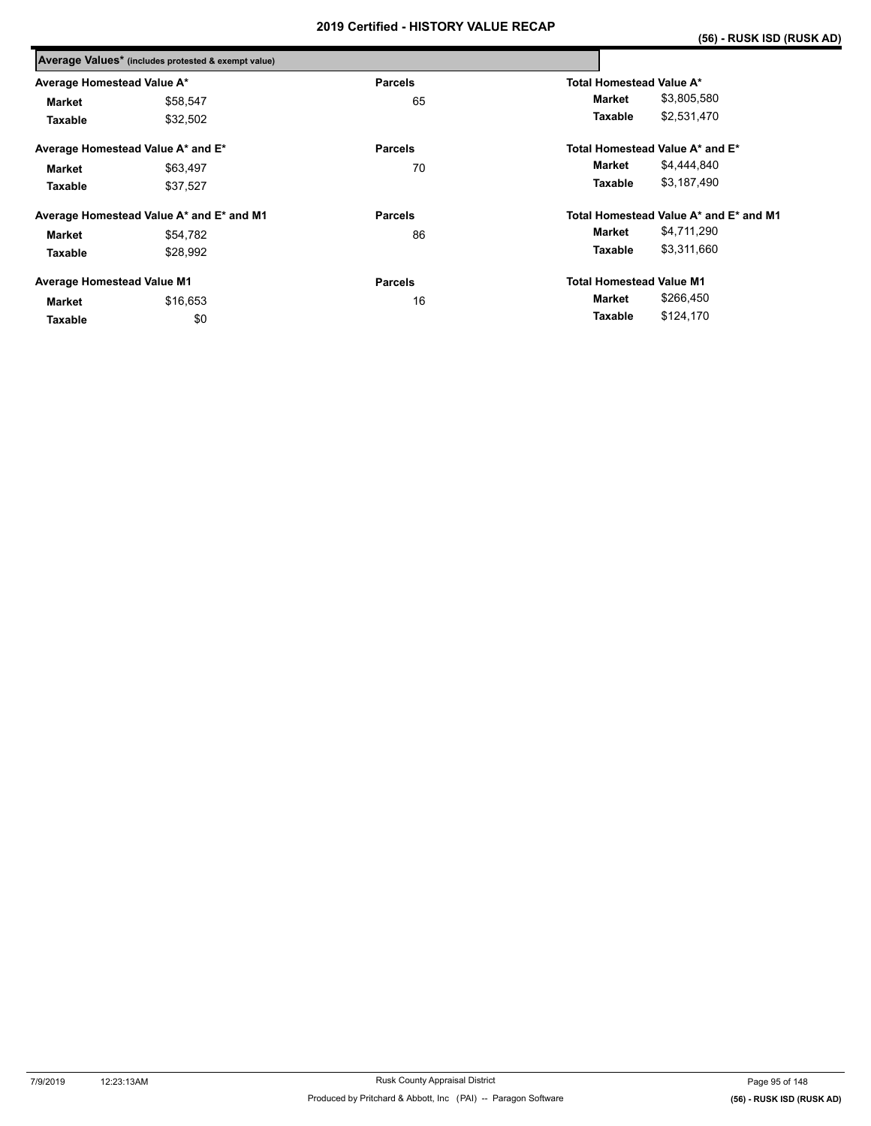|                                   | Average Values* (includes protested & exempt value) |                |                                        |
|-----------------------------------|-----------------------------------------------------|----------------|----------------------------------------|
| Average Homestead Value A*        |                                                     | <b>Parcels</b> | Total Homestead Value A*               |
| <b>Market</b>                     | \$58,547                                            | 65             | \$3,805,580<br>Market                  |
| Taxable                           | \$32,502                                            |                | \$2,531,470<br>Taxable                 |
|                                   | Average Homestead Value A* and E*                   | <b>Parcels</b> | Total Homestead Value A* and E*        |
| <b>Market</b>                     | \$63,497                                            | 70             | \$4,444,840<br>Market                  |
| Taxable                           | \$37,527                                            |                | \$3,187,490<br>Taxable                 |
|                                   | Average Homestead Value A* and E* and M1            | <b>Parcels</b> | Total Homestead Value A* and E* and M1 |
| <b>Market</b>                     | \$54,782                                            | 86             | \$4,711,290<br>Market                  |
| Taxable                           | \$28,992                                            |                | \$3,311,660<br>Taxable                 |
| <b>Average Homestead Value M1</b> |                                                     | <b>Parcels</b> | <b>Total Homestead Value M1</b>        |
| <b>Market</b>                     | \$16,653                                            | 16             | \$266,450<br>Market                    |
| Taxable                           | \$0                                                 |                | \$124,170<br>Taxable                   |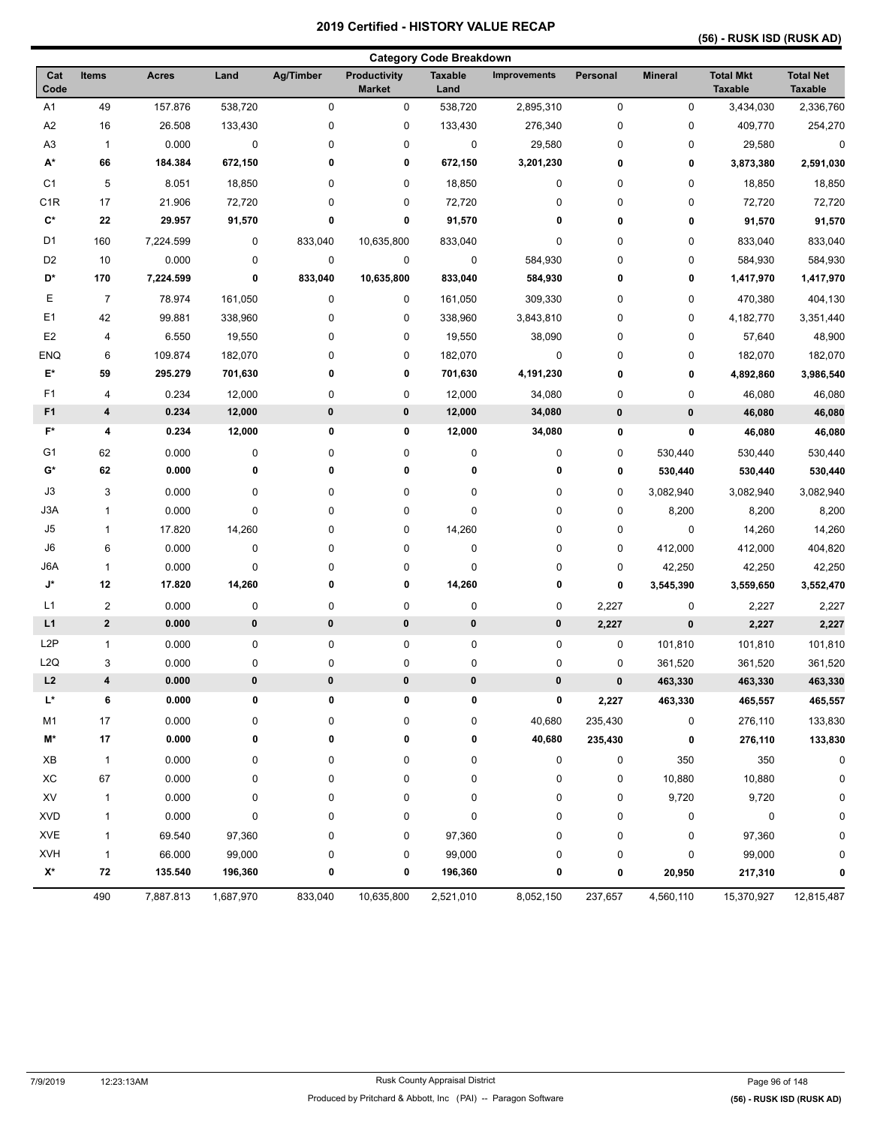| <b>Category Code Breakdown</b> |                |              |             |           |                                      |                        |                     |              |                |                                    |                                    |
|--------------------------------|----------------|--------------|-------------|-----------|--------------------------------------|------------------------|---------------------|--------------|----------------|------------------------------------|------------------------------------|
| Cat<br>Code                    | Items          | <b>Acres</b> | Land        | Ag/Timber | <b>Productivity</b><br><b>Market</b> | <b>Taxable</b><br>Land | <b>Improvements</b> | Personal     | <b>Mineral</b> | <b>Total Mkt</b><br><b>Taxable</b> | <b>Total Net</b><br><b>Taxable</b> |
| A <sub>1</sub>                 | 49             | 157.876      | 538,720     | 0         | 0                                    | 538,720                | 2,895,310           | 0            | 0              | 3,434,030                          | 2,336,760                          |
| A <sub>2</sub>                 | 16             | 26.508       | 133,430     | 0         | 0                                    | 133,430                | 276,340             | 0            | 0              | 409,770                            | 254,270                            |
| A <sub>3</sub>                 | $\mathbf{1}$   | 0.000        | 0           | 0         | 0                                    | $\pmb{0}$              | 29,580              | 0            | 0              | 29,580                             | $\mathbf 0$                        |
| A*                             | 66             | 184.384      | 672,150     | 0         | 0                                    | 672,150                | 3,201,230           | 0            | 0              | 3,873,380                          | 2,591,030                          |
| C <sub>1</sub>                 | 5              | 8.051        | 18,850      | 0         | 0                                    | 18,850                 | 0                   | 0            | 0              | 18,850                             | 18,850                             |
| C <sub>1</sub> R               | 17             | 21.906       | 72,720      | 0         | 0                                    | 72,720                 | 0                   | 0            | 0              | 72,720                             | 72,720                             |
| C*                             | 22             | 29.957       | 91,570      | 0         | 0                                    | 91,570                 | 0                   | 0            | 0              | 91,570                             | 91,570                             |
| D <sub>1</sub>                 | 160            | 7,224.599    | $\mathbf 0$ | 833,040   | 10,635,800                           | 833,040                | 0                   | 0            | 0              | 833,040                            | 833,040                            |
| D <sub>2</sub>                 | 10             | 0.000        | 0           | 0         | 0                                    | 0                      | 584,930             | 0            | 0              | 584,930                            | 584,930                            |
| D*                             | 170            | 7,224.599    | 0           | 833,040   | 10,635,800                           | 833,040                | 584,930             | 0            | 0              | 1,417,970                          | 1,417,970                          |
| Е                              | $\overline{7}$ | 78.974       | 161,050     | 0         | 0                                    | 161,050                | 309,330             | 0            | 0              | 470,380                            | 404,130                            |
| E <sub>1</sub>                 | 42             | 99.881       | 338,960     | 0         | 0                                    | 338,960                | 3,843,810           | 0            | 0              | 4,182,770                          | 3,351,440                          |
| E <sub>2</sub>                 | 4              | 6.550        | 19,550      | 0         | 0                                    | 19,550                 | 38,090              | 0            | 0              | 57,640                             | 48,900                             |
| <b>ENQ</b>                     | 6              | 109.874      | 182,070     | 0         | 0                                    | 182,070                | 0                   | 0            | 0              | 182,070                            | 182,070                            |
| E*                             | 59             | 295.279      | 701,630     | 0         | 0                                    | 701,630                | 4,191,230           | 0            | 0              | 4,892,860                          | 3,986,540                          |
| F1                             | 4              | 0.234        | 12,000      | 0         | 0                                    | 12,000                 | 34,080              | 0            | 0              | 46,080                             | 46,080                             |
| F <sub>1</sub>                 | 4              | 0.234        | 12,000      | $\pmb{0}$ | $\pmb{0}$                            | 12,000                 | 34,080              | $\pmb{0}$    | $\pmb{0}$      | 46,080                             | 46,080                             |
| $F^*$                          | 4              | 0.234        | 12,000      | 0         | 0                                    | 12,000                 | 34,080              | 0            | 0              | 46,080                             | 46,080                             |
| G <sub>1</sub>                 | 62             | 0.000        | 0           | 0         | 0                                    | 0                      | 0                   | 0            | 530,440        | 530,440                            | 530,440                            |
| G*                             | 62             | 0.000        | 0           | 0         | 0                                    | 0                      | 0                   | 0            | 530,440        | 530,440                            | 530,440                            |
| J3                             | 3              | 0.000        | 0           | $\pmb{0}$ | 0                                    | 0                      | $\pmb{0}$           | 0            | 3,082,940      | 3,082,940                          | 3,082,940                          |
| J3A                            | 1              | 0.000        | 0           | $\pmb{0}$ | 0                                    | $\mathbf 0$            | $\pmb{0}$           | 0            | 8,200          | 8,200                              | 8,200                              |
| J5                             | 1              | 17.820       | 14,260      | 0         | 0                                    | 14,260                 | 0                   | 0            | 0              | 14,260                             | 14,260                             |
| J6                             | 6              | 0.000        | 0           | 0         | 0                                    | 0                      | $\pmb{0}$           | 0            | 412,000        | 412,000                            | 404,820                            |
| J6A                            | $\mathbf{1}$   | 0.000        | 0           | 0         | 0                                    | 0                      | $\pmb{0}$           | 0            | 42,250         | 42,250                             | 42,250                             |
| J*                             | 12             | 17.820       | 14,260      | 0         | 0                                    | 14,260                 | 0                   | 0            | 3,545,390      | 3,559,650                          | 3,552,470                          |
| L1                             | $\overline{2}$ | 0.000        | $\mathbf 0$ | 0         | 0                                    | 0                      | 0                   | 2,227        | 0              | 2,227                              | 2,227                              |
| L1                             | $\mathbf{2}$   | 0.000        | $\pmb{0}$   | $\bf{0}$  | 0                                    | 0                      | $\pmb{0}$           | 2,227        | 0              | 2,227                              | 2,227                              |
| L <sub>2</sub> P               | 1              | 0.000        | 0           | 0         | 0                                    | 0                      | $\pmb{0}$           | 0            | 101,810        | 101,810                            | 101,810                            |
| L2Q                            | 3              | 0.000        | 0           | 0         | 0                                    | 0                      | $\pmb{0}$           | 0            | 361,520        | 361,520                            | 361,520                            |
| L2                             | 4              | 0.000        | $\pmb{0}$   | $\bf{0}$  | 0                                    | $\pmb{0}$              | $\pmb{0}$           | $\mathbf{0}$ | 463,330        | 463,330                            | 463,330                            |
| L*                             | 6              | 0.000        | 0           | 0         | 0                                    | 0                      | 0                   | 2,227        | 463,330        | 465,557                            | 465,557                            |
| M1                             | $17$           | 0.000        | 0           | $\pmb{0}$ | 0                                    | 0                      | 40,680              | 235,430      | $\mathsf 0$    | 276,110                            | 133,830                            |
| $\mathsf{M}^\star$             | $17\,$         | 0.000        | 0           | 0         | 0                                    | 0                      | 40,680              | 235,430      | $\pmb{0}$      | 276,110                            | 133,830                            |
| XB                             | $\overline{1}$ | 0.000        | 0           | 0         | 0                                    | 0                      | $\pmb{0}$           | $\pmb{0}$    | 350            | 350                                | $\pmb{0}$                          |
| ХC                             | 67             | 0.000        | 0           | 0         | 0                                    | 0                      | $\pmb{0}$           | $\pmb{0}$    | 10,880         | 10,880                             | 0                                  |
| XV                             | $\mathbf{1}$   | 0.000        | 0           | 0         | 0                                    | 0                      | $\pmb{0}$           | 0            | 9,720          | 9,720                              | 0                                  |
| <b>XVD</b>                     | $\mathbf{1}$   | 0.000        | 0           | 0         | 0                                    | 0                      | $\pmb{0}$           | 0            | 0              | $\boldsymbol{0}$                   | 0                                  |
| <b>XVE</b>                     | 1              | 69.540       | 97,360      | 0         | 0                                    | 97,360                 | $\pmb{0}$           | 0            | 0              | 97,360                             | 0                                  |
| <b>XVH</b>                     | $\mathbf{1}$   | 66.000       | 99,000      | 0         | 0                                    | 99,000                 | $\pmb{0}$           | 0            | 0              | 99,000                             | 0                                  |
| $\mathsf{X}^\star$             | 72             | 135.540      | 196,360     | 0         | 0                                    | 196,360                | 0                   | 0            | 20,950         | 217,310                            | 0                                  |
|                                | 490            | 7,887.813    | 1,687,970   | 833,040   | 10,635,800                           | 2,521,010              | 8,052,150           | 237,657      | 4,560,110      | 15,370,927                         | 12,815,487                         |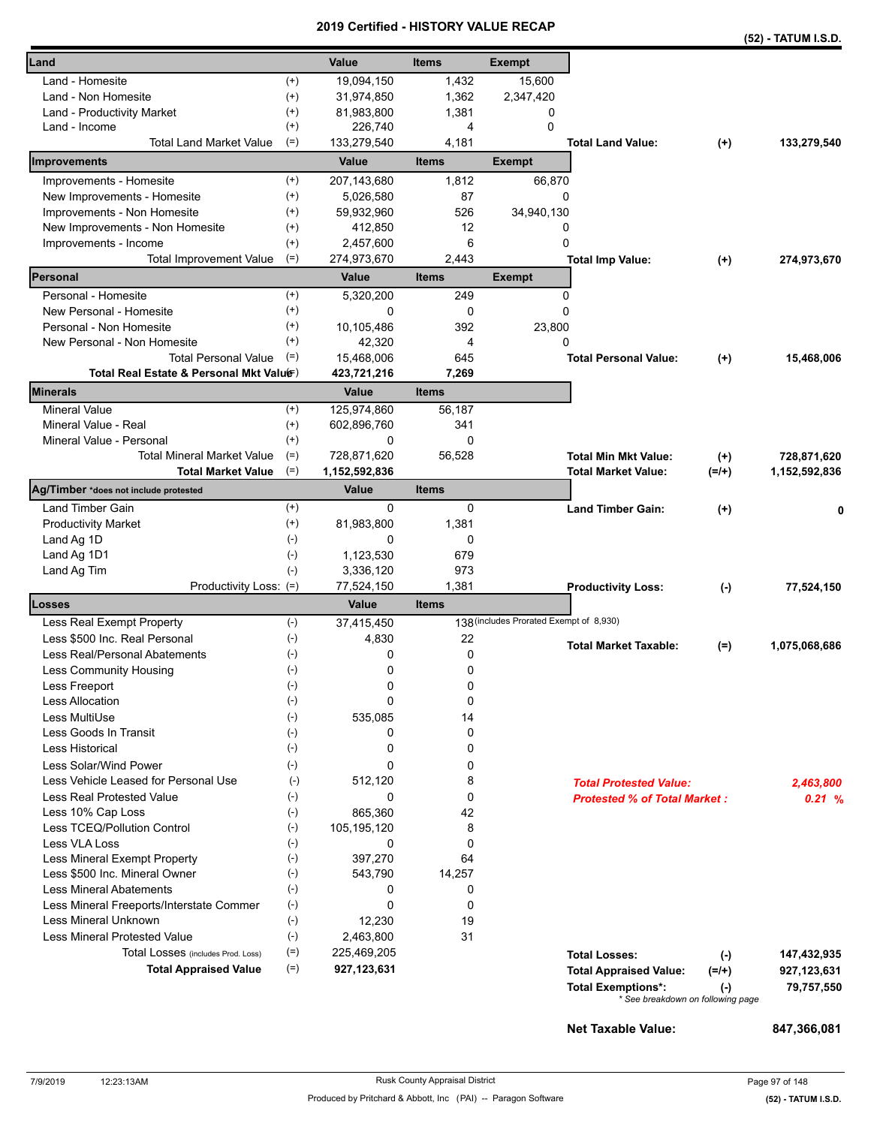|                                                                             |       |                              |                  |                                         |                                                                                                 |                      | (52) - TATUM I.S.D.          |
|-----------------------------------------------------------------------------|-------|------------------------------|------------------|-----------------------------------------|-------------------------------------------------------------------------------------------------|----------------------|------------------------------|
| Land                                                                        |       | Value                        | <b>Items</b>     | <b>Exempt</b>                           |                                                                                                 |                      |                              |
| Land - Homesite<br>$^{(+)}$                                                 |       | 19,094,150                   | 1,432            | 15,600                                  |                                                                                                 |                      |                              |
| $^{(+)}$<br>Land - Non Homesite                                             |       | 31,974,850                   | 1,362            | 2,347,420                               |                                                                                                 |                      |                              |
| $^{(+)}$<br>Land - Productivity Market                                      |       | 81,983,800                   | 1,381            | 0                                       |                                                                                                 |                      |                              |
| $^{(+)}$<br>Land - Income                                                   |       | 226,740                      | 4                | $\Omega$                                |                                                                                                 |                      |                              |
| <b>Total Land Market Value</b><br>$(=)$                                     |       | 133,279,540                  | 4,181            |                                         | <b>Total Land Value:</b>                                                                        | $(+)$                | 133,279,540                  |
| Improvements                                                                |       | Value                        | <b>Items</b>     | <b>Exempt</b>                           |                                                                                                 |                      |                              |
| Improvements - Homesite<br>$^{(+)}$                                         |       | 207,143,680                  | 1,812            | 66,870                                  |                                                                                                 |                      |                              |
| New Improvements - Homesite<br>$^{(+)}$                                     |       | 5,026,580                    | 87               | 0                                       |                                                                                                 |                      |                              |
| Improvements - Non Homesite<br>$^{(+)}$                                     |       | 59,932,960                   | 526              | 34,940,130                              |                                                                                                 |                      |                              |
| New Improvements - Non Homesite<br>$^{(+)}$                                 |       | 412,850                      | 12               | 0                                       |                                                                                                 |                      |                              |
| $^{(+)}$<br>Improvements - Income                                           |       | 2,457,600                    | 6                | 0                                       |                                                                                                 |                      |                              |
| $(=)$<br>Total Improvement Value                                            |       | 274,973,670                  | 2,443            |                                         | <b>Total Imp Value:</b>                                                                         | $(+)$                | 274,973,670                  |
| Personal                                                                    |       | Value                        | <b>Items</b>     | <b>Exempt</b>                           |                                                                                                 |                      |                              |
| Personal - Homesite<br>$^{(+)}$                                             |       | 5,320,200                    | 249              | 0                                       |                                                                                                 |                      |                              |
| $^{(+)}$<br>New Personal - Homesite                                         |       | $\Omega$                     | 0                | 0                                       |                                                                                                 |                      |                              |
| $^{(+)}$<br>Personal - Non Homesite                                         |       | 10.105.486                   | 392              | 23,800                                  |                                                                                                 |                      |                              |
| $^{(+)}$<br>New Personal - Non Homesite                                     |       | 42,320                       | $\overline{4}$   | 0                                       |                                                                                                 |                      |                              |
| <b>Total Personal Value</b><br>$(=)$                                        |       | 15,468,006                   | 645              |                                         | <b>Total Personal Value:</b>                                                                    | $^{(+)}$             | 15,468,006                   |
| Total Real Estate & Personal Mkt Valuer)                                    |       | 423,721,216                  | 7,269            |                                         |                                                                                                 |                      |                              |
| <b>Minerals</b>                                                             |       | Value                        | <b>Items</b>     |                                         |                                                                                                 |                      |                              |
| <b>Mineral Value</b><br>$^{(+)}$                                            |       | 125,974,860                  | 56.187           |                                         |                                                                                                 |                      |                              |
| Mineral Value - Real<br>$^{(+)}$                                            |       | 602,896,760                  | 341              |                                         |                                                                                                 |                      |                              |
| $(+)$<br>Mineral Value - Personal                                           |       | 0                            | $\Omega$         |                                         |                                                                                                 |                      |                              |
| <b>Total Mineral Market Value</b><br>$(=)$<br>$(=)$                         |       | 728,871,620<br>1,152,592,836 | 56,528           |                                         | <b>Total Min Mkt Value:</b><br><b>Total Market Value:</b>                                       | $(+)$                | 728,871,620<br>1,152,592,836 |
| <b>Total Market Value</b><br>Ag/Timber *does not include protested          |       | Value                        | <b>Items</b>     |                                         |                                                                                                 | $(=/+)$              |                              |
| Land Timber Gain<br>$^{(+)}$                                                |       | 0                            | 0                |                                         | <b>Land Timber Gain:</b>                                                                        |                      |                              |
| <b>Productivity Market</b><br>$^{(+)}$                                      |       | 81,983,800                   | 1,381            |                                         |                                                                                                 | $^{(+)}$             | 0                            |
| $(-)$<br>Land Ag 1D                                                         |       | 0                            | 0                |                                         |                                                                                                 |                      |                              |
| Land Ag 1D1<br>$(-)$                                                        |       | 1,123,530                    | 679              |                                         |                                                                                                 |                      |                              |
| Land Ag Tim<br>$(-)$                                                        |       | 3,336,120                    | 973              |                                         |                                                                                                 |                      |                              |
| Productivity Loss: (=)                                                      |       | 77,524,150                   | 1,381            |                                         | <b>Productivity Loss:</b>                                                                       | $(\cdot)$            | 77,524,150                   |
| Losses                                                                      |       | Value                        | <b>Items</b>     |                                         |                                                                                                 |                      |                              |
| $(-)$<br>Less Real Exempt Property                                          |       | 37,415,450                   |                  | 138 (includes Prorated Exempt of 8,930) |                                                                                                 |                      |                              |
| Less \$500 Inc. Real Personal<br>$(-)$                                      |       | 4,830                        | 22               |                                         | <b>Total Market Taxable:</b>                                                                    | $(=)$                | 1,075,068,686                |
| $(-)$<br>Less Real/Personal Abatements                                      |       | 0                            | 0                |                                         |                                                                                                 |                      |                              |
| <b>Less Community Housing</b><br>$(-)$                                      |       | 0                            | 0                |                                         |                                                                                                 |                      |                              |
| Less Freeport<br>$(-)$                                                      |       | 0                            | 0                |                                         |                                                                                                 |                      |                              |
| Less Allocation<br>$(-)$                                                    |       | 0                            | 0                |                                         |                                                                                                 |                      |                              |
| Less MultiUse<br>$(-)$                                                      |       | 535,085                      | 14               |                                         |                                                                                                 |                      |                              |
| Less Goods In Transit<br>$(\cdot)$                                          |       | 0                            | 0                |                                         |                                                                                                 |                      |                              |
| $(-)$<br>Less Historical                                                    |       | 0                            | 0                |                                         |                                                                                                 |                      |                              |
| Less Solar/Wind Power<br>$(-)$                                              |       | 0                            | 0                |                                         |                                                                                                 |                      |                              |
| Less Vehicle Leased for Personal Use                                        | $(-)$ | 512,120                      | 8                |                                         | <b>Total Protested Value:</b>                                                                   |                      | 2,463,800                    |
| $(-)$<br>Less Real Protested Value                                          |       | 0                            | $\mathbf 0$      |                                         | <b>Protested % of Total Market:</b>                                                             |                      | 0.21%                        |
| $(-)$<br>Less 10% Cap Loss                                                  |       | 865,360                      | 42               |                                         |                                                                                                 |                      |                              |
| Less TCEQ/Pollution Control<br>$(-)$                                        |       | 105,195,120                  | 8                |                                         |                                                                                                 |                      |                              |
| <b>Less VLA Loss</b><br>$(-)$                                               |       | 0                            | $\mathbf 0$      |                                         |                                                                                                 |                      |                              |
| $(-)$<br>Less Mineral Exempt Property                                       |       | 397,270                      | 64               |                                         |                                                                                                 |                      |                              |
| $(-)$<br>Less \$500 Inc. Mineral Owner                                      |       | 543,790                      | 14,257           |                                         |                                                                                                 |                      |                              |
| $(-)$<br><b>Less Mineral Abatements</b><br>$(-)$                            |       | 0<br>0                       | 0<br>$\mathbf 0$ |                                         |                                                                                                 |                      |                              |
| Less Mineral Freeports/Interstate Commer<br>$(-)$<br>Less Mineral Unknown   |       | 12,230                       | 19               |                                         |                                                                                                 |                      |                              |
| <b>Less Mineral Protested Value</b><br>$(-)$                                |       | 2,463,800                    | 31               |                                         |                                                                                                 |                      |                              |
| $(=)$                                                                       |       |                              |                  |                                         |                                                                                                 |                      |                              |
| Total Losses (includes Prod. Loss)<br>$(=)$<br><b>Total Appraised Value</b> |       | 225,469,205<br>927,123,631   |                  |                                         | <b>Total Losses:</b>                                                                            | $(\cdot)$            | 147,432,935                  |
|                                                                             |       |                              |                  |                                         | <b>Total Appraised Value:</b><br><b>Total Exemptions*:</b><br>* See breakdown on following page | $(=/+)$<br>$(\cdot)$ | 927,123,631<br>79,757,550    |
|                                                                             |       |                              |                  |                                         |                                                                                                 |                      |                              |

**Net Taxable Value: 847,366,081**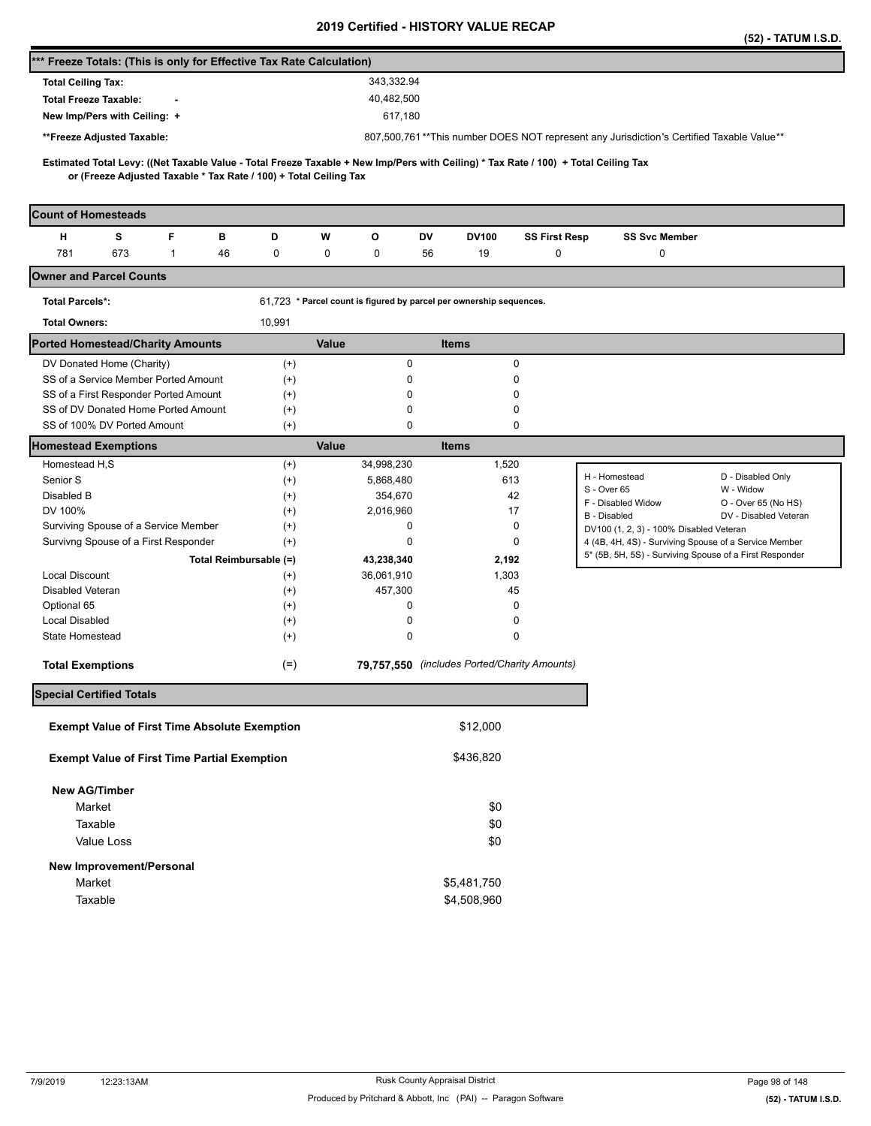|                                                                                                                                                                                                          |          |                                                                     |                                              |                      |                                                                                          | (52) - TATUM I.S.D.   |  |  |  |
|----------------------------------------------------------------------------------------------------------------------------------------------------------------------------------------------------------|----------|---------------------------------------------------------------------|----------------------------------------------|----------------------|------------------------------------------------------------------------------------------|-----------------------|--|--|--|
| *** Freeze Totals: (This is only for Effective Tax Rate Calculation)                                                                                                                                     |          |                                                                     |                                              |                      |                                                                                          |                       |  |  |  |
| <b>Total Ceiling Tax:</b>                                                                                                                                                                                |          | 343,332.94                                                          |                                              |                      |                                                                                          |                       |  |  |  |
| <b>Total Freeze Taxable:</b>                                                                                                                                                                             |          | 40,482,500                                                          |                                              |                      |                                                                                          |                       |  |  |  |
| New Imp/Pers with Ceiling: +                                                                                                                                                                             |          | 617,180                                                             |                                              |                      |                                                                                          |                       |  |  |  |
| **Freeze Adjusted Taxable:                                                                                                                                                                               |          |                                                                     |                                              |                      | 807,500,761**This number DOES NOT represent any Jurisdiction's Certified Taxable Value** |                       |  |  |  |
|                                                                                                                                                                                                          |          |                                                                     |                                              |                      |                                                                                          |                       |  |  |  |
| Estimated Total Levy: ((Net Taxable Value - Total Freeze Taxable + New Imp/Pers with Ceiling) * Tax Rate / 100) + Total Ceiling Tax<br>or (Freeze Adjusted Taxable * Tax Rate / 100) + Total Ceiling Tax |          |                                                                     |                                              |                      |                                                                                          |                       |  |  |  |
|                                                                                                                                                                                                          |          |                                                                     |                                              |                      |                                                                                          |                       |  |  |  |
| <b>Count of Homesteads</b>                                                                                                                                                                               |          |                                                                     |                                              |                      |                                                                                          |                       |  |  |  |
| F<br>н<br>s<br>в                                                                                                                                                                                         | D        | W<br>o                                                              | DV<br><b>DV100</b>                           | <b>SS First Resp</b> | <b>SS Svc Member</b>                                                                     |                       |  |  |  |
| 781<br>673<br>1<br>46                                                                                                                                                                                    | 0        | 0<br>0                                                              | 19<br>56                                     | 0                    | 0                                                                                        |                       |  |  |  |
| <b>Owner and Parcel Counts</b>                                                                                                                                                                           |          |                                                                     |                                              |                      |                                                                                          |                       |  |  |  |
| <b>Total Parcels*:</b>                                                                                                                                                                                   |          | 61,723 * Parcel count is figured by parcel per ownership sequences. |                                              |                      |                                                                                          |                       |  |  |  |
| <b>Total Owners:</b>                                                                                                                                                                                     | 10,991   |                                                                     |                                              |                      |                                                                                          |                       |  |  |  |
| <b>Ported Homestead/Charity Amounts</b>                                                                                                                                                                  |          | Value                                                               | <b>Items</b>                                 |                      |                                                                                          |                       |  |  |  |
| DV Donated Home (Charity)                                                                                                                                                                                | $^{(+)}$ |                                                                     | 0                                            | 0                    |                                                                                          |                       |  |  |  |
| SS of a Service Member Ported Amount                                                                                                                                                                     | $^{(+)}$ |                                                                     | 0                                            | 0                    |                                                                                          |                       |  |  |  |
| SS of a First Responder Ported Amount                                                                                                                                                                    | $^{(+)}$ |                                                                     | 0                                            | 0                    |                                                                                          |                       |  |  |  |
| SS of DV Donated Home Ported Amount<br>SS of 100% DV Ported Amount                                                                                                                                       | $^{(+)}$ |                                                                     | 0<br>0                                       | 0<br>0               |                                                                                          |                       |  |  |  |
|                                                                                                                                                                                                          | $^{(+)}$ | Value                                                               |                                              |                      |                                                                                          |                       |  |  |  |
| <b>Homestead Exemptions</b><br>Homestead H,S                                                                                                                                                             | $^{(+)}$ | 34,998,230                                                          | <b>Items</b>                                 | 1,520                |                                                                                          |                       |  |  |  |
| Senior S                                                                                                                                                                                                 | $^{(+)}$ | 5,868,480                                                           |                                              | 613                  | H - Homestead                                                                            | D - Disabled Only     |  |  |  |
| Disabled B                                                                                                                                                                                               | $^{(+)}$ | 354,670                                                             |                                              | 42                   | S - Over 65                                                                              | W - Widow             |  |  |  |
| DV 100%                                                                                                                                                                                                  | $^{(+)}$ | 2,016,960                                                           |                                              | 17                   | F - Disabled Widow                                                                       | O - Over 65 (No HS)   |  |  |  |
| Surviving Spouse of a Service Member                                                                                                                                                                     | $^{(+)}$ |                                                                     | 0                                            | 0                    | B - Disabled<br>DV100 (1, 2, 3) - 100% Disabled Veteran                                  | DV - Disabled Veteran |  |  |  |
| Survivng Spouse of a First Responder                                                                                                                                                                     | $^{(+)}$ |                                                                     | 0                                            | 0                    | 4 (4B, 4H, 4S) - Surviving Spouse of a Service Member                                    |                       |  |  |  |
| Total Reimbursable (=)                                                                                                                                                                                   |          | 43,238,340                                                          |                                              | 2,192                | 5* (5B, 5H, 5S) - Surviving Spouse of a First Responder                                  |                       |  |  |  |
| <b>Local Discount</b>                                                                                                                                                                                    | $^{(+)}$ | 36,061,910                                                          |                                              | 1,303                |                                                                                          |                       |  |  |  |
| Disabled Veteran                                                                                                                                                                                         | $^{(+)}$ | 457,300                                                             |                                              | 45                   |                                                                                          |                       |  |  |  |
| Optional 65                                                                                                                                                                                              | $^{(+)}$ |                                                                     | 0                                            | 0                    |                                                                                          |                       |  |  |  |
| <b>Local Disabled</b>                                                                                                                                                                                    | $^{(+)}$ |                                                                     | 0                                            | 0                    |                                                                                          |                       |  |  |  |
| State Homestead                                                                                                                                                                                          | $^{(+)}$ |                                                                     | $\mathbf 0$                                  | $\mathbf 0$          |                                                                                          |                       |  |  |  |
| <b>Total Exemptions</b>                                                                                                                                                                                  | $(=)$    |                                                                     | 79,757,550 (includes Ported/Charity Amounts) |                      |                                                                                          |                       |  |  |  |
| <b>Special Certified Totals</b>                                                                                                                                                                          |          |                                                                     |                                              |                      |                                                                                          |                       |  |  |  |
|                                                                                                                                                                                                          |          |                                                                     |                                              |                      |                                                                                          |                       |  |  |  |
| <b>Exempt Value of First Time Absolute Exemption</b>                                                                                                                                                     |          |                                                                     | \$12,000                                     |                      |                                                                                          |                       |  |  |  |
| <b>Exempt Value of First Time Partial Exemption</b>                                                                                                                                                      |          |                                                                     | \$436,820                                    |                      |                                                                                          |                       |  |  |  |
| <b>New AG/Timber</b>                                                                                                                                                                                     |          |                                                                     |                                              |                      |                                                                                          |                       |  |  |  |
| Market                                                                                                                                                                                                   |          |                                                                     | \$0                                          |                      |                                                                                          |                       |  |  |  |
| Taxable                                                                                                                                                                                                  |          |                                                                     | \$0                                          |                      |                                                                                          |                       |  |  |  |
| Value Loss                                                                                                                                                                                               |          |                                                                     | \$0                                          |                      |                                                                                          |                       |  |  |  |
|                                                                                                                                                                                                          |          |                                                                     |                                              |                      |                                                                                          |                       |  |  |  |
| New Improvement/Personal                                                                                                                                                                                 |          |                                                                     |                                              |                      |                                                                                          |                       |  |  |  |
| Market                                                                                                                                                                                                   |          |                                                                     | \$5,481,750                                  |                      |                                                                                          |                       |  |  |  |
| Taxable                                                                                                                                                                                                  |          |                                                                     | \$4,508,960                                  |                      |                                                                                          |                       |  |  |  |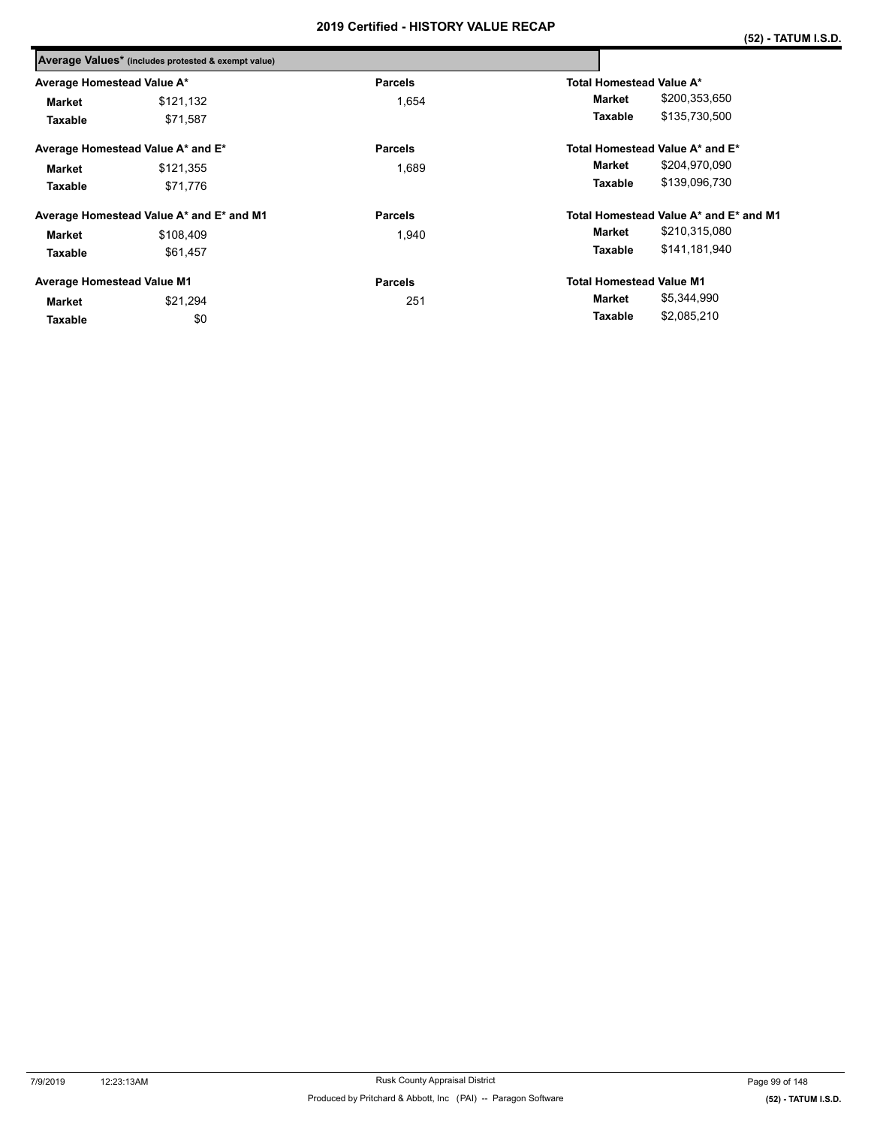|                                   | Average Values* (includes protested & exempt value) |                |                                        |  |  |  |  |
|-----------------------------------|-----------------------------------------------------|----------------|----------------------------------------|--|--|--|--|
| Average Homestead Value A*        |                                                     | <b>Parcels</b> | Total Homestead Value A*               |  |  |  |  |
| Market                            | \$121,132                                           | 1,654          | \$200,353,650<br>Market                |  |  |  |  |
| Taxable                           | \$71,587                                            |                | \$135,730,500<br>Taxable               |  |  |  |  |
| Average Homestead Value A* and E* |                                                     | <b>Parcels</b> | Total Homestead Value A* and E*        |  |  |  |  |
| \$121,355<br>Market               |                                                     | 1.689          | \$204,970,090<br>Market                |  |  |  |  |
| Taxable                           | \$71,776                                            |                | \$139,096,730<br>Taxable               |  |  |  |  |
|                                   | Average Homestead Value A* and E* and M1            | <b>Parcels</b> | Total Homestead Value A* and E* and M1 |  |  |  |  |
| Market                            | \$108,409                                           | 1.940          | \$210,315,080<br>Market                |  |  |  |  |
| Taxable                           | \$61,457                                            |                | \$141,181,940<br>Taxable               |  |  |  |  |
| Average Homestead Value M1        |                                                     | <b>Parcels</b> | <b>Total Homestead Value M1</b>        |  |  |  |  |
| Market                            | \$21,294                                            | 251            | \$5,344,990<br>Market                  |  |  |  |  |
| Taxable                           | \$0                                                 |                | \$2,085,210<br>Taxable                 |  |  |  |  |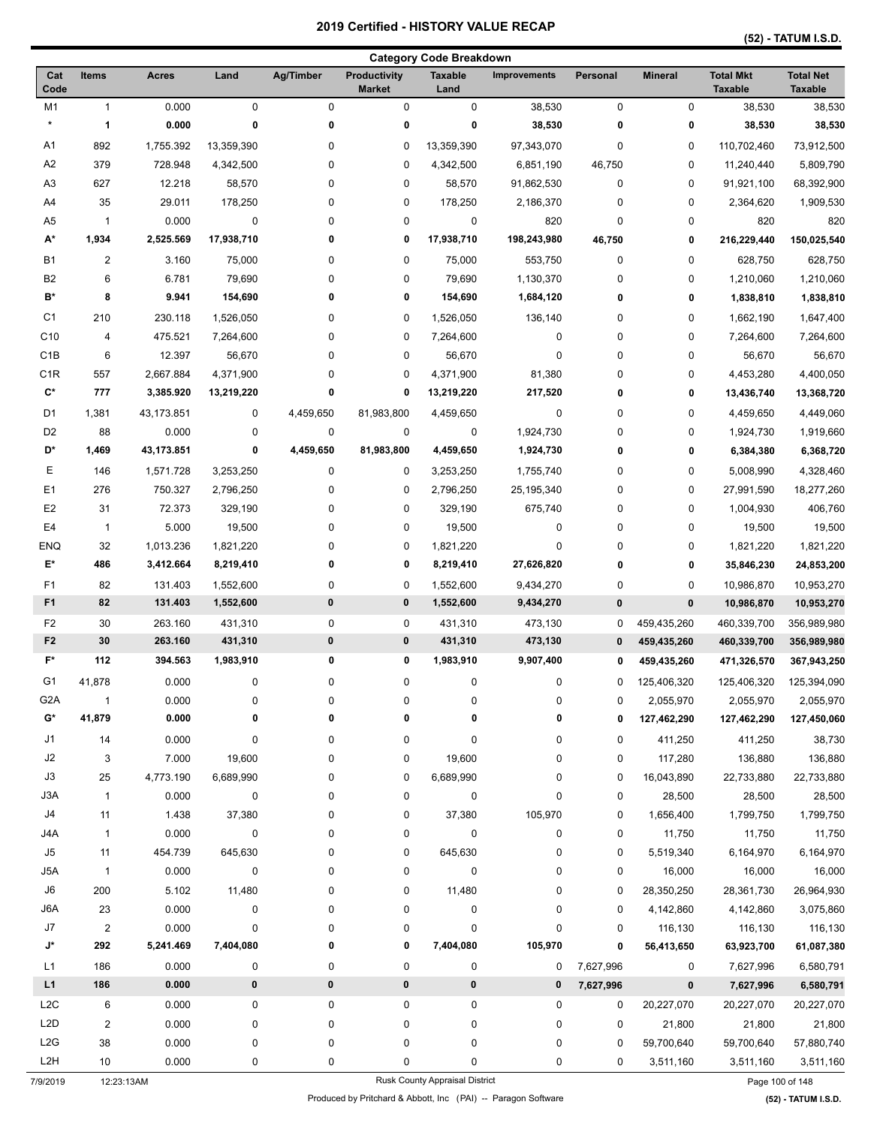| <b>Category Code Breakdown</b>   |                |                    |                        |                |                               |                        |                        |                |                |                                    |                                    |
|----------------------------------|----------------|--------------------|------------------------|----------------|-------------------------------|------------------------|------------------------|----------------|----------------|------------------------------------|------------------------------------|
| Cat<br>Code                      | <b>Items</b>   | <b>Acres</b>       | Land                   | Ag/Timber      | Productivity<br><b>Market</b> | <b>Taxable</b><br>Land | <b>Improvements</b>    | Personal       | <b>Mineral</b> | <b>Total Mkt</b><br><b>Taxable</b> | <b>Total Net</b><br><b>Taxable</b> |
| M1                               | $\mathbf{1}$   | 0.000              | $\mathbf 0$            | $\mathbf 0$    | 0                             | 0                      | 38,530                 | 0              | 0              | 38,530                             | 38,530                             |
| $\star$                          | 1              | 0.000              | 0                      | 0              | 0                             | 0                      | 38,530                 | 0              | 0              | 38,530                             | 38,530                             |
| Α1                               | 892            | 1,755.392          | 13,359,390             | 0              | 0                             | 13,359,390             | 97,343,070             | 0              | 0              | 110,702,460                        | 73,912,500                         |
| A2                               | 379            | 728.948            | 4,342,500              | 0              | 0                             | 4,342,500              | 6,851,190              | 46,750         | 0              | 11,240,440                         | 5,809,790                          |
| A <sub>3</sub>                   | 627            | 12.218             | 58,570                 | 0              | 0                             | 58,570                 | 91,862,530             | 0              | 0              | 91,921,100                         | 68,392,900                         |
| A4                               | 35             | 29.011             | 178,250                | 0              | 0                             | 178,250                | 2,186,370              | 0              | 0              | 2,364,620                          | 1,909,530                          |
| A5                               | $\mathbf{1}$   | 0.000              | 0                      | 0              | 0                             | 0                      | 820                    | 0              | 0              | 820                                | 820                                |
| A*                               | 1,934          | 2,525.569          | 17,938,710             | 0              | 0                             | 17,938,710             | 198,243,980            | 46,750         | 0              | 216,229,440                        | 150,025,540                        |
| B1                               | $\overline{2}$ | 3.160              | 75,000                 | 0              | 0                             | 75,000                 | 553,750                | 0              | 0              | 628,750                            | 628,750                            |
| B <sub>2</sub>                   | 6              | 6.781              | 79,690                 | 0              | 0                             | 79,690                 | 1,130,370              | 0              | 0              | 1,210,060                          | 1,210,060                          |
| $B^*$                            | 8              | 9.941              | 154,690                | 0              | 0                             | 154,690                | 1,684,120              | 0              | 0              | 1,838,810                          | 1,838,810                          |
| C1                               | 210            | 230.118            | 1,526,050              | 0              | 0                             | 1,526,050              | 136,140                | 0              | 0              | 1,662,190                          | 1,647,400                          |
| C <sub>10</sub>                  | 4              | 475.521            | 7,264,600              | 0              | 0                             | 7,264,600              | 0                      | 0              | 0              | 7,264,600                          | 7,264,600                          |
| C <sub>1</sub> B                 | 6              | 12.397             | 56,670                 | 0              | 0                             | 56,670                 | 0                      | 0              | 0              | 56,670                             | 56,670                             |
| C <sub>1</sub> R                 | 557            | 2,667.884          | 4,371,900              | 0              | 0                             | 4,371,900              | 81,380                 | 0              | 0              | 4,453,280                          | 4,400,050                          |
| C*                               | 777            | 3,385.920          | 13,219,220             | 0              | 0                             | 13,219,220             | 217,520                | 0              | 0              | 13,436,740                         | 13,368,720                         |
| D1                               | 1,381          | 43,173.851         | 0                      | 4,459,650      | 81,983,800                    | 4,459,650              | 0                      | 0              | 0              | 4,459,650                          | 4,449,060                          |
| D <sub>2</sub>                   | 88             | 0.000              | 0                      | 0              | 0                             | 0                      | 1,924,730              | 0              | 0              | 1,924,730                          | 1,919,660                          |
| D*                               | 1,469          | 43,173.851         | 0                      | 4,459,650      | 81,983,800                    | 4,459,650              | 1,924,730              | 0              | 0              | 6,384,380                          | 6,368,720                          |
| Ε                                | 146            | 1,571.728          | 3,253,250              | 0              | 0                             | 3,253,250              | 1,755,740              | 0              | 0              | 5,008,990                          | 4,328,460                          |
| E <sub>1</sub>                   | 276            | 750.327            | 2,796,250              | 0              | 0                             | 2,796,250              | 25,195,340             | 0              | 0              | 27,991,590                         | 18,277,260                         |
| E <sub>2</sub>                   | 31             | 72.373             | 329,190                | 0              | 0                             | 329,190                | 675,740                | 0              | 0              | 1,004,930                          | 406,760                            |
| E4                               | $\mathbf{1}$   | 5.000              | 19,500                 | 0              | 0                             | 19,500                 | 0                      | 0              | 0              | 19,500                             | 19,500                             |
| <b>ENQ</b>                       | 32             | 1,013.236          | 1,821,220              | 0              | 0                             | 1,821,220              | 0                      | 0              | 0              | 1,821,220                          | 1,821,220                          |
| E*                               | 486            | 3,412.664          | 8,219,410              | 0              | 0                             | 8,219,410              | 27,626,820             | 0              | 0              | 35,846,230                         | 24,853,200                         |
| F <sub>1</sub>                   |                |                    |                        |                |                               |                        |                        |                |                |                                    |                                    |
| F <sub>1</sub>                   | 82<br>82       | 131.403<br>131.403 | 1,552,600<br>1,552,600 | 0<br>$\pmb{0}$ | 0<br>0                        | 1,552,600<br>1,552,600 | 9,434,270<br>9,434,270 | 0<br>$\pmb{0}$ | 0<br>0         | 10,986,870                         | 10,953,270<br>10,953,270           |
|                                  |                |                    |                        |                |                               |                        |                        |                |                | 10,986,870                         |                                    |
| F <sub>2</sub><br>F <sub>2</sub> | 30<br>30       | 263.160            | 431,310                | 0<br>$\pmb{0}$ | 0<br>$\pmb{0}$                | 431,310                | 473,130                | 0              | 459,435,260    | 460,339,700                        | 356,989,980                        |
|                                  |                | 263.160            | 431,310                |                |                               | 431,310                | 473,130                | $\mathbf 0$    | 459,435,260    | 460,339,700                        | 356,989,980                        |
| F*                               | 112            | 394.563            | 1,983,910              | 0              | 0                             | 1,983,910              | 9,907,400              | 0              | 459,435,260    | 471,326,570                        | 367,943,250                        |
| G1                               | 41,878         | 0.000              | 0                      | 0              | 0                             | 0                      | 0                      | 0              | 125,406,320    | 125,406,320                        | 125,394,090                        |
| G <sub>2</sub> A                 | $\mathbf{1}$   | 0.000              | 0                      | 0              | $\pmb{0}$                     | 0                      | $\pmb{0}$              | 0              | 2,055,970      | 2,055,970                          | 2,055,970                          |
| G*                               | 41,879         | 0.000              | 0                      | 0              | 0                             | 0                      | 0                      | 0              | 127,462,290    | 127,462,290                        | 127,450,060                        |
| J1                               | 14             | 0.000              | $\pmb{0}$              | 0              | 0                             | 0                      | 0                      | 0              | 411,250        | 411,250                            | 38,730                             |
| J2                               | 3              | 7.000              | 19,600                 | 0              | 0                             | 19,600                 | $\pmb{0}$              | 0              | 117,280        | 136,880                            | 136,880                            |
| J3                               | 25             | 4,773.190          | 6,689,990              | 0              | $\pmb{0}$                     | 6,689,990              | $\pmb{0}$              | 0              | 16,043,890     | 22,733,880                         | 22,733,880                         |
| J3A                              | $\overline{1}$ | 0.000              | $\pmb{0}$              | 0              | $\pmb{0}$                     | 0                      | $\pmb{0}$              | 0              | 28,500         | 28,500                             | 28,500                             |
| J <sub>4</sub>                   | 11             | 1.438              | 37,380                 | 0              | 0                             | 37,380                 | 105,970                | 0              | 1,656,400      | 1,799,750                          | 1,799,750                          |
| J4A                              | $\overline{1}$ | 0.000              | $\pmb{0}$              | 0              | 0                             | $\pmb{0}$              | $\pmb{0}$              | 0              | 11,750         | 11,750                             | 11,750                             |
| J5                               | 11             | 454.739            | 645,630                | 0              | 0                             | 645,630                | 0                      | 0              | 5,519,340      | 6,164,970                          | 6,164,970                          |
| J5A                              | $\overline{1}$ | 0.000              | $\pmb{0}$              | 0              | $\pmb{0}$                     | $\pmb{0}$              | $\pmb{0}$              | 0              | 16,000         | 16,000                             | 16,000                             |
| $\mathsf{J6}$                    | 200            | 5.102              | 11,480                 | 0              | $\pmb{0}$                     | 11,480                 | $\pmb{0}$              | 0              | 28,350,250     | 28,361,730                         | 26,964,930                         |
| J6A                              | 23             | 0.000              | 0                      | 0              | $\pmb{0}$                     | 0                      | $\pmb{0}$              | 0              | 4,142,860      | 4,142,860                          | 3,075,860                          |
| J7                               | $\overline{2}$ | 0.000              | $\pmb{0}$              | 0              | $\pmb{0}$                     | 0                      | $\pmb{0}$              | 0              | 116,130        | 116,130                            | 116,130                            |
| J*                               | 292            | 5,241.469          | 7,404,080              | 0              | 0                             | 7,404,080              | 105,970                | $\mathbf 0$    | 56,413,650     | 63,923,700                         | 61,087,380                         |
| L1                               | 186            | 0.000              | 0                      | 0              | $\pmb{0}$                     | 0                      | 0                      | 7,627,996      | $\mathbf 0$    | 7,627,996                          | 6,580,791                          |
| L1                               | 186            | 0.000              | 0                      | $\pmb{0}$      | $\pmb{0}$                     | 0                      | 0                      | 7,627,996      | $\pmb{0}$      | 7,627,996                          | 6,580,791                          |
| L2C                              | 6              | 0.000              | 0                      | 0              | $\pmb{0}$                     | 0                      | $\pmb{0}$              | 0              | 20,227,070     | 20,227,070                         | 20,227,070                         |
| L <sub>2</sub> D                 | $\overline{2}$ | 0.000              | 0                      | 0              | $\pmb{0}$                     | 0                      | $\pmb{0}$              | 0              | 21,800         | 21,800                             | 21,800                             |
| L2G                              | 38             | 0.000              | 0                      | 0              | $\pmb{0}$                     | 0                      | 0                      | 0              | 59,700,640     | 59,700,640                         | 57,880,740                         |
| L <sub>2</sub> H                 | 10             | 0.000              | 0                      | 0              | 0                             | 0                      | 0                      | 0              | 3,511,160      | 3,511,160                          | 3,511,160                          |

7/9/2019 12:23:13AM Rusk County Appraisal District Page 100 of 148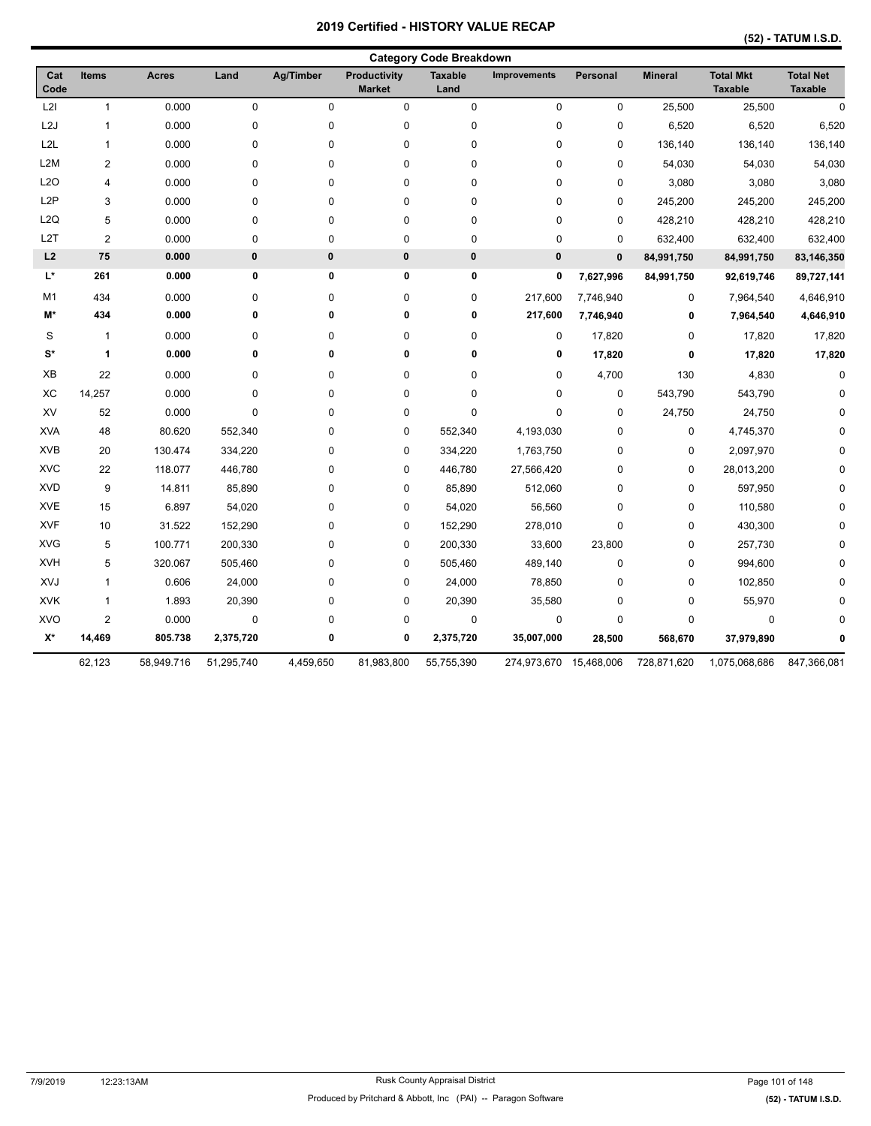|  | (52) - TATUM I.S.D. |  |
|--|---------------------|--|
|--|---------------------|--|

|                  |                |              |            |             |                               | <b>Category Code Breakdown</b> |              |              |                |                                    |                                    |
|------------------|----------------|--------------|------------|-------------|-------------------------------|--------------------------------|--------------|--------------|----------------|------------------------------------|------------------------------------|
| Cat<br>Code      | <b>Items</b>   | <b>Acres</b> | Land       | Ag/Timber   | Productivity<br><b>Market</b> | <b>Taxable</b><br>Land         | Improvements | Personal     | <b>Mineral</b> | <b>Total Mkt</b><br><b>Taxable</b> | <b>Total Net</b><br><b>Taxable</b> |
| L2I              | $\mathbf{1}$   | 0.000        | $\pmb{0}$  | $\mathbf 0$ | 0                             | $\pmb{0}$                      | $\pmb{0}$    | $\pmb{0}$    | 25,500         | 25,500                             | $\mathbf 0$                        |
| L2J              | $\mathbf{1}$   | 0.000        | 0          | 0           | 0                             | $\pmb{0}$                      | $\pmb{0}$    | $\mathbf 0$  | 6,520          | 6,520                              | 6,520                              |
| L <sub>2L</sub>  | $\mathbf{1}$   | 0.000        | 0          | 0           | 0                             | $\pmb{0}$                      | 0            | 0            | 136,140        | 136,140                            | 136,140                            |
| L <sub>2</sub> M | $\overline{2}$ | 0.000        | 0          | 0           | 0                             | $\pmb{0}$                      | 0            | 0            | 54,030         | 54,030                             | 54,030                             |
| L <sub>20</sub>  | $\overline{4}$ | 0.000        | 0          | 0           | 0                             | $\pmb{0}$                      | 0            | $\mathbf 0$  | 3,080          | 3,080                              | 3,080                              |
| L <sub>2</sub> P | 3              | 0.000        | 0          | 0           | 0                             | 0                              | 0            | 0            | 245,200        | 245,200                            | 245,200                            |
| L <sub>2</sub> Q | 5              | 0.000        | 0          | 0           | 0                             | 0                              | 0            | 0            | 428,210        | 428,210                            | 428,210                            |
| L <sub>2</sub> T | $\overline{2}$ | 0.000        | 0          | 0           | 0                             | 0                              | 0            | 0            | 632,400        | 632,400                            | 632,400                            |
| L2               | 75             | 0.000        | $\bf{0}$   | $\pmb{0}$   | $\bf{0}$                      | $\pmb{0}$                      | $\bf{0}$     | $\mathbf{0}$ | 84,991,750     | 84,991,750                         | 83,146,350                         |
| L*               | 261            | 0.000        | 0          | 0           | 0                             | 0                              | 0            | 7,627,996    | 84,991,750     | 92,619,746                         | 89,727,141                         |
| M <sub>1</sub>   | 434            | 0.000        | 0          | 0           | 0                             | $\pmb{0}$                      | 217,600      | 7,746,940    | 0              | 7,964,540                          | 4,646,910                          |
| M*               | 434            | 0.000        | 0          | 0           | 0                             | 0                              | 217,600      | 7,746,940    | 0              | 7,964,540                          | 4,646,910                          |
| S                | $\mathbf{1}$   | 0.000        | 0          | 0           | 0                             | 0                              | 0            | 17,820       | 0              | 17,820                             | 17,820                             |
| $S^*$            | $\mathbf{1}$   | 0.000        | 0          | 0           | 0                             | 0                              | 0            | 17,820       | $\bf{0}$       | 17,820                             | 17,820                             |
| XB               | 22             | 0.000        | 0          | 0           | 0                             | $\pmb{0}$                      | 0            | 4,700        | 130            | 4,830                              | $\mathbf 0$                        |
| XC               | 14,257         | 0.000        | 0          | 0           | 0                             | 0                              | 0            | 0            | 543,790        | 543,790                            |                                    |
| XV               | 52             | 0.000        | $\pmb{0}$  | 0           | 0                             | $\pmb{0}$                      | 0            | $\mathbf 0$  | 24,750         | 24,750                             |                                    |
| <b>XVA</b>       | 48             | 80.620       | 552,340    | 0           | 0                             | 552,340                        | 4,193,030    | $\mathbf 0$  | 0              | 4,745,370                          |                                    |
| <b>XVB</b>       | 20             | 130.474      | 334,220    | 0           | 0                             | 334,220                        | 1,763,750    | 0            | 0              | 2,097,970                          |                                    |
| <b>XVC</b>       | 22             | 118.077      | 446,780    | 0           | 0                             | 446,780                        | 27,566,420   | 0            | 0              | 28,013,200                         |                                    |
| <b>XVD</b>       | 9              | 14.811       | 85,890     | 0           | 0                             | 85,890                         | 512,060      | 0            | 0              | 597,950                            |                                    |
| <b>XVE</b>       | 15             | 6.897        | 54,020     | 0           | 0                             | 54,020                         | 56,560       | $\mathbf 0$  | 0              | 110,580                            |                                    |
| <b>XVF</b>       | 10             | 31.522       | 152,290    | 0           | 0                             | 152,290                        | 278,010      | 0            | 0              | 430,300                            |                                    |
| <b>XVG</b>       | 5              | 100.771      | 200,330    | 0           | 0                             | 200,330                        | 33,600       | 23,800       | 0              | 257,730                            | n                                  |
| <b>XVH</b>       | 5              | 320.067      | 505,460    | 0           | 0                             | 505,460                        | 489,140      | $\mathbf 0$  | 0              | 994,600                            |                                    |
| XVJ              | $\mathbf{1}$   | 0.606        | 24,000     | 0           | 0                             | 24,000                         | 78,850       | $\mathbf 0$  | 0              | 102,850                            |                                    |
| <b>XVK</b>       | $\mathbf{1}$   | 1.893        | 20,390     | 0           | 0                             | 20,390                         | 35,580       | 0            | 0              | 55,970                             |                                    |
| XVO              | $\overline{2}$ | 0.000        | $\pmb{0}$  | 0           | 0                             | $\pmb{0}$                      | $\pmb{0}$    | $\mathbf 0$  | 0              | 0                                  | n                                  |
| X*               | 14,469         | 805.738      | 2,375,720  | 0           | 0                             | 2,375,720                      | 35,007,000   | 28,500       | 568,670        | 37,979,890                         |                                    |
|                  | 62,123         | 58,949.716   | 51,295,740 | 4,459,650   | 81,983,800                    | 55,755,390                     | 274,973,670  | 15,468,006   | 728,871,620    | 1,075,068,686                      | 847,366,081                        |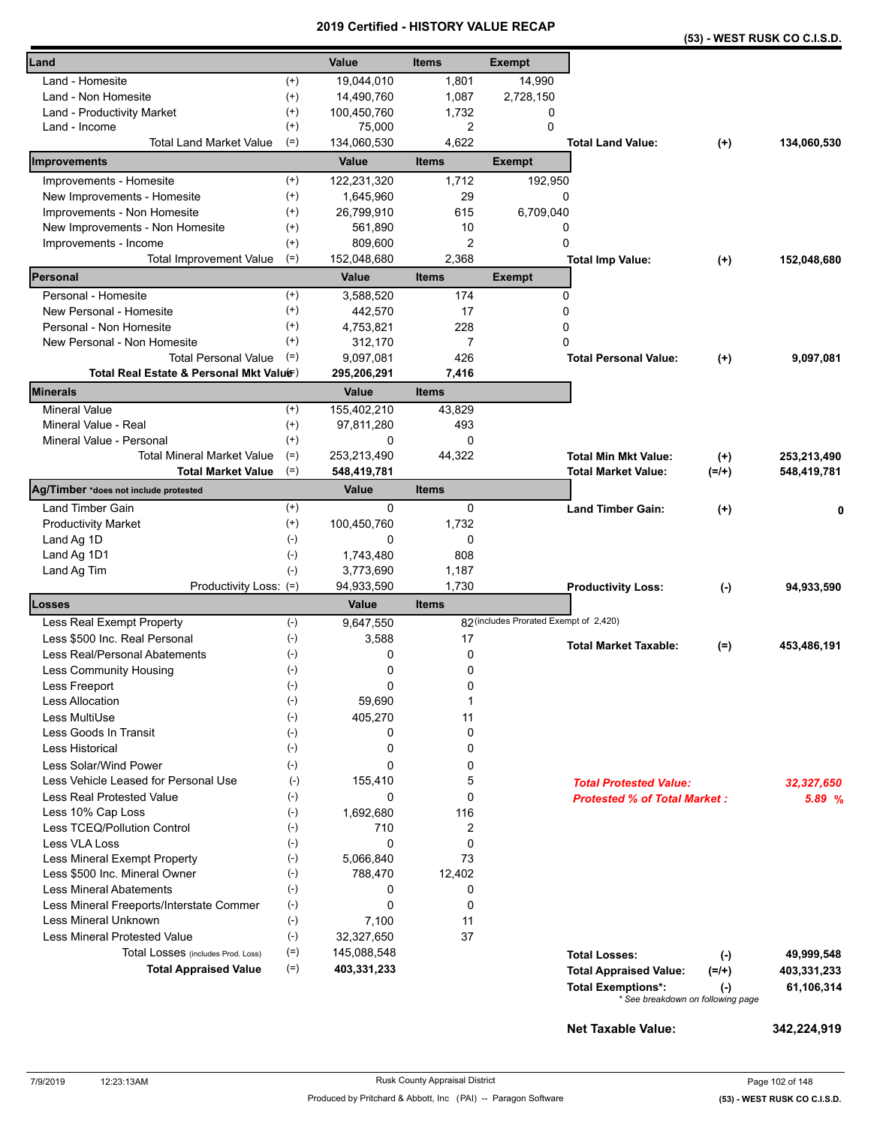|                                                |                      |                  |                |                                        |                                     |                                   | (53) - WEST RUSK CO C.I.S.D. |
|------------------------------------------------|----------------------|------------------|----------------|----------------------------------------|-------------------------------------|-----------------------------------|------------------------------|
| Land                                           |                      | Value            | <b>Items</b>   | <b>Exempt</b>                          |                                     |                                   |                              |
| Land - Homesite                                | $^{(+)}$             | 19,044,010       | 1,801          | 14,990                                 |                                     |                                   |                              |
| Land - Non Homesite                            | $^{(+)}$             | 14,490,760       | 1,087          | 2,728,150                              |                                     |                                   |                              |
| Land - Productivity Market                     | $^{(+)}$             | 100,450,760      | 1,732          | 0                                      |                                     |                                   |                              |
| Land - Income                                  | $^{(+)}$             | 75,000           | 2              | $\mathbf 0$                            |                                     |                                   |                              |
| <b>Total Land Market Value</b>                 | $(=)$                | 134,060,530      | 4,622          |                                        | <b>Total Land Value:</b>            | $(+)$                             | 134,060,530                  |
| <b>Improvements</b>                            |                      | Value            | <b>Items</b>   | <b>Exempt</b>                          |                                     |                                   |                              |
| Improvements - Homesite                        | $^{(+)}$             | 122,231,320      | 1,712          | 192,950                                |                                     |                                   |                              |
| New Improvements - Homesite                    | $^{(+)}$             | 1,645,960        | 29             |                                        | 0                                   |                                   |                              |
| Improvements - Non Homesite                    | $^{(+)}$             | 26,799,910       | 615            | 6,709,040                              |                                     |                                   |                              |
| New Improvements - Non Homesite                | $^{(+)}$             | 561,890          | 10             |                                        | 0                                   |                                   |                              |
| Improvements - Income                          | $^{(+)}$             | 809,600          | 2              | 0                                      |                                     |                                   |                              |
| <b>Total Improvement Value</b>                 | $(=)$                | 152,048,680      | 2,368          |                                        | <b>Total Imp Value:</b>             | $(+)$                             | 152,048,680                  |
| Personal                                       |                      | Value            | <b>Items</b>   | <b>Exempt</b>                          |                                     |                                   |                              |
| Personal - Homesite                            | $^{(+)}$             | 3,588,520        | 174            |                                        | 0                                   |                                   |                              |
| New Personal - Homesite                        | $^{(+)}$             | 442,570          | 17             | 0                                      |                                     |                                   |                              |
| Personal - Non Homesite                        | $^{(+)}$             | 4,753,821        | 228            | 0                                      |                                     |                                   |                              |
| New Personal - Non Homesite                    | $^{(+)}$             | 312,170          | $\overline{7}$ | 0                                      |                                     |                                   |                              |
| <b>Total Personal Value</b>                    | $(=)$                | 9,097,081        | 426            |                                        | <b>Total Personal Value:</b>        | $(+)$                             | 9,097,081                    |
| Total Real Estate & Personal Mkt Valuer)       |                      | 295,206,291      | 7,416          |                                        |                                     |                                   |                              |
| <b>Minerals</b>                                |                      | <b>Value</b>     | <b>Items</b>   |                                        |                                     |                                   |                              |
| <b>Mineral Value</b>                           | $^{(+)}$             | 155,402,210      | 43,829         |                                        |                                     |                                   |                              |
| Mineral Value - Real                           | $^{(+)}$             | 97,811,280       | 493            |                                        |                                     |                                   |                              |
| Mineral Value - Personal                       | $^{(+)}$             | 0                | 0              |                                        |                                     |                                   |                              |
| <b>Total Mineral Market Value</b>              | $(=)$                | 253,213,490      | 44,322         |                                        | <b>Total Min Mkt Value:</b>         | $^{(+)}$                          | 253,213,490                  |
| <b>Total Market Value</b>                      | $(=)$                | 548,419,781      |                |                                        | <b>Total Market Value:</b>          | $(=/+)$                           | 548,419,781                  |
| Ag/Timber *does not include protested          |                      | Value            | <b>Items</b>   |                                        |                                     |                                   |                              |
| Land Timber Gain<br><b>Productivity Market</b> | $^{(+)}$<br>$^{(+)}$ | 0<br>100,450,760 | 0<br>1,732     |                                        | <b>Land Timber Gain:</b>            | $(+)$                             |                              |
| Land Ag 1D                                     | $(-)$                | 0                | 0              |                                        |                                     |                                   |                              |
| Land Ag 1D1                                    | $(\cdot)$            | 1,743,480        | 808            |                                        |                                     |                                   |                              |
| Land Ag Tim                                    | $(-)$                | 3,773,690        | 1,187          |                                        |                                     |                                   |                              |
| Productivity Loss: (=)                         |                      | 94,933,590       | 1,730          |                                        | <b>Productivity Loss:</b>           | $(-)$                             | 94,933,590                   |
| Losses                                         |                      | Value            | <b>Items</b>   |                                        |                                     |                                   |                              |
| Less Real Exempt Property                      | $(-)$                | 9,647,550        |                | 82 (includes Prorated Exempt of 2,420) |                                     |                                   |                              |
| Less \$500 Inc. Real Personal                  | $(-)$                | 3,588            | 17             |                                        |                                     |                                   |                              |
| Less Real/Personal Abatements                  | $(-)$                | 0                | 0              |                                        | <b>Total Market Taxable:</b>        | $(=)$                             | 453,486,191                  |
| <b>Less Community Housing</b>                  | $(\text{-})$         | 0                | 0              |                                        |                                     |                                   |                              |
| Less Freeport                                  | $(-)$                | 0                | 0              |                                        |                                     |                                   |                              |
| <b>Less Allocation</b>                         | $(-)$                | 59,690           | 1              |                                        |                                     |                                   |                              |
| Less MultiUse                                  | $(\cdot)$            | 405,270          | 11             |                                        |                                     |                                   |                              |
| Less Goods In Transit                          | $(-)$                | 0                | 0              |                                        |                                     |                                   |                              |
| Less Historical                                | $(-)$                | 0                | 0              |                                        |                                     |                                   |                              |
| Less Solar/Wind Power                          | $(-)$                | 0                | 0              |                                        |                                     |                                   |                              |
| Less Vehicle Leased for Personal Use           | $(-)$                | 155,410          | 5              |                                        | <b>Total Protested Value:</b>       |                                   | 32,327,650                   |
| <b>Less Real Protested Value</b>               | $(-)$                | 0                | 0              |                                        | <b>Protested % of Total Market:</b> |                                   | 5.89 %                       |
| Less 10% Cap Loss                              | $(-)$                | 1,692,680        | 116            |                                        |                                     |                                   |                              |
| Less TCEQ/Pollution Control                    | $(-)$                | 710              | 2              |                                        |                                     |                                   |                              |
| <b>Less VLA Loss</b>                           | $(-)$                | 0                | 0              |                                        |                                     |                                   |                              |
| Less Mineral Exempt Property                   | $(-)$                | 5,066,840        | 73             |                                        |                                     |                                   |                              |
| Less \$500 Inc. Mineral Owner                  | $(\text{-})$         | 788,470          | 12,402         |                                        |                                     |                                   |                              |
| <b>Less Mineral Abatements</b>                 | $(-)$                | 0                | 0              |                                        |                                     |                                   |                              |
| Less Mineral Freeports/Interstate Commer       | $(\text{-})$         | 0                | 0              |                                        |                                     |                                   |                              |
| Less Mineral Unknown                           | $(\text{-})$         | 7,100            | 11             |                                        |                                     |                                   |                              |
| <b>Less Mineral Protested Value</b>            | $(-)$                | 32,327,650       | 37             |                                        |                                     |                                   |                              |
| Total Losses (includes Prod. Loss)             | $(=)$                | 145,088,548      |                |                                        | <b>Total Losses:</b>                | $(-)$                             | 49,999,548                   |
| <b>Total Appraised Value</b>                   | $(=)$                | 403,331,233      |                |                                        | <b>Total Appraised Value:</b>       | $(=/+)$                           | 403,331,233                  |
|                                                |                      |                  |                |                                        | <b>Total Exemptions*:</b>           | $(-)$                             | 61,106,314                   |
|                                                |                      |                  |                |                                        |                                     | * See breakdown on following page |                              |

**Net Taxable Value: 342,224,919**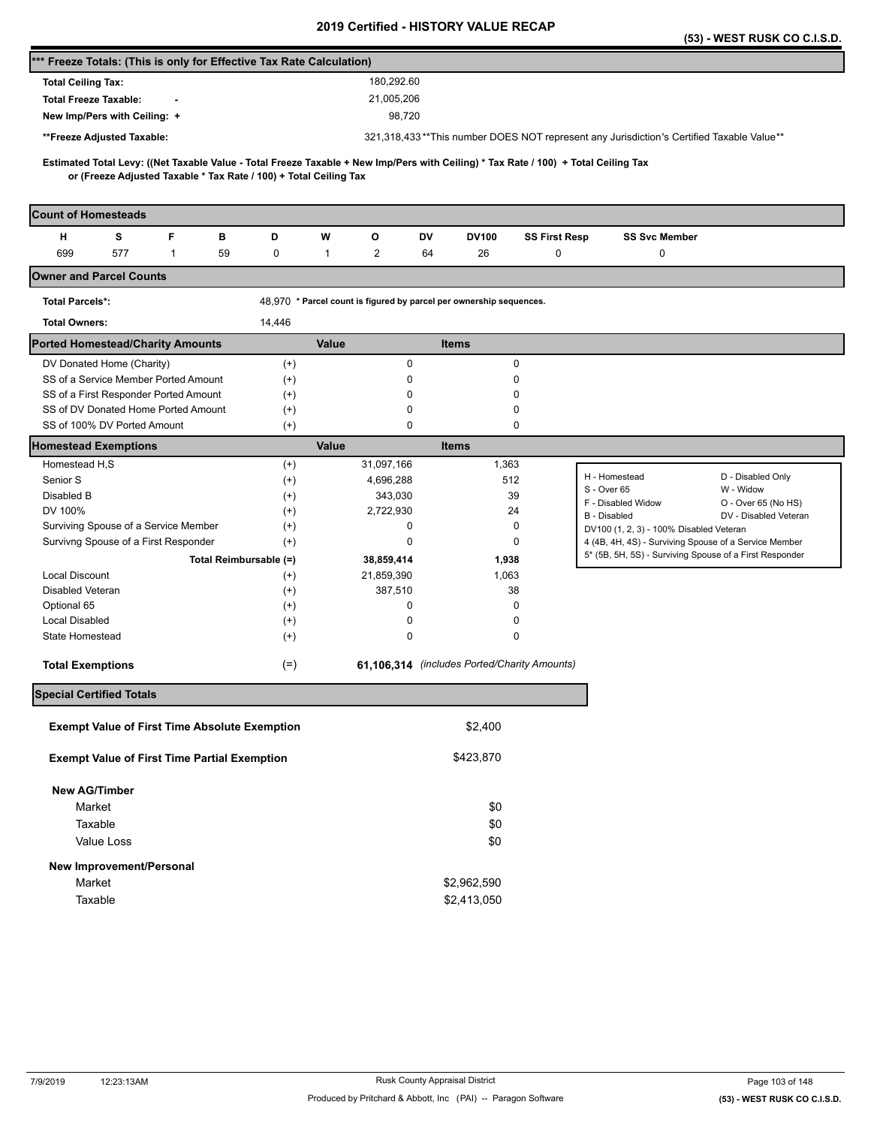|                                                                                                                                     |                      |                                                                     |                                              |                      | (53) - WEST RUSK CO C.I.S.D.                                                              |
|-------------------------------------------------------------------------------------------------------------------------------------|----------------------|---------------------------------------------------------------------|----------------------------------------------|----------------------|-------------------------------------------------------------------------------------------|
| *** Freeze Totals: (This is only for Effective Tax Rate Calculation)                                                                |                      |                                                                     |                                              |                      |                                                                                           |
| <b>Total Ceiling Tax:</b>                                                                                                           |                      | 180,292.60                                                          |                                              |                      |                                                                                           |
| <b>Total Freeze Taxable:</b>                                                                                                        |                      | 21,005,206                                                          |                                              |                      |                                                                                           |
| New Imp/Pers with Ceiling: +                                                                                                        |                      | 98,720                                                              |                                              |                      |                                                                                           |
| **Freeze Adjusted Taxable:                                                                                                          |                      |                                                                     |                                              |                      | 321,318,433**This number DOES NOT represent any Jurisdiction's Certified Taxable Value**  |
| Estimated Total Levy: ((Net Taxable Value - Total Freeze Taxable + New Imp/Pers with Ceiling) * Tax Rate / 100) + Total Ceiling Tax |                      |                                                                     |                                              |                      |                                                                                           |
| or (Freeze Adjusted Taxable * Tax Rate / 100) + Total Ceiling Tax                                                                   |                      |                                                                     |                                              |                      |                                                                                           |
|                                                                                                                                     |                      |                                                                     |                                              |                      |                                                                                           |
| <b>Count of Homesteads</b>                                                                                                          |                      |                                                                     |                                              |                      |                                                                                           |
| F<br>s<br>н<br>в                                                                                                                    | D                    | w<br>o                                                              | DV<br><b>DV100</b>                           | <b>SS First Resp</b> | <b>SS Svc Member</b>                                                                      |
| 699<br>577<br>$\mathbf{1}$<br>59                                                                                                    | 0                    | $\mathbf{2}$<br>$\mathbf{1}$                                        | 64<br>26                                     | 0                    | 0                                                                                         |
| <b>Owner and Parcel Counts</b>                                                                                                      |                      |                                                                     |                                              |                      |                                                                                           |
| <b>Total Parcels*:</b>                                                                                                              |                      | 48,970 * Parcel count is figured by parcel per ownership sequences. |                                              |                      |                                                                                           |
| <b>Total Owners:</b>                                                                                                                | 14,446               |                                                                     |                                              |                      |                                                                                           |
| <b>Ported Homestead/Charity Amounts</b>                                                                                             |                      | Value                                                               | <b>Items</b>                                 |                      |                                                                                           |
| DV Donated Home (Charity)                                                                                                           | $^{(+)}$             | 0                                                                   |                                              | 0                    |                                                                                           |
| SS of a Service Member Ported Amount                                                                                                | $(+)$                | 0                                                                   |                                              | 0                    |                                                                                           |
| SS of a First Responder Ported Amount                                                                                               | $^{(+)}$             | 0                                                                   | 0                                            |                      |                                                                                           |
| SS of DV Donated Home Ported Amount<br>SS of 100% DV Ported Amount                                                                  | $^{(+)}$<br>$^{(+)}$ | 0<br>0                                                              |                                              | 0<br>0               |                                                                                           |
| <b>Homestead Exemptions</b>                                                                                                         |                      | Value                                                               | <b>Items</b>                                 |                      |                                                                                           |
| Homestead H.S                                                                                                                       | $^{(+)}$             | 31,097,166                                                          | 1,363                                        |                      |                                                                                           |
| Senior S                                                                                                                            | $^{(+)}$             | 4,696,288                                                           | 512                                          |                      | D - Disabled Only<br>H - Homestead                                                        |
| Disabled B                                                                                                                          | $^{(+)}$             | 343,030                                                             | 39                                           |                      | W - Widow<br>S - Over 65                                                                  |
| DV 100%                                                                                                                             | $^{(+)}$             | 2,722,930                                                           | 24                                           |                      | F - Disabled Widow<br>O - Over 65 (No HS)<br><b>B</b> - Disabled<br>DV - Disabled Veteran |
| Surviving Spouse of a Service Member                                                                                                | $^{(+)}$             | 0                                                                   | 0                                            |                      | DV100 (1, 2, 3) - 100% Disabled Veteran                                                   |
| Survivng Spouse of a First Responder                                                                                                | $^{(+)}$             | 0                                                                   |                                              | 0                    | 4 (4B, 4H, 4S) - Surviving Spouse of a Service Member                                     |
| Total Reimbursable (=)                                                                                                              |                      | 38,859,414                                                          | 1,938                                        |                      | 5* (5B, 5H, 5S) - Surviving Spouse of a First Responder                                   |
| <b>Local Discount</b>                                                                                                               | $^{(+)}$             | 21,859,390                                                          | 1,063                                        |                      |                                                                                           |
| Disabled Veteran                                                                                                                    | $^{(+)}$             | 387,510                                                             | 38                                           |                      |                                                                                           |
| Optional 65                                                                                                                         | $^{(+)}$             | 0                                                                   | 0                                            |                      |                                                                                           |
| <b>Local Disabled</b><br>State Homestead                                                                                            | $^{(+)}$<br>$^{(+)}$ | 0<br>0                                                              |                                              | 0<br>0               |                                                                                           |
|                                                                                                                                     |                      |                                                                     |                                              |                      |                                                                                           |
| <b>Total Exemptions</b>                                                                                                             | $(=)$                |                                                                     | 61,106,314 (includes Ported/Charity Amounts) |                      |                                                                                           |
| <b>Special Certified Totals</b>                                                                                                     |                      |                                                                     |                                              |                      |                                                                                           |
|                                                                                                                                     |                      |                                                                     |                                              |                      |                                                                                           |
| <b>Exempt Value of First Time Absolute Exemption</b>                                                                                |                      |                                                                     | \$2,400                                      |                      |                                                                                           |
| <b>Exempt Value of First Time Partial Exemption</b>                                                                                 |                      |                                                                     | \$423,870                                    |                      |                                                                                           |
| <b>New AG/Timber</b>                                                                                                                |                      |                                                                     |                                              |                      |                                                                                           |
| Market                                                                                                                              |                      |                                                                     | \$0                                          |                      |                                                                                           |
| Taxable                                                                                                                             |                      |                                                                     | \$0                                          |                      |                                                                                           |
| Value Loss                                                                                                                          |                      |                                                                     | \$0                                          |                      |                                                                                           |
| New Improvement/Personal                                                                                                            |                      |                                                                     |                                              |                      |                                                                                           |
| Market                                                                                                                              |                      |                                                                     | \$2,962,590                                  |                      |                                                                                           |
| Taxable                                                                                                                             |                      |                                                                     | \$2,413,050                                  |                      |                                                                                           |
|                                                                                                                                     |                      |                                                                     |                                              |                      |                                                                                           |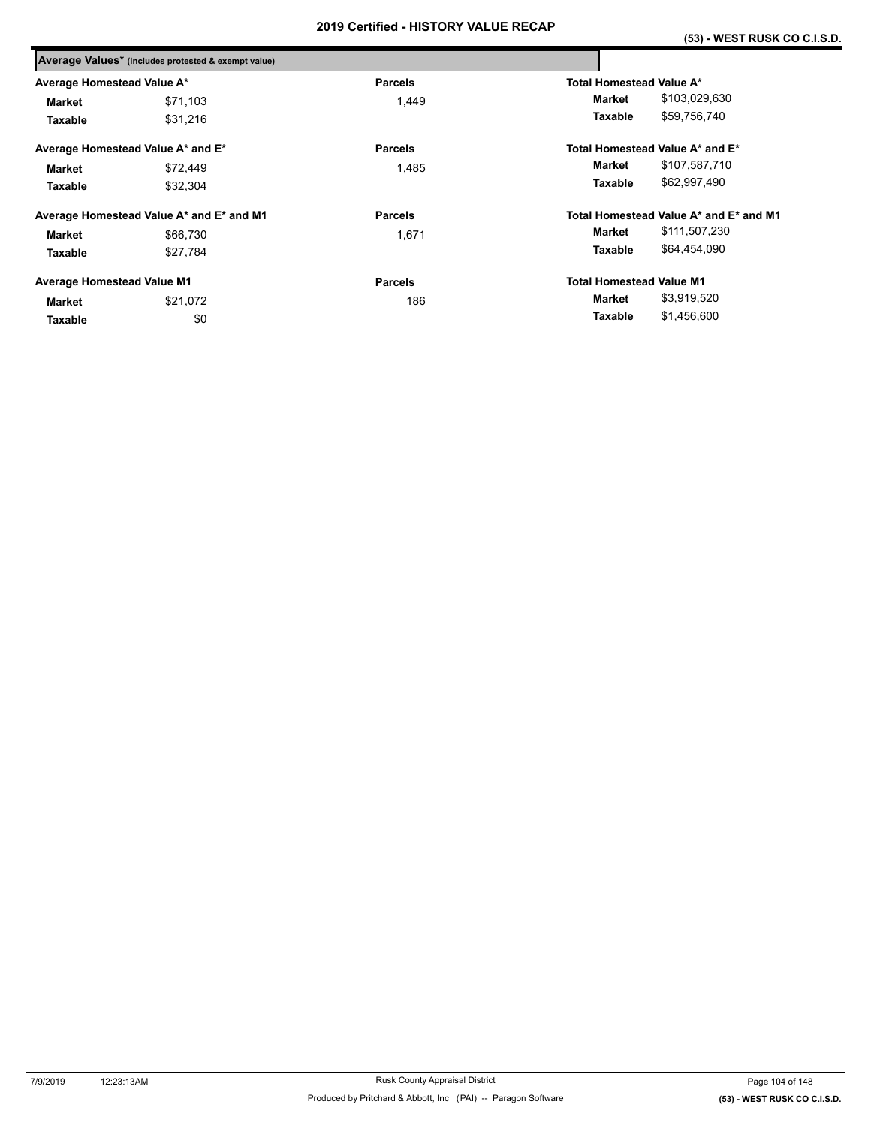|                                   | Average Values* (includes protested & exempt value) |                |                                        |
|-----------------------------------|-----------------------------------------------------|----------------|----------------------------------------|
| Average Homestead Value A*        |                                                     | <b>Parcels</b> | Total Homestead Value A*               |
| Market                            | \$71,103                                            | 1.449          | \$103,029,630<br>Market                |
| Taxable                           | \$31,216                                            |                | \$59,756,740<br>Taxable                |
| Average Homestead Value A* and E* |                                                     | <b>Parcels</b> | Total Homestead Value A* and E*        |
| \$72,449<br><b>Market</b>         |                                                     | 1,485          | \$107,587,710<br>Market                |
| Taxable                           | \$32,304                                            |                | \$62,997,490<br>Taxable                |
|                                   | Average Homestead Value A* and E* and M1            | <b>Parcels</b> | Total Homestead Value A* and E* and M1 |
| <b>Market</b>                     | \$66,730                                            | 1,671          | \$111,507,230<br>Market                |
| Taxable                           | \$27,784                                            |                | \$64,454,090<br>Taxable                |
| <b>Average Homestead Value M1</b> |                                                     | <b>Parcels</b> | <b>Total Homestead Value M1</b>        |
| Market                            | \$21,072                                            | 186            | \$3,919,520<br>Market                  |
| Taxable                           | \$0                                                 |                | \$1,456,600<br>Taxable                 |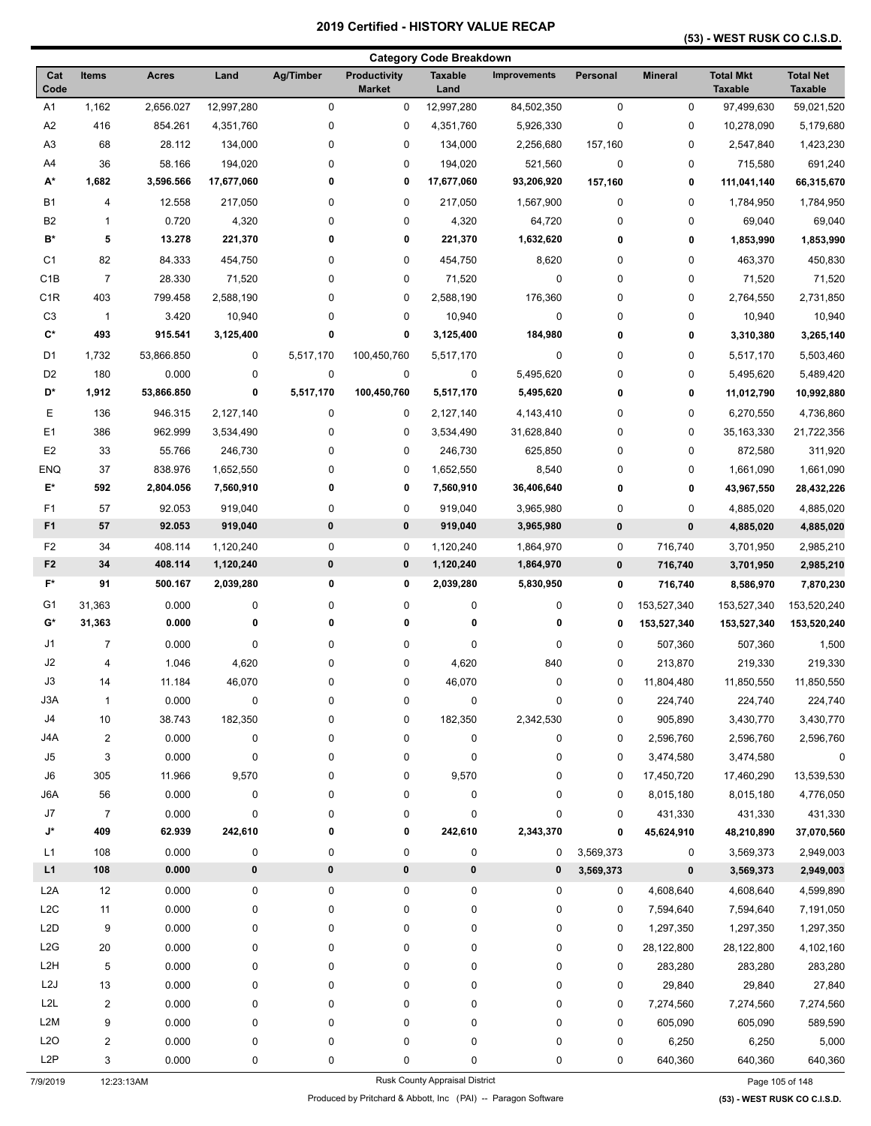#### **(53) - WEST RUSK CO C.I.S.D.**

|                      |                |                  |                    |               |                                      | <b>Category Code Breakdown</b> |                     |           |                |                                    |                                    |
|----------------------|----------------|------------------|--------------------|---------------|--------------------------------------|--------------------------------|---------------------|-----------|----------------|------------------------------------|------------------------------------|
| Cat<br>Code          | <b>Items</b>   | Acres            | Land               | Ag/Timber     | <b>Productivity</b><br><b>Market</b> | <b>Taxable</b><br>Land         | <b>Improvements</b> | Personal  | <b>Mineral</b> | <b>Total Mkt</b><br><b>Taxable</b> | <b>Total Net</b><br><b>Taxable</b> |
| A1                   | 1,162          | 2,656.027        | 12,997,280         | 0             | 0                                    | 12,997,280                     | 84,502,350          | 0         | 0              | 97,499,630                         | 59,021,520                         |
| A2                   | 416            | 854.261          | 4,351,760          | 0             | 0                                    | 4,351,760                      | 5,926,330           | 0         | 0              | 10,278,090                         | 5,179,680                          |
| A <sub>3</sub>       | 68             | 28.112           | 134,000            | 0             | 0                                    | 134,000                        | 2,256,680           | 157,160   | 0              | 2,547,840                          | 1,423,230                          |
| A4                   | 36             | 58.166           | 194,020            | 0             | 0                                    | 194,020                        | 521,560             | $\pmb{0}$ | 0              | 715,580                            | 691,240                            |
| А*                   | 1,682          | 3,596.566        | 17,677,060         | 0             | 0                                    | 17,677,060                     | 93,206,920          | 157,160   | 0              | 111,041,140                        | 66,315,670                         |
| <b>B1</b>            | 4              | 12.558           | 217,050            | 0             | 0                                    | 217,050                        | 1,567,900           | 0         | 0              | 1,784,950                          | 1,784,950                          |
| <b>B2</b>            | 1              | 0.720            | 4,320              | 0             | 0                                    | 4,320                          | 64,720              | 0         | 0              | 69,040                             | 69,040                             |
| B*                   | 5              | 13.278           | 221,370            | 0             | 0                                    | 221,370                        | 1,632,620           | 0         | 0              | 1,853,990                          | 1,853,990                          |
| C <sub>1</sub>       | 82             | 84.333           | 454,750            | 0             | 0                                    | 454,750                        | 8,620               | 0         | 0              | 463,370                            | 450,830                            |
| C <sub>1</sub> B     | $\overline{7}$ | 28.330           | 71,520             | 0             | 0                                    | 71,520                         | 0                   | 0         | 0              | 71,520                             | 71,520                             |
| C <sub>1</sub> R     | 403            | 799.458          | 2,588,190          | 0             | 0                                    | 2,588,190                      | 176,360             | 0         | 0              | 2,764,550                          | 2,731,850                          |
| C <sub>3</sub>       | $\mathbf{1}$   | 3.420            | 10,940             | 0             | 0                                    | 10,940                         | $\pmb{0}$           | 0         | 0              | 10,940                             | 10,940                             |
| $\mathbf{C}^{\star}$ | 493            | 915.541          | 3,125,400          | 0             | 0                                    | 3,125,400                      | 184,980             | 0         | 0              | 3,310,380                          | 3,265,140                          |
| D1                   | 1,732          | 53,866.850       | 0                  | 5,517,170     | 100,450,760                          | 5,517,170                      | 0                   | 0         | 0              | 5,517,170                          | 5,503,460                          |
| D <sub>2</sub>       | 180            | 0.000            | 0                  | $\pmb{0}$     | 0                                    | 0                              | 5,495,620           | 0         | 0              | 5,495,620                          | 5,489,420                          |
| D*                   | 1,912          | 53,866.850       | 0                  | 5,517,170     | 100,450,760                          | 5,517,170                      | 5,495,620           | 0         | 0              | 11,012,790                         | 10,992,880                         |
| Е                    | 136            | 946.315          | 2,127,140          | 0             | 0                                    | 2,127,140                      | 4,143,410           | 0         | 0              | 6,270,550                          | 4,736,860                          |
| E <sub>1</sub>       | 386            | 962.999          | 3,534,490          | 0             | 0                                    | 3,534,490                      | 31,628,840          | 0         | 0              | 35,163,330                         | 21,722,356                         |
| E <sub>2</sub>       | 33             | 55.766           | 246,730            | 0             | 0                                    | 246,730                        | 625,850             | 0         | 0              | 872,580                            | 311,920                            |
| <b>ENQ</b>           | 37             | 838.976          | 1,652,550          | 0             | 0                                    | 1,652,550                      | 8,540               | 0         | 0              | 1,661,090                          | 1,661,090                          |
| E*                   | 592            | 2,804.056        | 7,560,910          | 0             | 0                                    | 7,560,910                      | 36,406,640          | 0         | 0              | 43,967,550                         | 28,432,226                         |
|                      |                |                  |                    |               |                                      |                                |                     |           |                |                                    |                                    |
| F1<br>F <sub>1</sub> | 57<br>57       | 92.053<br>92.053 | 919,040<br>919,040 | 0<br>$\bf{0}$ | 0<br>$\pmb{0}$                       | 919,040                        | 3,965,980           | 0         | 0<br>$\pmb{0}$ | 4,885,020                          | 4,885,020                          |
|                      |                |                  |                    |               |                                      | 919,040                        | 3,965,980           | 0         |                | 4,885,020                          | 4,885,020                          |
| F <sub>2</sub>       | 34             | 408.114          | 1,120,240          | $\pmb{0}$     | $\mathbf 0$                          | 1,120,240                      | 1,864,970           | 0         | 716,740        | 3,701,950                          | 2,985,210                          |
| F <sub>2</sub>       | 34             | 408.114          | 1,120,240          | $\pmb{0}$     | $\pmb{0}$                            | 1,120,240                      | 1,864,970           | 0         | 716,740        | 3,701,950                          | 2,985,210                          |
| $F^*$                | 91             | 500.167          | 2,039,280          | 0             | 0                                    | 2,039,280                      | 5,830,950           | 0         | 716,740        | 8,586,970                          | 7,870,230                          |
| G1                   | 31,363         | 0.000            | 0                  | 0             | 0                                    | 0                              | 0                   | 0         | 153,527,340    | 153,527,340                        | 153,520,240                        |
| G*                   | 31,363         | 0.000            | 0                  | 0             | 0                                    | 0                              | 0                   | 0         | 153,527,340    | 153,527,340                        | 153,520,240                        |
| J1                   | 7              | 0.000            | 0                  | 0             | 0                                    | 0                              | 0                   | 0         | 507,360        | 507,360                            | 1,500                              |
| J2                   | 4              | 1.046            | 4,620              | 0             | 0                                    | 4,620                          | 840                 | 0         | 213,870        | 219,330                            | 219,330                            |
| J3                   | 14             | 11.184           | 46,070             | 0             | 0                                    | 46,070                         | 0                   | 0         | 11,804,480     | 11,850,550                         | 11,850,550                         |
| J3A                  | 1              | 0.000            | 0                  | $\pmb{0}$     | 0                                    | $\pmb{0}$                      | $\pmb{0}$           | 0         | 224,740        | 224,740                            | 224,740                            |
| J <sub>4</sub>       | 10             | 38.743           | 182,350            | 0             | 0                                    | 182,350                        | 2,342,530           | 0         | 905,890        | 3,430,770                          | 3,430,770                          |
| J4A                  | $\overline{c}$ | 0.000            | 0                  | 0             | 0                                    | 0                              | 0                   | 0         | 2,596,760      | 2,596,760                          | 2,596,760                          |
| J5                   | 3              | 0.000            | 0                  | 0             | 0                                    | 0                              | 0                   | 0         | 3,474,580      | 3,474,580                          | $\pmb{0}$                          |
| J6                   | 305            | 11.966           | 9,570              | 0             | 0                                    | 9,570                          | 0                   | 0         | 17,450,720     | 17,460,290                         | 13,539,530                         |
| J6A                  | 56             | 0.000            | 0                  | 0             | 0                                    | 0                              | 0                   | 0         | 8,015,180      | 8,015,180                          | 4,776,050                          |
| J7                   | $\overline{7}$ | 0.000            | 0                  | 0             | 0                                    | 0                              | $\pmb{0}$           | 0         | 431,330        | 431,330                            | 431,330                            |
| J*                   | 409            | 62.939           | 242,610            | 0             | 0                                    | 242,610                        | 2,343,370           | 0         | 45,624,910     | 48,210,890                         | 37,070,560                         |
| L1                   | 108            | 0.000            | 0                  | 0             | 0                                    | $\pmb{0}$                      | 0                   | 3,569,373 | 0              | 3,569,373                          | 2,949,003                          |
| L1                   | 108            | 0.000            | 0                  | $\pmb{0}$     | 0                                    | $\pmb{0}$                      | 0                   | 3,569,373 | $\pmb{0}$      | 3,569,373                          | 2,949,003                          |
| L2A                  | 12             | 0.000            | 0                  | $\pmb{0}$     | 0                                    | 0                              | $\mathbf 0$         | 0         | 4,608,640      | 4,608,640                          | 4,599,890                          |
| L2C                  | 11             | 0.000            | 0                  | 0             | 0                                    | 0                              | 0                   | 0         | 7,594,640      | 7,594,640                          | 7,191,050                          |
| L2D                  | 9              | 0.000            | 0                  | 0             | 0                                    | 0                              | $\pmb{0}$           | 0         | 1,297,350      | 1,297,350                          | 1,297,350                          |
| L <sub>2</sub> G     | 20             | 0.000            | 0                  | 0             | 0                                    | 0                              | 0                   | 0         | 28,122,800     | 28,122,800                         | 4,102,160                          |
| L <sub>2</sub> H     | 5              | 0.000            | 0                  | 0             | 0                                    | 0                              | 0                   | 0         | 283,280        | 283,280                            | 283,280                            |
| L2J                  | 13             | 0.000            | 0                  | 0             | 0                                    | 0                              | 0                   | 0         | 29,840         | 29,840                             | 27,840                             |
| L <sub>2L</sub>      | $\overline{c}$ | 0.000            | 0                  | 0             | 0                                    | 0                              | 0                   | 0         | 7,274,560      | 7,274,560                          | 7,274,560                          |
| L <sub>2</sub> M     | 9              | 0.000            | 0                  | 0             | 0                                    | 0                              | $\pmb{0}$           | 0         | 605,090        | 605,090                            | 589,590                            |
| L2O                  | $\overline{c}$ | 0.000            | 0                  | 0             | 0                                    | 0                              | $\pmb{0}$           | 0         | 6,250          | 6,250                              | 5,000                              |
| L <sub>2</sub> P     | 3              | 0.000            | 0                  | 0             | 0                                    | 0                              | 0                   | 0         | 640,360        | 640,360                            | 640,360                            |
| 7/9/2019             | 12:23:13AM     |                  |                    |               |                                      | Rusk County Appraisal District |                     |           |                |                                    | Page 105 of 148                    |

Produced by Pritchard & Abbott, Inc (PAI) -- Paragon Software **(53) - WEST RUSK CO C.I.S.D.**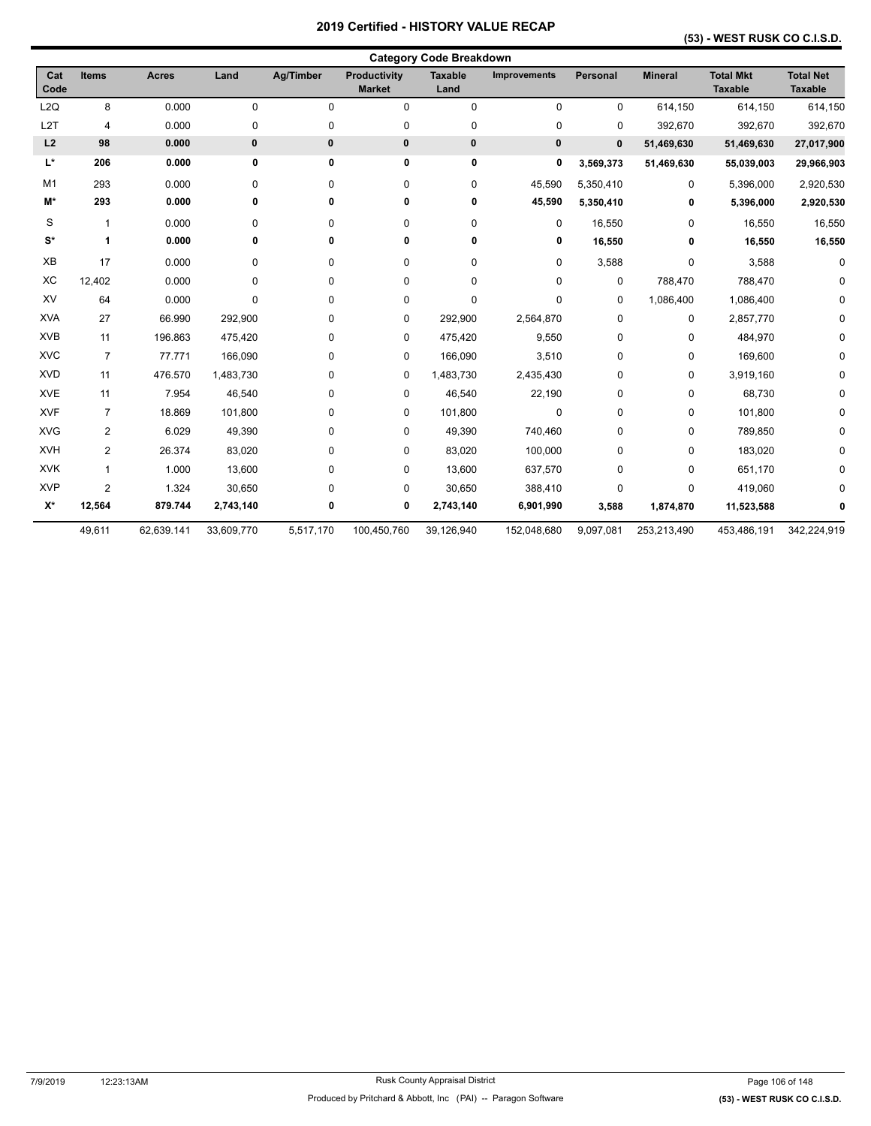## **(53) - WEST RUSK CO C.I.S.D.**

|                    |                |              |            |                  |                               | <b>Category Code Breakdown</b> |                     |             |                |                                    |                                    |
|--------------------|----------------|--------------|------------|------------------|-------------------------------|--------------------------------|---------------------|-------------|----------------|------------------------------------|------------------------------------|
| Cat<br>Code        | <b>Items</b>   | <b>Acres</b> | Land       | <b>Ag/Timber</b> | Productivity<br><b>Market</b> | <b>Taxable</b><br>Land         | <b>Improvements</b> | Personal    | <b>Mineral</b> | <b>Total Mkt</b><br><b>Taxable</b> | <b>Total Net</b><br><b>Taxable</b> |
| L2Q                | 8              | 0.000        | 0          | 0                | $\mathbf 0$                   | $\pmb{0}$                      | 0                   | 0           | 614,150        | 614,150                            | 614,150                            |
| L <sub>2</sub> T   | $\overline{4}$ | 0.000        | 0          | 0                | 0                             | $\pmb{0}$                      | 0                   | 0           | 392,670        | 392,670                            | 392,670                            |
| L2                 | 98             | 0.000        | $\pmb{0}$  | $\bf{0}$         | 0                             | $\mathbf 0$                    | $\pmb{0}$           | $\pmb{0}$   | 51,469,630     | 51,469,630                         | 27,017,900                         |
| L*                 | 206            | 0.000        | 0          | 0                | 0                             | $\pmb{0}$                      | 0                   | 3,569,373   | 51,469,630     | 55,039,003                         | 29,966,903                         |
| M1                 | 293            | 0.000        | 0          | 0                | 0                             | $\mathbf 0$                    | 45,590              | 5,350,410   | 0              | 5,396,000                          | 2,920,530                          |
| M*                 | 293            | 0.000        | 0          | 0                | 0                             | 0                              | 45,590              | 5,350,410   | 0              | 5,396,000                          | 2,920,530                          |
| S                  | $\mathbf{1}$   | 0.000        | 0          | 0                | 0                             | $\mathbf 0$                    | 0                   | 16,550      | 0              | 16,550                             | 16,550                             |
| $S^*$              | 1              | 0.000        | 0          | 0                | 0                             | 0                              | 0                   | 16,550      | 0              | 16,550                             | 16,550                             |
| XB                 | 17             | 0.000        | 0          | 0                | 0                             | $\mathbf 0$                    | 0                   | 3,588       | 0              | 3,588                              | n                                  |
| XC                 | 12,402         | 0.000        | 0          | 0                | 0                             | $\mathbf 0$                    | 0                   | $\mathbf 0$ | 788,470        | 788,470                            |                                    |
| XV                 | 64             | 0.000        | 0          | 0                | $\pmb{0}$                     | $\pmb{0}$                      | 0                   | 0           | 1,086,400      | 1,086,400                          |                                    |
| <b>XVA</b>         | 27             | 66.990       | 292,900    | 0                | 0                             | 292,900                        | 2,564,870           | 0           | $\pmb{0}$      | 2,857,770                          |                                    |
| <b>XVB</b>         | 11             | 196.863      | 475,420    | 0                | 0                             | 475,420                        | 9,550               | 0           | 0              | 484,970                            | <sup>0</sup>                       |
| <b>XVC</b>         | $\overline{7}$ | 77.771       | 166,090    | 0                | 0                             | 166,090                        | 3,510               | 0           | 0              | 169,600                            | 0                                  |
| <b>XVD</b>         | 11             | 476.570      | 1,483,730  | 0                | 0                             | 1,483,730                      | 2,435,430           | 0           | 0              | 3,919,160                          | 0                                  |
| <b>XVE</b>         | 11             | 7.954        | 46,540     | 0                | 0                             | 46,540                         | 22,190              | 0           | 0              | 68,730                             | 0                                  |
| <b>XVF</b>         | $\overline{7}$ | 18.869       | 101,800    | 0                | 0                             | 101,800                        | 0                   | 0           | 0              | 101,800                            |                                    |
| <b>XVG</b>         | 2              | 6.029        | 49,390     | 0                | 0                             | 49,390                         | 740,460             | 0           | 0              | 789,850                            |                                    |
| <b>XVH</b>         | $\overline{2}$ | 26.374       | 83,020     | 0                | 0                             | 83,020                         | 100,000             | 0           | 0              | 183,020                            |                                    |
| <b>XVK</b>         | $\mathbf{1}$   | 1.000        | 13,600     | 0                | 0                             | 13,600                         | 637,570             | 0           | 0              | 651,170                            |                                    |
| <b>XVP</b>         | $\overline{2}$ | 1.324        | 30,650     | 0                | 0                             | 30,650                         | 388,410             | $\mathbf 0$ | 0              | 419,060                            |                                    |
| $\mathsf{X}^\star$ | 12,564         | 879.744      | 2,743,140  | 0                | 0                             | 2,743,140                      | 6,901,990           | 3,588       | 1,874,870      | 11,523,588                         |                                    |
|                    | 49,611         | 62,639.141   | 33,609,770 | 5,517,170        | 100,450,760                   | 39,126,940                     | 152,048,680         | 9,097,081   | 253,213,490    | 453,486,191                        | 342,224,919                        |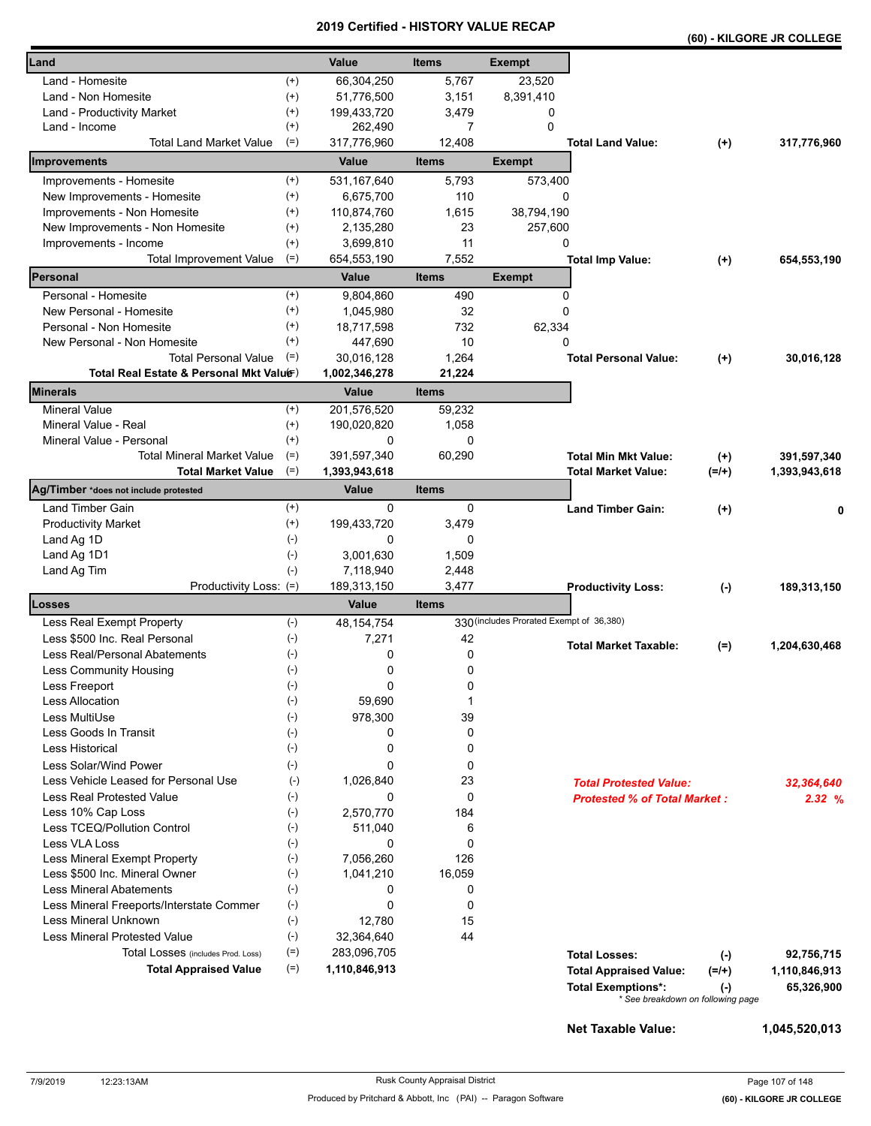|                                          |                | 20 I J                   | <b>CEILIIIEU - NIJ I URT VALUE RECAP</b> |                                          |                                     |                                   | (60) - KILGORE JR COLLEGE |
|------------------------------------------|----------------|--------------------------|------------------------------------------|------------------------------------------|-------------------------------------|-----------------------------------|---------------------------|
| Land                                     |                | Value                    | <b>Items</b>                             | <b>Exempt</b>                            |                                     |                                   |                           |
| Land - Homesite                          | $^{(+)}$       | 66,304,250               | 5,767                                    | 23,520                                   |                                     |                                   |                           |
| Land - Non Homesite                      | $^{(+)}$       | 51,776,500               | 3,151                                    | 8,391,410                                |                                     |                                   |                           |
| Land - Productivity Market               | $^{(+)}$       | 199,433,720              | 3,479                                    | 0                                        |                                     |                                   |                           |
| Land - Income                            | $^{(+)}$       | 262,490                  | 7                                        | $\Omega$                                 |                                     |                                   |                           |
| <b>Total Land Market Value</b>           | $(=)$          | 317,776,960              | 12,408                                   |                                          | <b>Total Land Value:</b>            | $^{(+)}$                          | 317,776,960               |
| Improvements                             |                | Value                    | <b>Items</b>                             | <b>Exempt</b>                            |                                     |                                   |                           |
| Improvements - Homesite                  | $^{(+)}$       | 531,167,640              | 5,793                                    | 573,400                                  |                                     |                                   |                           |
| New Improvements - Homesite              | $^{(+)}$       | 6,675,700                | 110                                      | 0                                        |                                     |                                   |                           |
| Improvements - Non Homesite              | $^{(+)}$       | 110,874,760              | 1,615                                    | 38,794,190                               |                                     |                                   |                           |
| New Improvements - Non Homesite          | $^{(+)}$       | 2,135,280                | 23                                       | 257,600                                  |                                     |                                   |                           |
| Improvements - Income                    | $^{(+)}$       | 3,699,810                | 11                                       | 0                                        |                                     |                                   |                           |
| <b>Total Improvement Value</b>           | $(=)$          | 654,553,190              | 7,552                                    |                                          | <b>Total Imp Value:</b>             | $^{(+)}$                          | 654,553,190               |
| Personal                                 |                | Value                    | <b>Items</b>                             | <b>Exempt</b>                            |                                     |                                   |                           |
| Personal - Homesite                      | $^{(+)}$       | 9,804,860                | 490                                      | 0                                        |                                     |                                   |                           |
| New Personal - Homesite                  | $^{(+)}$       | 1,045,980                | 32                                       | 0                                        |                                     |                                   |                           |
| Personal - Non Homesite                  | $^{(+)}$       | 18,717,598               | 732                                      | 62,334                                   |                                     |                                   |                           |
| New Personal - Non Homesite              | $^{(+)}$       | 447.690                  | 10                                       | 0                                        |                                     |                                   |                           |
| <b>Total Personal Value</b>              | $(=)$          | 30,016,128               | 1,264                                    |                                          | <b>Total Personal Value:</b>        | $^{(+)}$                          | 30,016,128                |
| Total Real Estate & Personal Mkt Valuer) |                | 1,002,346,278            | 21,224                                   |                                          |                                     |                                   |                           |
| Minerals                                 |                | Value                    | <b>Items</b>                             |                                          |                                     |                                   |                           |
| <b>Mineral Value</b>                     | $^{(+)}$       | 201,576,520              | 59,232                                   |                                          |                                     |                                   |                           |
| Mineral Value - Real                     | $^{(+)}$       | 190,020,820              | 1,058                                    |                                          |                                     |                                   |                           |
| Mineral Value - Personal                 | $^{(+)}$       | 0                        | 0                                        |                                          |                                     |                                   |                           |
| <b>Total Mineral Market Value</b>        | $(=)$          | 391,597,340              | 60,290                                   |                                          | <b>Total Min Mkt Value:</b>         | $^{(+)}$                          | 391,597,340               |
| <b>Total Market Value</b>                | $(=)$          | 1,393,943,618            |                                          |                                          | <b>Total Market Value:</b>          | $(=/+)$                           | 1,393,943,618             |
| Ag/Timber *does not include protested    |                | <b>Value</b>             | <b>Items</b>                             |                                          |                                     |                                   |                           |
| Land Timber Gain                         | $^{(+)}$       | 0                        | 0                                        |                                          | <b>Land Timber Gain:</b>            | $^{(+)}$                          | 0                         |
| <b>Productivity Market</b>               | $^{(+)}$       | 199,433,720              | 3,479                                    |                                          |                                     |                                   |                           |
| Land Ag 1D                               | $(-)$          | 0                        | 0                                        |                                          |                                     |                                   |                           |
| Land Ag 1D1                              | $(-)$<br>$(-)$ | 3,001,630                | 1,509                                    |                                          |                                     |                                   |                           |
| Land Ag Tim<br>Productivity Loss: (=)    |                | 7,118,940<br>189,313,150 | 2,448<br>3,477                           |                                          | <b>Productivity Loss:</b>           |                                   | 189,313,150               |
| Losses                                   |                | Value                    | <b>Items</b>                             |                                          |                                     | $(-)$                             |                           |
| Less Real Exempt Property                | $(-)$          | 48, 154, 754             |                                          | 330 (includes Prorated Exempt of 36,380) |                                     |                                   |                           |
| Less \$500 Inc. Real Personal            | $(-)$          | 7,271                    | 42                                       |                                          |                                     |                                   |                           |
| Less Real/Personal Abatements            | $(-)$          | 0                        | 0                                        |                                          | <b>Total Market Taxable:</b>        | $(=)$                             | 1,204,630,468             |
| Less Community Housing                   | $(-)$          | 0                        | 0                                        |                                          |                                     |                                   |                           |
| Less Freeport                            | $(-)$          | 0                        | 0                                        |                                          |                                     |                                   |                           |
| <b>Less Allocation</b>                   | $(-)$          | 59,690                   | 1                                        |                                          |                                     |                                   |                           |
| Less MultiUse                            | $(-)$          | 978,300                  | 39                                       |                                          |                                     |                                   |                           |
| Less Goods In Transit                    | $(-)$          | 0                        | 0                                        |                                          |                                     |                                   |                           |
| <b>Less Historical</b>                   | $(-)$          | 0                        | 0                                        |                                          |                                     |                                   |                           |
| Less Solar/Wind Power                    | $(-)$          | 0                        | 0                                        |                                          |                                     |                                   |                           |
| Less Vehicle Leased for Personal Use     | $(-)$          | 1,026,840                | 23                                       |                                          | <b>Total Protested Value:</b>       |                                   | 32,364,640                |
| Less Real Protested Value                | $(-)$          | 0                        | 0                                        |                                          | <b>Protested % of Total Market:</b> |                                   | 2.32%                     |
| Less 10% Cap Loss                        | $(-)$          | 2,570,770                | 184                                      |                                          |                                     |                                   |                           |
| Less TCEQ/Pollution Control              | $(-)$          | 511,040                  | 6                                        |                                          |                                     |                                   |                           |
| Less VLA Loss                            | $(-)$          | 0                        | $\mathbf 0$                              |                                          |                                     |                                   |                           |
| Less Mineral Exempt Property             | $(-)$          | 7,056,260                | 126                                      |                                          |                                     |                                   |                           |
| Less \$500 Inc. Mineral Owner            | $(-)$          | 1,041,210                | 16,059                                   |                                          |                                     |                                   |                           |
| <b>Less Mineral Abatements</b>           | $(-)$          | 0                        | 0                                        |                                          |                                     |                                   |                           |
| Less Mineral Freeports/Interstate Commer | $(\text{-})$   | 0                        | $\mathbf 0$                              |                                          |                                     |                                   |                           |
| Less Mineral Unknown                     | $(-)$          | 12,780                   | 15                                       |                                          |                                     |                                   |                           |
| <b>Less Mineral Protested Value</b>      | $(\text{-})$   | 32,364,640               | 44                                       |                                          |                                     |                                   |                           |
| Total Losses (includes Prod. Loss)       | $(=)$          | 283,096,705              |                                          |                                          | <b>Total Losses:</b>                | $(-)$                             | 92,756,715                |
| <b>Total Appraised Value</b>             | $(=)$          | 1,110,846,913            |                                          |                                          | <b>Total Appraised Value:</b>       | $(=/+)$                           | 1,110,846,913             |
|                                          |                |                          |                                          |                                          | <b>Total Exemptions*:</b>           | $(\cdot)$                         | 65,326,900                |
|                                          |                |                          |                                          |                                          |                                     | * See breakdown on following page |                           |

**Net Taxable Value: 1,045,520,013**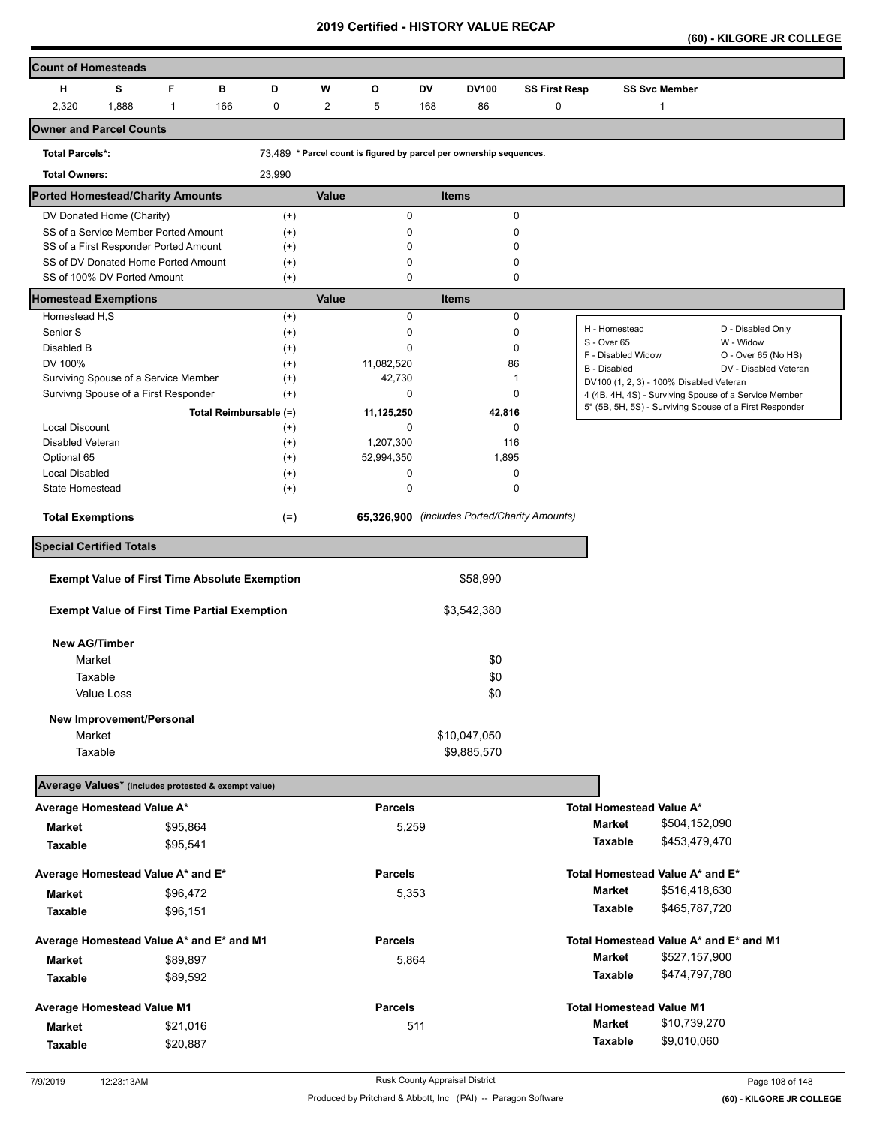**(60) - KILGORE JR COLLEGE** 

| <b>Count of Homesteads</b>                                                                    |            |                                                     |                                                      |                   |          |                |             |                                              |                                 |                                         |                      |                                                         |
|-----------------------------------------------------------------------------------------------|------------|-----------------------------------------------------|------------------------------------------------------|-------------------|----------|----------------|-------------|----------------------------------------------|---------------------------------|-----------------------------------------|----------------------|---------------------------------------------------------|
| н                                                                                             | s          | F                                                   | в                                                    | D                 | W        | O              | <b>DV</b>   | DV100                                        | <b>SS First Resp</b>            |                                         | <b>SS Svc Member</b> |                                                         |
| 2,320                                                                                         | 1,888      | $\mathbf{1}$                                        | 166                                                  | 0                 | 2        | 5              | 168         | 86                                           | 0                               |                                         | 1                    |                                                         |
| <b>Owner and Parcel Counts</b>                                                                |            |                                                     |                                                      |                   |          |                |             |                                              |                                 |                                         |                      |                                                         |
| 73,489 * Parcel count is figured by parcel per ownership sequences.<br><b>Total Parcels*:</b> |            |                                                     |                                                      |                   |          |                |             |                                              |                                 |                                         |                      |                                                         |
| <b>Total Owners:</b>                                                                          |            |                                                     |                                                      | 23,990            |          |                |             |                                              |                                 |                                         |                      |                                                         |
| <b>Ported Homestead/Charity Amounts</b>                                                       |            |                                                     |                                                      |                   | Value    |                |             | <b>Items</b>                                 |                                 |                                         |                      |                                                         |
| DV Donated Home (Charity)                                                                     |            |                                                     |                                                      | $(+)$             |          | 0              |             |                                              | 0                               |                                         |                      |                                                         |
| SS of a Service Member Ported Amount                                                          |            |                                                     |                                                      | $(+)$             |          | 0              |             |                                              | 0                               |                                         |                      |                                                         |
| SS of a First Responder Ported Amount<br>SS of DV Donated Home Ported Amount                  |            |                                                     | $^{(+)}$                                             |                   | $\Omega$ |                |             | 0                                            |                                 |                                         |                      |                                                         |
| SS of 100% DV Ported Amount                                                                   |            |                                                     |                                                      | $^{(+)}$<br>$(+)$ |          | 0<br>0         |             |                                              | 0<br>0                          |                                         |                      |                                                         |
| <b>Homestead Exemptions</b>                                                                   |            |                                                     |                                                      |                   | Value    |                |             | <b>Items</b>                                 |                                 |                                         |                      |                                                         |
| Homestead H,S                                                                                 |            |                                                     |                                                      | $^{(+)}$          |          | $\mathbf 0$    |             |                                              | $\mathbf 0$                     |                                         |                      |                                                         |
| Senior S                                                                                      |            |                                                     |                                                      | $^{(+)}$          |          | 0              |             | $\mathbf 0$                                  |                                 | H - Homestead                           |                      | D - Disabled Only                                       |
| Disabled B                                                                                    |            |                                                     |                                                      | $^{(+)}$          |          | 0              |             | 0                                            |                                 | S - Over 65<br>F - Disabled Widow       |                      | W - Widow<br>O - Over 65 (No HS)                        |
| DV 100%                                                                                       |            |                                                     |                                                      | $(+)$             |          | 11,082,520     |             | 86                                           |                                 | <b>B</b> - Disabled                     |                      | DV - Disabled Veteran                                   |
| Surviving Spouse of a Service Member                                                          |            |                                                     |                                                      | $^{(+)}$          |          | 42,730         |             |                                              | 1                               | DV100 (1, 2, 3) - 100% Disabled Veteran |                      |                                                         |
| Survivng Spouse of a First Responder                                                          |            |                                                     |                                                      | $^{(+)}$          |          | $\mathbf 0$    |             | 0                                            |                                 |                                         |                      | 4 (4B, 4H, 4S) - Surviving Spouse of a Service Member   |
|                                                                                               |            |                                                     | Total Reimbursable (=)                               |                   |          | 11,125,250     |             | 42,816                                       |                                 |                                         |                      | 5* (5B, 5H, 5S) - Surviving Spouse of a First Responder |
| <b>Local Discount</b>                                                                         |            |                                                     |                                                      | $^{(+)}$          |          | 0              |             | 0                                            |                                 |                                         |                      |                                                         |
| Disabled Veteran                                                                              |            |                                                     |                                                      | $^{(+)}$          |          | 1,207,300      |             | 116                                          |                                 |                                         |                      |                                                         |
| Optional 65                                                                                   |            |                                                     |                                                      | $(+)$             |          | 52,994,350     |             | 1,895                                        |                                 |                                         |                      |                                                         |
| Local Disabled                                                                                |            |                                                     |                                                      | $^{(+)}$          |          | 0              |             | 0                                            |                                 |                                         |                      |                                                         |
| State Homestead                                                                               |            |                                                     |                                                      | $^{(+)}$          |          | 0              |             |                                              | 0                               |                                         |                      |                                                         |
| <b>Total Exemptions</b>                                                                       |            |                                                     |                                                      | $(=)$             |          |                |             | 65,326,900 (includes Ported/Charity Amounts) |                                 |                                         |                      |                                                         |
| <b>Special Certified Totals</b>                                                               |            |                                                     |                                                      |                   |          |                |             |                                              |                                 |                                         |                      |                                                         |
|                                                                                               |            |                                                     | <b>Exempt Value of First Time Absolute Exemption</b> |                   |          |                |             | \$58,990                                     |                                 |                                         |                      |                                                         |
|                                                                                               |            | <b>Exempt Value of First Time Partial Exemption</b> |                                                      |                   |          |                | \$3,542,380 |                                              |                                 |                                         |                      |                                                         |
|                                                                                               |            |                                                     |                                                      |                   |          |                |             |                                              |                                 |                                         |                      |                                                         |
| <b>New AG/Timber</b>                                                                          |            |                                                     |                                                      |                   |          |                |             |                                              |                                 |                                         |                      |                                                         |
| Market                                                                                        |            |                                                     |                                                      |                   |          |                |             | \$0                                          |                                 |                                         |                      |                                                         |
| Taxable                                                                                       |            |                                                     |                                                      | \$0               |          |                |             |                                              |                                 |                                         |                      |                                                         |
|                                                                                               | Value Loss |                                                     |                                                      |                   |          |                |             | \$0                                          |                                 |                                         |                      |                                                         |
|                                                                                               |            |                                                     |                                                      |                   |          |                |             |                                              |                                 |                                         |                      |                                                         |
| New Improvement/Personal<br>Market                                                            |            |                                                     |                                                      |                   |          |                |             | \$10,047,050                                 |                                 |                                         |                      |                                                         |
| Taxable                                                                                       |            |                                                     |                                                      | \$9,885,570       |          |                |             |                                              |                                 |                                         |                      |                                                         |
|                                                                                               |            |                                                     |                                                      |                   |          |                |             |                                              |                                 |                                         |                      |                                                         |
| Average Values* (includes protested & exempt value)                                           |            |                                                     |                                                      |                   |          |                |             |                                              |                                 |                                         |                      |                                                         |
| Average Homestead Value A*                                                                    |            |                                                     |                                                      |                   |          | <b>Parcels</b> |             |                                              |                                 | <b>Total Homestead Value A*</b>         |                      |                                                         |
| <b>Market</b>                                                                                 |            | \$95,864                                            |                                                      |                   |          | 5,259          |             |                                              |                                 | <b>Market</b>                           | \$504,152,090        |                                                         |
| <b>Taxable</b>                                                                                |            | \$95,541                                            |                                                      |                   |          |                |             |                                              |                                 | Taxable                                 | \$453,479,470        |                                                         |
| Average Homestead Value A* and E*                                                             |            |                                                     |                                                      |                   |          | <b>Parcels</b> |             |                                              | Total Homestead Value A* and E* |                                         |                      |                                                         |
| Market                                                                                        |            | \$96,472                                            |                                                      |                   |          | 5,353          |             |                                              |                                 | <b>Market</b>                           | \$516,418,630        |                                                         |
| Taxable                                                                                       |            | \$96,151                                            |                                                      |                   |          |                |             |                                              |                                 | Taxable                                 | \$465,787,720        |                                                         |
| Average Homestead Value A* and E* and M1                                                      |            |                                                     |                                                      |                   |          | <b>Parcels</b> |             |                                              |                                 |                                         |                      | Total Homestead Value A* and E* and M1                  |
|                                                                                               |            |                                                     |                                                      |                   |          |                |             |                                              |                                 | <b>Market</b>                           | \$527,157,900        |                                                         |
| <b>Market</b>                                                                                 |            | \$89,897                                            |                                                      |                   |          | 5,864          |             |                                              |                                 |                                         | \$474,797,780        |                                                         |
| Taxable                                                                                       |            | \$89,592                                            |                                                      |                   |          |                |             |                                              |                                 | Taxable                                 |                      |                                                         |
| <b>Average Homestead Value M1</b>                                                             |            |                                                     |                                                      |                   |          | <b>Parcels</b> |             |                                              |                                 | <b>Total Homestead Value M1</b>         |                      |                                                         |
| <b>Market</b>                                                                                 |            | \$21,016                                            |                                                      |                   |          |                | 511         |                                              |                                 | <b>Market</b>                           | \$10,739,270         |                                                         |
| Taxable                                                                                       |            | \$20,887                                            |                                                      |                   |          |                |             |                                              |                                 | Taxable                                 | \$9,010,060          |                                                         |
|                                                                                               |            |                                                     |                                                      |                   |          |                |             |                                              |                                 |                                         |                      |                                                         |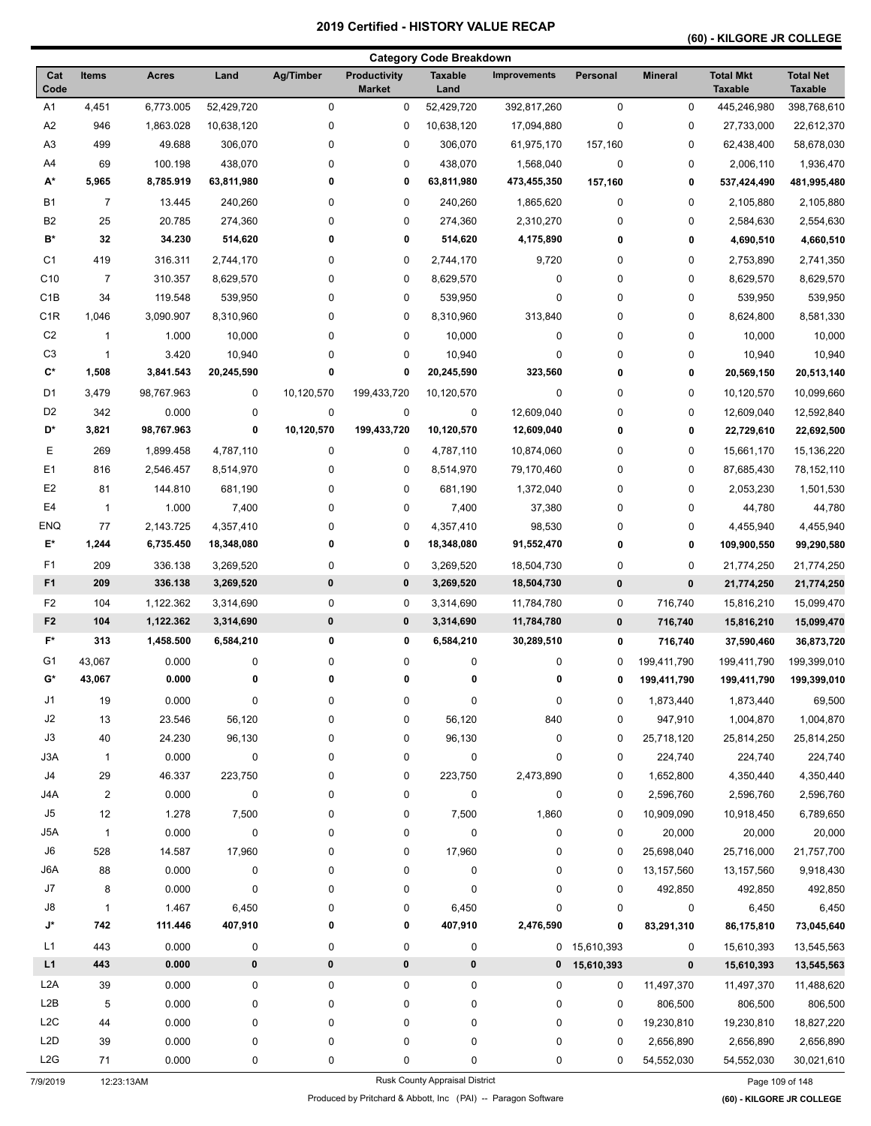## **(60) - KILGORE JR COLLEGE**

|                  |                |              |             |             |                                      | <b>Category Code Breakdown</b> |                     |                |                |                                    |                                    |
|------------------|----------------|--------------|-------------|-------------|--------------------------------------|--------------------------------|---------------------|----------------|----------------|------------------------------------|------------------------------------|
| Cat<br>Code      | <b>Items</b>   | <b>Acres</b> | Land        | Ag/Timber   | <b>Productivity</b><br><b>Market</b> | <b>Taxable</b><br>Land         | <b>Improvements</b> | Personal       | <b>Mineral</b> | <b>Total Mkt</b><br><b>Taxable</b> | <b>Total Net</b><br><b>Taxable</b> |
| A1               | 4,451          | 6,773.005    | 52,429,720  | 0           | 0                                    | 52,429,720                     | 392,817,260         | $\mathbf 0$    | 0              | 445,246,980                        | 398,768,610                        |
| A2               | 946            | 1,863.028    | 10,638,120  | 0           | 0                                    | 10,638,120                     | 17,094,880          | $\mathbf 0$    | 0              | 27,733,000                         | 22,612,370                         |
| A <sub>3</sub>   | 499            | 49.688       | 306,070     | 0           | 0                                    | 306,070                        | 61,975,170          | 157,160        | 0              | 62,438,400                         | 58,678,030                         |
| A4               | 69             | 100.198      | 438,070     | 0           | 0                                    | 438,070                        | 1,568,040           | 0              | 0              | 2,006,110                          | 1,936,470                          |
| A*               | 5,965          | 8,785.919    | 63,811,980  | 0           | 0                                    | 63,811,980                     | 473,455,350         | 157,160        | 0              | 537,424,490                        | 481,995,480                        |
| <b>B1</b>        | $\overline{7}$ | 13.445       | 240,260     | 0           | 0                                    | 240,260                        | 1,865,620           | 0              | 0              | 2,105,880                          | 2,105,880                          |
| B <sub>2</sub>   | 25             | 20.785       | 274,360     | 0           | 0                                    | 274,360                        | 2,310,270           | 0              | 0              | 2,584,630                          | 2,554,630                          |
| B*               | 32             | 34.230       | 514,620     | 0           | 0                                    | 514,620                        | 4,175,890           | 0              | 0              | 4,690,510                          | 4,660,510                          |
| C <sub>1</sub>   | 419            | 316.311      | 2,744,170   | 0           | 0                                    | 2,744,170                      | 9,720               | 0              | 0              | 2,753,890                          | 2,741,350                          |
| C <sub>10</sub>  | $\overline{7}$ | 310.357      | 8,629,570   | 0           | 0                                    | 8,629,570                      | 0                   | 0              | 0              | 8,629,570                          | 8,629,570                          |
| C <sub>1</sub> B | 34             | 119.548      | 539,950     | 0           | 0                                    | 539,950                        | $\mathbf 0$         | 0              | 0              | 539,950                            | 539,950                            |
| C <sub>1</sub> R | 1,046          | 3,090.907    | 8,310,960   | 0           | 0                                    | 8,310,960                      | 313,840             | 0              | 0              | 8,624,800                          | 8,581,330                          |
| C <sub>2</sub>   | 1              | 1.000        | 10,000      | 0           | 0                                    | 10,000                         | $\pmb{0}$           | 0              | 0              | 10,000                             | 10,000                             |
| C <sub>3</sub>   | $\mathbf{1}$   | 3.420        | 10,940      | 0           | 0                                    | 10,940                         | 0                   | 0              | 0              | 10,940                             | 10,940                             |
| C*               | 1,508          | 3,841.543    | 20,245,590  | 0           | 0                                    | 20,245,590                     | 323,560             | 0              | 0              | 20,569,150                         | 20,513,140                         |
|                  |                |              |             |             |                                      |                                |                     |                |                |                                    |                                    |
| D <sub>1</sub>   | 3,479          | 98,767.963   | $\mathbf 0$ | 10,120,570  | 199,433,720                          | 10,120,570                     | $\pmb{0}$           | 0              | 0              | 10,120,570                         | 10,099,660                         |
| D <sub>2</sub>   | 342            | 0.000        | 0           | $\mathbf 0$ | 0                                    | 0                              | 12,609,040          | 0              | 0              | 12,609,040                         | 12,592,840                         |
| D*               | 3,821          | 98,767.963   | 0           | 10,120,570  | 199,433,720                          | 10,120,570                     | 12,609,040          | 0              | 0              | 22,729,610                         | 22,692,500                         |
| Ε                | 269            | 1,899.458    | 4,787,110   | 0           | 0                                    | 4,787,110                      | 10,874,060          | 0              | 0              | 15,661,170                         | 15,136,220                         |
| E <sub>1</sub>   | 816            | 2,546.457    | 8,514,970   | 0           | 0                                    | 8,514,970                      | 79,170,460          | 0              | 0              | 87,685,430                         | 78,152,110                         |
| E <sub>2</sub>   | 81             | 144.810      | 681,190     | 0           | 0                                    | 681,190                        | 1,372,040           | 0              | 0              | 2,053,230                          | 1,501,530                          |
| E4               | $\mathbf{1}$   | 1.000        | 7,400       | 0           | 0                                    | 7,400                          | 37,380              | 0              | 0              | 44,780                             | 44,780                             |
| <b>ENQ</b>       | 77             | 2,143.725    | 4,357,410   | 0           | 0                                    | 4,357,410                      | 98,530              | 0              | 0              | 4,455,940                          | 4,455,940                          |
| E*               | 1,244          | 6,735.450    | 18,348,080  | 0           | 0                                    | 18,348,080                     | 91,552,470          | 0              | 0              | 109,900,550                        | 99,290,580                         |
| F1               | 209            | 336.138      | 3,269,520   | 0           | 0                                    | 3,269,520                      | 18,504,730          | 0              | 0              | 21,774,250                         | 21,774,250                         |
| F <sub>1</sub>   | 209            | 336.138      | 3,269,520   | $\pmb{0}$   | 0                                    | 3,269,520                      | 18,504,730          | $\pmb{0}$      | 0              | 21,774,250                         | 21,774,250                         |
| F2               | 104            | 1,122.362    | 3,314,690   | 0           | 0                                    | 3,314,690                      | 11,784,780          | 0              | 716,740        | 15,816,210                         | 15,099,470                         |
| F <sub>2</sub>   | 104            | 1,122.362    | 3,314,690   | 0           | 0                                    | 3,314,690                      | 11,784,780          | $\pmb{0}$      | 716,740        | 15,816,210                         | 15,099,470                         |
| F*               | 313            | 1,458.500    | 6,584,210   | 0           | 0                                    | 6,584,210                      | 30,289,510          | 0              | 716,740        | 37,590,460                         | 36,873,720                         |
| G1               | 43,067         | 0.000        | 0           | 0           | 0                                    | 0                              | 0                   | 0              | 199,411,790    | 199,411,790                        | 199,399,010                        |
| G*               | 43,067         | 0.000        | 0           | 0           | 0                                    | 0                              | 0                   | 0              | 199,411,790    | 199,411,790                        | 199,399,010                        |
| J1               | 19             | 0.000        | 0           | $\pmb{0}$   | 0                                    | $\pmb{0}$                      | $\pmb{0}$           | 0              | 1,873,440      | 1,873,440                          | 69,500                             |
| J2               | 13             | 23.546       | 56,120      | 0           | 0                                    | 56,120                         | 840                 | 0              | 947,910        | 1,004,870                          | 1,004,870                          |
| J3               | 40             | 24.230       | 96,130      | 0           | 0                                    | 96,130                         | $\pmb{0}$           | 0              | 25,718,120     | 25,814,250                         | 25,814,250                         |
| J3A              | $\overline{1}$ | 0.000        | 0           | 0           | 0                                    | 0                              | 0                   | 0              | 224,740        | 224,740                            | 224,740                            |
| J4               | 29             | 46.337       | 223,750     | 0           |                                      |                                | 2,473,890           | 0              | 1,652,800      | 4,350,440                          | 4,350,440                          |
| J4A              | $\overline{2}$ |              |             | $\pmb{0}$   | 0                                    | 223,750                        |                     |                |                |                                    |                                    |
| J5               |                | 0.000        | $\pmb{0}$   |             | 0                                    | 0                              | $\pmb{0}$           | 0              | 2,596,760      | 2,596,760                          | 2,596,760                          |
|                  | 12             | 1.278        | 7,500       | 0           | 0                                    | 7,500                          | 1,860               | 0              | 10,909,090     | 10,918,450                         | 6,789,650                          |
| J5A              | $\mathbf{1}$   | 0.000        | $\pmb{0}$   | 0           | 0                                    | 0                              | $\pmb{0}$           | 0              | 20,000         | 20,000                             | 20,000                             |
| J6               | 528            | 14.587       | 17,960      | 0           | 0                                    | 17,960                         | 0                   | 0              | 25,698,040     | 25,716,000                         | 21,757,700                         |
| J6A              | 88             | 0.000        | $\pmb{0}$   | 0           | 0                                    | 0                              | $\pmb{0}$           | 0              | 13,157,560     | 13,157,560                         | 9,918,430                          |
| J7               | 8              | 0.000        | $\pmb{0}$   | 0           | 0                                    | 0                              | $\pmb{0}$           | 0              | 492,850        | 492,850                            | 492,850                            |
| J8               | $\mathbf{1}$   | 1.467        | 6,450       | 0           | 0                                    | 6,450                          | $\pmb{0}$           | 0              | 0              | 6,450                              | 6,450                              |
| J*               | 742            | 111.446      | 407,910     | 0           | 0                                    | 407,910                        | 2,476,590           | 0              | 83,291,310     | 86,175,810                         | 73,045,640                         |
| L1               | 443            | 0.000        | 0           | 0           | 0                                    | 0                              |                     | 0 15,610,393   | 0              | 15,610,393                         | 13,545,563                         |
| L1               | 443            | 0.000        | $\pmb{0}$   | $\pmb{0}$   | 0                                    | 0                              |                     | $0$ 15,610,393 | $\pmb{0}$      | 15,610,393                         | 13,545,563                         |
| L <sub>2</sub> A | 39             | 0.000        | 0           | 0           | 0                                    | 0                              | 0                   | 0              | 11,497,370     | 11,497,370                         | 11,488,620                         |
| L2B              | 5              | 0.000        | 0           | 0           | 0                                    | 0                              | $\pmb{0}$           | 0              | 806,500        | 806,500                            | 806,500                            |
| L2C              | 44             | 0.000        | 0           | 0           | 0                                    | 0                              | $\pmb{0}$           | 0              | 19,230,810     | 19,230,810                         | 18,827,220                         |
| L <sub>2</sub> D | 39             | 0.000        | 0           | 0           | 0                                    | 0                              | $\pmb{0}$           | 0              | 2,656,890      | 2,656,890                          | 2,656,890                          |
| L2G              | 71             | 0.000        | 0           | 0           | 0                                    | 0                              | 0                   | 0              | 54,552,030     | 54,552,030                         | 30,021,610                         |

7/9/2019 12:23:13AM Rusk County Appraisal District Page 109 of 148

Produced by Pritchard & Abbott, Inc (PAI) -- Paragon Software **(60) - KILGORE JR COLLEGE**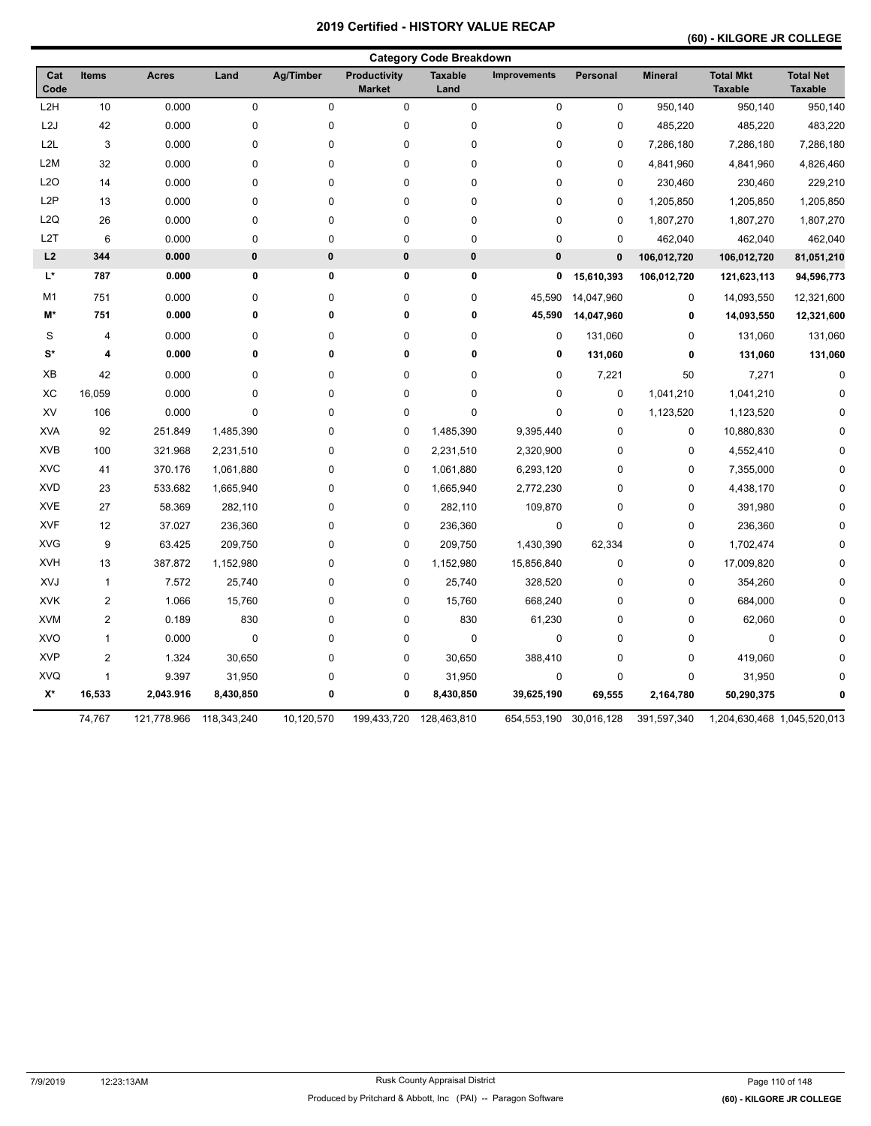## **(60) - KILGORE JR COLLEGE**

|                    |                |              |             |                  |                               | <b>Category Code Breakdown</b> |                     |             |                |                                    |                                    |
|--------------------|----------------|--------------|-------------|------------------|-------------------------------|--------------------------------|---------------------|-------------|----------------|------------------------------------|------------------------------------|
| Cat<br>Code        | <b>Items</b>   | <b>Acres</b> | Land        | <b>Ag/Timber</b> | Productivity<br><b>Market</b> | <b>Taxable</b><br>Land         | <b>Improvements</b> | Personal    | <b>Mineral</b> | <b>Total Mkt</b><br><b>Taxable</b> | <b>Total Net</b><br><b>Taxable</b> |
| L <sub>2</sub> H   | 10             | 0.000        | 0           | $\mathsf 0$      | 0                             | $\pmb{0}$                      | $\pmb{0}$           | 0           | 950,140        | 950,140                            | 950,140                            |
| L <sub>2</sub> J   | 42             | 0.000        | $\pmb{0}$   | $\mathbf 0$      | $\mathsf 0$                   | 0                              | $\pmb{0}$           | 0           | 485,220        | 485,220                            | 483,220                            |
| L <sub>2</sub> L   | 3              | 0.000        | $\pmb{0}$   | $\mathbf 0$      | 0                             | 0                              | $\pmb{0}$           | 0           | 7,286,180      | 7,286,180                          | 7,286,180                          |
| L <sub>2</sub> M   | 32             | 0.000        | $\pmb{0}$   | 0                | 0                             | 0                              | $\pmb{0}$           | 0           | 4,841,960      | 4,841,960                          | 4,826,460                          |
| L2O                | 14             | 0.000        | $\pmb{0}$   | 0                | 0                             | 0                              | $\pmb{0}$           | 0           | 230,460        | 230,460                            | 229,210                            |
| L <sub>2</sub> P   | 13             | 0.000        | $\pmb{0}$   | 0                | 0                             | 0                              | $\pmb{0}$           | 0           | 1,205,850      | 1,205,850                          | 1,205,850                          |
| L2Q                | 26             | 0.000        | $\pmb{0}$   | 0                | 0                             | 0                              | $\pmb{0}$           | 0           | 1,807,270      | 1,807,270                          | 1,807,270                          |
| L <sub>2</sub> T   | 6              | 0.000        | $\pmb{0}$   | 0                | 0                             | 0                              | $\pmb{0}$           | 0           | 462,040        | 462,040                            | 462,040                            |
| L2                 | 344            | 0.000        | 0           | $\pmb{0}$        | 0                             | $\pmb{0}$                      | $\pmb{0}$           | $\mathbf 0$ | 106,012,720    | 106,012,720                        | 81,051,210                         |
| L*                 | 787            | 0.000        | 0           | 0                | 0                             | 0                              | 0                   | 15,610,393  | 106,012,720    | 121,623,113                        | 94,596,773                         |
| M <sub>1</sub>     | 751            | 0.000        | $\pmb{0}$   | 0                | $\pmb{0}$                     | 0                              | 45,590              | 14,047,960  | $\pmb{0}$      | 14,093,550                         | 12,321,600                         |
| M*                 | 751            | 0.000        | 0           | 0                | $\bf{0}$                      | 0                              | 45,590              | 14,047,960  | 0              | 14,093,550                         | 12,321,600                         |
| S                  | 4              | 0.000        | 0           | 0                | 0                             | 0                              | 0                   | 131,060     | 0              | 131,060                            | 131,060                            |
| $S^*$              | 4              | 0.000        | 0           | $\mathbf 0$      | $\pmb{0}$                     | 0                              | 0                   | 131,060     | 0              | 131,060                            | 131,060                            |
| XB                 | 42             | 0.000        | 0           | 0                | 0                             | 0                              | 0                   | 7,221       | 50             | 7,271                              | $\mathbf 0$                        |
| XC                 | 16,059         | 0.000        | $\pmb{0}$   | 0                | 0                             | 0                              | $\pmb{0}$           | 0           | 1,041,210      | 1,041,210                          | $\mathbf 0$                        |
| XV                 | 106            | 0.000        | $\pmb{0}$   | 0                | 0                             | 0                              | $\pmb{0}$           | 0           | 1,123,520      | 1,123,520                          | $\Omega$                           |
| <b>XVA</b>         | 92             | 251.849      | 1,485,390   | 0                | 0                             | 1,485,390                      | 9,395,440           | 0           | 0              | 10,880,830                         | $\Omega$                           |
| <b>XVB</b>         | 100            | 321.968      | 2,231,510   | 0                | 0                             | 2,231,510                      | 2,320,900           | 0           | 0              | 4,552,410                          | $\Omega$                           |
| <b>XVC</b>         | 41             | 370.176      | 1,061,880   | 0                | 0                             | 1,061,880                      | 6,293,120           | 0           | 0              | 7,355,000                          |                                    |
| <b>XVD</b>         | 23             | 533.682      | 1,665,940   | 0                | 0                             | 1,665,940                      | 2,772,230           | 0           | 0              | 4,438,170                          | $\Omega$                           |
| <b>XVE</b>         | 27             | 58.369       | 282,110     | 0                | 0                             | 282,110                        | 109,870             | 0           | 0              | 391,980                            | $\Omega$                           |
| <b>XVF</b>         | 12             | 37.027       | 236,360     | 0                | 0                             | 236,360                        | $\pmb{0}$           | 0           | 0              | 236,360                            | $\Omega$                           |
| <b>XVG</b>         | 9              | 63.425       | 209,750     | 0                | 0                             | 209,750                        | 1,430,390           | 62,334      | 0              | 1,702,474                          | ŋ                                  |
| <b>XVH</b>         | 13             | 387.872      | 1,152,980   | 0                | 0                             | 1,152,980                      | 15,856,840          | 0           | $\pmb{0}$      | 17,009,820                         |                                    |
| XVJ                | $\mathbf{1}$   | 7.572        | 25,740      | 0                | 0                             | 25,740                         | 328,520             | 0           | 0              | 354,260                            |                                    |
| <b>XVK</b>         | $\overline{2}$ | 1.066        | 15,760      | 0                | 0                             | 15,760                         | 668,240             | 0           | 0              | 684,000                            | ŋ                                  |
| <b>XVM</b>         | $\overline{2}$ | 0.189        | 830         | $\mathbf 0$      | 0                             | 830                            | 61,230              | 0           | 0              | 62,060                             | $\Omega$                           |
| <b>XVO</b>         | 1              | 0.000        | $\pmb{0}$   | 0                | $\pmb{0}$                     | $\pmb{0}$                      | $\pmb{0}$           | 0           | 0              | 0                                  | $\Omega$                           |
| <b>XVP</b>         | $\overline{2}$ | 1.324        | 30,650      | 0                | 0                             | 30,650                         | 388,410             | 0           | 0              | 419,060                            | O                                  |
| <b>XVQ</b>         | $\mathbf{1}$   | 9.397        | 31,950      | 0                | 0                             | 31,950                         | $\pmb{0}$           | 0           | 0              | 31,950                             |                                    |
| $\mathsf{X}^\star$ | 16,533         | 2,043.916    | 8,430,850   | 0                | 0                             | 8,430,850                      | 39,625,190          | 69,555      | 2,164,780      | 50,290,375                         | 0                                  |
|                    | 74,767         | 121,778.966  | 118,343,240 | 10,120,570       | 199,433,720                   | 128,463,810                    | 654,553,190         | 30,016,128  | 391,597,340    | 1,204,630,468 1,045,520,013        |                                    |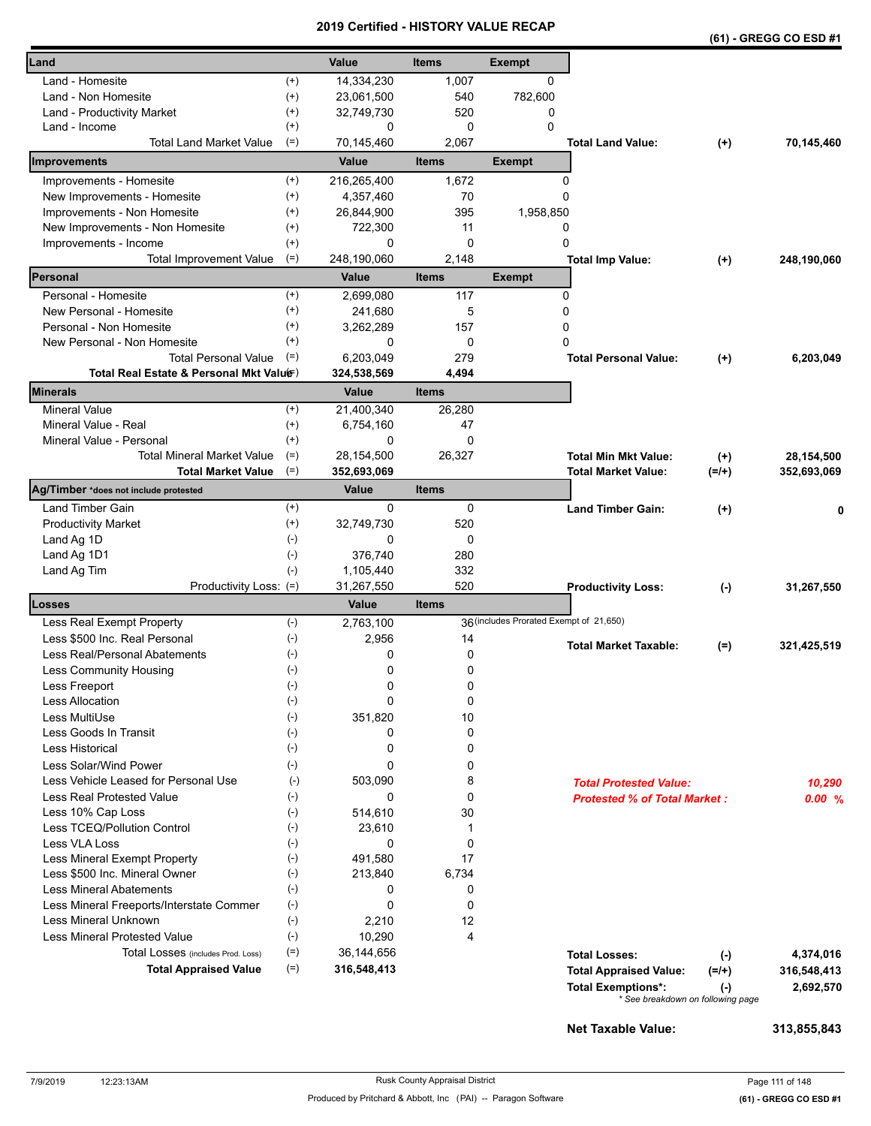|                                          |                      |                 |              |                                         |                                     |           | (61) - GREGG CO ESD #1 |
|------------------------------------------|----------------------|-----------------|--------------|-----------------------------------------|-------------------------------------|-----------|------------------------|
| Land                                     |                      | Value           | <b>Items</b> | <b>Exempt</b>                           |                                     |           |                        |
| Land - Homesite                          | $^{(+)}$             | 14,334,230      | 1,007        | 0                                       |                                     |           |                        |
| Land - Non Homesite                      | $^{(+)}$             | 23,061,500      | 540          | 782,600                                 |                                     |           |                        |
| Land - Productivity Market               | $^{(+)}$             | 32,749,730      | 520          | 0                                       |                                     |           |                        |
| Land - Income                            | $^{(+)}$             | 0               | 0            | $\Omega$                                |                                     |           |                        |
| <b>Total Land Market Value</b>           | $(=)$                | 70,145,460      | 2,067        |                                         | <b>Total Land Value:</b>            | $(+)$     | 70,145,460             |
| Improvements                             |                      | Value           | <b>Items</b> | <b>Exempt</b>                           |                                     |           |                        |
| Improvements - Homesite                  | $^{(+)}$             | 216,265,400     | 1,672        | 0                                       |                                     |           |                        |
| New Improvements - Homesite              | $^{(+)}$             | 4,357,460       | 70           | 0                                       |                                     |           |                        |
| Improvements - Non Homesite              | $^{(+)}$             | 26,844,900      | 395          | 1,958,850                               |                                     |           |                        |
| New Improvements - Non Homesite          | $^{(+)}$             | 722,300         | 11           | 0                                       |                                     |           |                        |
| Improvements - Income                    | $^{(+)}$             | 0               | $\mathbf 0$  | 0                                       |                                     |           |                        |
| <b>Total Improvement Value</b>           | $(=)$                | 248,190,060     | 2,148        |                                         | <b>Total Imp Value:</b>             | $(+)$     | 248,190,060            |
| Personal                                 |                      | Value           | <b>Items</b> | <b>Exempt</b>                           |                                     |           |                        |
| Personal - Homesite                      | $^{(+)}$             | 2,699,080       | 117          | 0                                       |                                     |           |                        |
| New Personal - Homesite                  | $^{(+)}$             | 241,680         | 5            | 0                                       |                                     |           |                        |
| Personal - Non Homesite                  | $^{(+)}$             | 3,262,289       | 157          | 0                                       |                                     |           |                        |
| New Personal - Non Homesite              | $^{(+)}$             | 0               | $\mathbf 0$  | 0                                       |                                     |           |                        |
| <b>Total Personal Value</b>              | $(=)$                | 6,203,049       | 279          |                                         | <b>Total Personal Value:</b>        | $^{(+)}$  | 6.203.049              |
| Total Real Estate & Personal Mkt Valuer) |                      | 324,538,569     | 4,494        |                                         |                                     |           |                        |
| Minerals                                 |                      | Value           | <b>Items</b> |                                         |                                     |           |                        |
| <b>Mineral Value</b>                     | $^{(+)}$             | 21,400,340      | 26,280       |                                         |                                     |           |                        |
| Mineral Value - Real                     | $^{(+)}$             | 6,754,160       | 47           |                                         |                                     |           |                        |
| Mineral Value - Personal                 | $^{(+)}$             | 0               | $\Omega$     |                                         |                                     |           |                        |
| <b>Total Mineral Market Value</b>        | $(=)$                | 28,154,500      | 26,327       |                                         | <b>Total Min Mkt Value:</b>         | $(+)$     | 28,154,500             |
| <b>Total Market Value</b>                | $(=)$                | 352,693,069     |              |                                         | <b>Total Market Value:</b>          | $(=/+)$   | 352,693,069            |
| Ag/Timber *does not include protested    |                      | <b>Value</b>    | <b>Items</b> |                                         |                                     |           |                        |
| Land Timber Gain                         | $^{(+)}$<br>$^{(+)}$ | 0<br>32,749,730 | 0<br>520     |                                         | <b>Land Timber Gain:</b>            | $^{(+)}$  |                        |
| <b>Productivity Market</b>               | $(-)$                | 0               | 0            |                                         |                                     |           |                        |
| Land Ag 1D                               | $(-)$                | 376,740         | 280          |                                         |                                     |           |                        |
| Land Ag 1D1<br>Land Ag Tim               | $(-)$                | 1,105,440       | 332          |                                         |                                     |           |                        |
| Productivity Loss: (=)                   |                      | 31,267,550      | 520          |                                         | <b>Productivity Loss:</b>           | $(\cdot)$ | 31,267,550             |
| Losses                                   |                      | <b>Value</b>    | <b>Items</b> |                                         |                                     |           |                        |
| Less Real Exempt Property                | $(-)$                | 2,763,100       |              | 36 (includes Prorated Exempt of 21,650) |                                     |           |                        |
| Less \$500 Inc. Real Personal            | $(-)$                | 2,956           | 14           |                                         |                                     |           |                        |
| Less Real/Personal Abatements            | $(-)$                | 0               | 0            |                                         | <b>Total Market Taxable:</b>        | $(=)$     | 321,425,519            |
| <b>Less Community Housing</b>            | $(\text{-})$         | 0               | 0            |                                         |                                     |           |                        |
| Less Freeport                            | $(-)$                | 0               | 0            |                                         |                                     |           |                        |
| <b>Less Allocation</b>                   | $(-)$                | 0               | 0            |                                         |                                     |           |                        |
| Less MultiUse                            | $(-)$                | 351,820         | 10           |                                         |                                     |           |                        |
| Less Goods In Transit                    | $(\cdot)$            | 0               | 0            |                                         |                                     |           |                        |
| Less Historical                          | $(-)$                | 0               | 0            |                                         |                                     |           |                        |
| Less Solar/Wind Power                    | $(-)$                | 0               | 0            |                                         |                                     |           |                        |
| Less Vehicle Leased for Personal Use     | $(-)$                | 503,090         | 8            |                                         | <b>Total Protested Value:</b>       |           | 10,290                 |
| <b>Less Real Protested Value</b>         | $(-)$                | 0               | 0            |                                         | <b>Protested % of Total Market:</b> |           | 0.00%                  |
| Less 10% Cap Loss                        | $(-)$                | 514,610         | 30           |                                         |                                     |           |                        |
| Less TCEQ/Pollution Control              | $(-)$                | 23,610          | 1            |                                         |                                     |           |                        |
| Less VLA Loss                            | $(\cdot)$            | 0               | $\mathbf 0$  |                                         |                                     |           |                        |
| Less Mineral Exempt Property             | $(-)$                | 491,580         | 17           |                                         |                                     |           |                        |
| Less \$500 Inc. Mineral Owner            | $(-)$                | 213,840         | 6,734        |                                         |                                     |           |                        |
| <b>Less Mineral Abatements</b>           | $(-)$                | 0               | 0            |                                         |                                     |           |                        |
| Less Mineral Freeports/Interstate Commer | $(-)$                | 0               | $\mathbf 0$  |                                         |                                     |           |                        |
| Less Mineral Unknown                     | $(-)$                | 2,210           | 12           |                                         |                                     |           |                        |
| <b>Less Mineral Protested Value</b>      | $(\text{-})$         | 10,290          | 4            |                                         |                                     |           |                        |
| Total Losses (includes Prod. Loss)       | $(=)$                | 36,144,656      |              |                                         | <b>Total Losses:</b>                | $(\cdot)$ | 4,374,016              |
| <b>Total Appraised Value</b>             | $(=)$                | 316,548,413     |              |                                         | <b>Total Appraised Value:</b>       | $(=/+)$   | 316,548,413            |
|                                          |                      |                 |              |                                         | <b>Total Exemptions*:</b>           | $(\cdot)$ | 2,692,570              |
|                                          |                      |                 |              |                                         | * See breakdown on following page   |           |                        |
|                                          |                      |                 |              |                                         |                                     |           |                        |

**Net Taxable Value: 313,855,843**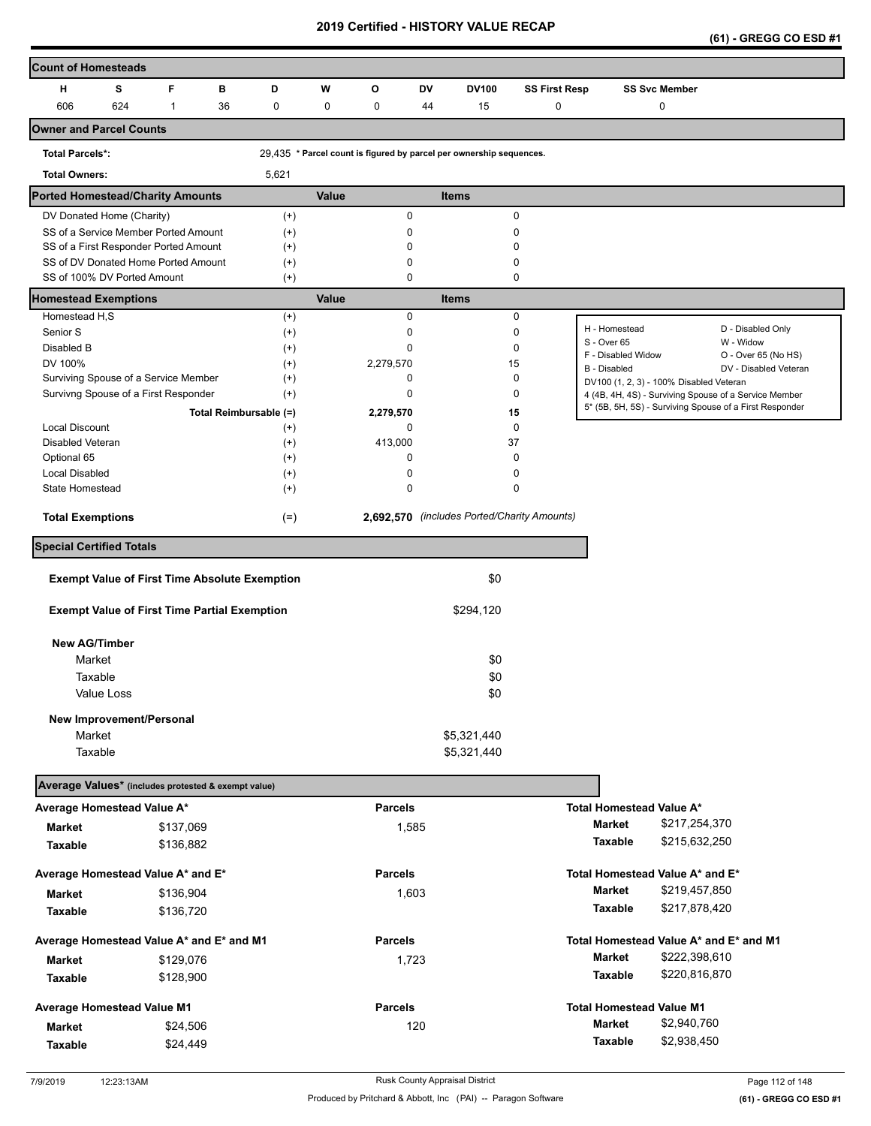| (61) - GREGG CO ESD #1 |
|------------------------|
|------------------------|

| <b>Count of Homesteads</b>              |            |              |                                                      |                      |       |                |       |                                                                     |                      |                                         |                      |                                                                                                                  |
|-----------------------------------------|------------|--------------|------------------------------------------------------|----------------------|-------|----------------|-------|---------------------------------------------------------------------|----------------------|-----------------------------------------|----------------------|------------------------------------------------------------------------------------------------------------------|
| н                                       | s          | F            | в                                                    | D                    | W     | O              | DV    | <b>DV100</b>                                                        | <b>SS First Resp</b> |                                         | <b>SS Svc Member</b> |                                                                                                                  |
| 606                                     | 624        | $\mathbf{1}$ | 36                                                   | 0                    | 0     | 0              | 44    | 15                                                                  | 0                    |                                         | 0                    |                                                                                                                  |
| <b>Owner and Parcel Counts</b>          |            |              |                                                      |                      |       |                |       |                                                                     |                      |                                         |                      |                                                                                                                  |
| <b>Total Parcels*:</b>                  |            |              |                                                      |                      |       |                |       | 29,435 * Parcel count is figured by parcel per ownership sequences. |                      |                                         |                      |                                                                                                                  |
| <b>Total Owners:</b>                    |            |              |                                                      | 5,621                |       |                |       |                                                                     |                      |                                         |                      |                                                                                                                  |
| <b>Ported Homestead/Charity Amounts</b> |            |              |                                                      |                      | Value |                |       | <b>Items</b>                                                        |                      |                                         |                      |                                                                                                                  |
| DV Donated Home (Charity)               |            |              |                                                      | $^{(+)}$             |       | 0              |       |                                                                     | 0                    |                                         |                      |                                                                                                                  |
| SS of a Service Member Ported Amount    |            |              |                                                      | $^{(+)}$             |       | 0              |       |                                                                     | 0                    |                                         |                      |                                                                                                                  |
| SS of a First Responder Ported Amount   |            |              |                                                      | $^{(+)}$             |       | 0              |       |                                                                     | $\mathbf 0$          |                                         |                      |                                                                                                                  |
| SS of DV Donated Home Ported Amount     |            |              |                                                      | $^{(+)}$             |       | 0              |       |                                                                     | 0                    |                                         |                      |                                                                                                                  |
| SS of 100% DV Ported Amount             |            |              |                                                      | $^{(+)}$             |       | 0              |       |                                                                     | 0                    |                                         |                      |                                                                                                                  |
| <b>Homestead Exemptions</b>             |            |              |                                                      |                      | Value |                |       | <b>Items</b>                                                        |                      |                                         |                      |                                                                                                                  |
| Homestead H,S                           |            |              |                                                      | $^{(+)}$             |       | $\mathbf 0$    |       |                                                                     | 0                    |                                         |                      |                                                                                                                  |
| Senior S                                |            |              |                                                      | $^{(+)}$             |       | 0              |       |                                                                     | $\pmb{0}$            | H - Homestead<br>S - Over 65            |                      | D - Disabled Only<br>W - Widow                                                                                   |
| Disabled B                              |            |              |                                                      | $^{(+)}$             |       | 0              |       |                                                                     | $\mathbf 0$          | F - Disabled Widow                      |                      | O - Over 65 (No HS)                                                                                              |
| DV 100%                                 |            |              |                                                      | $^{(+)}$             |       | 2,279,570      |       |                                                                     | 15                   | <b>B</b> - Disabled                     |                      | DV - Disabled Veteran                                                                                            |
| Surviving Spouse of a Service Member    |            |              |                                                      | $^{(+)}$             |       | 0              |       |                                                                     | 0                    | DV100 (1, 2, 3) - 100% Disabled Veteran |                      |                                                                                                                  |
| Survivng Spouse of a First Responder    |            |              |                                                      | $^{(+)}$             |       | 0              |       |                                                                     | 0                    |                                         |                      | 4 (4B, 4H, 4S) - Surviving Spouse of a Service Member<br>5* (5B, 5H, 5S) - Surviving Spouse of a First Responder |
| Local Discount                          |            |              | Total Reimbursable (=)                               |                      |       | 2,279,570<br>0 |       |                                                                     | 15<br>0              |                                         |                      |                                                                                                                  |
| Disabled Veteran                        |            |              |                                                      | $^{(+)}$<br>$^{(+)}$ |       | 413,000        |       |                                                                     | 37                   |                                         |                      |                                                                                                                  |
| Optional 65                             |            |              |                                                      | $^{(+)}$             |       | 0              |       |                                                                     | 0                    |                                         |                      |                                                                                                                  |
| <b>Local Disabled</b>                   |            |              |                                                      | $^{(+)}$             |       | 0              |       |                                                                     | $\mathbf 0$          |                                         |                      |                                                                                                                  |
| State Homestead                         |            |              |                                                      | $^{(+)}$             |       | 0              |       |                                                                     | 0                    |                                         |                      |                                                                                                                  |
|                                         |            |              |                                                      |                      |       |                |       | 2,692,570 (includes Ported/Charity Amounts)                         |                      |                                         |                      |                                                                                                                  |
| <b>Total Exemptions</b>                 |            |              |                                                      | $(=)$                |       |                |       |                                                                     |                      |                                         |                      |                                                                                                                  |
| <b>Special Certified Totals</b>         |            |              |                                                      |                      |       |                |       |                                                                     |                      |                                         |                      |                                                                                                                  |
|                                         |            |              | <b>Exempt Value of First Time Absolute Exemption</b> |                      |       |                |       | \$0                                                                 |                      |                                         |                      |                                                                                                                  |
|                                         |            |              | <b>Exempt Value of First Time Partial Exemption</b>  |                      |       |                |       | \$294,120                                                           |                      |                                         |                      |                                                                                                                  |
|                                         |            |              |                                                      |                      |       |                |       |                                                                     |                      |                                         |                      |                                                                                                                  |
| <b>New AG/Timber</b>                    |            |              |                                                      |                      |       |                |       |                                                                     |                      |                                         |                      |                                                                                                                  |
| Market                                  |            |              |                                                      |                      |       |                |       | \$0                                                                 |                      |                                         |                      |                                                                                                                  |
| Taxable                                 |            |              |                                                      |                      |       |                |       | \$0                                                                 |                      |                                         |                      |                                                                                                                  |
|                                         | Value Loss |              |                                                      |                      |       |                |       | \$0                                                                 |                      |                                         |                      |                                                                                                                  |
| New Improvement/Personal                |            |              |                                                      |                      |       |                |       |                                                                     |                      |                                         |                      |                                                                                                                  |
| Market                                  |            |              |                                                      |                      |       |                |       | \$5,321,440                                                         |                      |                                         |                      |                                                                                                                  |
| Taxable                                 |            |              |                                                      |                      |       |                |       | \$5,321,440                                                         |                      |                                         |                      |                                                                                                                  |
|                                         |            |              |                                                      |                      |       |                |       |                                                                     |                      |                                         |                      |                                                                                                                  |
|                                         |            |              | Average Values* (includes protested & exempt value)  |                      |       |                |       |                                                                     |                      |                                         |                      |                                                                                                                  |
| Average Homestead Value A*              |            |              |                                                      |                      |       | <b>Parcels</b> |       |                                                                     |                      | <b>Total Homestead Value A*</b>         |                      |                                                                                                                  |
| Market                                  |            | \$137,069    |                                                      |                      |       |                | 1,585 |                                                                     |                      | <b>Market</b>                           | \$217,254,370        |                                                                                                                  |
| <b>Taxable</b>                          |            | \$136,882    |                                                      |                      |       |                |       |                                                                     |                      | Taxable                                 | \$215,632,250        |                                                                                                                  |
| Average Homestead Value A* and E*       |            |              |                                                      |                      |       | <b>Parcels</b> |       |                                                                     |                      | Total Homestead Value A* and E*         |                      |                                                                                                                  |
| Market                                  |            | \$136,904    |                                                      |                      |       |                | 1,603 |                                                                     |                      | Market                                  | \$219,457,850        |                                                                                                                  |
| <b>Taxable</b>                          |            | \$136,720    |                                                      |                      |       |                |       |                                                                     |                      | Taxable                                 | \$217,878,420        |                                                                                                                  |
|                                         |            |              |                                                      |                      |       |                |       |                                                                     |                      |                                         |                      |                                                                                                                  |
|                                         |            |              | Average Homestead Value A* and E* and M1             |                      |       | <b>Parcels</b> |       |                                                                     |                      |                                         |                      | Total Homestead Value A* and E* and M1                                                                           |
| <b>Market</b>                           |            | \$129,076    |                                                      |                      |       |                | 1,723 |                                                                     |                      | Market                                  | \$222,398,610        |                                                                                                                  |
| <b>Taxable</b>                          |            | \$128,900    |                                                      |                      |       |                |       |                                                                     |                      | Taxable                                 | \$220,816,870        |                                                                                                                  |
| Average Homestead Value M1              |            |              |                                                      |                      |       | <b>Parcels</b> |       |                                                                     |                      | <b>Total Homestead Value M1</b>         |                      |                                                                                                                  |
| <b>Market</b>                           |            |              | \$24,506                                             |                      |       |                | 120   |                                                                     |                      | Market                                  | \$2,940,760          |                                                                                                                  |
| <b>Taxable</b>                          |            |              | \$24,449                                             |                      |       |                |       |                                                                     |                      | Taxable                                 | \$2,938,450          |                                                                                                                  |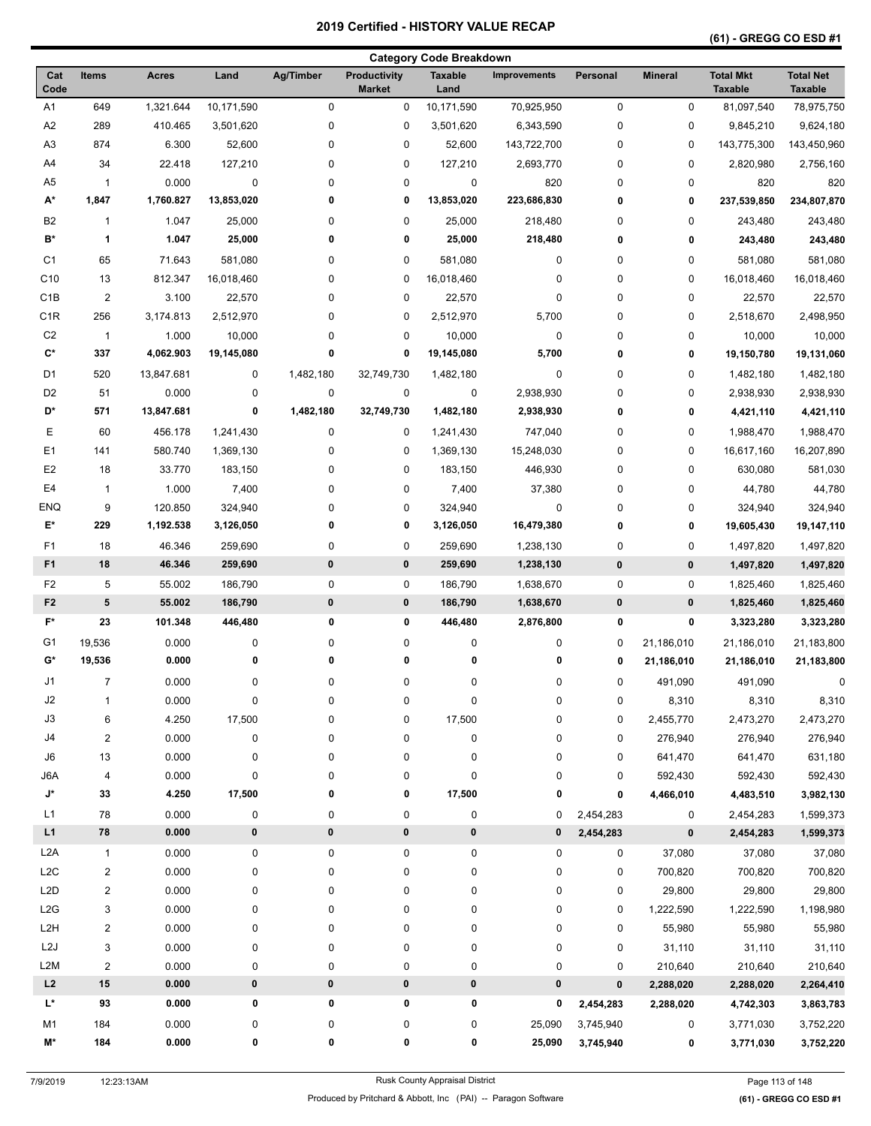|                  |                         |              |            |             |                                      | <b>Category Code Breakdown</b> |                     |           |                |                                    |                                    |
|------------------|-------------------------|--------------|------------|-------------|--------------------------------------|--------------------------------|---------------------|-----------|----------------|------------------------------------|------------------------------------|
| Cat<br>Code      | <b>Items</b>            | <b>Acres</b> | Land       | Ag/Timber   | <b>Productivity</b><br><b>Market</b> | <b>Taxable</b><br>Land         | <b>Improvements</b> | Personal  | <b>Mineral</b> | <b>Total Mkt</b><br><b>Taxable</b> | <b>Total Net</b><br><b>Taxable</b> |
| A <sub>1</sub>   | 649                     | 1,321.644    | 10,171,590 | $\mathbf 0$ | 0                                    | 10,171,590                     | 70,925,950          | $\pmb{0}$ | 0              | 81,097,540                         | 78,975,750                         |
| A2               | 289                     | 410.465      | 3,501,620  | 0           | $\pmb{0}$                            | 3,501,620                      | 6,343,590           | 0         | 0              | 9,845,210                          | 9,624,180                          |
| A <sub>3</sub>   | 874                     | 6.300        | 52,600     | 0           | $\pmb{0}$                            | 52,600                         | 143,722,700         | 0         | 0              | 143,775,300                        | 143,450,960                        |
| A4               | 34                      | 22.418       | 127,210    | 0           | $\pmb{0}$                            | 127,210                        | 2,693,770           | 0         | 0              | 2,820,980                          | 2,756,160                          |
| A <sub>5</sub>   | $\mathbf{1}$            | 0.000        | $\pmb{0}$  | 0           | $\pmb{0}$                            | $\mathbf 0$                    | 820                 | 0         | 0              | 820                                | 820                                |
| A*               | 1,847                   | 1,760.827    | 13,853,020 | 0           | 0                                    | 13,853,020                     | 223,686,830         | 0         | 0              | 237,539,850                        | 234,807,870                        |
| B <sub>2</sub>   | 1                       | 1.047        | 25,000     | 0           | $\pmb{0}$                            | 25,000                         | 218,480             | 0         | 0              | 243,480                            | 243,480                            |
| B*               | 1                       | 1.047        | 25,000     | 0           | 0                                    | 25,000                         | 218,480             | 0         | 0              | 243,480                            | 243,480                            |
| C <sub>1</sub>   | 65                      | 71.643       | 581,080    | 0           | 0                                    | 581,080                        | 0                   | 0         | 0              | 581,080                            | 581,080                            |
| C <sub>10</sub>  | 13                      | 812.347      | 16,018,460 | 0           | 0                                    | 16,018,460                     | 0                   | 0         | 0              | 16,018,460                         | 16,018,460                         |
| C <sub>1</sub> B | $\overline{\mathbf{c}}$ | 3.100        | 22,570     | 0           | $\pmb{0}$                            | 22,570                         | $\pmb{0}$           | 0         | 0              | 22,570                             | 22,570                             |
| C <sub>1R</sub>  | 256                     | 3,174.813    | 2,512,970  | 0           | 0                                    | 2,512,970                      | 5,700               | 0         | 0              | 2,518,670                          | 2,498,950                          |
| C <sub>2</sub>   | $\mathbf{1}$            | 1.000        | 10,000     | 0           | 0                                    | 10,000                         | $\pmb{0}$           | 0         | 0              | 10,000                             | 10,000                             |
| C*               | 337                     | 4,062.903    | 19,145,080 | $\mathbf 0$ | 0                                    | 19,145,080                     | 5,700               | 0         | 0              | 19,150,780                         | 19,131,060                         |
| D <sub>1</sub>   | 520                     | 13,847.681   | 0          | 1,482,180   | 32,749,730                           | 1,482,180                      | $\pmb{0}$           | 0         | 0              | 1,482,180                          | 1,482,180                          |
| D <sub>2</sub>   | 51                      | 0.000        | 0          | 0           | $\pmb{0}$                            | 0                              | 2,938,930           | 0         | 0              | 2,938,930                          | 2,938,930                          |
| D*               | 571                     | 13,847.681   | 0          | 1,482,180   | 32,749,730                           | 1,482,180                      | 2,938,930           | 0         | 0              | 4,421,110                          | 4,421,110                          |
| Е                | 60                      | 456.178      | 1,241,430  | 0           | 0                                    | 1,241,430                      | 747,040             | 0         | 0              | 1,988,470                          | 1,988,470                          |
| E <sub>1</sub>   | 141                     | 580.740      | 1,369,130  | 0           | 0                                    | 1,369,130                      | 15,248,030          | 0         | 0              | 16,617,160                         | 16,207,890                         |
| E <sub>2</sub>   | 18                      | 33.770       | 183,150    | 0           | $\pmb{0}$                            | 183,150                        | 446,930             | 0         | 0              | 630,080                            | 581,030                            |
| E4               | $\mathbf{1}$            | 1.000        | 7,400      | 0           | 0                                    |                                |                     | 0         | 0              | 44,780                             | 44,780                             |
| <b>ENQ</b>       | 9                       | 120.850      | 324,940    | 0           | 0                                    | 7,400<br>324,940               | 37,380<br>0         | 0         | 0              |                                    | 324,940                            |
| E*               | 229                     | 1,192.538    | 3,126,050  | 0           | 0                                    | 3,126,050                      | 16,479,380          | 0         | 0              | 324,940<br>19,605,430              | 19,147,110                         |
|                  |                         |              |            |             |                                      |                                |                     |           |                |                                    |                                    |
| F1               | 18                      | 46.346       | 259,690    | 0           | 0                                    | 259,690                        | 1,238,130           | 0         | 0              | 1,497,820                          | 1,497,820                          |
| F <sub>1</sub>   | 18                      | 46.346       | 259,690    | $\pmb{0}$   | 0                                    | 259,690                        | 1,238,130           | $\pmb{0}$ | $\pmb{0}$      | 1,497,820                          | 1,497,820                          |
| F <sub>2</sub>   | 5                       | 55.002       | 186,790    | 0           | 0                                    | 186,790                        | 1,638,670           | 0         | 0              | 1,825,460                          | 1,825,460                          |
| F <sub>2</sub>   | 5                       | 55.002       | 186,790    | $\bf{0}$    | 0                                    | 186,790                        | 1,638,670           | $\pmb{0}$ | 0              | 1,825,460                          | 1,825,460                          |
| $F^*$            | 23                      | 101.348      | 446,480    | 0           | 0                                    | 446,480                        | 2,876,800           | 0         | 0              | 3,323,280                          | 3,323,280                          |
| G1               | 19,536                  | 0.000        | 0          | 0           | 0                                    | 0                              | 0                   | 0         | 21,186,010     | 21,186,010                         | 21,183,800                         |
| G*               | 19,536                  | 0.000        | 0          | 0           | 0                                    | 0                              | 0                   | 0         | 21,186,010     | 21,186,010                         | 21,183,800                         |
| J1               | 7                       | 0.000        | 0          | 0           | 0                                    | 0                              | 0                   | 0         | 491,090        | 491,090                            | 0                                  |
| J2               | $\mathbf{1}$            | 0.000        | $\pmb{0}$  | $\pmb{0}$   | $\pmb{0}$                            | 0                              | $\pmb{0}$           | 0         | 8,310          | 8,310                              | 8,310                              |
| J3               | 6                       | 4.250        | 17,500     | 0           | $\pmb{0}$                            | 17,500                         | $\pmb{0}$           | 0         | 2,455,770      | 2,473,270                          | 2,473,270                          |
| J4               | $\overline{\mathbf{c}}$ | 0.000        | $\pmb{0}$  | 0           | $\pmb{0}$                            | 0                              | 0                   | 0         | 276,940        | 276,940                            | 276,940                            |
| J6               | 13                      | 0.000        | 0          | 0           | $\pmb{0}$                            | 0                              | 0                   | 0         | 641,470        | 641,470                            | 631,180                            |
| J6A              | $\overline{\mathbf{4}}$ | 0.000        | $\pmb{0}$  | 0           | $\pmb{0}$                            | 0                              | $\pmb{0}$           | 0         | 592,430        | 592,430                            | 592,430                            |
| J*               | 33                      | 4.250        | 17,500     | 0           | 0                                    | 17,500                         | 0                   | 0         | 4,466,010      | 4,483,510                          | 3,982,130                          |
| L1               | 78                      | 0.000        | 0          | 0           | $\pmb{0}$                            | 0                              | 0                   | 2,454,283 | 0              | 2,454,283                          | 1,599,373                          |
| L1               | 78                      | 0.000        | $\pmb{0}$  | $\pmb{0}$   | 0                                    | 0                              | 0                   | 2,454,283 | 0              | 2,454,283                          | 1,599,373                          |
| L <sub>2</sub> A | $\mathbf{1}$            | 0.000        | 0          | 0           | $\pmb{0}$                            | 0                              | 0                   | 0         | 37,080         | 37,080                             | 37,080                             |
| L <sub>2</sub> C | $\overline{\mathbf{c}}$ | 0.000        | 0          | 0           | $\pmb{0}$                            | 0                              | $\pmb{0}$           | 0         | 700,820        | 700,820                            | 700,820                            |
| L <sub>2</sub> D | $\overline{\mathbf{c}}$ | 0.000        | 0          | 0           | $\pmb{0}$                            | 0                              | $\pmb{0}$           | 0         | 29,800         | 29,800                             | 29,800                             |
| L2G              | 3                       | 0.000        | 0          | 0           | 0                                    | 0                              | 0                   | 0         | 1,222,590      | 1,222,590                          | 1,198,980                          |
| L2H              | $\overline{\mathbf{c}}$ | 0.000        | 0          | 0           | $\pmb{0}$                            | 0                              | $\pmb{0}$           | 0         | 55,980         | 55,980                             | 55,980                             |
| L <sub>2</sub> J | 3                       | 0.000        | 0          | 0           | $\pmb{0}$                            | 0                              | $\pmb{0}$           | 0         | 31,110         | 31,110                             | 31,110                             |
| L2M              | $\overline{\mathbf{c}}$ | 0.000        | 0          | $\pmb{0}$   | $\pmb{0}$                            | 0                              | $\pmb{0}$           | 0         | 210,640        | 210,640                            | 210,640                            |
| L2               | ${\bf 15}$              | 0.000        | $\pmb{0}$  | $\pmb{0}$   | 0                                    | 0                              | 0                   | $\pmb{0}$ | 2,288,020      | 2,288,020                          | 2,264,410                          |
| L*               | 93                      | 0.000        | 0          | 0           | 0                                    | 0                              | 0                   | 2,454,283 | 2,288,020      | 4,742,303                          | 3,863,783                          |
| M1               | 184                     | 0.000        | 0          | 0           | $\pmb{0}$                            | 0                              | 25,090              | 3,745,940 | 0              | 3,771,030                          | 3,752,220                          |
| M*               | 184                     | 0.000        | 0          | 0           | 0                                    | 0                              | 25,090              | 3,745,940 | 0              | 3,771,030                          | 3,752,220                          |
|                  |                         |              |            |             |                                      |                                |                     |           |                |                                    |                                    |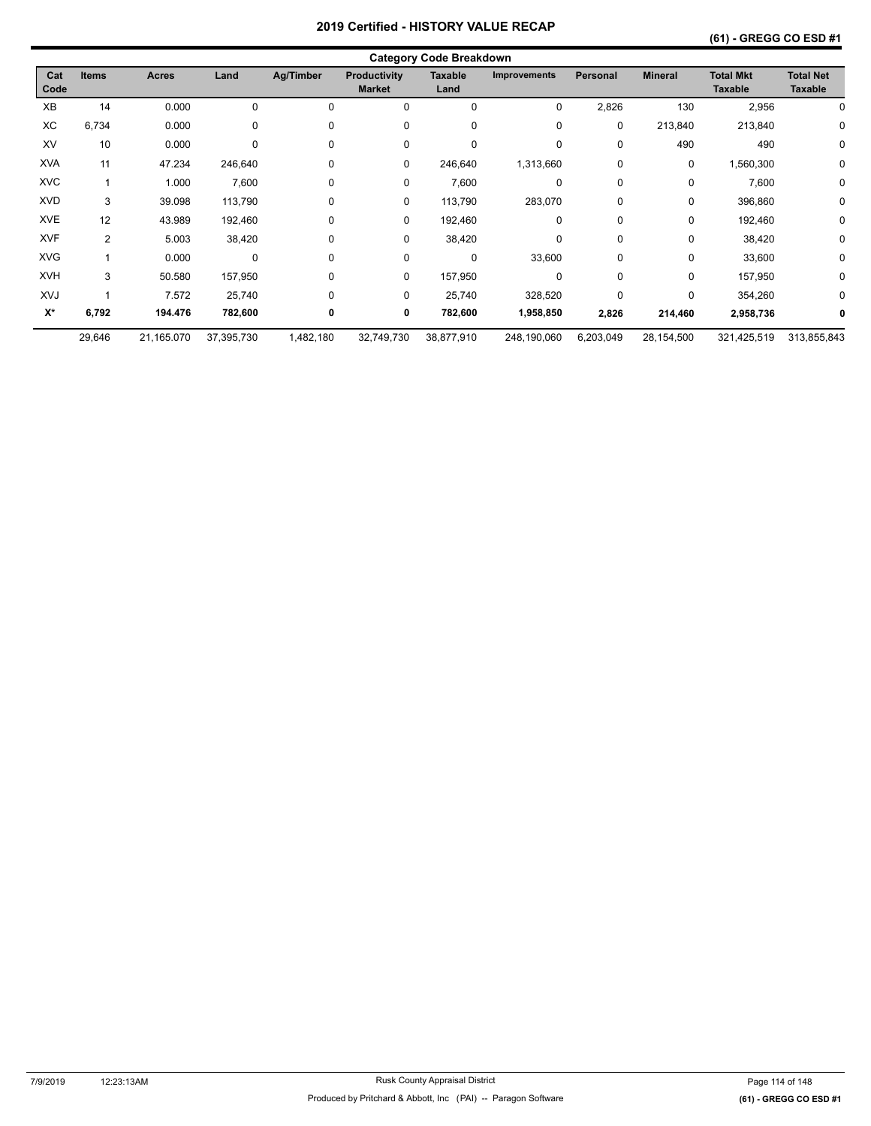|                    |              |              |             |           |                                      | <b>Category Code Breakdown</b> |                     |                 |                |                                    |                                    |
|--------------------|--------------|--------------|-------------|-----------|--------------------------------------|--------------------------------|---------------------|-----------------|----------------|------------------------------------|------------------------------------|
| Cat<br>Code        | <b>Items</b> | <b>Acres</b> | Land        | Ag/Timber | <b>Productivity</b><br><b>Market</b> | <b>Taxable</b><br>Land         | <b>Improvements</b> | <b>Personal</b> | <b>Mineral</b> | <b>Total Mkt</b><br><b>Taxable</b> | <b>Total Net</b><br><b>Taxable</b> |
| XB                 | 14           | 0.000        | 0           | $\Omega$  | 0                                    | 0                              | 0                   | 2,826           | 130            | 2,956                              |                                    |
| XC                 | 6,734        | 0.000        | 0           | 0         | 0                                    | 0                              | 0                   | 0               | 213,840        | 213,840                            | 0                                  |
| XV                 | 10           | 0.000        | $\mathbf 0$ | 0         | 0                                    | 0                              | $\mathbf 0$         | 0               | 490            | 490                                | 0                                  |
| <b>XVA</b>         | 11           | 47.234       | 246,640     | 0         | 0                                    | 246,640                        | 1,313,660           | 0               | 0              | 1,560,300                          | 0                                  |
| <b>XVC</b>         |              | 1.000        | 7,600       | 0         | 0                                    | 7,600                          | 0                   | 0               | 0              | 7,600                              | 0                                  |
| <b>XVD</b>         | 3            | 39.098       | 113,790     | 0         | 0                                    | 113,790                        | 283,070             | 0               | 0              | 396,860                            | 0                                  |
| <b>XVE</b>         | 12           | 43.989       | 192,460     | 0         | 0                                    | 192,460                        | 0                   | 0               | 0              | 192,460                            | 0                                  |
| <b>XVF</b>         | 2            | 5.003        | 38,420      | 0         | 0                                    | 38,420                         | 0                   | 0               | 0              | 38,420                             | 0                                  |
| <b>XVG</b>         |              | 0.000        | 0           | $\Omega$  | 0                                    | 0                              | 33,600              | 0               | 0              | 33,600                             | 0                                  |
| <b>XVH</b>         | 3            | 50.580       | 157,950     | 0         | 0                                    | 157,950                        | 0                   | 0               | 0              | 157,950                            | 0                                  |
| XVJ                |              | 7.572        | 25,740      | 0         | 0                                    | 25,740                         | 328,520             | 0               | 0              | 354,260                            | 0                                  |
| $\mathsf{X}^\star$ | 6,792        | 194.476      | 782,600     | 0         | 0                                    | 782,600                        | 1,958,850           | 2,826           | 214,460        | 2,958,736                          | 0                                  |
|                    | 29,646       | 21,165.070   | 37,395,730  | 1,482,180 | 32,749,730                           | 38,877,910                     | 248,190,060         | 6,203,049       | 28,154,500     | 321,425,519                        | 313,855,843                        |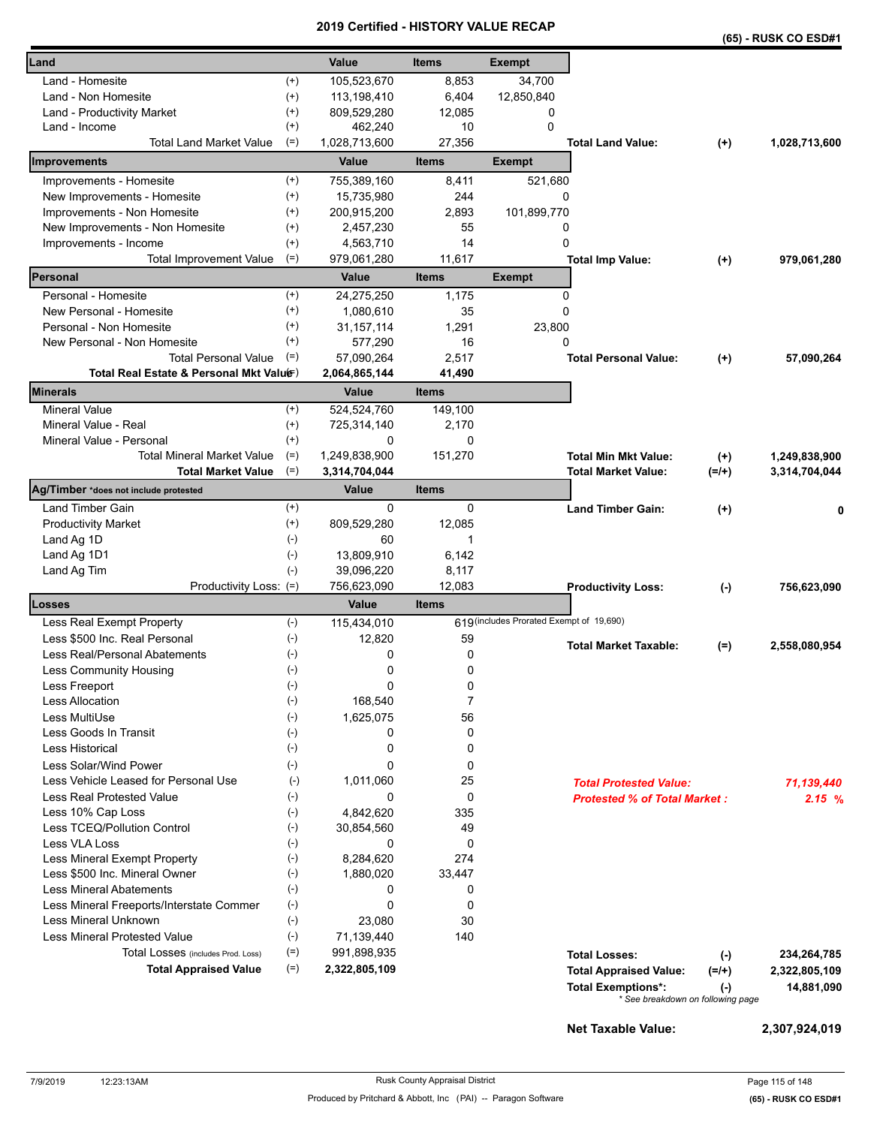|                                                               |                |                      |                        |                                          |                                                                |          | (65) - RUSK CO ESD#1 |
|---------------------------------------------------------------|----------------|----------------------|------------------------|------------------------------------------|----------------------------------------------------------------|----------|----------------------|
| Land                                                          |                | Value                | <b>Items</b>           | <b>Exempt</b>                            |                                                                |          |                      |
| Land - Homesite                                               | $^{(+)}$       | 105,523,670          | 8,853                  | 34,700                                   |                                                                |          |                      |
| Land - Non Homesite                                           | $^{(+)}$       | 113,198,410          | 6,404                  | 12,850,840                               |                                                                |          |                      |
| Land - Productivity Market                                    | $^{(+)}$       | 809,529,280          | 12,085                 | 0                                        |                                                                |          |                      |
| Land - Income                                                 | $^{(+)}$       | 462,240              | 10                     | 0                                        |                                                                |          |                      |
| <b>Total Land Market Value</b>                                | $(=)$          | 1,028,713,600        | 27,356                 |                                          | <b>Total Land Value:</b>                                       | $^{(+)}$ | 1,028,713,600        |
| Improvements                                                  |                | Value                | <b>Items</b>           | <b>Exempt</b>                            |                                                                |          |                      |
| Improvements - Homesite                                       | $^{(+)}$       | 755,389,160          | 8,411                  | 521,680                                  |                                                                |          |                      |
| New Improvements - Homesite                                   | $^{(+)}$       | 15,735,980           | 244                    | 0                                        |                                                                |          |                      |
| Improvements - Non Homesite                                   | $^{(+)}$       | 200,915,200          | 2,893                  | 101,899,770                              |                                                                |          |                      |
| New Improvements - Non Homesite                               | $^{(+)}$       | 2,457,230            | 55                     | 0                                        |                                                                |          |                      |
| Improvements - Income                                         | $^{(+)}$       | 4,563,710            | 14                     | 0                                        |                                                                |          |                      |
| <b>Total Improvement Value</b>                                | $(=)$          | 979,061,280          | 11,617                 |                                          | <b>Total Imp Value:</b>                                        | $(+)$    | 979,061,280          |
| Personal                                                      |                | Value                | <b>Items</b>           | <b>Exempt</b>                            |                                                                |          |                      |
| Personal - Homesite                                           | $^{(+)}$       | 24,275,250           | 1,175                  | 0                                        |                                                                |          |                      |
| New Personal - Homesite                                       | $^{(+)}$       | 1,080,610            | 35                     | 0                                        |                                                                |          |                      |
| Personal - Non Homesite                                       | $^{(+)}$       | 31, 157, 114         | 1,291                  | 23,800                                   |                                                                |          |                      |
| New Personal - Non Homesite                                   | $^{(+)}$       | 577,290              | 16                     | 0                                        |                                                                |          |                      |
| <b>Total Personal Value</b>                                   | $(=)$          | 57,090,264           | 2,517                  |                                          | <b>Total Personal Value:</b>                                   | $(+)$    | 57,090,264           |
| Total Real Estate & Personal Mkt Valuer)                      |                | 2,064,865,144        | 41,490                 |                                          |                                                                |          |                      |
| Minerals                                                      |                | Value                | <b>Items</b>           |                                          |                                                                |          |                      |
| <b>Mineral Value</b>                                          | $^{(+)}$       | 524,524,760          | 149,100                |                                          |                                                                |          |                      |
| Mineral Value - Real                                          | $^{(+)}$       | 725,314,140          | 2,170                  |                                          |                                                                |          |                      |
| Mineral Value - Personal                                      | $^{(+)}$       | 0                    | 0                      |                                          |                                                                |          |                      |
| <b>Total Mineral Market Value</b>                             | $(=)$          | 1,249,838,900        | 151,270                |                                          | <b>Total Min Mkt Value:</b>                                    | $(+)$    | 1,249,838,900        |
| <b>Total Market Value</b>                                     | $(=)$          | 3,314,704,044        |                        |                                          | <b>Total Market Value:</b>                                     | $(=/+)$  | 3,314,704,044        |
| Ag/Timber *does not include protested                         |                | Value                | <b>Items</b>           |                                          |                                                                |          |                      |
| Land Timber Gain                                              | $^{(+)}$       | 0                    | 0                      |                                          | <b>Land Timber Gain:</b>                                       | $(+)$    |                      |
| <b>Productivity Market</b>                                    | $^{(+)}$       | 809,529,280          | 12,085                 |                                          |                                                                |          |                      |
| Land Ag 1D                                                    | $(-)$          | 60                   | 1                      |                                          |                                                                |          |                      |
| Land Ag 1D1                                                   | $(-)$          | 13,809,910           | 6,142                  |                                          |                                                                |          |                      |
| Land Ag Tim                                                   | $(-)$          | 39,096,220           | 8,117                  |                                          |                                                                |          |                      |
| Productivity Loss: (=)<br>Losses                              |                | 756,623,090<br>Value | 12,083<br><b>Items</b> |                                          | <b>Productivity Loss:</b>                                      | $(-)$    | 756,623,090          |
|                                                               |                |                      |                        | 619 (includes Prorated Exempt of 19,690) |                                                                |          |                      |
| Less Real Exempt Property                                     | $(-)$          | 115,434,010          |                        |                                          |                                                                |          |                      |
| Less \$500 Inc. Real Personal                                 | $(-)$          | 12,820               | 59                     |                                          | <b>Total Market Taxable:</b>                                   | $(=)$    | 2,558,080,954        |
| Less Real/Personal Abatements                                 | $(-)$          | 0                    | 0                      |                                          |                                                                |          |                      |
| Less Community Housing                                        | $(\hbox{-})$   | 0<br>$\Omega$        | 0                      |                                          |                                                                |          |                      |
| Less Freeport<br><b>Less Allocation</b>                       | $(-)$          |                      | 0<br>$\overline{7}$    |                                          |                                                                |          |                      |
|                                                               | $(-)$          | 168,540              |                        |                                          |                                                                |          |                      |
| Less MultiUse<br>Less Goods In Transit                        | $(-)$<br>$(-)$ | 1,625,075<br>0       | 56<br>0                |                                          |                                                                |          |                      |
| Less Historical                                               | $(-)$          | 0                    |                        |                                          |                                                                |          |                      |
|                                                               |                |                      | 0                      |                                          |                                                                |          |                      |
| Less Solar/Wind Power<br>Less Vehicle Leased for Personal Use | $(-)$<br>$(-)$ | 0                    | 0<br>25                |                                          |                                                                |          |                      |
| <b>Less Real Protested Value</b>                              | $(-)$          | 1,011,060<br>0       | 0                      |                                          | <b>Total Protested Value:</b>                                  |          | 71,139,440           |
|                                                               |                | 4,842,620            | 335                    |                                          | <b>Protested % of Total Market:</b>                            |          | 2.15%                |
| Less 10% Cap Loss<br>Less TCEQ/Pollution Control              | $(-)$          |                      | 49                     |                                          |                                                                |          |                      |
| Less VLA Loss                                                 | $(-)$<br>$(-)$ | 30,854,560<br>0      | 0                      |                                          |                                                                |          |                      |
| Less Mineral Exempt Property                                  | $(-)$          | 8,284,620            | 274                    |                                          |                                                                |          |                      |
| Less \$500 Inc. Mineral Owner                                 | $(-)$          | 1,880,020            | 33,447                 |                                          |                                                                |          |                      |
| <b>Less Mineral Abatements</b>                                | $(-)$          | 0                    | 0                      |                                          |                                                                |          |                      |
| Less Mineral Freeports/Interstate Commer                      | $(-)$          | 0                    | 0                      |                                          |                                                                |          |                      |
| Less Mineral Unknown                                          | $(-)$          | 23,080               | 30                     |                                          |                                                                |          |                      |
| <b>Less Mineral Protested Value</b>                           | $(-)$          | 71,139,440           | 140                    |                                          |                                                                |          |                      |
| Total Losses (includes Prod. Loss)                            | $(=)$          | 991,898,935          |                        |                                          |                                                                |          |                      |
| <b>Total Appraised Value</b>                                  | $(=)$          | 2,322,805,109        |                        |                                          | <b>Total Losses:</b>                                           | $(-)$    | 234,264,785          |
|                                                               |                |                      |                        |                                          | <b>Total Appraised Value:</b>                                  | $(=/+)$  | 2,322,805,109        |
|                                                               |                |                      |                        |                                          | <b>Total Exemptions*:</b><br>* See breakdown on following page | $(-)$    | 14,881,090           |
|                                                               |                |                      |                        |                                          |                                                                |          |                      |

**Net Taxable Value: 2,307,924,019**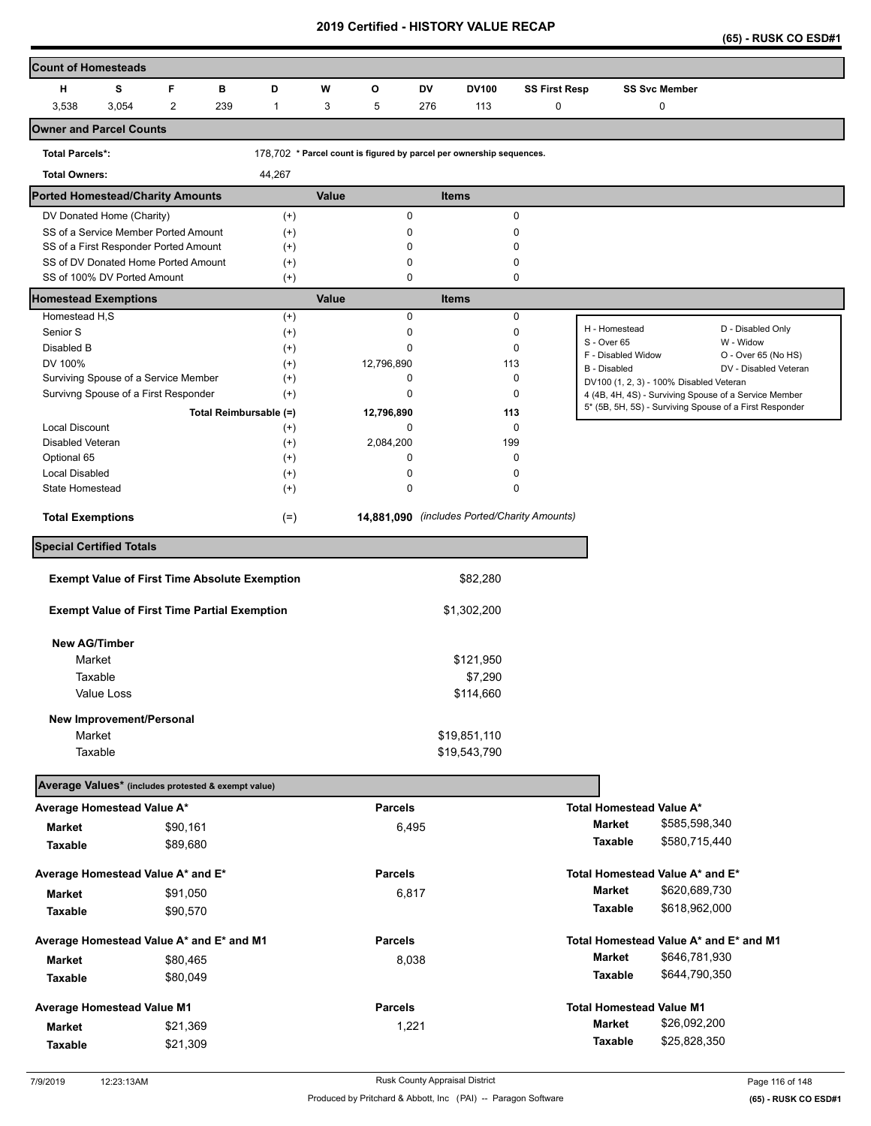**(65) - RUSK CO ESD#1** 

| <b>Count of Homesteads</b>                                         |                                                     |                |          |     |                                                      |       |                |     |                                                                      |                      |                                   |                                           |                                                                                                                  |
|--------------------------------------------------------------------|-----------------------------------------------------|----------------|----------|-----|------------------------------------------------------|-------|----------------|-----|----------------------------------------------------------------------|----------------------|-----------------------------------|-------------------------------------------|------------------------------------------------------------------------------------------------------------------|
| н                                                                  | s                                                   | F              |          | в   | D                                                    | W     | O              | DV  | <b>DV100</b>                                                         | <b>SS First Resp</b> |                                   | <b>SS Svc Member</b>                      |                                                                                                                  |
| 3,538                                                              | 3,054                                               | $\overline{c}$ |          | 239 | $\mathbf{1}$                                         | 3     | 5              | 276 | 113                                                                  | 0                    |                                   | 0                                         |                                                                                                                  |
| <b>Owner and Parcel Counts</b>                                     |                                                     |                |          |     |                                                      |       |                |     |                                                                      |                      |                                   |                                           |                                                                                                                  |
| <b>Total Parcels*:</b>                                             |                                                     |                |          |     |                                                      |       |                |     | 178,702 * Parcel count is figured by parcel per ownership sequences. |                      |                                   |                                           |                                                                                                                  |
| <b>Total Owners:</b>                                               |                                                     |                |          |     | 44,267                                               |       |                |     |                                                                      |                      |                                   |                                           |                                                                                                                  |
| <b>Ported Homestead/Charity Amounts</b>                            |                                                     |                |          |     |                                                      | Value |                |     | <b>Items</b>                                                         |                      |                                   |                                           |                                                                                                                  |
| DV Donated Home (Charity)                                          |                                                     |                |          |     | $^{(+)}$                                             |       | 0              |     |                                                                      | 0                    |                                   |                                           |                                                                                                                  |
| SS of a Service Member Ported Amount                               |                                                     |                |          |     | $^{(+)}$                                             |       | 0              |     |                                                                      | 0                    |                                   |                                           |                                                                                                                  |
| SS of a First Responder Ported Amount                              |                                                     |                |          |     | $^{(+)}$                                             |       | 0              |     |                                                                      | 0                    |                                   |                                           |                                                                                                                  |
| SS of DV Donated Home Ported Amount<br>SS of 100% DV Ported Amount |                                                     |                |          |     | $^{(+)}$<br>$^{(+)}$                                 |       | 0<br>0         |     |                                                                      | 0<br>0               |                                   |                                           |                                                                                                                  |
| <b>Homestead Exemptions</b>                                        |                                                     |                |          |     |                                                      | Value |                |     | <b>Items</b>                                                         |                      |                                   |                                           |                                                                                                                  |
| Homestead H,S                                                      |                                                     |                |          |     | $^{(+)}$                                             |       | 0              |     |                                                                      | 0                    |                                   |                                           |                                                                                                                  |
| Senior S                                                           |                                                     |                |          |     | $^{(+)}$                                             |       | 0              |     |                                                                      | 0                    | H - Homestead                     |                                           | D - Disabled Only                                                                                                |
| Disabled B                                                         |                                                     |                |          |     | $^{(+)}$                                             |       | 0              |     |                                                                      | 0                    | S - Over 65<br>F - Disabled Widow |                                           | W - Widow<br>O - Over 65 (No HS)                                                                                 |
| DV 100%                                                            |                                                     |                |          |     | $^{(+)}$                                             |       | 12,796,890     |     | 113                                                                  |                      | B - Disabled                      |                                           | DV - Disabled Veteran                                                                                            |
| Surviving Spouse of a Service Member                               |                                                     |                |          |     | $^{(+)}$                                             |       | 0              |     |                                                                      | 0                    |                                   | DV100 (1, 2, 3) - 100% Disabled Veteran   |                                                                                                                  |
| Survivng Spouse of a First Responder                               |                                                     |                |          |     | $^{(+)}$                                             |       | 0              |     |                                                                      | 0                    |                                   |                                           | 4 (4B, 4H, 4S) - Surviving Spouse of a Service Member<br>5* (5B, 5H, 5S) - Surviving Spouse of a First Responder |
|                                                                    |                                                     |                |          |     | Total Reimbursable (=)                               |       | 12,796,890     |     | 113                                                                  |                      |                                   |                                           |                                                                                                                  |
| <b>Local Discount</b>                                              |                                                     |                |          |     | $^{(+)}$                                             |       | 0              |     |                                                                      | 0                    |                                   |                                           |                                                                                                                  |
| Disabled Veteran                                                   |                                                     |                |          |     | $^{(+)}$                                             |       | 2,084,200      |     | 199                                                                  |                      |                                   |                                           |                                                                                                                  |
| Optional 65<br>Local Disabled                                      |                                                     |                |          |     | $^{(+)}$<br>$^{(+)}$                                 |       | 0<br>0         |     |                                                                      | $\mathbf 0$<br>0     |                                   |                                           |                                                                                                                  |
| <b>State Homestead</b>                                             |                                                     |                |          |     | $^{(+)}$                                             |       | 0              |     |                                                                      | 0                    |                                   |                                           |                                                                                                                  |
|                                                                    |                                                     |                |          |     |                                                      |       |                |     |                                                                      |                      |                                   |                                           |                                                                                                                  |
| <b>Total Exemptions</b>                                            |                                                     |                |          |     | $(=)$                                                |       |                |     | 14,881,090 (includes Ported/Charity Amounts)                         |                      |                                   |                                           |                                                                                                                  |
| <b>Special Certified Totals</b>                                    |                                                     |                |          |     |                                                      |       |                |     |                                                                      |                      |                                   |                                           |                                                                                                                  |
|                                                                    |                                                     |                |          |     | <b>Exempt Value of First Time Absolute Exemption</b> |       |                |     | \$82,280                                                             |                      |                                   |                                           |                                                                                                                  |
|                                                                    | <b>Exempt Value of First Time Partial Exemption</b> |                |          |     |                                                      |       |                |     | \$1,302,200                                                          |                      |                                   |                                           |                                                                                                                  |
| <b>New AG/Timber</b>                                               |                                                     |                |          |     |                                                      |       |                |     |                                                                      |                      |                                   |                                           |                                                                                                                  |
| Market                                                             |                                                     |                |          |     |                                                      |       |                |     | \$121,950                                                            |                      |                                   |                                           |                                                                                                                  |
| Taxable                                                            |                                                     |                |          |     |                                                      |       |                |     | \$7,290                                                              |                      |                                   |                                           |                                                                                                                  |
|                                                                    | Value Loss                                          |                |          |     |                                                      |       |                |     | \$114,660                                                            |                      |                                   |                                           |                                                                                                                  |
|                                                                    | New Improvement/Personal                            |                |          |     |                                                      |       |                |     |                                                                      |                      |                                   |                                           |                                                                                                                  |
| Market                                                             |                                                     |                |          |     |                                                      |       |                |     | \$19,851,110                                                         |                      |                                   |                                           |                                                                                                                  |
| Taxable                                                            |                                                     |                |          |     |                                                      |       |                |     | \$19,543,790                                                         |                      |                                   |                                           |                                                                                                                  |
|                                                                    |                                                     |                |          |     |                                                      |       |                |     |                                                                      |                      |                                   |                                           |                                                                                                                  |
| Average Values* (includes protested & exempt value)                |                                                     |                |          |     |                                                      |       | <b>Parcels</b> |     |                                                                      |                      |                                   |                                           |                                                                                                                  |
| Average Homestead Value A*                                         |                                                     |                |          |     |                                                      |       |                |     |                                                                      |                      | <b>Market</b>                     | Total Homestead Value A*<br>\$585,598,340 |                                                                                                                  |
| <b>Market</b>                                                      |                                                     |                | \$90,161 |     |                                                      |       | 6,495          |     |                                                                      |                      |                                   | \$580,715,440                             |                                                                                                                  |
| <b>Taxable</b>                                                     |                                                     |                | \$89,680 |     |                                                      |       |                |     |                                                                      |                      | Taxable                           |                                           |                                                                                                                  |
| Average Homestead Value A* and E*                                  |                                                     |                |          |     |                                                      |       | <b>Parcels</b> |     |                                                                      |                      |                                   | Total Homestead Value A* and E*           |                                                                                                                  |
| <b>Market</b>                                                      |                                                     |                | \$91,050 |     |                                                      |       | 6,817          |     |                                                                      |                      | Market                            | \$620,689,730                             |                                                                                                                  |
| Taxable                                                            |                                                     |                | \$90,570 |     |                                                      |       |                |     |                                                                      |                      | Taxable                           | \$618,962,000                             |                                                                                                                  |
| Average Homestead Value A* and E* and M1                           |                                                     |                |          |     |                                                      |       | <b>Parcels</b> |     |                                                                      |                      |                                   |                                           | Total Homestead Value A* and E* and M1                                                                           |
| <b>Market</b>                                                      |                                                     |                | \$80,465 |     |                                                      |       | 8,038          |     |                                                                      |                      | <b>Market</b>                     | \$646,781,930                             |                                                                                                                  |
| Taxable                                                            |                                                     |                | \$80,049 |     |                                                      |       |                |     |                                                                      |                      | Taxable                           | \$644,790,350                             |                                                                                                                  |
| <b>Average Homestead Value M1</b>                                  |                                                     |                |          |     |                                                      |       | <b>Parcels</b> |     |                                                                      |                      |                                   | <b>Total Homestead Value M1</b>           |                                                                                                                  |
|                                                                    |                                                     |                |          |     |                                                      |       |                |     |                                                                      |                      | <b>Market</b>                     | \$26,092,200                              |                                                                                                                  |
| <b>Market</b>                                                      |                                                     |                | \$21,369 |     |                                                      |       | 1,221          |     |                                                                      |                      | Taxable                           | \$25,828,350                              |                                                                                                                  |
| Taxable                                                            |                                                     |                | \$21,309 |     |                                                      |       |                |     |                                                                      |                      |                                   |                                           |                                                                                                                  |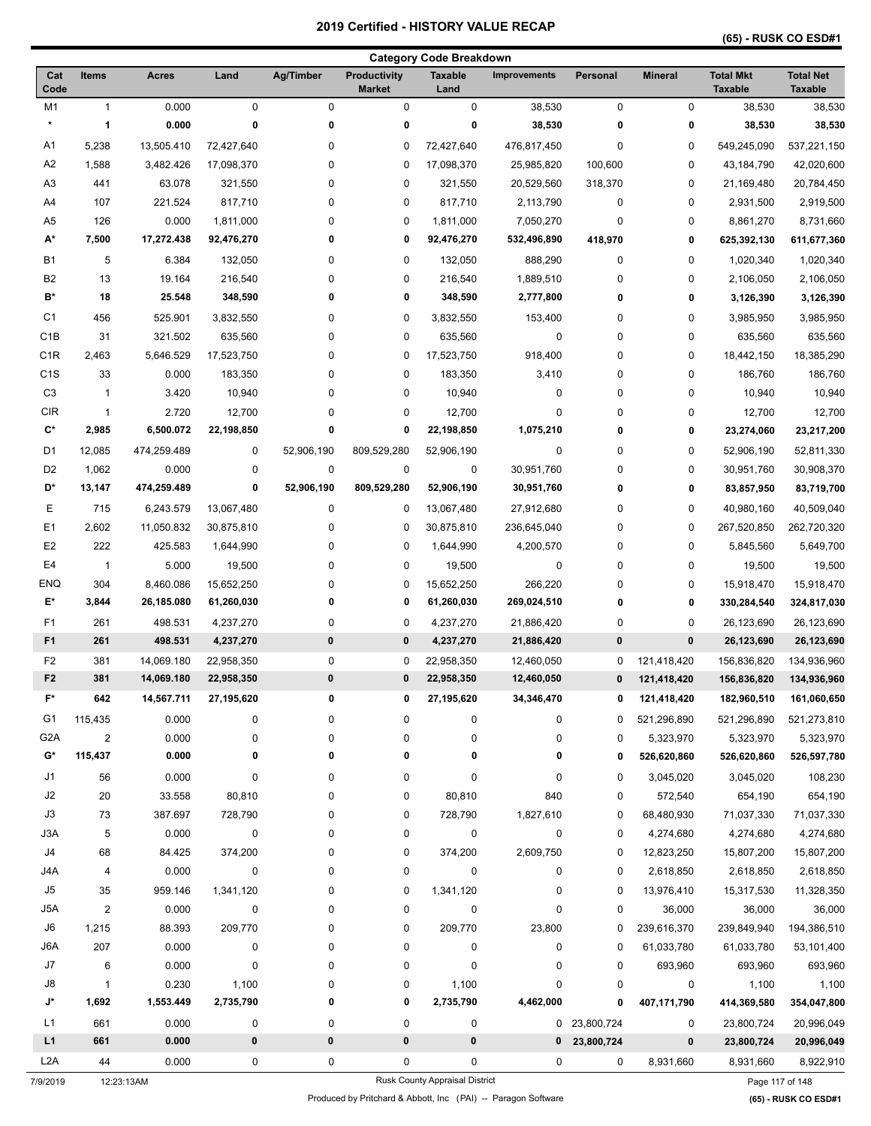|                        | <b>Category Code Breakdown</b> |                |             |             |                                      |                                |                     |                |                |                                    |                                    |
|------------------------|--------------------------------|----------------|-------------|-------------|--------------------------------------|--------------------------------|---------------------|----------------|----------------|------------------------------------|------------------------------------|
| Cat<br>Code            | <b>Items</b>                   | <b>Acres</b>   | Land        | Ag/Timber   | <b>Productivity</b><br><b>Market</b> | <b>Taxable</b><br>Land         | <b>Improvements</b> | Personal       | <b>Mineral</b> | <b>Total Mkt</b><br><b>Taxable</b> | <b>Total Net</b><br><b>Taxable</b> |
| M1                     | $\mathbf{1}$                   | 0.000          | $\mathbf 0$ | $\mathbf 0$ | 0                                    | $\pmb{0}$                      | 38,530              | 0              | $\mathbf 0$    | 38,530                             | 38,530                             |
| $\star$                | 1                              | 0.000          | 0           | 0           | 0                                    | 0                              | 38,530              | 0              | 0              | 38,530                             | 38,530                             |
| A1                     | 5,238                          | 13,505.410     | 72,427,640  | 0           | 0                                    | 72,427,640                     | 476,817,450         | 0              | 0              | 549,245,090                        | 537,221,150                        |
| A <sub>2</sub>         | 1,588                          | 3,482.426      | 17,098,370  | 0           | 0                                    | 17,098,370                     | 25,985,820          | 100,600        | 0              | 43,184,790                         | 42,020,600                         |
| A <sub>3</sub>         | 441                            | 63.078         | 321,550     | 0           | 0                                    | 321,550                        | 20,529,560          | 318,370        | 0              | 21,169,480                         | 20,784,450                         |
| A4                     | 107                            | 221.524        | 817,710     | 0           | 0                                    | 817,710                        | 2,113,790           | 0              | 0              | 2,931,500                          | 2,919,500                          |
| A5                     | 126                            | 0.000          | 1,811,000   | 0           | 0                                    | 1,811,000                      | 7,050,270           | 0              | 0              | 8,861,270                          | 8,731,660                          |
| А*                     | 7,500                          | 17,272.438     | 92,476,270  | 0           | 0                                    | 92,476,270                     | 532,496,890         | 418,970        | 0              | 625,392,130                        | 611,677,360                        |
| <b>B1</b>              | 5                              | 6.384          | 132,050     | 0           | 0                                    | 132,050                        | 888,290             | 0              | 0              | 1,020,340                          | 1,020,340                          |
| B <sub>2</sub>         | 13                             | 19.164         | 216,540     | 0           | 0                                    | 216,540                        | 1,889,510           | 0              | 0              | 2,106,050                          | 2,106,050                          |
| B*                     | 18                             | 25.548         | 348,590     | 0           | 0                                    | 348,590                        | 2,777,800           | 0              | 0              | 3,126,390                          | 3,126,390                          |
| C <sub>1</sub>         | 456                            | 525.901        | 3,832,550   | 0           | 0                                    | 3,832,550                      | 153,400             | 0              | 0              | 3,985,950                          | 3,985,950                          |
| C <sub>1</sub> B       | 31                             | 321.502        | 635,560     | 0           | 0                                    | 635,560                        | $\pmb{0}$           | 0              | 0              | 635,560                            | 635,560                            |
| C <sub>1</sub> R       | 2,463                          | 5,646.529      | 17,523,750  | 0           | 0                                    | 17,523,750                     | 918,400             | 0              | 0              | 18,442,150                         | 18,385,290                         |
| C <sub>1</sub> S       | 33                             | 0.000          | 183,350     | 0           | 0                                    | 183,350                        | 3,410               | 0              | 0              | 186,760                            | 186,760                            |
| C <sub>3</sub>         | $\mathbf{1}$                   | 3.420          | 10,940      | 0           | 0                                    | 10,940                         | 0                   | 0              | 0              | 10,940                             | 10,940                             |
| <b>CIR</b>             | $\mathbf{1}$                   | 2.720          | 12,700      | 0           | 0                                    | 12,700                         | 0                   | 0              | 0              | 12,700                             | 12,700                             |
| $\mathbf{C}^{\star}$   | 2,985                          | 6,500.072      | 22,198,850  | 0           | 0                                    | 22,198,850                     | 1,075,210           | 0              | 0              | 23,274,060                         | 23,217,200                         |
| D1                     | 12,085                         | 474,259.489    | 0           | 52,906,190  | 809,529,280                          | 52,906,190                     | 0                   | 0              | 0              | 52,906,190                         | 52,811,330                         |
| D <sub>2</sub>         | 1,062                          | 0.000          | 0           | 0           | 0                                    | 0                              | 30,951,760          | 0              | 0              | 30,951,760                         | 30,908,370                         |
| D*                     | 13,147                         | 474,259.489    | 0           | 52,906,190  | 809,529,280                          | 52,906,190                     | 30,951,760          | 0              | 0              | 83,857,950                         | 83,719,700                         |
| Е                      | 715                            | 6,243.579      | 13,067,480  | 0           | 0                                    | 13,067,480                     | 27,912,680          | 0              | 0              | 40,980,160                         | 40,509,040                         |
| E <sub>1</sub>         | 2,602                          | 11,050.832     | 30,875,810  | 0           | 0                                    | 30,875,810                     | 236,645,040         | 0              | 0              | 267,520,850                        | 262,720,320                        |
| E <sub>2</sub>         | 222                            | 425.583        | 1,644,990   | 0           | 0                                    | 1,644,990                      | 4,200,570           | 0              | 0              | 5,845,560                          | 5,649,700                          |
| E <sub>4</sub>         | $\mathbf{1}$                   | 5.000          | 19,500      | 0           | 0                                    | 19,500                         | 0                   | 0              | 0              | 19,500                             | 19,500                             |
| ENQ                    | 304                            | 8,460.086      | 15,652,250  | 0           | 0                                    | 15,652,250                     | 266,220             | 0              | 0              | 15,918,470                         | 15,918,470                         |
| E*                     | 3,844                          | 26,185.080     | 61,260,030  | 0           | 0                                    | 61,260,030                     | 269,024,510         | 0              | 0              | 330,284,540                        | 324,817,030                        |
| F1                     | 261                            | 498.531        | 4,237,270   | 0           | 0                                    | 4,237,270                      | 21,886,420          | 0              | 0              | 26,123,690                         | 26,123,690                         |
| F <sub>1</sub>         | 261                            | 498.531        | 4,237,270   | $\bf{0}$    | $\pmb{0}$                            | 4,237,270                      | 21,886,420          | 0              | $\bf{0}$       | 26,123,690                         | 26,123,690                         |
| F <sub>2</sub>         | 381                            | 14,069.180     | 22,958,350  | 0           | 0                                    | 22,958,350                     | 12,460,050          | 0              | 121,418,420    | 156,836,820                        | 134,936,960                        |
| F <sub>2</sub>         | 381                            | 14,069.180     | 22,958,350  | 0           | $\bf{0}$                             | 22,958,350                     | 12,460,050          | 0              | 121,418,420    | 156,836,820                        | 134,936,960                        |
| F*                     | 642                            | 14,567.711     | 27,195,620  | 0           | 0                                    | 27,195,620                     | 34,346,470          | 0              | 121,418,420    | 182,960,510                        | 161,060,650                        |
|                        |                                |                |             |             |                                      |                                |                     |                |                |                                    |                                    |
| G1<br>G <sub>2</sub> A | 115,435                        | 0.000          | 0           | 0           | 0                                    | 0                              | 0                   | 0              | 521,296,890    | 521,296,890                        | 521,273,810                        |
| G*                     | $\overline{2}$<br>115,437      | 0.000<br>0.000 | 0<br>0      | 0<br>0      | 0<br>0                               | 0<br>0                         | 0<br>0              | 0              | 5,323,970      | 5,323,970                          | 5,323,970                          |
|                        |                                |                |             |             |                                      |                                |                     | 0              | 526,620,860    | 526,620,860                        | 526,597,780                        |
| J1                     | 56                             | 0.000          | 0           | 0           | 0                                    | 0                              | 0                   | 0              | 3,045,020      | 3,045,020                          | 108,230                            |
| J2                     | 20                             | 33.558         | 80,810      | 0           | 0                                    | 80,810                         | 840                 | 0              | 572,540        | 654,190                            | 654,190                            |
| $\sf J3$               | 73                             | 387.697        | 728,790     | 0           | 0                                    | 728,790                        | 1,827,610           | 0              | 68,480,930     | 71,037,330                         | 71,037,330                         |
| J3A                    | 5                              | 0.000          | 0           | 0           | 0                                    | 0                              | $\pmb{0}$           | 0              | 4,274,680      | 4,274,680                          | 4,274,680                          |
| J4                     | 68                             | 84.425         | 374,200     | 0           | 0                                    | 374,200                        | 2,609,750           | 0              | 12,823,250     | 15,807,200                         | 15,807,200                         |
| J4A                    | 4                              | 0.000          | 0           | 0           | 0                                    | 0                              | 0                   | 0              | 2,618,850      | 2,618,850                          | 2,618,850                          |
| J5                     | 35                             | 959.146        | 1,341,120   | 0           | 0                                    | 1,341,120                      | 0                   | 0              | 13,976,410     | 15,317,530                         | 11,328,350                         |
| J5A                    | $\overline{2}$                 | 0.000          | 0           | 0           | 0                                    | 0                              | $\mathbf 0$         | 0              | 36,000         | 36,000                             | 36,000                             |
| J6                     | 1,215                          | 88.393         | 209,770     | 0           | 0                                    | 209,770                        | 23,800              | 0              | 239,616,370    | 239,849,940                        | 194,386,510                        |
| J6A                    | 207                            | 0.000          | $\mathbf 0$ | 0           | 0                                    | $\pmb{0}$                      | 0                   | 0              | 61,033,780     | 61,033,780                         | 53,101,400                         |
| J7                     | 6                              | 0.000          | 0           | 0           | 0                                    | 0                              | 0                   | 0              | 693,960        | 693,960                            | 693,960                            |
| J8                     | $\mathbf{1}$                   | 0.230          | 1,100       | 0           | 0                                    | 1,100                          | 0                   | 0              | $\pmb{0}$      | 1,100                              | 1,100                              |
| $\mathsf{J}^\star$     | 1,692                          | 1,553.449      | 2,735,790   | 0           | 0                                    | 2,735,790                      | 4,462,000           | 0              | 407,171,790    | 414,369,580                        | 354,047,800                        |
| L1                     | 661                            | 0.000          | 0           | 0           | 0                                    | 0                              |                     | 0 23,800,724   | 0              | 23,800,724                         | 20,996,049                         |
| L1                     | 661                            | 0.000          | $\pmb{0}$   | $\pmb{0}$   | $\pmb{0}$                            | $\pmb{0}$                      |                     | $0$ 23,800,724 | $\pmb{0}$      | 23,800,724                         | 20,996,049                         |
| L <sub>2</sub> A       | 44                             | 0.000          | 0           | 0           | 0                                    | 0                              | 0                   | 0              | 8,931,660      | 8,931,660                          | 8,922,910                          |
| 7/9/2019               |                                | 12:23:13AM     |             |             |                                      | Rusk County Appraisal District |                     |                |                |                                    | Page 117 of 148                    |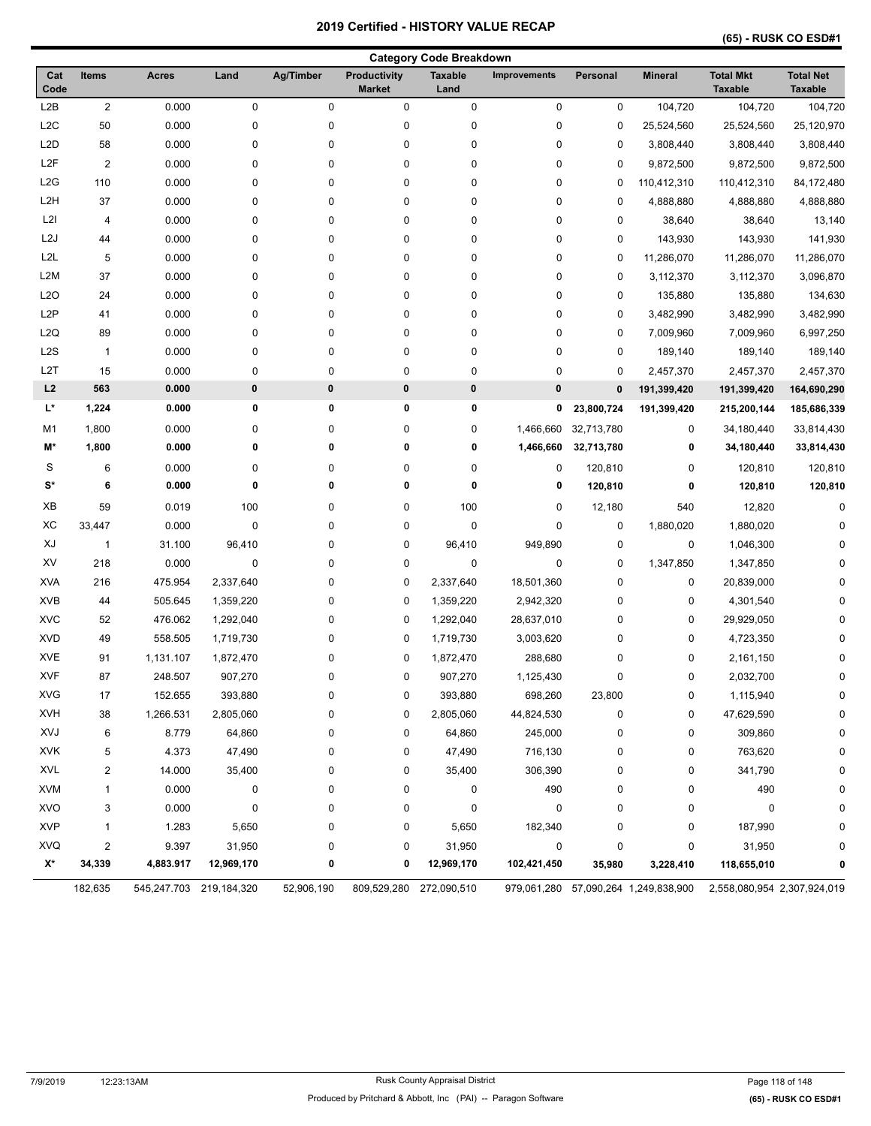| <b>Category Code Breakdown</b> |                         |              |                         |             |                               |                        |                     |             |                                      |                                    |                                    |
|--------------------------------|-------------------------|--------------|-------------------------|-------------|-------------------------------|------------------------|---------------------|-------------|--------------------------------------|------------------------------------|------------------------------------|
| Cat<br>Code                    | Items                   | <b>Acres</b> | Land                    | Ag/Timber   | Productivity<br><b>Market</b> | <b>Taxable</b><br>Land | <b>Improvements</b> | Personal    | <b>Mineral</b>                       | <b>Total Mkt</b><br><b>Taxable</b> | <b>Total Net</b><br><b>Taxable</b> |
| L2B                            | $\overline{c}$          | 0.000        | $\pmb{0}$               | $\pmb{0}$   | 0                             | 0                      | $\pmb{0}$           | 0           | 104,720                              | 104,720                            | 104,720                            |
| L <sub>2</sub> C               | 50                      | 0.000        | $\pmb{0}$               | 0           | $\pmb{0}$                     | 0                      | $\pmb{0}$           | 0           | 25,524,560                           | 25,524,560                         | 25,120,970                         |
| L <sub>2</sub> D               | 58                      | 0.000        | $\pmb{0}$               | 0           | $\pmb{0}$                     | 0                      | $\pmb{0}$           | 0           | 3,808,440                            | 3,808,440                          | 3,808,440                          |
| L <sub>2</sub> F               | $\overline{\mathbf{c}}$ | 0.000        | 0                       | 0           | 0                             | 0                      | 0                   | 0           | 9,872,500                            | 9,872,500                          | 9,872,500                          |
| L2G                            | 110                     | 0.000        | 0                       | 0           | 0                             | 0                      | 0                   | 0           | 110,412,310                          | 110,412,310                        | 84,172,480                         |
| L <sub>2</sub> H               | 37                      | 0.000        | 0                       | 0           | 0                             | 0                      | 0                   | 0           | 4,888,880                            | 4,888,880                          | 4,888,880                          |
| L2I                            | 4                       | 0.000        | 0                       | 0           | $\pmb{0}$                     | 0                      | $\pmb{0}$           | 0           | 38,640                               | 38,640                             | 13,140                             |
| L <sub>2</sub> J               | 44                      | 0.000        | 0                       | 0           | $\pmb{0}$                     | 0                      | $\pmb{0}$           | 0           | 143,930                              | 143,930                            | 141,930                            |
| L <sub>2</sub> L               | 5                       | 0.000        | 0                       | 0           | $\pmb{0}$                     | 0                      | 0                   | 0           | 11,286,070                           | 11,286,070                         | 11,286,070                         |
| L <sub>2</sub> M               | 37                      | 0.000        | 0                       | 0           | 0                             | 0                      | 0                   | 0           | 3,112,370                            | 3,112,370                          | 3,096,870                          |
| L2O                            | 24                      | 0.000        | 0                       | 0           | 0                             | 0                      | 0                   | 0           | 135,880                              | 135,880                            | 134,630                            |
| L <sub>2</sub> P               | 41                      | 0.000        | 0                       | 0           | 0                             | 0                      | 0                   | 0           | 3,482,990                            | 3,482,990                          | 3,482,990                          |
| L2Q                            | 89                      | 0.000        | 0                       | 0           | $\pmb{0}$                     | 0                      | 0                   | 0           | 7,009,960                            | 7,009,960                          | 6,997,250                          |
| L <sub>2</sub> S               | $\mathbf{1}$            | 0.000        | 0                       | 0           | $\pmb{0}$                     | 0                      | $\pmb{0}$           | 0           | 189,140                              | 189,140                            | 189,140                            |
| L2T                            | 15                      | 0.000        | 0                       | 0           | $\pmb{0}$                     | 0                      | $\pmb{0}$           | 0           | 2,457,370                            | 2,457,370                          | 2,457,370                          |
| L2                             | 563                     | 0.000        | $\pmb{0}$               | 0           | $\pmb{0}$                     | 0                      | 0                   | $\mathbf 0$ | 191,399,420                          | 191,399,420                        | 164,690,290                        |
| L*                             | 1,224                   | 0.000        | 0                       | 0           | 0                             | 0                      | 0                   | 23,800,724  | 191,399,420                          | 215,200,144                        | 185,686,339                        |
| M1                             | 1,800                   | 0.000        | 0                       | 0           | 0                             | 0                      | 1,466,660           | 32,713,780  | 0                                    | 34,180,440                         | 33,814,430                         |
| M*                             | 1,800                   | 0.000        | 0                       | 0           | 0                             | 0                      | 1,466,660           | 32,713,780  | 0                                    | 34,180,440                         | 33,814,430                         |
| S                              | 6                       | 0.000        | 0                       | 0           | 0                             | 0                      | 0                   | 120,810     | 0                                    | 120,810                            | 120,810                            |
| $\mathbf{S}^{\star}$           | 6                       | 0.000        | 0                       | $\mathbf 0$ | 0                             | 0                      | 0                   | 120,810     | 0                                    | 120,810                            | 120,810                            |
| ХB                             | 59                      | 0.019        | 100                     | 0           | 0                             | 100                    | 0                   | 12,180      | 540                                  | 12,820                             | $\Omega$                           |
| XC                             | 33,447                  | 0.000        | 0                       | 0           | 0                             | 0                      | 0                   | 0           | 1,880,020                            | 1,880,020                          | U                                  |
| XJ                             | $\mathbf{1}$            | 31.100       | 96,410                  | 0           | $\pmb{0}$                     | 96,410                 | 949,890             | 0           | 0                                    | 1,046,300                          |                                    |
| XV                             | 218                     | 0.000        | $\mathbf 0$             | 0           | 0                             | $\pmb{0}$              | 0                   | 0           | 1,347,850                            | 1,347,850                          |                                    |
| <b>XVA</b>                     | 216                     | 475.954      | 2,337,640               | 0           | 0                             | 2,337,640              | 18,501,360          | 0           | 0                                    | 20,839,000                         |                                    |
| <b>XVB</b>                     | 44                      | 505.645      | 1,359,220               | 0           | 0                             | 1,359,220              | 2,942,320           | 0           | 0                                    | 4,301,540                          |                                    |
| <b>XVC</b>                     | 52                      | 476.062      | 1,292,040               | 0           | 0                             | 1,292,040              | 28,637,010          | 0           | 0                                    | 29,929,050                         |                                    |
| <b>XVD</b>                     | 49                      | 558.505      | 1,719,730               | 0           | 0                             | 1,719,730              | 3,003,620           | 0           | 0                                    | 4,723,350                          |                                    |
| <b>XVE</b>                     | 91                      | 1,131.107    | 1,872,470               | 0           | 0                             | 1,872,470              | 288,680             | 0           | 0                                    | 2,161,150                          |                                    |
| <b>XVF</b>                     | 87                      | 248.507      | 907,270                 | 0           | 0                             | 907,270                | 1,125,430           | 0           | 0                                    | 2,032,700                          | 0                                  |
| <b>XVG</b>                     | 17                      | 152.655      | 393,880                 | 0           | $\pmb{0}$                     | 393,880                | 698,260             | 23,800      | 0                                    | 1,115,940                          | 0                                  |
| <b>XVH</b>                     | 38                      | 1,266.531    | 2,805,060               | 0           | 0                             | 2,805,060              | 44,824,530          | 0           | 0                                    | 47,629,590                         | $\Omega$                           |
| XVJ                            | 6                       | 8.779        | 64,860                  | 0           | 0                             | 64,860                 | 245,000             | 0           | 0                                    | 309,860                            | $\Omega$                           |
| XVK                            | 5                       | 4.373        | 47,490                  | 0           | 0                             | 47,490                 | 716,130             | 0           | 0                                    | 763,620                            | O                                  |
| <b>XVL</b>                     | $\overline{c}$          | 14.000       | 35,400                  | 0           | 0                             | 35,400                 | 306,390             | 0           | 0                                    | 341,790                            |                                    |
| <b>XVM</b>                     | 1                       | 0.000        | 0                       | 0           | 0                             | 0                      | 490                 | 0           | 0                                    | 490                                | 0                                  |
| <b>XVO</b>                     | 3                       | 0.000        | 0                       | 0           | 0                             | 0                      | 0                   | 0           | 0                                    | 0                                  | O                                  |
| <b>XVP</b>                     | 1                       | 1.283        | 5,650                   | 0           | 0                             | 5,650                  | 182,340             | 0           | 0                                    | 187,990                            | 0                                  |
| <b>XVQ</b>                     | 2                       | 9.397        | 31,950                  | 0           | 0                             | 31,950                 | 0                   | 0           | 0                                    | 31,950                             | 0                                  |
| X*                             | 34,339                  | 4,883.917    | 12,969,170              | 0           | 0                             | 12,969,170             | 102,421,450         | 35,980      | 3,228,410                            | 118,655,010                        | 0                                  |
|                                | 182,635                 |              | 545,247.703 219,184,320 | 52,906,190  | 809,529,280 272,090,510       |                        |                     |             | 979,061,280 57,090,264 1,249,838,900 | 2,558,080,954 2,307,924,019        |                                    |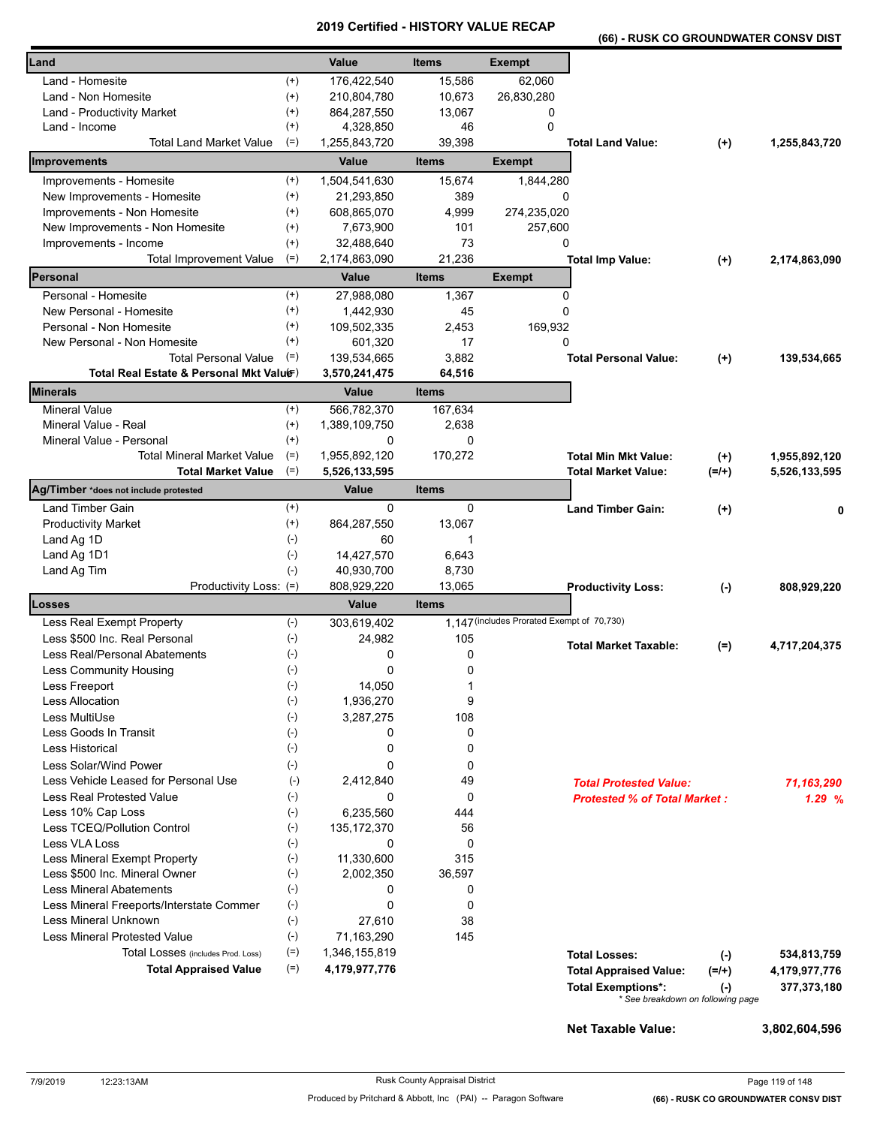|  | (66) - RUSK CO GROUNDWATER CONSV DIST |  |
|--|---------------------------------------|--|
|  |                                       |  |

| Land                                     |              | Value         | <b>Items</b> | <b>Exempt</b>                              |                                                                |           |               |
|------------------------------------------|--------------|---------------|--------------|--------------------------------------------|----------------------------------------------------------------|-----------|---------------|
| Land - Homesite                          | $^{(+)}$     | 176,422,540   | 15,586       | 62,060                                     |                                                                |           |               |
| Land - Non Homesite                      | $^{(+)}$     | 210,804,780   | 10,673       | 26,830,280                                 |                                                                |           |               |
| Land - Productivity Market               | $^{(+)}$     | 864,287,550   | 13,067       | 0                                          |                                                                |           |               |
| Land - Income                            | $^{(+)}$     | 4,328,850     | 46           | $\Omega$                                   |                                                                |           |               |
| <b>Total Land Market Value</b>           | $(=)$        | 1,255,843,720 | 39,398       |                                            | <b>Total Land Value:</b>                                       | $(+)$     | 1,255,843,720 |
|                                          |              |               |              |                                            |                                                                |           |               |
| Improvements                             |              | Value         | <b>Items</b> | <b>Exempt</b>                              |                                                                |           |               |
| Improvements - Homesite                  | $^{(+)}$     | 1,504,541,630 | 15,674       | 1,844,280                                  |                                                                |           |               |
| New Improvements - Homesite              | $^{(+)}$     | 21,293,850    | 389          | 0                                          |                                                                |           |               |
| Improvements - Non Homesite              | $^{(+)}$     | 608,865,070   | 4,999        | 274,235,020                                |                                                                |           |               |
| New Improvements - Non Homesite          | $^{(+)}$     | 7,673,900     | 101          | 257,600                                    |                                                                |           |               |
| Improvements - Income                    | $^{(+)}$     | 32,488,640    | 73           | 0                                          |                                                                |           |               |
| <b>Total Improvement Value</b>           | $(=)$        | 2,174,863,090 | 21,236       |                                            | <b>Total Imp Value:</b>                                        | $^{(+)}$  | 2,174,863,090 |
| Personal                                 |              | Value         | <b>Items</b> | <b>Exempt</b>                              |                                                                |           |               |
| Personal - Homesite                      | $^{(+)}$     | 27,988,080    | 1,367        | $\Omega$                                   |                                                                |           |               |
| New Personal - Homesite                  | $^{(+)}$     | 1,442,930     | 45           | 0                                          |                                                                |           |               |
| Personal - Non Homesite                  | $^{(+)}$     | 109,502,335   | 2,453        | 169,932                                    |                                                                |           |               |
| New Personal - Non Homesite              | $^{(+)}$     | 601,320       | 17           | 0                                          |                                                                |           |               |
| <b>Total Personal Value</b>              | $(=)$        | 139,534,665   | 3,882        |                                            | <b>Total Personal Value:</b>                                   |           |               |
| Total Real Estate & Personal Mkt Valuer) |              |               |              |                                            |                                                                | $(+)$     | 139,534,665   |
|                                          |              | 3,570,241,475 | 64,516       |                                            |                                                                |           |               |
| <b>Minerals</b>                          |              | <b>Value</b>  | <b>Items</b> |                                            |                                                                |           |               |
| <b>Mineral Value</b>                     | $^{(+)}$     | 566,782,370   | 167,634      |                                            |                                                                |           |               |
| Mineral Value - Real                     | $^{(+)}$     | 1,389,109,750 | 2,638        |                                            |                                                                |           |               |
| Mineral Value - Personal                 | $(+)$        | 0             | $\mathbf{0}$ |                                            |                                                                |           |               |
| <b>Total Mineral Market Value</b>        | $(=)$        | 1,955,892,120 | 170,272      |                                            | <b>Total Min Mkt Value:</b>                                    | $(+)$     | 1,955,892,120 |
| <b>Total Market Value</b>                | $(=)$        | 5,526,133,595 |              |                                            | <b>Total Market Value:</b>                                     | $(=/+)$   | 5,526,133,595 |
| Ag/Timber *does not include protested    |              | <b>Value</b>  | <b>Items</b> |                                            |                                                                |           |               |
| <b>Land Timber Gain</b>                  | $^{(+)}$     | $\Omega$      | 0            |                                            | <b>Land Timber Gain:</b>                                       | $^{(+)}$  | 0             |
| <b>Productivity Market</b>               | $^{(+)}$     | 864,287,550   | 13,067       |                                            |                                                                |           |               |
| Land Ag 1D                               | $(-)$        | 60            | 1            |                                            |                                                                |           |               |
| Land Ag 1D1                              | $(-)$        | 14,427,570    | 6,643        |                                            |                                                                |           |               |
| Land Ag Tim                              | $(-)$        | 40,930,700    | 8,730        |                                            |                                                                |           |               |
| Productivity Loss: (=)                   |              | 808,929,220   | 13,065       |                                            | <b>Productivity Loss:</b>                                      | $(\cdot)$ | 808,929,220   |
| <b>Losses</b>                            |              | Value         | <b>Items</b> |                                            |                                                                |           |               |
|                                          |              |               |              | 1,147 (includes Prorated Exempt of 70,730) |                                                                |           |               |
| Less Real Exempt Property                | $(-)$        | 303,619,402   |              |                                            |                                                                |           |               |
| Less \$500 Inc. Real Personal            | $(\text{-})$ | 24,982        | 105          |                                            | <b>Total Market Taxable:</b>                                   | $(=)$     | 4,717,204,375 |
| Less Real/Personal Abatements            | $(-)$        | 0             | 0            |                                            |                                                                |           |               |
| Less Community Housing                   | $(\text{-})$ | 0             | 0            |                                            |                                                                |           |               |
| Less Freeport                            | $(\cdot)$    | 14,050        |              |                                            |                                                                |           |               |
| <b>Less Allocation</b>                   | $(-)$        | 1,936,270     | 9            |                                            |                                                                |           |               |
| Less MultiUse                            | $(-)$        | 3,287,275     | 108          |                                            |                                                                |           |               |
| Less Goods In Transit                    | $(\text{-})$ | 0             | 0            |                                            |                                                                |           |               |
| <b>Less Historical</b>                   | $(-)$        | 0             | 0            |                                            |                                                                |           |               |
| Less Solar/Wind Power                    | $(-)$        | 0             | 0            |                                            |                                                                |           |               |
| Less Vehicle Leased for Personal Use     | $(-)$        | 2,412,840     | 49           |                                            | <b>Total Protested Value:</b>                                  |           | 71,163,290    |
| Less Real Protested Value                | $(\cdot)$    | 0             | 0            |                                            | <b>Protested % of Total Market:</b>                            |           | 1.29%         |
| Less 10% Cap Loss                        | $(-)$        | 6,235,560     | 444          |                                            |                                                                |           |               |
| Less TCEQ/Pollution Control              | $(-)$        | 135, 172, 370 | 56           |                                            |                                                                |           |               |
| Less VLA Loss                            | $(-)$        | 0             | $\mathbf 0$  |                                            |                                                                |           |               |
| Less Mineral Exempt Property             | $(-)$        | 11,330,600    | 315          |                                            |                                                                |           |               |
| Less \$500 Inc. Mineral Owner            | $(\cdot)$    | 2,002,350     | 36,597       |                                            |                                                                |           |               |
| <b>Less Mineral Abatements</b>           | $(-)$        | 0             | 0            |                                            |                                                                |           |               |
| Less Mineral Freeports/Interstate Commer | $(\text{-})$ | 0             | 0            |                                            |                                                                |           |               |
| Less Mineral Unknown                     | $(-)$        | 27,610        | 38           |                                            |                                                                |           |               |
| <b>Less Mineral Protested Value</b>      | $(-)$        | 71,163,290    | 145          |                                            |                                                                |           |               |
| Total Losses (includes Prod. Loss)       | $(=)$        | 1,346,155,819 |              |                                            | <b>Total Losses:</b>                                           |           |               |
| <b>Total Appraised Value</b>             | $(=)$        | 4,179,977,776 |              |                                            |                                                                | $(-)$     | 534,813,759   |
|                                          |              |               |              |                                            | <b>Total Appraised Value:</b>                                  | $(=/+)$   | 4,179,977,776 |
|                                          |              |               |              |                                            | <b>Total Exemptions*:</b><br>* See breakdown on following page | $(\cdot)$ | 377,373,180   |
|                                          |              |               |              |                                            |                                                                |           |               |
|                                          |              |               |              |                                            | Net Taxable Value:                                             |           | 3,802,604,596 |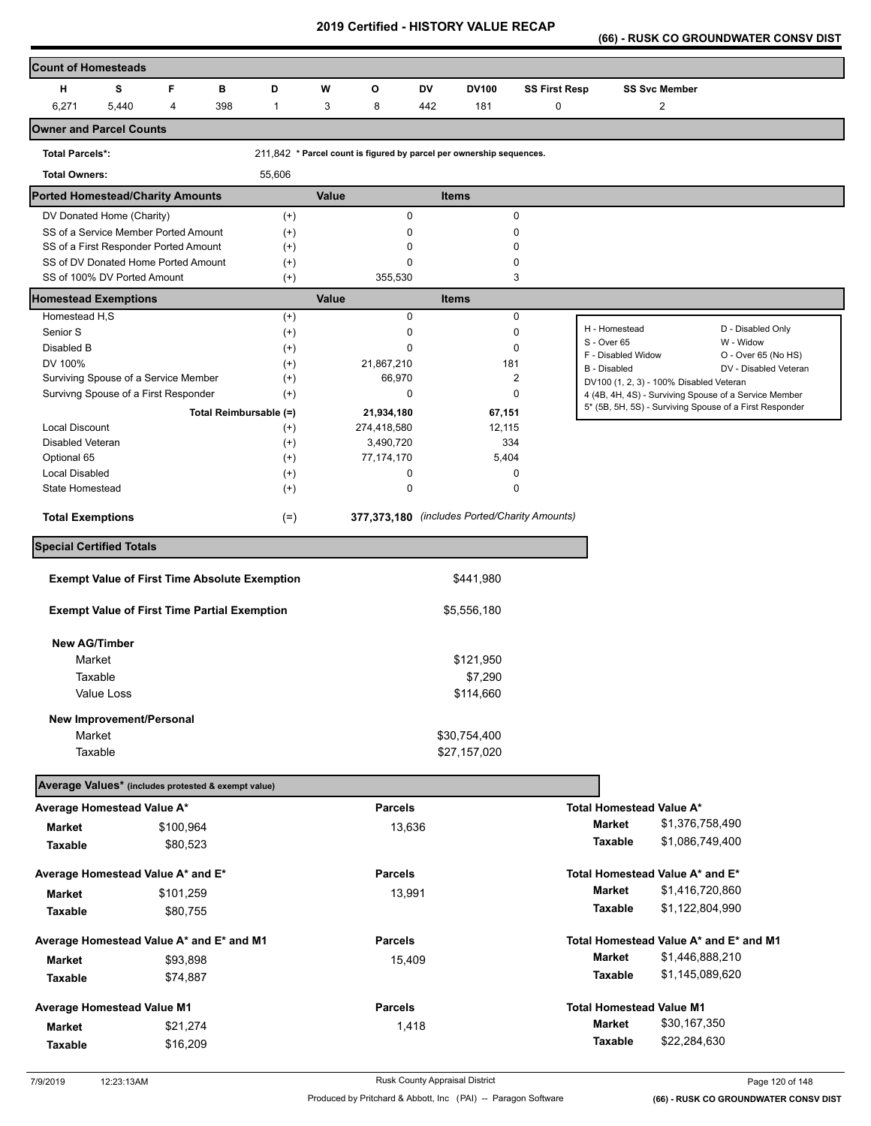**(66) - RUSK CO GROUNDWATER CONSV DIST** 

| <b>Count of Homesteads</b>                                         |       |           |                                                      |              |                |     |                                                                      |                      |                                         |                      |                                                                                                                  |
|--------------------------------------------------------------------|-------|-----------|------------------------------------------------------|--------------|----------------|-----|----------------------------------------------------------------------|----------------------|-----------------------------------------|----------------------|------------------------------------------------------------------------------------------------------------------|
| н                                                                  | s     | F<br>B    | D                                                    | W            | O              | DV  | <b>DV100</b>                                                         | <b>SS First Resp</b> |                                         | <b>SS Svc Member</b> |                                                                                                                  |
| 6,271                                                              | 5,440 | 4         | 398<br>1                                             | 3            | 8              | 442 | 181                                                                  | 0                    |                                         | $\overline{c}$       |                                                                                                                  |
| <b>Owner and Parcel Counts</b>                                     |       |           |                                                      |              |                |     |                                                                      |                      |                                         |                      |                                                                                                                  |
|                                                                    |       |           |                                                      |              |                |     |                                                                      |                      |                                         |                      |                                                                                                                  |
| <b>Total Parcels*:</b>                                             |       |           |                                                      |              |                |     | 211,842 * Parcel count is figured by parcel per ownership sequences. |                      |                                         |                      |                                                                                                                  |
| <b>Total Owners:</b>                                               |       |           | 55,606                                               |              |                |     |                                                                      |                      |                                         |                      |                                                                                                                  |
| <b>Ported Homestead/Charity Amounts</b>                            |       |           |                                                      | <b>Value</b> |                |     | <b>Items</b>                                                         |                      |                                         |                      |                                                                                                                  |
| DV Donated Home (Charity)                                          |       |           | $^{(+)}$                                             |              | 0              |     |                                                                      | 0                    |                                         |                      |                                                                                                                  |
| SS of a Service Member Ported Amount                               |       |           | $^{(+)}$                                             |              | $\mathbf 0$    |     |                                                                      | 0                    |                                         |                      |                                                                                                                  |
| SS of a First Responder Ported Amount                              |       |           | $^{(+)}$                                             |              | 0              |     |                                                                      | 0                    |                                         |                      |                                                                                                                  |
| SS of DV Donated Home Ported Amount<br>SS of 100% DV Ported Amount |       |           | $^{(+)}$                                             |              | $\Omega$       |     |                                                                      | 0<br>3               |                                         |                      |                                                                                                                  |
|                                                                    |       |           | $^{(+)}$                                             |              | 355,530        |     |                                                                      |                      |                                         |                      |                                                                                                                  |
| <b>Homestead Exemptions</b>                                        |       |           |                                                      | <b>Value</b> |                |     | <b>Items</b>                                                         |                      |                                         |                      |                                                                                                                  |
| Homestead H,S                                                      |       |           | $^{(+)}$                                             |              | $\mathbf 0$    |     |                                                                      | 0                    | H - Homestead                           |                      | D - Disabled Only                                                                                                |
| Senior S                                                           |       |           | $^{(+)}$                                             |              | 0              |     |                                                                      | 0                    | S - Over 65                             |                      | W - Widow                                                                                                        |
| Disabled B                                                         |       |           | $^{(+)}$                                             |              | $\Omega$       |     |                                                                      | 0                    | F - Disabled Widow                      |                      | O - Over 65 (No HS)                                                                                              |
| DV 100%                                                            |       |           | $^{(+)}$                                             |              | 21,867,210     |     | 181                                                                  |                      | B - Disabled                            |                      | DV - Disabled Veteran                                                                                            |
| Surviving Spouse of a Service Member                               |       |           | $^{(+)}$                                             |              | 66,970         |     |                                                                      | 2<br>$\mathbf{0}$    | DV100 (1, 2, 3) - 100% Disabled Veteran |                      |                                                                                                                  |
| Survivng Spouse of a First Responder                               |       |           | $^{(+)}$                                             |              | $\mathbf 0$    |     |                                                                      |                      |                                         |                      | 4 (4B, 4H, 4S) - Surviving Spouse of a Service Member<br>5* (5B, 5H, 5S) - Surviving Spouse of a First Responder |
|                                                                    |       |           | Total Reimbursable (=)                               |              | 21,934,180     |     | 67,151                                                               |                      |                                         |                      |                                                                                                                  |
| <b>Local Discount</b>                                              |       |           | $^{(+)}$                                             |              | 274,418,580    |     | 12,115                                                               |                      |                                         |                      |                                                                                                                  |
| Disabled Veteran                                                   |       |           | $^{(+)}$                                             |              | 3,490,720      |     | 334                                                                  |                      |                                         |                      |                                                                                                                  |
| Optional 65                                                        |       |           | $^{(+)}$                                             |              | 77, 174, 170   |     | 5,404                                                                |                      |                                         |                      |                                                                                                                  |
| <b>Local Disabled</b>                                              |       |           | $^{(+)}$                                             |              | 0              |     |                                                                      | 0                    |                                         |                      |                                                                                                                  |
| State Homestead                                                    |       |           | $^{(+)}$                                             |              | 0              |     |                                                                      | 0                    |                                         |                      |                                                                                                                  |
| <b>Total Exemptions</b>                                            |       |           | $(=)$                                                |              |                |     | 377,373,180 (includes Ported/Charity Amounts)                        |                      |                                         |                      |                                                                                                                  |
| <b>Special Certified Totals</b>                                    |       |           |                                                      |              |                |     |                                                                      |                      |                                         |                      |                                                                                                                  |
|                                                                    |       |           | <b>Exempt Value of First Time Absolute Exemption</b> |              |                |     | \$441,980                                                            |                      |                                         |                      |                                                                                                                  |
| <b>Exempt Value of First Time Partial Exemption</b>                |       |           |                                                      |              |                |     | \$5,556,180                                                          |                      |                                         |                      |                                                                                                                  |
|                                                                    |       |           |                                                      |              |                |     |                                                                      |                      |                                         |                      |                                                                                                                  |
| <b>New AG/Timber</b>                                               |       |           |                                                      |              |                |     |                                                                      |                      |                                         |                      |                                                                                                                  |
| Market                                                             |       |           |                                                      |              |                |     | \$121,950                                                            |                      |                                         |                      |                                                                                                                  |
| Taxable                                                            |       |           |                                                      |              |                |     | \$7,290                                                              |                      |                                         |                      |                                                                                                                  |
| Value Loss                                                         |       |           |                                                      |              |                |     | \$114,660                                                            |                      |                                         |                      |                                                                                                                  |
| New Improvement/Personal                                           |       |           |                                                      |              |                |     |                                                                      |                      |                                         |                      |                                                                                                                  |
| Market                                                             |       |           |                                                      |              |                |     | \$30,754,400                                                         |                      |                                         |                      |                                                                                                                  |
| Taxable                                                            |       |           |                                                      |              |                |     | \$27,157,020                                                         |                      |                                         |                      |                                                                                                                  |
|                                                                    |       |           |                                                      |              |                |     |                                                                      |                      |                                         |                      |                                                                                                                  |
| Average Values* (includes protested & exempt value)                |       |           |                                                      |              |                |     |                                                                      |                      |                                         |                      |                                                                                                                  |
| Average Homestead Value A*                                         |       |           |                                                      |              | <b>Parcels</b> |     |                                                                      |                      | <b>Total Homestead Value A*</b>         |                      |                                                                                                                  |
| Market                                                             |       | \$100,964 |                                                      |              | 13,636         |     |                                                                      |                      | <b>Market</b>                           | \$1,376,758,490      |                                                                                                                  |
| <b>Taxable</b>                                                     |       | \$80,523  |                                                      |              |                |     |                                                                      |                      | Taxable                                 | \$1,086,749,400      |                                                                                                                  |
| Average Homestead Value A* and E*                                  |       |           |                                                      |              | <b>Parcels</b> |     |                                                                      |                      | Total Homestead Value A* and E*         |                      |                                                                                                                  |
| Market                                                             |       | \$101,259 |                                                      |              | 13,991         |     |                                                                      |                      | <b>Market</b>                           | \$1,416,720,860      |                                                                                                                  |
|                                                                    |       |           |                                                      |              |                |     |                                                                      |                      | Taxable                                 | \$1,122,804,990      |                                                                                                                  |
| Taxable                                                            |       | \$80,755  |                                                      |              |                |     |                                                                      |                      |                                         |                      |                                                                                                                  |
| Average Homestead Value A* and E* and M1                           |       |           |                                                      |              | <b>Parcels</b> |     |                                                                      |                      |                                         |                      | Total Homestead Value A* and E* and M1                                                                           |
| Market                                                             |       | \$93,898  |                                                      |              | 15,409         |     |                                                                      |                      | <b>Market</b>                           | \$1,446,888,210      |                                                                                                                  |
| Taxable                                                            |       | \$74,887  |                                                      |              |                |     |                                                                      |                      | Taxable                                 | \$1,145,089,620      |                                                                                                                  |
| <b>Average Homestead Value M1</b>                                  |       |           |                                                      |              | <b>Parcels</b> |     |                                                                      |                      | <b>Total Homestead Value M1</b>         |                      |                                                                                                                  |
|                                                                    |       | \$21,274  |                                                      |              | 1,418          |     |                                                                      |                      | <b>Market</b>                           | \$30,167,350         |                                                                                                                  |
| <b>Market</b>                                                      |       |           |                                                      |              |                |     |                                                                      |                      | Taxable                                 | \$22,284,630         |                                                                                                                  |
| Taxable                                                            |       | \$16,209  |                                                      |              |                |     |                                                                      |                      |                                         |                      |                                                                                                                  |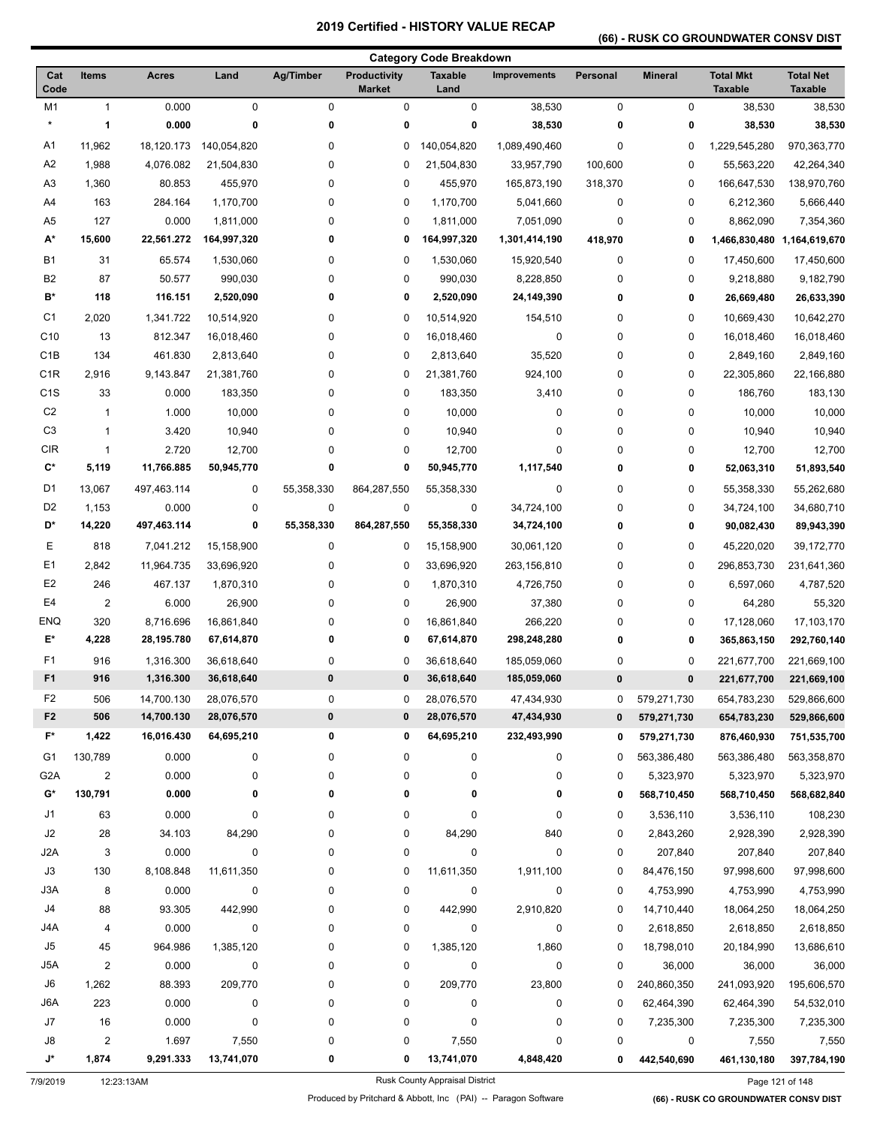## **(66) - RUSK CO GROUNDWATER CONSV DIST**

|                  |                         |                          |                          |                        |                                      | <b>Category Code Breakdown</b> |                            |               |                |                                    |                                    |
|------------------|-------------------------|--------------------------|--------------------------|------------------------|--------------------------------------|--------------------------------|----------------------------|---------------|----------------|------------------------------------|------------------------------------|
| Cat<br>Code      | <b>Items</b>            | <b>Acres</b>             | Land                     | Ag/Timber              | <b>Productivity</b><br><b>Market</b> | <b>Taxable</b><br>Land         | <b>Improvements</b>        | Personal      | <b>Mineral</b> | <b>Total Mkt</b><br><b>Taxable</b> | <b>Total Net</b><br><b>Taxable</b> |
| M1               | $\mathbf{1}$            | 0.000                    | 0                        | $\pmb{0}$              | 0                                    | 0                              | 38,530                     | $\pmb{0}$     | 0              | 38,530                             | 38,530                             |
| $\star$          | 1                       | 0.000                    | 0                        | 0                      | 0                                    | 0                              | 38,530                     | $\bf{0}$      | 0              | 38,530                             | 38,530                             |
| A1               | 11,962                  | 18,120.173               | 140,054,820              | 0                      | 0                                    | 140,054,820                    | 1,089,490,460              | 0             | 0              | 1,229,545,280                      | 970,363,770                        |
| A <sub>2</sub>   | 1,988                   | 4,076.082                | 21,504,830               | 0                      | 0                                    | 21,504,830                     | 33,957,790                 | 100,600       | 0              | 55,563,220                         | 42,264,340                         |
| A <sub>3</sub>   | 1,360                   | 80.853                   | 455,970                  | 0                      | 0                                    | 455,970                        | 165,873,190                | 318,370       | 0              | 166,647,530                        | 138,970,760                        |
| A4               | 163                     | 284.164                  | 1,170,700                | 0                      | 0                                    | 1,170,700                      | 5,041,660                  | $\mathbf 0$   | 0              | 6,212,360                          | 5,666,440                          |
| A5               | 127                     | 0.000                    | 1,811,000                | $\pmb{0}$              | 0                                    | 1,811,000                      | 7,051,090                  | $\mathbf 0$   | 0              | 8,862,090                          | 7,354,360                          |
| A*               | 15,600                  | 22,561.272               | 164,997,320              | 0                      | 0                                    | 164,997,320                    | 1,301,414,190              | 418,970       | 0              | 1,466,830,480                      | 1,164,619,670                      |
| <b>B1</b>        | 31                      | 65.574                   | 1,530,060                | 0                      | 0                                    | 1,530,060                      | 15,920,540                 | $\mathbf 0$   | 0              | 17,450,600                         | 17,450,600                         |
| B <sub>2</sub>   | 87                      | 50.577                   | 990,030                  | $\pmb{0}$              | 0                                    | 990,030                        | 8,228,850                  | 0             | 0              | 9,218,880                          | 9,182,790                          |
| B*               | 118                     | 116.151                  | 2,520,090                | 0                      | 0                                    | 2,520,090                      | 24,149,390                 | 0             | 0              | 26,669,480                         | 26,633,390                         |
| C <sub>1</sub>   | 2,020                   | 1,341.722                | 10,514,920               | 0                      | 0                                    | 10,514,920                     | 154,510                    | 0             | 0              | 10,669,430                         | 10,642,270                         |
| C <sub>10</sub>  | 13                      | 812.347                  | 16,018,460               | 0                      | 0                                    | 16,018,460                     | 0                          | 0             | 0              | 16,018,460                         | 16,018,460                         |
| C <sub>1</sub> B | 134                     | 461.830                  | 2,813,640                | $\mathbf 0$            | 0                                    | 2,813,640                      | 35,520                     | 0             | 0              | 2,849,160                          | 2,849,160                          |
| C <sub>1</sub> R | 2,916                   | 9,143.847                | 21,381,760               | 0                      | 0                                    | 21,381,760                     | 924,100                    | 0             | 0              | 22,305,860                         | 22,166,880                         |
| C <sub>1</sub> S | 33                      | 0.000                    | 183,350                  | 0                      | 0                                    | 183,350                        | 3,410                      | 0             | 0              | 186,760                            | 183,130                            |
| C <sub>2</sub>   | $\mathbf{1}$            | 1.000                    | 10,000                   | 0                      | 0                                    | 10,000                         | 0                          | 0             | 0              | 10,000                             | 10,000                             |
| C <sub>3</sub>   | $\mathbf{1}$            | 3.420                    | 10,940                   | 0                      | 0                                    | 10,940                         | 0                          | 0             | 0              | 10,940                             | 10,940                             |
| <b>CIR</b>       | $\mathbf{1}$            | 2.720                    | 12,700                   | 0                      | 0                                    | 12,700                         | 0                          | 0             | 0              | 12,700                             | 12,700                             |
| C*               | 5,119                   | 11,766.885               | 50,945,770               | 0                      | 0                                    | 50,945,770                     | 1,117,540                  | 0             | 0              | 52,063,310                         | 51,893,540                         |
| D1               | 13,067                  | 497,463.114              | 0                        | 55,358,330             | 864,287,550                          | 55,358,330                     | 0                          | 0             | 0              | 55,358,330                         | 55,262,680                         |
| D <sub>2</sub>   | 1,153                   | 0.000                    | 0                        | $\pmb{0}$              | 0                                    | 0                              | 34,724,100                 | 0             | 0              | 34,724,100                         | 34,680,710                         |
| D*               | 14,220                  | 497,463.114              | 0                        | 55,358,330             | 864,287,550                          | 55,358,330                     | 34,724,100                 | 0             | 0              | 90,082,430                         | 89,943,390                         |
| Ε                | 818                     | 7,041.212                | 15,158,900               | 0                      | 0                                    | 15,158,900                     | 30,061,120                 | 0             | 0              | 45,220,020                         | 39,172,770                         |
| E <sub>1</sub>   | 2,842                   | 11,964.735               | 33,696,920               | 0                      | 0                                    | 33,696,920                     | 263,156,810                | 0             | 0              | 296,853,730                        | 231,641,360                        |
| E <sub>2</sub>   | 246                     | 467.137                  | 1,870,310                | 0                      | 0                                    | 1,870,310                      | 4,726,750                  | 0             | 0              | 6,597,060                          | 4,787,520                          |
| E <sub>4</sub>   | $\mathbf 2$             | 6.000                    | 26,900                   | 0                      | 0                                    | 26,900                         | 37,380                     | 0             | 0              | 64,280                             | 55,320                             |
| ENQ              | 320                     | 8,716.696                | 16,861,840               | 0                      | 0                                    | 16,861,840                     | 266,220                    | 0             | 0              | 17,128,060                         | 17,103,170                         |
| E*               | 4,228                   | 28,195.780               | 67,614,870               | 0                      | 0                                    | 67,614,870                     | 298,248,280                | 0             | 0              | 365,863,150                        | 292,760,140                        |
| F <sub>1</sub>   | 916                     |                          | 36,618,640               | 0                      | 0                                    | 36,618,640                     |                            | 0             | 0              | 221,677,700                        | 221,669,100                        |
| F <sub>1</sub>   | 916                     | 1,316.300<br>1,316.300   | 36,618,640               | 0                      | 0                                    | 36,618,640                     | 185,059,060<br>185,059,060 | $\pmb{0}$     | 0              | 221,677,700                        | 221,669,100                        |
| F <sub>2</sub>   |                         |                          |                          |                        |                                      |                                |                            |               |                |                                    |                                    |
| F <sub>2</sub>   | 506<br>506              | 14,700.130<br>14,700.130 | 28,076,570<br>28,076,570 | $\pmb{0}$<br>$\pmb{0}$ | 0<br>0                               | 28,076,570<br>28,076,570       | 47,434,930<br>47,434,930   | 0<br>$\bf{0}$ | 579,271,730    | 654,783,230<br>654,783,230         | 529,866,600<br>529,866,600         |
| F*               | 1,422                   | 16,016.430               | 64,695,210               | 0                      | 0                                    | 64,695,210                     | 232,493,990                |               | 579,271,730    |                                    |                                    |
|                  |                         |                          |                          |                        |                                      |                                |                            | 0             | 579,271,730    | 876,460,930                        | 751,535,700                        |
| G1               | 130,789                 | 0.000                    | 0                        | 0                      | 0                                    | 0                              | 0                          | 0             | 563,386,480    | 563,386,480                        | 563,358,870                        |
| G <sub>2</sub> A | $\overline{2}$          | 0.000                    | 0                        | 0                      | 0                                    | 0                              | 0                          | 0             | 5,323,970      | 5,323,970                          | 5,323,970                          |
| G*               | 130,791                 | 0.000                    | 0                        | 0                      | 0                                    | 0                              | 0                          | 0             | 568,710,450    | 568,710,450                        | 568,682,840                        |
| J1               | 63                      | 0.000                    | 0                        | 0                      | 0                                    | 0                              | 0                          | 0             | 3,536,110      | 3,536,110                          | 108,230                            |
| J2               | 28                      | 34.103                   | 84,290                   | 0                      | 0                                    | 84,290                         | 840                        | 0             | 2,843,260      | 2,928,390                          | 2,928,390                          |
| J2A              | 3                       | 0.000                    | 0                        | 0                      | 0                                    | $\mathbf 0$                    | 0                          | $\pmb{0}$     | 207,840        | 207,840                            | 207,840                            |
| J3               | 130                     | 8,108.848                | 11,611,350               | 0                      | 0                                    | 11,611,350                     | 1,911,100                  | 0             | 84,476,150     | 97,998,600                         | 97,998,600                         |
| J3A              | 8                       | 0.000                    | 0                        | 0                      | 0                                    | 0                              | 0                          | 0             | 4,753,990      | 4,753,990                          | 4,753,990                          |
| J4               | 88                      | 93.305                   | 442,990                  | 0                      | 0                                    | 442,990                        | 2,910,820                  | 0             | 14,710,440     | 18,064,250                         | 18,064,250                         |
| J4A              | 4                       | 0.000                    | 0                        | 0                      | 0                                    | 0                              | 0                          | 0             | 2,618,850      | 2,618,850                          | 2,618,850                          |
| J5               | 45                      | 964.986                  | 1,385,120                | 0                      | 0                                    | 1,385,120                      | 1,860                      | 0             | 18,798,010     | 20,184,990                         | 13,686,610                         |
| J5A              | $\overline{\mathbf{c}}$ | 0.000                    | 0                        | $\pmb{0}$              | 0                                    | 0                              | 0                          | $\pmb{0}$     | 36,000         | 36,000                             | 36,000                             |
| J6               | 1,262                   | 88.393                   | 209,770                  | 0                      | 0                                    | 209,770                        | 23,800                     | 0             | 240,860,350    | 241,093,920                        | 195,606,570                        |
| J6A              | 223                     | 0.000                    | 0                        | 0                      | 0                                    | 0                              | 0                          | 0             | 62,464,390     | 62,464,390                         | 54,532,010                         |
| J7               | 16                      | 0.000                    | 0                        | 0                      | 0                                    | 0                              | 0                          | 0             | 7,235,300      | 7,235,300                          | 7,235,300                          |
| J8               | $\overline{2}$          | 1.697                    | 7,550                    | 0                      | 0                                    | 7,550                          | 0                          | 0             | 0              | 7,550                              | 7,550                              |
| J*               | 1,874                   | 9,291.333                | 13,741,070               | 0                      | 0                                    | 13,741,070                     | 4,848,420                  | 0             | 442,540,690    | 461,130,180                        | 397,784,190                        |

7/9/2019 12:23:13AM Rusk County Appraisal District Page 121 of 148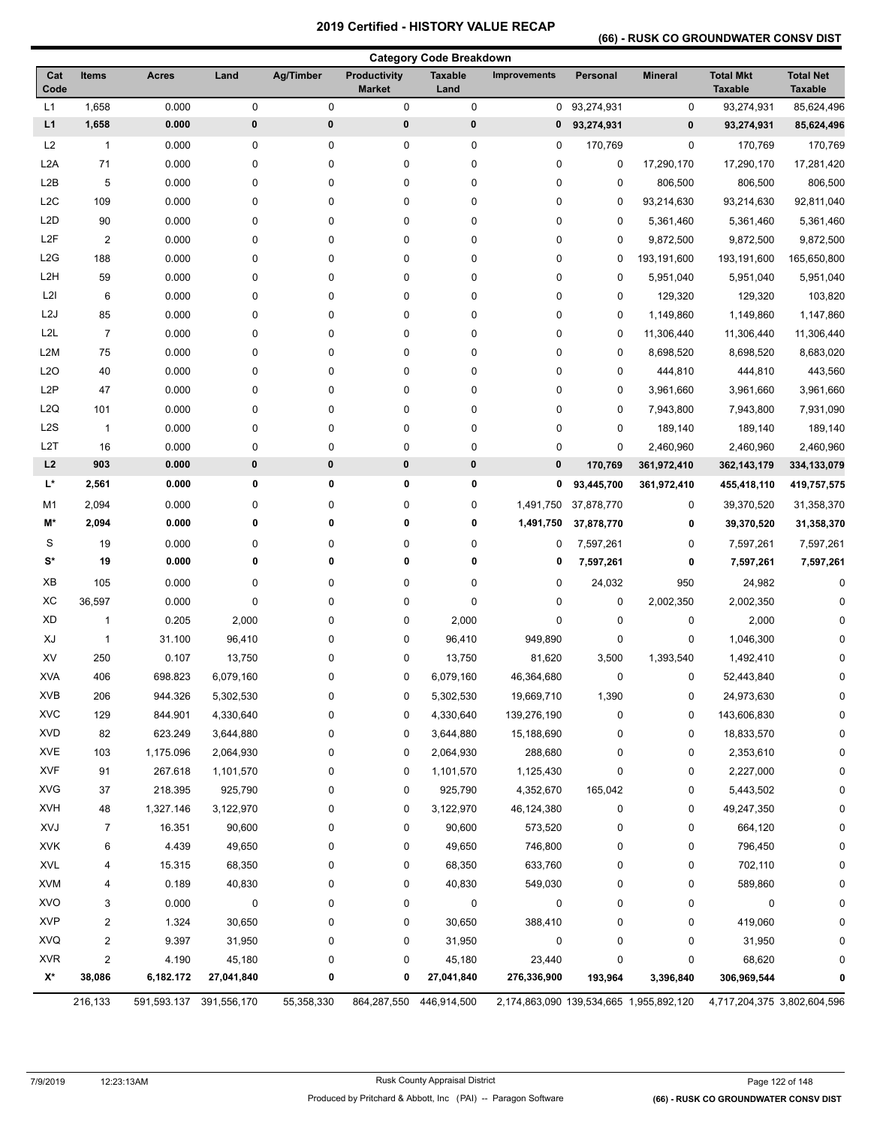## **(66) - RUSK CO GROUNDWATER CONSV DIST**

|                  |                         |              |             |             |                                      | <b>Category Code Breakdown</b> |              |             |                                         |                                    |                                    |
|------------------|-------------------------|--------------|-------------|-------------|--------------------------------------|--------------------------------|--------------|-------------|-----------------------------------------|------------------------------------|------------------------------------|
| Cat<br>Code      | <b>Items</b>            | <b>Acres</b> | Land        | Ag/Timber   | <b>Productivity</b><br><b>Market</b> | <b>Taxable</b><br>Land         | Improvements | Personal    | <b>Mineral</b>                          | <b>Total Mkt</b><br><b>Taxable</b> | <b>Total Net</b><br><b>Taxable</b> |
| L1               | 1,658                   | 0.000        | 0           | 0           | $\pmb{0}$                            | $\pmb{0}$                      | 0            | 93,274,931  | 0                                       | 93,274,931                         | 85,624,496                         |
| L1               | 1,658                   | 0.000        | 0           | $\pmb{0}$   | $\pmb{0}$                            | 0                              | 0            | 93,274,931  | 0                                       | 93,274,931                         | 85,624,496                         |
| L2               | $\mathbf{1}$            | 0.000        | 0           | 0           | 0                                    | 0                              | 0            | 170,769     | 0                                       | 170,769                            | 170,769                            |
| L <sub>2</sub> A | 71                      | 0.000        | 0           | 0           | 0                                    | $\pmb{0}$                      | 0            | $\mathbf 0$ | 17,290,170                              | 17,290,170                         | 17,281,420                         |
| L <sub>2</sub> B | 5                       | 0.000        | 0           | 0           | $\pmb{0}$                            | $\pmb{0}$                      | 0            | $\mathbf 0$ | 806,500                                 | 806,500                            | 806,500                            |
| L <sub>2</sub> C | 109                     | 0.000        | 0           | 0           | $\pmb{0}$                            | $\pmb{0}$                      | 0            | 0           | 93,214,630                              | 93,214,630                         | 92,811,040                         |
| L <sub>2</sub> D | 90                      | 0.000        | 0           | 0           | 0                                    | 0                              | 0            | $\mathbf 0$ | 5,361,460                               | 5,361,460                          | 5,361,460                          |
| L <sub>2</sub> F | $\boldsymbol{2}$        | 0.000        | 0           | 0           | 0                                    | 0                              | 0            | 0           | 9,872,500                               | 9,872,500                          | 9,872,500                          |
| L <sub>2</sub> G | 188                     | 0.000        | 0           | 0           | 0                                    | 0                              | 0            | 0           | 193,191,600                             | 193,191,600                        | 165,650,800                        |
| L <sub>2</sub> H | 59                      | 0.000        | 0           | 0           | 0                                    | 0                              | 0            | 0           | 5,951,040                               | 5,951,040                          | 5,951,040                          |
| L2I              | 6                       | 0.000        | 0           | 0           | 0                                    | $\pmb{0}$                      | 0            | 0           | 129,320                                 | 129,320                            | 103,820                            |
| L <sub>2</sub> J | 85                      | 0.000        | 0           | 0           | $\pmb{0}$                            | $\pmb{0}$                      | 0            | 0           | 1,149,860                               | 1,149,860                          | 1,147,860                          |
| L <sub>2</sub> L | $\overline{7}$          | 0.000        | 0           | 0           | 0                                    | 0                              | 0            | 0           | 11,306,440                              | 11,306,440                         | 11,306,440                         |
| L2M              | 75                      | 0.000        | 0           | 0           | 0                                    | 0                              | 0            | 0           | 8,698,520                               | 8,698,520                          | 8,683,020                          |
| L <sub>20</sub>  | 40                      | 0.000        | 0           | 0           | 0                                    | 0                              | 0            | 0           | 444,810                                 | 444,810                            | 443,560                            |
| L <sub>2</sub> P | 47                      | 0.000        | 0           | 0           | 0                                    | 0                              | 0            | 0           | 3,961,660                               | 3,961,660                          | 3,961,660                          |
| L <sub>2</sub> Q | 101                     | 0.000        | 0           | 0           | 0                                    | $\pmb{0}$                      | 0            | 0           | 7,943,800                               | 7,943,800                          | 7,931,090                          |
| L <sub>2</sub> S | $\overline{1}$          | 0.000        | 0           | 0           | $\pmb{0}$                            | $\pmb{0}$                      | 0            | 0           | 189,140                                 | 189,140                            | 189,140                            |
| L <sub>2</sub> T | 16                      | 0.000        | 0           | $\mathbf 0$ | $\pmb{0}$                            | 0                              | 0            | $\mathbf 0$ | 2,460,960                               | 2,460,960                          | 2,460,960                          |
| L2               | 903                     | 0.000        | 0           | $\pmb{0}$   | $\pmb{0}$                            | $\pmb{0}$                      | $\pmb{0}$    | 170,769     | 361,972,410                             | 362, 143, 179                      | 334,133,079                        |
| L*               | 2,561                   | 0.000        | 0           | 0           | 0                                    | 0                              | 0            | 93,445,700  | 361,972,410                             | 455,418,110                        | 419,757,575                        |
| M1               | 2,094                   | 0.000        | 0           | 0           | $\pmb{0}$                            | $\pmb{0}$                      | 1,491,750    | 37,878,770  | 0                                       | 39,370,520                         | 31,358,370                         |
| M*               | 2,094                   | 0.000        | 0           | 0           | 0                                    | 0                              | 1,491,750    | 37,878,770  | 0                                       | 39,370,520                         | 31,358,370                         |
| S                | 19                      | 0.000        | 0           | 0           | 0                                    | 0                              | 0            | 7,597,261   | 0                                       | 7,597,261                          | 7,597,261                          |
| S*               | 19                      | 0.000        | 0           | 0           | 0                                    | 0                              | 0            | 7,597,261   | 0                                       | 7,597,261                          | 7,597,261                          |
| XB               | 105                     | 0.000        | 0           | 0           | 0                                    | $\pmb{0}$                      | 0            | 24,032      | 950                                     | 24,982                             | 0                                  |
| XC               | 36,597                  | 0.000        | 0           | 0           | 0                                    | $\pmb{0}$                      | 0            | 0           | 2,002,350                               | 2,002,350                          | 0                                  |
| <b>XD</b>        | 1                       | 0.205        | 2,000       | 0           | 0                                    | 2,000                          | 0            | 0           | 0                                       | 2,000                              | $\Omega$                           |
| XJ               | $\mathbf{1}$            | 31.100       | 96,410      | 0           | $\pmb{0}$                            | 96,410                         | 949,890      | 0           | 0                                       | 1,046,300                          | <sup>0</sup>                       |
| XV               | 250                     | 0.107        | 13,750      | 0           | 0                                    | 13,750                         | 81,620       | 3,500       | 1,393,540                               | 1,492,410                          | $\Omega$                           |
| <b>XVA</b>       | 406                     | 698.823      | 6,079,160   | 0           | 0                                    | 6,079,160                      | 46,364,680   | $\mathbf 0$ | 0                                       | 52,443,840                         | 0                                  |
| XVB              | 206                     | 944.326      | 5,302,530   | 0           | 0                                    | 5,302,530                      | 19,669,710   | 1,390       | 0                                       | 24,973,630                         | 0                                  |
| <b>XVC</b>       | 129                     | 844.901      | 4,330,640   | 0           | 0                                    | 4,330,640                      | 139,276,190  | 0           | 0                                       | 143,606,830                        | 0                                  |
| <b>XVD</b>       | 82                      | 623.249      | 3,644,880   | 0           | 0                                    | 3,644,880                      | 15,188,690   | 0           | 0                                       | 18,833,570                         | 0                                  |
| <b>XVE</b>       | 103                     | 1,175.096    | 2,064,930   | 0           | 0                                    | 2,064,930                      | 288,680      | 0           | 0                                       | 2,353,610                          | 0                                  |
| <b>XVF</b>       | 91                      | 267.618      | 1,101,570   | 0           | 0                                    | 1,101,570                      | 1,125,430    | 0           | 0                                       | 2,227,000                          | 0                                  |
| <b>XVG</b>       | 37                      | 218.395      | 925,790     | 0           | 0                                    | 925,790                        | 4,352,670    | 165,042     | 0                                       | 5,443,502                          | 0                                  |
| <b>XVH</b>       | 48                      | 1,327.146    | 3,122,970   | 0           | 0                                    | 3,122,970                      | 46,124,380   | 0           | 0                                       | 49,247,350                         | 0                                  |
| <b>XVJ</b>       | $\overline{7}$          | 16.351       | 90,600      | 0           | 0                                    | 90,600                         | 573,520      | 0           | 0                                       | 664,120                            | 0                                  |
| <b>XVK</b>       | 6                       | 4.439        | 49,650      | 0           | 0                                    | 49,650                         | 746,800      | 0           | 0                                       | 796,450                            | 0                                  |
| <b>XVL</b>       | 4                       | 15.315       | 68,350      | 0           | 0                                    | 68,350                         | 633,760      | 0           | 0                                       | 702,110                            | 0                                  |
| <b>XVM</b>       | 4                       | 0.189        | 40,830      | 0           | $\pmb{0}$                            | 40,830                         | 549,030      | 0           | 0                                       | 589,860                            | 0                                  |
| <b>XVO</b>       | 3                       | 0.000        | 0           | 0           | 0                                    | 0                              | 0            | 0           | 0                                       | 0                                  | 0                                  |
| <b>XVP</b>       | 2                       | 1.324        | 30,650      | 0           | 0                                    | 30,650                         | 388,410      | 0           | 0                                       | 419,060                            | 0                                  |
| <b>XVQ</b>       | $\overline{\mathbf{c}}$ | 9.397        | 31,950      | 0           | 0                                    | 31,950                         | 0            | 0           | 0                                       | 31,950                             | 0                                  |
| <b>XVR</b>       | $\overline{2}$          | 4.190        | 45,180      | 0           | 0                                    | 45,180                         | 23,440       | 0           | 0                                       | 68,620                             | <sup>0</sup>                       |
| X*               | 38,086                  | 6,182.172    | 27,041,840  | 0           | 0                                    | 27,041,840                     | 276,336,900  | 193,964     | 3,396,840                               | 306,969,544                        |                                    |
|                  | 216,133                 | 591,593.137  | 391,556,170 | 55,358,330  | 864,287,550                          | 446,914,500                    |              |             | 2,174,863,090 139,534,665 1,955,892,120 | 4,717,204,375 3,802,604,596        |                                    |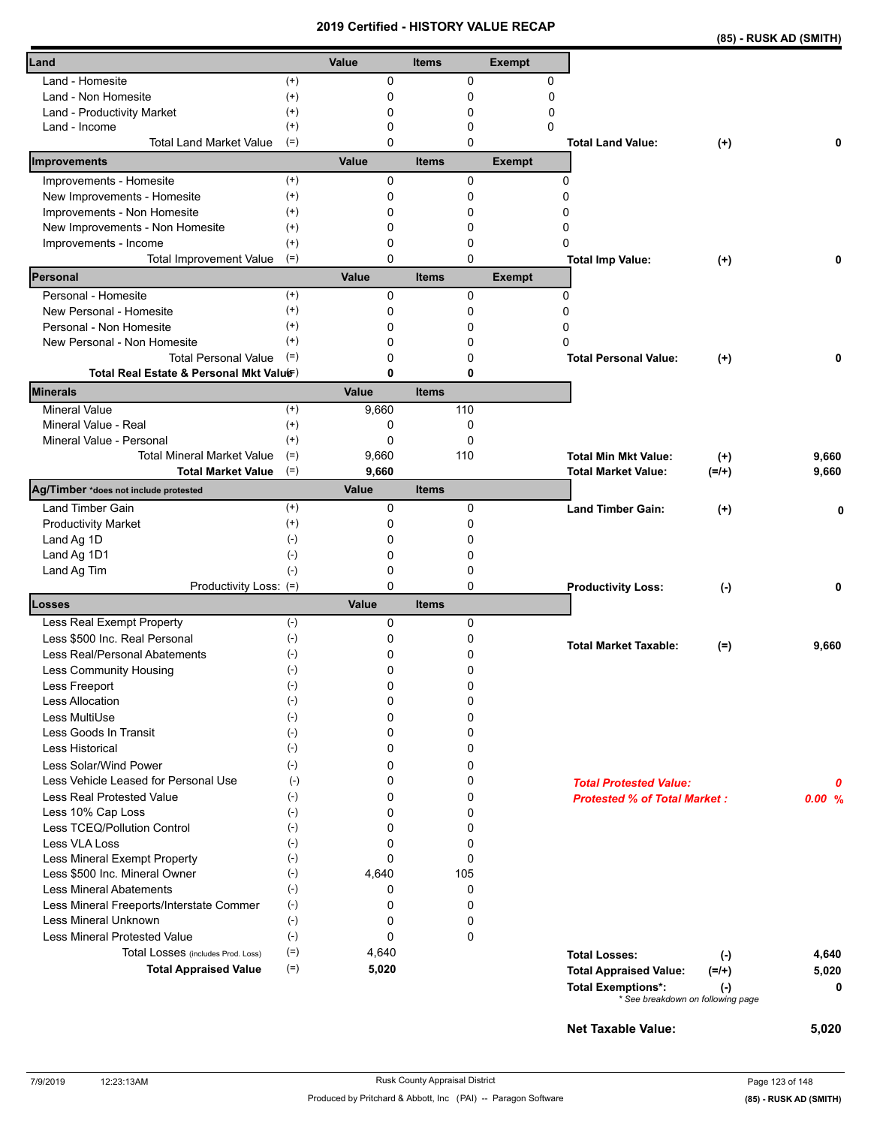|                                                         |                    | 20 I J   |              |          | <b>VEILIIIEU - FIIO I URT VALUE REUAP</b> |                                                                |           | (85) - RUSK AD (SMITH) |
|---------------------------------------------------------|--------------------|----------|--------------|----------|-------------------------------------------|----------------------------------------------------------------|-----------|------------------------|
| Land                                                    |                    | Value    | <b>Items</b> |          | <b>Exempt</b>                             |                                                                |           |                        |
| Land - Homesite                                         | $^{(+)}$           | 0        |              | 0        | 0                                         |                                                                |           |                        |
| Land - Non Homesite                                     | $^{(+)}$           | 0        |              | 0        | 0                                         |                                                                |           |                        |
| Land - Productivity Market                              | $^{(+)}$           | 0        |              | 0        | 0                                         |                                                                |           |                        |
| Land - Income                                           | $^{(+)}$           | 0        |              | 0        | $\Omega$                                  |                                                                |           |                        |
| <b>Total Land Market Value</b>                          | $(=)$              | 0        |              | $\Omega$ |                                           | <b>Total Land Value:</b>                                       | $(+)$     | 0                      |
| Improvements                                            |                    | Value    | <b>Items</b> |          | <b>Exempt</b>                             |                                                                |           |                        |
| Improvements - Homesite                                 | $^{(+)}$           | 0        |              | 0        |                                           | 0                                                              |           |                        |
| New Improvements - Homesite                             | $^{(+)}$           | 0        |              | 0        |                                           | 0                                                              |           |                        |
| Improvements - Non Homesite                             | $^{(+)}$           | 0        |              | 0        |                                           | 0                                                              |           |                        |
| New Improvements - Non Homesite                         | $^{(+)}$           | 0<br>0   |              | 0        |                                           | 0<br>0                                                         |           |                        |
| Improvements - Income<br><b>Total Improvement Value</b> | $^{(+)}$<br>$(=)$  | $\Omega$ |              | 0<br>0   |                                           | <b>Total Imp Value:</b>                                        | $(+)$     |                        |
| Personal                                                |                    | Value    | <b>Items</b> |          | <b>Exempt</b>                             |                                                                |           |                        |
| Personal - Homesite                                     | $(+)$              | 0        |              | 0        |                                           | 0                                                              |           |                        |
| New Personal - Homesite                                 | $^{(+)}$           | 0        |              | 0        |                                           | 0                                                              |           |                        |
| Personal - Non Homesite                                 | $^{(+)}$           | 0        |              | 0        |                                           | 0                                                              |           |                        |
| New Personal - Non Homesite                             | $(+)$              | 0        |              | 0        |                                           | 0                                                              |           |                        |
| <b>Total Personal Value</b>                             | $(=)$              | 0        |              | 0        |                                           | <b>Total Personal Value:</b>                                   | $(+)$     |                        |
| Total Real Estate & Personal Mkt Valuer)                |                    | 0        |              | 0        |                                           |                                                                |           |                        |
| Minerals                                                |                    | Value    | <b>Items</b> |          |                                           |                                                                |           |                        |
| <b>Mineral Value</b>                                    | $^{(+)}$           | 9,660    |              | 110      |                                           |                                                                |           |                        |
| Mineral Value - Real                                    | $^{(+)}$           | 0        |              | 0        |                                           |                                                                |           |                        |
| Mineral Value - Personal                                | $^{(+)}$           | 0        |              | 0        |                                           |                                                                |           |                        |
| <b>Total Mineral Market Value</b>                       | $(=)$              | 9,660    |              | 110      |                                           | <b>Total Min Mkt Value:</b>                                    | $(+)$     | 9,660                  |
| <b>Total Market Value</b>                               | $(=)$              | 9,660    |              |          |                                           | Total Market Value:                                            | $(=/+)$   | 9,660                  |
| Ag/Timber *does not include protested                   |                    | Value    | <b>Items</b> |          |                                           |                                                                |           |                        |
| <b>Land Timber Gain</b>                                 | $^{(+)}$           | 0<br>0   |              | 0        |                                           | <b>Land Timber Gain:</b>                                       | $^{(+)}$  | O                      |
| <b>Productivity Market</b>                              | $^{(+)}$<br>$(-)$  |          |              | 0        |                                           |                                                                |           |                        |
| Land Ag 1D                                              | $(-)$              | 0<br>0   |              | 0<br>0   |                                           |                                                                |           |                        |
| Land Ag 1D1<br>Land Ag Tim                              | $(-)$              | 0        |              | 0        |                                           |                                                                |           |                        |
| Productivity Loss: (=)                                  |                    | 0        |              | 0        |                                           | <b>Productivity Loss:</b>                                      | $(\cdot)$ | 0                      |
| Losses                                                  |                    | Value    | <b>Items</b> |          |                                           |                                                                |           |                        |
| Less Real Exempt Property                               | $(-)$              | 0        |              | 0        |                                           |                                                                |           |                        |
| Less \$500 Inc. Real Personal                           | $(-)$              | 0        |              | 0        |                                           |                                                                |           |                        |
| Less Real/Personal Abatements                           | $(\text{-})$       | 0        |              | 0        |                                           | <b>Total Market Taxable:</b>                                   | $(=)$     | 9,660                  |
| Less Community Housing                                  | $(\textnormal{-})$ | 0        |              | 0        |                                           |                                                                |           |                        |
| Less Freeport                                           | $(-)$              | 0        |              | 0        |                                           |                                                                |           |                        |
| Less Allocation                                         | $(-)$              | 0        |              | 0        |                                           |                                                                |           |                        |
| Less MultiUse                                           | $(-)$              | 0        |              | 0        |                                           |                                                                |           |                        |
| Less Goods In Transit                                   | $(-)$              | 0        |              | 0        |                                           |                                                                |           |                        |
| <b>Less Historical</b>                                  | $(-)$              | 0        |              | 0        |                                           |                                                                |           |                        |
| Less Solar/Wind Power                                   | $(-)$              | 0        |              | 0        |                                           |                                                                |           |                        |
| Less Vehicle Leased for Personal Use                    | $(-)$              | 0        |              | 0        |                                           | <b>Total Protested Value:</b>                                  |           | 0                      |
| Less Real Protested Value                               | $(-)$              | 0        |              | 0        |                                           | <b>Protested % of Total Market:</b>                            |           | 0.00%                  |
| Less 10% Cap Loss                                       | $(-)$              | 0        |              | 0        |                                           |                                                                |           |                        |
| Less TCEQ/Pollution Control                             | $(-)$              | 0        |              | 0        |                                           |                                                                |           |                        |
| Less VLA Loss                                           | $(-)$              | 0        |              | 0        |                                           |                                                                |           |                        |
| Less Mineral Exempt Property                            | $(\cdot)$          | 0        |              | 0        |                                           |                                                                |           |                        |
| Less \$500 Inc. Mineral Owner                           | $(-)$              | 4,640    |              | 105      |                                           |                                                                |           |                        |
| <b>Less Mineral Abatements</b>                          | $(-)$              | 0        |              | 0        |                                           |                                                                |           |                        |
| Less Mineral Freeports/Interstate Commer                | $(\text{-})$       | 0        |              | 0        |                                           |                                                                |           |                        |
| Less Mineral Unknown                                    | $(-)$              | 0        |              | 0        |                                           |                                                                |           |                        |
| <b>Less Mineral Protested Value</b>                     | $(-)$              | 0        |              | 0        |                                           |                                                                |           |                        |
| Total Losses (includes Prod. Loss)                      | $(=)$              | 4,640    |              |          |                                           | <b>Total Losses:</b>                                           | $(-)$     | 4,640                  |
| <b>Total Appraised Value</b>                            | $(=)$              | 5,020    |              |          |                                           | <b>Total Appraised Value:</b>                                  | $(=/+)$   | 5,020                  |
|                                                         |                    |          |              |          |                                           | <b>Total Exemptions*:</b><br>* See breakdown on following page | $(\cdot)$ | 0                      |

**Net Taxable Value: 5,020**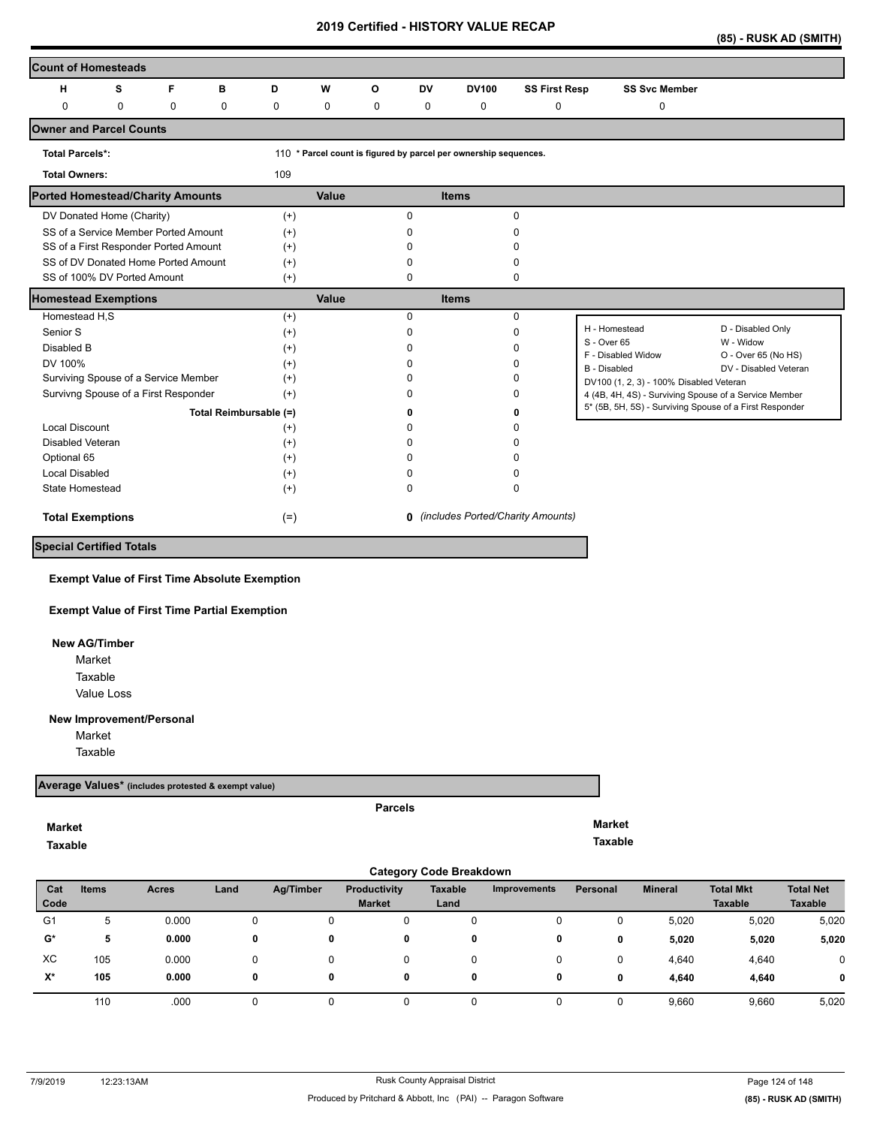| (85) - RUSK AD (SMITH) |  |
|------------------------|--|
|                        |  |

| <b>Count of Homesteads</b>              |   |             |          |                        |             |          |              |                                                                  |                                            |                                                         |                                  |
|-----------------------------------------|---|-------------|----------|------------------------|-------------|----------|--------------|------------------------------------------------------------------|--------------------------------------------|---------------------------------------------------------|----------------------------------|
| н                                       | s | F           | B        | D                      | W           | O        | <b>DV</b>    | <b>DV100</b>                                                     | <b>SS First Resp</b>                       | <b>SS Svc Member</b>                                    |                                  |
| $\Omega$                                | 0 | $\mathbf 0$ | $\Omega$ | 0                      | $\mathbf 0$ | $\Omega$ | 0            | 0                                                                | 0                                          | 0                                                       |                                  |
| <b>Owner and Parcel Counts</b>          |   |             |          |                        |             |          |              |                                                                  |                                            |                                                         |                                  |
| <b>Total Parcels*:</b>                  |   |             |          |                        |             |          |              | 110 * Parcel count is figured by parcel per ownership sequences. |                                            |                                                         |                                  |
| <b>Total Owners:</b>                    |   |             |          | 109                    |             |          |              |                                                                  |                                            |                                                         |                                  |
| <b>Ported Homestead/Charity Amounts</b> |   |             |          |                        | Value       |          |              | <b>Items</b>                                                     |                                            |                                                         |                                  |
| DV Donated Home (Charity)               |   |             |          | $(+)$                  |             |          | $\Omega$     |                                                                  | $\mathbf 0$                                |                                                         |                                  |
| SS of a Service Member Ported Amount    |   |             |          | $(+)$                  |             |          | <sup>0</sup> |                                                                  | 0                                          |                                                         |                                  |
| SS of a First Responder Ported Amount   |   |             |          | $(+)$                  |             |          |              |                                                                  | 0                                          |                                                         |                                  |
| SS of DV Donated Home Ported Amount     |   |             |          | $(+)$                  |             |          | 0            |                                                                  | 0                                          |                                                         |                                  |
| SS of 100% DV Ported Amount             |   |             |          | $^{(+)}$               |             |          | 0            |                                                                  | 0                                          |                                                         |                                  |
| <b>Homestead Exemptions</b>             |   |             |          |                        | Value       |          |              | <b>Items</b>                                                     |                                            |                                                         |                                  |
| Homestead H,S                           |   |             |          | $(+)$                  |             |          | $\Omega$     |                                                                  | 0                                          |                                                         |                                  |
| Senior S                                |   |             |          | $(+)$                  |             |          | <sup>0</sup> |                                                                  | 0                                          | H - Homestead                                           | D - Disabled Only                |
| Disabled B                              |   |             |          | $(+)$                  |             |          | n            |                                                                  | 0                                          | S - Over 65<br>F - Disabled Widow                       | W - Widow<br>O - Over 65 (No HS) |
| DV 100%                                 |   |             |          | $(+)$                  |             |          |              |                                                                  | 0                                          | <b>B</b> - Disabled                                     | DV - Disabled Veteran            |
| Surviving Spouse of a Service Member    |   |             |          | $(+)$                  |             |          |              |                                                                  | 0                                          | DV100 (1, 2, 3) - 100% Disabled Veteran                 |                                  |
| Survivng Spouse of a First Responder    |   |             |          | $(+)$                  |             |          |              |                                                                  | 0                                          | 4 (4B, 4H, 4S) - Surviving Spouse of a Service Member   |                                  |
|                                         |   |             |          | Total Reimbursable (=) |             |          | ŋ            |                                                                  | 0                                          | 5* (5B, 5H, 5S) - Surviving Spouse of a First Responder |                                  |
| <b>Local Discount</b>                   |   |             |          | $^{(+)}$               |             |          | ŋ            |                                                                  | n                                          |                                                         |                                  |
| <b>Disabled Veteran</b>                 |   |             |          | $(+)$                  |             |          | <sup>0</sup> |                                                                  | n                                          |                                                         |                                  |
| Optional 65                             |   |             |          | $(+)$                  |             |          |              |                                                                  | n                                          |                                                         |                                  |
| <b>Local Disabled</b>                   |   |             |          | $(+)$                  |             |          | n            |                                                                  | 0                                          |                                                         |                                  |
| State Homestead                         |   |             |          | $(+)$                  |             |          | 0            |                                                                  | 0                                          |                                                         |                                  |
| <b>Total Exemptions</b>                 |   |             |          | $(=)$                  |             |          |              |                                                                  | <b>0</b> (includes Ported/Charity Amounts) |                                                         |                                  |
| <b>Special Certified Totals</b>         |   |             |          |                        |             |          |              |                                                                  |                                            |                                                         |                                  |

#### **Exempt Value of First Time Absolute Exemption**

**Exempt Value of First Time Partial Exemption**

 **New AG/Timber**

Value Loss Market Taxable

#### **New Improvement/Personal**

Market

Taxable

## **Average Values\* (includes protested & exempt value)**

## **Market**

**Taxable** 

#### **Parcels**

**Market Taxable** 

|                | <b>Category Code Breakdown</b> |              |      |           |                                      |                 |              |                 |                |                                    |                                    |  |
|----------------|--------------------------------|--------------|------|-----------|--------------------------------------|-----------------|--------------|-----------------|----------------|------------------------------------|------------------------------------|--|
| Cat<br>Code    | <b>Items</b>                   | <b>Acres</b> | Land | Ag/Timber | <b>Productivity</b><br><b>Market</b> | Taxable<br>Land | Improvements | <b>Personal</b> | <b>Mineral</b> | <b>Total Mkt</b><br><b>Taxable</b> | <b>Total Net</b><br><b>Taxable</b> |  |
| G <sub>1</sub> | 5                              | 0.000        | 0    | 0         | 0                                    | 0               | 0            | 0               | 5,020          | 5,020                              | 5,020                              |  |
| G*             | 5                              | 0.000        | 0    | 0         | 0                                    | 0               | 0            | 0               | 5,020          | 5,020                              | 5,020                              |  |
| XC             | 105                            | 0.000        | 0    |           | 0                                    | 0               | 0            | 0               | 4,640          | 4,640                              | $\mathbf 0$                        |  |
| $X^*$          | 105                            | 0.000        | 0    | 0         | 0                                    | 0               | 0            | 0               | 4,640          | 4,640                              | 0                                  |  |
|                | 110                            | .000         |      |           |                                      |                 |              |                 | 9,660          | 9,660                              | 5,020                              |  |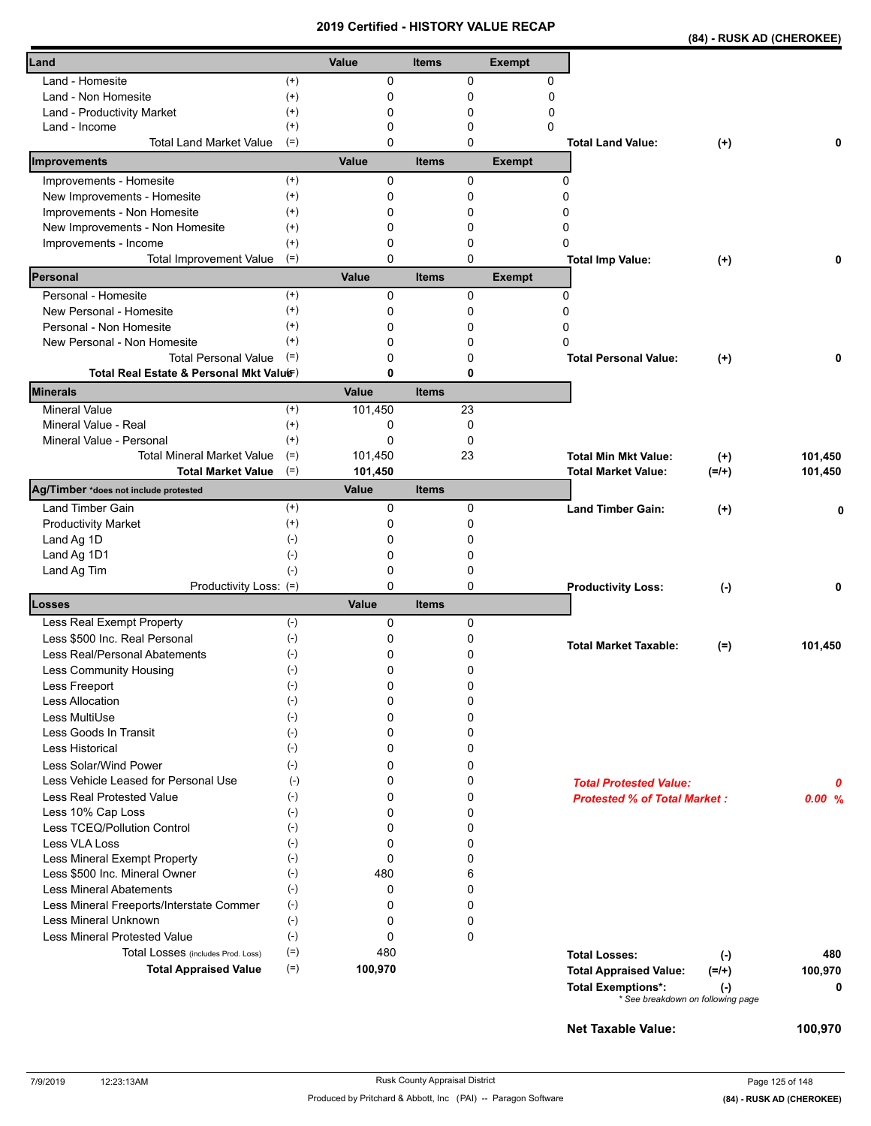|  | (84) - RUSK AD (CHEROKEE) |  |
|--|---------------------------|--|
|  |                           |  |

| Land                                        |                      | Value   | <b>Items</b> |        | <b>Exempt</b> |                                     |           |         |
|---------------------------------------------|----------------------|---------|--------------|--------|---------------|-------------------------------------|-----------|---------|
|                                             |                      |         |              |        |               |                                     |           |         |
| Land - Homesite                             | $^{(+)}$             | 0       |              | 0      | 0             |                                     |           |         |
| Land - Non Homesite                         | $^{(+)}$             | 0       |              | 0      | $\mathbf 0$   |                                     |           |         |
| Land - Productivity Market<br>Land - Income | $^{(+)}$<br>$^{(+)}$ | 0<br>0  |              | 0<br>0 | 0<br>0        |                                     |           |         |
| <b>Total Land Market Value</b>              | $(=)$                | 0       |              | 0      |               | <b>Total Land Value:</b>            | $(+)$     | 0       |
| Improvements                                |                      | Value   | <b>Items</b> |        | <b>Exempt</b> |                                     |           |         |
| Improvements - Homesite                     | $(+)$                | 0       |              | 0      |               | 0                                   |           |         |
| New Improvements - Homesite                 | $^{(+)}$             | 0       |              | 0      |               | 0                                   |           |         |
| Improvements - Non Homesite                 | $^{(+)}$             | 0       |              | 0      |               | 0                                   |           |         |
| New Improvements - Non Homesite             | $^{(+)}$             | 0       |              | 0      |               | 0                                   |           |         |
| Improvements - Income                       | $^{(+)}$             | 0       |              | 0      |               | 0                                   |           |         |
| <b>Total Improvement Value</b>              | $(=)$                | 0       |              | 0      |               | <b>Total Imp Value:</b>             | $(+)$     | 0       |
| Personal                                    |                      | Value   | <b>Items</b> |        | <b>Exempt</b> |                                     |           |         |
| Personal - Homesite                         | $(+)$                | 0       |              | 0      |               | 0                                   |           |         |
| New Personal - Homesite                     | $^{(+)}$             | 0       |              | 0      |               | 0                                   |           |         |
| Personal - Non Homesite                     | $^{(+)}$             | 0       |              | 0      |               | 0                                   |           |         |
| New Personal - Non Homesite                 | $^{(+)}$             | 0       |              | 0      |               | 0                                   |           |         |
| <b>Total Personal Value</b>                 | $(=)$                | 0       |              | 0      |               | <b>Total Personal Value:</b>        | $(+)$     | 0       |
| Total Real Estate & Personal Mkt Valuer)    |                      | 0       |              | 0      |               |                                     |           |         |
| <b>Minerals</b>                             |                      | Value   | <b>Items</b> |        |               |                                     |           |         |
| <b>Mineral Value</b>                        | $^{(+)}$             | 101.450 |              | 23     |               |                                     |           |         |
| Mineral Value - Real                        | $^{(+)}$             | 0       |              | 0      |               |                                     |           |         |
| Mineral Value - Personal                    | $(+)$                | 0       |              | 0      |               |                                     |           |         |
| <b>Total Mineral Market Value</b>           | $(=)$                | 101,450 |              | 23     |               | <b>Total Min Mkt Value:</b>         | $(+)$     | 101,450 |
| <b>Total Market Value</b>                   | $(=)$                | 101,450 |              |        |               | <b>Total Market Value:</b>          | $(=/+)$   | 101,450 |
| Ag/Timber *does not include protested       |                      | Value   | <b>Items</b> |        |               |                                     |           |         |
| Land Timber Gain                            | $^{(+)}$             | 0       |              | 0      |               | <b>Land Timber Gain:</b>            | $(+)$     | 0       |
| <b>Productivity Market</b>                  | $^{(+)}$             | 0       |              | 0      |               |                                     |           |         |
| Land Ag 1D                                  | $(-)$                | 0       |              | 0      |               |                                     |           |         |
| Land Ag 1D1                                 | $(-)$                | 0       |              | 0      |               |                                     |           |         |
| Land Ag Tim                                 | $(-)$                | 0       |              | 0      |               |                                     |           |         |
| Productivity Loss: (=)                      |                      | 0       |              | 0      |               | <b>Productivity Loss:</b>           | $(\cdot)$ | 0       |
| <b>Losses</b>                               |                      | Value   | <b>Items</b> |        |               |                                     |           |         |
| Less Real Exempt Property                   | $(-)$                | 0       |              | 0      |               |                                     |           |         |
| Less \$500 Inc. Real Personal               | $(-)$                | 0       |              | 0      |               | <b>Total Market Taxable:</b>        | $(=)$     | 101,450 |
| Less Real/Personal Abatements               | $(-)$                | 0       |              | 0      |               |                                     |           |         |
| Less Community Housing                      | $(-)$                | 0       |              | 0      |               |                                     |           |         |
| Less Freeport                               | $(\text{-})$         | 0       |              | 0      |               |                                     |           |         |
| <b>Less Allocation</b>                      | $(-)$                | 0       |              | 0      |               |                                     |           |         |
| Less MultiUse                               | $(-)$                | 0       |              | 0      |               |                                     |           |         |
| Less Goods In Transit                       | $(\cdot)$            | 0       |              | 0      |               |                                     |           |         |
| Less Historical                             | $(-)$                | 0       |              | 0      |               |                                     |           |         |
| Less Solar/Wind Power                       | $(-)$                | 0       |              | 0      |               |                                     |           |         |
| Less Vehicle Leased for Personal Use        | $(-)$                | 0       |              | 0      |               | <b>Total Protested Value:</b>       |           | 0       |
| Less Real Protested Value                   | $(-)$                | 0       |              | 0      |               | <b>Protested % of Total Market:</b> |           | 0.00%   |
| Less 10% Cap Loss                           | $(-)$                | 0       |              | 0      |               |                                     |           |         |
| Less TCEQ/Pollution Control                 | $(-)$                | 0       |              | 0      |               |                                     |           |         |
| <b>Less VLA Loss</b>                        | $(-)$                | 0       |              | 0      |               |                                     |           |         |
| Less Mineral Exempt Property                | $(-)$                | 0       |              | 0      |               |                                     |           |         |
| Less \$500 Inc. Mineral Owner               | $(-)$                | 480     |              | 6      |               |                                     |           |         |
| <b>Less Mineral Abatements</b>              | $(-)$                | 0       |              | 0      |               |                                     |           |         |
| Less Mineral Freeports/Interstate Commer    | $(-)$                | 0       |              | 0      |               |                                     |           |         |
| Less Mineral Unknown                        | $(-)$                | 0       |              | 0      |               |                                     |           |         |
| <b>Less Mineral Protested Value</b>         | $(-)$                | 0       |              | 0      |               |                                     |           |         |
| Total Losses (includes Prod. Loss)          | $(=)$                | 480     |              |        |               | <b>Total Losses:</b>                | $(-)$     | 480     |
| <b>Total Appraised Value</b>                | $(=)$                | 100,970 |              |        |               | <b>Total Appraised Value:</b>       | $(=/+)$   | 100,970 |
|                                             |                      |         |              |        |               | <b>Total Exemptions*:</b>           | $(\cdot)$ | 0       |
|                                             |                      |         |              |        |               | * See breakdown on following page   |           |         |
|                                             |                      |         |              |        |               | <b>Net Taxable Value:</b>           |           | 100,970 |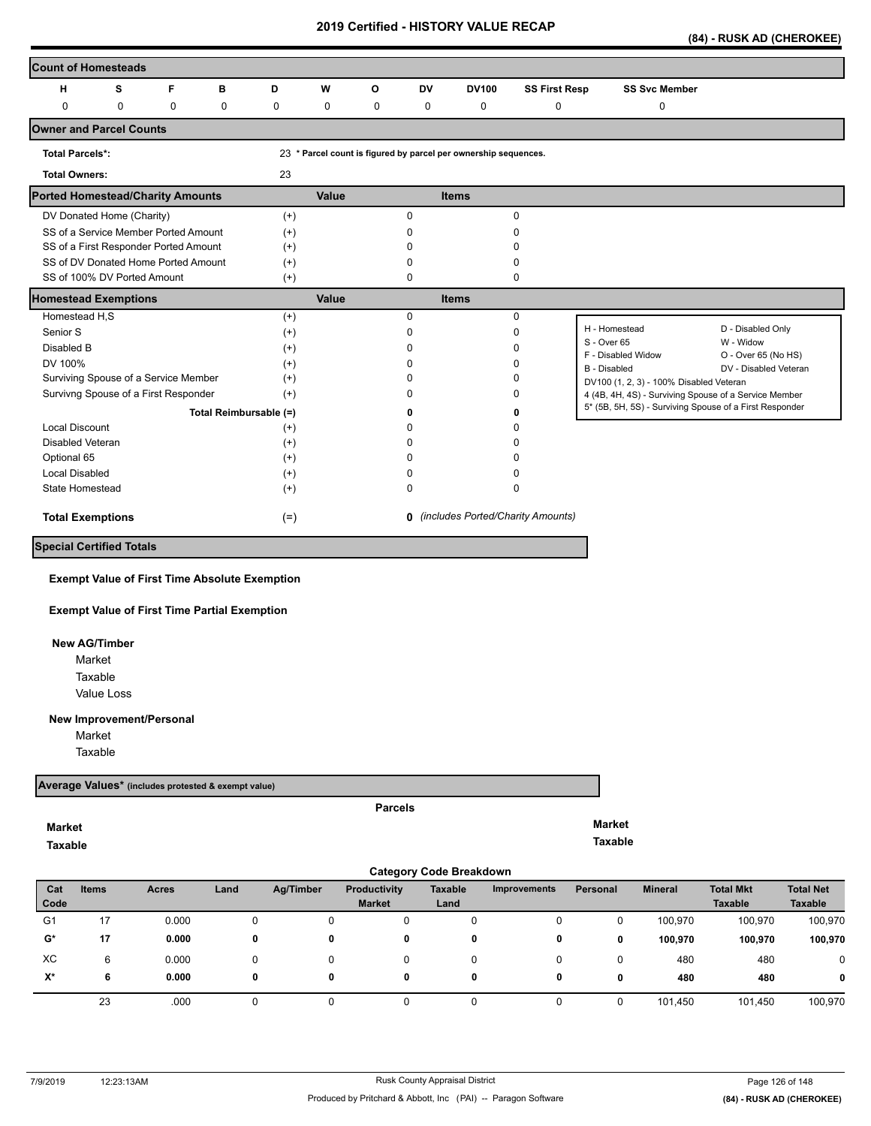| (84) - RUSK AD (CHEROKEE) |
|---------------------------|
|---------------------------|

|                                         | <b>Count of Homesteads</b> |                                       |                        |          |             |          |              |                                                                 |                                            |                                                         |                                  |
|-----------------------------------------|----------------------------|---------------------------------------|------------------------|----------|-------------|----------|--------------|-----------------------------------------------------------------|--------------------------------------------|---------------------------------------------------------|----------------------------------|
| н                                       | s                          | F                                     | в                      | D        | W           | $\Omega$ | <b>DV</b>    | <b>DV100</b>                                                    | <b>SS First Resp</b>                       | <b>SS Svc Member</b>                                    |                                  |
| $\mathbf{0}$                            | $\mathbf 0$                | 0                                     | $\Omega$               | 0        | $\mathbf 0$ | $\Omega$ | $\mathbf 0$  | $\mathbf 0$                                                     | 0                                          | 0                                                       |                                  |
| <b>Owner and Parcel Counts</b>          |                            |                                       |                        |          |             |          |              |                                                                 |                                            |                                                         |                                  |
| <b>Total Parcels*:</b>                  |                            |                                       |                        |          |             |          |              | 23 * Parcel count is figured by parcel per ownership sequences. |                                            |                                                         |                                  |
| <b>Total Owners:</b>                    |                            |                                       |                        | 23       |             |          |              |                                                                 |                                            |                                                         |                                  |
| <b>Ported Homestead/Charity Amounts</b> |                            |                                       |                        |          | Value       |          |              | <b>Items</b>                                                    |                                            |                                                         |                                  |
| DV Donated Home (Charity)               |                            |                                       |                        | $(+)$    |             |          | 0            |                                                                 | 0                                          |                                                         |                                  |
|                                         |                            | SS of a Service Member Ported Amount  |                        | $^{(+)}$ |             |          | <sup>0</sup> |                                                                 | O                                          |                                                         |                                  |
|                                         |                            | SS of a First Responder Ported Amount |                        | $(+)$    |             |          |              |                                                                 | ŋ                                          |                                                         |                                  |
|                                         |                            | SS of DV Donated Home Ported Amount   |                        | $(+)$    |             |          |              |                                                                 | ŋ                                          |                                                         |                                  |
| SS of 100% DV Ported Amount             |                            |                                       |                        | $(+)$    |             |          | 0            |                                                                 | 0                                          |                                                         |                                  |
| <b>Homestead Exemptions</b>             |                            |                                       |                        |          | Value       |          |              | <b>Items</b>                                                    |                                            |                                                         |                                  |
| Homestead H,S                           |                            |                                       |                        | $(+)$    |             |          | $\Omega$     |                                                                 | 0                                          |                                                         |                                  |
| Senior S                                |                            |                                       |                        | $^{(+)}$ |             |          | <sup>0</sup> |                                                                 | $\Omega$                                   | H - Homestead                                           | D - Disabled Only                |
| Disabled B                              |                            |                                       |                        | $^{(+)}$ |             |          |              |                                                                 | O                                          | S - Over 65<br>F - Disabled Widow                       | W - Widow<br>O - Over 65 (No HS) |
| DV 100%                                 |                            |                                       |                        | $^{(+)}$ |             |          |              |                                                                 | O                                          | B - Disabled                                            | DV - Disabled Veteran            |
|                                         |                            | Surviving Spouse of a Service Member  |                        | $^{(+)}$ |             |          |              |                                                                 | ŋ                                          | DV100 (1, 2, 3) - 100% Disabled Veteran                 |                                  |
|                                         |                            | Survivng Spouse of a First Responder  |                        | $(+)$    |             |          |              |                                                                 | 0                                          | 4 (4B, 4H, 4S) - Surviving Spouse of a Service Member   |                                  |
|                                         |                            |                                       | Total Reimbursable (=) |          |             |          |              |                                                                 | 0                                          | 5* (5B, 5H, 5S) - Surviving Spouse of a First Responder |                                  |
| <b>Local Discount</b>                   |                            |                                       |                        | $^{(+)}$ |             |          |              |                                                                 | ŋ                                          |                                                         |                                  |
| Disabled Veteran                        |                            |                                       |                        | $^{(+)}$ |             |          |              |                                                                 | n                                          |                                                         |                                  |
| Optional 65                             |                            |                                       |                        | $^{(+)}$ |             |          |              |                                                                 |                                            |                                                         |                                  |
| <b>Local Disabled</b>                   |                            |                                       |                        | $(+)$    |             |          |              |                                                                 | O                                          |                                                         |                                  |
| State Homestead                         |                            |                                       |                        | $(+)$    |             |          | 0            |                                                                 | 0                                          |                                                         |                                  |
| <b>Total Exemptions</b>                 |                            |                                       |                        | $(=)$    |             |          |              |                                                                 | <b>0</b> (includes Ported/Charity Amounts) |                                                         |                                  |
| <b>Special Certified Totals</b>         |                            |                                       |                        |          |             |          |              |                                                                 |                                            |                                                         |                                  |

**Exempt Value of First Time Absolute Exemption**

**Exempt Value of First Time Partial Exemption**

 **New AG/Timber**

Value Loss Market Taxable

**New Improvement/Personal** 

Market

Taxable

## **Average Values\* (includes protested & exempt value)**

## **Market**

**Taxable** 

**Parcels**

**Market Taxable** 

|                |              |       |      |           |                     | <b>Category Code Breakdown</b> |                     |          |                |                  |                  |
|----------------|--------------|-------|------|-----------|---------------------|--------------------------------|---------------------|----------|----------------|------------------|------------------|
| Cat            | <b>Items</b> | Acres | Land | Ag/Timber | <b>Productivity</b> | <b>Taxable</b>                 | <b>Improvements</b> | Personal | <b>Mineral</b> | <b>Total Mkt</b> | <b>Total Net</b> |
| Code           |              |       |      |           | <b>Market</b>       | Land                           |                     |          |                | <b>Taxable</b>   | <b>Taxable</b>   |
| G <sub>1</sub> | 17           | 0.000 | 0    |           |                     |                                | 0                   |          | 100,970        | 100.970          | 100,970          |
| $\mathbf{G}^*$ | 17           | 0.000 | 0    | 0         | 0                   | 0                              | 0                   | 0        | 100,970        | 100,970          | 100,970          |
| XC             | 6            | 0.000 |      |           |                     |                                | 0                   |          | 480            | 480              | 0                |
| $X^*$          | 6            | 0.000 | 0    | 0         | 0                   | 0                              | 0                   | 0        | 480            | 480              | 0                |
|                | 23           | .000  |      |           |                     |                                | 0                   |          | 101,450        | 101,450          | 100,970          |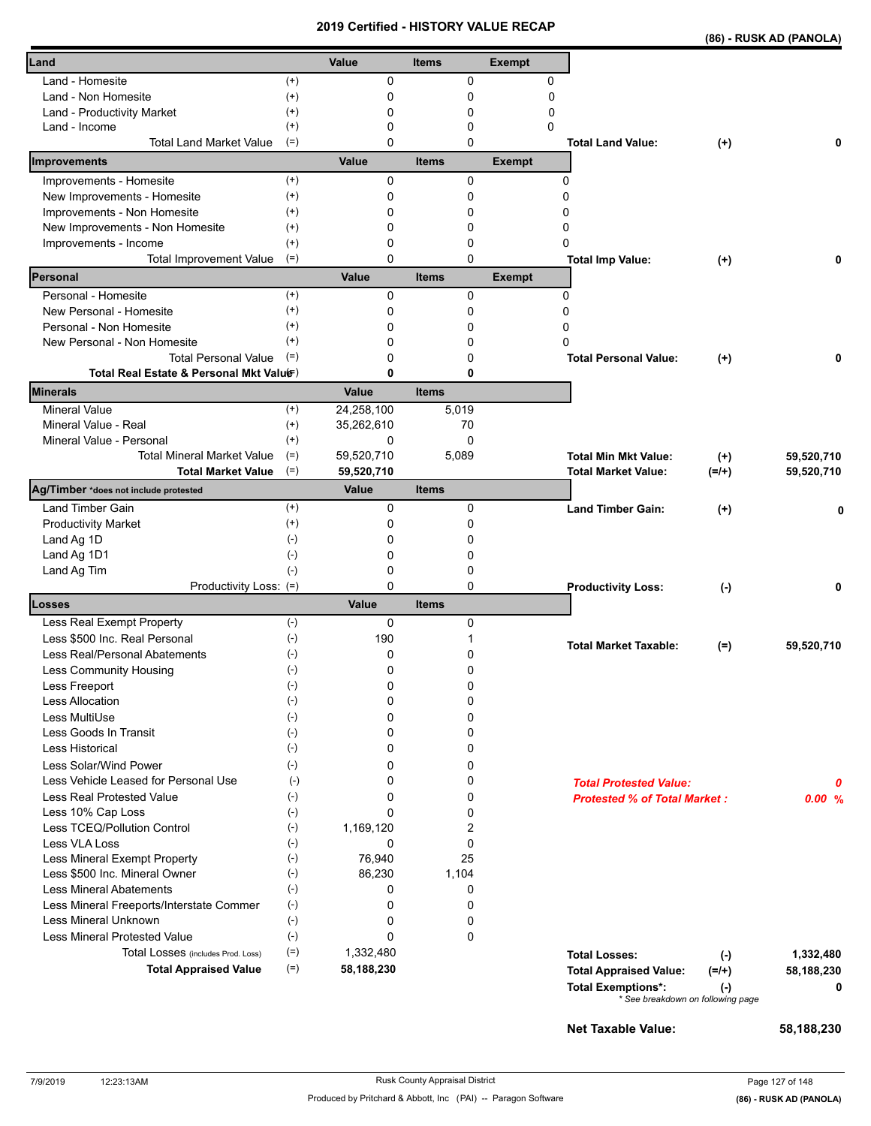|                                                                             |                             |            |                          | <b>VEILIIIEU - NIJ I URT VALUE REUAP</b> |                                                                                                 |                      | (86) - RUSK AD (PANOLA) |
|-----------------------------------------------------------------------------|-----------------------------|------------|--------------------------|------------------------------------------|-------------------------------------------------------------------------------------------------|----------------------|-------------------------|
| Land                                                                        |                             | Value      | <b>Items</b>             | <b>Exempt</b>                            |                                                                                                 |                      |                         |
| Land - Homesite                                                             | $^{(+)}$                    | 0          | 0                        | 0                                        |                                                                                                 |                      |                         |
| Land - Non Homesite                                                         | $^{(+)}$                    | 0          | 0                        | 0                                        |                                                                                                 |                      |                         |
| Land - Productivity Market                                                  | $^{(+)}$                    | 0          | 0                        | 0                                        |                                                                                                 |                      |                         |
| Land - Income                                                               | $^{(+)}$                    | 0          | $\mathbf 0$              | 0                                        |                                                                                                 |                      |                         |
| <b>Total Land Market Value</b><br>Improvements                              | $(=)$                       | 0<br>Value | $\Omega$<br><b>Items</b> | <b>Exempt</b>                            | <b>Total Land Value:</b>                                                                        | $(+)$                | 0                       |
| Improvements - Homesite                                                     | $^{(+)}$                    | 0          | 0                        |                                          | 0                                                                                               |                      |                         |
| New Improvements - Homesite                                                 | $^{(+)}$                    | 0          | 0                        |                                          | $\Omega$                                                                                        |                      |                         |
| Improvements - Non Homesite                                                 | $^{(+)}$                    | 0          | 0                        |                                          | $\Omega$                                                                                        |                      |                         |
| New Improvements - Non Homesite                                             | $^{(+)}$                    | 0          | 0                        |                                          | 0                                                                                               |                      |                         |
| Improvements - Income                                                       | $^{(+)}$                    | 0          | 0                        |                                          | 0                                                                                               |                      |                         |
| <b>Total Improvement Value</b>                                              | $(=)$                       | 0          | $\mathbf 0$              |                                          | <b>Total Imp Value:</b>                                                                         | $(+)$                |                         |
| Personal                                                                    |                             | Value      | <b>Items</b>             | <b>Exempt</b>                            |                                                                                                 |                      |                         |
| Personal - Homesite                                                         | $(+)$                       | 0          | 0                        |                                          | 0                                                                                               |                      |                         |
| New Personal - Homesite                                                     | $^{(+)}$                    | 0          | 0                        |                                          | 0                                                                                               |                      |                         |
| Personal - Non Homesite                                                     | $^{(+)}$                    | 0          | 0                        |                                          | 0                                                                                               |                      |                         |
| New Personal - Non Homesite                                                 | $(+)$                       | 0          | 0                        |                                          | $\mathbf{0}$                                                                                    |                      |                         |
| <b>Total Personal Value</b>                                                 | $(=)$                       | 0          | 0                        |                                          | <b>Total Personal Value:</b>                                                                    | $(+)$                |                         |
| Total Real Estate & Personal Mkt Valuer)<br>Minerals                        |                             | 0<br>Value | 0<br><b>Items</b>        |                                          |                                                                                                 |                      |                         |
| <b>Mineral Value</b>                                                        | $^{(+)}$                    | 24,258,100 | 5,019                    |                                          |                                                                                                 |                      |                         |
| Mineral Value - Real                                                        | $^{(+)}$                    | 35,262,610 | 70                       |                                          |                                                                                                 |                      |                         |
| Mineral Value - Personal                                                    | $^{(+)}$                    | 0          | $\Omega$                 |                                          |                                                                                                 |                      |                         |
| <b>Total Mineral Market Value</b>                                           | $(=)$                       | 59,520,710 | 5,089                    |                                          | <b>Total Min Mkt Value:</b>                                                                     | $(+)$                | 59,520,710              |
| $(=)$<br><b>Total Market Value</b><br>Ag/Timber *does not include protested |                             | 59,520,710 |                          |                                          | Total Market Value:                                                                             | $(=/+)$              | 59,520,710              |
|                                                                             |                             | Value      | <b>Items</b>             |                                          |                                                                                                 |                      |                         |
| <b>Land Timber Gain</b>                                                     | $^{(+)}$                    | 0          | 0                        |                                          | <b>Land Timber Gain:</b>                                                                        | $^{(+)}$             |                         |
| <b>Productivity Market</b>                                                  | $(+)$                       | 0          | 0                        |                                          |                                                                                                 |                      |                         |
| Land Ag 1D                                                                  | $(-)$                       | 0          | 0                        |                                          |                                                                                                 |                      |                         |
| Land Ag 1D1                                                                 | $(-)$                       | 0          | 0                        |                                          |                                                                                                 |                      |                         |
| Land Ag Tim                                                                 | $(-)$                       | 0          | 0                        |                                          |                                                                                                 |                      |                         |
| Productivity Loss: (=)<br>Losses                                            |                             | 0          | $\mathbf 0$              |                                          | <b>Productivity Loss:</b>                                                                       | $(\cdot)$            | 0                       |
|                                                                             |                             | Value      | <b>Items</b>             |                                          |                                                                                                 |                      |                         |
| Less Real Exempt Property                                                   | $(-)$                       | 0          | 0                        |                                          |                                                                                                 |                      |                         |
| Less \$500 Inc. Real Personal                                               | $(-)$                       | 190        | 1                        |                                          | <b>Total Market Taxable:</b>                                                                    | $(=)$                | 59,520,710              |
| Less Real/Personal Abatements                                               | $(\text{-})$                | 0          | 0                        |                                          |                                                                                                 |                      |                         |
| Less Community Housing<br>Less Freeport                                     | $(\textnormal{-})$<br>$(-)$ | 0<br>0     | 0<br>0                   |                                          |                                                                                                 |                      |                         |
| <b>Less Allocation</b>                                                      | $(-)$                       | 0          | 0                        |                                          |                                                                                                 |                      |                         |
| Less MultiUse                                                               | $(-)$                       | 0          | 0                        |                                          |                                                                                                 |                      |                         |
| Less Goods In Transit                                                       | $(-)$                       | 0          | $\mathbf 0$              |                                          |                                                                                                 |                      |                         |
| Less Historical                                                             | $(-)$                       | 0          | 0                        |                                          |                                                                                                 |                      |                         |
| Less Solar/Wind Power                                                       | $(-)$                       | 0          | 0                        |                                          |                                                                                                 |                      |                         |
| Less Vehicle Leased for Personal Use                                        | $(-)$                       | 0          | 0                        |                                          | <b>Total Protested Value:</b>                                                                   |                      | 0                       |
| <b>Less Real Protested Value</b>                                            | $(-)$                       | 0          | 0                        |                                          | <b>Protested % of Total Market:</b>                                                             |                      | 0.00%                   |
| Less 10% Cap Loss                                                           | $(-)$                       | 0          | 0                        |                                          |                                                                                                 |                      |                         |
| Less TCEQ/Pollution Control                                                 | $(-)$                       | 1,169,120  | 2                        |                                          |                                                                                                 |                      |                         |
| Less VLA Loss                                                               | $(-)$                       | 0          | $\mathbf 0$              |                                          |                                                                                                 |                      |                         |
| Less Mineral Exempt Property                                                | $(\cdot)$                   | 76,940     | 25                       |                                          |                                                                                                 |                      |                         |
| Less \$500 Inc. Mineral Owner                                               | $(-)$                       | 86,230     | 1,104                    |                                          |                                                                                                 |                      |                         |
| <b>Less Mineral Abatements</b>                                              | $(-)$                       | 0          | 0                        |                                          |                                                                                                 |                      |                         |
| Less Mineral Freeports/Interstate Commer                                    | $(\text{-})$                | 0          | 0                        |                                          |                                                                                                 |                      |                         |
| Less Mineral Unknown                                                        | $(-)$                       | 0          | 0                        |                                          |                                                                                                 |                      |                         |
| <b>Less Mineral Protested Value</b>                                         | $(\text{-})$                | 0          | $\mathbf 0$              |                                          |                                                                                                 |                      |                         |
| Total Losses (includes Prod. Loss)                                          | $(=)$                       | 1,332,480  |                          |                                          | <b>Total Losses:</b>                                                                            | $(-)$                | 1,332,480               |
| <b>Total Appraised Value</b>                                                | $(=)$                       | 58,188,230 |                          |                                          | <b>Total Appraised Value:</b><br><b>Total Exemptions*:</b><br>* See breakdown on following page | $(=/+)$<br>$(\cdot)$ | 58,188,230<br>0         |
|                                                                             |                             |            |                          |                                          |                                                                                                 |                      |                         |

**Net Taxable Value: 58,188,230**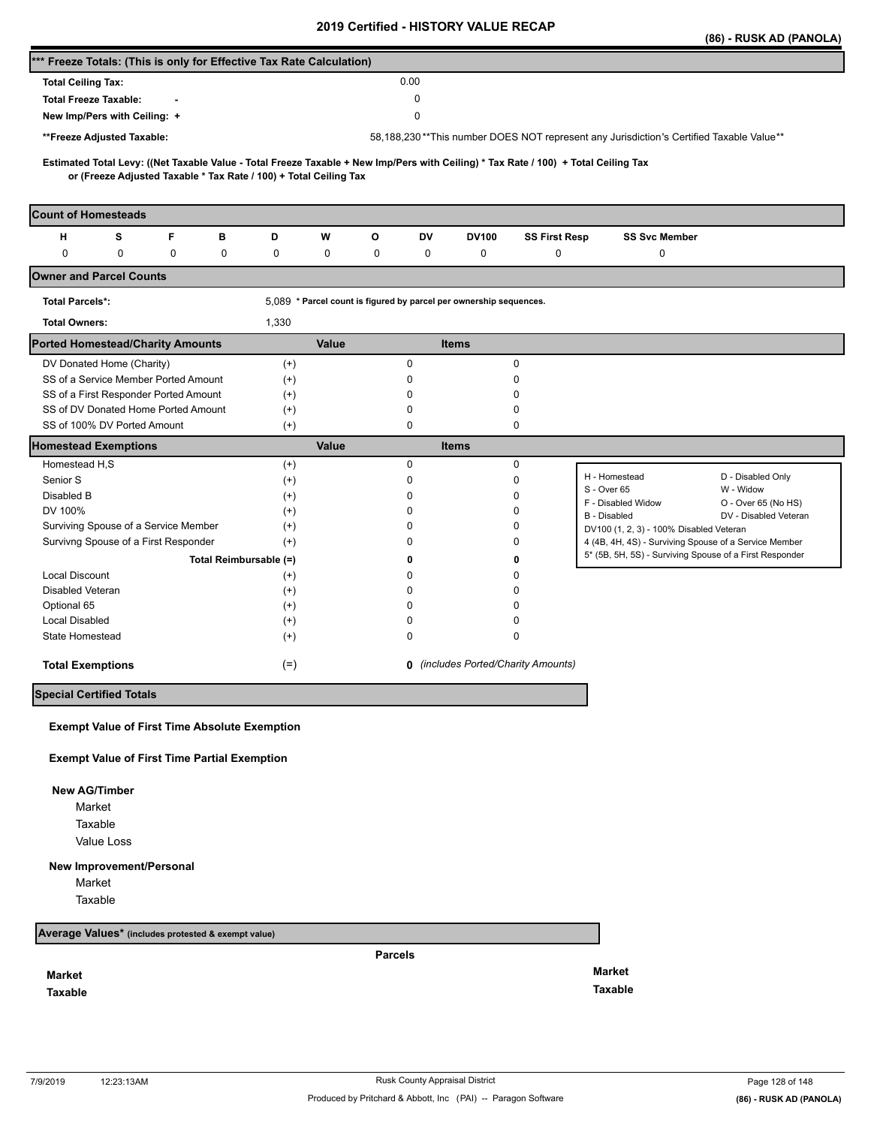|                                                                                                                                                                                                          |        |                        |              |                                                                    |                                            |                      |                                                                                         | (86) - RUSK AD (PANOLA)                      |
|----------------------------------------------------------------------------------------------------------------------------------------------------------------------------------------------------------|--------|------------------------|--------------|--------------------------------------------------------------------|--------------------------------------------|----------------------|-----------------------------------------------------------------------------------------|----------------------------------------------|
| *** Freeze Totals: (This is only for Effective Tax Rate Calculation)                                                                                                                                     |        |                        |              |                                                                    |                                            |                      |                                                                                         |                                              |
| <b>Total Ceiling Tax:</b>                                                                                                                                                                                |        |                        |              | 0.00                                                               |                                            |                      |                                                                                         |                                              |
| <b>Total Freeze Taxable:</b>                                                                                                                                                                             |        |                        |              | 0                                                                  |                                            |                      |                                                                                         |                                              |
| New Imp/Pers with Ceiling: +                                                                                                                                                                             |        |                        |              | 0                                                                  |                                            |                      |                                                                                         |                                              |
|                                                                                                                                                                                                          |        |                        |              |                                                                    |                                            |                      |                                                                                         |                                              |
| **Freeze Adjusted Taxable:                                                                                                                                                                               |        |                        |              |                                                                    |                                            |                      | 58,188,230**This number DOES NOT represent any Jurisdiction's Certified Taxable Value** |                                              |
| Estimated Total Levy: ((Net Taxable Value - Total Freeze Taxable + New Imp/Pers with Ceiling) * Tax Rate / 100) + Total Ceiling Tax<br>or (Freeze Adjusted Taxable * Tax Rate / 100) + Total Ceiling Tax |        |                        |              |                                                                    |                                            |                      |                                                                                         |                                              |
| <b>Count of Homesteads</b>                                                                                                                                                                               |        |                        |              |                                                                    |                                            |                      |                                                                                         |                                              |
| F<br>н<br>s                                                                                                                                                                                              | в      | D                      | W            | О<br>DV                                                            | <b>DV100</b>                               | <b>SS First Resp</b> | <b>SS Svc Member</b>                                                                    |                                              |
| 0<br>0                                                                                                                                                                                                   | 0<br>0 | 0                      | 0            | 0<br>0                                                             | 0                                          | 0                    | 0                                                                                       |                                              |
| <b>Owner and Parcel Counts</b>                                                                                                                                                                           |        |                        |              |                                                                    |                                            |                      |                                                                                         |                                              |
| <b>Total Parcels*:</b>                                                                                                                                                                                   |        |                        |              | 5,089 * Parcel count is figured by parcel per ownership sequences. |                                            |                      |                                                                                         |                                              |
| <b>Total Owners:</b>                                                                                                                                                                                     |        | 1,330                  |              |                                                                    |                                            |                      |                                                                                         |                                              |
| <b>Ported Homestead/Charity Amounts</b>                                                                                                                                                                  |        |                        | Value        |                                                                    | <b>Items</b>                               |                      |                                                                                         |                                              |
| DV Donated Home (Charity)                                                                                                                                                                                |        | $^{(+)}$               |              | 0                                                                  |                                            | 0                    |                                                                                         |                                              |
| SS of a Service Member Ported Amount                                                                                                                                                                     |        | $(+)$                  |              | 0                                                                  |                                            | 0                    |                                                                                         |                                              |
| SS of a First Responder Ported Amount                                                                                                                                                                    |        | $^{(+)}$               |              | 0                                                                  |                                            | 0                    |                                                                                         |                                              |
| SS of DV Donated Home Ported Amount                                                                                                                                                                      |        | $^{(+)}$               |              | 0                                                                  |                                            | 0                    |                                                                                         |                                              |
| SS of 100% DV Ported Amount                                                                                                                                                                              |        | $^{(+)}$               |              | 0                                                                  |                                            | 0                    |                                                                                         |                                              |
| <b>Homestead Exemptions</b>                                                                                                                                                                              |        |                        | <b>Value</b> |                                                                    | <b>Items</b>                               |                      |                                                                                         |                                              |
| Homestead H,S                                                                                                                                                                                            |        | $^{(+)}$               |              | 0                                                                  |                                            | 0                    |                                                                                         |                                              |
| Senior S                                                                                                                                                                                                 |        | $^{(+)}$               |              | 0                                                                  |                                            | 0                    | H - Homestead                                                                           | D - Disabled Only                            |
| Disabled B                                                                                                                                                                                               |        | $^{(+)}$               |              | 0                                                                  |                                            | 0                    | S - Over 65                                                                             | W - Widow                                    |
| DV 100%                                                                                                                                                                                                  |        | $^{(+)}$               |              | 0                                                                  |                                            | 0                    | F - Disabled Widow<br>B - Disabled                                                      | O - Over 65 (No HS)<br>DV - Disabled Veteran |
| Surviving Spouse of a Service Member                                                                                                                                                                     |        | $^{(+)}$               |              | $\Omega$                                                           |                                            | 0                    | DV100 (1, 2, 3) - 100% Disabled Veteran                                                 |                                              |
| Survivng Spouse of a First Responder                                                                                                                                                                     |        | $^{(+)}$               |              | <sup>0</sup>                                                       |                                            | 0                    | 4 (4B, 4H, 4S) - Surviving Spouse of a Service Member                                   |                                              |
|                                                                                                                                                                                                          |        | Total Reimbursable (=) |              | 0                                                                  |                                            | 0                    | 5* (5B, 5H, 5S) - Surviving Spouse of a First Responder                                 |                                              |
| <b>Local Discount</b>                                                                                                                                                                                    |        | $^{(+)}$               |              | n                                                                  |                                            | 0                    |                                                                                         |                                              |
| Disabled Veteran                                                                                                                                                                                         |        | $^{(+)}$               |              | n                                                                  |                                            | 0                    |                                                                                         |                                              |
| Optional 65                                                                                                                                                                                              |        | $^{(+)}$               |              | <sup>0</sup>                                                       |                                            | 0                    |                                                                                         |                                              |
| <b>Local Disabled</b>                                                                                                                                                                                    |        | $^{(+)}$               |              | 0                                                                  |                                            | 0                    |                                                                                         |                                              |
| State Homestead                                                                                                                                                                                          |        | $^{(+)}$               |              | 0                                                                  |                                            | 0                    |                                                                                         |                                              |
| <b>Total Exemptions</b>                                                                                                                                                                                  |        | $(=)$                  |              |                                                                    | <b>0</b> (includes Ported/Charity Amounts) |                      |                                                                                         |                                              |
| <b>Special Certified Totals</b>                                                                                                                                                                          |        |                        |              |                                                                    |                                            |                      |                                                                                         |                                              |
|                                                                                                                                                                                                          |        |                        |              |                                                                    |                                            |                      |                                                                                         |                                              |
| <b>Exempt Value of First Time Absolute Exemption</b>                                                                                                                                                     |        |                        |              |                                                                    |                                            |                      |                                                                                         |                                              |
| <b>Exempt Value of First Time Partial Exemption</b>                                                                                                                                                      |        |                        |              |                                                                    |                                            |                      |                                                                                         |                                              |
| <b>New AG/Timber</b>                                                                                                                                                                                     |        |                        |              |                                                                    |                                            |                      |                                                                                         |                                              |
| Market                                                                                                                                                                                                   |        |                        |              |                                                                    |                                            |                      |                                                                                         |                                              |
| Taxable                                                                                                                                                                                                  |        |                        |              |                                                                    |                                            |                      |                                                                                         |                                              |
|                                                                                                                                                                                                          |        |                        |              |                                                                    |                                            |                      |                                                                                         |                                              |

Value Loss

## **New Improvement/Personal**

Market

Taxable

**Average Values\* (includes protested & exempt value)**

**Market**

**Taxable** 

**Parcels**

**Market Taxable**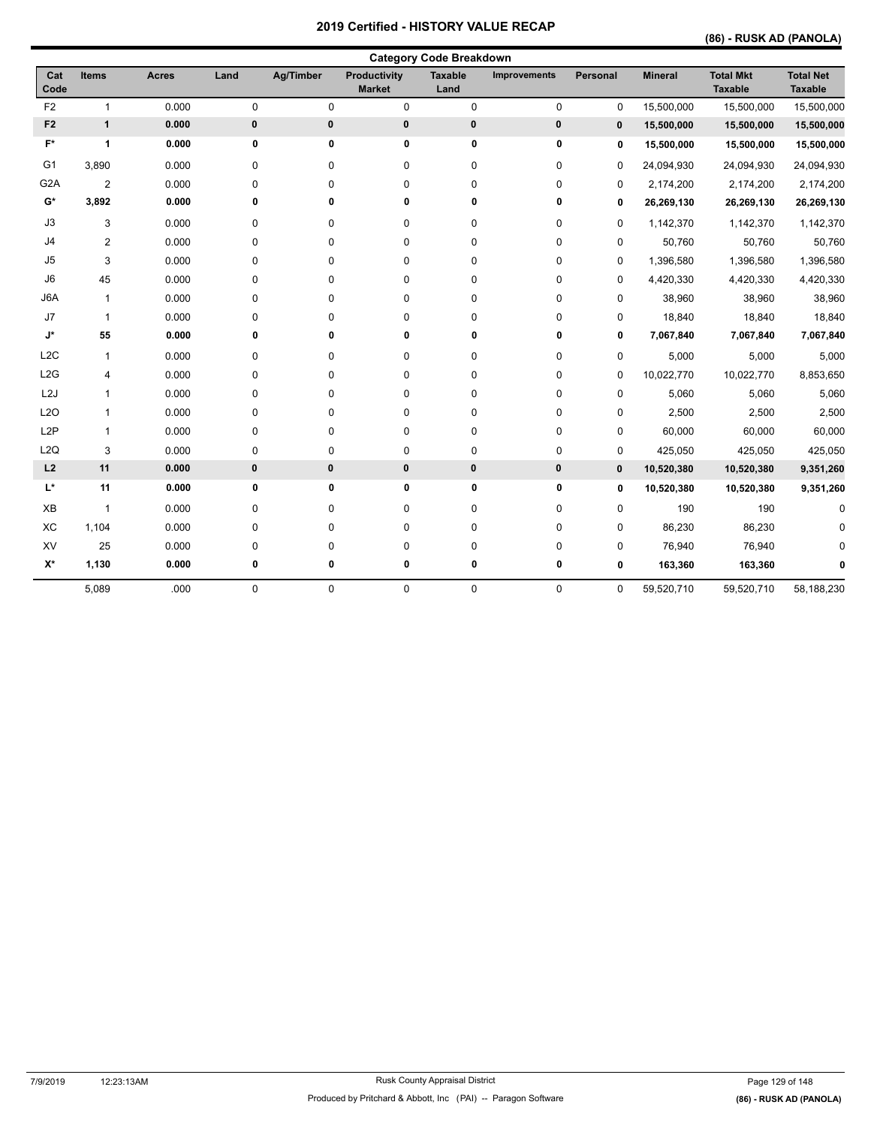## **(86) - RUSK AD (PANOLA)**

|                    | <b>Category Code Breakdown</b> |              |             |             |                               |                        |                     |             |                |                                    |                                    |
|--------------------|--------------------------------|--------------|-------------|-------------|-------------------------------|------------------------|---------------------|-------------|----------------|------------------------------------|------------------------------------|
| Cat<br>Code        | <b>Items</b>                   | <b>Acres</b> | Land        | Ag/Timber   | Productivity<br><b>Market</b> | <b>Taxable</b><br>Land | <b>Improvements</b> | Personal    | <b>Mineral</b> | <b>Total Mkt</b><br><b>Taxable</b> | <b>Total Net</b><br><b>Taxable</b> |
| F <sub>2</sub>     | $\mathbf{1}$                   | 0.000        | $\mathbf 0$ | $\mathbf 0$ | 0                             | 0                      | 0                   | $\mathbf 0$ | 15,500,000     | 15,500,000                         | 15,500,000                         |
| F <sub>2</sub>     | $\mathbf{1}$                   | 0.000        | 0           | 0           | 0                             | $\pmb{0}$              | 0                   | $\mathbf 0$ | 15,500,000     | 15,500,000                         | 15,500,000                         |
| $F^*$              | 1                              | 0.000        | 0           | 0           | 0                             | 0                      | 0                   | 0           | 15,500,000     | 15,500,000                         | 15,500,000                         |
| G <sub>1</sub>     | 3,890                          | 0.000        | 0           | 0           | 0                             | 0                      | 0                   | $\mathbf 0$ | 24,094,930     | 24,094,930                         | 24,094,930                         |
| G <sub>2</sub> A   | $\overline{2}$                 | 0.000        | 0           | 0           | 0                             | 0                      | 0                   | $\mathbf 0$ | 2,174,200      | 2,174,200                          | 2,174,200                          |
| $G^*$              | 3,892                          | 0.000        | 0           | 0           | 0                             | 0                      | 0                   | $\mathbf 0$ | 26,269,130     | 26,269,130                         | 26,269,130                         |
| J3                 | 3                              | 0.000        | 0           | 0           | 0                             | 0                      | 0                   | 0           | 1,142,370      | 1,142,370                          | 1,142,370                          |
| J <sub>4</sub>     | $\overline{2}$                 | 0.000        | 0           | 0           | 0                             | 0                      | 0                   | 0           | 50,760         | 50,760                             | 50,760                             |
| J5                 | 3                              | 0.000        | 0           | $\mathbf 0$ | 0                             | 0                      | 0                   | 0           | 1,396,580      | 1,396,580                          | 1,396,580                          |
| J6                 | 45                             | 0.000        | 0           | $\mathbf 0$ | 0                             | 0                      | 0                   | 0           | 4,420,330      | 4,420,330                          | 4,420,330                          |
| J6A                | $\mathbf{1}$                   | 0.000        | 0           | $\mathbf 0$ | 0                             | 0                      | 0                   | 0           | 38,960         | 38,960                             | 38,960                             |
| J7                 | $\mathbf{1}$                   | 0.000        | 0           | 0           | 0                             | 0                      | 0                   | 0           | 18,840         | 18,840                             | 18,840                             |
| $\mathsf{J}^\star$ | 55                             | 0.000        | 0           | 0           | 0                             | 0                      | 0                   | 0           | 7,067,840      | 7,067,840                          | 7,067,840                          |
| L <sub>2</sub> C   | $\mathbf{1}$                   | 0.000        | $\pmb{0}$   | $\mathbf 0$ | 0                             | 0                      | 0                   | 0           | 5,000          | 5,000                              | 5,000                              |
| L2G                | 4                              | 0.000        | 0           | $\mathbf 0$ | 0                             | 0                      | 0                   | $\mathbf 0$ | 10,022,770     | 10,022,770                         | 8,853,650                          |
| L2J                | 1                              | 0.000        | $\pmb{0}$   | $\mathbf 0$ | 0                             | 0                      | 0                   | 0           | 5,060          | 5,060                              | 5,060                              |
| L2O                | 1                              | 0.000        | $\pmb{0}$   | $\mathbf 0$ | 0                             | 0                      | 0                   | 0           | 2,500          | 2,500                              | 2,500                              |
| L <sub>2</sub> P   | $\mathbf{1}$                   | 0.000        | $\pmb{0}$   | $\pmb{0}$   | 0                             | 0                      | 0                   | 0           | 60,000         | 60,000                             | 60,000                             |
| L2Q                | 3                              | 0.000        | $\pmb{0}$   | $\pmb{0}$   | 0                             | 0                      | 0                   | 0           | 425,050        | 425,050                            | 425,050                            |
| L2                 | 11                             | 0.000        | 0           | 0           | 0                             | 0                      | 0                   | $\mathbf 0$ | 10,520,380     | 10,520,380                         | 9,351,260                          |
| $\mathsf{L}^\star$ | 11                             | 0.000        | 0           | 0           | 0                             | 0                      | 0                   | 0           | 10,520,380     | 10,520,380                         | 9,351,260                          |
| XB                 | $\mathbf{1}$                   | 0.000        | 0           | $\mathbf 0$ | 0                             | 0                      | 0                   | 0           | 190            | 190                                | $\mathbf 0$                        |
| XC                 | 1,104                          | 0.000        | 0           | $\mathbf 0$ | 0                             | 0                      | 0                   | 0           | 86,230         | 86,230                             |                                    |
| XV                 | 25                             | 0.000        | $\pmb{0}$   | $\pmb{0}$   | 0                             | 0                      | 0                   | 0           | 76,940         | 76,940                             |                                    |
| $X^*$              | 1,130                          | 0.000        | 0           | 0           | 0                             | 0                      | 0                   | 0           | 163,360        | 163,360                            |                                    |
|                    | 5,089                          | .000         | $\pmb{0}$   | $\mathbf 0$ | 0                             | 0                      | 0                   | 0           | 59,520,710     | 59,520,710                         | 58,188,230                         |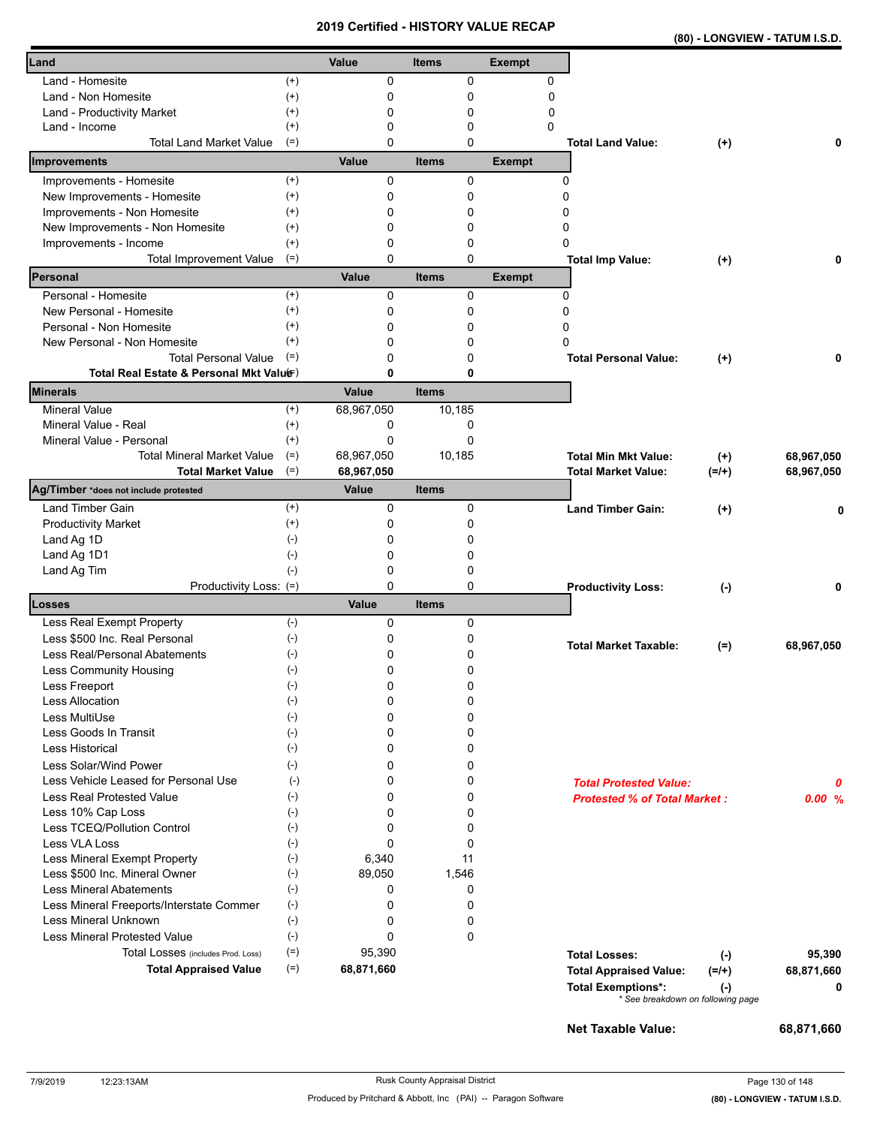|--|

| Land                                                          |                    | Value           | <b>Items</b> | <b>Exempt</b> |                                                                             |            |
|---------------------------------------------------------------|--------------------|-----------------|--------------|---------------|-----------------------------------------------------------------------------|------------|
| Land - Homesite                                               | $^{(+)}$           | 0               | $\mathbf 0$  | 0             |                                                                             |            |
| Land - Non Homesite                                           | $^{(+)}$           | 0               | 0            | $\mathbf 0$   |                                                                             |            |
| Land - Productivity Market                                    | $^{(+)}$           | 0               | 0            | 0             |                                                                             |            |
| Land - Income                                                 | $^{(+)}$           | 0               | 0            | 0             |                                                                             |            |
| <b>Total Land Market Value</b>                                | $(=)$              | 0               | $\mathbf 0$  |               | <b>Total Land Value:</b><br>$^{(+)}$                                        | 0          |
| Improvements                                                  |                    | Value           | <b>Items</b> | <b>Exempt</b> |                                                                             |            |
| Improvements - Homesite                                       | $^{(+)}$           | 0               | 0            |               | 0                                                                           |            |
| New Improvements - Homesite                                   | $^{(+)}$           | 0               | 0            |               | 0                                                                           |            |
| Improvements - Non Homesite                                   | $^{(+)}$           | 0               | 0            |               | 0                                                                           |            |
| New Improvements - Non Homesite                               | $^{(+)}$           | 0               | 0            |               | 0                                                                           |            |
| Improvements - Income                                         | $^{(+)}$           | 0               | 0            |               | 0                                                                           |            |
| <b>Total Improvement Value</b>                                | $(=)$              | 0               | $\Omega$     |               | <b>Total Imp Value:</b><br>$^{(+)}$                                         | 0          |
| Personal                                                      |                    | Value           | <b>Items</b> | <b>Exempt</b> |                                                                             |            |
| Personal - Homesite                                           | $^{(+)}$           | $\Omega$        | 0            |               | 0                                                                           |            |
| New Personal - Homesite                                       | $^{(+)}$           | 0               | 0            |               | 0                                                                           |            |
| Personal - Non Homesite                                       | $^{(+)}$           | 0               | 0            |               | 0                                                                           |            |
| New Personal - Non Homesite                                   | $^{(+)}$           | 0               | 0            |               | 0                                                                           |            |
| <b>Total Personal Value</b>                                   | $(=)$              | 0               | 0            |               | <b>Total Personal Value:</b><br>$(+)$                                       | 0          |
| Total Real Estate & Personal Mkt Valuer)                      |                    | 0               | 0            |               |                                                                             |            |
| <b>Minerals</b>                                               |                    | Value           | <b>Items</b> |               |                                                                             |            |
| <b>Mineral Value</b>                                          | $^{(+)}$           | 68,967,050      | 10,185       |               |                                                                             |            |
| Mineral Value - Real                                          | $^{(+)}$           | 0               | 0            |               |                                                                             |            |
| Mineral Value - Personal                                      | $(+)$              | 0               | $\Omega$     |               |                                                                             |            |
| <b>Total Mineral Market Value</b>                             | $(=)$              | 68,967,050      | 10,185       |               | <b>Total Min Mkt Value:</b><br>$^{(+)}$                                     | 68,967,050 |
| <b>Total Market Value</b>                                     | $(=)$              | 68,967,050      |              |               | <b>Total Market Value:</b><br>$(=/+)$                                       | 68,967,050 |
| Ag/Timber *does not include protested                         |                    | <b>Value</b>    | <b>Items</b> |               |                                                                             |            |
| Land Timber Gain                                              | $^{(+)}$           | 0               | 0            |               | <b>Land Timber Gain:</b><br>$^{(+)}$                                        | 0          |
| <b>Productivity Market</b>                                    | $^{(+)}$           | 0               | 0            |               |                                                                             |            |
| Land Ag 1D                                                    | $(\text{-})$       | 0               | 0            |               |                                                                             |            |
| Land Ag 1D1                                                   | $(-)$              | 0               | 0            |               |                                                                             |            |
| Land Ag Tim                                                   | $(-)$              | 0               | 0            |               |                                                                             |            |
| Productivity Loss: (=)                                        |                    | 0               | 0            |               | <b>Productivity Loss:</b><br>$(-)$                                          | 0          |
| Losses                                                        |                    | Value           | <b>Items</b> |               |                                                                             |            |
| Less Real Exempt Property                                     | $(-)$              | 0               | 0            |               |                                                                             |            |
| Less \$500 Inc. Real Personal                                 | $(-)$              | 0               | 0            |               | <b>Total Market Taxable:</b><br>$(=)$                                       | 68,967,050 |
| Less Real/Personal Abatements                                 | $(\text{-})$       | 0               | 0            |               |                                                                             |            |
| Less Community Housing                                        | $(-)$              | 0               | 0            |               |                                                                             |            |
| Less Freeport                                                 | $(-)$              | 0               | 0            |               |                                                                             |            |
| Less Allocation                                               | $(\textnormal{-})$ | 0               | 0            |               |                                                                             |            |
| Less MultiUse                                                 | $(-)$              | 0               | 0            |               |                                                                             |            |
| Less Goods In Transit                                         | $(-)$              | 0               | 0            |               |                                                                             |            |
| Less Historical                                               | $(-)$              | 0               | 0            |               |                                                                             |            |
| Less Solar/Wind Power                                         | $(-)$              | 0               | 0            |               |                                                                             |            |
| Less Vehicle Leased for Personal Use                          | $(-)$              | 0               | 0            |               | <b>Total Protested Value:</b>                                               | 0          |
| Less Real Protested Value                                     | $(-)$              | 0               | 0            |               | <b>Protested % of Total Market:</b>                                         | 0.00%      |
| Less 10% Cap Loss                                             | $(\cdot)$          | 0               | 0            |               |                                                                             |            |
| Less TCEQ/Pollution Control                                   | $(-)$              | 0               | 0            |               |                                                                             |            |
| Less VLA Loss                                                 | $(-)$              | 0               | 0<br>11      |               |                                                                             |            |
| Less Mineral Exempt Property<br>Less \$500 Inc. Mineral Owner | $(-)$<br>$(-)$     | 6,340<br>89,050 | 1,546        |               |                                                                             |            |
| <b>Less Mineral Abatements</b>                                |                    | 0               |              |               |                                                                             |            |
| Less Mineral Freeports/Interstate Commer                      | $(\cdot)$<br>$(-)$ | 0               | 0<br>0       |               |                                                                             |            |
| Less Mineral Unknown                                          | $(-)$              | 0               | 0            |               |                                                                             |            |
| <b>Less Mineral Protested Value</b>                           | $(-)$              | 0               | 0            |               |                                                                             |            |
| Total Losses (includes Prod. Loss)                            | $(=)$              | 95,390          |              |               |                                                                             |            |
| <b>Total Appraised Value</b>                                  | $(=)$              | 68,871,660      |              |               | <b>Total Losses:</b><br>$(\cdot)$                                           | 95,390     |
|                                                               |                    |                 |              |               | <b>Total Appraised Value:</b><br>$(=/+)$                                    | 68,871,660 |
|                                                               |                    |                 |              |               | <b>Total Exemptions*:</b><br>$(\cdot)$<br>* See breakdown on following page | 0          |
|                                                               |                    |                 |              |               |                                                                             |            |
|                                                               |                    |                 |              |               | Net Taxable Value:                                                          | 68,871,660 |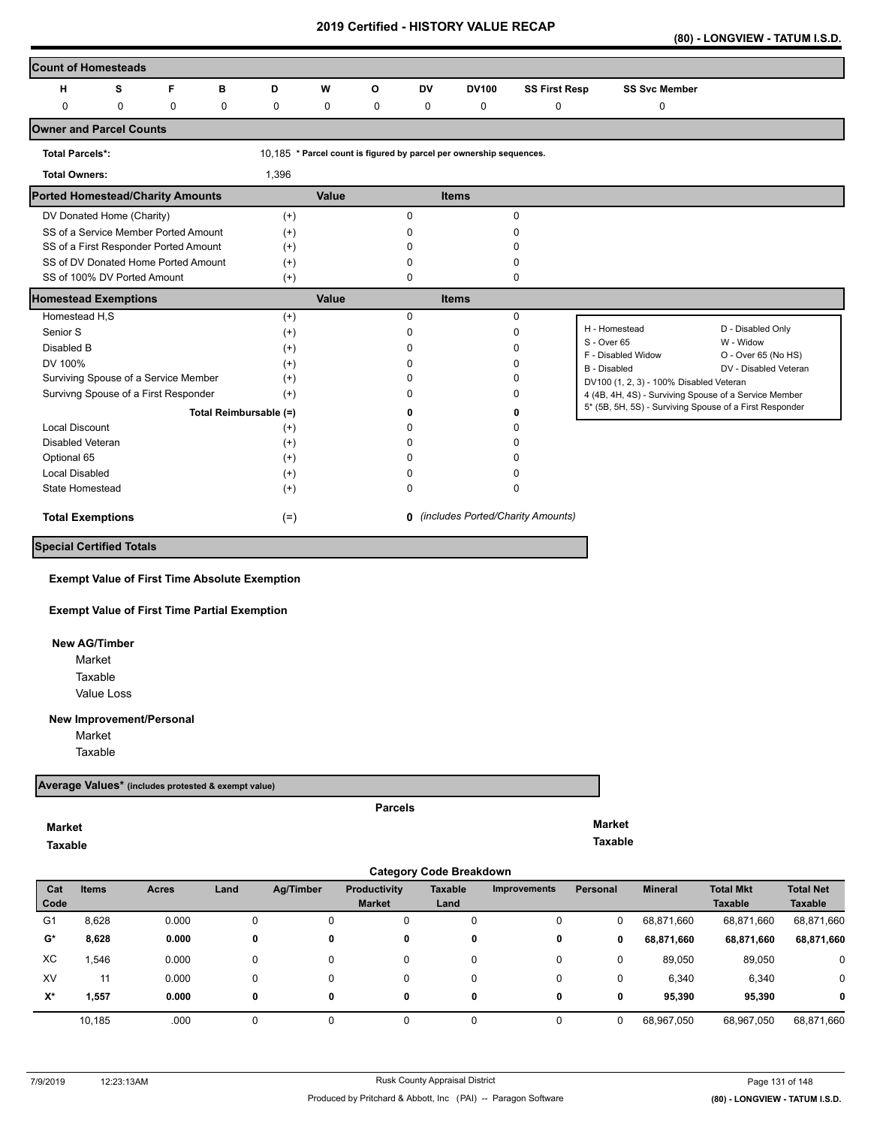**(80) - LONGVIEW - TATUM I.S.D.** 

| <b>Count of Homesteads</b>              |   |                                       |                        |          |       |             |              |                                                                     |                                            |                                                         |                                  |
|-----------------------------------------|---|---------------------------------------|------------------------|----------|-------|-------------|--------------|---------------------------------------------------------------------|--------------------------------------------|---------------------------------------------------------|----------------------------------|
| н                                       | s | F                                     | в                      | D        | W     | O           | <b>DV</b>    | <b>DV100</b>                                                        | <b>SS First Resp</b>                       | <b>SS Svc Member</b>                                    |                                  |
| 0                                       | 0 | 0                                     | 0                      | 0        | 0     | $\mathbf 0$ | 0            | $\mathbf 0$                                                         | 0                                          | 0                                                       |                                  |
| <b>Owner and Parcel Counts</b>          |   |                                       |                        |          |       |             |              |                                                                     |                                            |                                                         |                                  |
| <b>Total Parcels*:</b>                  |   |                                       |                        |          |       |             |              | 10,185 * Parcel count is figured by parcel per ownership sequences. |                                            |                                                         |                                  |
| <b>Total Owners:</b>                    |   |                                       |                        | 1,396    |       |             |              |                                                                     |                                            |                                                         |                                  |
| <b>Ported Homestead/Charity Amounts</b> |   |                                       |                        |          | Value |             |              | <b>Items</b>                                                        |                                            |                                                         |                                  |
| DV Donated Home (Charity)               |   |                                       |                        | $(+)$    |       |             | $\Omega$     |                                                                     | $\Omega$                                   |                                                         |                                  |
|                                         |   | SS of a Service Member Ported Amount  |                        | $(+)$    |       |             | $\Omega$     |                                                                     | n                                          |                                                         |                                  |
|                                         |   | SS of a First Responder Ported Amount |                        | $^{(+)}$ |       |             |              |                                                                     |                                            |                                                         |                                  |
|                                         |   | SS of DV Donated Home Ported Amount   |                        | $(+)$    |       |             | n            |                                                                     | n                                          |                                                         |                                  |
| SS of 100% DV Ported Amount             |   |                                       |                        | $(+)$    |       |             | 0            |                                                                     | 0                                          |                                                         |                                  |
| <b>Homestead Exemptions</b>             |   |                                       |                        |          | Value |             |              | <b>Items</b>                                                        |                                            |                                                         |                                  |
| Homestead H,S                           |   |                                       |                        | $(+)$    |       |             | $\Omega$     |                                                                     | $\Omega$                                   |                                                         |                                  |
| Senior S                                |   |                                       |                        | $^{(+)}$ |       |             | $\Omega$     |                                                                     | $\Omega$                                   | H - Homestead                                           | D - Disabled Only                |
| Disabled B                              |   |                                       |                        | $^{(+)}$ |       |             |              |                                                                     | n                                          | S - Over 65<br>F - Disabled Widow                       | W - Widow<br>O - Over 65 (No HS) |
| DV 100%                                 |   |                                       |                        | $^{(+)}$ |       |             |              |                                                                     | <sup>0</sup>                               | <b>B</b> - Disabled                                     | DV - Disabled Veteran            |
|                                         |   | Surviving Spouse of a Service Member  |                        | $(+)$    |       |             |              |                                                                     | n                                          | DV100 (1, 2, 3) - 100% Disabled Veteran                 |                                  |
|                                         |   | Survivng Spouse of a First Responder  |                        | $(+)$    |       |             |              |                                                                     | 0                                          | 4 (4B, 4H, 4S) - Surviving Spouse of a Service Member   |                                  |
|                                         |   |                                       | Total Reimbursable (=) |          |       |             |              |                                                                     | 0                                          | 5* (5B, 5H, 5S) - Surviving Spouse of a First Responder |                                  |
| <b>Local Discount</b>                   |   |                                       |                        | $^{(+)}$ |       |             |              |                                                                     |                                            |                                                         |                                  |
| <b>Disabled Veteran</b>                 |   |                                       |                        | $^{(+)}$ |       |             |              |                                                                     |                                            |                                                         |                                  |
| Optional 65                             |   |                                       |                        | $^{(+)}$ |       |             |              |                                                                     |                                            |                                                         |                                  |
| <b>Local Disabled</b>                   |   |                                       |                        | $^{(+)}$ |       |             |              |                                                                     |                                            |                                                         |                                  |
| <b>State Homestead</b>                  |   |                                       |                        | $^{(+)}$ |       |             | <sup>0</sup> |                                                                     | 0                                          |                                                         |                                  |
| $(=)$<br><b>Total Exemptions</b>        |   |                                       |                        |          |       |             |              |                                                                     | <b>0</b> (includes Ported/Charity Amounts) |                                                         |                                  |
| <b>Special Certified Totals</b>         |   |                                       |                        |          |       |             |              |                                                                     |                                            |                                                         |                                  |

#### **Exempt Value of First Time Absolute Exemption**

**Exempt Value of First Time Partial Exemption**

 **New AG/Timber**

Value Loss Market Taxable

#### **New Improvement/Personal**

Market

Taxable

**Market Taxable** 

#### **Average Values\* (includes protested & exempt value)**

# **Parcels**

**Market**

**Taxable** 

|                |              |       |      |           |                                      | <b>Category Code Breakdown</b> |                     |          |                |                                    |                                    |
|----------------|--------------|-------|------|-----------|--------------------------------------|--------------------------------|---------------------|----------|----------------|------------------------------------|------------------------------------|
| Cat<br>Code    | <b>Items</b> | Acres | Land | Ag/Timber | <b>Productivity</b><br><b>Market</b> | Taxable<br>Land                | <b>Improvements</b> | Personal | <b>Mineral</b> | <b>Total Mkt</b><br><b>Taxable</b> | <b>Total Net</b><br><b>Taxable</b> |
| G <sub>1</sub> | 8,628        | 0.000 | 0    | υ         | 0                                    | 0                              | 0                   |          | 68,871,660     | 68,871,660                         | 68,871,660                         |
| $\mathbf{G}^*$ | 8,628        | 0.000 | 0    | 0         | 0                                    | 0                              | 0                   | 0        | 68,871,660     | 68,871,660                         | 68,871,660                         |
| XC             | .546         | 0.000 | 0    | 0         | 0                                    | 0                              | 0                   |          | 89,050         | 89,050                             | 0                                  |
| XV             | 11           | 0.000 | 0    | 0         | 0                                    | 0                              | 0                   |          | 6,340          | 6,340                              | 0                                  |
| $X^*$          | l.557        | 0.000 | 0    | 0         | 0                                    | 0                              | 0                   | 0        | 95,390         | 95,390                             | $\mathbf 0$                        |
|                | 10.185       | .000  |      |           | 0                                    |                                | $\Omega$            |          | 68.967.050     | 68.967.050                         | 68,871,660                         |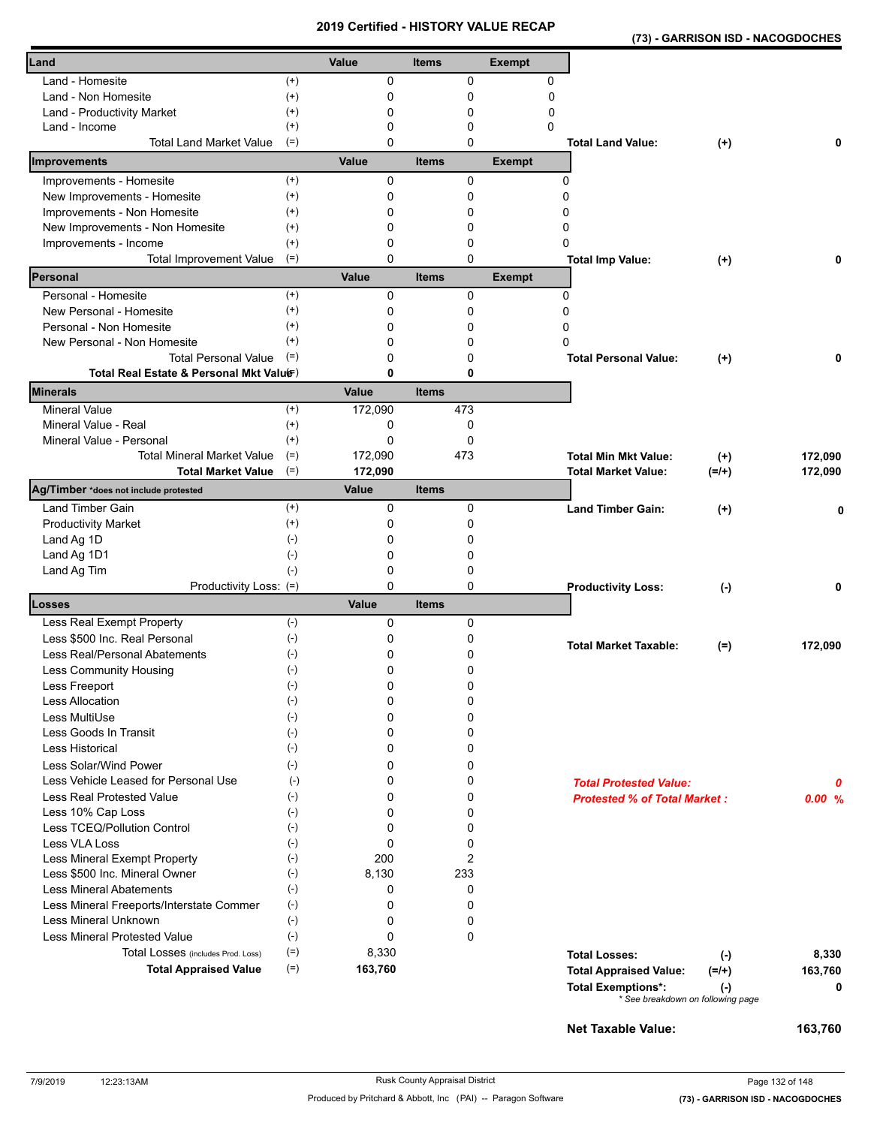| Land - Homesite<br>0<br>$^{(+)}$<br>0<br>0<br>$^{(+)}$<br>0<br>$\mathbf 0$<br>Land - Non Homesite<br>0<br>0<br>0<br>$^{(+)}$<br>0<br>Land - Productivity Market<br>0<br>$^{(+)}$<br>0<br>0<br>Land - Income<br>0<br><b>Total Land Market Value</b><br>$(=)$<br>0<br><b>Total Land Value:</b><br>$(+)$<br>0<br>Value<br><b>Items</b><br><b>Exempt</b><br>0<br>0<br>0<br>Improvements - Homesite<br>$^{(+)}$<br>$^{(+)}$<br>0<br>0<br>0<br>New Improvements - Homesite<br>Improvements - Non Homesite<br>$^{(+)}$<br>0<br>0<br>0<br>0<br>New Improvements - Non Homesite<br>$^{(+)}$<br>0<br>0<br>Improvements - Income<br>$^{(+)}$<br>0<br>0<br>0<br>$(=)$<br>0<br><b>Total Improvement Value</b><br>0<br><b>Total Imp Value:</b><br>0<br>$^{(+)}$<br>Value<br><b>Items</b><br><b>Exempt</b><br>$(+)$<br>Personal - Homesite<br>0<br>0<br>0<br>$^{(+)}$<br>New Personal - Homesite<br>0<br>0<br>0<br>$^{(+)}$<br>Personal - Non Homesite<br>0<br>0<br>0<br>$^{(+)}$<br>0<br>0<br>New Personal - Non Homesite<br>0<br><b>Total Personal Value</b><br>$(=)$<br>0<br>0<br><b>Total Personal Value:</b><br>$(+)$<br>0<br>Total Real Estate & Personal Mkt Valuer)<br>0<br>0<br><b>Minerals</b><br>Value<br><b>Items</b><br><b>Mineral Value</b><br>$^{(+)}$<br>172,090<br>473<br>Mineral Value - Real<br>$^{(+)}$<br>0<br>0<br>0<br>$\mathbf 0$<br>Mineral Value - Personal<br>$^{(+)}$<br><b>Total Mineral Market Value</b><br>$(=)$<br>172,090<br>473<br>172,090<br><b>Total Min Mkt Value:</b><br>$^{(+)}$<br>$(=)$<br>172,090<br>172,090<br><b>Total Market Value</b><br><b>Total Market Value:</b><br>$(=/+)$<br>Ag/Timber *does not include protested<br>Value<br><b>Items</b><br><b>Land Timber Gain</b><br>0<br>0<br>$^{(+)}$<br><b>Land Timber Gain:</b><br>$(+)$<br>0<br><b>Productivity Market</b><br>$^{(+)}$<br>0<br>0<br>$(-)$<br>Land Ag 1D<br>0<br>0<br>0<br>Land Ag 1D1<br>$(-)$<br>0<br>$(-)$<br>0<br>Land Ag Tim<br>0<br>0<br>Productivity Loss: (=)<br>0<br><b>Productivity Loss:</b><br>$(-)$<br>0<br>Losses<br>Value<br><b>Items</b><br>$(-)$<br>Less Real Exempt Property<br>0<br>0<br>$(-)$<br>0<br>Less \$500 Inc. Real Personal<br>0<br><b>Total Market Taxable:</b><br>172,090<br>$(=)$<br>Less Real/Personal Abatements<br>$(\text{-})$<br>0<br>0<br>0<br>0<br>Less Community Housing<br>$(\cdot)$<br>Less Freeport<br>$(\textnormal{-})$<br>0<br>0<br>0<br><b>Less Allocation</b><br>$(-)$<br>0<br>Less MultiUse<br>$(-)$<br>0<br>0<br>0<br>Less Goods In Transit<br>$(-)$<br>0<br>$(-)$<br><b>Less Historical</b><br>0<br>0<br>Less Solar/Wind Power<br>$(-)$<br>0<br>0<br>Less Vehicle Leased for Personal Use<br>$(-)$<br>0<br>0<br><b>Total Protested Value:</b><br>0<br>Less Real Protested Value<br>$(-)$<br>0<br>0<br><b>Protested % of Total Market:</b><br>0.00%<br>Less 10% Cap Loss<br>$(-)$<br>0<br>0<br>Less TCEQ/Pollution Control<br>0<br>0<br>$(\cdot)$<br>Less VLA Loss<br>$(-)$<br>0<br>0<br>$\overline{2}$<br>200<br>Less Mineral Exempt Property<br>$(-)$<br>$(-)$<br>233<br>Less \$500 Inc. Mineral Owner<br>8,130<br><b>Less Mineral Abatements</b><br>$(-)$<br>0<br>0<br>0<br>0<br>Less Mineral Freeports/Interstate Commer<br>$(-)$<br>$(-)$<br>Less Mineral Unknown<br>0<br>0<br>Less Mineral Protested Value<br>$(-)$<br>0<br>$\mathbf 0$<br>$(=)$<br>8,330<br>Total Losses (includes Prod. Loss)<br><b>Total Losses:</b><br>8,330<br>$(-)$<br>$(=)$<br>163,760<br><b>Total Appraised Value</b><br><b>Total Appraised Value:</b><br>$(=/+)$<br>163,760<br><b>Total Exemptions*:</b><br>0<br>$(\cdot)$<br>* See breakdown on following page<br>Net Taxable Value:<br>163,760 |              |       |              |               |  |  |
|-------------------------------------------------------------------------------------------------------------------------------------------------------------------------------------------------------------------------------------------------------------------------------------------------------------------------------------------------------------------------------------------------------------------------------------------------------------------------------------------------------------------------------------------------------------------------------------------------------------------------------------------------------------------------------------------------------------------------------------------------------------------------------------------------------------------------------------------------------------------------------------------------------------------------------------------------------------------------------------------------------------------------------------------------------------------------------------------------------------------------------------------------------------------------------------------------------------------------------------------------------------------------------------------------------------------------------------------------------------------------------------------------------------------------------------------------------------------------------------------------------------------------------------------------------------------------------------------------------------------------------------------------------------------------------------------------------------------------------------------------------------------------------------------------------------------------------------------------------------------------------------------------------------------------------------------------------------------------------------------------------------------------------------------------------------------------------------------------------------------------------------------------------------------------------------------------------------------------------------------------------------------------------------------------------------------------------------------------------------------------------------------------------------------------------------------------------------------------------------------------------------------------------------------------------------------------------------------------------------------------------------------------------------------------------------------------------------------------------------------------------------------------------------------------------------------------------------------------------------------------------------------------------------------------------------------------------------------------------------------------------------------------------------------------------------------------------------------------------------------------------------------------------------------------------------------------------------------------------------------------------------------------------------------------------------------------------------------------------------------------------------------------------------------------------------------------------------------------------------------------------------------------------------------------------------------------------------------------------------------------------|--------------|-------|--------------|---------------|--|--|
|                                                                                                                                                                                                                                                                                                                                                                                                                                                                                                                                                                                                                                                                                                                                                                                                                                                                                                                                                                                                                                                                                                                                                                                                                                                                                                                                                                                                                                                                                                                                                                                                                                                                                                                                                                                                                                                                                                                                                                                                                                                                                                                                                                                                                                                                                                                                                                                                                                                                                                                                                                                                                                                                                                                                                                                                                                                                                                                                                                                                                                                                                                                                                                                                                                                                                                                                                                                                                                                                                                                                                                                                                               | Land         | Value | <b>Items</b> | <b>Exempt</b> |  |  |
|                                                                                                                                                                                                                                                                                                                                                                                                                                                                                                                                                                                                                                                                                                                                                                                                                                                                                                                                                                                                                                                                                                                                                                                                                                                                                                                                                                                                                                                                                                                                                                                                                                                                                                                                                                                                                                                                                                                                                                                                                                                                                                                                                                                                                                                                                                                                                                                                                                                                                                                                                                                                                                                                                                                                                                                                                                                                                                                                                                                                                                                                                                                                                                                                                                                                                                                                                                                                                                                                                                                                                                                                                               |              |       |              |               |  |  |
|                                                                                                                                                                                                                                                                                                                                                                                                                                                                                                                                                                                                                                                                                                                                                                                                                                                                                                                                                                                                                                                                                                                                                                                                                                                                                                                                                                                                                                                                                                                                                                                                                                                                                                                                                                                                                                                                                                                                                                                                                                                                                                                                                                                                                                                                                                                                                                                                                                                                                                                                                                                                                                                                                                                                                                                                                                                                                                                                                                                                                                                                                                                                                                                                                                                                                                                                                                                                                                                                                                                                                                                                                               |              |       |              |               |  |  |
|                                                                                                                                                                                                                                                                                                                                                                                                                                                                                                                                                                                                                                                                                                                                                                                                                                                                                                                                                                                                                                                                                                                                                                                                                                                                                                                                                                                                                                                                                                                                                                                                                                                                                                                                                                                                                                                                                                                                                                                                                                                                                                                                                                                                                                                                                                                                                                                                                                                                                                                                                                                                                                                                                                                                                                                                                                                                                                                                                                                                                                                                                                                                                                                                                                                                                                                                                                                                                                                                                                                                                                                                                               |              |       |              |               |  |  |
|                                                                                                                                                                                                                                                                                                                                                                                                                                                                                                                                                                                                                                                                                                                                                                                                                                                                                                                                                                                                                                                                                                                                                                                                                                                                                                                                                                                                                                                                                                                                                                                                                                                                                                                                                                                                                                                                                                                                                                                                                                                                                                                                                                                                                                                                                                                                                                                                                                                                                                                                                                                                                                                                                                                                                                                                                                                                                                                                                                                                                                                                                                                                                                                                                                                                                                                                                                                                                                                                                                                                                                                                                               |              |       |              |               |  |  |
|                                                                                                                                                                                                                                                                                                                                                                                                                                                                                                                                                                                                                                                                                                                                                                                                                                                                                                                                                                                                                                                                                                                                                                                                                                                                                                                                                                                                                                                                                                                                                                                                                                                                                                                                                                                                                                                                                                                                                                                                                                                                                                                                                                                                                                                                                                                                                                                                                                                                                                                                                                                                                                                                                                                                                                                                                                                                                                                                                                                                                                                                                                                                                                                                                                                                                                                                                                                                                                                                                                                                                                                                                               |              |       |              |               |  |  |
|                                                                                                                                                                                                                                                                                                                                                                                                                                                                                                                                                                                                                                                                                                                                                                                                                                                                                                                                                                                                                                                                                                                                                                                                                                                                                                                                                                                                                                                                                                                                                                                                                                                                                                                                                                                                                                                                                                                                                                                                                                                                                                                                                                                                                                                                                                                                                                                                                                                                                                                                                                                                                                                                                                                                                                                                                                                                                                                                                                                                                                                                                                                                                                                                                                                                                                                                                                                                                                                                                                                                                                                                                               | Improvements |       |              |               |  |  |
|                                                                                                                                                                                                                                                                                                                                                                                                                                                                                                                                                                                                                                                                                                                                                                                                                                                                                                                                                                                                                                                                                                                                                                                                                                                                                                                                                                                                                                                                                                                                                                                                                                                                                                                                                                                                                                                                                                                                                                                                                                                                                                                                                                                                                                                                                                                                                                                                                                                                                                                                                                                                                                                                                                                                                                                                                                                                                                                                                                                                                                                                                                                                                                                                                                                                                                                                                                                                                                                                                                                                                                                                                               |              |       |              |               |  |  |
|                                                                                                                                                                                                                                                                                                                                                                                                                                                                                                                                                                                                                                                                                                                                                                                                                                                                                                                                                                                                                                                                                                                                                                                                                                                                                                                                                                                                                                                                                                                                                                                                                                                                                                                                                                                                                                                                                                                                                                                                                                                                                                                                                                                                                                                                                                                                                                                                                                                                                                                                                                                                                                                                                                                                                                                                                                                                                                                                                                                                                                                                                                                                                                                                                                                                                                                                                                                                                                                                                                                                                                                                                               |              |       |              |               |  |  |
|                                                                                                                                                                                                                                                                                                                                                                                                                                                                                                                                                                                                                                                                                                                                                                                                                                                                                                                                                                                                                                                                                                                                                                                                                                                                                                                                                                                                                                                                                                                                                                                                                                                                                                                                                                                                                                                                                                                                                                                                                                                                                                                                                                                                                                                                                                                                                                                                                                                                                                                                                                                                                                                                                                                                                                                                                                                                                                                                                                                                                                                                                                                                                                                                                                                                                                                                                                                                                                                                                                                                                                                                                               |              |       |              |               |  |  |
|                                                                                                                                                                                                                                                                                                                                                                                                                                                                                                                                                                                                                                                                                                                                                                                                                                                                                                                                                                                                                                                                                                                                                                                                                                                                                                                                                                                                                                                                                                                                                                                                                                                                                                                                                                                                                                                                                                                                                                                                                                                                                                                                                                                                                                                                                                                                                                                                                                                                                                                                                                                                                                                                                                                                                                                                                                                                                                                                                                                                                                                                                                                                                                                                                                                                                                                                                                                                                                                                                                                                                                                                                               |              |       |              |               |  |  |
|                                                                                                                                                                                                                                                                                                                                                                                                                                                                                                                                                                                                                                                                                                                                                                                                                                                                                                                                                                                                                                                                                                                                                                                                                                                                                                                                                                                                                                                                                                                                                                                                                                                                                                                                                                                                                                                                                                                                                                                                                                                                                                                                                                                                                                                                                                                                                                                                                                                                                                                                                                                                                                                                                                                                                                                                                                                                                                                                                                                                                                                                                                                                                                                                                                                                                                                                                                                                                                                                                                                                                                                                                               |              |       |              |               |  |  |
|                                                                                                                                                                                                                                                                                                                                                                                                                                                                                                                                                                                                                                                                                                                                                                                                                                                                                                                                                                                                                                                                                                                                                                                                                                                                                                                                                                                                                                                                                                                                                                                                                                                                                                                                                                                                                                                                                                                                                                                                                                                                                                                                                                                                                                                                                                                                                                                                                                                                                                                                                                                                                                                                                                                                                                                                                                                                                                                                                                                                                                                                                                                                                                                                                                                                                                                                                                                                                                                                                                                                                                                                                               |              |       |              |               |  |  |
|                                                                                                                                                                                                                                                                                                                                                                                                                                                                                                                                                                                                                                                                                                                                                                                                                                                                                                                                                                                                                                                                                                                                                                                                                                                                                                                                                                                                                                                                                                                                                                                                                                                                                                                                                                                                                                                                                                                                                                                                                                                                                                                                                                                                                                                                                                                                                                                                                                                                                                                                                                                                                                                                                                                                                                                                                                                                                                                                                                                                                                                                                                                                                                                                                                                                                                                                                                                                                                                                                                                                                                                                                               | Personal     |       |              |               |  |  |
|                                                                                                                                                                                                                                                                                                                                                                                                                                                                                                                                                                                                                                                                                                                                                                                                                                                                                                                                                                                                                                                                                                                                                                                                                                                                                                                                                                                                                                                                                                                                                                                                                                                                                                                                                                                                                                                                                                                                                                                                                                                                                                                                                                                                                                                                                                                                                                                                                                                                                                                                                                                                                                                                                                                                                                                                                                                                                                                                                                                                                                                                                                                                                                                                                                                                                                                                                                                                                                                                                                                                                                                                                               |              |       |              |               |  |  |
|                                                                                                                                                                                                                                                                                                                                                                                                                                                                                                                                                                                                                                                                                                                                                                                                                                                                                                                                                                                                                                                                                                                                                                                                                                                                                                                                                                                                                                                                                                                                                                                                                                                                                                                                                                                                                                                                                                                                                                                                                                                                                                                                                                                                                                                                                                                                                                                                                                                                                                                                                                                                                                                                                                                                                                                                                                                                                                                                                                                                                                                                                                                                                                                                                                                                                                                                                                                                                                                                                                                                                                                                                               |              |       |              |               |  |  |
|                                                                                                                                                                                                                                                                                                                                                                                                                                                                                                                                                                                                                                                                                                                                                                                                                                                                                                                                                                                                                                                                                                                                                                                                                                                                                                                                                                                                                                                                                                                                                                                                                                                                                                                                                                                                                                                                                                                                                                                                                                                                                                                                                                                                                                                                                                                                                                                                                                                                                                                                                                                                                                                                                                                                                                                                                                                                                                                                                                                                                                                                                                                                                                                                                                                                                                                                                                                                                                                                                                                                                                                                                               |              |       |              |               |  |  |
|                                                                                                                                                                                                                                                                                                                                                                                                                                                                                                                                                                                                                                                                                                                                                                                                                                                                                                                                                                                                                                                                                                                                                                                                                                                                                                                                                                                                                                                                                                                                                                                                                                                                                                                                                                                                                                                                                                                                                                                                                                                                                                                                                                                                                                                                                                                                                                                                                                                                                                                                                                                                                                                                                                                                                                                                                                                                                                                                                                                                                                                                                                                                                                                                                                                                                                                                                                                                                                                                                                                                                                                                                               |              |       |              |               |  |  |
|                                                                                                                                                                                                                                                                                                                                                                                                                                                                                                                                                                                                                                                                                                                                                                                                                                                                                                                                                                                                                                                                                                                                                                                                                                                                                                                                                                                                                                                                                                                                                                                                                                                                                                                                                                                                                                                                                                                                                                                                                                                                                                                                                                                                                                                                                                                                                                                                                                                                                                                                                                                                                                                                                                                                                                                                                                                                                                                                                                                                                                                                                                                                                                                                                                                                                                                                                                                                                                                                                                                                                                                                                               |              |       |              |               |  |  |
|                                                                                                                                                                                                                                                                                                                                                                                                                                                                                                                                                                                                                                                                                                                                                                                                                                                                                                                                                                                                                                                                                                                                                                                                                                                                                                                                                                                                                                                                                                                                                                                                                                                                                                                                                                                                                                                                                                                                                                                                                                                                                                                                                                                                                                                                                                                                                                                                                                                                                                                                                                                                                                                                                                                                                                                                                                                                                                                                                                                                                                                                                                                                                                                                                                                                                                                                                                                                                                                                                                                                                                                                                               |              |       |              |               |  |  |
|                                                                                                                                                                                                                                                                                                                                                                                                                                                                                                                                                                                                                                                                                                                                                                                                                                                                                                                                                                                                                                                                                                                                                                                                                                                                                                                                                                                                                                                                                                                                                                                                                                                                                                                                                                                                                                                                                                                                                                                                                                                                                                                                                                                                                                                                                                                                                                                                                                                                                                                                                                                                                                                                                                                                                                                                                                                                                                                                                                                                                                                                                                                                                                                                                                                                                                                                                                                                                                                                                                                                                                                                                               |              |       |              |               |  |  |
|                                                                                                                                                                                                                                                                                                                                                                                                                                                                                                                                                                                                                                                                                                                                                                                                                                                                                                                                                                                                                                                                                                                                                                                                                                                                                                                                                                                                                                                                                                                                                                                                                                                                                                                                                                                                                                                                                                                                                                                                                                                                                                                                                                                                                                                                                                                                                                                                                                                                                                                                                                                                                                                                                                                                                                                                                                                                                                                                                                                                                                                                                                                                                                                                                                                                                                                                                                                                                                                                                                                                                                                                                               |              |       |              |               |  |  |
|                                                                                                                                                                                                                                                                                                                                                                                                                                                                                                                                                                                                                                                                                                                                                                                                                                                                                                                                                                                                                                                                                                                                                                                                                                                                                                                                                                                                                                                                                                                                                                                                                                                                                                                                                                                                                                                                                                                                                                                                                                                                                                                                                                                                                                                                                                                                                                                                                                                                                                                                                                                                                                                                                                                                                                                                                                                                                                                                                                                                                                                                                                                                                                                                                                                                                                                                                                                                                                                                                                                                                                                                                               |              |       |              |               |  |  |
|                                                                                                                                                                                                                                                                                                                                                                                                                                                                                                                                                                                                                                                                                                                                                                                                                                                                                                                                                                                                                                                                                                                                                                                                                                                                                                                                                                                                                                                                                                                                                                                                                                                                                                                                                                                                                                                                                                                                                                                                                                                                                                                                                                                                                                                                                                                                                                                                                                                                                                                                                                                                                                                                                                                                                                                                                                                                                                                                                                                                                                                                                                                                                                                                                                                                                                                                                                                                                                                                                                                                                                                                                               |              |       |              |               |  |  |
|                                                                                                                                                                                                                                                                                                                                                                                                                                                                                                                                                                                                                                                                                                                                                                                                                                                                                                                                                                                                                                                                                                                                                                                                                                                                                                                                                                                                                                                                                                                                                                                                                                                                                                                                                                                                                                                                                                                                                                                                                                                                                                                                                                                                                                                                                                                                                                                                                                                                                                                                                                                                                                                                                                                                                                                                                                                                                                                                                                                                                                                                                                                                                                                                                                                                                                                                                                                                                                                                                                                                                                                                                               |              |       |              |               |  |  |
|                                                                                                                                                                                                                                                                                                                                                                                                                                                                                                                                                                                                                                                                                                                                                                                                                                                                                                                                                                                                                                                                                                                                                                                                                                                                                                                                                                                                                                                                                                                                                                                                                                                                                                                                                                                                                                                                                                                                                                                                                                                                                                                                                                                                                                                                                                                                                                                                                                                                                                                                                                                                                                                                                                                                                                                                                                                                                                                                                                                                                                                                                                                                                                                                                                                                                                                                                                                                                                                                                                                                                                                                                               |              |       |              |               |  |  |
|                                                                                                                                                                                                                                                                                                                                                                                                                                                                                                                                                                                                                                                                                                                                                                                                                                                                                                                                                                                                                                                                                                                                                                                                                                                                                                                                                                                                                                                                                                                                                                                                                                                                                                                                                                                                                                                                                                                                                                                                                                                                                                                                                                                                                                                                                                                                                                                                                                                                                                                                                                                                                                                                                                                                                                                                                                                                                                                                                                                                                                                                                                                                                                                                                                                                                                                                                                                                                                                                                                                                                                                                                               |              |       |              |               |  |  |
|                                                                                                                                                                                                                                                                                                                                                                                                                                                                                                                                                                                                                                                                                                                                                                                                                                                                                                                                                                                                                                                                                                                                                                                                                                                                                                                                                                                                                                                                                                                                                                                                                                                                                                                                                                                                                                                                                                                                                                                                                                                                                                                                                                                                                                                                                                                                                                                                                                                                                                                                                                                                                                                                                                                                                                                                                                                                                                                                                                                                                                                                                                                                                                                                                                                                                                                                                                                                                                                                                                                                                                                                                               |              |       |              |               |  |  |
|                                                                                                                                                                                                                                                                                                                                                                                                                                                                                                                                                                                                                                                                                                                                                                                                                                                                                                                                                                                                                                                                                                                                                                                                                                                                                                                                                                                                                                                                                                                                                                                                                                                                                                                                                                                                                                                                                                                                                                                                                                                                                                                                                                                                                                                                                                                                                                                                                                                                                                                                                                                                                                                                                                                                                                                                                                                                                                                                                                                                                                                                                                                                                                                                                                                                                                                                                                                                                                                                                                                                                                                                                               |              |       |              |               |  |  |
|                                                                                                                                                                                                                                                                                                                                                                                                                                                                                                                                                                                                                                                                                                                                                                                                                                                                                                                                                                                                                                                                                                                                                                                                                                                                                                                                                                                                                                                                                                                                                                                                                                                                                                                                                                                                                                                                                                                                                                                                                                                                                                                                                                                                                                                                                                                                                                                                                                                                                                                                                                                                                                                                                                                                                                                                                                                                                                                                                                                                                                                                                                                                                                                                                                                                                                                                                                                                                                                                                                                                                                                                                               |              |       |              |               |  |  |
|                                                                                                                                                                                                                                                                                                                                                                                                                                                                                                                                                                                                                                                                                                                                                                                                                                                                                                                                                                                                                                                                                                                                                                                                                                                                                                                                                                                                                                                                                                                                                                                                                                                                                                                                                                                                                                                                                                                                                                                                                                                                                                                                                                                                                                                                                                                                                                                                                                                                                                                                                                                                                                                                                                                                                                                                                                                                                                                                                                                                                                                                                                                                                                                                                                                                                                                                                                                                                                                                                                                                                                                                                               |              |       |              |               |  |  |
|                                                                                                                                                                                                                                                                                                                                                                                                                                                                                                                                                                                                                                                                                                                                                                                                                                                                                                                                                                                                                                                                                                                                                                                                                                                                                                                                                                                                                                                                                                                                                                                                                                                                                                                                                                                                                                                                                                                                                                                                                                                                                                                                                                                                                                                                                                                                                                                                                                                                                                                                                                                                                                                                                                                                                                                                                                                                                                                                                                                                                                                                                                                                                                                                                                                                                                                                                                                                                                                                                                                                                                                                                               |              |       |              |               |  |  |
|                                                                                                                                                                                                                                                                                                                                                                                                                                                                                                                                                                                                                                                                                                                                                                                                                                                                                                                                                                                                                                                                                                                                                                                                                                                                                                                                                                                                                                                                                                                                                                                                                                                                                                                                                                                                                                                                                                                                                                                                                                                                                                                                                                                                                                                                                                                                                                                                                                                                                                                                                                                                                                                                                                                                                                                                                                                                                                                                                                                                                                                                                                                                                                                                                                                                                                                                                                                                                                                                                                                                                                                                                               |              |       |              |               |  |  |
|                                                                                                                                                                                                                                                                                                                                                                                                                                                                                                                                                                                                                                                                                                                                                                                                                                                                                                                                                                                                                                                                                                                                                                                                                                                                                                                                                                                                                                                                                                                                                                                                                                                                                                                                                                                                                                                                                                                                                                                                                                                                                                                                                                                                                                                                                                                                                                                                                                                                                                                                                                                                                                                                                                                                                                                                                                                                                                                                                                                                                                                                                                                                                                                                                                                                                                                                                                                                                                                                                                                                                                                                                               |              |       |              |               |  |  |
|                                                                                                                                                                                                                                                                                                                                                                                                                                                                                                                                                                                                                                                                                                                                                                                                                                                                                                                                                                                                                                                                                                                                                                                                                                                                                                                                                                                                                                                                                                                                                                                                                                                                                                                                                                                                                                                                                                                                                                                                                                                                                                                                                                                                                                                                                                                                                                                                                                                                                                                                                                                                                                                                                                                                                                                                                                                                                                                                                                                                                                                                                                                                                                                                                                                                                                                                                                                                                                                                                                                                                                                                                               |              |       |              |               |  |  |
|                                                                                                                                                                                                                                                                                                                                                                                                                                                                                                                                                                                                                                                                                                                                                                                                                                                                                                                                                                                                                                                                                                                                                                                                                                                                                                                                                                                                                                                                                                                                                                                                                                                                                                                                                                                                                                                                                                                                                                                                                                                                                                                                                                                                                                                                                                                                                                                                                                                                                                                                                                                                                                                                                                                                                                                                                                                                                                                                                                                                                                                                                                                                                                                                                                                                                                                                                                                                                                                                                                                                                                                                                               |              |       |              |               |  |  |
|                                                                                                                                                                                                                                                                                                                                                                                                                                                                                                                                                                                                                                                                                                                                                                                                                                                                                                                                                                                                                                                                                                                                                                                                                                                                                                                                                                                                                                                                                                                                                                                                                                                                                                                                                                                                                                                                                                                                                                                                                                                                                                                                                                                                                                                                                                                                                                                                                                                                                                                                                                                                                                                                                                                                                                                                                                                                                                                                                                                                                                                                                                                                                                                                                                                                                                                                                                                                                                                                                                                                                                                                                               |              |       |              |               |  |  |
|                                                                                                                                                                                                                                                                                                                                                                                                                                                                                                                                                                                                                                                                                                                                                                                                                                                                                                                                                                                                                                                                                                                                                                                                                                                                                                                                                                                                                                                                                                                                                                                                                                                                                                                                                                                                                                                                                                                                                                                                                                                                                                                                                                                                                                                                                                                                                                                                                                                                                                                                                                                                                                                                                                                                                                                                                                                                                                                                                                                                                                                                                                                                                                                                                                                                                                                                                                                                                                                                                                                                                                                                                               |              |       |              |               |  |  |
|                                                                                                                                                                                                                                                                                                                                                                                                                                                                                                                                                                                                                                                                                                                                                                                                                                                                                                                                                                                                                                                                                                                                                                                                                                                                                                                                                                                                                                                                                                                                                                                                                                                                                                                                                                                                                                                                                                                                                                                                                                                                                                                                                                                                                                                                                                                                                                                                                                                                                                                                                                                                                                                                                                                                                                                                                                                                                                                                                                                                                                                                                                                                                                                                                                                                                                                                                                                                                                                                                                                                                                                                                               |              |       |              |               |  |  |
|                                                                                                                                                                                                                                                                                                                                                                                                                                                                                                                                                                                                                                                                                                                                                                                                                                                                                                                                                                                                                                                                                                                                                                                                                                                                                                                                                                                                                                                                                                                                                                                                                                                                                                                                                                                                                                                                                                                                                                                                                                                                                                                                                                                                                                                                                                                                                                                                                                                                                                                                                                                                                                                                                                                                                                                                                                                                                                                                                                                                                                                                                                                                                                                                                                                                                                                                                                                                                                                                                                                                                                                                                               |              |       |              |               |  |  |
|                                                                                                                                                                                                                                                                                                                                                                                                                                                                                                                                                                                                                                                                                                                                                                                                                                                                                                                                                                                                                                                                                                                                                                                                                                                                                                                                                                                                                                                                                                                                                                                                                                                                                                                                                                                                                                                                                                                                                                                                                                                                                                                                                                                                                                                                                                                                                                                                                                                                                                                                                                                                                                                                                                                                                                                                                                                                                                                                                                                                                                                                                                                                                                                                                                                                                                                                                                                                                                                                                                                                                                                                                               |              |       |              |               |  |  |
|                                                                                                                                                                                                                                                                                                                                                                                                                                                                                                                                                                                                                                                                                                                                                                                                                                                                                                                                                                                                                                                                                                                                                                                                                                                                                                                                                                                                                                                                                                                                                                                                                                                                                                                                                                                                                                                                                                                                                                                                                                                                                                                                                                                                                                                                                                                                                                                                                                                                                                                                                                                                                                                                                                                                                                                                                                                                                                                                                                                                                                                                                                                                                                                                                                                                                                                                                                                                                                                                                                                                                                                                                               |              |       |              |               |  |  |
|                                                                                                                                                                                                                                                                                                                                                                                                                                                                                                                                                                                                                                                                                                                                                                                                                                                                                                                                                                                                                                                                                                                                                                                                                                                                                                                                                                                                                                                                                                                                                                                                                                                                                                                                                                                                                                                                                                                                                                                                                                                                                                                                                                                                                                                                                                                                                                                                                                                                                                                                                                                                                                                                                                                                                                                                                                                                                                                                                                                                                                                                                                                                                                                                                                                                                                                                                                                                                                                                                                                                                                                                                               |              |       |              |               |  |  |
|                                                                                                                                                                                                                                                                                                                                                                                                                                                                                                                                                                                                                                                                                                                                                                                                                                                                                                                                                                                                                                                                                                                                                                                                                                                                                                                                                                                                                                                                                                                                                                                                                                                                                                                                                                                                                                                                                                                                                                                                                                                                                                                                                                                                                                                                                                                                                                                                                                                                                                                                                                                                                                                                                                                                                                                                                                                                                                                                                                                                                                                                                                                                                                                                                                                                                                                                                                                                                                                                                                                                                                                                                               |              |       |              |               |  |  |
|                                                                                                                                                                                                                                                                                                                                                                                                                                                                                                                                                                                                                                                                                                                                                                                                                                                                                                                                                                                                                                                                                                                                                                                                                                                                                                                                                                                                                                                                                                                                                                                                                                                                                                                                                                                                                                                                                                                                                                                                                                                                                                                                                                                                                                                                                                                                                                                                                                                                                                                                                                                                                                                                                                                                                                                                                                                                                                                                                                                                                                                                                                                                                                                                                                                                                                                                                                                                                                                                                                                                                                                                                               |              |       |              |               |  |  |
|                                                                                                                                                                                                                                                                                                                                                                                                                                                                                                                                                                                                                                                                                                                                                                                                                                                                                                                                                                                                                                                                                                                                                                                                                                                                                                                                                                                                                                                                                                                                                                                                                                                                                                                                                                                                                                                                                                                                                                                                                                                                                                                                                                                                                                                                                                                                                                                                                                                                                                                                                                                                                                                                                                                                                                                                                                                                                                                                                                                                                                                                                                                                                                                                                                                                                                                                                                                                                                                                                                                                                                                                                               |              |       |              |               |  |  |
|                                                                                                                                                                                                                                                                                                                                                                                                                                                                                                                                                                                                                                                                                                                                                                                                                                                                                                                                                                                                                                                                                                                                                                                                                                                                                                                                                                                                                                                                                                                                                                                                                                                                                                                                                                                                                                                                                                                                                                                                                                                                                                                                                                                                                                                                                                                                                                                                                                                                                                                                                                                                                                                                                                                                                                                                                                                                                                                                                                                                                                                                                                                                                                                                                                                                                                                                                                                                                                                                                                                                                                                                                               |              |       |              |               |  |  |
|                                                                                                                                                                                                                                                                                                                                                                                                                                                                                                                                                                                                                                                                                                                                                                                                                                                                                                                                                                                                                                                                                                                                                                                                                                                                                                                                                                                                                                                                                                                                                                                                                                                                                                                                                                                                                                                                                                                                                                                                                                                                                                                                                                                                                                                                                                                                                                                                                                                                                                                                                                                                                                                                                                                                                                                                                                                                                                                                                                                                                                                                                                                                                                                                                                                                                                                                                                                                                                                                                                                                                                                                                               |              |       |              |               |  |  |
|                                                                                                                                                                                                                                                                                                                                                                                                                                                                                                                                                                                                                                                                                                                                                                                                                                                                                                                                                                                                                                                                                                                                                                                                                                                                                                                                                                                                                                                                                                                                                                                                                                                                                                                                                                                                                                                                                                                                                                                                                                                                                                                                                                                                                                                                                                                                                                                                                                                                                                                                                                                                                                                                                                                                                                                                                                                                                                                                                                                                                                                                                                                                                                                                                                                                                                                                                                                                                                                                                                                                                                                                                               |              |       |              |               |  |  |
|                                                                                                                                                                                                                                                                                                                                                                                                                                                                                                                                                                                                                                                                                                                                                                                                                                                                                                                                                                                                                                                                                                                                                                                                                                                                                                                                                                                                                                                                                                                                                                                                                                                                                                                                                                                                                                                                                                                                                                                                                                                                                                                                                                                                                                                                                                                                                                                                                                                                                                                                                                                                                                                                                                                                                                                                                                                                                                                                                                                                                                                                                                                                                                                                                                                                                                                                                                                                                                                                                                                                                                                                                               |              |       |              |               |  |  |
|                                                                                                                                                                                                                                                                                                                                                                                                                                                                                                                                                                                                                                                                                                                                                                                                                                                                                                                                                                                                                                                                                                                                                                                                                                                                                                                                                                                                                                                                                                                                                                                                                                                                                                                                                                                                                                                                                                                                                                                                                                                                                                                                                                                                                                                                                                                                                                                                                                                                                                                                                                                                                                                                                                                                                                                                                                                                                                                                                                                                                                                                                                                                                                                                                                                                                                                                                                                                                                                                                                                                                                                                                               |              |       |              |               |  |  |
|                                                                                                                                                                                                                                                                                                                                                                                                                                                                                                                                                                                                                                                                                                                                                                                                                                                                                                                                                                                                                                                                                                                                                                                                                                                                                                                                                                                                                                                                                                                                                                                                                                                                                                                                                                                                                                                                                                                                                                                                                                                                                                                                                                                                                                                                                                                                                                                                                                                                                                                                                                                                                                                                                                                                                                                                                                                                                                                                                                                                                                                                                                                                                                                                                                                                                                                                                                                                                                                                                                                                                                                                                               |              |       |              |               |  |  |
|                                                                                                                                                                                                                                                                                                                                                                                                                                                                                                                                                                                                                                                                                                                                                                                                                                                                                                                                                                                                                                                                                                                                                                                                                                                                                                                                                                                                                                                                                                                                                                                                                                                                                                                                                                                                                                                                                                                                                                                                                                                                                                                                                                                                                                                                                                                                                                                                                                                                                                                                                                                                                                                                                                                                                                                                                                                                                                                                                                                                                                                                                                                                                                                                                                                                                                                                                                                                                                                                                                                                                                                                                               |              |       |              |               |  |  |
|                                                                                                                                                                                                                                                                                                                                                                                                                                                                                                                                                                                                                                                                                                                                                                                                                                                                                                                                                                                                                                                                                                                                                                                                                                                                                                                                                                                                                                                                                                                                                                                                                                                                                                                                                                                                                                                                                                                                                                                                                                                                                                                                                                                                                                                                                                                                                                                                                                                                                                                                                                                                                                                                                                                                                                                                                                                                                                                                                                                                                                                                                                                                                                                                                                                                                                                                                                                                                                                                                                                                                                                                                               |              |       |              |               |  |  |
|                                                                                                                                                                                                                                                                                                                                                                                                                                                                                                                                                                                                                                                                                                                                                                                                                                                                                                                                                                                                                                                                                                                                                                                                                                                                                                                                                                                                                                                                                                                                                                                                                                                                                                                                                                                                                                                                                                                                                                                                                                                                                                                                                                                                                                                                                                                                                                                                                                                                                                                                                                                                                                                                                                                                                                                                                                                                                                                                                                                                                                                                                                                                                                                                                                                                                                                                                                                                                                                                                                                                                                                                                               |              |       |              |               |  |  |
|                                                                                                                                                                                                                                                                                                                                                                                                                                                                                                                                                                                                                                                                                                                                                                                                                                                                                                                                                                                                                                                                                                                                                                                                                                                                                                                                                                                                                                                                                                                                                                                                                                                                                                                                                                                                                                                                                                                                                                                                                                                                                                                                                                                                                                                                                                                                                                                                                                                                                                                                                                                                                                                                                                                                                                                                                                                                                                                                                                                                                                                                                                                                                                                                                                                                                                                                                                                                                                                                                                                                                                                                                               |              |       |              |               |  |  |
|                                                                                                                                                                                                                                                                                                                                                                                                                                                                                                                                                                                                                                                                                                                                                                                                                                                                                                                                                                                                                                                                                                                                                                                                                                                                                                                                                                                                                                                                                                                                                                                                                                                                                                                                                                                                                                                                                                                                                                                                                                                                                                                                                                                                                                                                                                                                                                                                                                                                                                                                                                                                                                                                                                                                                                                                                                                                                                                                                                                                                                                                                                                                                                                                                                                                                                                                                                                                                                                                                                                                                                                                                               |              |       |              |               |  |  |
|                                                                                                                                                                                                                                                                                                                                                                                                                                                                                                                                                                                                                                                                                                                                                                                                                                                                                                                                                                                                                                                                                                                                                                                                                                                                                                                                                                                                                                                                                                                                                                                                                                                                                                                                                                                                                                                                                                                                                                                                                                                                                                                                                                                                                                                                                                                                                                                                                                                                                                                                                                                                                                                                                                                                                                                                                                                                                                                                                                                                                                                                                                                                                                                                                                                                                                                                                                                                                                                                                                                                                                                                                               |              |       |              |               |  |  |
|                                                                                                                                                                                                                                                                                                                                                                                                                                                                                                                                                                                                                                                                                                                                                                                                                                                                                                                                                                                                                                                                                                                                                                                                                                                                                                                                                                                                                                                                                                                                                                                                                                                                                                                                                                                                                                                                                                                                                                                                                                                                                                                                                                                                                                                                                                                                                                                                                                                                                                                                                                                                                                                                                                                                                                                                                                                                                                                                                                                                                                                                                                                                                                                                                                                                                                                                                                                                                                                                                                                                                                                                                               |              |       |              |               |  |  |
|                                                                                                                                                                                                                                                                                                                                                                                                                                                                                                                                                                                                                                                                                                                                                                                                                                                                                                                                                                                                                                                                                                                                                                                                                                                                                                                                                                                                                                                                                                                                                                                                                                                                                                                                                                                                                                                                                                                                                                                                                                                                                                                                                                                                                                                                                                                                                                                                                                                                                                                                                                                                                                                                                                                                                                                                                                                                                                                                                                                                                                                                                                                                                                                                                                                                                                                                                                                                                                                                                                                                                                                                                               |              |       |              |               |  |  |
|                                                                                                                                                                                                                                                                                                                                                                                                                                                                                                                                                                                                                                                                                                                                                                                                                                                                                                                                                                                                                                                                                                                                                                                                                                                                                                                                                                                                                                                                                                                                                                                                                                                                                                                                                                                                                                                                                                                                                                                                                                                                                                                                                                                                                                                                                                                                                                                                                                                                                                                                                                                                                                                                                                                                                                                                                                                                                                                                                                                                                                                                                                                                                                                                                                                                                                                                                                                                                                                                                                                                                                                                                               |              |       |              |               |  |  |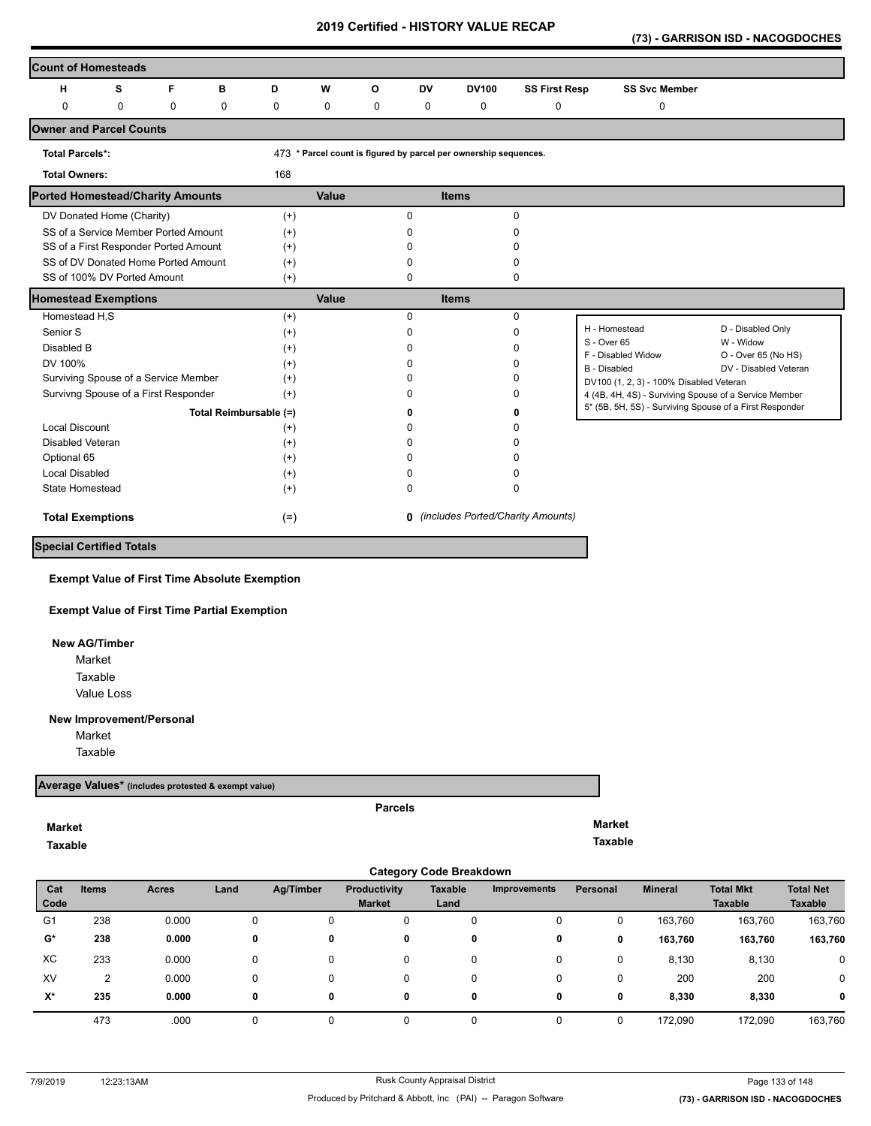**(73) - GARRISON ISD - NACOGDOCHES** 

| <b>Count of Homesteads</b>              |             |             |                        |          |       |                                     |           |                                                                  |                      |                                                         |                                  |
|-----------------------------------------|-------------|-------------|------------------------|----------|-------|-------------------------------------|-----------|------------------------------------------------------------------|----------------------|---------------------------------------------------------|----------------------------------|
| н                                       | s           | F           | в                      | D        | W     | O                                   | <b>DV</b> | <b>DV100</b>                                                     | <b>SS First Resp</b> | <b>SS Svc Member</b>                                    |                                  |
| 0                                       | $\mathbf 0$ | $\mathbf 0$ | $\mathbf 0$            | 0        | 0     | 0                                   | 0         | 0                                                                | $\pmb{0}$            | 0                                                       |                                  |
| <b>Owner and Parcel Counts</b>          |             |             |                        |          |       |                                     |           |                                                                  |                      |                                                         |                                  |
| <b>Total Parcels*:</b>                  |             |             |                        |          |       |                                     |           | 473 * Parcel count is figured by parcel per ownership sequences. |                      |                                                         |                                  |
| <b>Total Owners:</b>                    |             |             |                        | 168      |       |                                     |           |                                                                  |                      |                                                         |                                  |
| <b>Ported Homestead/Charity Amounts</b> |             |             |                        |          | Value |                                     |           | <b>Items</b>                                                     |                      |                                                         |                                  |
| DV Donated Home (Charity)               |             |             |                        | $^{(+)}$ |       |                                     | $\Omega$  |                                                                  | $\Omega$             |                                                         |                                  |
| SS of a Service Member Ported Amount    |             |             |                        | $(+)$    |       |                                     | n         |                                                                  | n                    |                                                         |                                  |
| SS of a First Responder Ported Amount   |             |             |                        | $(+)$    |       |                                     |           |                                                                  |                      |                                                         |                                  |
| SS of DV Donated Home Ported Amount     |             |             |                        | $(+)$    |       |                                     |           |                                                                  | <sup>0</sup>         |                                                         |                                  |
| SS of 100% DV Ported Amount             |             |             |                        | $^{(+)}$ |       |                                     | 0         |                                                                  | 0                    |                                                         |                                  |
| <b>Homestead Exemptions</b>             |             |             |                        |          | Value |                                     |           | <b>Items</b>                                                     |                      |                                                         |                                  |
| Homestead H,S                           |             |             |                        | $(+)$    |       |                                     | $\Omega$  |                                                                  | 0                    |                                                         |                                  |
| Senior S                                |             |             |                        | $^{(+)}$ |       |                                     | n         |                                                                  | $\Omega$             | H - Homestead                                           | D - Disabled Only                |
| Disabled B                              |             |             |                        | $(+)$    |       |                                     |           |                                                                  | n                    | S - Over 65<br>F - Disabled Widow                       | W - Widow<br>O - Over 65 (No HS) |
| DV 100%                                 |             |             |                        | $(+)$    |       |                                     |           |                                                                  | n                    | <b>B</b> - Disabled                                     | DV - Disabled Veteran            |
| Surviving Spouse of a Service Member    |             |             |                        | $(+)$    |       |                                     |           |                                                                  | <sup>0</sup>         | DV100 (1, 2, 3) - 100% Disabled Veteran                 |                                  |
| Survivng Spouse of a First Responder    |             |             |                        | $(+)$    |       |                                     |           |                                                                  | <sup>0</sup>         | 4 (4B, 4H, 4S) - Surviving Spouse of a Service Member   |                                  |
|                                         |             |             | Total Reimbursable (=) |          |       |                                     |           |                                                                  | 0                    | 5* (5B, 5H, 5S) - Surviving Spouse of a First Responder |                                  |
| <b>Local Discount</b>                   |             |             |                        | $^{(+)}$ |       |                                     | n         |                                                                  |                      |                                                         |                                  |
| <b>Disabled Veteran</b>                 |             |             |                        | $^{(+)}$ |       |                                     |           |                                                                  |                      |                                                         |                                  |
| Optional 65                             |             |             |                        | $^{(+)}$ |       |                                     |           |                                                                  | O                    |                                                         |                                  |
| <b>Local Disabled</b>                   |             |             |                        | $^{(+)}$ |       |                                     |           |                                                                  | n                    |                                                         |                                  |
| State Homestead                         |             |             |                        | $(+)$    |       |                                     | 0         |                                                                  | 0                    |                                                         |                                  |
| <b>Total Exemptions</b>                 | $(=)$       |             |                        |          |       | 0 (includes Ported/Charity Amounts) |           |                                                                  |                      |                                                         |                                  |
| <b>Special Certified Totals</b>         |             |             |                        |          |       |                                     |           |                                                                  |                      |                                                         |                                  |

**Exempt Value of First Time Absolute Exemption**

**Exempt Value of First Time Partial Exemption**

 **New AG/Timber**

Value Loss Market Taxable

**New Improvement/Personal** 

Market

Taxable

**Market Taxable** 

#### **Average Values\* (includes protested & exempt value)**

# **Parcels**

**Market**

**Taxable** 

|                |              |              |      |           |                               | <b>Category Code Breakdown</b> |                     |          |                |                                    |                             |
|----------------|--------------|--------------|------|-----------|-------------------------------|--------------------------------|---------------------|----------|----------------|------------------------------------|-----------------------------|
| Cat<br>Code    | <b>Items</b> | <b>Acres</b> | Land | Ag/Timber | Productivity<br><b>Market</b> | <b>Taxable</b><br>Land         | <b>Improvements</b> | Personal | <b>Mineral</b> | <b>Total Mkt</b><br><b>Taxable</b> | <b>Total Net</b><br>Taxable |
| G <sub>1</sub> | 238          | 0.000        | 0    | 0         | 0                             | 0                              | 0                   | 0        | 163,760        | 163,760                            | 163,760                     |
| G*             | 238          | 0.000        | 0    | 0         | 0                             | 0                              | 0                   | 0        | 163,760        | 163,760                            | 163,760                     |
| ХC             | 233          | 0.000        |      | 0         | 0                             | 0                              | 0                   | 0        | 8,130          | 8,130                              | 0                           |
| XV             | 2            | 0.000        |      | 0         | 0                             | 0                              | 0                   | 0        | 200            | 200                                | 0                           |
| X*             | 235          | 0.000        | 0    | 0         | 0                             | 0                              | 0                   | 0        | 8,330          | 8,330                              | $\mathbf 0$                 |
|                | 473          | .000         |      |           |                               |                                | 0                   |          | 172.090        | 172.090                            | 163,760                     |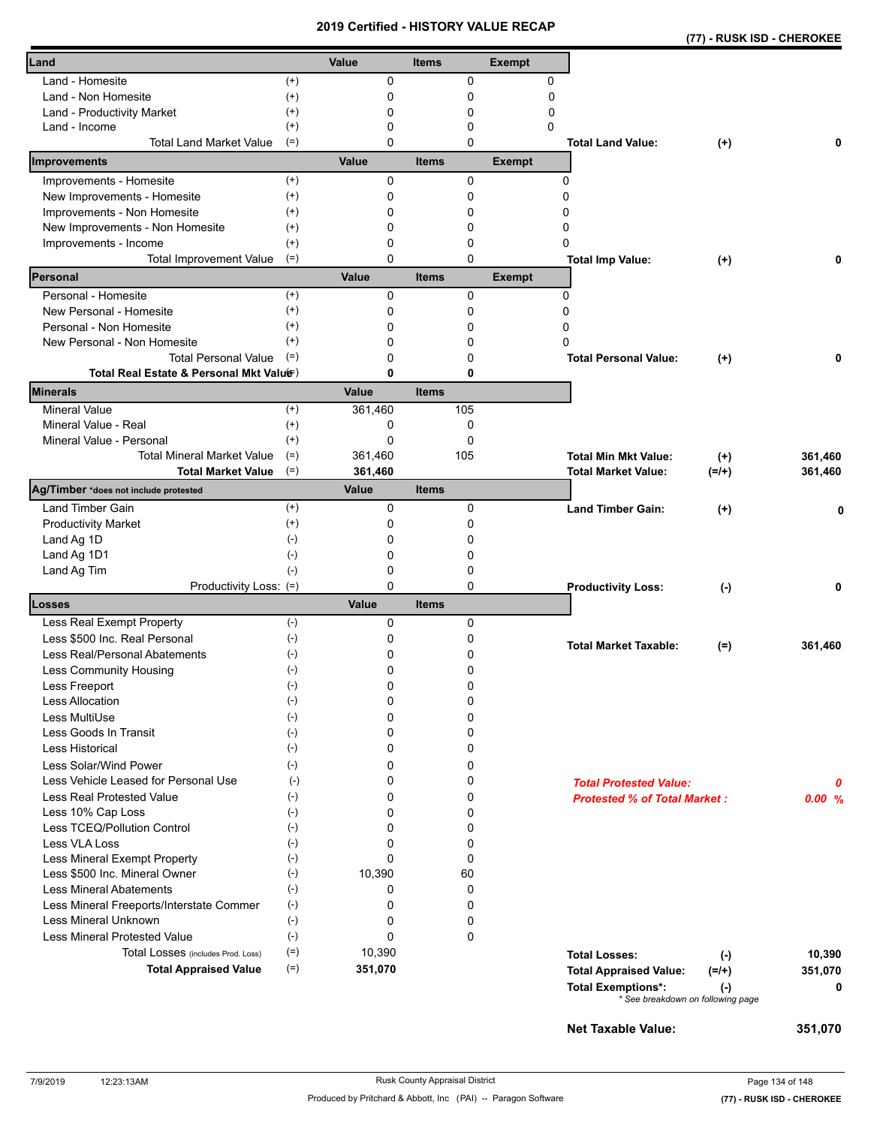|                                                            |                      | 20 I J     |              |        | <b>CEILIIIEU - NIJ I URT VALUE RECAP</b> |                                     | (77) - RUSK ISD - CHEROKEE                     |         |
|------------------------------------------------------------|----------------------|------------|--------------|--------|------------------------------------------|-------------------------------------|------------------------------------------------|---------|
| Land                                                       |                      | Value      | <b>Items</b> |        | <b>Exempt</b>                            |                                     |                                                |         |
| Land - Homesite                                            | $^{(+)}$             | 0          |              | 0      | 0                                        |                                     |                                                |         |
| Land - Non Homesite                                        | $^{(+)}$             | 0          |              | 0      | 0                                        |                                     |                                                |         |
| Land - Productivity Market                                 | $^{(+)}$             | 0          |              | 0      | 0                                        |                                     |                                                |         |
| Land - Income                                              | $^{(+)}$             | 0          |              | 0      | $\Omega$                                 |                                     |                                                |         |
| <b>Total Land Market Value</b>                             | $(=)$                | 0          |              | 0      |                                          | <b>Total Land Value:</b>            | $(+)$                                          | 0       |
| Improvements                                               |                      | Value      | <b>Items</b> |        | <b>Exempt</b>                            |                                     |                                                |         |
| Improvements - Homesite                                    | $^{(+)}$             | 0          |              | 0      |                                          | 0                                   |                                                |         |
| New Improvements - Homesite                                | $^{(+)}$             | 0          |              | 0      |                                          | 0                                   |                                                |         |
| Improvements - Non Homesite                                | $^{(+)}$             | 0          |              | 0      |                                          | 0                                   |                                                |         |
| New Improvements - Non Homesite                            | $^{(+)}$             | 0          |              | 0      |                                          | 0                                   |                                                |         |
| Improvements - Income                                      | $^{(+)}$             | 0          |              | 0      |                                          | 0                                   |                                                |         |
| <b>Total Improvement Value</b><br>Personal                 | $(=)$                | 0          |              | 0      |                                          | <b>Total Imp Value:</b>             | $(+)$                                          |         |
|                                                            |                      | Value<br>0 | <b>Items</b> |        | <b>Exempt</b>                            |                                     |                                                |         |
| Personal - Homesite<br>New Personal - Homesite             | $^{(+)}$<br>$^{(+)}$ |            |              | 0      |                                          | 0<br>0                              |                                                |         |
|                                                            |                      | 0          |              | 0      |                                          |                                     |                                                |         |
| Personal - Non Homesite                                    | $^{(+)}$<br>$^{(+)}$ | 0          |              | 0      |                                          | 0<br>0                              |                                                |         |
| New Personal - Non Homesite<br><b>Total Personal Value</b> |                      | 0          |              | 0      |                                          |                                     |                                                |         |
| Total Real Estate & Personal Mkt Valuer)                   | $(=)$                | 0<br>0     |              | 0<br>0 |                                          | <b>Total Personal Value:</b>        | $(+)$                                          | 0       |
| Minerals                                                   |                      | Value      | <b>Items</b> |        |                                          |                                     |                                                |         |
| <b>Mineral Value</b>                                       | $^{(+)}$             | 361,460    |              | 105    |                                          |                                     |                                                |         |
| Mineral Value - Real                                       | $^{(+)}$             | 0          |              | 0      |                                          |                                     |                                                |         |
| Mineral Value - Personal                                   | $^{(+)}$             | 0          |              | 0      |                                          |                                     |                                                |         |
| <b>Total Mineral Market Value</b>                          | $(=)$                | 361,460    |              | 105    |                                          | <b>Total Min Mkt Value:</b>         | $^{(+)}$                                       | 361,460 |
| <b>Total Market Value</b>                                  | $(=)$                | 361,460    |              |        |                                          | <b>Total Market Value:</b>          | $(=/+)$                                        | 361,460 |
| Ag/Timber *does not include protested                      |                      | Value      | <b>Items</b> |        |                                          |                                     |                                                |         |
| Land Timber Gain                                           | $^{(+)}$             | 0          |              | 0      |                                          | <b>Land Timber Gain:</b>            | $(+)$                                          | 0       |
| <b>Productivity Market</b>                                 | $^{(+)}$             | 0          |              | 0      |                                          |                                     |                                                |         |
| Land Ag 1D                                                 | $(-)$                | 0          |              | 0      |                                          |                                     |                                                |         |
| Land Ag 1D1                                                | $(-)$                | 0          |              | 0      |                                          |                                     |                                                |         |
| Land Ag Tim                                                | $(-)$                | 0          |              | 0      |                                          |                                     |                                                |         |
| Productivity Loss: (=)                                     |                      | 0          |              | 0      |                                          | <b>Productivity Loss:</b>           | $(-)$                                          | 0       |
| Losses                                                     |                      | Value      | <b>Items</b> |        |                                          |                                     |                                                |         |
| Less Real Exempt Property                                  | $(-)$                | 0          |              | 0      |                                          |                                     |                                                |         |
| Less \$500 Inc. Real Personal                              | $(-)$                | 0          |              | 0      |                                          | <b>Total Market Taxable:</b>        | $(=)$                                          | 361,460 |
| Less Real/Personal Abatements                              | $(\text{-})$         | 0          |              | 0      |                                          |                                     |                                                |         |
| Less Community Housing                                     | $(\textnormal{-})$   | 0          |              | 0      |                                          |                                     |                                                |         |
| Less Freeport                                              | $(-)$                | 0          |              | 0      |                                          |                                     |                                                |         |
| <b>Less Allocation</b>                                     | $(-)$                | 0          |              | 0      |                                          |                                     |                                                |         |
| Less MultiUse                                              | $(-)$                | 0          |              | 0      |                                          |                                     |                                                |         |
| Less Goods In Transit                                      | $(-)$                | 0          |              | 0      |                                          |                                     |                                                |         |
| Less Historical                                            | $(-)$                | 0          |              | 0      |                                          |                                     |                                                |         |
| Less Solar/Wind Power                                      | $(-)$                | 0          |              | 0      |                                          |                                     |                                                |         |
| Less Vehicle Leased for Personal Use                       | $(\cdot)$            | 0          |              | 0      |                                          | <b>Total Protested Value:</b>       |                                                | 0       |
| Less Real Protested Value                                  | $(-)$                | 0          |              | 0      |                                          | <b>Protested % of Total Market:</b> |                                                | 0.00%   |
| Less 10% Cap Loss                                          | $(-)$                | 0          |              | 0      |                                          |                                     |                                                |         |
| Less TCEQ/Pollution Control                                | $(-)$                | 0          |              | 0      |                                          |                                     |                                                |         |
| Less VLA Loss                                              | $(-)$                | 0          |              | 0      |                                          |                                     |                                                |         |
| Less Mineral Exempt Property                               | $(\cdot)$            | $\Omega$   |              | 0      |                                          |                                     |                                                |         |
| Less \$500 Inc. Mineral Owner                              | $(-)$                | 10,390     |              | 60     |                                          |                                     |                                                |         |
| <b>Less Mineral Abatements</b>                             | $(-)$                | 0          |              | 0      |                                          |                                     |                                                |         |
| Less Mineral Freeports/Interstate Commer                   | $(-)$                | 0          |              | 0      |                                          |                                     |                                                |         |
| <b>Less Mineral Unknown</b>                                | $(-)$                | 0          |              | 0      |                                          |                                     |                                                |         |
| <b>Less Mineral Protested Value</b>                        | $(-)$                | 0          |              | 0      |                                          |                                     |                                                |         |
| Total Losses (includes Prod. Loss)                         | $(=)$                | 10,390     |              |        |                                          | <b>Total Losses:</b>                | $(-)$                                          | 10,390  |
| <b>Total Appraised Value</b>                               | $(=)$                | 351,070    |              |        |                                          | <b>Total Appraised Value:</b>       | $(=/+)$                                        | 351,070 |
|                                                            |                      |            |              |        |                                          | <b>Total Exemptions*:</b>           | $(\cdot)$<br>* See breakdown on following page | 0       |

**Net Taxable Value: 351,070**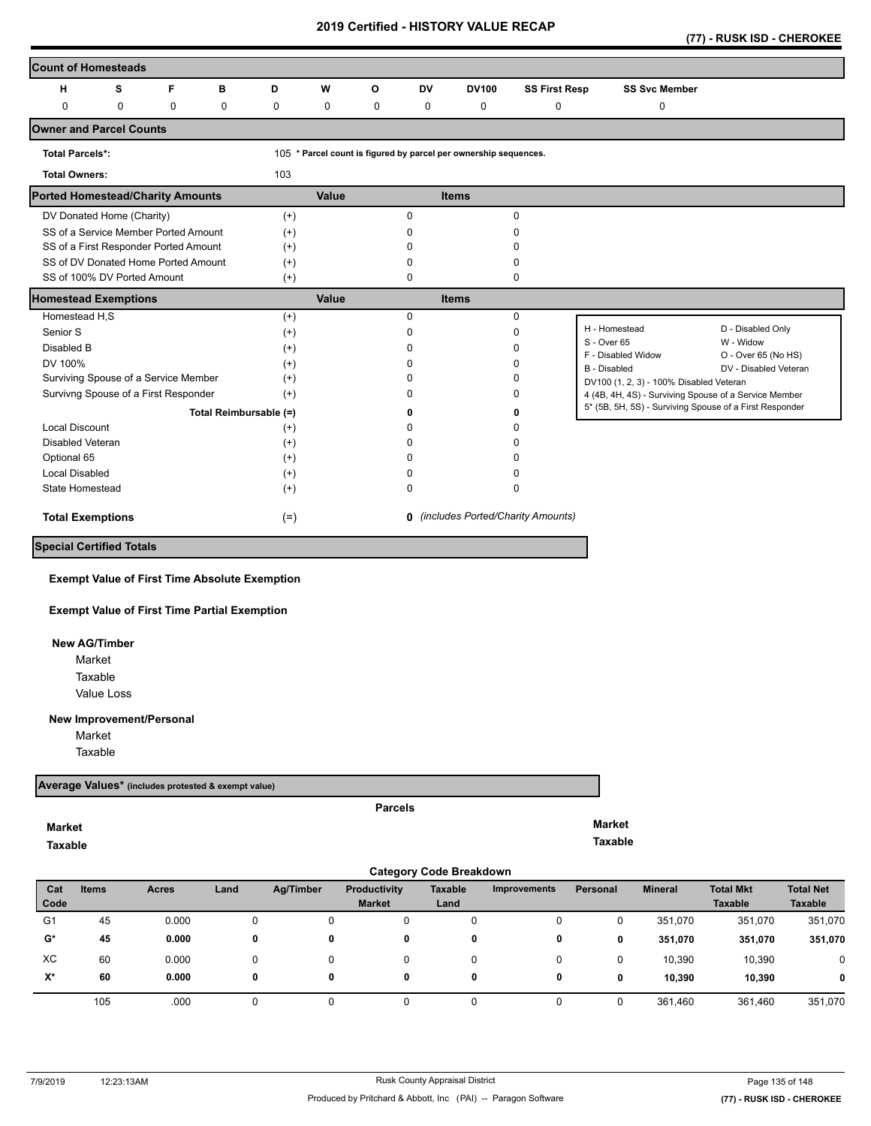|  |  |  | (77) - RUSK ISD - CHEROKEE |
|--|--|--|----------------------------|
|--|--|--|----------------------------|

| <b>Count of Homesteads</b>              |   |                                      |                        |          |       |   |           |                                                                  |                                            |                                                         |                                  |
|-----------------------------------------|---|--------------------------------------|------------------------|----------|-------|---|-----------|------------------------------------------------------------------|--------------------------------------------|---------------------------------------------------------|----------------------------------|
| н                                       | s | F                                    | в                      | D        | W     | O | <b>DV</b> | <b>DV100</b>                                                     | <b>SS First Resp</b>                       | <b>SS Svc Member</b>                                    |                                  |
| 0                                       | 0 | 0                                    | 0                      | 0        | 0     | 0 | 0         | 0                                                                | 0                                          | 0                                                       |                                  |
| <b>Owner and Parcel Counts</b>          |   |                                      |                        |          |       |   |           |                                                                  |                                            |                                                         |                                  |
| <b>Total Parcels*:</b>                  |   |                                      |                        |          |       |   |           | 105 * Parcel count is figured by parcel per ownership sequences. |                                            |                                                         |                                  |
| <b>Total Owners:</b>                    |   |                                      |                        | 103      |       |   |           |                                                                  |                                            |                                                         |                                  |
| <b>Ported Homestead/Charity Amounts</b> |   |                                      |                        |          | Value |   |           | <b>Items</b>                                                     |                                            |                                                         |                                  |
| DV Donated Home (Charity)               |   |                                      |                        | $(+)$    |       |   | 0         |                                                                  | $\Omega$                                   |                                                         |                                  |
| SS of a Service Member Ported Amount    |   |                                      |                        | $(+)$    |       |   | O.        |                                                                  | ŋ                                          |                                                         |                                  |
| SS of a First Responder Ported Amount   |   |                                      |                        | $(+)$    |       |   |           |                                                                  |                                            |                                                         |                                  |
| SS of DV Donated Home Ported Amount     |   |                                      |                        | $(+)$    |       |   | n         |                                                                  | ŋ                                          |                                                         |                                  |
| SS of 100% DV Ported Amount             |   |                                      |                        | $(+)$    |       |   | 0         |                                                                  | 0                                          |                                                         |                                  |
| <b>Homestead Exemptions</b>             |   |                                      |                        |          | Value |   |           | <b>Items</b>                                                     |                                            |                                                         |                                  |
| Homestead H,S                           |   |                                      |                        | $(+)$    |       |   | 0         |                                                                  | $\mathbf 0$                                |                                                         |                                  |
| Senior S                                |   |                                      |                        | $^{(+)}$ |       |   | 0         |                                                                  | $\Omega$                                   | H - Homestead                                           | D - Disabled Only                |
| Disabled B                              |   |                                      |                        | $(+)$    |       |   | ŋ         |                                                                  | ŋ                                          | S - Over 65<br>F - Disabled Widow                       | W - Widow<br>O - Over 65 (No HS) |
| DV 100%                                 |   |                                      |                        | $^{(+)}$ |       |   |           |                                                                  | ŋ                                          | <b>B</b> - Disabled                                     | DV - Disabled Veteran            |
| Surviving Spouse of a Service Member    |   |                                      |                        | $^{(+)}$ |       |   | n         |                                                                  | n                                          | DV100 (1, 2, 3) - 100% Disabled Veteran                 |                                  |
|                                         |   | Survivng Spouse of a First Responder |                        | $(+)$    |       |   | O         |                                                                  | ŋ                                          | 4 (4B, 4H, 4S) - Surviving Spouse of a Service Member   |                                  |
|                                         |   |                                      | Total Reimbursable (=) |          |       |   |           |                                                                  | 0                                          | 5* (5B, 5H, 5S) - Surviving Spouse of a First Responder |                                  |
| <b>Local Discount</b>                   |   |                                      |                        | $(+)$    |       |   | ŋ         |                                                                  | n                                          |                                                         |                                  |
| Disabled Veteran                        |   |                                      |                        | $^{(+)}$ |       |   | n         |                                                                  | n                                          |                                                         |                                  |
| Optional 65                             |   |                                      |                        | $(+)$    |       |   | n         |                                                                  | n                                          |                                                         |                                  |
| <b>Local Disabled</b>                   |   |                                      |                        | $(+)$    |       |   | ŋ         |                                                                  | ŋ                                          |                                                         |                                  |
| State Homestead                         |   |                                      |                        | $(+)$    |       |   | 0         |                                                                  | $\Omega$                                   |                                                         |                                  |
| <b>Total Exemptions</b>                 |   |                                      |                        | $(=)$    |       |   |           |                                                                  | <b>0</b> (includes Ported/Charity Amounts) |                                                         |                                  |
| <b>Special Certified Totals</b>         |   |                                      |                        |          |       |   |           |                                                                  |                                            |                                                         |                                  |

**Exempt Value of First Time Absolute Exemption**

**Exempt Value of First Time Partial Exemption**

 **New AG/Timber** Market

> Value Loss Taxable

#### **New Improvement/Personal**

Market

Taxable

## **Average Values\* (includes protested & exempt value)**

## **Market**

**Taxable** 

**Parcels**

**Market Taxable** 

|                | <b>Category Code Breakdown</b> |              |      |           |                                      |                        |                     |          |                |                                    |                                    |  |  |  |
|----------------|--------------------------------|--------------|------|-----------|--------------------------------------|------------------------|---------------------|----------|----------------|------------------------------------|------------------------------------|--|--|--|
| Cat<br>Code    | <b>Items</b>                   | <b>Acres</b> | Land | Ag/Timber | <b>Productivity</b><br><b>Market</b> | <b>Taxable</b><br>Land | <b>Improvements</b> | Personal | <b>Mineral</b> | <b>Total Mkt</b><br><b>Taxable</b> | <b>Total Net</b><br><b>Taxable</b> |  |  |  |
| G <sub>1</sub> | 45                             | 0.000        | 0    | 0         | 0                                    | 0                      | 0                   |          | 351,070        | 351,070                            | 351,070                            |  |  |  |
| $\mathbf{G}^*$ | 45                             | 0.000        | 0    | 0         | 0                                    | 0                      | 0                   | 0        | 351,070        | 351,070                            | 351,070                            |  |  |  |
| XC             | 60                             | 0.000        | 0    | 0         | 0                                    | 0                      | 0                   |          | 10,390         | 10,390                             | 0                                  |  |  |  |
| $X^*$          | 60                             | 0.000        | 0    | 0         | 0                                    | 0                      | 0                   | 0        | 10,390         | 10,390                             | $\mathbf 0$                        |  |  |  |
|                | 105                            | .000         |      |           |                                      |                        |                     |          | 361,460        | 361,460                            | 351,070                            |  |  |  |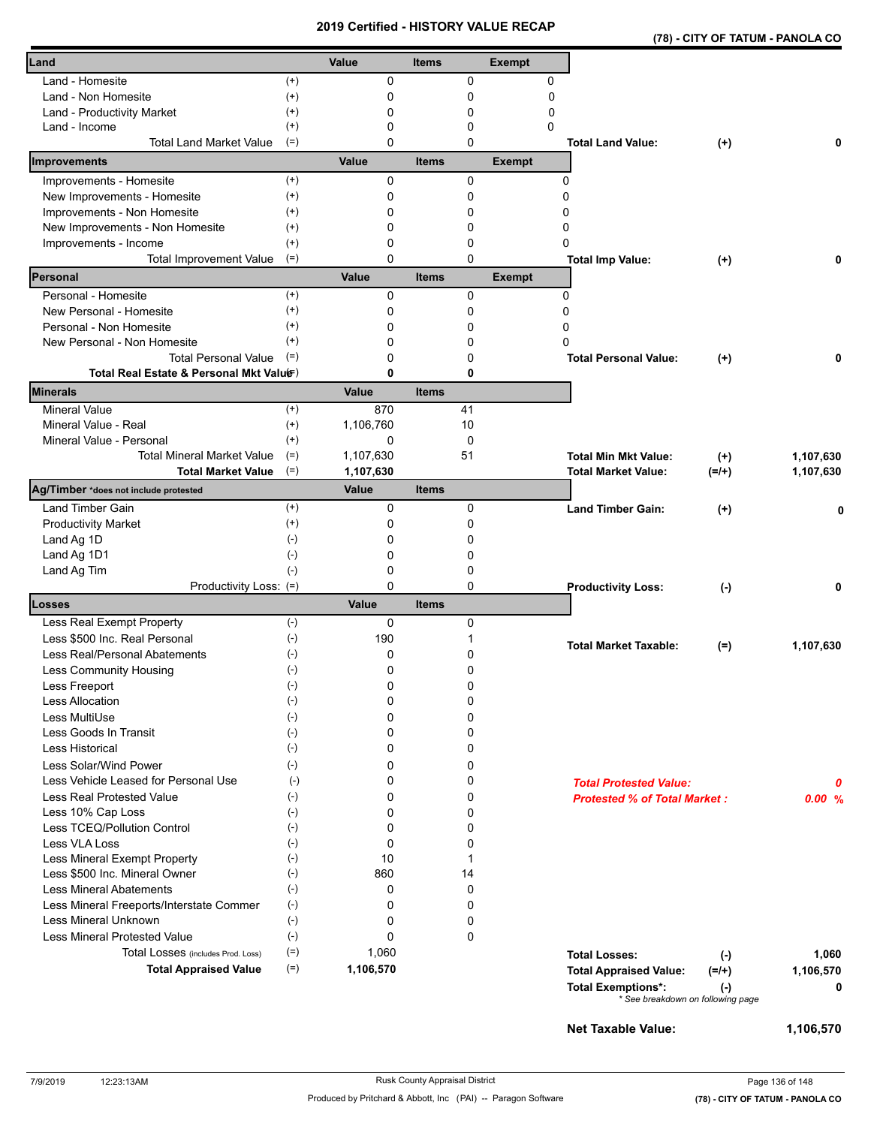|  | (78) - CITY OF TATUM - PANOLA CO |
|--|----------------------------------|
|  |                                  |

| Land                                                            |                       | Value     | <b>Items</b> |         | <b>Exempt</b>    |                                                                                  |
|-----------------------------------------------------------------|-----------------------|-----------|--------------|---------|------------------|----------------------------------------------------------------------------------|
|                                                                 |                       |           |              |         |                  |                                                                                  |
| Land - Homesite                                                 | $^{(+)}$              | 0         |              | 0       | 0                |                                                                                  |
| Land - Non Homesite                                             | $^{(+)}$<br>$(+)$     | 0<br>0    |              | 0<br>0  | 0<br>$\mathbf 0$ |                                                                                  |
| Land - Productivity Market<br>Land - Income                     | $^{(+)}$              | 0         |              | 0       | 0                |                                                                                  |
| <b>Total Land Market Value</b>                                  | $(=)$                 | 0         |              | 0       |                  | <b>Total Land Value:</b><br>$(+)$<br>0                                           |
| Improvements                                                    |                       | Value     | <b>Items</b> |         | <b>Exempt</b>    |                                                                                  |
| Improvements - Homesite                                         | $^{(+)}$              | 0         |              | 0       |                  | 0                                                                                |
| New Improvements - Homesite                                     | $^{(+)}$              | 0         |              | 0       |                  | 0                                                                                |
| Improvements - Non Homesite                                     | $^{(+)}$              | 0         |              | 0       |                  | 0                                                                                |
| New Improvements - Non Homesite                                 | $^{(+)}$              | 0         |              | 0       |                  | 0                                                                                |
| Improvements - Income                                           | $^{(+)}$              | 0         |              | 0       |                  | 0                                                                                |
| Total Improvement Value                                         | $(=)$                 | 0         |              | 0       |                  | <b>Total Imp Value:</b><br>0<br>$^{(+)}$                                         |
| Personal                                                        |                       | Value     | <b>Items</b> |         | <b>Exempt</b>    |                                                                                  |
| Personal - Homesite                                             | $^{(+)}$              | 0         |              | 0       |                  | 0                                                                                |
| New Personal - Homesite                                         | $^{(+)}$              | 0         |              | 0       |                  | 0                                                                                |
| Personal - Non Homesite                                         | $^{(+)}$              | 0         |              | 0       |                  | 0                                                                                |
| New Personal - Non Homesite                                     | $(+)$                 | 0         |              | 0       |                  | 0                                                                                |
| <b>Total Personal Value</b>                                     | $(=)$                 | 0         |              | 0       |                  | <b>Total Personal Value:</b><br>$^{(+)}$<br>0                                    |
| Total Real Estate & Personal Mkt Valuer)                        |                       | 0         |              | 0       |                  |                                                                                  |
| <b>Minerals</b>                                                 |                       | Value     | <b>Items</b> |         |                  |                                                                                  |
| <b>Mineral Value</b>                                            | $^{(+)}$              | 870       |              | 41      |                  |                                                                                  |
| Mineral Value - Real                                            | $(+)$                 | 1,106,760 |              | 10      |                  |                                                                                  |
| Mineral Value - Personal                                        | $^{(+)}$              | 0         |              | 0       |                  |                                                                                  |
| <b>Total Mineral Market Value</b>                               | $(=)$                 | 1,107,630 |              | 51      |                  | <b>Total Min Mkt Value:</b><br>1,107,630<br>$^{(+)}$                             |
| <b>Total Market Value</b>                                       | $(=)$                 | 1,107,630 |              |         |                  | 1,107,630<br><b>Total Market Value:</b><br>$(=/+)$                               |
| Ag/Timber *does not include protested                           |                       | Value     | <b>Items</b> |         |                  |                                                                                  |
| Land Timber Gain                                                | $^{(+)}$              | 0         |              | 0       |                  | <b>Land Timber Gain:</b><br>$^{(+)}$<br>0                                        |
| <b>Productivity Market</b>                                      | $^{(+)}$              | 0         |              | 0       |                  |                                                                                  |
| Land Ag 1D                                                      | $(-)$                 | 0         |              | 0       |                  |                                                                                  |
| Land Ag 1D1                                                     | $(-)$                 | 0         |              | 0       |                  |                                                                                  |
| Land Ag Tim                                                     | $(-)$                 | 0         |              | 0       |                  |                                                                                  |
| Productivity Loss: (=)                                          |                       | 0         |              | 0       |                  | <b>Productivity Loss:</b><br>$(\cdot)$                                           |
| Losses                                                          |                       | Value     | <b>Items</b> |         |                  |                                                                                  |
| Less Real Exempt Property                                       | $(-)$                 | 0         |              | 0       |                  |                                                                                  |
| Less \$500 Inc. Real Personal                                   | $(-)$                 | 190       |              | 1       |                  | <b>Total Market Taxable:</b><br>1,107,630<br>$(=)$                               |
| Less Real/Personal Abatements                                   | $(\cdot)$             | 0         |              | 0       |                  |                                                                                  |
| Less Community Housing                                          | $(-)$                 | 0         |              | 0       |                  |                                                                                  |
| Less Freeport                                                   | $(\hbox{-})$          | 0         |              | U       |                  |                                                                                  |
| Less Allocation                                                 | $(-)$                 | 0         |              | 0       |                  |                                                                                  |
| Less MultiUse                                                   | $(-)$                 | 0         |              | 0       |                  |                                                                                  |
| Less Goods In Transit                                           | $(-)$                 | 0         |              | 0       |                  |                                                                                  |
| Less Historical                                                 | $(\cdot)$             | 0         |              | 0       |                  |                                                                                  |
| Less Solar/Wind Power                                           | $(-)$                 | 0         |              | 0       |                  |                                                                                  |
| Less Vehicle Leased for Personal Use                            | $(-)$                 | 0         |              | 0       |                  | <b>Total Protested Value:</b><br>0                                               |
| Less Real Protested Value                                       | $(-)$                 | 0         |              | 0       |                  | <b>Protested % of Total Market:</b><br>0.00 %                                    |
| Less 10% Cap Loss                                               | $(-)$                 | 0         |              | 0       |                  |                                                                                  |
| Less TCEQ/Pollution Control                                     | $(-)$                 | 0         |              | 0       |                  |                                                                                  |
| Less VLA Loss                                                   | $(-)$                 | 0         |              | 0       |                  |                                                                                  |
| Less Mineral Exempt Property                                    | $(-)$                 | 10        |              | 1       |                  |                                                                                  |
| Less \$500 Inc. Mineral Owner<br><b>Less Mineral Abatements</b> | $(\text{-})$<br>$(-)$ | 860<br>0  |              | 14<br>0 |                  |                                                                                  |
| Less Mineral Freeports/Interstate Commer                        | $(-)$                 | 0         |              | 0       |                  |                                                                                  |
| Less Mineral Unknown                                            | $(\text{-})$          | 0         |              | 0       |                  |                                                                                  |
| Less Mineral Protested Value                                    | $(-)$                 | 0         |              | 0       |                  |                                                                                  |
| Total Losses (includes Prod. Loss)                              | $(=)$                 | 1,060     |              |         |                  |                                                                                  |
| <b>Total Appraised Value</b>                                    | $(=)$                 | 1,106,570 |              |         |                  | <b>Total Losses:</b><br>1,060<br>$(\cdot)$                                       |
|                                                                 |                       |           |              |         |                  | 1,106,570<br><b>Total Appraised Value:</b><br>$(=/+)$                            |
|                                                                 |                       |           |              |         |                  | <b>Total Exemptions*:</b><br>$(\cdot)$<br>0<br>* See breakdown on following page |
|                                                                 |                       |           |              |         |                  |                                                                                  |
|                                                                 |                       |           |              |         |                  | Net Taxable Value:<br>1,106,570                                                  |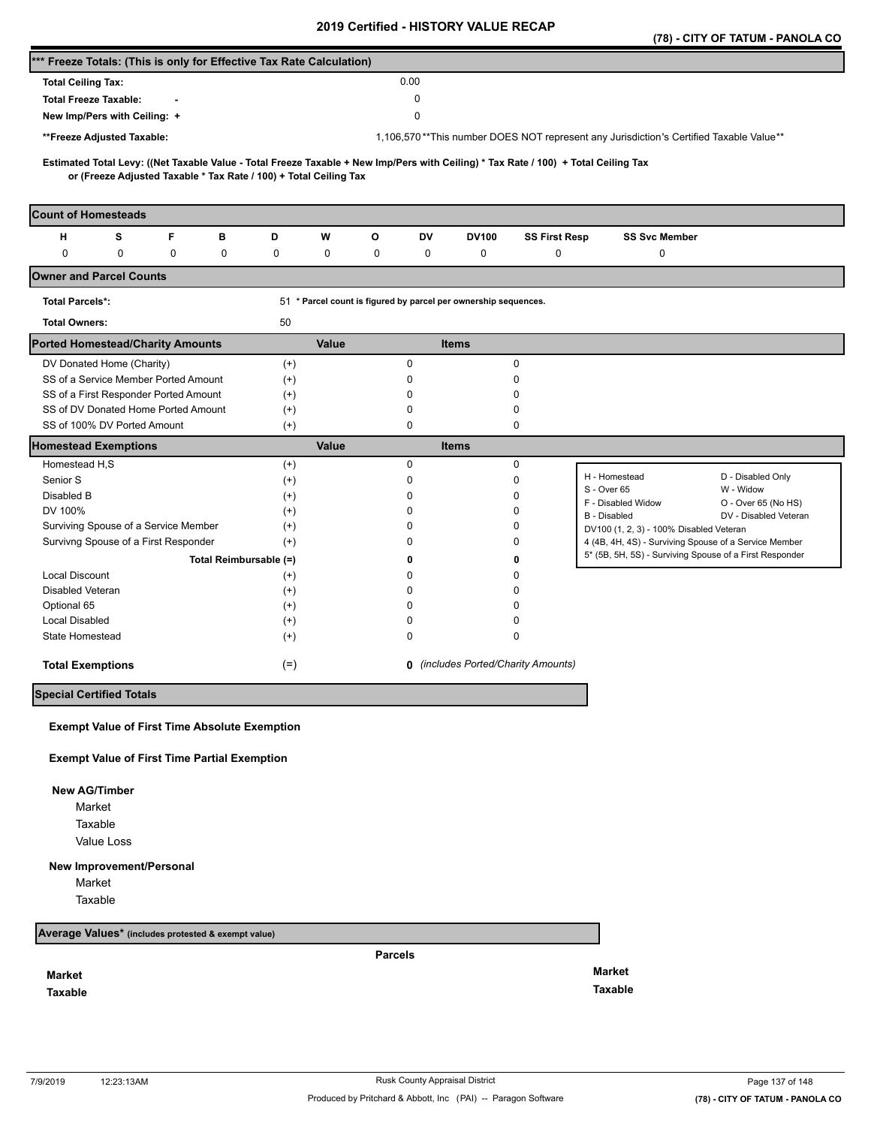|                                                                                                                                                                                                          |                        |          |              |              |                                                                 |                      |                                                                                        | (78) - CITY OF TATUM - PANOLA CO |
|----------------------------------------------------------------------------------------------------------------------------------------------------------------------------------------------------------|------------------------|----------|--------------|--------------|-----------------------------------------------------------------|----------------------|----------------------------------------------------------------------------------------|----------------------------------|
| *** Freeze Totals: (This is only for Effective Tax Rate Calculation)                                                                                                                                     |                        |          |              |              |                                                                 |                      |                                                                                        |                                  |
| <b>Total Ceiling Tax:</b>                                                                                                                                                                                |                        |          |              | 0.00         |                                                                 |                      |                                                                                        |                                  |
| <b>Total Freeze Taxable:</b>                                                                                                                                                                             |                        |          |              | 0            |                                                                 |                      |                                                                                        |                                  |
| New Imp/Pers with Ceiling: +                                                                                                                                                                             |                        |          |              | 0            |                                                                 |                      |                                                                                        |                                  |
| **Freeze Adjusted Taxable:                                                                                                                                                                               |                        |          |              |              |                                                                 |                      | 1,106,570**This number DOES NOT represent any Jurisdiction's Certified Taxable Value** |                                  |
|                                                                                                                                                                                                          |                        |          |              |              |                                                                 |                      |                                                                                        |                                  |
| Estimated Total Levy: ((Net Taxable Value - Total Freeze Taxable + New Imp/Pers with Ceiling) * Tax Rate / 100) + Total Ceiling Tax<br>or (Freeze Adjusted Taxable * Tax Rate / 100) + Total Ceiling Tax |                        |          |              |              |                                                                 |                      |                                                                                        |                                  |
| <b>Count of Homesteads</b>                                                                                                                                                                               |                        |          |              |              |                                                                 |                      |                                                                                        |                                  |
| F<br>н<br>s                                                                                                                                                                                              | в                      | D        | W            | О<br>DV      | <b>DV100</b>                                                    | <b>SS First Resp</b> | <b>SS Svc Member</b>                                                                   |                                  |
| 0<br>0<br>0                                                                                                                                                                                              | 0                      | 0        | 0            | 0<br>0       | 0                                                               | 0                    | 0                                                                                      |                                  |
| <b>Owner and Parcel Counts</b>                                                                                                                                                                           |                        |          |              |              |                                                                 |                      |                                                                                        |                                  |
| <b>Total Parcels*:</b>                                                                                                                                                                                   |                        |          |              |              | 51 * Parcel count is figured by parcel per ownership sequences. |                      |                                                                                        |                                  |
| <b>Total Owners:</b>                                                                                                                                                                                     |                        | 50       |              |              |                                                                 |                      |                                                                                        |                                  |
| <b>Ported Homestead/Charity Amounts</b>                                                                                                                                                                  |                        |          | <b>Value</b> |              | <b>Items</b>                                                    |                      |                                                                                        |                                  |
| DV Donated Home (Charity)                                                                                                                                                                                |                        | $^{(+)}$ |              | 0            |                                                                 | 0                    |                                                                                        |                                  |
| SS of a Service Member Ported Amount                                                                                                                                                                     |                        | $^{(+)}$ |              | 0            |                                                                 | 0                    |                                                                                        |                                  |
| SS of a First Responder Ported Amount                                                                                                                                                                    |                        | $^{(+)}$ |              | 0            |                                                                 | 0                    |                                                                                        |                                  |
| SS of DV Donated Home Ported Amount                                                                                                                                                                      |                        | $^{(+)}$ |              | 0            |                                                                 | 0                    |                                                                                        |                                  |
| SS of 100% DV Ported Amount                                                                                                                                                                              |                        | $^{(+)}$ |              | 0            |                                                                 | 0                    |                                                                                        |                                  |
| <b>Homestead Exemptions</b>                                                                                                                                                                              |                        |          | <b>Value</b> |              | <b>Items</b>                                                    |                      |                                                                                        |                                  |
| Homestead H,S                                                                                                                                                                                            |                        | $^{(+)}$ |              | 0            |                                                                 | 0                    |                                                                                        |                                  |
| Senior S                                                                                                                                                                                                 |                        | $^{(+)}$ |              | 0            |                                                                 | 0                    | H - Homestead<br>S - Over 65                                                           | D - Disabled Only                |
| Disabled B                                                                                                                                                                                               |                        | $^{(+)}$ |              | 0            |                                                                 | 0                    | F - Disabled Widow                                                                     | W - Widow<br>O - Over 65 (No HS) |
| DV 100%                                                                                                                                                                                                  |                        | $^{(+)}$ |              | 0            |                                                                 | 0                    | B - Disabled                                                                           | DV - Disabled Veteran            |
| Surviving Spouse of a Service Member                                                                                                                                                                     |                        | $^{(+)}$ |              | 0            |                                                                 | 0                    | DV100 (1, 2, 3) - 100% Disabled Veteran                                                |                                  |
| Survivng Spouse of a First Responder                                                                                                                                                                     |                        | $^{(+)}$ |              | <sup>0</sup> |                                                                 | 0                    | 4 (4B, 4H, 4S) - Surviving Spouse of a Service Member                                  |                                  |
|                                                                                                                                                                                                          | Total Reimbursable (=) |          |              | 0            |                                                                 | 0                    | 5* (5B, 5H, 5S) - Surviving Spouse of a First Responder                                |                                  |
| <b>Local Discount</b>                                                                                                                                                                                    |                        | $^{(+)}$ |              | n            |                                                                 | 0                    |                                                                                        |                                  |
| Disabled Veteran                                                                                                                                                                                         |                        | $^{(+)}$ |              | n            |                                                                 | 0                    |                                                                                        |                                  |
| Optional 65                                                                                                                                                                                              |                        | $^{(+)}$ |              | n            |                                                                 | 0                    |                                                                                        |                                  |
| <b>Local Disabled</b>                                                                                                                                                                                    |                        | $^{(+)}$ |              | 0            |                                                                 | 0                    |                                                                                        |                                  |
| State Homestead                                                                                                                                                                                          |                        | $^{(+)}$ |              | 0            |                                                                 | 0                    |                                                                                        |                                  |
| <b>Total Exemptions</b>                                                                                                                                                                                  |                        | $(=)$    |              |              | <b>0</b> (includes Ported/Charity Amounts)                      |                      |                                                                                        |                                  |
| <b>Special Certified Totals</b>                                                                                                                                                                          |                        |          |              |              |                                                                 |                      |                                                                                        |                                  |
|                                                                                                                                                                                                          |                        |          |              |              |                                                                 |                      |                                                                                        |                                  |
| <b>Exempt Value of First Time Absolute Exemption</b>                                                                                                                                                     |                        |          |              |              |                                                                 |                      |                                                                                        |                                  |
| <b>Exempt Value of First Time Partial Exemption</b>                                                                                                                                                      |                        |          |              |              |                                                                 |                      |                                                                                        |                                  |
| <b>New AG/Timber</b>                                                                                                                                                                                     |                        |          |              |              |                                                                 |                      |                                                                                        |                                  |
| Market                                                                                                                                                                                                   |                        |          |              |              |                                                                 |                      |                                                                                        |                                  |
| Taxable                                                                                                                                                                                                  |                        |          |              |              |                                                                 |                      |                                                                                        |                                  |

Value Loss

## **New Improvement/Personal**

Market

Taxable

**Average Values\* (includes protested & exempt value)**

**Market**

**Taxable** 

**Parcels**

**Market Taxable**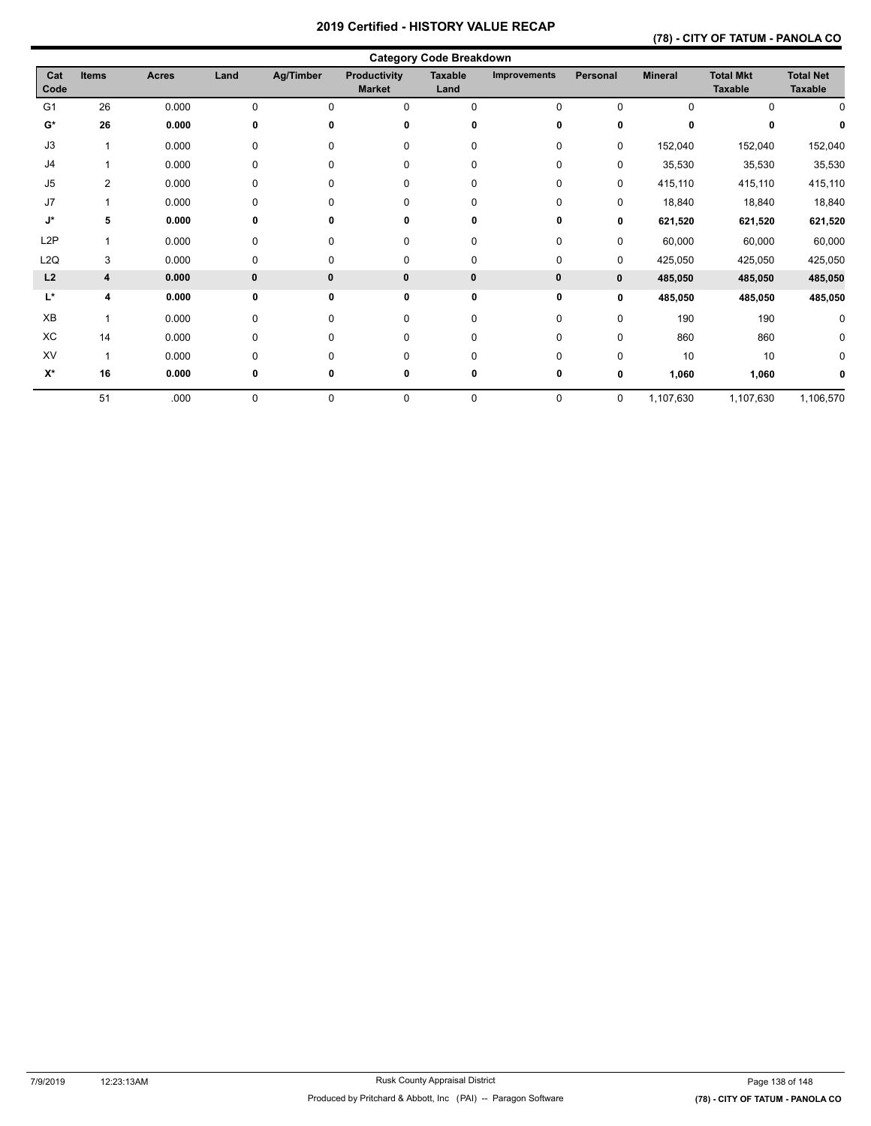## **(78) - CITY OF TATUM - PANOLA CO**

|                    |                |              |          |           |                                      | <b>Category Code Breakdown</b> |                     |              |                |                                    |                                    |
|--------------------|----------------|--------------|----------|-----------|--------------------------------------|--------------------------------|---------------------|--------------|----------------|------------------------------------|------------------------------------|
| Cat<br>Code        | <b>Items</b>   | <b>Acres</b> | Land     | Ag/Timber | <b>Productivity</b><br><b>Market</b> | <b>Taxable</b><br>Land         | <b>Improvements</b> | Personal     | <b>Mineral</b> | <b>Total Mkt</b><br><b>Taxable</b> | <b>Total Net</b><br><b>Taxable</b> |
| G <sub>1</sub>     | 26             | 0.000        | 0        | 0         | 0                                    | $\Omega$                       | 0                   | $\Omega$     | $\Omega$       | <sup>n</sup>                       | 0                                  |
| $G^*$              | 26             | 0.000        | 0        | 0         | 0                                    | 0                              | 0                   | 0            | 0              |                                    |                                    |
| J3                 |                | 0.000        | 0        | 0         | 0                                    | $\mathbf 0$                    | 0                   | 0            | 152,040        | 152,040                            | 152,040                            |
| J <sub>4</sub>     |                | 0.000        | 0        | 0         | $\mathbf 0$                          | 0                              | 0                   | 0            | 35,530         | 35,530                             | 35,530                             |
| J <sub>5</sub>     | $\overline{2}$ | 0.000        | 0        | 0         | $\mathbf 0$                          | 0                              | 0                   | 0            | 415,110        | 415,110                            | 415,110                            |
| J7                 |                | 0.000        | 0        | 0         | 0                                    | 0                              | 0                   | 0            | 18,840         | 18,840                             | 18,840                             |
| J*                 | 5              | 0.000        | 0        | 0         | 0                                    | 0                              | 0                   | 0            | 621,520        | 621,520                            | 621,520                            |
| L <sub>2</sub> P   |                | 0.000        | 0        | 0         | 0                                    | 0                              | 0                   | 0            | 60,000         | 60,000                             | 60,000                             |
| L <sub>2</sub> Q   | 3              | 0.000        | 0        | 0         | 0                                    | 0                              | 0                   | 0            | 425,050        | 425,050                            | 425,050                            |
| L2                 | 4              | 0.000        | $\bf{0}$ | $\bf{0}$  | $\bf{0}$                             | 0                              | $\bf{0}$            | $\mathbf{0}$ | 485,050        | 485,050                            | 485,050                            |
| L*                 | 4              | 0.000        | 0        | 0         | 0                                    | 0                              | 0                   | 0            | 485,050        | 485,050                            | 485,050                            |
| XB                 |                | 0.000        | 0        | 0         | 0                                    | 0                              | 0                   | 0            | 190            | 190                                | 0                                  |
| ХC                 | 14             | 0.000        | 0        | 0         | 0                                    | 0                              | 0                   | 0            | 860            | 860                                | 0                                  |
| <b>XV</b>          | $\overline{1}$ | 0.000        | 0        | 0         | 0                                    | $\mathbf 0$                    | 0                   | 0            | 10             | 10                                 | 0                                  |
| $\mathsf{X}^\star$ | 16             | 0.000        | 0        | 0         | 0                                    | 0                              | 0                   | 0            | 1,060          | 1,060                              |                                    |
|                    | 51             | .000         | 0        | 0         | $\mathbf 0$                          | $\mathbf 0$                    | 0                   | 0            | 1,107,630      | 1,107,630                          | 1,106,570                          |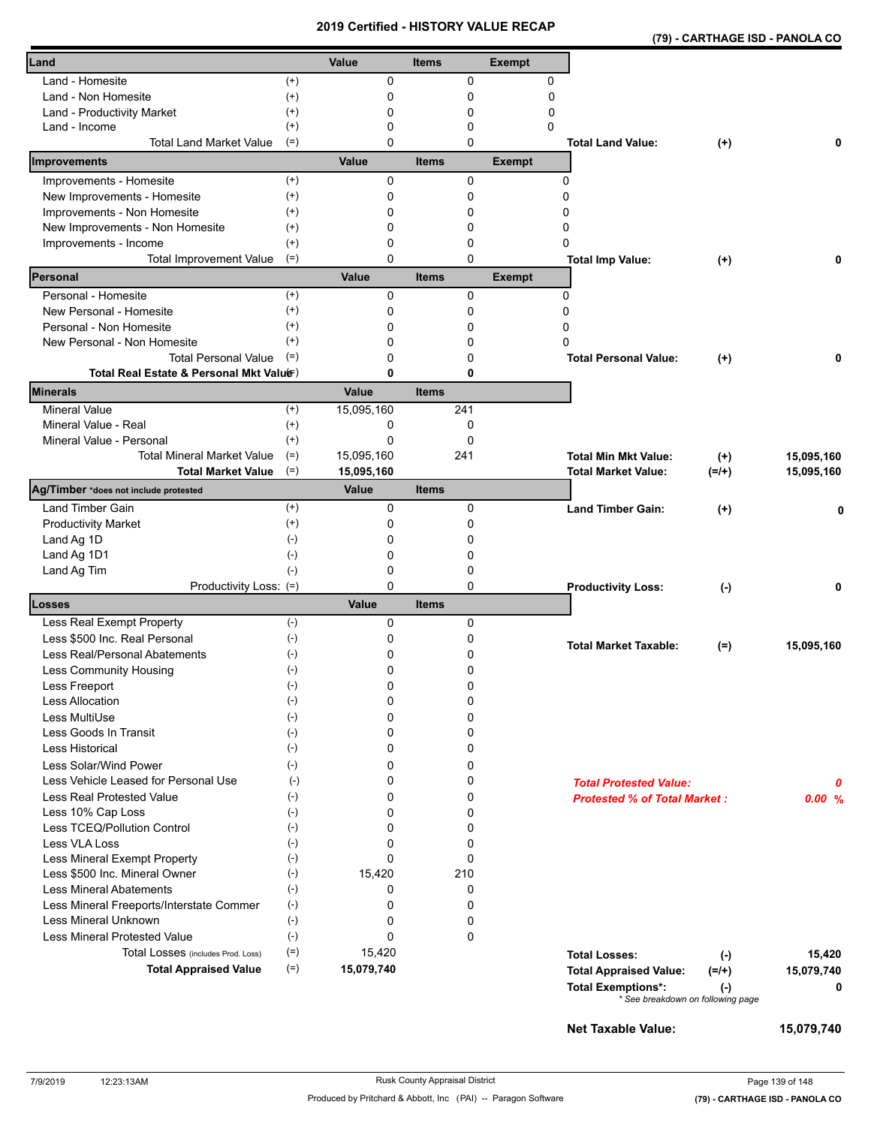| (79) - CARTHAGE ISD - PANOLA CO |
|---------------------------------|
|---------------------------------|

| Land                                            |                      | Value      | <b>Items</b> |        | <b>Exempt</b> |                                          |            |
|-------------------------------------------------|----------------------|------------|--------------|--------|---------------|------------------------------------------|------------|
| Land - Homesite                                 |                      | 0          |              |        |               |                                          |            |
|                                                 | $^{(+)}$             |            |              | 0      | 0             |                                          |            |
| Land - Non Homesite                             | $^{(+)}$             | 0<br>0     | 0            |        | 0             |                                          |            |
| Land - Productivity Market                      | $^{(+)}$<br>$^{(+)}$ | 0          |              | 0<br>0 | 0<br>0        |                                          |            |
| Land - Income<br><b>Total Land Market Value</b> | $(=)$                | 0          |              | 0      |               | <b>Total Land Value:</b><br>$(+)$        | 0          |
| Improvements                                    |                      | Value      | <b>Items</b> |        | <b>Exempt</b> |                                          |            |
| Improvements - Homesite                         | $(+)$                | 0          |              | 0      | 0             |                                          |            |
| New Improvements - Homesite                     | $^{(+)}$             | 0          | $\mathbf 0$  |        | 0             |                                          |            |
| Improvements - Non Homesite                     | $^{(+)}$             | 0          | 0            |        | ŋ             |                                          |            |
| New Improvements - Non Homesite                 | $^{(+)}$             | 0          |              | 0      | 0             |                                          |            |
| Improvements - Income                           | $^{(+)}$             | 0          |              | 0      | 0             |                                          |            |
| <b>Total Improvement Value</b>                  | $(=)$                | 0          | $\Omega$     |        |               | <b>Total Imp Value:</b><br>$^{(+)}$      | 0          |
| Personal                                        |                      | Value      | <b>Items</b> |        | <b>Exempt</b> |                                          |            |
| Personal - Homesite                             | $^{(+)}$             | 0          |              | 0      | 0             |                                          |            |
| New Personal - Homesite                         | $^{(+)}$             | 0          | 0            |        | 0             |                                          |            |
| Personal - Non Homesite                         | $^{(+)}$             | 0          |              | 0      | 0             |                                          |            |
| New Personal - Non Homesite                     | $^{(+)}$             | 0          |              | 0      | O             |                                          |            |
| <b>Total Personal Value</b>                     | $(=)$                | 0          | 0            |        |               | <b>Total Personal Value:</b><br>$(+)$    | 0          |
| Total Real Estate & Personal Mkt Valuer)        |                      | 0          | 0            |        |               |                                          |            |
| <b>Minerals</b>                                 |                      | Value      | <b>Items</b> |        |               |                                          |            |
| <b>Mineral Value</b>                            | $^{(+)}$             | 15,095,160 | 241          |        |               |                                          |            |
| Mineral Value - Real                            | $^{(+)}$             | 0          | 0            |        |               |                                          |            |
| Mineral Value - Personal                        | $^{(+)}$             | 0          | 0            |        |               |                                          |            |
| <b>Total Mineral Market Value</b>               | $(=)$                | 15,095,160 | 241          |        |               | <b>Total Min Mkt Value:</b><br>$(+)$     | 15,095,160 |
| <b>Total Market Value</b>                       | $(=)$                | 15,095,160 |              |        |               | <b>Total Market Value:</b><br>$(=/+)$    | 15,095,160 |
| Ag/Timber *does not include protested           |                      | Value      | <b>Items</b> |        |               |                                          |            |
| <b>Land Timber Gain</b>                         | $^{(+)}$             | 0          |              | 0      |               | <b>Land Timber Gain:</b><br>$(+)$        | 0          |
| <b>Productivity Market</b>                      | $^{(+)}$             | 0          |              | 0      |               |                                          |            |
| Land Ag 1D                                      | $(-)$                | 0          |              | 0      |               |                                          |            |
| Land Ag 1D1                                     | $(-)$                | 0          |              | 0      |               |                                          |            |
| Land Ag Tim                                     | $(-)$                | 0          |              | 0      |               |                                          |            |
| Productivity Loss: (=)                          |                      | 0          |              | 0      |               | <b>Productivity Loss:</b><br>$(\cdot)$   | 0          |
| Losses                                          |                      | Value      | <b>Items</b> |        |               |                                          |            |
| Less Real Exempt Property                       | $(-)$                | 0          |              | 0      |               |                                          |            |
| Less \$500 Inc. Real Personal                   | $(-)$                | 0          |              | 0      |               | <b>Total Market Taxable:</b><br>$(=)$    | 15,095,160 |
| Less Real/Personal Abatements                   | $(-)$                | 0          | 0            |        |               |                                          |            |
| Less Community Housing                          | $(-)$                | 0          |              | 0      |               |                                          |            |
| Less Freeport                                   | $(-)$                | 0          | 0            |        |               |                                          |            |
| <b>Less Allocation</b>                          | $(-)$                | 0          | 0            |        |               |                                          |            |
| Less MultiUse                                   | $(-)$                | 0          | 0            |        |               |                                          |            |
| Less Goods In Transit                           | $(\cdot)$            | 0          |              | 0      |               |                                          |            |
| Less Historical                                 | $(-)$                | 0          |              | 0      |               |                                          |            |
| Less Solar/Wind Power                           | $(-)$                | 0          |              | 0      |               |                                          |            |
| Less Vehicle Leased for Personal Use            | $(\cdot)$            | 0          | 0            |        |               | <b>Total Protested Value:</b>            | 0          |
| <b>Less Real Protested Value</b>                | $(-)$                | 0          |              | 0      |               | <b>Protested % of Total Market:</b>      | 0.00%      |
| Less 10% Cap Loss                               | $(-)$                | 0          |              | 0      |               |                                          |            |
| Less TCEQ/Pollution Control                     | $(-)$                | 0          | 0            |        |               |                                          |            |
| Less VLA Loss                                   | $(\cdot)$            | 0          | $\Omega$     |        |               |                                          |            |
| Less Mineral Exempt Property                    | $(-)$                | 0          | 0            |        |               |                                          |            |
| Less \$500 Inc. Mineral Owner                   | $(\text{-})$         | 15,420     | 210          |        |               |                                          |            |
| <b>Less Mineral Abatements</b>                  | $(-)$                | 0          | 0            |        |               |                                          |            |
| Less Mineral Freeports/Interstate Commer        | $(\text{-})$         | 0          | 0            |        |               |                                          |            |
| Less Mineral Unknown                            | $(\text{-})$         | 0          | 0            |        |               |                                          |            |
| <b>Less Mineral Protested Value</b>             | $(-)$                | 0          | 0            |        |               |                                          |            |
| Total Losses (includes Prod. Loss)              | $(=)$                | 15,420     |              |        |               | <b>Total Losses:</b><br>$(-)$            | 15,420     |
| <b>Total Appraised Value</b>                    | $(=)$                | 15,079,740 |              |        |               | <b>Total Appraised Value:</b><br>$(=/+)$ | 15,079,740 |
|                                                 |                      |            |              |        |               | <b>Total Exemptions*:</b><br>$(\cdot)$   | 0          |
|                                                 |                      |            |              |        |               | * See breakdown on following page        |            |
|                                                 |                      |            |              |        |               | <b>Net Taxable Value:</b>                | 15,079,740 |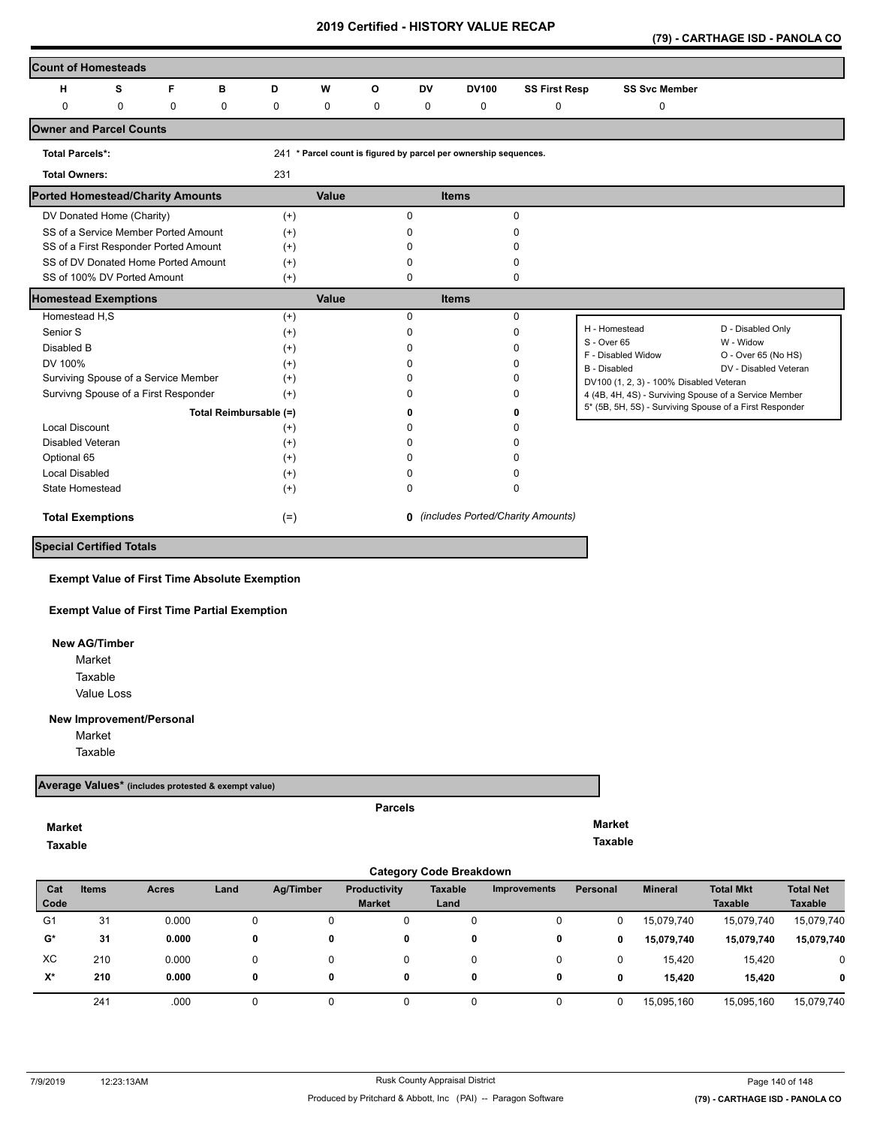**(79) - CARTHAGE ISD - PANOLA CO** 

| <b>Count of Homesteads</b>              |             |             |                        |          |             |   |              |                                                                  |                                     |                                                         |                                  |
|-----------------------------------------|-------------|-------------|------------------------|----------|-------------|---|--------------|------------------------------------------------------------------|-------------------------------------|---------------------------------------------------------|----------------------------------|
| н                                       | s           | F           | B                      | D        | W           | O | <b>DV</b>    | <b>DV100</b>                                                     | <b>SS First Resp</b>                | <b>SS Svc Member</b>                                    |                                  |
| $\Omega$                                | $\mathbf 0$ | $\mathbf 0$ | 0                      | 0        | $\mathbf 0$ | 0 | 0            | 0                                                                | 0                                   | 0                                                       |                                  |
| <b>Owner and Parcel Counts</b>          |             |             |                        |          |             |   |              |                                                                  |                                     |                                                         |                                  |
| <b>Total Parcels*:</b>                  |             |             |                        |          |             |   |              | 241 * Parcel count is figured by parcel per ownership sequences. |                                     |                                                         |                                  |
| <b>Total Owners:</b>                    |             |             |                        | 231      |             |   |              |                                                                  |                                     |                                                         |                                  |
| <b>Ported Homestead/Charity Amounts</b> |             |             |                        |          | Value       |   |              | <b>Items</b>                                                     |                                     |                                                         |                                  |
| DV Donated Home (Charity)               |             |             |                        | $(+)$    |             |   | $\Omega$     |                                                                  | $\Omega$                            |                                                         |                                  |
| SS of a Service Member Ported Amount    |             |             |                        | $(+)$    |             |   | ŋ            |                                                                  | <sup>0</sup>                        |                                                         |                                  |
| SS of a First Responder Ported Amount   |             |             |                        | $(+)$    |             |   |              |                                                                  |                                     |                                                         |                                  |
| SS of DV Donated Home Ported Amount     |             |             |                        | $(+)$    |             |   |              |                                                                  | <sup>0</sup>                        |                                                         |                                  |
| SS of 100% DV Ported Amount             |             |             |                        | $(+)$    |             |   | <sup>0</sup> |                                                                  | $\Omega$                            |                                                         |                                  |
| <b>Homestead Exemptions</b>             |             |             |                        |          | Value       |   |              | <b>Items</b>                                                     |                                     |                                                         |                                  |
| Homestead H,S                           |             |             |                        | $(+)$    |             |   | $\Omega$     |                                                                  | $\mathbf 0$                         |                                                         |                                  |
| Senior S                                |             |             |                        | $^{(+)}$ |             |   | $\Omega$     |                                                                  | $\Omega$                            | H - Homestead                                           | D - Disabled Only                |
| Disabled B                              |             |             |                        | $^{(+)}$ |             |   |              |                                                                  | <sup>0</sup>                        | S - Over 65<br>F - Disabled Widow                       | W - Widow<br>O - Over 65 (No HS) |
| DV 100%                                 |             |             |                        | $(+)$    |             |   |              |                                                                  | <sup>0</sup>                        | <b>B</b> - Disabled                                     | DV - Disabled Veteran            |
| Surviving Spouse of a Service Member    |             |             |                        | $^{(+)}$ |             |   |              |                                                                  | n                                   | DV100 (1, 2, 3) - 100% Disabled Veteran                 |                                  |
| Survivng Spouse of a First Responder    |             |             |                        | $(+)$    |             |   |              |                                                                  | <sup>0</sup>                        | 4 (4B, 4H, 4S) - Surviving Spouse of a Service Member   |                                  |
|                                         |             |             | Total Reimbursable (=) |          |             |   |              |                                                                  | ŋ                                   | 5* (5B, 5H, 5S) - Surviving Spouse of a First Responder |                                  |
| <b>Local Discount</b>                   |             |             |                        | $(+)$    |             |   |              |                                                                  |                                     |                                                         |                                  |
| Disabled Veteran                        |             |             |                        | $^{(+)}$ |             |   |              |                                                                  |                                     |                                                         |                                  |
| Optional 65                             |             |             |                        | $^{(+)}$ |             |   |              |                                                                  |                                     |                                                         |                                  |
| <b>Local Disabled</b>                   |             |             |                        | $^{(+)}$ |             |   |              |                                                                  | n                                   |                                                         |                                  |
| State Homestead                         |             |             |                        | $^{(+)}$ |             |   | <sup>0</sup> |                                                                  | $\Omega$                            |                                                         |                                  |
| <b>Total Exemptions</b>                 |             |             |                        | $(=)$    |             |   |              |                                                                  | 0 (includes Ported/Charity Amounts) |                                                         |                                  |
| <b>Special Certified Totals</b>         |             |             |                        |          |             |   |              |                                                                  |                                     |                                                         |                                  |

## **Exempt Value of First Time Absolute Exemption**

#### **Exempt Value of First Time Partial Exemption**

#### **New AG/Timber**

Value Loss Market Taxable

#### **New Improvement/Personal**

Market

Taxable

#### **Average Values\* (includes protested & exempt value)**

#### **Market**

**Taxable** 

#### **Parcels**

**Market Taxable** 

|                | <b>Category Code Breakdown</b> |              |      |           |                                      |                 |                     |          |                |                                    |                                    |  |  |  |
|----------------|--------------------------------|--------------|------|-----------|--------------------------------------|-----------------|---------------------|----------|----------------|------------------------------------|------------------------------------|--|--|--|
| Cat<br>Code    | <b>Items</b>                   | <b>Acres</b> | Land | Ag/Timber | <b>Productivity</b><br><b>Market</b> | Taxable<br>Land | <b>Improvements</b> | Personal | <b>Mineral</b> | <b>Total Mkt</b><br><b>Taxable</b> | <b>Total Net</b><br><b>Taxable</b> |  |  |  |
| G <sub>1</sub> | 31                             | 0.000        |      |           | 0                                    | 0               | 0                   |          | 15,079,740     | 15,079,740                         | 15,079,740                         |  |  |  |
| $G^*$          | 31                             | 0.000        | 0    | 0         | 0                                    | 0               | 0                   | 0        | 15,079,740     | 15,079,740                         | 15,079,740                         |  |  |  |
| XC             | 210                            | 0.000        |      |           | 0                                    | 0               | 0                   |          | 15.420         | 15,420                             | 0                                  |  |  |  |
| X*             | 210                            | 0.000        |      | 0         | 0                                    | 0               | 0                   | 0        | 15.420         | 15.420                             | 0                                  |  |  |  |
|                | 241                            | .000         |      |           |                                      |                 | 0                   |          | 15.095.160     | 15,095,160                         | 15,079,740                         |  |  |  |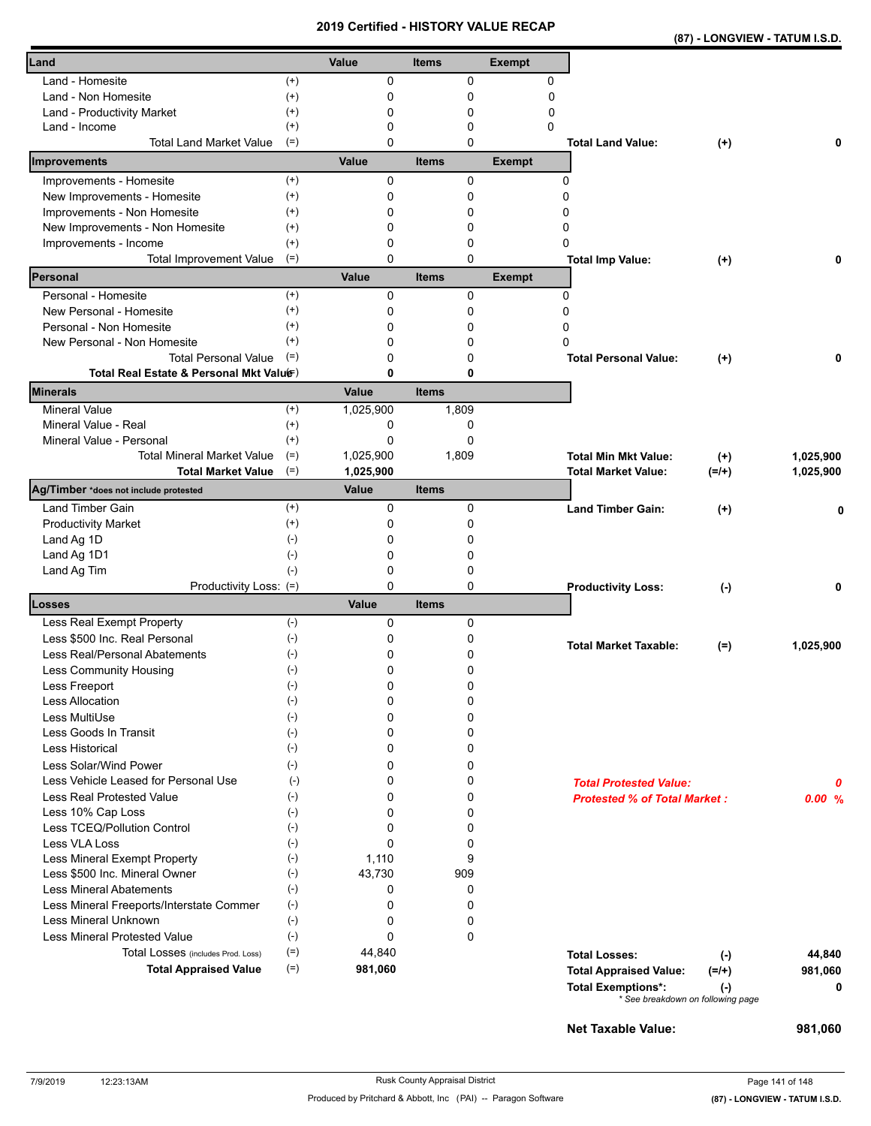| (87) - LONGVIEW - TATUM I.S.D. |
|--------------------------------|
|--------------------------------|

| Land                                                               |                       | Value             | <b>Items</b>                | <b>Exempt</b> |                                                                                                 |                  |              |
|--------------------------------------------------------------------|-----------------------|-------------------|-----------------------------|---------------|-------------------------------------------------------------------------------------------------|------------------|--------------|
| Land - Homesite                                                    | $^{(+)}$              | 0                 | $\mathbf 0$                 | 0             |                                                                                                 |                  |              |
| Land - Non Homesite                                                | $^{(+)}$              | 0                 | 0                           | $\mathbf 0$   |                                                                                                 |                  |              |
| Land - Productivity Market                                         | $^{(+)}$              | 0                 | 0                           | 0             |                                                                                                 |                  |              |
| Land - Income                                                      | $^{(+)}$              | 0                 | 0                           | 0             |                                                                                                 |                  |              |
| <b>Total Land Market Value</b>                                     | $(=)$                 | 0                 | 0                           |               | <b>Total Land Value:</b>                                                                        | $^{(+)}$         | 0            |
| Improvements                                                       |                       | Value             | <b>Items</b>                | <b>Exempt</b> |                                                                                                 |                  |              |
| Improvements - Homesite                                            | $^{(+)}$              | 0                 | 0                           |               | 0                                                                                               |                  |              |
| New Improvements - Homesite                                        | $^{(+)}$              | 0                 | 0                           |               | 0                                                                                               |                  |              |
| Improvements - Non Homesite                                        | $^{(+)}$              | 0                 | 0                           |               | 0                                                                                               |                  |              |
| New Improvements - Non Homesite                                    | $^{(+)}$              | 0                 | 0                           |               | 0                                                                                               |                  |              |
| Improvements - Income                                              | $^{(+)}$              | 0                 | 0                           |               | 0                                                                                               |                  |              |
| <b>Total Improvement Value</b><br>Personal                         | $(=)$                 | $\Omega$<br>Value | $\mathbf 0$<br><b>Items</b> | <b>Exempt</b> | <b>Total Imp Value:</b>                                                                         | $(+)$            | 0            |
|                                                                    |                       |                   |                             |               |                                                                                                 |                  |              |
| Personal - Homesite                                                | $^{(+)}$              | $\Omega$          | 0                           |               | 0                                                                                               |                  |              |
| New Personal - Homesite                                            | $^{(+)}$              | 0                 | 0                           |               | 0                                                                                               |                  |              |
| Personal - Non Homesite                                            | $^{(+)}$<br>$^{(+)}$  | 0<br>0            | 0<br>0                      |               | 0<br>0                                                                                          |                  |              |
| New Personal - Non Homesite<br><b>Total Personal Value</b>         | $(=)$                 | 0                 | 0                           |               | <b>Total Personal Value:</b>                                                                    |                  | 0            |
| Total Real Estate & Personal Mkt Valuer)                           |                       | 0                 | 0                           |               |                                                                                                 | $(+)$            |              |
| <b>Minerals</b>                                                    |                       | Value             | <b>Items</b>                |               |                                                                                                 |                  |              |
| <b>Mineral Value</b>                                               | $^{(+)}$              | 1,025,900         | 1,809                       |               |                                                                                                 |                  |              |
| Mineral Value - Real                                               | $^{(+)}$              | 0                 | 0                           |               |                                                                                                 |                  |              |
| Mineral Value - Personal                                           | $(+)$                 | 0                 | $\Omega$                    |               |                                                                                                 |                  |              |
| <b>Total Mineral Market Value</b>                                  | $(=)$                 | 1,025,900         | 1,809                       |               | <b>Total Min Mkt Value:</b>                                                                     | $^{(+)}$         | 1,025,900    |
| <b>Total Market Value</b>                                          | $(=)$                 | 1,025,900         |                             |               | <b>Total Market Value:</b>                                                                      | $(=/+)$          | 1,025,900    |
| Ag/Timber *does not include protested                              |                       | Value             | <b>Items</b>                |               |                                                                                                 |                  |              |
| <b>Land Timber Gain</b>                                            | $^{(+)}$              | 0                 | 0                           |               | <b>Land Timber Gain:</b>                                                                        | $^{(+)}$         | 0            |
| <b>Productivity Market</b>                                         | $^{(+)}$              | 0                 | 0                           |               |                                                                                                 |                  |              |
| Land Ag 1D                                                         | $(\cdot)$             | 0                 | 0                           |               |                                                                                                 |                  |              |
| Land Ag 1D1                                                        | $(-)$                 | 0                 | 0                           |               |                                                                                                 |                  |              |
| Land Ag Tim                                                        | $(-)$                 | 0                 | 0                           |               |                                                                                                 |                  |              |
| Productivity Loss: (=)<br>Losses                                   |                       | 0<br>Value        | 0<br><b>Items</b>           |               | <b>Productivity Loss:</b>                                                                       | $(\cdot)$        | 0            |
|                                                                    |                       |                   |                             |               |                                                                                                 |                  |              |
| Less Real Exempt Property<br>Less \$500 Inc. Real Personal         | $(-)$<br>$(-)$        | 0<br>0            | 0                           |               |                                                                                                 |                  |              |
| Less Real/Personal Abatements                                      | $(\cdot)$             | 0                 | 0<br>0                      |               | <b>Total Market Taxable:</b>                                                                    | $(=)$            | 1,025,900    |
| Less Community Housing                                             | $(-)$                 | 0                 | 0                           |               |                                                                                                 |                  |              |
| Less Freeport                                                      | $(-)$                 | 0                 | U                           |               |                                                                                                 |                  |              |
| <b>Less Allocation</b>                                             | $(\cdot)$             | 0                 | 0                           |               |                                                                                                 |                  |              |
| Less MultiUse                                                      | $(-)$                 | 0                 | 0                           |               |                                                                                                 |                  |              |
| Less Goods In Transit                                              | $(-)$                 | 0                 | 0                           |               |                                                                                                 |                  |              |
| Less Historical                                                    | $(\text{-})$          | 0                 | 0                           |               |                                                                                                 |                  |              |
| Less Solar/Wind Power                                              | $(-)$                 | 0                 | 0                           |               |                                                                                                 |                  |              |
| Less Vehicle Leased for Personal Use                               | $(-)$                 | 0                 | 0                           |               | <b>Total Protested Value:</b>                                                                   |                  | 0            |
| Less Real Protested Value                                          | $(-)$                 | 0                 | 0                           |               | <b>Protested % of Total Market:</b>                                                             |                  | 0.00%        |
| Less 10% Cap Loss                                                  | $(\cdot)$             | 0                 | 0                           |               |                                                                                                 |                  |              |
| Less TCEQ/Pollution Control                                        | $(-)$                 | 0                 | 0                           |               |                                                                                                 |                  |              |
| Less VLA Loss                                                      | $(-)$                 | 0                 | 0                           |               |                                                                                                 |                  |              |
| Less Mineral Exempt Property                                       | $(-)$                 | 1,110             | 9                           |               |                                                                                                 |                  |              |
| Less \$500 Inc. Mineral Owner                                      | $(-)$                 | 43,730            | 909                         |               |                                                                                                 |                  |              |
| <b>Less Mineral Abatements</b>                                     | $(\cdot)$             | 0                 | 0                           |               |                                                                                                 |                  |              |
| Less Mineral Freeports/Interstate Commer                           | $(-)$                 | 0                 | 0                           |               |                                                                                                 |                  |              |
| Less Mineral Unknown<br><b>Less Mineral Protested Value</b>        | $(\text{-})$          | 0                 | 0                           |               |                                                                                                 |                  |              |
|                                                                    | $(\text{-})$<br>$(=)$ | 0<br>44,840       | 0                           |               |                                                                                                 |                  |              |
| Total Losses (includes Prod. Loss)<br><b>Total Appraised Value</b> | $(=)$                 | 981,060           |                             |               | <b>Total Losses:</b>                                                                            | $(-)$            | 44,840       |
|                                                                    |                       |                   |                             |               | <b>Total Appraised Value:</b><br><b>Total Exemptions*:</b><br>* See breakdown on following page | $(=/+)$<br>$(-)$ | 981,060<br>0 |
|                                                                    |                       |                   |                             |               |                                                                                                 |                  |              |

**Net Taxable Value: 981,060**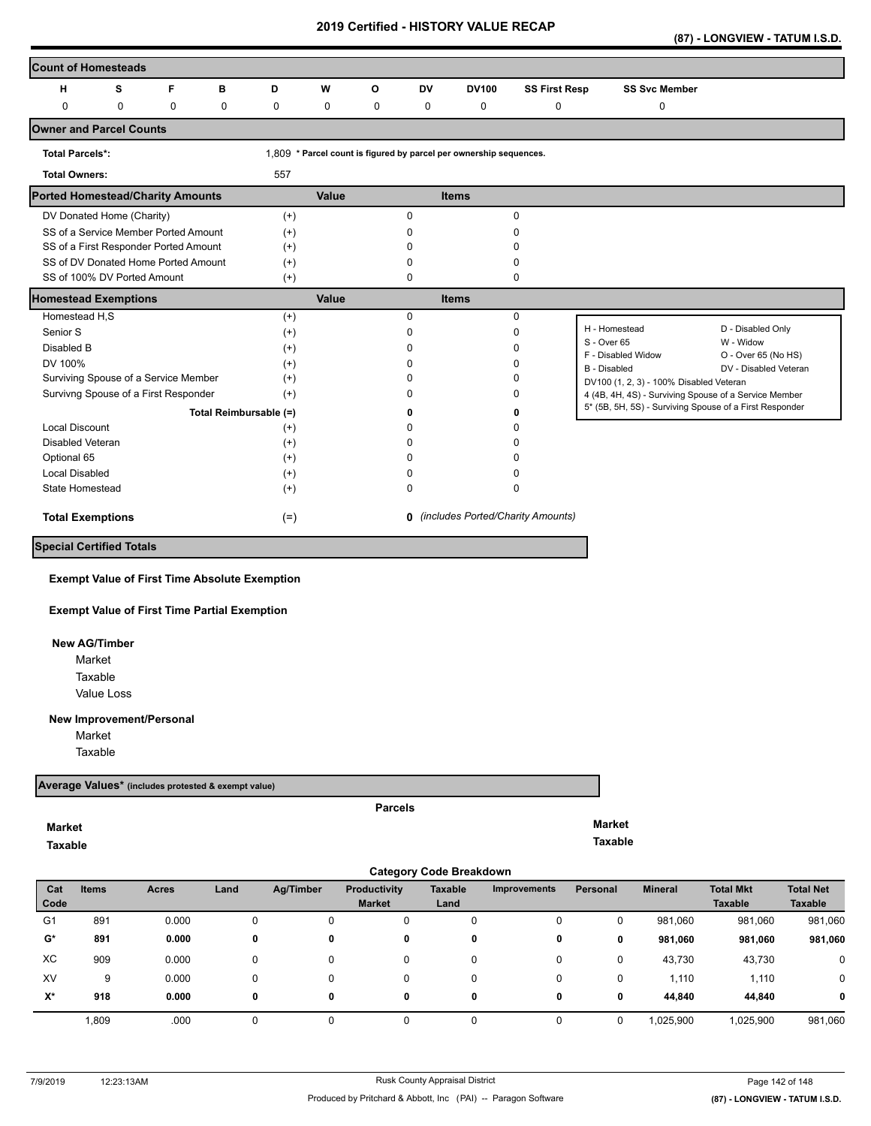**(87) - LONGVIEW - TATUM I.S.D.** 

| <b>Count of Homesteads</b>              |                                       |           |                        |          |       |             |              |                                                                    |                                            |                                                         |                                  |
|-----------------------------------------|---------------------------------------|-----------|------------------------|----------|-------|-------------|--------------|--------------------------------------------------------------------|--------------------------------------------|---------------------------------------------------------|----------------------------------|
| н                                       | s                                     | F         | в                      | D        | W     | O           | <b>DV</b>    | <b>DV100</b>                                                       | <b>SS First Resp</b>                       | <b>SS Svc Member</b>                                    |                                  |
| 0                                       | 0                                     | $\pmb{0}$ | 0                      | 0        | 0     | $\mathbf 0$ | $\pmb{0}$    | 0                                                                  | 0                                          | 0                                                       |                                  |
| <b>Owner and Parcel Counts</b>          |                                       |           |                        |          |       |             |              |                                                                    |                                            |                                                         |                                  |
| <b>Total Parcels*:</b>                  |                                       |           |                        |          |       |             |              | 1,809 * Parcel count is figured by parcel per ownership sequences. |                                            |                                                         |                                  |
| <b>Total Owners:</b>                    |                                       |           |                        | 557      |       |             |              |                                                                    |                                            |                                                         |                                  |
| <b>Ported Homestead/Charity Amounts</b> |                                       |           |                        |          | Value |             |              | <b>Items</b>                                                       |                                            |                                                         |                                  |
|                                         | DV Donated Home (Charity)             |           |                        | $^{(+)}$ |       |             | 0            |                                                                    | $\mathbf 0$                                |                                                         |                                  |
|                                         | SS of a Service Member Ported Amount  |           |                        | $(+)$    |       |             | $\Omega$     |                                                                    | <sup>0</sup>                               |                                                         |                                  |
|                                         | SS of a First Responder Ported Amount |           |                        | $(+)$    |       |             | n            |                                                                    | n                                          |                                                         |                                  |
|                                         | SS of DV Donated Home Ported Amount   |           |                        | $(+)$    |       |             | U            |                                                                    | <sup>0</sup>                               |                                                         |                                  |
|                                         | SS of 100% DV Ported Amount           |           |                        | $(+)$    |       |             | 0            |                                                                    | 0                                          |                                                         |                                  |
| <b>Homestead Exemptions</b>             |                                       |           |                        |          | Value |             |              | <b>Items</b>                                                       |                                            |                                                         |                                  |
| Homestead H,S                           |                                       |           |                        | $(+)$    |       |             | $\Omega$     |                                                                    | $\mathbf 0$                                |                                                         |                                  |
| Senior S                                |                                       |           |                        | $(+)$    |       |             | 0            |                                                                    | 0                                          | H - Homestead                                           | D - Disabled Only                |
| Disabled B                              |                                       |           |                        | $(+)$    |       |             | <sup>0</sup> |                                                                    | <sup>0</sup>                               | S - Over 65<br>F - Disabled Widow                       | W - Widow<br>O - Over 65 (No HS) |
| DV 100%                                 |                                       |           |                        | $(+)$    |       |             | n            |                                                                    | <sup>0</sup>                               | <b>B</b> - Disabled                                     | DV - Disabled Veteran            |
| Surviving Spouse of a Service Member    |                                       |           | $(+)$                  |          |       | n           |              | <sup>0</sup>                                                       | DV100 (1, 2, 3) - 100% Disabled Veteran    |                                                         |                                  |
|                                         | Survivng Spouse of a First Responder  |           |                        | $(+)$    |       |             | n            |                                                                    | 0                                          | 4 (4B, 4H, 4S) - Surviving Spouse of a Service Member   |                                  |
|                                         |                                       |           | Total Reimbursable (=) |          |       |             | n            |                                                                    | n                                          | 5* (5B, 5H, 5S) - Surviving Spouse of a First Responder |                                  |
| Local Discount                          |                                       |           |                        | $^{(+)}$ |       |             | ŋ            |                                                                    | n                                          |                                                         |                                  |
| Disabled Veteran                        |                                       |           |                        | $(+)$    |       |             | n            |                                                                    | n                                          |                                                         |                                  |
| Optional 65                             |                                       |           |                        | $^{(+)}$ |       |             | n            |                                                                    | n                                          |                                                         |                                  |
| <b>Local Disabled</b>                   |                                       |           |                        | $(+)$    |       |             | n            |                                                                    | 0                                          |                                                         |                                  |
| <b>State Homestead</b>                  |                                       |           |                        | $(+)$    |       |             | <sup>0</sup> |                                                                    | 0                                          |                                                         |                                  |
| <b>Total Exemptions</b>                 |                                       |           |                        | $(=)$    |       |             |              |                                                                    | <b>0</b> (includes Ported/Charity Amounts) |                                                         |                                  |
| <b>Special Certified Totals</b>         |                                       |           |                        |          |       |             |              |                                                                    |                                            |                                                         |                                  |

**Exempt Value of First Time Absolute Exemption**

**Exempt Value of First Time Partial Exemption**

 **New AG/Timber**

Value Loss Market Taxable

**New Improvement/Personal** 

Market

Taxable

#### **Average Values\* (includes protested & exempt value)**

**Market Taxable**  **Parcels**

**Market Taxable** 

|                      | <b>Category Code Breakdown</b> |       |      |           |                               |                        |                     |          |                |                                    |                                    |  |  |
|----------------------|--------------------------------|-------|------|-----------|-------------------------------|------------------------|---------------------|----------|----------------|------------------------------------|------------------------------------|--|--|
| Cat<br>Code          | Items                          | Acres | Land | Ag/Timber | Productivity<br><b>Market</b> | <b>Taxable</b><br>Land | <b>Improvements</b> | Personal | <b>Mineral</b> | <b>Total Mkt</b><br><b>Taxable</b> | <b>Total Net</b><br><b>Taxable</b> |  |  |
| G <sub>1</sub>       | 891                            | 0.000 | 0    | 0         | 0                             | 0                      | 0                   | 0        | 981,060        | 981,060                            | 981,060                            |  |  |
| $\mathbf{G}^{\star}$ | 891                            | 0.000 | 0    | 0         | 0                             | 0                      | 0                   | 0        | 981,060        | 981,060                            | 981,060                            |  |  |
| XC                   | 909                            | 0.000 | 0    | 0         | 0                             | 0                      | 0                   | 0        | 43,730         | 43,730                             | 0                                  |  |  |
| XV                   | 9                              | 0.000 | 0    | 0         | 0                             | 0                      | 0                   | 0        | 1,110          | 1,110                              | 0                                  |  |  |
| X*                   | 918                            | 0.000 | 0    | 0         | 0                             | 0                      | 0                   | 0        | 44.840         | 44.840                             | 0                                  |  |  |
|                      | 1,809                          | .000  |      |           |                               |                        | $\Omega$            |          | 1,025,900      | 1,025,900                          | 981,060                            |  |  |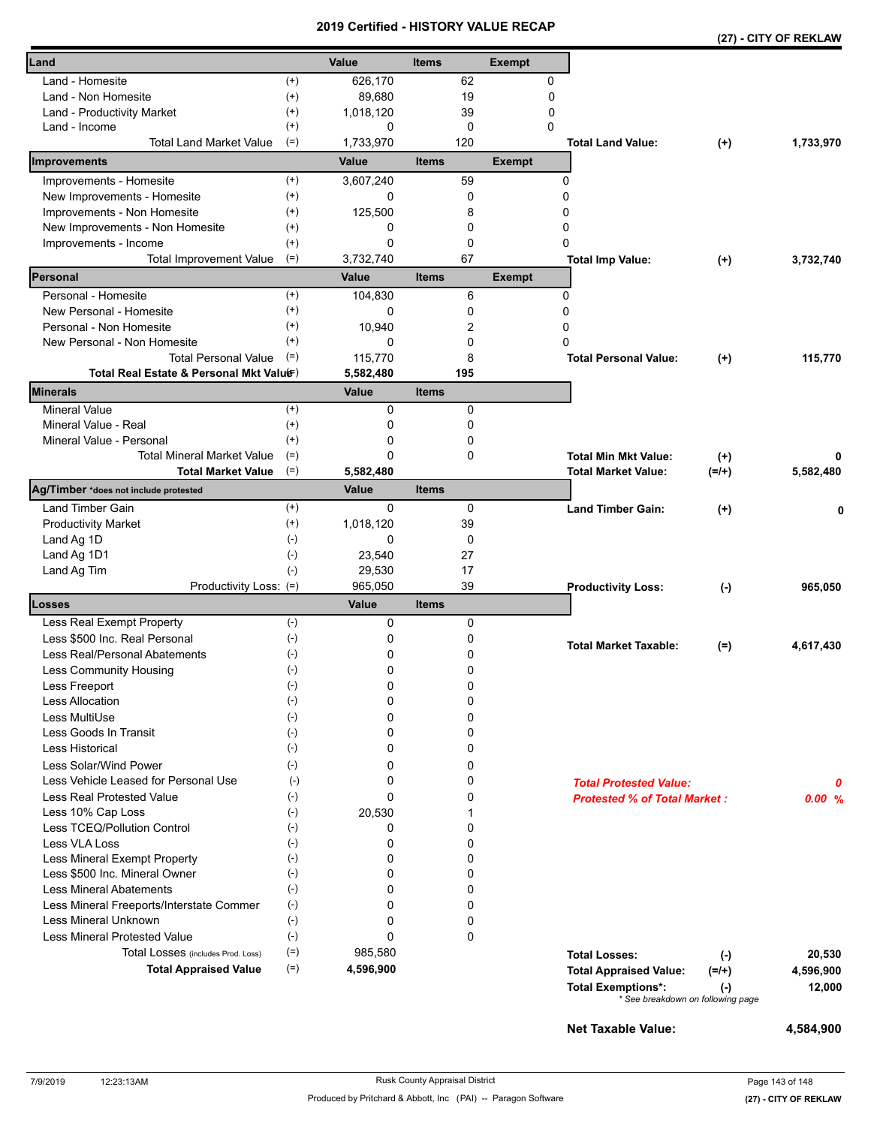|                                                                         |                    |                |              |     |               |                                                           |                     | (27) - CITY OF REKLAW |
|-------------------------------------------------------------------------|--------------------|----------------|--------------|-----|---------------|-----------------------------------------------------------|---------------------|-----------------------|
| Land                                                                    |                    | Value          | <b>Items</b> |     | <b>Exempt</b> |                                                           |                     |                       |
| Land - Homesite                                                         | $^{(+)}$           | 626,170        |              | 62  | 0             |                                                           |                     |                       |
| $^{(+)}$<br>Land - Non Homesite                                         |                    | 89,680         |              | 19  | 0             |                                                           |                     |                       |
| $^{(+)}$<br>Land - Productivity Market                                  |                    | 1,018,120      |              | 39  | 0             |                                                           |                     |                       |
| Land - Income                                                           | $^{(+)}$           | 0              |              | 0   | $\mathbf{0}$  |                                                           |                     |                       |
| <b>Total Land Market Value</b><br>$(=)$                                 |                    | 1,733,970      |              | 120 |               | <b>Total Land Value:</b>                                  | $(+)$               | 1,733,970             |
| Improvements                                                            |                    | Value          | <b>Items</b> |     | <b>Exempt</b> |                                                           |                     |                       |
| Improvements - Homesite                                                 | $^{(+)}$           | 3,607,240      |              | 59  |               | 0                                                         |                     |                       |
| $^{(+)}$<br>New Improvements - Homesite                                 |                    | 0              |              | 0   |               | 0                                                         |                     |                       |
| Improvements - Non Homesite<br>$^{(+)}$                                 |                    | 125,500        |              | 8   |               | 0                                                         |                     |                       |
| New Improvements - Non Homesite<br>$^{(+)}$                             |                    | 0              |              | 0   |               | 0                                                         |                     |                       |
| Improvements - Income<br>$^{(+)}$                                       |                    | 0              |              | 0   |               | 0                                                         |                     |                       |
| $(=)$<br><b>Total Improvement Value</b>                                 |                    | 3,732,740      |              | 67  |               | <b>Total Imp Value:</b>                                   | $(+)$               | 3,732,740             |
| Personal                                                                |                    | Value          | <b>Items</b> |     | <b>Exempt</b> |                                                           |                     |                       |
| Personal - Homesite                                                     | $^{(+)}$           | 104,830        |              | 6   |               | 0                                                         |                     |                       |
| New Personal - Homesite                                                 | $^{(+)}$           | 0              |              | 0   |               | 0                                                         |                     |                       |
| Personal - Non Homesite<br>$^{(+)}$                                     |                    | 10,940         |              | 2   |               | 0                                                         |                     |                       |
| New Personal - Non Homesite                                             | $^{(+)}$           | $\Omega$       |              | 0   |               | 0                                                         |                     |                       |
| <b>Total Personal Value</b><br>$(=)$                                    |                    | 115,770        |              | 8   |               | <b>Total Personal Value:</b>                              | $(+)$               | 115,770               |
| Total Real Estate & Personal Mkt Valuer)                                |                    | 5,582,480      |              | 195 |               |                                                           |                     |                       |
| Minerals                                                                |                    | Value          | <b>Items</b> |     |               |                                                           |                     |                       |
| <b>Mineral Value</b>                                                    | $(+)$              | 0              |              | 0   |               |                                                           |                     |                       |
| Mineral Value - Real                                                    | $^{(+)}$           | 0              |              | 0   |               |                                                           |                     |                       |
| Mineral Value - Personal                                                | $^{(+)}$           | 0              |              | 0   |               |                                                           |                     |                       |
| <b>Total Mineral Market Value</b><br>$(=)$<br><b>Total Market Value</b> | $(=)$              | 0<br>5,582,480 |              | 0   |               | <b>Total Min Mkt Value:</b><br><b>Total Market Value:</b> | $^{(+)}$<br>$(=/+)$ | 5,582,480             |
| Ag/Timber *does not include protested                                   |                    | Value          | <b>Items</b> |     |               |                                                           |                     |                       |
| Land Timber Gain                                                        | $^{(+)}$           | 0              |              | 0   |               | <b>Land Timber Gain:</b>                                  | $^{(+)}$            | 0                     |
| <b>Productivity Market</b>                                              | $^{(+)}$           | 1,018,120      |              | 39  |               |                                                           |                     |                       |
| $(-)$<br>Land Ag 1D                                                     |                    | 0              |              | 0   |               |                                                           |                     |                       |
| $(-)$<br>Land Ag 1D1                                                    |                    | 23,540         |              | 27  |               |                                                           |                     |                       |
| Land Ag Tim                                                             | $(-)$              | 29,530         |              | 17  |               |                                                           |                     |                       |
| Productivity Loss: (=)                                                  |                    | 965,050        |              | 39  |               | <b>Productivity Loss:</b>                                 | $(-)$               | 965,050               |
| Losses                                                                  |                    | Value          | <b>Items</b> |     |               |                                                           |                     |                       |
| Less Real Exempt Property                                               | $(-)$              | 0              |              | 0   |               |                                                           |                     |                       |
| Less \$500 Inc. Real Personal<br>$(-)$                                  |                    | 0              |              | 0   |               | <b>Total Market Taxable:</b>                              |                     |                       |
| Less Real/Personal Abatements<br>$(-)$                                  |                    | 0              |              | 0   |               |                                                           | $(=)$               | 4,617,430             |
| Less Community Housing                                                  | $(\textnormal{-})$ | 0              |              | 0   |               |                                                           |                     |                       |
| Less Freeport<br>$(-)$                                                  |                    | 0              |              | 0   |               |                                                           |                     |                       |
| $(-)$<br><b>Less Allocation</b>                                         |                    | 0              |              | 0   |               |                                                           |                     |                       |
| $(-)$<br>Less MultiUse                                                  |                    | 0              |              | 0   |               |                                                           |                     |                       |
| Less Goods In Transit<br>$(-)$                                          |                    | 0              |              | 0   |               |                                                           |                     |                       |
| $(-)$<br><b>Less Historical</b>                                         |                    | 0              |              | 0   |               |                                                           |                     |                       |
| Less Solar/Wind Power                                                   | $(-)$              | 0              |              | 0   |               |                                                           |                     |                       |
| Less Vehicle Leased for Personal Use                                    | $(-)$              | 0              |              | 0   |               | <b>Total Protested Value:</b>                             |                     | 0                     |
| <b>Less Real Protested Value</b>                                        | $(-)$              | 0              |              | 0   |               | <b>Protested % of Total Market:</b>                       |                     | 0.00%                 |
| Less 10% Cap Loss                                                       | $(-)$              | 20,530         |              | 1   |               |                                                           |                     |                       |
| Less TCEQ/Pollution Control<br>$(-)$                                    |                    | 0              |              | 0   |               |                                                           |                     |                       |
| Less VLA Loss<br>$(-)$                                                  |                    | 0              |              | 0   |               |                                                           |                     |                       |
| Less Mineral Exempt Property<br>$(-)$                                   |                    | 0              |              | 0   |               |                                                           |                     |                       |
| Less \$500 Inc. Mineral Owner                                           | $(-)$              | 0              |              | 0   |               |                                                           |                     |                       |
| <b>Less Mineral Abatements</b>                                          | $(-)$              | 0              |              | 0   |               |                                                           |                     |                       |
| $(-)$<br>Less Mineral Freeports/Interstate Commer                       |                    | 0              |              | 0   |               |                                                           |                     |                       |
| <b>Less Mineral Unknown</b><br>$(\text{-})$                             |                    | 0              |              | 0   |               |                                                           |                     |                       |
| <b>Less Mineral Protested Value</b>                                     | $(-)$              | 0              |              | 0   |               |                                                           |                     |                       |
| Total Losses (includes Prod. Loss)                                      | $(=)$              | 985,580        |              |     |               | <b>Total Losses:</b>                                      | $(\cdot)$           | 20,530                |
| <b>Total Appraised Value</b>                                            | $(=)$              | 4,596,900      |              |     |               | <b>Total Appraised Value:</b>                             | $(=/+)$             | 4,596,900             |
|                                                                         |                    |                |              |     |               | <b>Total Exemptions*:</b>                                 | $(\cdot)$           | 12,000                |
|                                                                         |                    |                |              |     |               | * See breakdown on following page                         |                     |                       |

**Net Taxable Value:** 4,584,900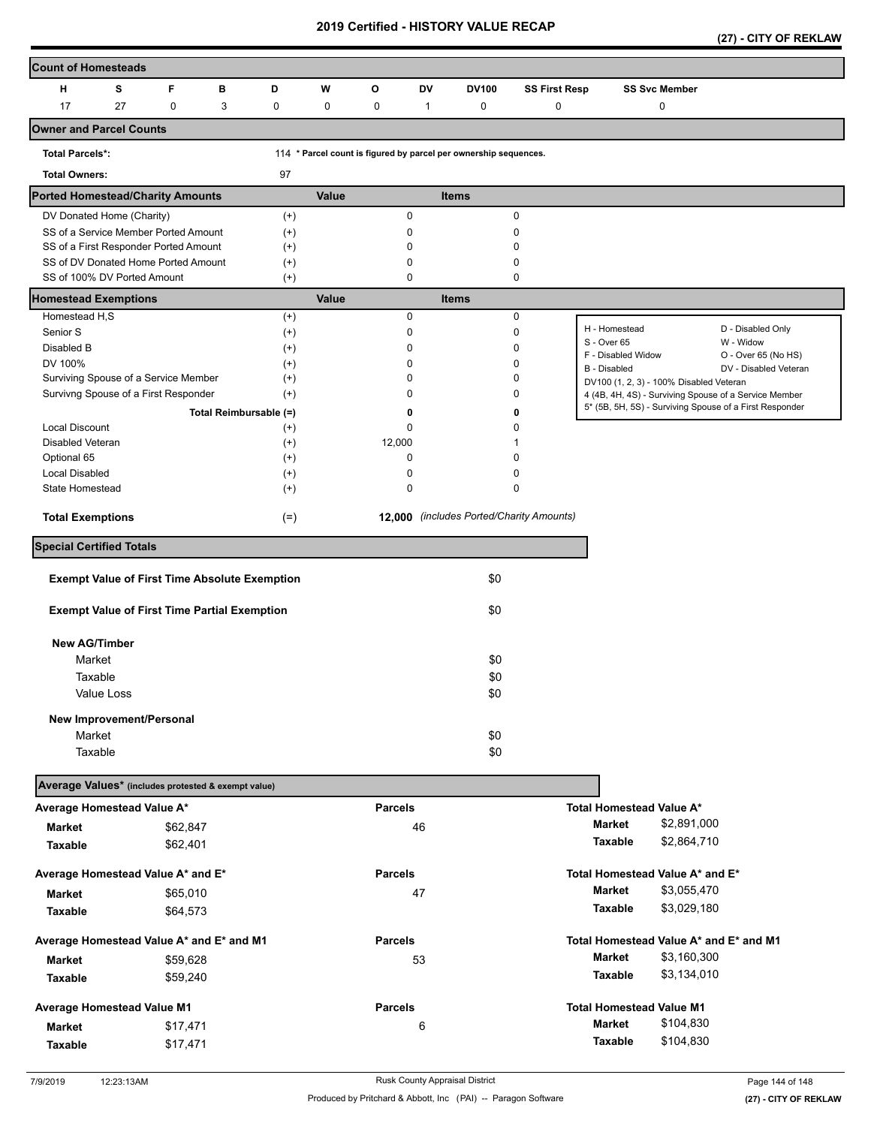**(27) - CITY OF REKLAW** 

| <b>Count of Homesteads</b>                           |            |   |             |   |                        |       |                |    |                                                                  |                      |                                           |                                         |                                                         |
|------------------------------------------------------|------------|---|-------------|---|------------------------|-------|----------------|----|------------------------------------------------------------------|----------------------|-------------------------------------------|-----------------------------------------|---------------------------------------------------------|
| н                                                    | s          | F |             | в | D                      | W     | $\mathbf{o}$   | DV | <b>DV100</b>                                                     | <b>SS First Resp</b> |                                           | <b>SS Svc Member</b>                    |                                                         |
| 17                                                   | 27         |   | $\mathbf 0$ | 3 | $\pmb{0}$              | 0     | 0              | 1  | 0                                                                | 0                    |                                           | 0                                       |                                                         |
| <b>Owner and Parcel Counts</b>                       |            |   |             |   |                        |       |                |    |                                                                  |                      |                                           |                                         |                                                         |
| <b>Total Parcels*:</b>                               |            |   |             |   |                        |       |                |    | 114 * Parcel count is figured by parcel per ownership sequences. |                      |                                           |                                         |                                                         |
| <b>Total Owners:</b>                                 |            |   |             |   | 97                     |       |                |    |                                                                  |                      |                                           |                                         |                                                         |
| <b>Ported Homestead/Charity Amounts</b>              |            |   |             |   |                        | Value |                |    | <b>Items</b>                                                     |                      |                                           |                                         |                                                         |
| DV Donated Home (Charity)                            |            |   |             |   | $^{(+)}$               |       |                | 0  |                                                                  | $\pmb{0}$            |                                           |                                         |                                                         |
| SS of a Service Member Ported Amount                 |            |   |             |   | $^{(+)}$               |       | $\mathbf 0$    |    |                                                                  | 0                    |                                           |                                         |                                                         |
| SS of a First Responder Ported Amount                |            |   |             |   | $^{(+)}$               |       | 0              |    |                                                                  | 0                    |                                           |                                         |                                                         |
| SS of DV Donated Home Ported Amount                  |            |   |             |   | $^{(+)}$               |       | 0              |    |                                                                  | $\mathbf 0$          |                                           |                                         |                                                         |
| SS of 100% DV Ported Amount                          |            |   |             |   | $^{(+)}$               |       | $\Omega$       |    |                                                                  | 0                    |                                           |                                         |                                                         |
| <b>Homestead Exemptions</b>                          |            |   |             |   |                        | Value |                | 0  | <b>Items</b>                                                     |                      |                                           |                                         |                                                         |
| Homestead H,S<br>Senior S                            |            |   |             |   | $^{(+)}$<br>$^{(+)}$   |       | 0              |    |                                                                  | 0<br>0               | H - Homestead                             |                                         | D - Disabled Only                                       |
| Disabled B                                           |            |   |             |   | $^{(+)}$               |       | $\Omega$       |    |                                                                  | $\Omega$             | S - Over 65                               |                                         | W - Widow                                               |
| DV 100%                                              |            |   |             |   | $^{(+)}$               |       | 0              |    |                                                                  | 0                    | F - Disabled Widow<br><b>B</b> - Disabled |                                         | O - Over 65 (No HS)<br>DV - Disabled Veteran            |
| Surviving Spouse of a Service Member                 |            |   |             |   | $^{(+)}$               |       | $\Omega$       |    |                                                                  | $\mathbf 0$          |                                           | DV100 (1, 2, 3) - 100% Disabled Veteran |                                                         |
| Survivng Spouse of a First Responder                 |            |   |             |   | $^{(+)}$               |       | $\Omega$       |    |                                                                  | 0                    |                                           |                                         | 4 (4B, 4H, 4S) - Surviving Spouse of a Service Member   |
|                                                      |            |   |             |   | Total Reimbursable (=) |       | 0              |    |                                                                  | 0                    |                                           |                                         | 5* (5B, 5H, 5S) - Surviving Spouse of a First Responder |
| <b>Local Discount</b>                                |            |   |             |   | $^{(+)}$               |       | 0              |    |                                                                  | $\Omega$             |                                           |                                         |                                                         |
| Disabled Veteran                                     |            |   |             |   | $^{(+)}$               |       | 12,000         |    |                                                                  | 1                    |                                           |                                         |                                                         |
| Optional 65                                          |            |   |             |   | $^{(+)}$               |       | 0              |    |                                                                  | $\Omega$             |                                           |                                         |                                                         |
| <b>Local Disabled</b><br>State Homestead             |            |   |             |   | $^{(+)}$               |       | 0<br>0         |    |                                                                  | 0<br>0               |                                           |                                         |                                                         |
|                                                      |            |   |             |   | $^{(+)}$               |       |                |    |                                                                  |                      |                                           |                                         |                                                         |
| <b>Total Exemptions</b>                              |            |   |             |   | $(=)$                  |       |                |    | 12,000 (includes Ported/Charity Amounts)                         |                      |                                           |                                         |                                                         |
| <b>Special Certified Totals</b>                      |            |   |             |   |                        |       |                |    |                                                                  |                      |                                           |                                         |                                                         |
| <b>Exempt Value of First Time Absolute Exemption</b> |            |   |             |   |                        |       |                |    | \$0                                                              |                      |                                           |                                         |                                                         |
| <b>Exempt Value of First Time Partial Exemption</b>  |            |   |             |   |                        |       |                |    | \$0                                                              |                      |                                           |                                         |                                                         |
| <b>New AG/Timber</b>                                 |            |   |             |   |                        |       |                |    |                                                                  |                      |                                           |                                         |                                                         |
| Market                                               |            |   |             |   |                        |       |                |    | \$0                                                              |                      |                                           |                                         |                                                         |
| Taxable                                              |            |   |             |   |                        |       |                |    | \$0                                                              |                      |                                           |                                         |                                                         |
|                                                      | Value Loss |   |             |   |                        |       |                |    | \$0                                                              |                      |                                           |                                         |                                                         |
| New Improvement/Personal                             |            |   |             |   |                        |       |                |    |                                                                  |                      |                                           |                                         |                                                         |
| Market                                               |            |   |             |   |                        |       |                |    | \$0                                                              |                      |                                           |                                         |                                                         |
| Taxable                                              |            |   |             |   |                        |       |                |    | \$0                                                              |                      |                                           |                                         |                                                         |
| Average Values* (includes protested & exempt value)  |            |   |             |   |                        |       |                |    |                                                                  |                      |                                           |                                         |                                                         |
| Average Homestead Value A*                           |            |   |             |   |                        |       | <b>Parcels</b> |    |                                                                  |                      |                                           | Total Homestead Value A*                |                                                         |
| <b>Market</b>                                        |            |   | \$62,847    |   |                        |       |                | 46 |                                                                  |                      | <b>Market</b>                             | \$2,891,000                             |                                                         |
| <b>Taxable</b>                                       |            |   | \$62,401    |   |                        |       |                |    |                                                                  |                      | Taxable                                   | \$2,864,710                             |                                                         |
| Average Homestead Value A* and E*                    |            |   |             |   |                        |       | <b>Parcels</b> |    |                                                                  |                      |                                           | Total Homestead Value A* and E*         |                                                         |
| <b>Market</b>                                        |            |   | \$65,010    |   |                        |       |                | 47 |                                                                  |                      | Market                                    | \$3,055,470                             |                                                         |
| Taxable                                              |            |   | \$64,573    |   |                        |       |                |    |                                                                  |                      | Taxable                                   | \$3,029,180                             |                                                         |
| Average Homestead Value A* and E* and M1             |            |   |             |   |                        |       | <b>Parcels</b> |    |                                                                  |                      |                                           | Total Homestead Value A* and E* and M1  |                                                         |
| <b>Market</b>                                        |            |   | \$59,628    |   |                        |       |                | 53 |                                                                  |                      | <b>Market</b>                             | \$3,160,300                             |                                                         |
| Taxable                                              |            |   | \$59,240    |   |                        |       |                |    |                                                                  |                      | Taxable                                   | \$3,134,010                             |                                                         |
| Average Homestead Value M1                           |            |   |             |   |                        |       | <b>Parcels</b> |    |                                                                  |                      |                                           | <b>Total Homestead Value M1</b>         |                                                         |
| Market                                               |            |   | \$17,471    |   |                        |       |                | 6  |                                                                  |                      | <b>Market</b>                             | \$104,830                               |                                                         |
| <b>Taxable</b>                                       |            |   | \$17,471    |   |                        |       |                |    |                                                                  |                      | Taxable                                   | \$104,830                               |                                                         |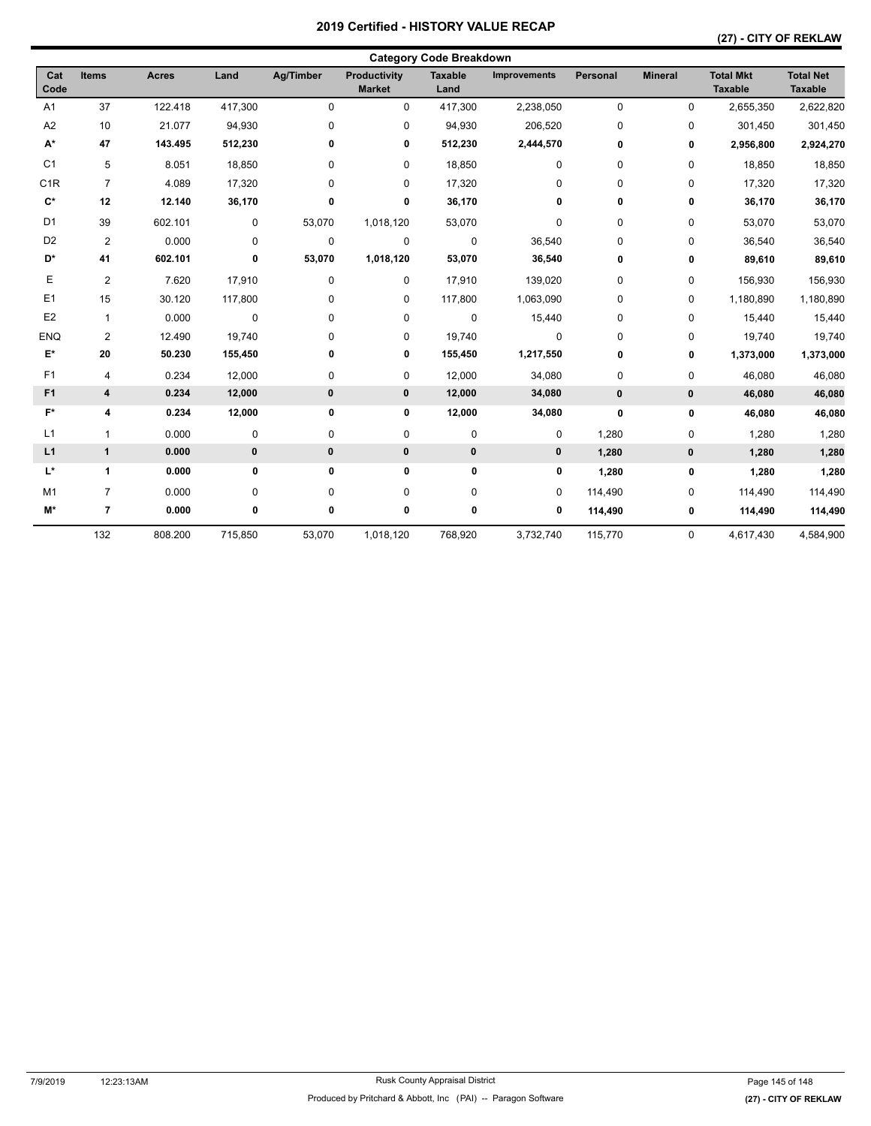| <b>Category Code Breakdown</b> |                |              |             |             |                               |                        |              |             |                |                                    |                                    |  |
|--------------------------------|----------------|--------------|-------------|-------------|-------------------------------|------------------------|--------------|-------------|----------------|------------------------------------|------------------------------------|--|
| Cat<br>Code                    | Items          | <b>Acres</b> | Land        | Ag/Timber   | Productivity<br><b>Market</b> | <b>Taxable</b><br>Land | Improvements | Personal    | <b>Mineral</b> | <b>Total Mkt</b><br><b>Taxable</b> | <b>Total Net</b><br><b>Taxable</b> |  |
| A <sub>1</sub>                 | 37             | 122.418      | 417,300     | $\mathbf 0$ | $\mathbf 0$                   | 417,300                | 2,238,050    | $\mathbf 0$ | $\mathbf 0$    | 2,655,350                          | 2,622,820                          |  |
| A <sub>2</sub>                 | 10             | 21.077       | 94,930      | 0           | 0                             | 94,930                 | 206,520      | 0           | 0              | 301,450                            | 301,450                            |  |
| $\mathsf{A}^\star$             | 47             | 143.495      | 512,230     | 0           | 0                             | 512,230                | 2,444,570    | 0           | 0              | 2,956,800                          | 2,924,270                          |  |
| C <sub>1</sub>                 | 5              | 8.051        | 18,850      | 0           | 0                             | 18,850                 | 0            | 0           | 0              | 18,850                             | 18,850                             |  |
| C <sub>1</sub> R               | $\overline{7}$ | 4.089        | 17,320      | 0           | 0                             | 17,320                 | 0            | 0           | $\mathbf 0$    | 17,320                             | 17,320                             |  |
| $\mathbf{C}^*$                 | 12             | 12.140       | 36,170      | 0           | 0                             | 36,170                 | 0            | 0           | 0              | 36,170                             | 36,170                             |  |
| D <sub>1</sub>                 | 39             | 602.101      | 0           | 53,070      | 1,018,120                     | 53,070                 | 0            | 0           | $\mathbf 0$    | 53,070                             | 53,070                             |  |
| D <sub>2</sub>                 | 2              | 0.000        | 0           | $\mathbf 0$ | $\mathbf 0$                   | 0                      | 36,540       | 0           | $\mathbf 0$    | 36,540                             | 36,540                             |  |
| D*                             | 41             | 602.101      | 0           | 53,070      | 1,018,120                     | 53,070                 | 36,540       | 0           | 0              | 89,610                             | 89,610                             |  |
| Е                              | 2              | 7.620        | 17,910      | 0           | 0                             | 17,910                 | 139,020      | 0           | 0              | 156,930                            | 156,930                            |  |
| E1                             | 15             | 30.120       | 117,800     | 0           | 0                             | 117,800                | 1,063,090    | 0           | 0              | 1,180,890                          | 1,180,890                          |  |
| E <sub>2</sub>                 | $\mathbf{1}$   | 0.000        | $\pmb{0}$   | 0           | 0                             | $\mathbf 0$            | 15,440       | 0           | $\pmb{0}$      | 15,440                             | 15,440                             |  |
| <b>ENQ</b>                     | 2              | 12.490       | 19,740      | 0           | 0                             | 19,740                 | 0            | 0           | 0              | 19,740                             | 19,740                             |  |
| E*                             | 20             | 50.230       | 155,450     | 0           | 0                             | 155,450                | 1,217,550    | 0           | 0              | 1,373,000                          | 1,373,000                          |  |
| F1                             | 4              | 0.234        | 12,000      | 0           | 0                             | 12,000                 | 34,080       | 0           | 0              | 46,080                             | 46,080                             |  |
| F <sub>1</sub>                 | 4              | 0.234        | 12,000      | $\pmb{0}$   | $\mathbf 0$                   | 12,000                 | 34,080       | 0           | 0              | 46,080                             | 46,080                             |  |
| $F^*$                          | 4              | 0.234        | 12,000      | 0           | 0                             | 12,000                 | 34,080       | 0           | 0              | 46,080                             | 46,080                             |  |
| L1                             | $\mathbf{1}$   | 0.000        | 0           | 0           | $\pmb{0}$                     | 0                      | 0            | 1,280       | $\pmb{0}$      | 1,280                              | 1,280                              |  |
| L1                             | $\mathbf{1}$   | 0.000        | $\mathbf 0$ | $\pmb{0}$   | $\mathbf 0$                   | $\pmb{0}$              | $\mathbf 0$  | 1,280       | 0              | 1,280                              | 1,280                              |  |
| L*                             | 1              | 0.000        | 0           | 0           | $\pmb{0}$                     | $\bf{0}$               | 0            | 1,280       | 0              | 1,280                              | 1,280                              |  |
| M <sub>1</sub>                 | $\overline{7}$ | 0.000        | 0           | 0           | 0                             | 0                      | 0            | 114,490     | 0              | 114,490                            | 114,490                            |  |
| M*                             | $\overline{7}$ | 0.000        | 0           | 0           | 0                             | 0                      | 0            | 114,490     | 0              | 114,490                            | 114,490                            |  |
|                                | 132            | 808.200      | 715,850     | 53,070      | 1,018,120                     | 768,920                | 3,732,740    | 115,770     | $\mathbf 0$    | 4,617,430                          | 4,584,900                          |  |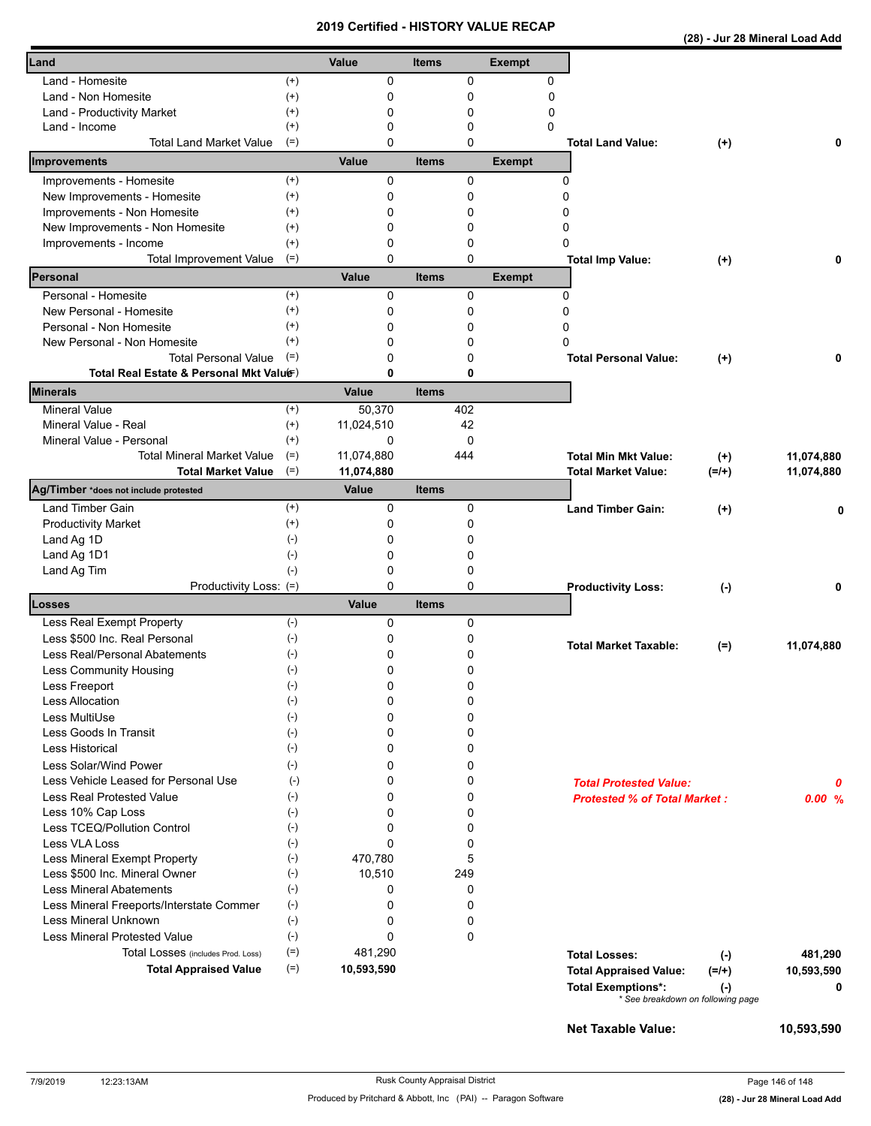|  | (28) - Jur 28 Mineral Load Add |  |
|--|--------------------------------|--|
|  |                                |  |

| Land                                                                    |                      | Value      | <b>Items</b> |             | <b>Exempt</b> |             |                                          |            |
|-------------------------------------------------------------------------|----------------------|------------|--------------|-------------|---------------|-------------|------------------------------------------|------------|
| Land - Homesite                                                         | $^{(+)}$             | 0          |              | 0           |               | 0           |                                          |            |
| Land - Non Homesite                                                     | $(+)$                | 0          |              | 0           |               | $\mathbf 0$ |                                          |            |
| Land - Productivity Market                                              | $^{(+)}$             | 0          |              | 0           |               | 0           |                                          |            |
| Land - Income                                                           | $^{(+)}$<br>$(=)$    | 0          |              | 0           |               | 0           |                                          |            |
| <b>Total Land Market Value</b>                                          |                      | 0          |              | 0           |               |             | <b>Total Land Value:</b><br>$(+)$        | 0          |
| Improvements                                                            |                      | Value      | <b>Items</b> |             | <b>Exempt</b> |             |                                          |            |
| Improvements - Homesite                                                 |                      | 0          |              | 0           |               | 0           |                                          |            |
| New Improvements - Homesite                                             |                      | 0          |              | 0           |               | 0           |                                          |            |
| Improvements - Non Homesite                                             |                      | 0          |              | 0           |               | 0           |                                          |            |
| New Improvements - Non Homesite                                         | $^{(+)}$<br>$^{(+)}$ | 0          |              | 0           |               | 0           |                                          |            |
| Improvements - Income                                                   | $^{(+)}$             | 0          |              | 0           |               | 0           |                                          |            |
| <b>Total Improvement Value</b>                                          | $(=)$                | 0          |              | 0           |               |             | <b>Total Imp Value:</b><br>$^{(+)}$      | 0          |
| Personal                                                                |                      | Value      | <b>Items</b> |             | <b>Exempt</b> |             |                                          |            |
|                                                                         | $(+)$                |            |              |             |               |             |                                          |            |
| Personal - Homesite                                                     | $^{(+)}$             | 0          |              | 0           |               | 0<br>0      |                                          |            |
| New Personal - Homesite                                                 |                      | 0          |              | 0           |               |             |                                          |            |
| Personal - Non Homesite                                                 | $^{(+)}$<br>$(+)$    | 0          |              | 0           |               | 0<br>0      |                                          |            |
| New Personal - Non Homesite                                             | $(=)$                | 0          |              | 0           |               |             |                                          |            |
| <b>Total Personal Value</b><br>Total Real Estate & Personal Mkt Valuer) |                      | 0<br>0     |              | 0           |               |             | <b>Total Personal Value:</b><br>$(+)$    | 0          |
|                                                                         |                      |            |              | 0           |               |             |                                          |            |
| <b>Minerals</b>                                                         |                      | Value      | <b>Items</b> |             |               |             |                                          |            |
| <b>Mineral Value</b>                                                    | $^{(+)}$             | 50,370     |              | 402         |               |             |                                          |            |
| Mineral Value - Real                                                    | $^{(+)}$             | 11,024,510 |              | 42          |               |             |                                          |            |
| Mineral Value - Personal                                                | $^{(+)}$             | 0          |              | $\mathbf 0$ |               |             |                                          |            |
| <b>Total Mineral Market Value</b>                                       | $(=)$                | 11,074,880 |              | 444         |               |             | <b>Total Min Mkt Value:</b><br>$^{(+)}$  | 11,074,880 |
| <b>Total Market Value</b>                                               | $(=)$                | 11,074,880 |              |             |               |             | $(=/+)$<br><b>Total Market Value:</b>    | 11,074,880 |
| Ag/Timber *does not include protested                                   |                      | Value      | <b>Items</b> |             |               |             |                                          |            |
| <b>Land Timber Gain</b>                                                 | $^{(+)}$             | 0          |              | 0           |               |             | <b>Land Timber Gain:</b><br>$(+)$        | 0          |
| <b>Productivity Market</b>                                              | $^{(+)}$             | 0          |              | 0           |               |             |                                          |            |
| Land Ag 1D                                                              | $(-)$                | 0          |              | 0           |               |             |                                          |            |
| Land Ag 1D1                                                             | $(-)$                | 0          |              | 0           |               |             |                                          |            |
| Land Ag Tim                                                             | $(-)$                | 0          |              | 0           |               |             |                                          |            |
| Productivity Loss: (=)                                                  |                      | 0          |              | 0           |               |             | <b>Productivity Loss:</b><br>$(-)$       | 0          |
| Losses                                                                  |                      | Value      | <b>Items</b> |             |               |             |                                          |            |
| Less Real Exempt Property                                               | $(-)$                | 0          |              | 0           |               |             |                                          |            |
| Less \$500 Inc. Real Personal                                           | $(-)$                | 0          |              | 0           |               |             |                                          |            |
| Less Real/Personal Abatements                                           | $(\text{-})$         | 0          |              | 0           |               |             | <b>Total Market Taxable:</b><br>$(=)$    | 11,074,880 |
|                                                                         |                      | 0          |              | 0           |               |             |                                          |            |
| Less Community Housing                                                  | $(\cdot)$            |            |              |             |               |             |                                          |            |
| Less Freeport<br><b>Less Allocation</b>                                 | $(\textnormal{-})$   | 0<br>0     |              | 0<br>0      |               |             |                                          |            |
|                                                                         | $(\text{-})$         |            |              |             |               |             |                                          |            |
| Less MultiUse<br>Less Goods In Transit                                  | $(-)$<br>$(-)$       | 0<br>0     |              | 0<br>0      |               |             |                                          |            |
| Less Historical                                                         | $(-)$                | 0          |              | 0           |               |             |                                          |            |
|                                                                         |                      |            |              |             |               |             |                                          |            |
| Less Solar/Wind Power                                                   | $(-)$                | 0          |              | 0           |               |             |                                          |            |
| Less Vehicle Leased for Personal Use                                    | $(-)$                | 0          |              | 0           |               |             | <b>Total Protested Value:</b>            | 0          |
| Less Real Protested Value                                               | $(-)$                | 0          |              | 0           |               |             | <b>Protested % of Total Market:</b>      | 0.00%      |
| Less 10% Cap Loss                                                       | $(-)$                | 0          |              | 0           |               |             |                                          |            |
| Less TCEQ/Pollution Control                                             | $(-)$                | 0          |              | 0           |               |             |                                          |            |
| Less VLA Loss                                                           | $(-)$                | 0          |              | 0           |               |             |                                          |            |
| Less Mineral Exempt Property                                            | $(-)$                | 470,780    |              | 5           |               |             |                                          |            |
| Less \$500 Inc. Mineral Owner                                           | $(-)$<br>$(-)$       | 10,510     |              | 249         |               |             |                                          |            |
| <b>Less Mineral Abatements</b>                                          |                      | 0          |              | 0           |               |             |                                          |            |
| Less Mineral Freeports/Interstate Commer                                | $(-)$<br>$(-)$       | 0          |              | 0           |               |             |                                          |            |
| Less Mineral Unknown                                                    |                      | 0          |              | 0           |               |             |                                          |            |
| Less Mineral Protested Value                                            | $(-)$                | 0          |              | $\mathbf 0$ |               |             |                                          |            |
| Total Losses (includes Prod. Loss)                                      | $(=)$                | 481,290    |              |             |               |             | <b>Total Losses:</b><br>$(-)$            | 481,290    |
| <b>Total Appraised Value</b>                                            | $(=)$                | 10,593,590 |              |             |               |             | <b>Total Appraised Value:</b><br>$(=/+)$ | 10,593,590 |
|                                                                         |                      |            |              |             |               |             | <b>Total Exemptions*:</b><br>$(\cdot)$   | 0          |
|                                                                         |                      |            |              |             |               |             | * See breakdown on following page        |            |
|                                                                         |                      |            |              |             |               |             |                                          |            |
|                                                                         |                      |            |              |             |               |             | <b>Net Taxable Value:</b>                | 10,593,590 |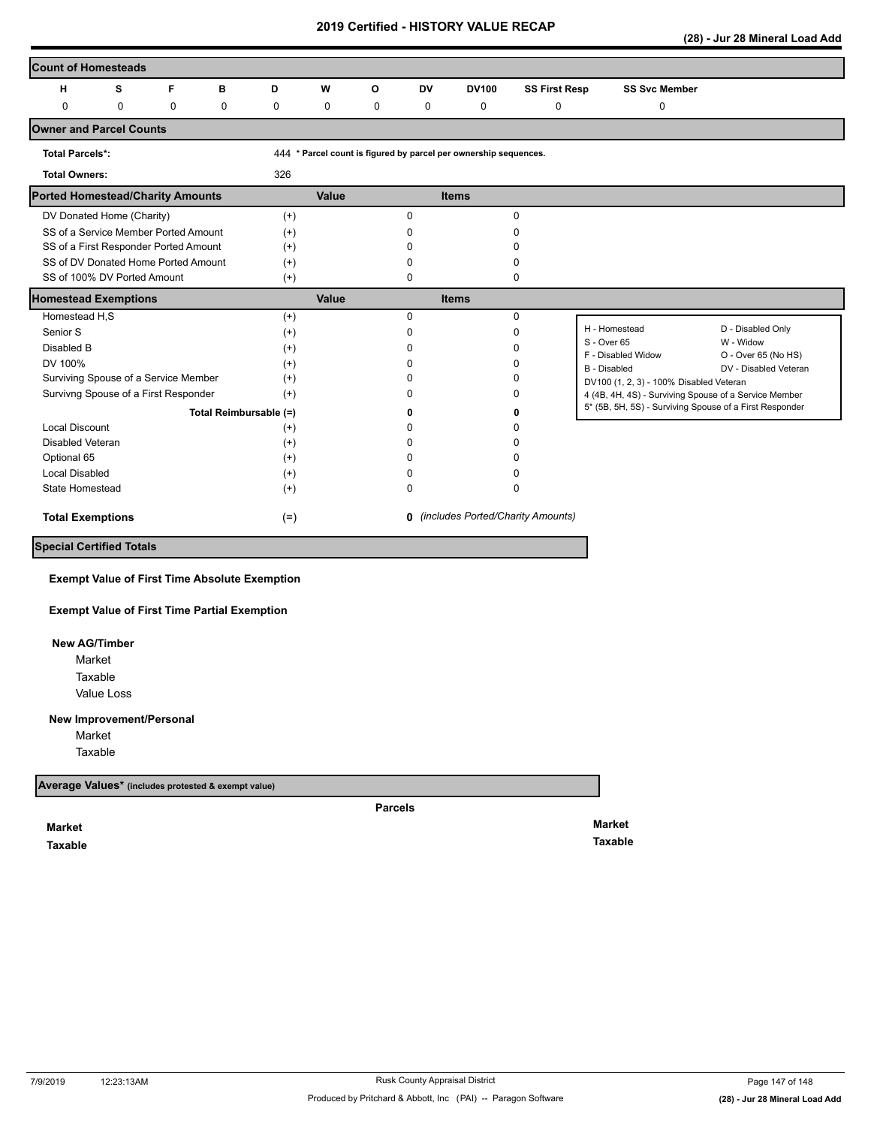**(28) - Jur 28 Mineral Load Add** 

| <b>Count of Homesteads</b>              |             |             |                        |             |               |                   |              |                                                                  |                                            |                                                         |                                  |
|-----------------------------------------|-------------|-------------|------------------------|-------------|---------------|-------------------|--------------|------------------------------------------------------------------|--------------------------------------------|---------------------------------------------------------|----------------------------------|
| н                                       | s           | F           | в                      | D           | W             | $\circ$           | <b>DV</b>    | <b>DV100</b>                                                     | <b>SS First Resp</b>                       | <b>SS Svc Member</b>                                    |                                  |
| 0                                       | $\mathbf 0$ | $\mathbf 0$ | $\mathbf 0$            | $\mathbf 0$ | 0             | $\mathbf 0$       | 0            | $\mathbf 0$                                                      | 0                                          | 0                                                       |                                  |
| <b>Owner and Parcel Counts</b>          |             |             |                        |             |               |                   |              |                                                                  |                                            |                                                         |                                  |
| <b>Total Parcels*:</b>                  |             |             |                        |             |               |                   |              | 444 * Parcel count is figured by parcel per ownership sequences. |                                            |                                                         |                                  |
| <b>Total Owners:</b>                    |             |             |                        | 326         |               |                   |              |                                                                  |                                            |                                                         |                                  |
| <b>Ported Homestead/Charity Amounts</b> |             |             |                        |             | Value         |                   |              | <b>Items</b>                                                     |                                            |                                                         |                                  |
| DV Donated Home (Charity)               |             |             |                        | $(+)$       |               |                   | $\Omega$     |                                                                  | $\mathbf 0$                                |                                                         |                                  |
| SS of a Service Member Ported Amount    |             |             |                        | $^{(+)}$    |               |                   | 0            |                                                                  | O                                          |                                                         |                                  |
| SS of a First Responder Ported Amount   |             |             |                        | $^{(+)}$    |               |                   | n            |                                                                  | n                                          |                                                         |                                  |
| SS of DV Donated Home Ported Amount     |             |             |                        | $(+)$       |               |                   | n            |                                                                  | <sup>0</sup>                               |                                                         |                                  |
| SS of 100% DV Ported Amount             |             |             |                        | $^{(+)}$    |               |                   | 0            |                                                                  | 0                                          |                                                         |                                  |
| <b>Homestead Exemptions</b>             |             |             |                        |             | Value         |                   |              | <b>Items</b>                                                     |                                            |                                                         |                                  |
| Homestead H,S                           |             |             |                        | $^{(+)}$    |               |                   | $\Omega$     |                                                                  | $\mathbf 0$                                |                                                         |                                  |
| Senior S                                |             |             |                        | $^{(+)}$    |               |                   | $\Omega$     |                                                                  | $\Omega$                                   | H - Homestead                                           | D - Disabled Only                |
| Disabled B                              |             |             |                        | $^{(+)}$    |               |                   | <sup>0</sup> |                                                                  | <sup>0</sup>                               | S - Over 65<br>F - Disabled Widow                       | W - Widow<br>O - Over 65 (No HS) |
| DV 100%<br>$^{(+)}$                     |             |             |                        |             |               |                   |              |                                                                  | <sup>0</sup>                               | B - Disabled                                            | DV - Disabled Veteran            |
| Surviving Spouse of a Service Member    |             |             |                        | $^{(+)}$    |               |                   | n            |                                                                  | ŋ                                          | DV100 (1, 2, 3) - 100% Disabled Veteran                 |                                  |
| Survivng Spouse of a First Responder    |             |             |                        | $(+)$       |               |                   | n            |                                                                  | 0                                          | 4 (4B, 4H, 4S) - Surviving Spouse of a Service Member   |                                  |
|                                         |             |             | Total Reimbursable (=) |             |               | ŋ                 |              |                                                                  | ŋ                                          | 5* (5B, 5H, 5S) - Surviving Spouse of a First Responder |                                  |
| <b>Local Discount</b>                   |             |             |                        | $^{(+)}$    |               |                   | <sup>0</sup> |                                                                  |                                            |                                                         |                                  |
| Disabled Veteran                        |             |             |                        | $^{(+)}$    |               |                   | 0            |                                                                  |                                            |                                                         |                                  |
| Optional 65<br>$(+)$                    |             |             |                        |             |               |                   | n            |                                                                  |                                            |                                                         |                                  |
| <b>Local Disabled</b><br>$^{(+)}$       |             |             |                        |             |               | U<br><sup>0</sup> |              |                                                                  |                                            |                                                         |                                  |
| State Homestead                         |             |             |                        | $^{(+)}$    | 0<br>$\Omega$ |                   |              |                                                                  |                                            |                                                         |                                  |
| <b>Total Exemptions</b>                 |             |             |                        | $(=)$       |               |                   |              |                                                                  | <b>0</b> (includes Ported/Charity Amounts) |                                                         |                                  |
| <b>Special Certified Totals</b>         |             |             |                        |             |               |                   |              |                                                                  |                                            |                                                         |                                  |

**Exempt Value of First Time Absolute Exemption**

**Exempt Value of First Time Partial Exemption**

 **New AG/Timber**

Value Loss Market Taxable

## **New Improvement/Personal**

Market Taxable

**Average Values\* (includes protested & exempt value)**

**Parcels**

**Market Taxable**  **Market Taxable**